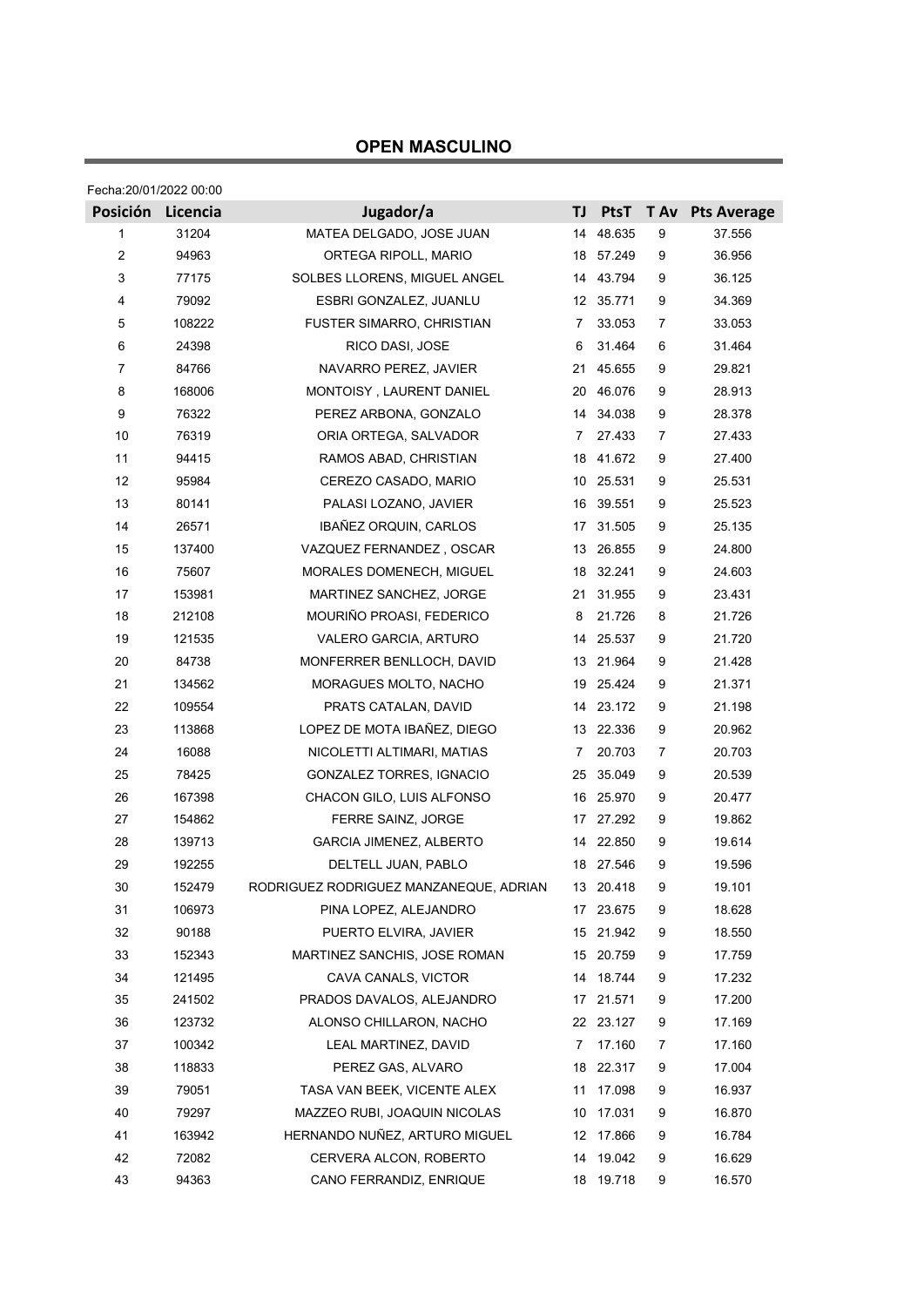## **OPEN MASCULINO**

| Fecha:20/01/2022 00:00 |          |                                        |    |             |      |                    |  |  |
|------------------------|----------|----------------------------------------|----|-------------|------|--------------------|--|--|
| Posición               | Licencia | Jugador/a                              | TJ | <b>PtsT</b> | T Av | <b>Pts Average</b> |  |  |
| 1                      | 31204    | MATEA DELGADO, JOSE JUAN               | 14 | 48.635      | 9    | 37.556             |  |  |
| $\overline{2}$         | 94963    | ORTEGA RIPOLL, MARIO                   | 18 | 57.249      | 9    | 36.956             |  |  |
| 3                      | 77175    | SOLBES LLORENS, MIGUEL ANGEL           |    | 14 43.794   | 9    | 36.125             |  |  |
| 4                      | 79092    | ESBRI GONZALEZ, JUANLU                 |    | 12 35.771   | 9    | 34.369             |  |  |
| $\mathbf 5$            | 108222   | FUSTER SIMARRO, CHRISTIAN              | 7  | 33.053      | 7    | 33.053             |  |  |
| 6                      | 24398    | RICO DASI, JOSE                        | 6  | 31.464      | 6    | 31.464             |  |  |
| $\overline{7}$         | 84766    | NAVARRO PEREZ, JAVIER                  | 21 | 45.655      | 9    | 29.821             |  |  |
| 8                      | 168006   | MONTOISY, LAURENT DANIEL               | 20 | 46.076      | 9    | 28.913             |  |  |
| 9                      | 76322    | PEREZ ARBONA, GONZALO                  |    | 14 34.038   | 9    | 28.378             |  |  |
| 10                     | 76319    | ORIA ORTEGA, SALVADOR                  | 7  | 27.433      | 7    | 27.433             |  |  |
| 11                     | 94415    | RAMOS ABAD, CHRISTIAN                  | 18 | 41.672      | 9    | 27.400             |  |  |
| 12                     | 95984    | CEREZO CASADO, MARIO                   | 10 | 25.531      | 9    | 25.531             |  |  |
| 13                     | 80141    | PALASI LOZANO, JAVIER                  | 16 | 39.551      | 9    | 25.523             |  |  |
| 14                     | 26571    | IBAÑEZ ORQUIN, CARLOS                  | 17 | 31.505      | 9    | 25.135             |  |  |
| 15                     | 137400   | VAZQUEZ FERNANDEZ, OSCAR               | 13 | 26.855      | 9    | 24.800             |  |  |
| 16                     | 75607    | MORALES DOMENECH, MIGUEL               | 18 | 32.241      | 9    | 24.603             |  |  |
| 17                     | 153981   | MARTINEZ SANCHEZ, JORGE                |    | 21 31.955   | 9    | 23.431             |  |  |
| 18                     | 212108   | MOURIÑO PROASI, FEDERICO               | 8  | 21.726      | 8    | 21.726             |  |  |
| 19                     | 121535   | VALERO GARCIA, ARTURO                  | 14 | 25.537      | 9    | 21.720             |  |  |
| 20                     | 84738    | MONFERRER BENLLOCH, DAVID              | 13 | 21.964      | 9    | 21.428             |  |  |
| 21                     | 134562   | MORAGUES MOLTO, NACHO                  | 19 | 25.424      | 9    | 21.371             |  |  |
| 22                     | 109554   | PRATS CATALAN, DAVID                   |    | 14 23.172   | 9    | 21.198             |  |  |
| 23                     | 113868   | LOPEZ DE MOTA IBAÑEZ, DIEGO            |    | 13 22.336   | 9    | 20.962             |  |  |
| 24                     | 16088    | NICOLETTI ALTIMARI, MATIAS             | 7  | 20.703      | 7    | 20.703             |  |  |
| 25                     | 78425    | GONZALEZ TORRES, IGNACIO               | 25 | 35.049      | 9    | 20.539             |  |  |
| 26                     | 167398   | CHACON GILO, LUIS ALFONSO              | 16 | 25.970      | 9    | 20.477             |  |  |
| 27                     | 154862   | FERRE SAINZ, JORGE                     | 17 | 27.292      | 9    | 19.862             |  |  |
| 28                     | 139713   | <b>GARCIA JIMENEZ, ALBERTO</b>         | 14 | 22.850      | 9    | 19.614             |  |  |
| 29                     | 192255   | DELTELL JUAN, PABLO                    |    | 18 27.546   | 9    | 19.596             |  |  |
| 30                     | 152479   | RODRIGUEZ RODRIGUEZ MANZANEQUE, ADRIAN |    | 13 20.418   | 9    | 19.101             |  |  |
| 31                     | 106973   | PINA LOPEZ, ALEJANDRO                  | 17 | 23.675      | 9    | 18.628             |  |  |
| 32                     | 90188    | PUERTO ELVIRA, JAVIER                  | 15 | 21.942      | 9    | 18.550             |  |  |
| 33                     | 152343   | MARTINEZ SANCHIS, JOSE ROMAN           | 15 | 20.759      | 9    | 17.759             |  |  |
| 34                     | 121495   | CAVA CANALS, VICTOR                    | 14 | 18.744      | 9    | 17.232             |  |  |
| 35                     | 241502   | PRADOS DAVALOS, ALEJANDRO              |    | 17 21.571   | 9    | 17.200             |  |  |
| 36                     | 123732   | ALONSO CHILLARON, NACHO                |    | 22 23.127   | 9    | 17.169             |  |  |
| 37                     | 100342   | LEAL MARTINEZ, DAVID                   | 7  | 17.160      | 7    | 17.160             |  |  |
| 38                     | 118833   | PEREZ GAS, ALVARO                      | 18 | 22.317      | 9    | 17.004             |  |  |
| 39                     | 79051    | TASA VAN BEEK, VICENTE ALEX            | 11 | 17.098      | 9    | 16.937             |  |  |
| 40                     | 79297    | MAZZEO RUBI, JOAQUIN NICOLAS           | 10 | 17.031      | 9    | 16.870             |  |  |
| 41                     | 163942   | HERNANDO NUÑEZ, ARTURO MIGUEL          | 12 | 17.866      | 9    | 16.784             |  |  |
| 42                     | 72082    | CERVERA ALCON, ROBERTO                 |    | 14 19.042   | 9    | 16.629             |  |  |
| 43                     | 94363    | CANO FERRANDIZ, ENRIQUE                |    | 18 19.718   | 9    | 16.570             |  |  |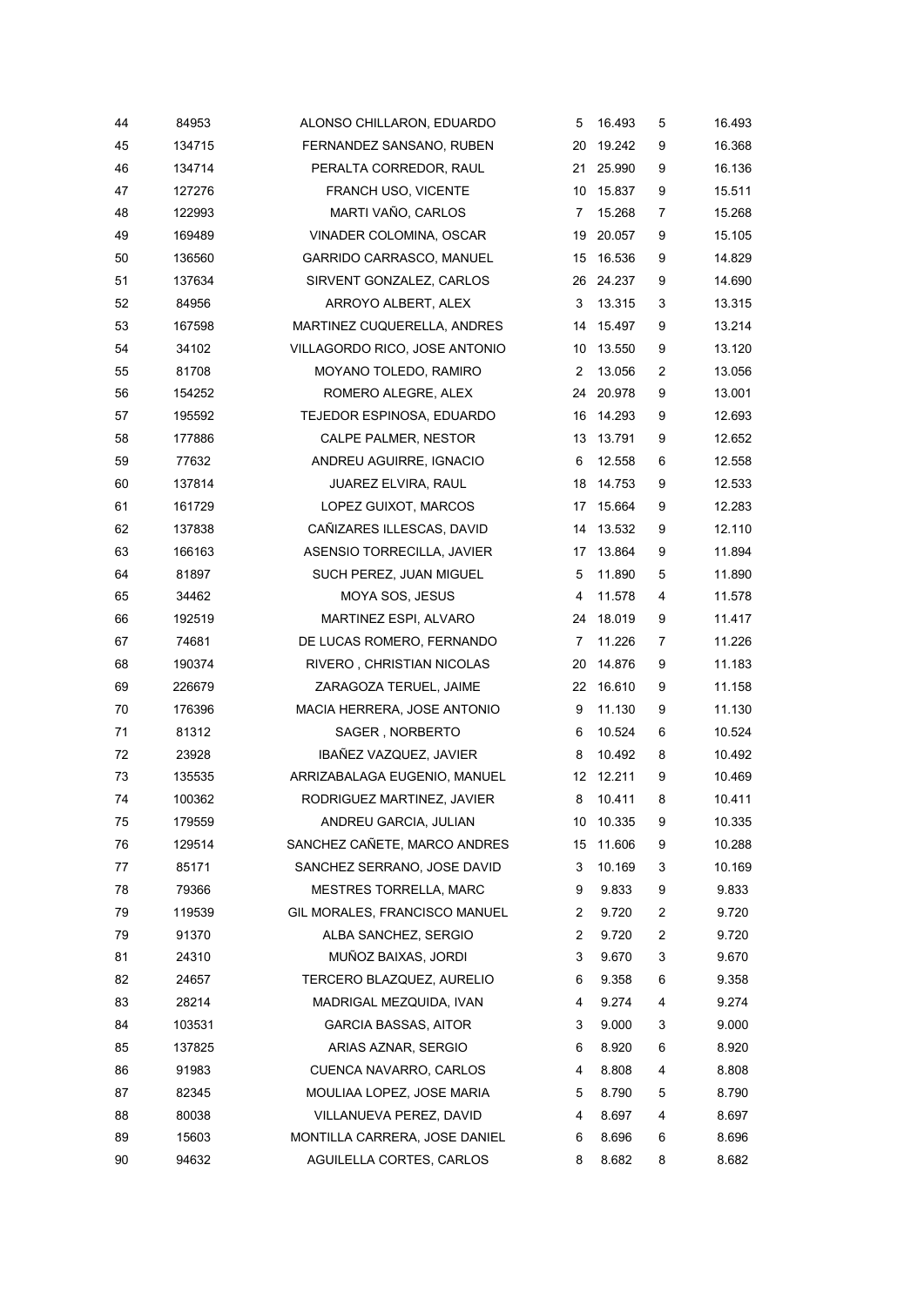| 44 | 84953  | ALONSO CHILLARON, EDUARDO     | 5                 | 16.493    | 5              | 16.493 |
|----|--------|-------------------------------|-------------------|-----------|----------------|--------|
| 45 | 134715 | FERNANDEZ SANSANO, RUBEN      | 20                | 19.242    | 9              | 16.368 |
| 46 | 134714 | PERALTA CORREDOR, RAUL        | 21                | 25.990    | 9              | 16.136 |
| 47 | 127276 | FRANCH USO, VICENTE           | 10                | 15.837    | 9              | 15.511 |
| 48 | 122993 | MARTI VAÑO, CARLOS            | 7                 | 15.268    | 7              | 15.268 |
| 49 | 169489 | VINADER COLOMINA, OSCAR       | 19                | 20.057    | 9              | 15.105 |
| 50 | 136560 | GARRIDO CARRASCO, MANUEL      | 15                | 16.536    | 9              | 14.829 |
| 51 | 137634 | SIRVENT GONZALEZ, CARLOS      | 26                | 24.237    | 9              | 14.690 |
| 52 | 84956  | ARROYO ALBERT, ALEX           | 3                 | 13.315    | 3              | 13.315 |
| 53 | 167598 | MARTINEZ CUQUERELLA, ANDRES   | 14                | 15.497    | 9              | 13.214 |
| 54 | 34102  | VILLAGORDO RICO, JOSE ANTONIO | 10                | 13.550    | 9              | 13.120 |
| 55 | 81708  | MOYANO TOLEDO, RAMIRO         | 2                 | 13.056    | $\overline{c}$ | 13.056 |
| 56 | 154252 | ROMERO ALEGRE, ALEX           | 24                | 20.978    | 9              | 13.001 |
| 57 | 195592 | TEJEDOR ESPINOSA, EDUARDO     | 16                | 14.293    | 9              | 12.693 |
| 58 | 177886 | CALPE PALMER, NESTOR          | 13                | 13.791    | 9              | 12.652 |
| 59 | 77632  | ANDREU AGUIRRE, IGNACIO       | 6                 | 12.558    | 6              | 12.558 |
| 60 | 137814 | JUAREZ ELVIRA, RAUL           | 18                | 14.753    | 9              | 12.533 |
| 61 | 161729 | LOPEZ GUIXOT, MARCOS          | 17                | 15.664    | 9              | 12.283 |
| 62 | 137838 | CAÑIZARES ILLESCAS, DAVID     | 14                | 13.532    | 9              | 12.110 |
| 63 | 166163 | ASENSIO TORRECILLA, JAVIER    | 17                | 13.864    | 9              | 11.894 |
| 64 | 81897  | SUCH PEREZ, JUAN MIGUEL       | 5                 | 11.890    | 5              | 11.890 |
| 65 | 34462  | MOYA SOS, JESUS               | 4                 | 11.578    | 4              | 11.578 |
| 66 | 192519 | MARTINEZ ESPI, ALVARO         | 24                | 18.019    | 9              | 11.417 |
| 67 | 74681  | DE LUCAS ROMERO, FERNANDO     | $\overline{7}$    | 11.226    | 7              | 11.226 |
| 68 | 190374 | RIVERO, CHRISTIAN NICOLAS     | 20                | 14.876    | 9              | 11.183 |
| 69 | 226679 | ZARAGOZA TERUEL, JAIME        |                   | 22 16.610 | 9              | 11.158 |
| 70 | 176396 | MACIA HERRERA, JOSE ANTONIO   | 9                 | 11.130    | 9              | 11.130 |
| 71 | 81312  | SAGER, NORBERTO               | 6                 | 10.524    | 6              | 10.524 |
| 72 | 23928  | IBAÑEZ VAZQUEZ, JAVIER        | 8                 | 10.492    | 8              | 10.492 |
| 73 | 135535 | ARRIZABALAGA EUGENIO, MANUEL  | $12 \overline{ }$ | 12.211    | 9              | 10.469 |
| 74 | 100362 | RODRIGUEZ MARTINEZ, JAVIER    | 8                 | 10.411    | 8              | 10.411 |
| 75 | 179559 | ANDREU GARCIA, JULIAN         | 10                | 10.335    | 9              | 10.335 |
| 76 | 129514 | SANCHEZ CAÑETE, MARCO ANDRES  | 15                | 11.606    | 9              | 10.288 |
| 77 | 85171  | SANCHEZ SERRANO, JOSE DAVID   | 3                 | 10.169    | 3              | 10.169 |
| 78 | 79366  | <b>MESTRES TORRELLA, MARC</b> | 9                 | 9.833     | 9              | 9.833  |
| 79 | 119539 | GIL MORALES, FRANCISCO MANUEL | 2                 | 9.720     | $\overline{c}$ | 9.720  |
| 79 | 91370  | ALBA SANCHEZ, SERGIO          | 2                 | 9.720     | 2              | 9.720  |
| 81 | 24310  | MUÑOZ BAIXAS, JORDI           | 3                 | 9.670     | 3              | 9.670  |
| 82 | 24657  | TERCERO BLAZQUEZ, AURELIO     | 6                 | 9.358     | 6              | 9.358  |
| 83 | 28214  | MADRIGAL MEZQUIDA, IVAN       | 4                 | 9.274     | 4              | 9.274  |
| 84 | 103531 | GARCIA BASSAS, AITOR          | 3                 | 9.000     | 3              | 9.000  |
| 85 | 137825 | ARIAS AZNAR, SERGIO           | 6                 | 8.920     | 6              | 8.920  |
| 86 | 91983  | CUENCA NAVARRO, CARLOS        | 4                 | 8.808     | 4              | 8.808  |
| 87 | 82345  | MOULIAA LOPEZ, JOSE MARIA     | 5                 | 8.790     | 5              | 8.790  |
| 88 | 80038  | VILLANUEVA PEREZ, DAVID       | 4                 | 8.697     | 4              | 8.697  |
| 89 | 15603  | MONTILLA CARRERA, JOSE DANIEL | 6                 | 8.696     | 6              | 8.696  |
| 90 | 94632  | AGUILELLA CORTES, CARLOS      | 8                 | 8.682     | 8              | 8.682  |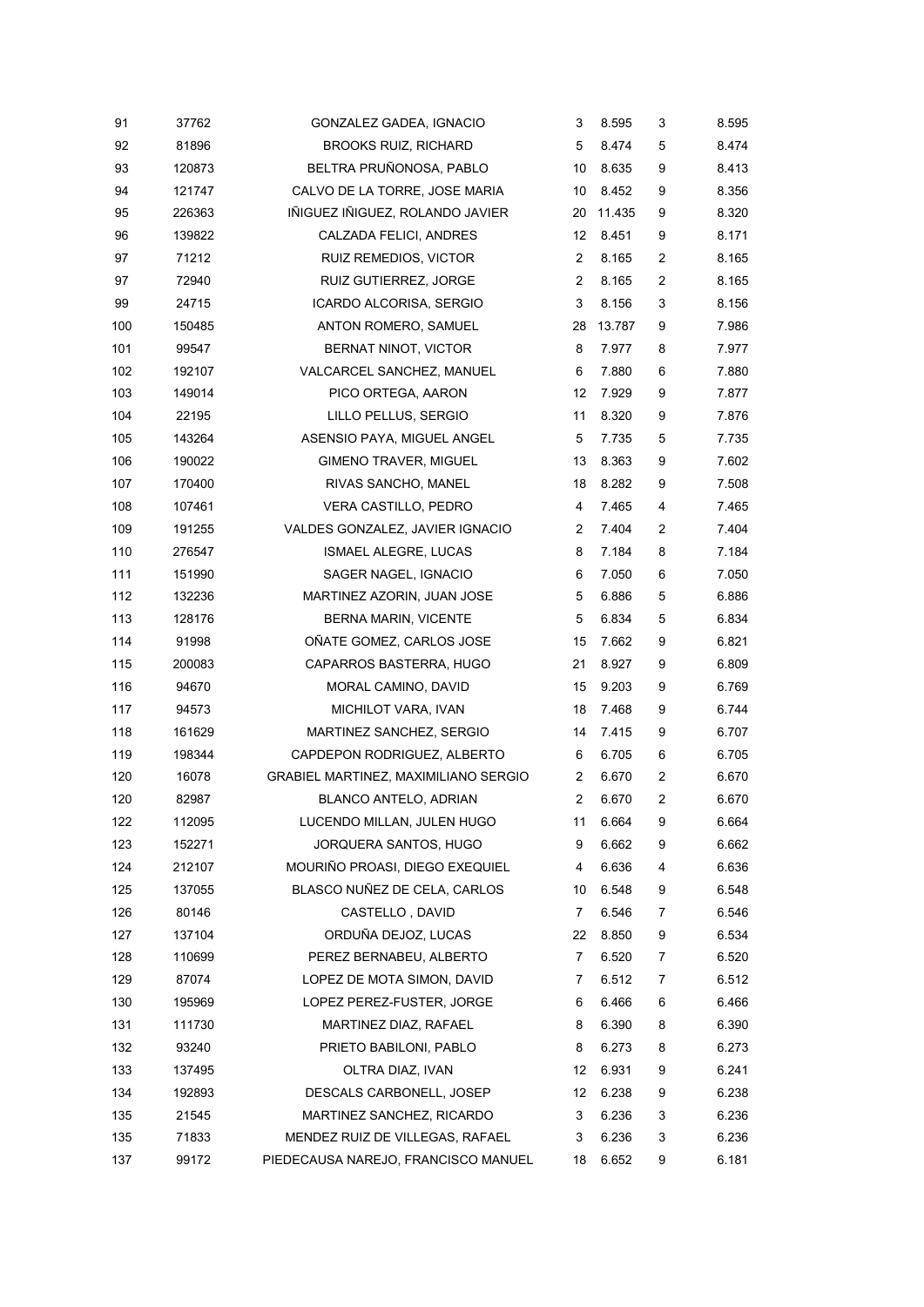| 91  | 37762  | GONZALEZ GADEA, IGNACIO              | 3              | 8.595  | 3              | 8.595 |
|-----|--------|--------------------------------------|----------------|--------|----------------|-------|
| 92  | 81896  | <b>BROOKS RUIZ, RICHARD</b>          | 5              | 8.474  | 5              | 8.474 |
| 93  | 120873 | BELTRA PRUÑONOSA, PABLO              | 10             | 8.635  | 9              | 8.413 |
| 94  | 121747 | CALVO DE LA TORRE, JOSE MARIA        | 10             | 8.452  | 9              | 8.356 |
| 95  | 226363 | IÑIGUEZ IÑIGUEZ, ROLANDO JAVIER      | 20             | 11.435 | 9              | 8.320 |
| 96  | 139822 | CALZADA FELICI, ANDRES               | 12             | 8.451  | 9              | 8.171 |
| 97  | 71212  | RUIZ REMEDIOS, VICTOR                | $\overline{2}$ | 8.165  | $\overline{c}$ | 8.165 |
| 97  | 72940  | RUIZ GUTIERREZ, JORGE                | 2              | 8.165  | $\overline{c}$ | 8.165 |
| 99  | 24715  | ICARDO ALCORISA, SERGIO              | 3              | 8.156  | 3              | 8.156 |
| 100 | 150485 | ANTON ROMERO, SAMUEL                 | 28             | 13.787 | 9              | 7.986 |
| 101 | 99547  | BERNAT NINOT, VICTOR                 | 8              | 7.977  | 8              | 7.977 |
| 102 | 192107 | VALCARCEL SANCHEZ, MANUEL            | 6              | 7.880  | 6              | 7.880 |
| 103 | 149014 | PICO ORTEGA, AARON                   | 12             | 7.929  | 9              | 7.877 |
| 104 | 22195  | LILLO PELLUS, SERGIO                 | 11             | 8.320  | 9              | 7.876 |
| 105 | 143264 | ASENSIO PAYA, MIGUEL ANGEL           | 5              | 7.735  | 5              | 7.735 |
| 106 | 190022 | <b>GIMENO TRAVER, MIGUEL</b>         | 13             | 8.363  | 9              | 7.602 |
| 107 | 170400 | RIVAS SANCHO, MANEL                  | 18             | 8.282  | 9              | 7.508 |
| 108 | 107461 | VERA CASTILLO, PEDRO                 | 4              | 7.465  | 4              | 7.465 |
| 109 | 191255 | VALDES GONZALEZ, JAVIER IGNACIO      | 2              | 7.404  | $\overline{c}$ | 7.404 |
| 110 | 276547 | ISMAEL ALEGRE, LUCAS                 | 8              | 7.184  | 8              | 7.184 |
| 111 | 151990 | SAGER NAGEL, IGNACIO                 | 6              | 7.050  | 6              | 7.050 |
| 112 | 132236 | MARTINEZ AZORIN, JUAN JOSE           | 5              | 6.886  | 5              | 6.886 |
| 113 | 128176 | BERNA MARIN, VICENTE                 | 5              | 6.834  | 5              | 6.834 |
| 114 | 91998  | OÑATE GOMEZ, CARLOS JOSE             | 15             | 7.662  | 9              | 6.821 |
| 115 | 200083 | CAPARROS BASTERRA, HUGO              | 21             | 8.927  | 9              | 6.809 |
| 116 | 94670  | MORAL CAMINO, DAVID                  | 15             | 9.203  | 9              | 6.769 |
| 117 | 94573  | MICHILOT VARA, IVAN                  | 18             | 7.468  | 9              | 6.744 |
| 118 | 161629 | MARTINEZ SANCHEZ, SERGIO             | 14             | 7.415  | 9              | 6.707 |
| 119 | 198344 | CAPDEPON RODRIGUEZ, ALBERTO          | 6              | 6.705  | 6              | 6.705 |
| 120 | 16078  | GRABIEL MARTINEZ, MAXIMILIANO SERGIO | 2              | 6.670  | $\overline{c}$ | 6.670 |
| 120 | 82987  | BLANCO ANTELO, ADRIAN                | 2              | 6.670  | 2              | 6.670 |
| 122 | 112095 | LUCENDO MILLAN, JULEN HUGO           | 11             | 6.664  | 9              | 6.664 |
| 123 | 152271 | JORQUERA SANTOS, HUGO                | 9              | 6.662  | 9              | 6.662 |
| 124 | 212107 | MOURIÑO PROASI, DIEGO EXEQUIEL       | 4              | 6.636  | 4              | 6.636 |
| 125 | 137055 | BLASCO NUÑEZ DE CELA, CARLOS         | 10             | 6.548  | 9              | 6.548 |
| 126 | 80146  | CASTELLO, DAVID                      | 7              | 6.546  | 7              | 6.546 |
| 127 | 137104 | ORDUÑA DEJOZ, LUCAS                  | 22             | 8.850  | 9              | 6.534 |
| 128 | 110699 | PEREZ BERNABEU, ALBERTO              | 7              | 6.520  | 7              | 6.520 |
| 129 | 87074  | LOPEZ DE MOTA SIMON, DAVID           | 7              | 6.512  | 7              | 6.512 |
| 130 | 195969 | LOPEZ PEREZ-FUSTER, JORGE            | 6              | 6.466  | 6              | 6.466 |
| 131 | 111730 | MARTINEZ DIAZ, RAFAEL                | 8              | 6.390  | 8              | 6.390 |
| 132 | 93240  | PRIETO BABILONI, PABLO               | 8              | 6.273  | 8              | 6.273 |
| 133 | 137495 | OLTRA DIAZ, IVAN                     | 12             | 6.931  | 9              | 6.241 |
| 134 | 192893 | DESCALS CARBONELL, JOSEP             | 12             | 6.238  | 9              | 6.238 |
| 135 | 21545  | MARTINEZ SANCHEZ, RICARDO            | 3              | 6.236  | 3              | 6.236 |
| 135 | 71833  | MENDEZ RUIZ DE VILLEGAS, RAFAEL      | 3              | 6.236  | 3              | 6.236 |
| 137 | 99172  | PIEDECAUSA NAREJO, FRANCISCO MANUEL  | 18             | 6.652  | 9              | 6.181 |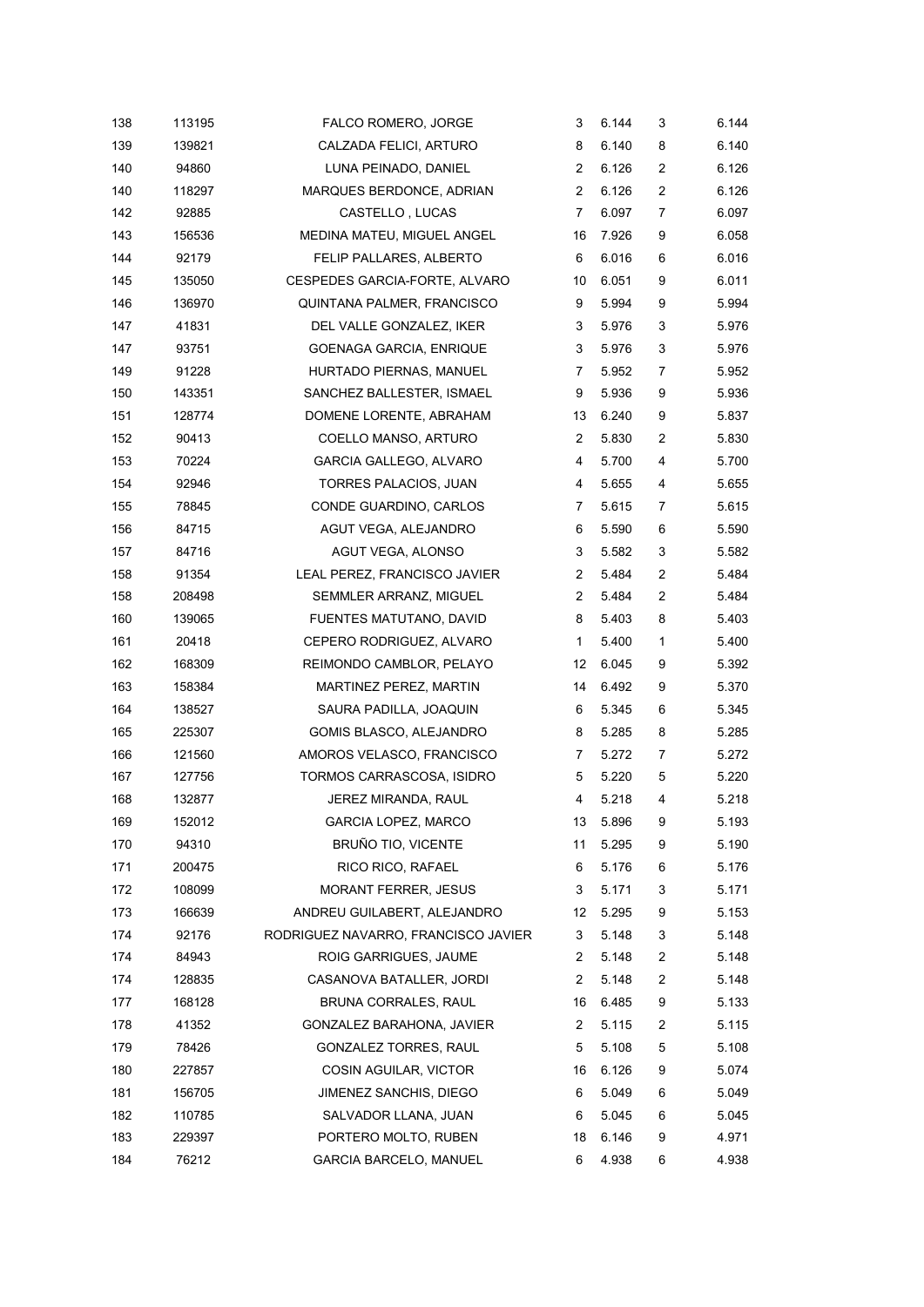| 138 | 113195 | FALCO ROMERO, JORGE                 | 3              | 6.144 | 3              | 6.144 |
|-----|--------|-------------------------------------|----------------|-------|----------------|-------|
| 139 | 139821 | CALZADA FELICI, ARTURO              | 8              | 6.140 | 8              | 6.140 |
| 140 | 94860  | LUNA PEINADO, DANIEL                | $\overline{2}$ | 6.126 | 2              | 6.126 |
| 140 | 118297 | MARQUES BERDONCE, ADRIAN            | 2              | 6.126 | 2              | 6.126 |
| 142 | 92885  | CASTELLO, LUCAS                     | 7              | 6.097 | $\overline{7}$ | 6.097 |
| 143 | 156536 | MEDINA MATEU, MIGUEL ANGEL          | 16             | 7.926 | 9              | 6.058 |
| 144 | 92179  | FELIP PALLARES, ALBERTO             | 6              | 6.016 | 6              | 6.016 |
| 145 | 135050 | CESPEDES GARCIA-FORTE, ALVARO       | 10             | 6.051 | 9              | 6.011 |
| 146 | 136970 | QUINTANA PALMER, FRANCISCO          | 9              | 5.994 | 9              | 5.994 |
| 147 | 41831  | DEL VALLE GONZALEZ, IKER            | 3              | 5.976 | 3              | 5.976 |
| 147 | 93751  | <b>GOENAGA GARCIA, ENRIQUE</b>      | 3              | 5.976 | 3              | 5.976 |
| 149 | 91228  | HURTADO PIERNAS, MANUEL             | 7              | 5.952 | 7              | 5.952 |
| 150 | 143351 | SANCHEZ BALLESTER, ISMAEL           | 9              | 5.936 | 9              | 5.936 |
| 151 | 128774 | DOMENE LORENTE, ABRAHAM             | 13             | 6.240 | 9              | 5.837 |
| 152 | 90413  | COELLO MANSO, ARTURO                | $\overline{2}$ | 5.830 | 2              | 5.830 |
| 153 | 70224  | GARCIA GALLEGO, ALVARO              | 4              | 5.700 | 4              | 5.700 |
| 154 | 92946  | TORRES PALACIOS, JUAN               | 4              | 5.655 | 4              | 5.655 |
| 155 | 78845  | CONDE GUARDINO, CARLOS              | 7              | 5.615 | 7              | 5.615 |
| 156 | 84715  | AGUT VEGA, ALEJANDRO                | 6              | 5.590 | 6              | 5.590 |
| 157 | 84716  | AGUT VEGA, ALONSO                   | 3              | 5.582 | 3              | 5.582 |
| 158 | 91354  | LEAL PEREZ, FRANCISCO JAVIER        | 2              | 5.484 | 2              | 5.484 |
| 158 | 208498 | SEMMLER ARRANZ, MIGUEL              | $\overline{2}$ | 5.484 | 2              | 5.484 |
| 160 | 139065 | FUENTES MATUTANO, DAVID             | 8              | 5.403 | 8              | 5.403 |
| 161 | 20418  | CEPERO RODRIGUEZ, ALVARO            | 1              | 5.400 | 1              | 5.400 |
| 162 | 168309 | REIMONDO CAMBLOR, PELAYO            | 12             | 6.045 | 9              | 5.392 |
| 163 | 158384 | MARTINEZ PEREZ, MARTIN              | 14             | 6.492 | 9              | 5.370 |
| 164 | 138527 | SAURA PADILLA, JOAQUIN              | 6              | 5.345 | 6              | 5.345 |
| 165 | 225307 | GOMIS BLASCO, ALEJANDRO             | 8              | 5.285 | 8              | 5.285 |
| 166 | 121560 | AMOROS VELASCO, FRANCISCO           | 7              | 5.272 | $\overline{7}$ | 5.272 |
| 167 | 127756 | TORMOS CARRASCOSA, ISIDRO           | 5              | 5.220 | 5              | 5.220 |
| 168 | 132877 | JEREZ MIRANDA, RAUL                 | 4              | 5.218 | 4              | 5.218 |
| 169 | 152012 | GARCIA LOPEZ, MARCO                 | 13             | 5.896 | 9              | 5.193 |
| 170 | 94310  | <b>BRUÑO TIO, VICENTE</b>           | 11             | 5.295 | 9              | 5.190 |
| 171 | 200475 | RICO RICO, RAFAEL                   | 6              | 5.176 | 6              | 5.176 |
| 172 | 108099 | <b>MORANT FERRER, JESUS</b>         | 3              | 5.171 | 3              | 5.171 |
| 173 | 166639 | ANDREU GUILABERT, ALEJANDRO         | 12             | 5.295 | 9              | 5.153 |
| 174 | 92176  | RODRIGUEZ NAVARRO, FRANCISCO JAVIER | 3              | 5.148 | 3              | 5.148 |
| 174 | 84943  | ROIG GARRIGUES, JAUME               | 2              | 5.148 | 2              | 5.148 |
| 174 | 128835 | CASANOVA BATALLER, JORDI            | 2              | 5.148 | 2              | 5.148 |
| 177 | 168128 | BRUNA CORRALES, RAUL                | 16             | 6.485 | 9              | 5.133 |
| 178 | 41352  | GONZALEZ BARAHONA, JAVIER           | $\overline{2}$ | 5.115 | 2              | 5.115 |
| 179 | 78426  | GONZALEZ TORRES, RAUL               | 5              | 5.108 | 5              | 5.108 |
| 180 | 227857 | COSIN AGUILAR, VICTOR               | 16             | 6.126 | 9              | 5.074 |
| 181 | 156705 | JIMENEZ SANCHIS, DIEGO              | 6              | 5.049 | 6              | 5.049 |
| 182 | 110785 | SALVADOR LLANA, JUAN                | 6              | 5.045 | 6              | 5.045 |
| 183 | 229397 | PORTERO MOLTO, RUBEN                | 18             | 6.146 | 9              | 4.971 |
| 184 | 76212  | GARCIA BARCELO, MANUEL              | 6              | 4.938 | 6              | 4.938 |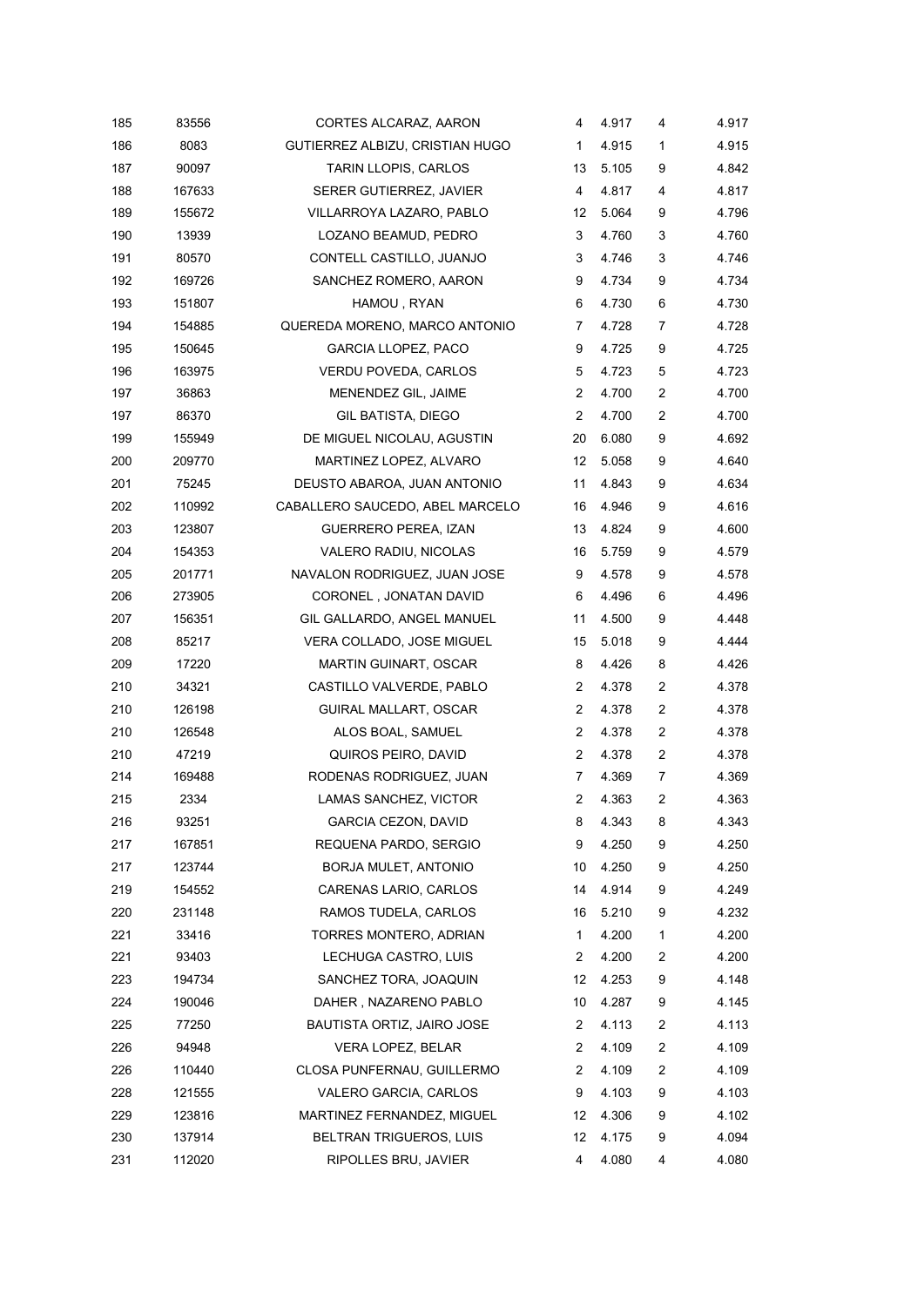| 185 | 83556  | CORTES ALCARAZ, AARON           | 4              | 4.917 | 4 | 4.917 |
|-----|--------|---------------------------------|----------------|-------|---|-------|
| 186 | 8083   | GUTIERREZ ALBIZU, CRISTIAN HUGO | 1              | 4.915 | 1 | 4.915 |
| 187 | 90097  | TARIN LLOPIS, CARLOS            | 13             | 5.105 | 9 | 4.842 |
| 188 | 167633 | SERER GUTIERREZ, JAVIER         | 4              | 4.817 | 4 | 4.817 |
| 189 | 155672 | VILLARROYA LAZARO, PABLO        | 12             | 5.064 | 9 | 4.796 |
| 190 | 13939  | LOZANO BEAMUD, PEDRO            | 3              | 4.760 | 3 | 4.760 |
| 191 | 80570  | CONTELL CASTILLO, JUANJO        | 3              | 4.746 | 3 | 4.746 |
| 192 | 169726 | SANCHEZ ROMERO, AARON           | 9              | 4.734 | 9 | 4.734 |
| 193 | 151807 | HAMOU, RYAN                     | 6              | 4.730 | 6 | 4.730 |
| 194 | 154885 | QUEREDA MORENO, MARCO ANTONIO   | 7              | 4.728 | 7 | 4.728 |
| 195 | 150645 | <b>GARCIA LLOPEZ, PACO</b>      | 9              | 4.725 | 9 | 4.725 |
| 196 | 163975 | VERDU POVEDA, CARLOS            | 5              | 4.723 | 5 | 4.723 |
| 197 | 36863  | MENENDEZ GIL, JAIME             | 2              | 4.700 | 2 | 4.700 |
| 197 | 86370  | <b>GIL BATISTA, DIEGO</b>       | $\overline{2}$ | 4.700 | 2 | 4.700 |
| 199 | 155949 | DE MIGUEL NICOLAU, AGUSTIN      | 20             | 6.080 | 9 | 4.692 |
| 200 | 209770 | MARTINEZ LOPEZ, ALVARO          | 12             | 5.058 | 9 | 4.640 |
| 201 | 75245  | DEUSTO ABAROA, JUAN ANTONIO     | 11             | 4.843 | 9 | 4.634 |
| 202 | 110992 | CABALLERO SAUCEDO, ABEL MARCELO | 16             | 4.946 | 9 | 4.616 |
| 203 | 123807 | <b>GUERRERO PEREA, IZAN</b>     | 13             | 4.824 | 9 | 4.600 |
| 204 | 154353 | VALERO RADIU, NICOLAS           | 16             | 5.759 | 9 | 4.579 |
| 205 | 201771 | NAVALON RODRIGUEZ, JUAN JOSE    | 9              | 4.578 | 9 | 4.578 |
| 206 | 273905 | CORONEL, JONATAN DAVID          | 6              | 4.496 | 6 | 4.496 |
| 207 | 156351 | GIL GALLARDO, ANGEL MANUEL      | 11             | 4.500 | 9 | 4.448 |
| 208 | 85217  | VERA COLLADO, JOSE MIGUEL       | 15             | 5.018 | 9 | 4.444 |
| 209 | 17220  | MARTIN GUINART, OSCAR           | 8              | 4.426 | 8 | 4.426 |
| 210 | 34321  | CASTILLO VALVERDE, PABLO        | 2              | 4.378 | 2 | 4.378 |
| 210 | 126198 | GUIRAL MALLART, OSCAR           | $\overline{2}$ | 4.378 | 2 | 4.378 |
| 210 | 126548 | ALOS BOAL, SAMUEL               | $\overline{2}$ | 4.378 | 2 | 4.378 |
| 210 | 47219  | QUIROS PEIRO, DAVID             | $\overline{2}$ | 4.378 | 2 | 4.378 |
| 214 | 169488 | RODENAS RODRIGUEZ, JUAN         | 7              | 4.369 | 7 | 4.369 |
| 215 | 2334   | LAMAS SANCHEZ, VICTOR           | $\overline{c}$ | 4.363 | 2 | 4.363 |
| 216 | 93251  | <b>GARCIA CEZON, DAVID</b>      | 8              | 4.343 | 8 | 4.343 |
| 217 | 167851 | REQUENA PARDO, SERGIO           | 9              | 4.250 | 9 | 4.250 |
| 217 | 123744 | BORJA MULET, ANTONIO            | 10             | 4.250 | 9 | 4.250 |
| 219 | 154552 | CARENAS LARIO, CARLOS           | 14             | 4.914 | 9 | 4.249 |
| 220 | 231148 | RAMOS TUDELA, CARLOS            | 16             | 5.210 | 9 | 4.232 |
| 221 | 33416  | TORRES MONTERO, ADRIAN          | 1              | 4.200 | 1 | 4.200 |
| 221 | 93403  | LECHUGA CASTRO, LUIS            | 2              | 4.200 | 2 | 4.200 |
| 223 | 194734 | SANCHEZ TORA, JOAQUIN           | 12             | 4.253 | 9 | 4.148 |
| 224 | 190046 | DAHER, NAZARENO PABLO           | 10             | 4.287 | 9 | 4.145 |
| 225 | 77250  | BAUTISTA ORTIZ, JAIRO JOSE      | 2              | 4.113 | 2 | 4.113 |
| 226 | 94948  | VERA LOPEZ, BELAR               | 2              | 4.109 | 2 | 4.109 |
| 226 | 110440 | CLOSA PUNFERNAU, GUILLERMO      | 2              | 4.109 | 2 | 4.109 |
| 228 | 121555 | VALERO GARCIA, CARLOS           | 9              | 4.103 | 9 | 4.103 |
| 229 | 123816 | MARTINEZ FERNANDEZ, MIGUEL      | 12             | 4.306 | 9 | 4.102 |
| 230 | 137914 | BELTRAN TRIGUEROS, LUIS         | 12             | 4.175 | 9 | 4.094 |
| 231 | 112020 | RIPOLLES BRU, JAVIER            | 4              | 4.080 | 4 | 4.080 |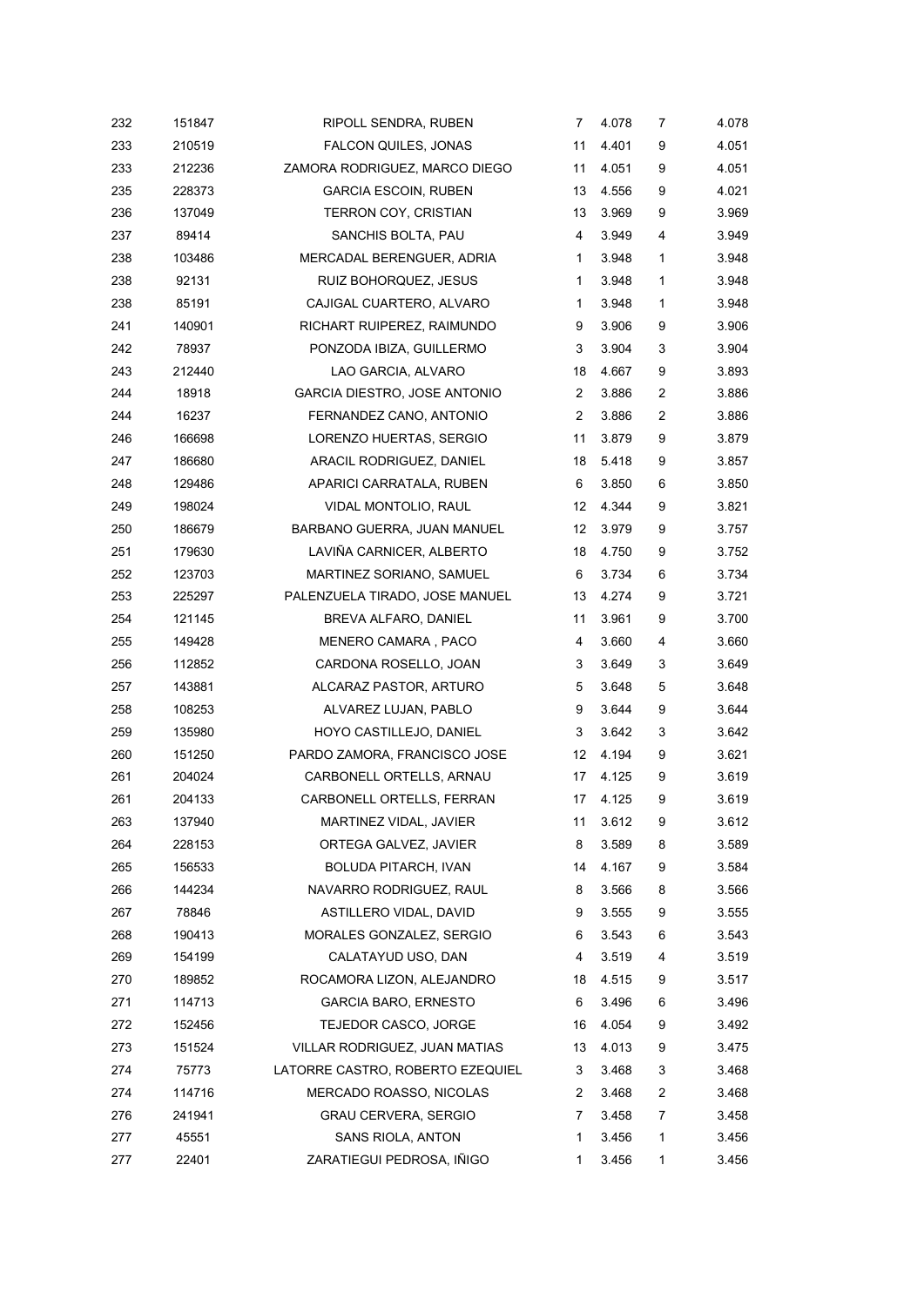| 232 | 151847 | RIPOLL SENDRA, RUBEN             | $\overline{7}$   | 4.078 | 7 | 4.078 |
|-----|--------|----------------------------------|------------------|-------|---|-------|
| 233 | 210519 | FALCON QUILES, JONAS             | 11               | 4.401 | 9 | 4.051 |
| 233 | 212236 | ZAMORA RODRIGUEZ, MARCO DIEGO    | 11               | 4.051 | 9 | 4.051 |
| 235 | 228373 | <b>GARCIA ESCOIN, RUBEN</b>      | 13               | 4.556 | 9 | 4.021 |
| 236 | 137049 | TERRON COY, CRISTIAN             | 13               | 3.969 | 9 | 3.969 |
| 237 | 89414  | SANCHIS BOLTA, PAU               | 4                | 3.949 | 4 | 3.949 |
| 238 | 103486 | MERCADAL BERENGUER, ADRIA        | 1                | 3.948 | 1 | 3.948 |
| 238 | 92131  | RUIZ BOHORQUEZ, JESUS            | $\mathbf{1}$     | 3.948 | 1 | 3.948 |
| 238 | 85191  | CAJIGAL CUARTERO, ALVARO         | 1                | 3.948 | 1 | 3.948 |
| 241 | 140901 | RICHART RUIPEREZ, RAIMUNDO       | 9                | 3.906 | 9 | 3.906 |
| 242 | 78937  | PONZODA IBIZA, GUILLERMO         | 3                | 3.904 | 3 | 3.904 |
| 243 | 212440 | LAO GARCIA, ALVARO               | 18               | 4.667 | 9 | 3.893 |
| 244 | 18918  | GARCIA DIESTRO, JOSE ANTONIO     | 2                | 3.886 | 2 | 3.886 |
| 244 | 16237  | FERNANDEZ CANO, ANTONIO          | $\boldsymbol{2}$ | 3.886 | 2 | 3.886 |
| 246 | 166698 | LORENZO HUERTAS, SERGIO          | 11               | 3.879 | 9 | 3.879 |
| 247 | 186680 | ARACIL RODRIGUEZ, DANIEL         | 18               | 5.418 | 9 | 3.857 |
| 248 | 129486 | APARICI CARRATALA, RUBEN         | 6                | 3.850 | 6 | 3.850 |
| 249 | 198024 | VIDAL MONTOLIO, RAUL             | 12               | 4.344 | 9 | 3.821 |
| 250 | 186679 | BARBANO GUERRA, JUAN MANUEL      | 12               | 3.979 | 9 | 3.757 |
| 251 | 179630 | LAVIÑA CARNICER, ALBERTO         | 18               | 4.750 | 9 | 3.752 |
| 252 | 123703 | MARTINEZ SORIANO, SAMUEL         | 6                | 3.734 | 6 | 3.734 |
| 253 | 225297 | PALENZUELA TIRADO, JOSE MANUEL   | 13               | 4.274 | 9 | 3.721 |
| 254 | 121145 | BREVA ALFARO, DANIEL             | 11               | 3.961 | 9 | 3.700 |
| 255 | 149428 | MENERO CAMARA, PACO              | 4                | 3.660 | 4 | 3.660 |
| 256 | 112852 | CARDONA ROSELLO, JOAN            | 3                | 3.649 | 3 | 3.649 |
| 257 | 143881 | ALCARAZ PASTOR, ARTURO           | 5                | 3.648 | 5 | 3.648 |
| 258 | 108253 | ALVAREZ LUJAN, PABLO             | 9                | 3.644 | 9 | 3.644 |
| 259 | 135980 | HOYO CASTILLEJO, DANIEL          | 3                | 3.642 | 3 | 3.642 |
| 260 | 151250 | PARDO ZAMORA, FRANCISCO JOSE     | 12               | 4.194 | 9 | 3.621 |
| 261 | 204024 | CARBONELL ORTELLS, ARNAU         | 17               | 4.125 | 9 | 3.619 |
| 261 | 204133 | CARBONELL ORTELLS, FERRAN        | 17               | 4.125 | 9 | 3.619 |
| 263 | 137940 | MARTINEZ VIDAL, JAVIER           | 11               | 3.612 | 9 | 3.612 |
| 264 | 228153 | ORTEGA GALVEZ, JAVIER            | 8                | 3.589 | 8 | 3.589 |
| 265 | 156533 | BOLUDA PITARCH, IVAN             | 14               | 4.167 | 9 | 3.584 |
| 266 | 144234 | NAVARRO RODRIGUEZ, RAUL          | 8                | 3.566 | 8 | 3.566 |
| 267 | 78846  | ASTILLERO VIDAL, DAVID           | 9                | 3.555 | 9 | 3.555 |
| 268 | 190413 | MORALES GONZALEZ, SERGIO         | 6                | 3.543 | 6 | 3.543 |
| 269 | 154199 | CALATAYUD USO, DAN               | 4                | 3.519 | 4 | 3.519 |
| 270 | 189852 | ROCAMORA LIZON, ALEJANDRO        | 18               | 4.515 | 9 | 3.517 |
| 271 | 114713 | <b>GARCIA BARO, ERNESTO</b>      | 6                | 3.496 | 6 | 3.496 |
| 272 | 152456 | TEJEDOR CASCO, JORGE             | 16               | 4.054 | 9 | 3.492 |
| 273 | 151524 | VILLAR RODRIGUEZ, JUAN MATIAS    | 13               | 4.013 | 9 | 3.475 |
| 274 | 75773  | LATORRE CASTRO, ROBERTO EZEQUIEL | 3                | 3.468 | 3 | 3.468 |
| 274 | 114716 | MERCADO ROASSO, NICOLAS          | 2                | 3.468 | 2 | 3.468 |
| 276 | 241941 | <b>GRAU CERVERA, SERGIO</b>      | 7                | 3.458 | 7 | 3.458 |
| 277 | 45551  | SANS RIOLA, ANTON                | 1                | 3.456 | 1 | 3.456 |
| 277 | 22401  | ZARATIEGUI PEDROSA, IÑIGO        | 1                | 3.456 | 1 | 3.456 |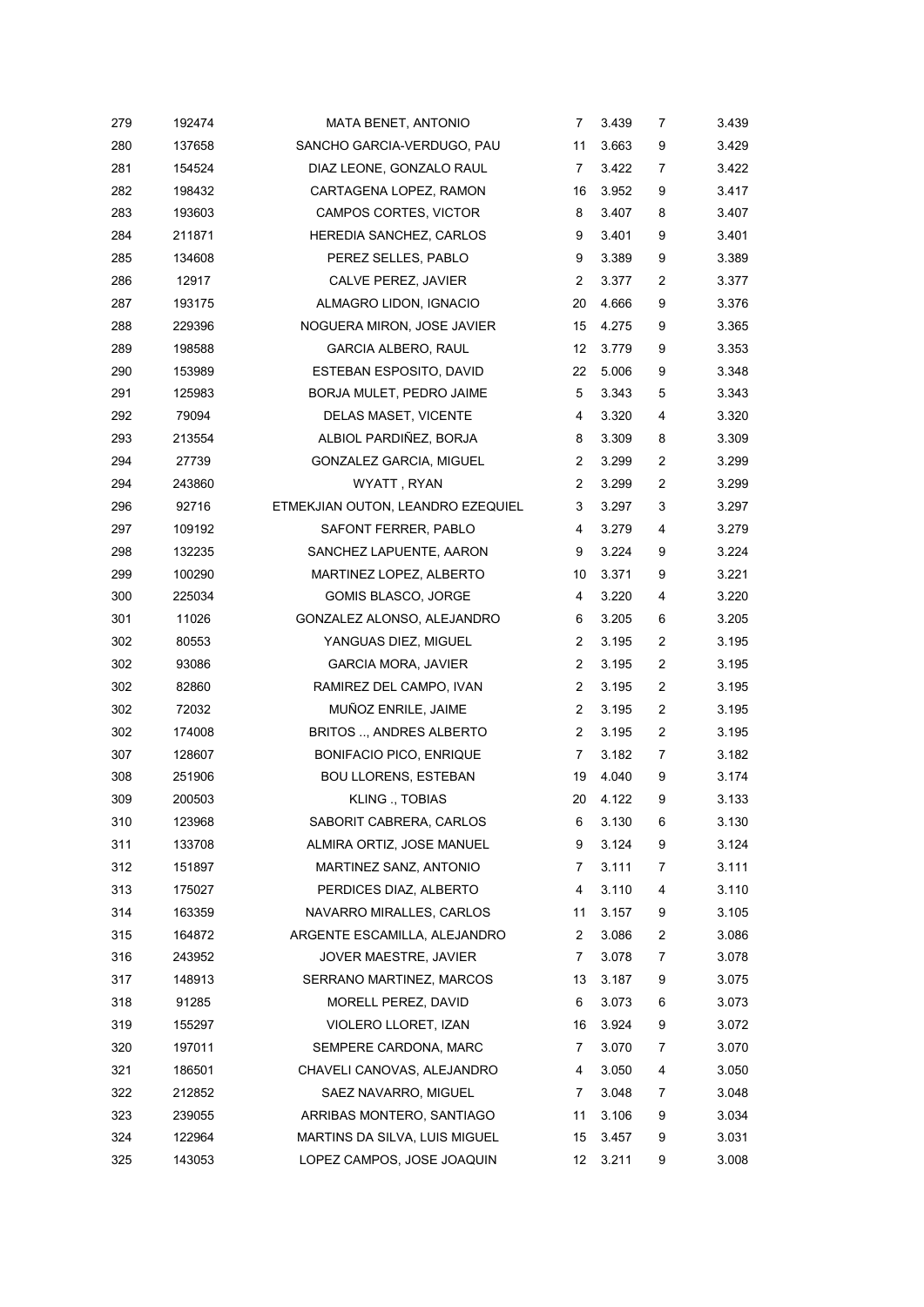| 279 | 192474 | MATA BENET, ANTONIO               | 7              | 3.439 | 7                       | 3.439 |
|-----|--------|-----------------------------------|----------------|-------|-------------------------|-------|
| 280 | 137658 | SANCHO GARCIA-VERDUGO, PAU        | 11             | 3.663 | 9                       | 3.429 |
| 281 | 154524 | DIAZ LEONE, GONZALO RAUL          | 7              | 3.422 | 7                       | 3.422 |
| 282 | 198432 | CARTAGENA LOPEZ, RAMON            | 16             | 3.952 | 9                       | 3.417 |
| 283 | 193603 | CAMPOS CORTES, VICTOR             | 8              | 3.407 | 8                       | 3.407 |
| 284 | 211871 | HEREDIA SANCHEZ, CARLOS           | 9              | 3.401 | 9                       | 3.401 |
| 285 | 134608 | PEREZ SELLES, PABLO               | 9              | 3.389 | 9                       | 3.389 |
| 286 | 12917  | CALVE PEREZ, JAVIER               | 2              | 3.377 | 2                       | 3.377 |
| 287 | 193175 | ALMAGRO LIDON, IGNACIO            | 20             | 4.666 | 9                       | 3.376 |
| 288 | 229396 | NOGUERA MIRON, JOSE JAVIER        | 15             | 4.275 | 9                       | 3.365 |
| 289 | 198588 | <b>GARCIA ALBERO, RAUL</b>        | 12             | 3.779 | 9                       | 3.353 |
| 290 | 153989 | ESTEBAN ESPOSITO, DAVID           | 22             | 5.006 | 9                       | 3.348 |
| 291 | 125983 | BORJA MULET, PEDRO JAIME          | 5              | 3.343 | 5                       | 3.343 |
| 292 | 79094  | DELAS MASET, VICENTE              | 4              | 3.320 | 4                       | 3.320 |
| 293 | 213554 | ALBIOL PARDIÑEZ, BORJA            | 8              | 3.309 | 8                       | 3.309 |
| 294 | 27739  | <b>GONZALEZ GARCIA, MIGUEL</b>    | 2              | 3.299 | 2                       | 3.299 |
| 294 | 243860 | WYATT, RYAN                       | 2              | 3.299 | $\overline{2}$          | 3.299 |
| 296 | 92716  | ETMEKJIAN OUTON, LEANDRO EZEQUIEL | 3              | 3.297 | 3                       | 3.297 |
| 297 | 109192 | SAFONT FERRER, PABLO              | 4              | 3.279 | 4                       | 3.279 |
| 298 | 132235 | SANCHEZ LAPUENTE, AARON           | 9              | 3.224 | 9                       | 3.224 |
| 299 | 100290 | MARTINEZ LOPEZ, ALBERTO           | 10             | 3.371 | 9                       | 3.221 |
| 300 | 225034 | <b>GOMIS BLASCO, JORGE</b>        | 4              | 3.220 | 4                       | 3.220 |
| 301 | 11026  | GONZALEZ ALONSO, ALEJANDRO        | 6              | 3.205 | 6                       | 3.205 |
| 302 | 80553  | YANGUAS DIEZ, MIGUEL              | $\overline{2}$ | 3.195 | $\overline{\mathbf{c}}$ | 3.195 |
| 302 | 93086  | <b>GARCIA MORA, JAVIER</b>        | 2              | 3.195 | 2                       | 3.195 |
| 302 | 82860  | RAMIREZ DEL CAMPO, IVAN           | 2              | 3.195 | 2                       | 3.195 |
| 302 | 72032  | MUÑOZ ENRILE, JAIME               | $\overline{2}$ | 3.195 | 2                       | 3.195 |
| 302 | 174008 | <b>BRITOS , ANDRES ALBERTO</b>    | 2              | 3.195 | 2                       | 3.195 |
| 307 | 128607 | <b>BONIFACIO PICO, ENRIQUE</b>    | 7              | 3.182 | 7                       | 3.182 |
| 308 | 251906 | <b>BOU LLORENS, ESTEBAN</b>       | 19             | 4.040 | 9                       | 3.174 |
| 309 | 200503 | KLING ., TOBIAS                   | 20             | 4.122 | 9                       | 3.133 |
| 310 | 123968 | SABORIT CABRERA, CARLOS           | 6              | 3.130 | 6                       | 3.130 |
| 311 | 133708 | ALMIRA ORTIZ, JOSE MANUEL         | 9              | 3.124 | 9                       | 3.124 |
| 312 | 151897 | MARTINEZ SANZ, ANTONIO            | 7              | 3.111 | 7                       | 3.111 |
| 313 | 175027 | PERDICES DIAZ, ALBERTO            | 4              | 3.110 | 4                       | 3.110 |
| 314 | 163359 | NAVARRO MIRALLES, CARLOS          | 11             | 3.157 | 9                       | 3.105 |
| 315 | 164872 | ARGENTE ESCAMILLA, ALEJANDRO      | 2              | 3.086 | 2                       | 3.086 |
| 316 | 243952 | JOVER MAESTRE, JAVIER             | 7              | 3.078 | 7                       | 3.078 |
| 317 | 148913 | SERRANO MARTINEZ, MARCOS          | 13             | 3.187 | 9                       | 3.075 |
| 318 | 91285  | MORELL PEREZ, DAVID               | 6              | 3.073 | 6                       | 3.073 |
| 319 | 155297 | VIOLERO LLORET, IZAN              | 16             | 3.924 | 9                       | 3.072 |
| 320 | 197011 | SEMPERE CARDONA, MARC             | 7              | 3.070 | 7                       | 3.070 |
| 321 | 186501 | CHAVELI CANOVAS, ALEJANDRO        | 4              | 3.050 | 4                       | 3.050 |
| 322 | 212852 | SAEZ NAVARRO, MIGUEL              | 7              | 3.048 | 7                       | 3.048 |
| 323 | 239055 | ARRIBAS MONTERO, SANTIAGO         | 11             | 3.106 | 9                       | 3.034 |
| 324 | 122964 | MARTINS DA SILVA, LUIS MIGUEL     | 15             | 3.457 | 9                       | 3.031 |
| 325 | 143053 | LOPEZ CAMPOS, JOSE JOAQUIN        | 12             | 3.211 | 9                       | 3.008 |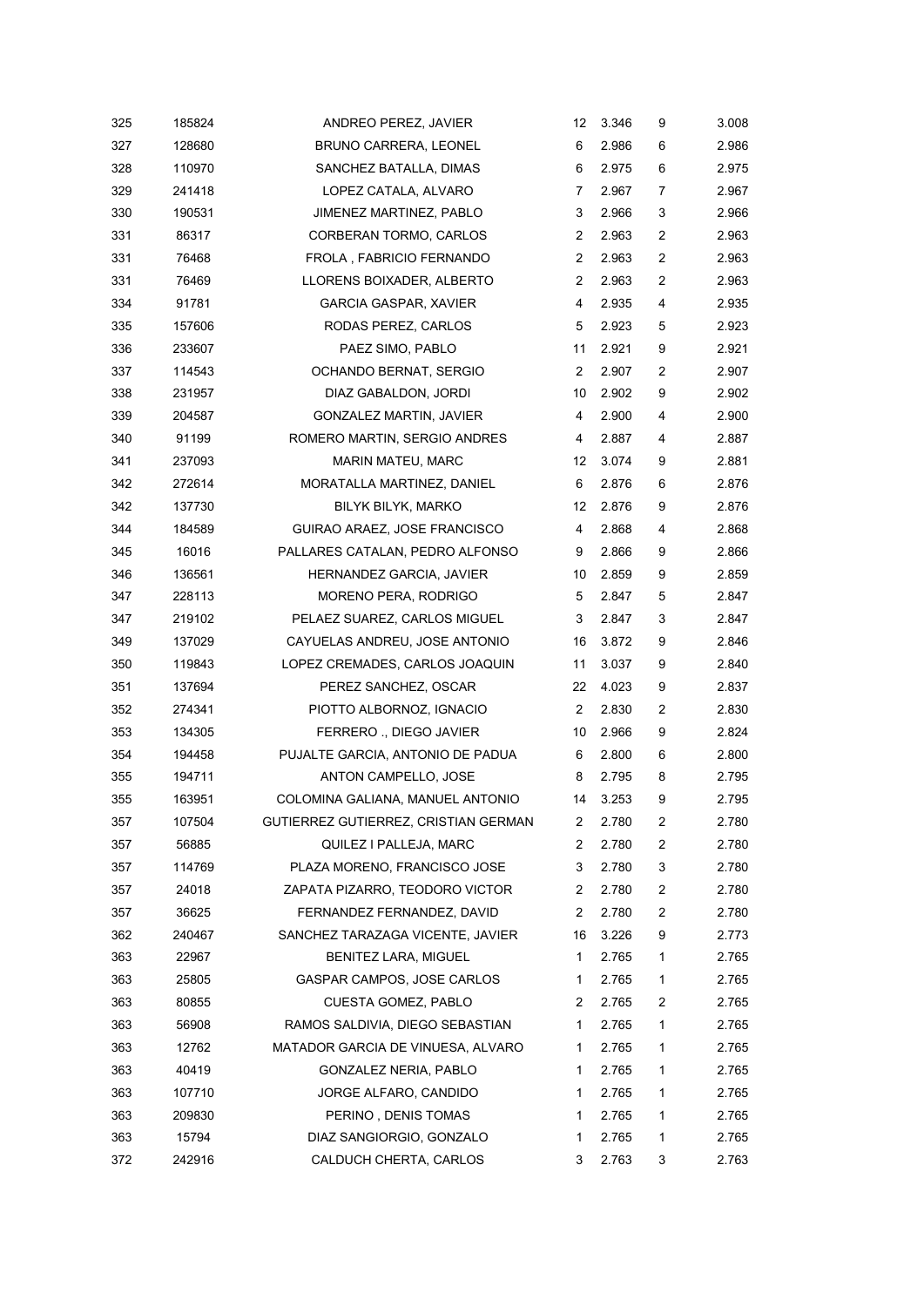| 325 | 185824 | ANDREO PEREZ, JAVIER                 | 12             | 3.346 | 9                       | 3.008 |
|-----|--------|--------------------------------------|----------------|-------|-------------------------|-------|
| 327 | 128680 | <b>BRUNO CARRERA, LEONEL</b>         | 6              | 2.986 | 6                       | 2.986 |
| 328 | 110970 | SANCHEZ BATALLA, DIMAS               | 6              | 2.975 | 6                       | 2.975 |
| 329 | 241418 | LOPEZ CATALA, ALVARO                 | 7              | 2.967 | 7                       | 2.967 |
| 330 | 190531 | JIMENEZ MARTINEZ, PABLO              | 3              | 2.966 | 3                       | 2.966 |
| 331 | 86317  | CORBERAN TORMO, CARLOS               | 2              | 2.963 | 2                       | 2.963 |
| 331 | 76468  | FROLA, FABRICIO FERNANDO             | $\overline{2}$ | 2.963 | 2                       | 2.963 |
| 331 | 76469  | LLORENS BOIXADER, ALBERTO            | $\overline{2}$ | 2.963 | 2                       | 2.963 |
| 334 | 91781  | <b>GARCIA GASPAR, XAVIER</b>         | 4              | 2.935 | 4                       | 2.935 |
| 335 | 157606 | RODAS PEREZ, CARLOS                  | 5              | 2.923 | 5                       | 2.923 |
| 336 | 233607 | PAEZ SIMO, PABLO                     | 11             | 2.921 | 9                       | 2.921 |
| 337 | 114543 | OCHANDO BERNAT, SERGIO               | $\overline{2}$ | 2.907 | 2                       | 2.907 |
| 338 | 231957 | DIAZ GABALDON, JORDI                 | 10             | 2.902 | 9                       | 2.902 |
| 339 | 204587 | <b>GONZALEZ MARTIN, JAVIER</b>       | 4              | 2.900 | 4                       | 2.900 |
| 340 | 91199  | ROMERO MARTIN, SERGIO ANDRES         | 4              | 2.887 | 4                       | 2.887 |
| 341 | 237093 | MARIN MATEU, MARC                    | 12             | 3.074 | 9                       | 2.881 |
| 342 | 272614 | MORATALLA MARTINEZ, DANIEL           | 6              | 2.876 | 6                       | 2.876 |
| 342 | 137730 | BILYK BILYK, MARKO                   | 12             | 2.876 | 9                       | 2.876 |
| 344 | 184589 | GUIRAO ARAEZ, JOSE FRANCISCO         | 4              | 2.868 | 4                       | 2.868 |
| 345 | 16016  | PALLARES CATALAN, PEDRO ALFONSO      | 9              | 2.866 | 9                       | 2.866 |
| 346 | 136561 | HERNANDEZ GARCIA, JAVIER             | 10             | 2.859 | 9                       | 2.859 |
| 347 | 228113 | MORENO PERA, RODRIGO                 | 5              | 2.847 | 5                       | 2.847 |
| 347 | 219102 | PELAEZ SUAREZ, CARLOS MIGUEL         | 3              | 2.847 | 3                       | 2.847 |
| 349 | 137029 | CAYUELAS ANDREU, JOSE ANTONIO        | 16             | 3.872 | 9                       | 2.846 |
| 350 | 119843 | LOPEZ CREMADES, CARLOS JOAQUIN       | 11             | 3.037 | 9                       | 2.840 |
| 351 | 137694 | PEREZ SANCHEZ, OSCAR                 | 22             | 4.023 | 9                       | 2.837 |
| 352 | 274341 | PIOTTO ALBORNOZ, IGNACIO             | $\overline{2}$ | 2.830 | 2                       | 2.830 |
| 353 | 134305 | FERRERO ., DIEGO JAVIER              | 10             | 2.966 | 9                       | 2.824 |
| 354 | 194458 | PUJALTE GARCIA, ANTONIO DE PADUA     | 6              | 2.800 | 6                       | 2.800 |
| 355 | 194711 | ANTON CAMPELLO, JOSE                 | 8              | 2.795 | 8                       | 2.795 |
| 355 | 163951 | COLOMINA GALIANA, MANUEL ANTONIO     | 14             | 3.253 | 9                       | 2.795 |
| 357 | 107504 | GUTIERREZ GUTIERREZ, CRISTIAN GERMAN | 2              | 2.780 | 2                       | 2.780 |
| 357 | 56885  | QUILEZ I PALLEJA, MARC               | 2              | 2.780 | 2                       | 2.780 |
| 357 | 114769 | PLAZA MORENO, FRANCISCO JOSE         | 3              | 2.780 | 3                       | 2.780 |
| 357 | 24018  | ZAPATA PIZARRO, TEODORO VICTOR       | 2              | 2.780 | $\overline{\mathbf{c}}$ | 2.780 |
| 357 | 36625  | FERNANDEZ FERNANDEZ, DAVID           | 2              | 2.780 | 2                       | 2.780 |
| 362 | 240467 | SANCHEZ TARAZAGA VICENTE, JAVIER     | 16             | 3.226 | 9                       | 2.773 |
| 363 | 22967  | BENITEZ LARA, MIGUEL                 | 1              | 2.765 | 1                       | 2.765 |
| 363 | 25805  | GASPAR CAMPOS, JOSE CARLOS           | 1              | 2.765 | 1                       | 2.765 |
| 363 | 80855  | CUESTA GOMEZ, PABLO                  | 2              | 2.765 | 2                       | 2.765 |
| 363 | 56908  | RAMOS SALDIVIA, DIEGO SEBASTIAN      | 1              | 2.765 | 1                       | 2.765 |
| 363 | 12762  | MATADOR GARCIA DE VINUESA, ALVARO    | 1              | 2.765 | 1                       | 2.765 |
| 363 | 40419  | GONZALEZ NERIA, PABLO                | 1              | 2.765 | 1                       | 2.765 |
| 363 | 107710 | JORGE ALFARO, CANDIDO                | 1              | 2.765 | 1                       | 2.765 |
| 363 | 209830 | PERINO, DENIS TOMAS                  | 1              | 2.765 | 1                       | 2.765 |
| 363 | 15794  | DIAZ SANGIORGIO, GONZALO             | 1              | 2.765 | 1                       | 2.765 |
| 372 | 242916 | CALDUCH CHERTA, CARLOS               | 3              | 2.763 | 3                       | 2.763 |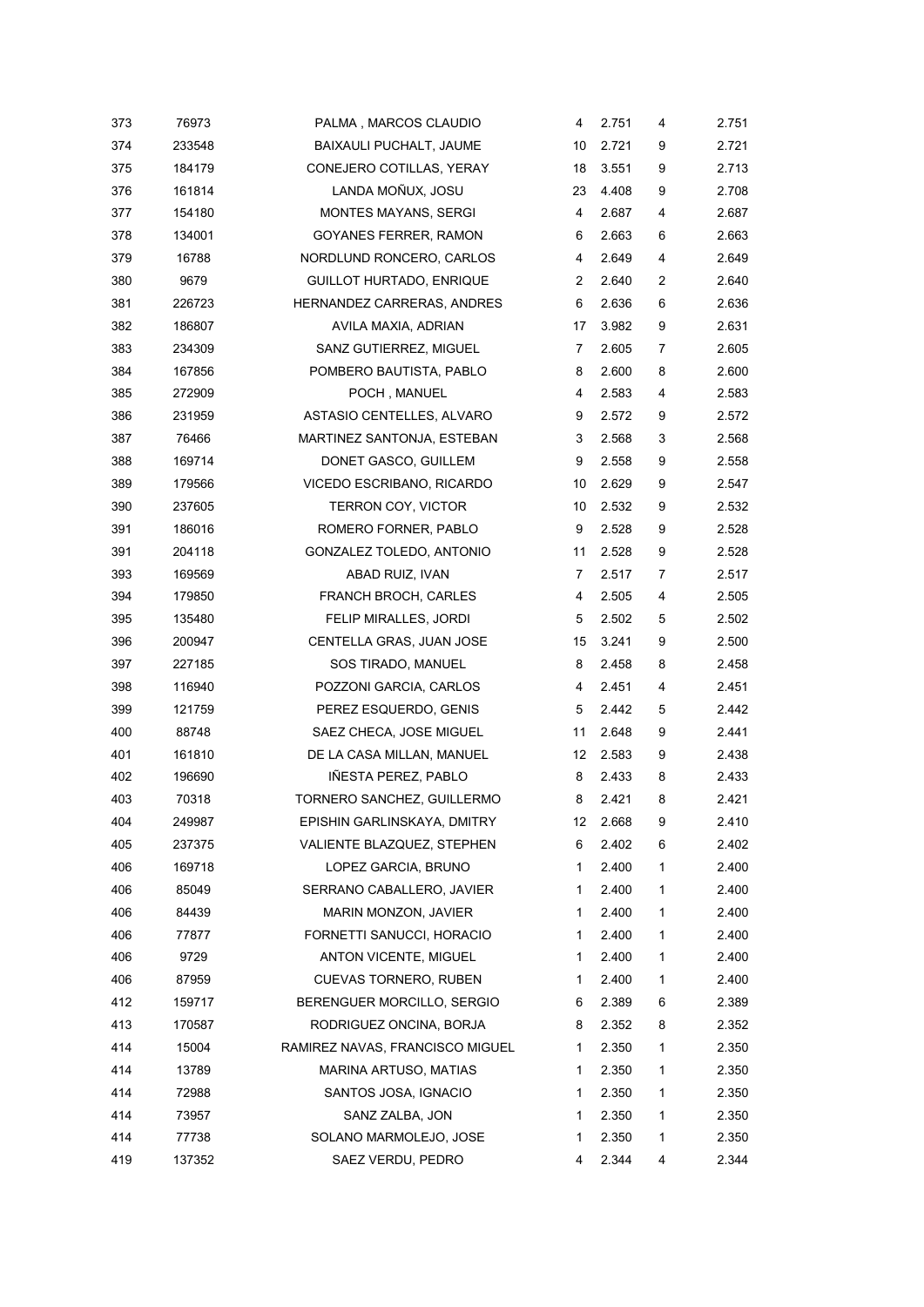| 373 | 76973  | PALMA, MARCOS CLAUDIO           | 4  | 2.751 | 4 | 2.751 |
|-----|--------|---------------------------------|----|-------|---|-------|
| 374 | 233548 | BAIXAULI PUCHALT, JAUME         | 10 | 2.721 | 9 | 2.721 |
| 375 | 184179 | CONEJERO COTILLAS, YERAY        | 18 | 3.551 | 9 | 2.713 |
| 376 | 161814 | LANDA MOÑUX, JOSU               | 23 | 4.408 | 9 | 2.708 |
| 377 | 154180 | <b>MONTES MAYANS, SERGI</b>     | 4  | 2.687 | 4 | 2.687 |
| 378 | 134001 | GOYANES FERRER, RAMON           | 6  | 2.663 | 6 | 2.663 |
| 379 | 16788  | NORDLUND RONCERO, CARLOS        | 4  | 2.649 | 4 | 2.649 |
| 380 | 9679   | GUILLOT HURTADO, ENRIQUE        | 2  | 2.640 | 2 | 2.640 |
| 381 | 226723 | HERNANDEZ CARRERAS, ANDRES      | 6  | 2.636 | 6 | 2.636 |
| 382 | 186807 | AVILA MAXIA, ADRIAN             | 17 | 3.982 | 9 | 2.631 |
| 383 | 234309 | SANZ GUTIERREZ, MIGUEL          | 7  | 2.605 | 7 | 2.605 |
| 384 | 167856 | POMBERO BAUTISTA, PABLO         | 8  | 2.600 | 8 | 2.600 |
| 385 | 272909 | POCH, MANUEL                    | 4  | 2.583 | 4 | 2.583 |
| 386 | 231959 | ASTASIO CENTELLES, ALVARO       | 9  | 2.572 | 9 | 2.572 |
| 387 | 76466  | MARTINEZ SANTONJA, ESTEBAN      | 3  | 2.568 | 3 | 2.568 |
| 388 | 169714 | DONET GASCO, GUILLEM            | 9  | 2.558 | 9 | 2.558 |
| 389 | 179566 | VICEDO ESCRIBANO, RICARDO       | 10 | 2.629 | 9 | 2.547 |
| 390 | 237605 | <b>TERRON COY, VICTOR</b>       | 10 | 2.532 | 9 | 2.532 |
| 391 | 186016 | ROMERO FORNER, PABLO            | 9  | 2.528 | 9 | 2.528 |
| 391 | 204118 | GONZALEZ TOLEDO, ANTONIO        | 11 | 2.528 | 9 | 2.528 |
| 393 | 169569 | ABAD RUIZ, IVAN                 | 7  | 2.517 | 7 | 2.517 |
| 394 | 179850 | <b>FRANCH BROCH, CARLES</b>     | 4  | 2.505 | 4 | 2.505 |
| 395 | 135480 | FELIP MIRALLES, JORDI           | 5  | 2.502 | 5 | 2.502 |
| 396 | 200947 | CENTELLA GRAS, JUAN JOSE        | 15 | 3.241 | 9 | 2.500 |
| 397 | 227185 | SOS TIRADO, MANUEL              | 8  | 2.458 | 8 | 2.458 |
| 398 | 116940 | POZZONI GARCIA, CARLOS          | 4  | 2.451 | 4 | 2.451 |
| 399 | 121759 | PEREZ ESQUERDO, GENIS           | 5  | 2.442 | 5 | 2.442 |
| 400 | 88748  | SAEZ CHECA, JOSE MIGUEL         | 11 | 2.648 | 9 | 2.441 |
| 401 | 161810 | DE LA CASA MILLAN, MANUEL       | 12 | 2.583 | 9 | 2.438 |
| 402 | 196690 | IÑESTA PEREZ, PABLO             | 8  | 2.433 | 8 | 2.433 |
| 403 | 70318  | TORNERO SANCHEZ, GUILLERMO      | 8  | 2.421 | 8 | 2.421 |
| 404 | 249987 | EPISHIN GARLINSKAYA, DMITRY     | 12 | 2.668 | 9 | 2.410 |
| 405 | 237375 | VALIENTE BLAZQUEZ, STEPHEN      | 6  | 2.402 | 6 | 2.402 |
| 406 | 169718 | LOPEZ GARCIA, BRUNO             | 1  | 2.400 | 1 | 2.400 |
| 406 | 85049  | SERRANO CABALLERO, JAVIER       | 1  | 2.400 | 1 | 2.400 |
| 406 | 84439  | MARIN MONZON, JAVIER            | 1  | 2.400 | 1 | 2.400 |
| 406 | 77877  | FORNETTI SANUCCI, HORACIO       | 1  | 2.400 | 1 | 2.400 |
| 406 | 9729   | ANTON VICENTE, MIGUEL           | 1  | 2.400 | 1 | 2.400 |
| 406 | 87959  | CUEVAS TORNERO, RUBEN           | 1  | 2.400 | 1 | 2.400 |
| 412 | 159717 | BERENGUER MORCILLO, SERGIO      | 6  | 2.389 | 6 | 2.389 |
| 413 | 170587 | RODRIGUEZ ONCINA, BORJA         | 8  | 2.352 | 8 | 2.352 |
| 414 | 15004  | RAMIREZ NAVAS, FRANCISCO MIGUEL | 1  | 2.350 | 1 | 2.350 |
| 414 | 13789  | MARINA ARTUSO, MATIAS           | 1  | 2.350 | 1 | 2.350 |
| 414 | 72988  | SANTOS JOSA, IGNACIO            | 1  | 2.350 | 1 | 2.350 |
| 414 | 73957  | SANZ ZALBA, JON                 | 1  | 2.350 | 1 | 2.350 |
| 414 | 77738  | SOLANO MARMOLEJO, JOSE          | 1  | 2.350 | 1 | 2.350 |
| 419 | 137352 | SAEZ VERDU, PEDRO               | 4  | 2.344 | 4 | 2.344 |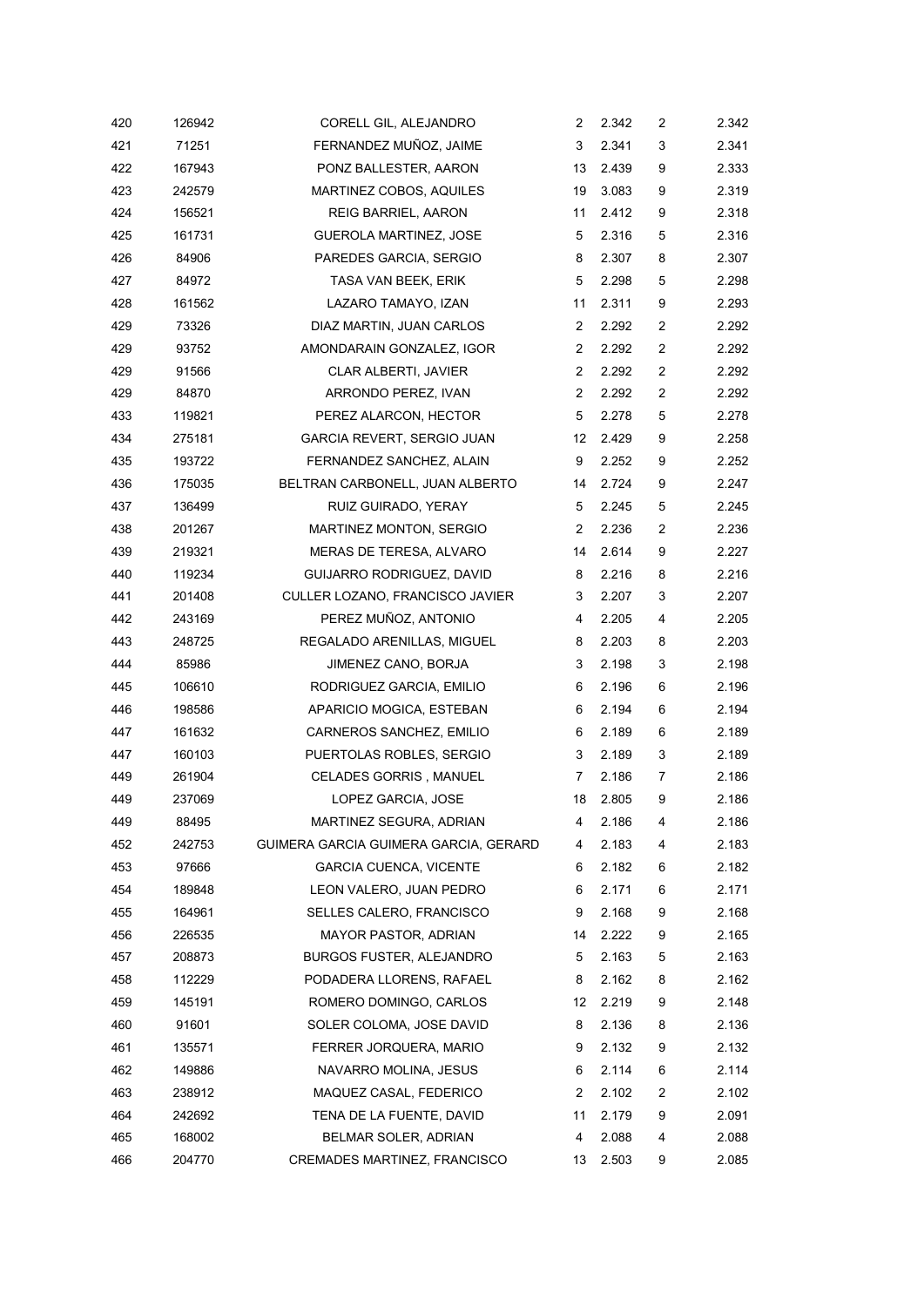| 420 | 126942 | CORELL GIL, ALEJANDRO                 | 2  | 2.342 | 2 | 2.342 |
|-----|--------|---------------------------------------|----|-------|---|-------|
| 421 | 71251  | FERNANDEZ MUÑOZ, JAIME                | 3  | 2.341 | 3 | 2.341 |
| 422 | 167943 | PONZ BALLESTER, AARON                 | 13 | 2.439 | 9 | 2.333 |
| 423 | 242579 | MARTINEZ COBOS, AQUILES               | 19 | 3.083 | 9 | 2.319 |
| 424 | 156521 | <b>REIG BARRIEL, AARON</b>            | 11 | 2.412 | 9 | 2.318 |
| 425 | 161731 | GUEROLA MARTINEZ, JOSE                | 5  | 2.316 | 5 | 2.316 |
| 426 | 84906  | PAREDES GARCIA, SERGIO                | 8  | 2.307 | 8 | 2.307 |
| 427 | 84972  | TASA VAN BEEK, ERIK                   | 5  | 2.298 | 5 | 2.298 |
| 428 | 161562 | LAZARO TAMAYO, IZAN                   | 11 | 2.311 | 9 | 2.293 |
| 429 | 73326  | DIAZ MARTIN, JUAN CARLOS              | 2  | 2.292 | 2 | 2.292 |
| 429 | 93752  | AMONDARAIN GONZALEZ, IGOR             | 2  | 2.292 | 2 | 2.292 |
| 429 | 91566  | CLAR ALBERTI, JAVIER                  | 2  | 2.292 | 2 | 2.292 |
| 429 | 84870  | ARRONDO PEREZ, IVAN                   | 2  | 2.292 | 2 | 2.292 |
| 433 | 119821 | PEREZ ALARCON, HECTOR                 | 5  | 2.278 | 5 | 2.278 |
| 434 | 275181 | GARCIA REVERT, SERGIO JUAN            | 12 | 2.429 | 9 | 2.258 |
| 435 | 193722 | FERNANDEZ SANCHEZ, ALAIN              | 9  | 2.252 | 9 | 2.252 |
| 436 | 175035 | BELTRAN CARBONELL, JUAN ALBERTO       | 14 | 2.724 | 9 | 2.247 |
| 437 | 136499 | RUIZ GUIRADO, YERAY                   | 5  | 2.245 | 5 | 2.245 |
| 438 | 201267 | MARTINEZ MONTON, SERGIO               | 2  | 2.236 | 2 | 2.236 |
| 439 | 219321 | MERAS DE TERESA, ALVARO               | 14 | 2.614 | 9 | 2.227 |
| 440 | 119234 | GUIJARRO RODRIGUEZ, DAVID             | 8  | 2.216 | 8 | 2.216 |
| 441 | 201408 | CULLER LOZANO, FRANCISCO JAVIER       | 3  | 2.207 | 3 | 2.207 |
| 442 | 243169 | PEREZ MUÑOZ, ANTONIO                  | 4  | 2.205 | 4 | 2.205 |
| 443 | 248725 | REGALADO ARENILLAS, MIGUEL            | 8  | 2.203 | 8 | 2.203 |
| 444 | 85986  | JIMENEZ CANO, BORJA                   | 3  | 2.198 | 3 | 2.198 |
| 445 | 106610 | RODRIGUEZ GARCIA, EMILIO              | 6  | 2.196 | 6 | 2.196 |
| 446 | 198586 | APARICIO MOGICA, ESTEBAN              | 6  | 2.194 | 6 | 2.194 |
| 447 | 161632 | CARNEROS SANCHEZ, EMILIO              | 6  | 2.189 | 6 | 2.189 |
| 447 | 160103 | PUERTOLAS ROBLES, SERGIO              | 3  | 2.189 | 3 | 2.189 |
| 449 | 261904 | CELADES GORRIS, MANUEL                | 7  | 2.186 | 7 | 2.186 |
| 449 | 237069 | LOPEZ GARCIA, JOSE                    | 18 | 2.805 | 9 | 2.186 |
| 449 | 88495  | MARTINEZ SEGURA, ADRIAN               | 4  | 2.186 | 4 | 2.186 |
| 452 | 242753 | GUIMERA GARCIA GUIMERA GARCIA, GERARD | 4  | 2.183 | 4 | 2.183 |
| 453 | 97666  | GARCIA CUENCA, VICENTE                | 6  | 2.182 | 6 | 2.182 |
| 454 | 189848 | LEON VALERO, JUAN PEDRO               | 6  | 2.171 | 6 | 2.171 |
| 455 | 164961 | SELLES CALERO, FRANCISCO              | 9  | 2.168 | 9 | 2.168 |
| 456 | 226535 | <b>MAYOR PASTOR, ADRIAN</b>           | 14 | 2.222 | 9 | 2.165 |
| 457 | 208873 | BURGOS FUSTER, ALEJANDRO              | 5  | 2.163 | 5 | 2.163 |
| 458 | 112229 | PODADERA LLORENS, RAFAEL              | 8  | 2.162 | 8 | 2.162 |
| 459 | 145191 | ROMERO DOMINGO, CARLOS                | 12 | 2.219 | 9 | 2.148 |
| 460 | 91601  | SOLER COLOMA, JOSE DAVID              | 8  | 2.136 | 8 | 2.136 |
| 461 | 135571 | FERRER JORQUERA, MARIO                | 9  | 2.132 | 9 | 2.132 |
| 462 | 149886 | NAVARRO MOLINA, JESUS                 | 6  | 2.114 | 6 | 2.114 |
| 463 | 238912 | MAQUEZ CASAL, FEDERICO                | 2  | 2.102 | 2 | 2.102 |
| 464 | 242692 | TENA DE LA FUENTE, DAVID              | 11 | 2.179 | 9 | 2.091 |
| 465 | 168002 | BELMAR SOLER, ADRIAN                  | 4  | 2.088 | 4 | 2.088 |
| 466 | 204770 | CREMADES MARTINEZ, FRANCISCO          | 13 | 2.503 | 9 | 2.085 |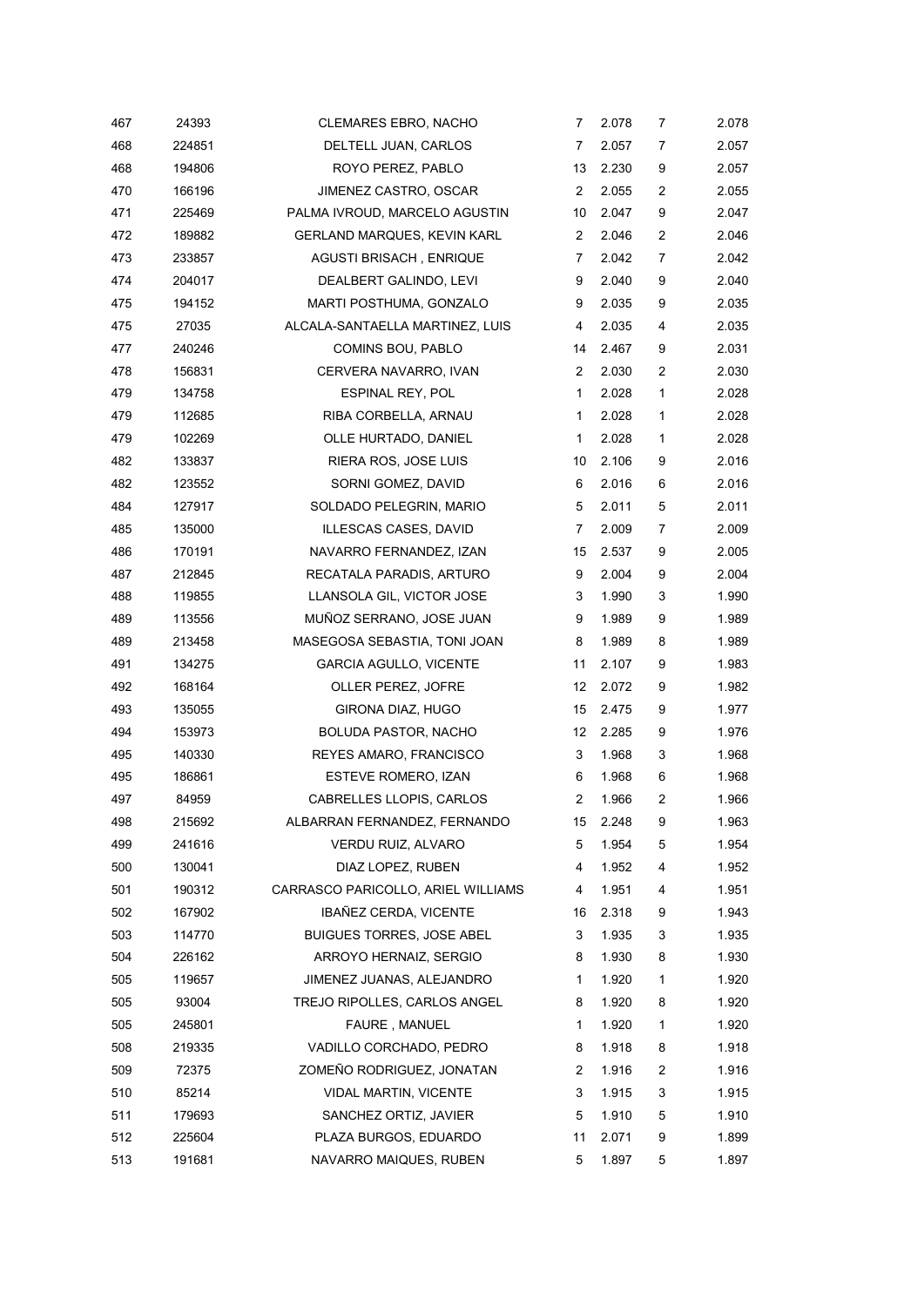| 467 | 24393  | <b>CLEMARES EBRO, NACHO</b>        | 7              | 2.078 | 7            | 2.078 |
|-----|--------|------------------------------------|----------------|-------|--------------|-------|
| 468 | 224851 | DELTELL JUAN, CARLOS               | 7              | 2.057 | 7            | 2.057 |
| 468 | 194806 | ROYO PEREZ, PABLO                  | 13             | 2.230 | 9            | 2.057 |
| 470 | 166196 | JIMENEZ CASTRO, OSCAR              | 2              | 2.055 | 2            | 2.055 |
| 471 | 225469 | PALMA IVROUD, MARCELO AGUSTIN      | 10             | 2.047 | 9            | 2.047 |
| 472 | 189882 | GERLAND MARQUES, KEVIN KARL        | $\overline{2}$ | 2.046 | 2            | 2.046 |
| 473 | 233857 | <b>AGUSTI BRISACH, ENRIQUE</b>     | 7              | 2.042 | 7            | 2.042 |
| 474 | 204017 | DEALBERT GALINDO, LEVI             | 9              | 2.040 | 9            | 2.040 |
| 475 | 194152 | MARTI POSTHUMA, GONZALO            | 9              | 2.035 | 9            | 2.035 |
| 475 | 27035  | ALCALA-SANTAELLA MARTINEZ, LUIS    | 4              | 2.035 | 4            | 2.035 |
| 477 | 240246 | COMINS BOU, PABLO                  | 14             | 2.467 | 9            | 2.031 |
| 478 | 156831 | CERVERA NAVARRO, IVAN              | 2              | 2.030 | 2            | 2.030 |
| 479 | 134758 | ESPINAL REY, POL                   | 1              | 2.028 | 1            | 2.028 |
| 479 | 112685 | RIBA CORBELLA, ARNAU               | $\mathbf{1}$   | 2.028 | 1            | 2.028 |
| 479 | 102269 | OLLE HURTADO, DANIEL               | $\mathbf{1}$   | 2.028 | $\mathbf{1}$ | 2.028 |
| 482 | 133837 | RIERA ROS, JOSE LUIS               | 10             | 2.106 | 9            | 2.016 |
| 482 | 123552 | SORNI GOMEZ, DAVID                 | 6              | 2.016 | 6            | 2.016 |
| 484 | 127917 | SOLDADO PELEGRIN, MARIO            | 5              | 2.011 | 5            | 2.011 |
| 485 | 135000 | ILLESCAS CASES, DAVID              | 7              | 2.009 | 7            | 2.009 |
| 486 | 170191 | NAVARRO FERNANDEZ, IZAN            | 15             | 2.537 | 9            | 2.005 |
| 487 | 212845 | RECATALA PARADIS, ARTURO           | 9              | 2.004 | 9            | 2.004 |
| 488 | 119855 | LLANSOLA GIL, VICTOR JOSE          | 3              | 1.990 | 3            | 1.990 |
| 489 | 113556 | MUÑOZ SERRANO, JOSE JUAN           | 9              | 1.989 | 9            | 1.989 |
| 489 | 213458 | MASEGOSA SEBASTIA, TONI JOAN       | 8              | 1.989 | 8            | 1.989 |
| 491 | 134275 | <b>GARCIA AGULLO, VICENTE</b>      | 11             | 2.107 | 9            | 1.983 |
| 492 | 168164 | OLLER PEREZ, JOFRE                 | 12             | 2.072 | 9            | 1.982 |
| 493 | 135055 | GIRONA DIAZ, HUGO                  | 15             | 2.475 | 9            | 1.977 |
| 494 | 153973 | <b>BOLUDA PASTOR, NACHO</b>        | 12             | 2.285 | 9            | 1.976 |
| 495 | 140330 | REYES AMARO, FRANCISCO             | 3              | 1.968 | 3            | 1.968 |
| 495 | 186861 | ESTEVE ROMERO, IZAN                | 6              | 1.968 | 6            | 1.968 |
| 497 | 84959  | CABRELLES LLOPIS, CARLOS           | $\overline{2}$ | 1.966 | 2            | 1.966 |
| 498 | 215692 | ALBARRAN FERNANDEZ, FERNANDO       | 15             | 2.248 | 9            | 1.963 |
| 499 | 241616 | VERDU RUIZ, ALVARO                 | 5              | 1.954 | 5            | 1.954 |
| 500 | 130041 | DIAZ LOPEZ, RUBEN                  | 4              | 1.952 | 4            | 1.952 |
| 501 | 190312 | CARRASCO PARICOLLO, ARIEL WILLIAMS | 4              | 1.951 | 4            | 1.951 |
| 502 | 167902 | IBAÑEZ CERDA, VICENTE              | 16             | 2.318 | 9            | 1.943 |
| 503 | 114770 | <b>BUIGUES TORRES, JOSE ABEL</b>   | 3              | 1.935 | 3            | 1.935 |
| 504 | 226162 | ARROYO HERNAIZ, SERGIO             | 8              | 1.930 | 8            | 1.930 |
| 505 | 119657 | JIMENEZ JUANAS, ALEJANDRO          | 1              | 1.920 | 1            | 1.920 |
| 505 | 93004  | TREJO RIPOLLES, CARLOS ANGEL       | 8              | 1.920 | 8            | 1.920 |
| 505 | 245801 | FAURE, MANUEL                      | 1              | 1.920 | 1            | 1.920 |
| 508 | 219335 | VADILLO CORCHADO, PEDRO            | 8              | 1.918 | 8            | 1.918 |
| 509 | 72375  | ZOMEÑO RODRIGUEZ, JONATAN          | 2              | 1.916 | 2            | 1.916 |
| 510 | 85214  | VIDAL MARTIN, VICENTE              | 3              | 1.915 | 3            | 1.915 |
| 511 | 179693 | SANCHEZ ORTIZ, JAVIER              | 5              | 1.910 | 5            | 1.910 |
| 512 | 225604 | PLAZA BURGOS, EDUARDO              | 11             | 2.071 | 9            | 1.899 |
| 513 | 191681 | NAVARRO MAIQUES, RUBEN             | 5              | 1.897 | 5            | 1.897 |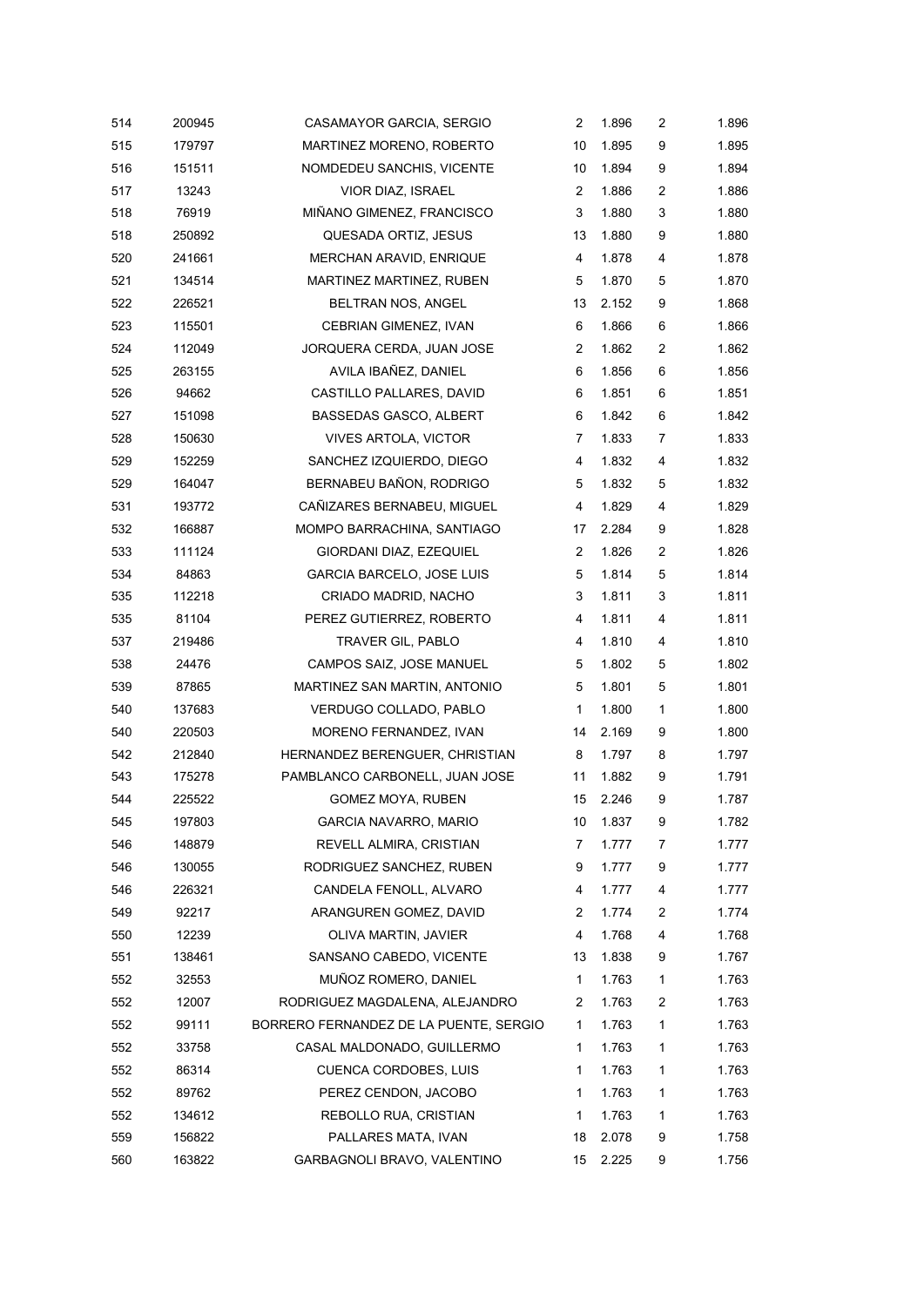| 514 | 200945 | CASAMAYOR GARCIA, SERGIO               | 2              | 1.896 | 2            | 1.896 |
|-----|--------|----------------------------------------|----------------|-------|--------------|-------|
| 515 | 179797 | MARTINEZ MORENO, ROBERTO               | 10             | 1.895 | 9            | 1.895 |
| 516 | 151511 | NOMDEDEU SANCHIS, VICENTE              | 10             | 1.894 | 9            | 1.894 |
| 517 | 13243  | VIOR DIAZ, ISRAEL                      | 2              | 1.886 | 2            | 1.886 |
| 518 | 76919  | MIÑANO GIMENEZ, FRANCISCO              | 3              | 1.880 | 3            | 1.880 |
| 518 | 250892 | QUESADA ORTIZ, JESUS                   | 13             | 1.880 | 9            | 1.880 |
| 520 | 241661 | MERCHAN ARAVID, ENRIQUE                | $\overline{4}$ | 1.878 | 4            | 1.878 |
| 521 | 134514 | MARTINEZ MARTINEZ, RUBEN               | 5              | 1.870 | 5            | 1.870 |
| 522 | 226521 | BELTRAN NOS, ANGEL                     | 13             | 2.152 | 9            | 1.868 |
| 523 | 115501 | CEBRIAN GIMENEZ, IVAN                  | 6              | 1.866 | 6            | 1.866 |
| 524 | 112049 | JORQUERA CERDA, JUAN JOSE              | 2              | 1.862 | 2            | 1.862 |
| 525 | 263155 | AVILA IBAÑEZ, DANIEL                   | 6              | 1.856 | 6            | 1.856 |
| 526 | 94662  | CASTILLO PALLARES, DAVID               | 6              | 1.851 | 6            | 1.851 |
| 527 | 151098 | <b>BASSEDAS GASCO, ALBERT</b>          | 6              | 1.842 | 6            | 1.842 |
| 528 | 150630 | <b>VIVES ARTOLA, VICTOR</b>            | 7              | 1.833 | 7            | 1.833 |
| 529 | 152259 | SANCHEZ IZQUIERDO, DIEGO               | 4              | 1.832 | 4            | 1.832 |
| 529 | 164047 | BERNABEU BAÑON, RODRIGO                | 5              | 1.832 | 5            | 1.832 |
| 531 | 193772 | CAÑIZARES BERNABEU, MIGUEL             | 4              | 1.829 | 4            | 1.829 |
| 532 | 166887 | MOMPO BARRACHINA, SANTIAGO             | 17             | 2.284 | 9            | 1.828 |
| 533 | 111124 | GIORDANI DIAZ, EZEQUIEL                | $\overline{2}$ | 1.826 | 2            | 1.826 |
| 534 | 84863  | GARCIA BARCELO, JOSE LUIS              | 5              | 1.814 | 5            | 1.814 |
| 535 | 112218 | CRIADO MADRID, NACHO                   | 3              | 1.811 | 3            | 1.811 |
| 535 | 81104  | PEREZ GUTIERREZ, ROBERTO               | 4              | 1.811 | 4            | 1.811 |
| 537 | 219486 | TRAVER GIL, PABLO                      | 4              | 1.810 | 4            | 1.810 |
| 538 | 24476  | CAMPOS SAIZ, JOSE MANUEL               | 5              | 1.802 | 5            | 1.802 |
| 539 | 87865  | MARTINEZ SAN MARTIN, ANTONIO           | 5              | 1.801 | 5            | 1.801 |
| 540 | 137683 | VERDUGO COLLADO, PABLO                 | $\mathbf{1}$   | 1.800 | $\mathbf{1}$ | 1.800 |
| 540 | 220503 | MORENO FERNANDEZ, IVAN                 | 14             | 2.169 | 9            | 1.800 |
| 542 | 212840 | HERNANDEZ BERENGUER, CHRISTIAN         | 8              | 1.797 | 8            | 1.797 |
| 543 | 175278 | PAMBLANCO CARBONELL, JUAN JOSE         | 11             | 1.882 | 9            | 1.791 |
| 544 | 225522 | GOMEZ MOYA, RUBEN                      | 15             | 2.246 | 9            | 1.787 |
| 545 | 197803 | GARCIA NAVARRO, MARIO                  | 10             | 1.837 | 9            | 1.782 |
| 546 | 148879 | REVELL ALMIRA, CRISTIAN                | 7              | 1.777 | 7            | 1.777 |
| 546 | 130055 | RODRIGUEZ SANCHEZ, RUBEN               | 9              | 1.777 | 9            | 1.777 |
| 546 | 226321 | CANDELA FENOLL, ALVARO                 | 4              | 1.777 | 4            | 1.777 |
| 549 | 92217  | ARANGUREN GOMEZ, DAVID                 | 2              | 1.774 | 2            | 1.774 |
| 550 | 12239  | OLIVA MARTIN, JAVIER                   | 4              | 1.768 | 4            | 1.768 |
| 551 | 138461 | SANSANO CABEDO, VICENTE                | 13             | 1.838 | 9            | 1.767 |
| 552 | 32553  | MUÑOZ ROMERO, DANIEL                   | $\mathbf{1}$   | 1.763 | 1            | 1.763 |
| 552 | 12007  | RODRIGUEZ MAGDALENA, ALEJANDRO         | 2              | 1.763 | 2            | 1.763 |
| 552 | 99111  | BORRERO FERNANDEZ DE LA PUENTE, SERGIO | 1              | 1.763 | 1            | 1.763 |
| 552 | 33758  | CASAL MALDONADO, GUILLERMO             | 1              | 1.763 | 1            | 1.763 |
| 552 | 86314  | <b>CUENCA CORDOBES, LUIS</b>           | 1              | 1.763 | 1            | 1.763 |
| 552 | 89762  | PEREZ CENDON, JACOBO                   | 1              | 1.763 | 1            | 1.763 |
| 552 | 134612 | REBOLLO RUA, CRISTIAN                  | 1              | 1.763 | 1            | 1.763 |
| 559 | 156822 | PALLARES MATA, IVAN                    | 18             | 2.078 | 9            | 1.758 |
| 560 | 163822 | GARBAGNOLI BRAVO, VALENTINO            | 15             | 2.225 | 9            | 1.756 |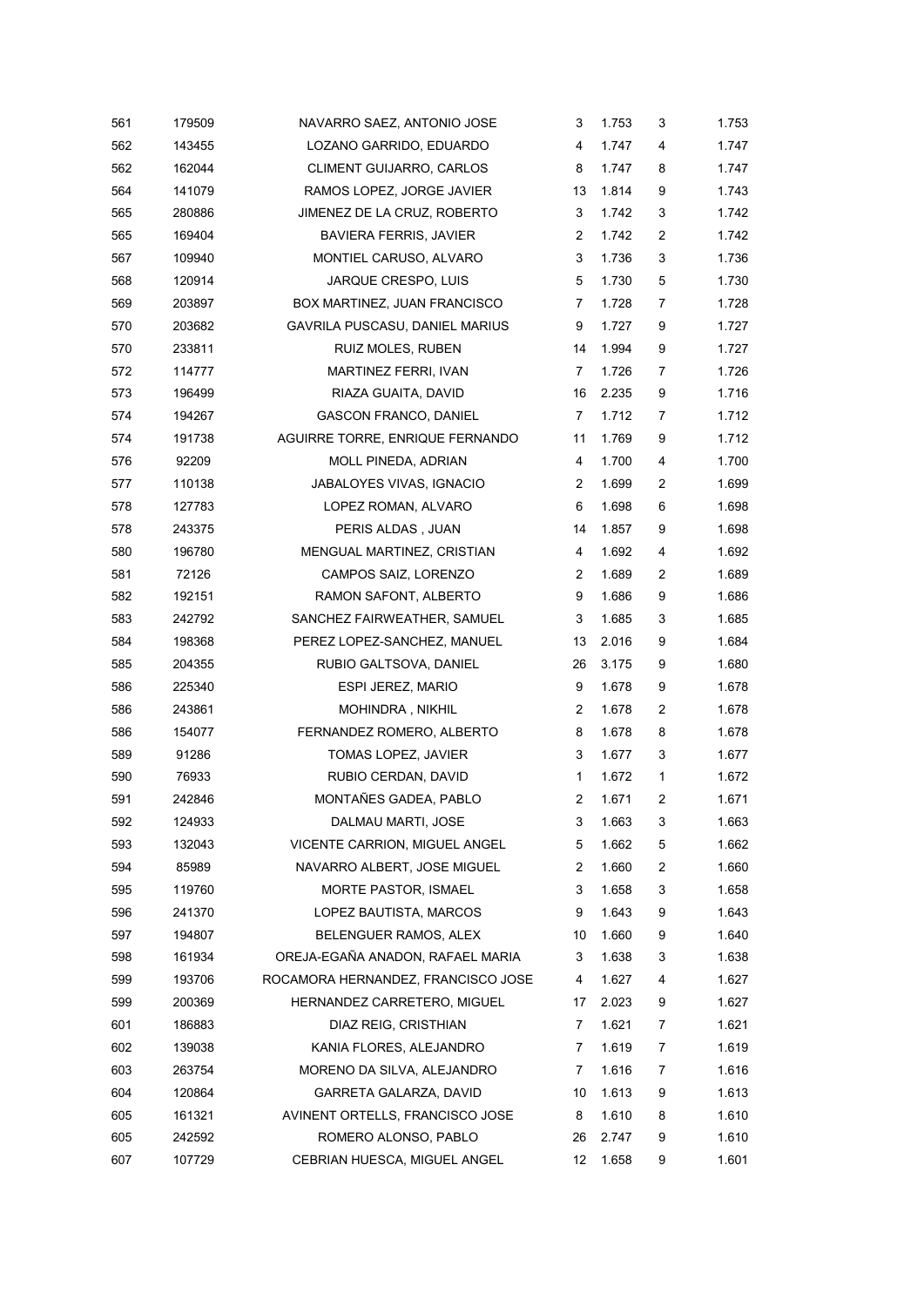| 561 | 179509 | NAVARRO SAEZ, ANTONIO JOSE         | 3              | 1.753 | 3                       | 1.753 |
|-----|--------|------------------------------------|----------------|-------|-------------------------|-------|
| 562 | 143455 | LOZANO GARRIDO, EDUARDO            | 4              | 1.747 | 4                       | 1.747 |
| 562 | 162044 | CLIMENT GUIJARRO, CARLOS           | 8              | 1.747 | 8                       | 1.747 |
| 564 | 141079 | RAMOS LOPEZ, JORGE JAVIER          | 13             | 1.814 | 9                       | 1.743 |
| 565 | 280886 | JIMENEZ DE LA CRUZ, ROBERTO        | 3              | 1.742 | 3                       | 1.742 |
| 565 | 169404 | <b>BAVIERA FERRIS, JAVIER</b>      | 2              | 1.742 | $\overline{c}$          | 1.742 |
| 567 | 109940 | MONTIEL CARUSO, ALVARO             | 3              | 1.736 | 3                       | 1.736 |
| 568 | 120914 | JARQUE CRESPO, LUIS                | 5              | 1.730 | 5                       | 1.730 |
| 569 | 203897 | BOX MARTINEZ, JUAN FRANCISCO       | 7              | 1.728 | 7                       | 1.728 |
| 570 | 203682 | GAVRILA PUSCASU, DANIEL MARIUS     | 9              | 1.727 | 9                       | 1.727 |
| 570 | 233811 | RUIZ MOLES, RUBEN                  | 14             | 1.994 | 9                       | 1.727 |
| 572 | 114777 | MARTINEZ FERRI, IVAN               | $\overline{7}$ | 1.726 | 7                       | 1.726 |
| 573 | 196499 | RIAZA GUAITA, DAVID                | 16             | 2.235 | 9                       | 1.716 |
| 574 | 194267 | <b>GASCON FRANCO, DANIEL</b>       | 7              | 1.712 | 7                       | 1.712 |
| 574 | 191738 | AGUIRRE TORRE, ENRIQUE FERNANDO    | 11             | 1.769 | 9                       | 1.712 |
| 576 | 92209  | <b>MOLL PINEDA, ADRIAN</b>         | 4              | 1.700 | 4                       | 1.700 |
| 577 | 110138 | JABALOYES VIVAS, IGNACIO           | 2              | 1.699 | $\overline{c}$          | 1.699 |
| 578 | 127783 | LOPEZ ROMAN, ALVARO                | 6              | 1.698 | 6                       | 1.698 |
| 578 | 243375 | PERIS ALDAS, JUAN                  | 14             | 1.857 | 9                       | 1.698 |
| 580 | 196780 | MENGUAL MARTINEZ, CRISTIAN         | 4              | 1.692 | 4                       | 1.692 |
| 581 | 72126  | CAMPOS SAIZ, LORENZO               | 2              | 1.689 | 2                       | 1.689 |
| 582 | 192151 | RAMON SAFONT, ALBERTO              | 9              | 1.686 | 9                       | 1.686 |
| 583 | 242792 | SANCHEZ FAIRWEATHER, SAMUEL        | 3              | 1.685 | 3                       | 1.685 |
| 584 | 198368 | PEREZ LOPEZ-SANCHEZ, MANUEL        | 13             | 2.016 | 9                       | 1.684 |
| 585 | 204355 | RUBIO GALTSOVA, DANIEL             | 26             | 3.175 | 9                       | 1.680 |
| 586 | 225340 | ESPI JEREZ, MARIO                  | 9              | 1.678 | 9                       | 1.678 |
| 586 | 243861 | MOHINDRA, NIKHIL                   | $\overline{2}$ | 1.678 | $\overline{c}$          | 1.678 |
| 586 | 154077 | FERNANDEZ ROMERO, ALBERTO          | 8              | 1.678 | 8                       | 1.678 |
| 589 | 91286  | TOMAS LOPEZ, JAVIER                | 3              | 1.677 | 3                       | 1.677 |
| 590 | 76933  | RUBIO CERDAN, DAVID                | 1              | 1.672 | $\mathbf 1$             | 1.672 |
| 591 | 242846 | MONTAÑES GADEA, PABLO              | $\overline{2}$ | 1.671 | $\overline{c}$          | 1.671 |
| 592 | 124933 | DALMAU MARTI, JOSE                 | 3              | 1.663 | 3                       | 1.663 |
| 593 | 132043 | VICENTE CARRION, MIGUEL ANGEL      | 5              | 1.662 | 5                       | 1.662 |
| 594 | 85989  | NAVARRO ALBERT, JOSE MIGUEL        | 2              | 1.660 | $\overline{\mathbf{c}}$ | 1.660 |
| 595 | 119760 | <b>MORTE PASTOR, ISMAEL</b>        | 3              | 1.658 | 3                       | 1.658 |
| 596 | 241370 | LOPEZ BAUTISTA, MARCOS             | 9              | 1.643 | 9                       | 1.643 |
| 597 | 194807 | BELENGUER RAMOS, ALEX              | 10             | 1.660 | 9                       | 1.640 |
| 598 | 161934 | OREJA-EGAÑA ANADON, RAFAEL MARIA   | 3              | 1.638 | 3                       | 1.638 |
| 599 | 193706 | ROCAMORA HERNANDEZ, FRANCISCO JOSE | 4              | 1.627 | 4                       | 1.627 |
| 599 | 200369 | HERNANDEZ CARRETERO, MIGUEL        | 17             | 2.023 | 9                       | 1.627 |
| 601 | 186883 | DIAZ REIG, CRISTHIAN               | 7              | 1.621 | 7                       | 1.621 |
| 602 | 139038 | KANIA FLORES, ALEJANDRO            | 7              | 1.619 | 7                       | 1.619 |
| 603 | 263754 | MORENO DA SILVA, ALEJANDRO         | 7              | 1.616 | 7                       | 1.616 |
| 604 | 120864 | GARRETA GALARZA, DAVID             | 10             | 1.613 | 9                       | 1.613 |
| 605 | 161321 | AVINENT ORTELLS, FRANCISCO JOSE    | 8              | 1.610 | 8                       | 1.610 |
| 605 | 242592 | ROMERO ALONSO, PABLO               | 26             | 2.747 | 9                       | 1.610 |
| 607 | 107729 | CEBRIAN HUESCA, MIGUEL ANGEL       | 12             | 1.658 | 9                       | 1.601 |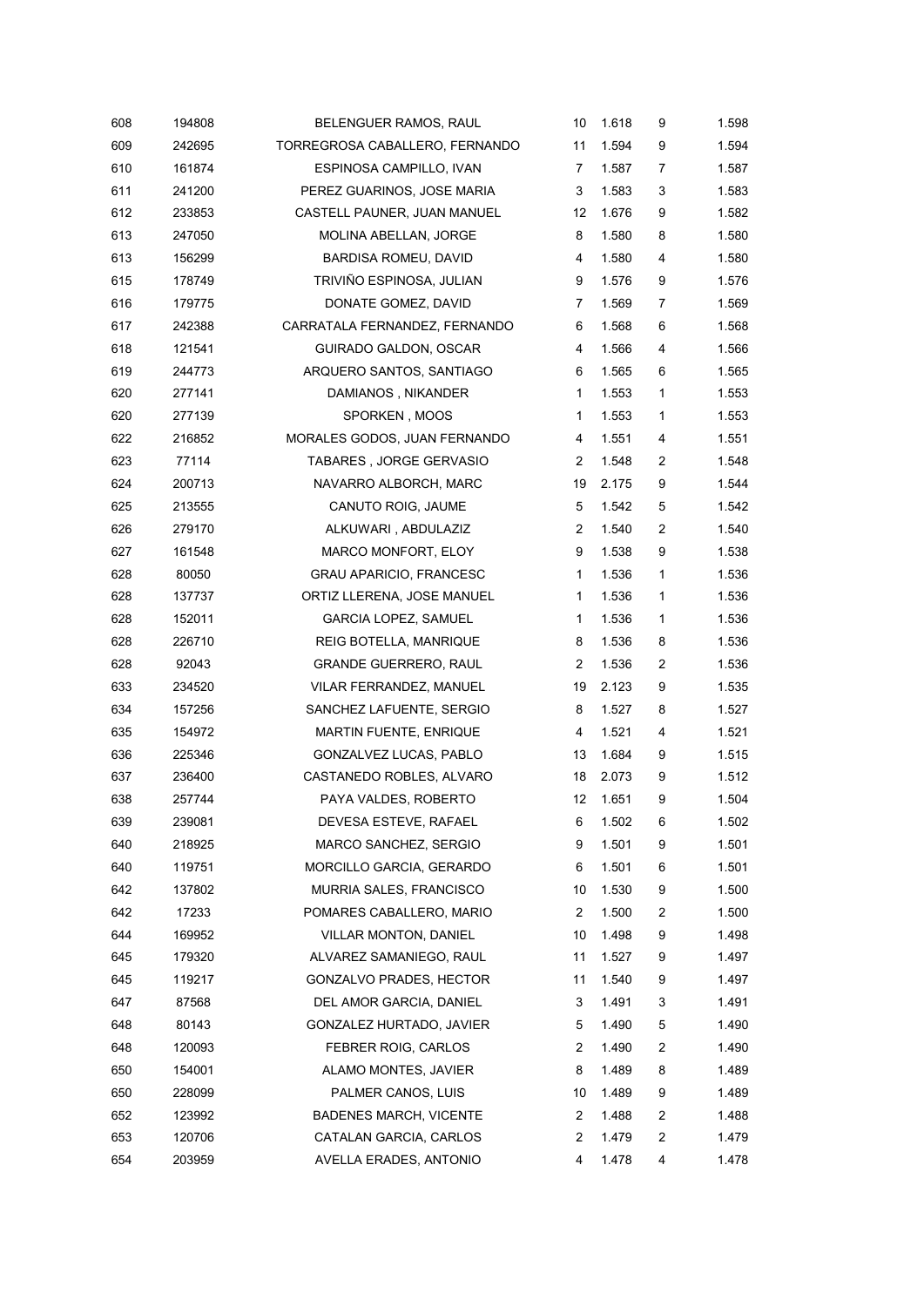| 608 | 194808 | BELENGUER RAMOS, RAUL          | 10             | 1.618 | 9              | 1.598 |
|-----|--------|--------------------------------|----------------|-------|----------------|-------|
| 609 | 242695 | TORREGROSA CABALLERO, FERNANDO | 11             | 1.594 | 9              | 1.594 |
| 610 | 161874 | ESPINOSA CAMPILLO, IVAN        | 7              | 1.587 | 7              | 1.587 |
| 611 | 241200 | PEREZ GUARINOS, JOSE MARIA     | 3              | 1.583 | 3              | 1.583 |
| 612 | 233853 | CASTELL PAUNER, JUAN MANUEL    | 12             | 1.676 | 9              | 1.582 |
| 613 | 247050 | MOLINA ABELLAN, JORGE          | 8              | 1.580 | 8              | 1.580 |
| 613 | 156299 | <b>BARDISA ROMEU, DAVID</b>    | 4              | 1.580 | 4              | 1.580 |
| 615 | 178749 | TRIVIÑO ESPINOSA, JULIAN       | 9              | 1.576 | 9              | 1.576 |
| 616 | 179775 | DONATE GOMEZ, DAVID            | 7              | 1.569 | 7              | 1.569 |
| 617 | 242388 | CARRATALA FERNANDEZ, FERNANDO  | 6              | 1.568 | 6              | 1.568 |
| 618 | 121541 | GUIRADO GALDON, OSCAR          | 4              | 1.566 | 4              | 1.566 |
| 619 | 244773 | ARQUERO SANTOS, SANTIAGO       | 6              | 1.565 | 6              | 1.565 |
| 620 | 277141 | DAMIANOS, NIKANDER             | $\mathbf{1}$   | 1.553 | 1              | 1.553 |
| 620 | 277139 | SPORKEN, MOOS                  | 1              | 1.553 | 1              | 1.553 |
| 622 | 216852 | MORALES GODOS, JUAN FERNANDO   | 4              | 1.551 | 4              | 1.551 |
| 623 | 77114  | TABARES, JORGE GERVASIO        | 2              | 1.548 | $\overline{c}$ | 1.548 |
| 624 | 200713 | NAVARRO ALBORCH, MARC          | 19             | 2.175 | 9              | 1.544 |
| 625 | 213555 | CANUTO ROIG, JAUME             | 5              | 1.542 | 5              | 1.542 |
| 626 | 279170 | ALKUWARI, ABDULAZIZ            | 2              | 1.540 | $\overline{c}$ | 1.540 |
| 627 | 161548 | MARCO MONFORT, ELOY            | 9              | 1.538 | 9              | 1.538 |
| 628 | 80050  | <b>GRAU APARICIO, FRANCESC</b> | 1              | 1.536 | 1              | 1.536 |
| 628 | 137737 | ORTIZ LLERENA, JOSE MANUEL     | 1              | 1.536 | 1              | 1.536 |
| 628 | 152011 | <b>GARCIA LOPEZ, SAMUEL</b>    | 1              | 1.536 | 1              | 1.536 |
| 628 | 226710 | REIG BOTELLA, MANRIQUE         | 8              | 1.536 | 8              | 1.536 |
| 628 | 92043  | <b>GRANDE GUERRERO, RAUL</b>   | 2              | 1.536 | $\overline{c}$ | 1.536 |
| 633 | 234520 | VILAR FERRANDEZ, MANUEL        | 19             | 2.123 | 9              | 1.535 |
| 634 | 157256 | SANCHEZ LAFUENTE, SERGIO       | 8              | 1.527 | 8              | 1.527 |
| 635 | 154972 | MARTIN FUENTE, ENRIQUE         | 4              | 1.521 | 4              | 1.521 |
| 636 | 225346 | GONZALVEZ LUCAS, PABLO         | 13             | 1.684 | 9              | 1.515 |
| 637 | 236400 | CASTANEDO ROBLES, ALVARO       | 18             | 2.073 | 9              | 1.512 |
| 638 | 257744 | PAYA VALDES, ROBERTO           | 12             | 1.651 | 9              | 1.504 |
| 639 | 239081 | DEVESA ESTEVE, RAFAEL          | 6              | 1.502 | 6              | 1.502 |
| 640 | 218925 | MARCO SANCHEZ, SERGIO          | 9              | 1.501 | 9              | 1.501 |
| 640 | 119751 | MORCILLO GARCIA, GERARDO       | 6              | 1.501 | 6              | 1.501 |
| 642 | 137802 | MURRIA SALES, FRANCISCO        | 10             | 1.530 | 9              | 1.500 |
| 642 | 17233  | POMARES CABALLERO, MARIO       | 2              | 1.500 | $\overline{c}$ | 1.500 |
| 644 | 169952 | VILLAR MONTON, DANIEL          | 10             | 1.498 | 9              | 1.498 |
| 645 | 179320 | ALVAREZ SAMANIEGO, RAUL        | 11             | 1.527 | 9              | 1.497 |
| 645 | 119217 | GONZALVO PRADES, HECTOR        | 11             | 1.540 | 9              | 1.497 |
| 647 | 87568  | DEL AMOR GARCIA, DANIEL        | 3              | 1.491 | 3              | 1.491 |
| 648 | 80143  | GONZALEZ HURTADO, JAVIER       | 5              | 1.490 | 5              | 1.490 |
| 648 | 120093 | FEBRER ROIG, CARLOS            | 2              | 1.490 | 2              | 1.490 |
| 650 | 154001 | ALAMO MONTES, JAVIER           | 8              | 1.489 | 8              | 1.489 |
| 650 | 228099 | PALMER CANOS, LUIS             | 10             | 1.489 | 9              | 1.489 |
| 652 | 123992 | <b>BADENES MARCH, VICENTE</b>  | $\overline{c}$ | 1.488 | 2              | 1.488 |
| 653 | 120706 | CATALAN GARCIA, CARLOS         | $\overline{c}$ | 1.479 | 2              | 1.479 |
| 654 | 203959 | AVELLA ERADES, ANTONIO         | 4              | 1.478 | 4              | 1.478 |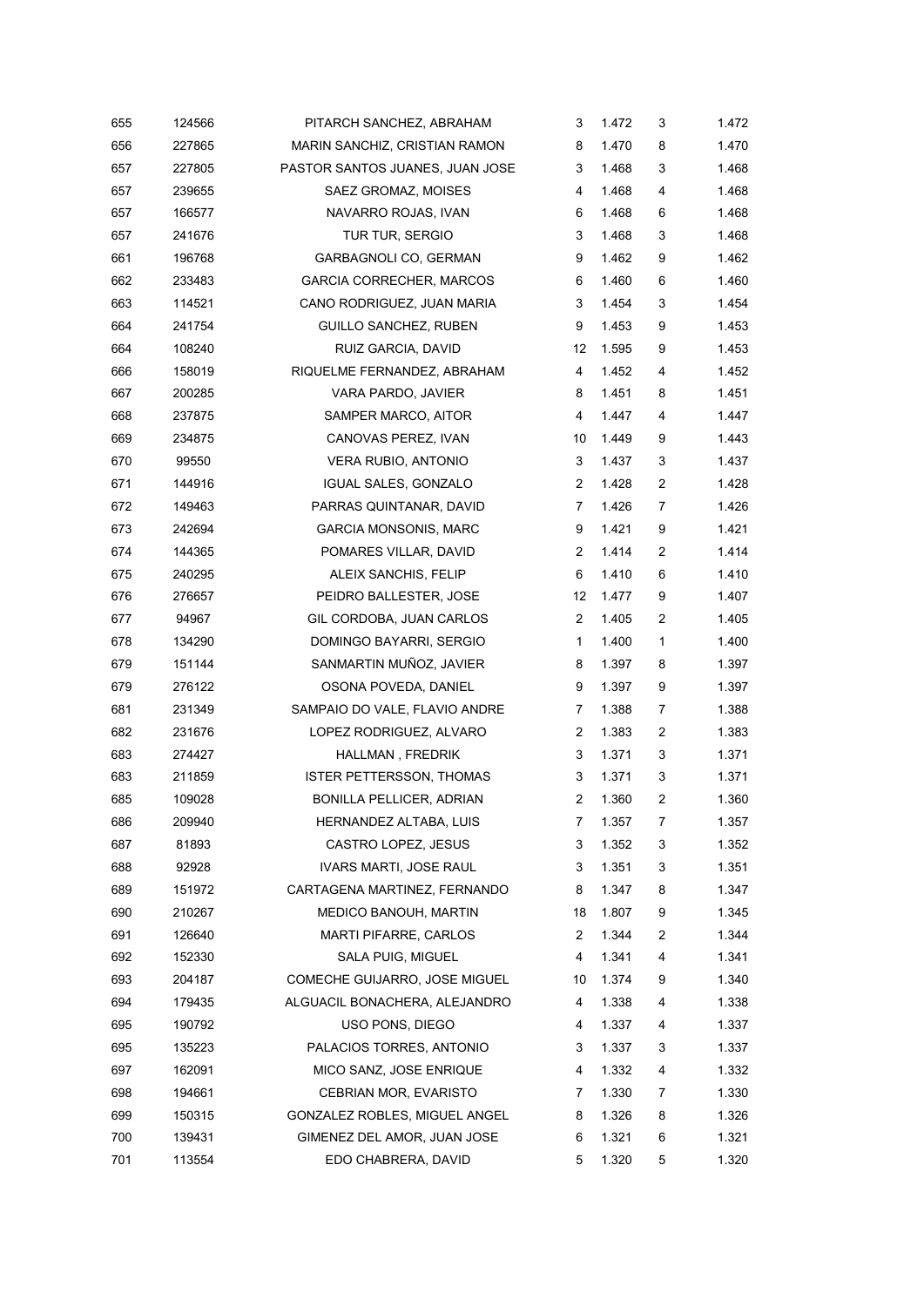| 655 | 124566 | PITARCH SANCHEZ, ABRAHAM        | 3              | 1.472 | 3                | 1.472 |
|-----|--------|---------------------------------|----------------|-------|------------------|-------|
| 656 | 227865 | MARIN SANCHIZ, CRISTIAN RAMON   | 8              | 1.470 | 8                | 1.470 |
| 657 | 227805 | PASTOR SANTOS JUANES, JUAN JOSE | 3              | 1.468 | 3                | 1.468 |
| 657 | 239655 | SAEZ GROMAZ, MOISES             | 4              | 1.468 | 4                | 1.468 |
| 657 | 166577 | NAVARRO ROJAS, IVAN             | 6              | 1.468 | 6                | 1.468 |
| 657 | 241676 | TUR TUR, SERGIO                 | 3              | 1.468 | 3                | 1.468 |
| 661 | 196768 | GARBAGNOLI CO, GERMAN           | 9              | 1.462 | 9                | 1.462 |
| 662 | 233483 | <b>GARCIA CORRECHER, MARCOS</b> | 6              | 1.460 | 6                | 1.460 |
| 663 | 114521 | CANO RODRIGUEZ, JUAN MARIA      | 3              | 1.454 | 3                | 1.454 |
| 664 | 241754 | <b>GUILLO SANCHEZ, RUBEN</b>    | 9              | 1.453 | 9                | 1.453 |
| 664 | 108240 | RUIZ GARCIA, DAVID              | 12             | 1.595 | 9                | 1.453 |
| 666 | 158019 | RIQUELME FERNANDEZ, ABRAHAM     | 4              | 1.452 | 4                | 1.452 |
| 667 | 200285 | VARA PARDO, JAVIER              | 8              | 1.451 | 8                | 1.451 |
| 668 | 237875 | SAMPER MARCO, AITOR             | 4              | 1.447 | 4                | 1.447 |
| 669 | 234875 | CANOVAS PEREZ, IVAN             | 10             | 1.449 | 9                | 1.443 |
| 670 | 99550  | VERA RUBIO, ANTONIO             | 3              | 1.437 | 3                | 1.437 |
| 671 | 144916 | IGUAL SALES, GONZALO            | 2              | 1.428 | $\boldsymbol{2}$ | 1.428 |
| 672 | 149463 | PARRAS QUINTANAR, DAVID         | 7              | 1.426 | 7                | 1.426 |
| 673 | 242694 | <b>GARCIA MONSONIS, MARC</b>    | 9              | 1.421 | 9                | 1.421 |
| 674 | 144365 | POMARES VILLAR, DAVID           | 2              | 1.414 | $\overline{c}$   | 1.414 |
| 675 | 240295 | ALEIX SANCHIS, FELIP            | 6              | 1.410 | 6                | 1.410 |
| 676 | 276657 | PEIDRO BALLESTER, JOSE          | 12             | 1.477 | 9                | 1.407 |
| 677 | 94967  | GIL CORDOBA, JUAN CARLOS        | 2              | 1.405 | $\overline{c}$   | 1.405 |
| 678 | 134290 | DOMINGO BAYARRI, SERGIO         | $\mathbf{1}$   | 1.400 | 1                | 1.400 |
| 679 | 151144 | SANMARTIN MUÑOZ, JAVIER         | 8              | 1.397 | 8                | 1.397 |
| 679 | 276122 | OSONA POVEDA, DANIEL            | 9              | 1.397 | 9                | 1.397 |
| 681 | 231349 | SAMPAIO DO VALE, FLAVIO ANDRE   | 7              | 1.388 | 7                | 1.388 |
| 682 | 231676 | LOPEZ RODRIGUEZ, ALVARO         | 2              | 1.383 | $\overline{c}$   | 1.383 |
| 683 | 274427 | HALLMAN, FREDRIK                | 3              | 1.371 | 3                | 1.371 |
| 683 | 211859 | <b>ISTER PETTERSSON, THOMAS</b> | 3              | 1.371 | 3                | 1.371 |
| 685 | 109028 | BONILLA PELLICER, ADRIAN        | $\overline{2}$ | 1.360 | $\overline{c}$   | 1.360 |
| 686 | 209940 | HERNANDEZ ALTABA, LUIS          | 7              | 1.357 | 7                | 1.357 |
| 687 | 81893  | CASTRO LOPEZ, JESUS             | 3              | 1.352 | 3                | 1.352 |
| 688 | 92928  | <b>IVARS MARTI, JOSE RAUL</b>   | 3              | 1.351 | 3                | 1.351 |
| 689 | 151972 | CARTAGENA MARTINEZ, FERNANDO    | 8              | 1.347 | 8                | 1.347 |
| 690 | 210267 | MEDICO BANOUH, MARTIN           | 18             | 1.807 | 9                | 1.345 |
| 691 | 126640 | <b>MARTI PIFARRE, CARLOS</b>    | 2              | 1.344 | 2                | 1.344 |
| 692 | 152330 | SALA PUIG, MIGUEL               | 4              | 1.341 | 4                | 1.341 |
| 693 | 204187 | COMECHE GUIJARRO, JOSE MIGUEL   | 10             | 1.374 | 9                | 1.340 |
| 694 | 179435 | ALGUACIL BONACHERA, ALEJANDRO   | 4              | 1.338 | 4                | 1.338 |
| 695 | 190792 | USO PONS, DIEGO                 | 4              | 1.337 | 4                | 1.337 |
| 695 | 135223 | PALACIOS TORRES, ANTONIO        | 3              | 1.337 | 3                | 1.337 |
| 697 | 162091 | MICO SANZ, JOSE ENRIQUE         | 4              | 1.332 | 4                | 1.332 |
| 698 | 194661 | <b>CEBRIAN MOR, EVARISTO</b>    | 7              | 1.330 | 7                | 1.330 |
| 699 | 150315 | GONZALEZ ROBLES, MIGUEL ANGEL   | 8              | 1.326 | 8                | 1.326 |
| 700 | 139431 | GIMENEZ DEL AMOR, JUAN JOSE     | 6              | 1.321 | 6                | 1.321 |
| 701 | 113554 | EDO CHABRERA, DAVID             | 5              | 1.320 | 5                | 1.320 |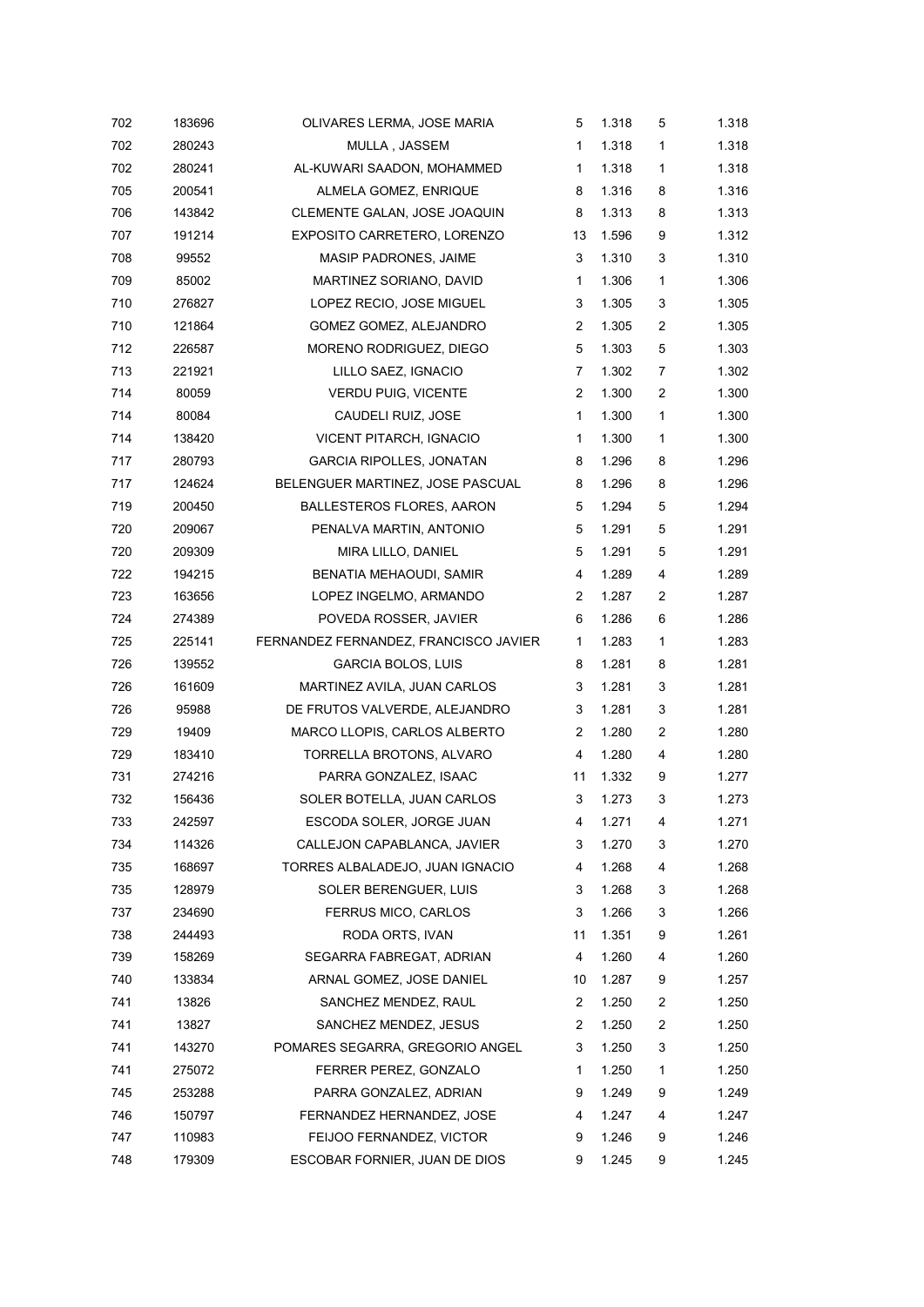| 702 | 183696 | OLIVARES LERMA, JOSE MARIA            | 5              | 1.318 | 5                | 1.318 |
|-----|--------|---------------------------------------|----------------|-------|------------------|-------|
| 702 | 280243 | MULLA, JASSEM                         | 1              | 1.318 | 1                | 1.318 |
| 702 | 280241 | AL-KUWARI SAADON, MOHAMMED            | 1              | 1.318 | $\mathbf{1}$     | 1.318 |
| 705 | 200541 | ALMELA GOMEZ, ENRIQUE                 | 8              | 1.316 | 8                | 1.316 |
| 706 | 143842 | CLEMENTE GALAN, JOSE JOAQUIN          | 8              | 1.313 | 8                | 1.313 |
| 707 | 191214 | EXPOSITO CARRETERO, LORENZO           | 13             | 1.596 | 9                | 1.312 |
| 708 | 99552  | MASIP PADRONES, JAIME                 | 3              | 1.310 | 3                | 1.310 |
| 709 | 85002  | MARTINEZ SORIANO, DAVID               | 1              | 1.306 | $\mathbf{1}$     | 1.306 |
| 710 | 276827 | LOPEZ RECIO, JOSE MIGUEL              | 3              | 1.305 | 3                | 1.305 |
| 710 | 121864 | GOMEZ GOMEZ, ALEJANDRO                | $\overline{2}$ | 1.305 | $\boldsymbol{2}$ | 1.305 |
| 712 | 226587 | MORENO RODRIGUEZ, DIEGO               | 5              | 1.303 | 5                | 1.303 |
| 713 | 221921 | LILLO SAEZ, IGNACIO                   | 7              | 1.302 | $\overline{7}$   | 1.302 |
| 714 | 80059  | <b>VERDU PUIG, VICENTE</b>            | 2              | 1.300 | $\overline{c}$   | 1.300 |
| 714 | 80084  | CAUDELI RUIZ, JOSE                    | 1              | 1.300 | 1                | 1.300 |
| 714 | 138420 | VICENT PITARCH, IGNACIO               | $\mathbf{1}$   | 1.300 | $\mathbf{1}$     | 1.300 |
| 717 | 280793 | <b>GARCIA RIPOLLES, JONATAN</b>       | 8              | 1.296 | 8                | 1.296 |
| 717 | 124624 | BELENGUER MARTINEZ, JOSE PASCUAL      | 8              | 1.296 | 8                | 1.296 |
| 719 | 200450 | <b>BALLESTEROS FLORES, AARON</b>      | 5              | 1.294 | 5                | 1.294 |
| 720 | 209067 | PENALVA MARTIN, ANTONIO               | 5              | 1.291 | 5                | 1.291 |
| 720 | 209309 | MIRA LILLO, DANIEL                    | 5              | 1.291 | 5                | 1.291 |
| 722 | 194215 | BENATIA MEHAOUDI, SAMIR               | 4              | 1.289 | 4                | 1.289 |
| 723 | 163656 | LOPEZ INGELMO, ARMANDO                | 2              | 1.287 | 2                | 1.287 |
| 724 | 274389 | POVEDA ROSSER, JAVIER                 | 6              | 1.286 | 6                | 1.286 |
| 725 | 225141 | FERNANDEZ FERNANDEZ, FRANCISCO JAVIER | 1              | 1.283 | $\mathbf{1}$     | 1.283 |
| 726 | 139552 | <b>GARCIA BOLOS, LUIS</b>             | 8              | 1.281 | 8                | 1.281 |
| 726 | 161609 | MARTINEZ AVILA, JUAN CARLOS           | 3              | 1.281 | 3                | 1.281 |
| 726 | 95988  | DE FRUTOS VALVERDE, ALEJANDRO         | 3              | 1.281 | 3                | 1.281 |
| 729 | 19409  | MARCO LLOPIS, CARLOS ALBERTO          | 2              | 1.280 | $\overline{c}$   | 1.280 |
| 729 | 183410 | TORRELLA BROTONS, ALVARO              | 4              | 1.280 | 4                | 1.280 |
| 731 | 274216 | PARRA GONZALEZ, ISAAC                 | 11             | 1.332 | 9                | 1.277 |
| 732 | 156436 | SOLER BOTELLA, JUAN CARLOS            | 3              | 1.273 | 3                | 1.273 |
| 733 | 242597 | ESCODA SOLER, JORGE JUAN              | 4              | 1.271 | 4                | 1.271 |
| 734 | 114326 | CALLEJON CAPABLANCA, JAVIER           | 3              | 1.270 | 3                | 1.270 |
| 735 | 168697 | TORRES ALBALADEJO, JUAN IGNACIO       | 4              | 1.268 | 4                | 1.268 |
| 735 | 128979 | SOLER BERENGUER, LUIS                 | 3              | 1.268 | 3                | 1.268 |
| 737 | 234690 | FERRUS MICO, CARLOS                   | 3              | 1.266 | 3                | 1.266 |
| 738 | 244493 | RODA ORTS, IVAN                       | 11             | 1.351 | 9                | 1.261 |
| 739 | 158269 | SEGARRA FABREGAT, ADRIAN              | 4              | 1.260 | 4                | 1.260 |
| 740 | 133834 | ARNAL GOMEZ, JOSE DANIEL              | 10             | 1.287 | 9                | 1.257 |
| 741 | 13826  | SANCHEZ MENDEZ, RAUL                  | 2              | 1.250 | $\overline{2}$   | 1.250 |
| 741 | 13827  | SANCHEZ MENDEZ, JESUS                 | $\overline{2}$ | 1.250 | $\overline{c}$   | 1.250 |
| 741 | 143270 | POMARES SEGARRA, GREGORIO ANGEL       | 3              | 1.250 | 3                | 1.250 |
| 741 | 275072 | FERRER PEREZ, GONZALO                 | 1              | 1.250 | 1                | 1.250 |
| 745 | 253288 | PARRA GONZALEZ, ADRIAN                | 9              | 1.249 | 9                | 1.249 |
| 746 | 150797 | FERNANDEZ HERNANDEZ, JOSE             | 4              | 1.247 | 4                | 1.247 |
| 747 | 110983 | FEIJOO FERNANDEZ, VICTOR              | 9              | 1.246 | 9                | 1.246 |
| 748 | 179309 | ESCOBAR FORNIER, JUAN DE DIOS         | 9              | 1.245 | 9                | 1.245 |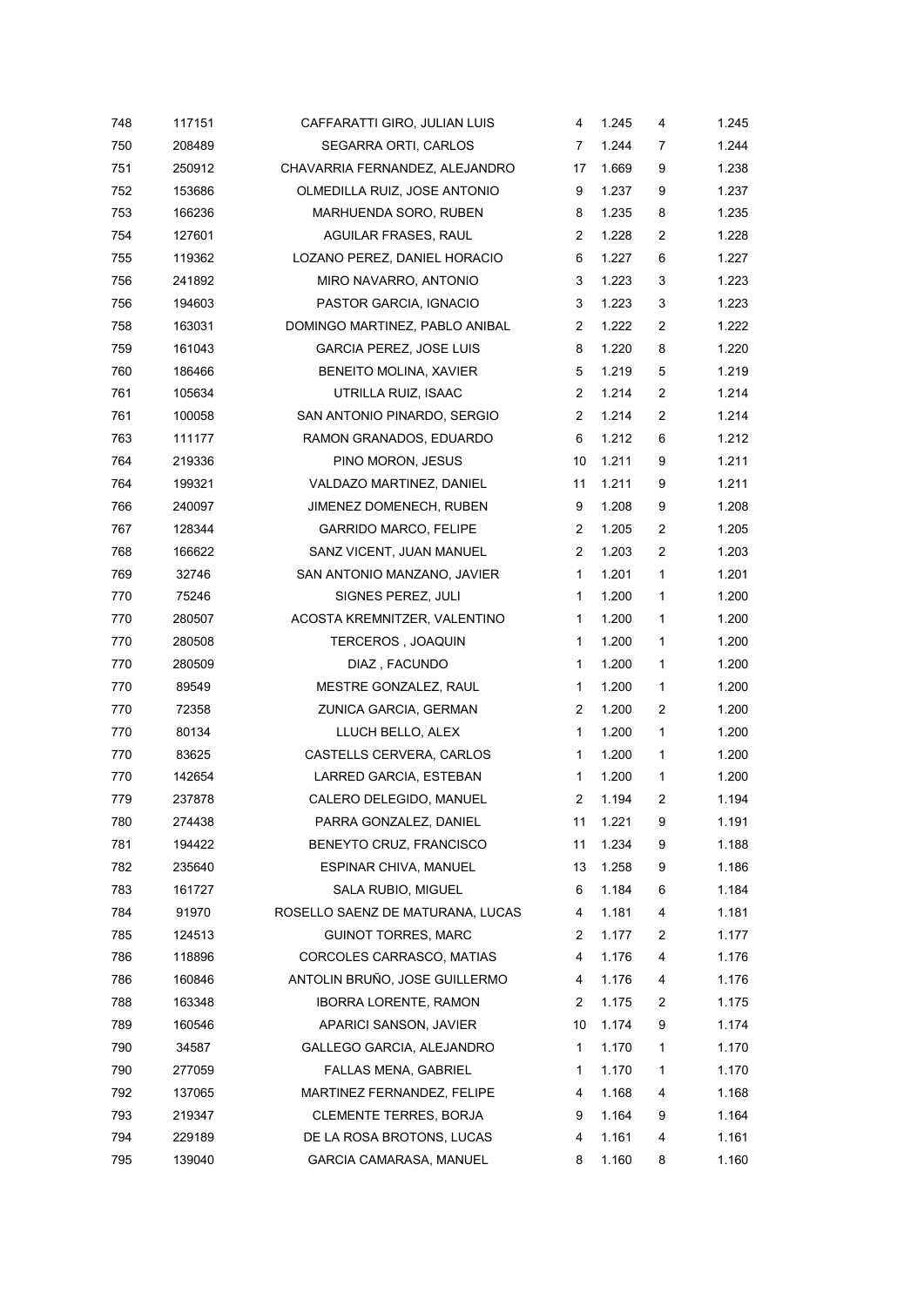| 748 | 117151 | CAFFARATTI GIRO, JULIAN LUIS     | 4              | 1.245 | 4              | 1.245 |
|-----|--------|----------------------------------|----------------|-------|----------------|-------|
| 750 | 208489 | SEGARRA ORTI, CARLOS             | 7              | 1.244 | 7              | 1.244 |
| 751 | 250912 | CHAVARRIA FERNANDEZ, ALEJANDRO   | 17             | 1.669 | 9              | 1.238 |
| 752 | 153686 | OLMEDILLA RUIZ, JOSE ANTONIO     | 9              | 1.237 | 9              | 1.237 |
| 753 | 166236 | MARHUENDA SORO, RUBEN            | 8              | 1.235 | 8              | 1.235 |
| 754 | 127601 | AGUILAR FRASES, RAUL             | 2              | 1.228 | $\overline{c}$ | 1.228 |
| 755 | 119362 | LOZANO PEREZ, DANIEL HORACIO     | 6              | 1.227 | 6              | 1.227 |
| 756 | 241892 | MIRO NAVARRO, ANTONIO            | 3              | 1.223 | 3              | 1.223 |
| 756 | 194603 | PASTOR GARCIA, IGNACIO           | 3              | 1.223 | 3              | 1.223 |
| 758 | 163031 | DOMINGO MARTINEZ, PABLO ANIBAL   | 2              | 1.222 | $\overline{c}$ | 1.222 |
| 759 | 161043 | <b>GARCIA PEREZ, JOSE LUIS</b>   | 8              | 1.220 | 8              | 1.220 |
| 760 | 186466 | BENEITO MOLINA, XAVIER           | 5              | 1.219 | 5              | 1.219 |
| 761 | 105634 | UTRILLA RUIZ, ISAAC              | 2              | 1.214 | $\overline{c}$ | 1.214 |
| 761 | 100058 | SAN ANTONIO PINARDO, SERGIO      | $\overline{2}$ | 1.214 | $\overline{c}$ | 1.214 |
| 763 | 111177 | RAMON GRANADOS, EDUARDO          | 6              | 1.212 | 6              | 1.212 |
| 764 | 219336 | PINO MORON, JESUS                | 10             | 1.211 | 9              | 1.211 |
| 764 | 199321 | VALDAZO MARTINEZ, DANIEL         | 11             | 1.211 | 9              | 1.211 |
| 766 | 240097 | JIMENEZ DOMENECH, RUBEN          | 9              | 1.208 | 9              | 1.208 |
| 767 | 128344 | <b>GARRIDO MARCO, FELIPE</b>     | 2              | 1.205 | $\overline{c}$ | 1.205 |
| 768 | 166622 | SANZ VICENT, JUAN MANUEL         | $\overline{2}$ | 1.203 | $\overline{c}$ | 1.203 |
| 769 | 32746  | SAN ANTONIO MANZANO, JAVIER      | 1              | 1.201 | 1              | 1.201 |
| 770 | 75246  | SIGNES PEREZ, JULI               | $\mathbf{1}$   | 1.200 | 1              | 1.200 |
| 770 | 280507 | ACOSTA KREMNITZER, VALENTINO     | 1              | 1.200 | 1              | 1.200 |
| 770 | 280508 | <b>TERCEROS, JOAQUIN</b>         | 1              | 1.200 | 1              | 1.200 |
| 770 | 280509 | DIAZ, FACUNDO                    | $\mathbf{1}$   | 1.200 | 1              | 1.200 |
| 770 | 89549  | MESTRE GONZALEZ, RAUL            | $\mathbf{1}$   | 1.200 | 1              | 1.200 |
| 770 | 72358  | ZUNICA GARCIA, GERMAN            | 2              | 1.200 | $\overline{c}$ | 1.200 |
| 770 | 80134  | LLUCH BELLO, ALEX                | 1              | 1.200 | 1              | 1.200 |
| 770 | 83625  | CASTELLS CERVERA, CARLOS         | 1              | 1.200 | 1              | 1.200 |
| 770 | 142654 | LARRED GARCIA, ESTEBAN           | 1              | 1.200 | 1              | 1.200 |
| 779 | 237878 | CALERO DELEGIDO, MANUEL          | 2              | 1.194 | $\overline{c}$ | 1.194 |
| 780 | 274438 | PARRA GONZALEZ, DANIEL           | 11             | 1.221 | 9              | 1.191 |
| 781 | 194422 | BENEYTO CRUZ, FRANCISCO          | 11             | 1.234 | 9              | 1.188 |
| 782 | 235640 | ESPINAR CHIVA, MANUEL            | 13             | 1.258 | 9              | 1.186 |
| 783 | 161727 | SALA RUBIO, MIGUEL               | 6              | 1.184 | 6              | 1.184 |
| 784 | 91970  | ROSELLO SAENZ DE MATURANA, LUCAS | 4              | 1.181 | 4              | 1.181 |
| 785 | 124513 | <b>GUINOT TORRES, MARC</b>       | 2              | 1.177 | 2              | 1.177 |
| 786 | 118896 | CORCOLES CARRASCO, MATIAS        | 4              | 1.176 | 4              | 1.176 |
| 786 | 160846 | ANTOLIN BRUÑO, JOSE GUILLERMO    | 4              | 1.176 | 4              | 1.176 |
| 788 | 163348 | <b>IBORRA LORENTE, RAMON</b>     | 2              | 1.175 | $\overline{c}$ | 1.175 |
| 789 | 160546 | APARICI SANSON, JAVIER           | 10             | 1.174 | 9              | 1.174 |
| 790 | 34587  | GALLEGO GARCIA, ALEJANDRO        | 1              | 1.170 | 1              | 1.170 |
| 790 | 277059 | FALLAS MENA, GABRIEL             | 1              | 1.170 | 1              | 1.170 |
| 792 | 137065 | MARTINEZ FERNANDEZ, FELIPE       | 4              | 1.168 | 4              | 1.168 |
| 793 | 219347 | CLEMENTE TERRES, BORJA           | 9              | 1.164 | 9              | 1.164 |
| 794 | 229189 | DE LA ROSA BROTONS, LUCAS        | 4              | 1.161 | 4              | 1.161 |
| 795 | 139040 | <b>GARCIA CAMARASA, MANUEL</b>   | 8              | 1.160 | 8              | 1.160 |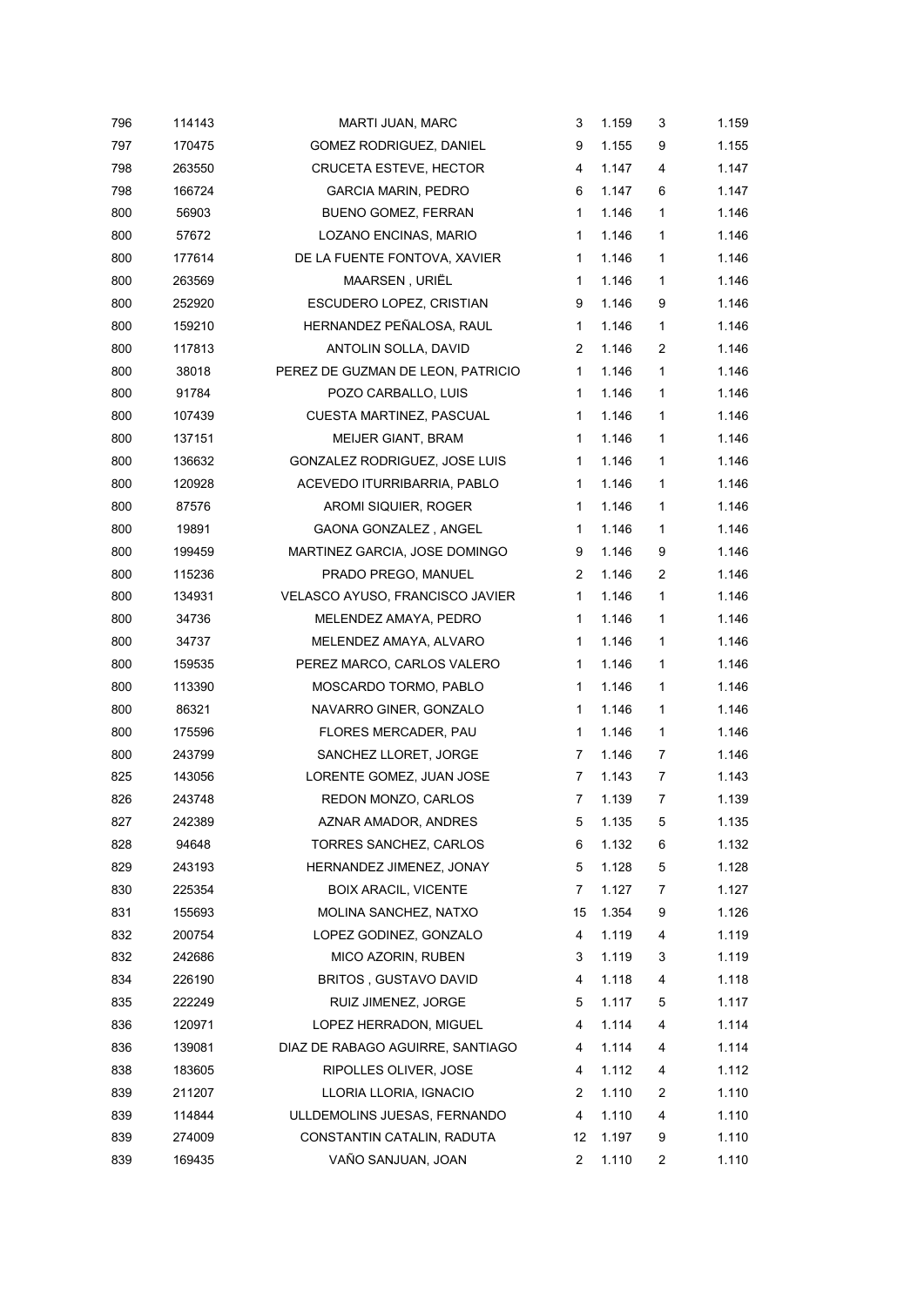| 796 | 114143 | MARTI JUAN, MARC                  | 3              | 1.159 | 3            | 1.159 |
|-----|--------|-----------------------------------|----------------|-------|--------------|-------|
| 797 | 170475 | GOMEZ RODRIGUEZ, DANIEL           | 9              | 1.155 | 9            | 1.155 |
| 798 | 263550 | <b>CRUCETA ESTEVE, HECTOR</b>     | 4              | 1.147 | 4            | 1.147 |
| 798 | 166724 | <b>GARCIA MARIN, PEDRO</b>        | 6              | 1.147 | 6            | 1.147 |
| 800 | 56903  | <b>BUENO GOMEZ, FERRAN</b>        | $\mathbf{1}$   | 1.146 | 1            | 1.146 |
| 800 | 57672  | LOZANO ENCINAS, MARIO             | $\mathbf{1}$   | 1.146 | $\mathbf{1}$ | 1.146 |
| 800 | 177614 | DE LA FUENTE FONTOVA, XAVIER      | 1              | 1.146 | 1            | 1.146 |
| 800 | 263569 | MAARSEN, URIËL                    | $\mathbf{1}$   | 1.146 | 1            | 1.146 |
| 800 | 252920 | ESCUDERO LOPEZ, CRISTIAN          | 9              | 1.146 | 9            | 1.146 |
| 800 | 159210 | HERNANDEZ PEÑALOSA, RAUL          | $\mathbf{1}$   | 1.146 | $\mathbf{1}$ | 1.146 |
| 800 | 117813 | ANTOLIN SOLLA, DAVID              | $\overline{2}$ | 1.146 | 2            | 1.146 |
| 800 | 38018  | PEREZ DE GUZMAN DE LEON, PATRICIO | $\mathbf{1}$   | 1.146 | 1            | 1.146 |
| 800 | 91784  | POZO CARBALLO, LUIS               | $\mathbf{1}$   | 1.146 | 1            | 1.146 |
| 800 | 107439 | CUESTA MARTINEZ, PASCUAL          | 1              | 1.146 | 1            | 1.146 |
| 800 | 137151 | <b>MEIJER GIANT, BRAM</b>         | $\mathbf{1}$   | 1.146 | $\mathbf{1}$ | 1.146 |
| 800 | 136632 | GONZALEZ RODRIGUEZ, JOSE LUIS     | $\mathbf{1}$   | 1.146 | $\mathbf{1}$ | 1.146 |
| 800 | 120928 | ACEVEDO ITURRIBARRIA, PABLO       | $\mathbf{1}$   | 1.146 | 1            | 1.146 |
| 800 | 87576  | AROMI SIQUIER, ROGER              | $\mathbf{1}$   | 1.146 | 1            | 1.146 |
| 800 | 19891  | GAONA GONZALEZ, ANGEL             | 1              | 1.146 | 1            | 1.146 |
| 800 | 199459 | MARTINEZ GARCIA, JOSE DOMINGO     | 9              | 1.146 | 9            | 1.146 |
| 800 | 115236 | PRADO PREGO, MANUEL               | 2              | 1.146 | 2            | 1.146 |
| 800 | 134931 | VELASCO AYUSO, FRANCISCO JAVIER   | $\mathbf{1}$   | 1.146 | 1            | 1.146 |
| 800 | 34736  | MELENDEZ AMAYA, PEDRO             | 1              | 1.146 | $\mathbf{1}$ | 1.146 |
| 800 | 34737  | MELENDEZ AMAYA, ALVARO            | $\mathbf{1}$   | 1.146 | 1            | 1.146 |
| 800 | 159535 | PEREZ MARCO, CARLOS VALERO        | $\mathbf{1}$   | 1.146 | $\mathbf{1}$ | 1.146 |
| 800 | 113390 | MOSCARDO TORMO, PABLO             | 1              | 1.146 | 1            | 1.146 |
| 800 | 86321  | NAVARRO GINER, GONZALO            | $\mathbf{1}$   | 1.146 | $\mathbf{1}$ | 1.146 |
| 800 | 175596 | FLORES MERCADER, PAU              | 1              | 1.146 | 1            | 1.146 |
| 800 | 243799 | SANCHEZ LLORET, JORGE             | 7              | 1.146 | 7            | 1.146 |
| 825 | 143056 | LORENTE GOMEZ, JUAN JOSE          | 7              | 1.143 | 7            | 1.143 |
| 826 | 243748 | REDON MONZO, CARLOS               | $\overline{7}$ | 1.139 | 7            | 1.139 |
| 827 | 242389 | AZNAR AMADOR, ANDRES              | 5              | 1.135 | 5            | 1.135 |
| 828 | 94648  | TORRES SANCHEZ, CARLOS            | 6              | 1.132 | 6            | 1.132 |
| 829 | 243193 | HERNANDEZ JIMENEZ, JONAY          | 5              | 1.128 | 5            | 1.128 |
| 830 | 225354 | <b>BOIX ARACIL, VICENTE</b>       | 7              | 1.127 | 7            | 1.127 |
| 831 | 155693 | MOLINA SANCHEZ, NATXO             | 15             | 1.354 | 9            | 1.126 |
| 832 | 200754 | LOPEZ GODINEZ, GONZALO            | 4              | 1.119 | 4            | 1.119 |
| 832 | 242686 | MICO AZORIN, RUBEN                | 3              | 1.119 | 3            | 1.119 |
| 834 | 226190 | <b>BRITOS, GUSTAVO DAVID</b>      | 4              | 1.118 | 4            | 1.118 |
| 835 | 222249 | RUIZ JIMENEZ, JORGE               | 5              | 1.117 | 5            | 1.117 |
| 836 | 120971 | LOPEZ HERRADON, MIGUEL            | 4              | 1.114 | 4            | 1.114 |
| 836 | 139081 | DIAZ DE RABAGO AGUIRRE, SANTIAGO  | 4              | 1.114 | 4            | 1.114 |
| 838 | 183605 | RIPOLLES OLIVER, JOSE             | 4              | 1.112 | 4            | 1.112 |
| 839 | 211207 | LLORIA LLORIA, IGNACIO            | 2              | 1.110 | 2            | 1.110 |
| 839 | 114844 | ULLDEMOLINS JUESAS, FERNANDO      | 4              | 1.110 | 4            | 1.110 |
| 839 | 274009 | CONSTANTIN CATALIN, RADUTA        | 12             | 1.197 | 9            | 1.110 |
| 839 | 169435 | VAÑO SANJUAN, JOAN                | 2              | 1.110 | 2            | 1.110 |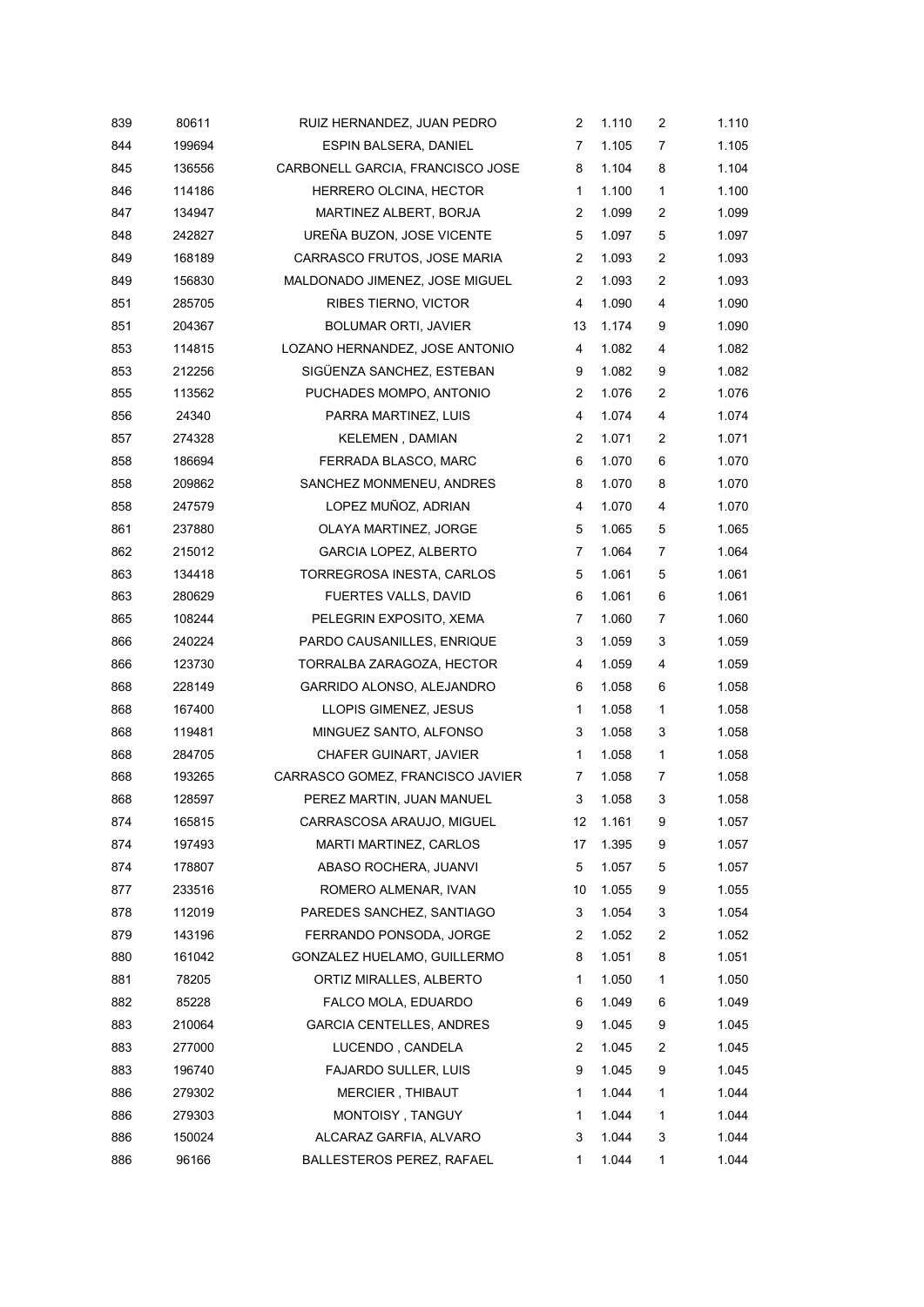| 839 | 80611  | RUIZ HERNANDEZ, JUAN PEDRO       | 2              | 1.110 | $\overline{\mathbf{c}}$ | 1.110 |
|-----|--------|----------------------------------|----------------|-------|-------------------------|-------|
| 844 | 199694 | ESPIN BALSERA, DANIEL            | 7              | 1.105 | 7                       | 1.105 |
| 845 | 136556 | CARBONELL GARCIA, FRANCISCO JOSE | 8              | 1.104 | 8                       | 1.104 |
| 846 | 114186 | HERRERO OLCINA, HECTOR           | 1              | 1.100 | 1                       | 1.100 |
| 847 | 134947 | MARTINEZ ALBERT, BORJA           | $\overline{2}$ | 1.099 | 2                       | 1.099 |
| 848 | 242827 | UREÑA BUZON, JOSE VICENTE        | 5              | 1.097 | 5                       | 1.097 |
| 849 | 168189 | CARRASCO FRUTOS, JOSE MARIA      | $\overline{2}$ | 1.093 | 2                       | 1.093 |
| 849 | 156830 | MALDONADO JIMENEZ, JOSE MIGUEL   | 2              | 1.093 | 2                       | 1.093 |
| 851 | 285705 | RIBES TIERNO, VICTOR             | 4              | 1.090 | 4                       | 1.090 |
| 851 | 204367 | <b>BOLUMAR ORTI, JAVIER</b>      | 13             | 1.174 | 9                       | 1.090 |
| 853 | 114815 | LOZANO HERNANDEZ, JOSE ANTONIO   | 4              | 1.082 | 4                       | 1.082 |
| 853 | 212256 | SIGÜENZA SANCHEZ, ESTEBAN        | 9              | 1.082 | 9                       | 1.082 |
| 855 | 113562 | PUCHADES MOMPO, ANTONIO          | 2              | 1.076 | 2                       | 1.076 |
| 856 | 24340  | PARRA MARTINEZ, LUIS             | 4              | 1.074 | 4                       | 1.074 |
| 857 | 274328 | <b>KELEMEN, DAMIAN</b>           | 2              | 1.071 | 2                       | 1.071 |
| 858 | 186694 | FERRADA BLASCO, MARC             | 6              | 1.070 | 6                       | 1.070 |
| 858 | 209862 | SANCHEZ MONMENEU, ANDRES         | 8              | 1.070 | 8                       | 1.070 |
| 858 | 247579 | LOPEZ MUÑOZ, ADRIAN              | 4              | 1.070 | 4                       | 1.070 |
| 861 | 237880 | OLAYA MARTINEZ, JORGE            | 5              | 1.065 | 5                       | 1.065 |
| 862 | 215012 | <b>GARCIA LOPEZ, ALBERTO</b>     | 7              | 1.064 | 7                       | 1.064 |
| 863 | 134418 | TORREGROSA INESTA, CARLOS        | 5              | 1.061 | 5                       | 1.061 |
| 863 | 280629 | <b>FUERTES VALLS, DAVID</b>      | 6              | 1.061 | 6                       | 1.061 |
| 865 | 108244 | PELEGRIN EXPOSITO, XEMA          | 7              | 1.060 | 7                       | 1.060 |
| 866 | 240224 | PARDO CAUSANILLES, ENRIQUE       | 3              | 1.059 | 3                       | 1.059 |
| 866 | 123730 | TORRALBA ZARAGOZA, HECTOR        | 4              | 1.059 | 4                       | 1.059 |
| 868 | 228149 | GARRIDO ALONSO, ALEJANDRO        | 6              | 1.058 | 6                       | 1.058 |
| 868 | 167400 | LLOPIS GIMENEZ, JESUS            | 1              | 1.058 | $\mathbf{1}$            | 1.058 |
| 868 | 119481 | MINGUEZ SANTO, ALFONSO           | 3              | 1.058 | 3                       | 1.058 |
| 868 | 284705 | CHAFER GUINART, JAVIER           | $\mathbf{1}$   | 1.058 | $\mathbf{1}$            | 1.058 |
| 868 | 193265 | CARRASCO GOMEZ, FRANCISCO JAVIER | 7              | 1.058 | 7                       | 1.058 |
| 868 | 128597 | PEREZ MARTIN, JUAN MANUEL        | 3              | 1.058 | 3                       | 1.058 |
| 874 | 165815 | CARRASCOSA ARAUJO, MIGUEL        | 12             | 1.161 | 9                       | 1.057 |
| 874 | 197493 | MARTI MARTINEZ, CARLOS           | 17             | 1.395 | 9                       | 1.057 |
| 874 | 178807 | ABASO ROCHERA, JUANVI            | 5              | 1.057 | 5                       | 1.057 |
| 877 | 233516 | ROMERO ALMENAR, IVAN             | 10             | 1.055 | 9                       | 1.055 |
| 878 | 112019 | PAREDES SANCHEZ, SANTIAGO        | 3              | 1.054 | 3                       | 1.054 |
| 879 | 143196 | FERRANDO PONSODA, JORGE          | $\overline{c}$ | 1.052 | 2                       | 1.052 |
| 880 | 161042 | GONZALEZ HUELAMO, GUILLERMO      | 8              | 1.051 | 8                       | 1.051 |
| 881 | 78205  | ORTIZ MIRALLES, ALBERTO          | 1              | 1.050 | 1                       | 1.050 |
| 882 | 85228  | FALCO MOLA, EDUARDO              | 6              | 1.049 | 6                       | 1.049 |
| 883 | 210064 | <b>GARCIA CENTELLES, ANDRES</b>  | 9              | 1.045 | 9                       | 1.045 |
| 883 | 277000 | LUCENDO, CANDELA                 | $\overline{c}$ | 1.045 | 2                       | 1.045 |
| 883 | 196740 | <b>FAJARDO SULLER, LUIS</b>      | 9              | 1.045 | 9                       | 1.045 |
| 886 | 279302 | MERCIER, THIBAUT                 | 1              | 1.044 | 1                       | 1.044 |
| 886 | 279303 | MONTOISY, TANGUY                 | 1              | 1.044 | 1                       | 1.044 |
| 886 | 150024 | ALCARAZ GARFIA, ALVARO           | 3              | 1.044 | 3                       | 1.044 |
| 886 | 96166  | BALLESTEROS PEREZ, RAFAEL        | 1              | 1.044 | 1                       | 1.044 |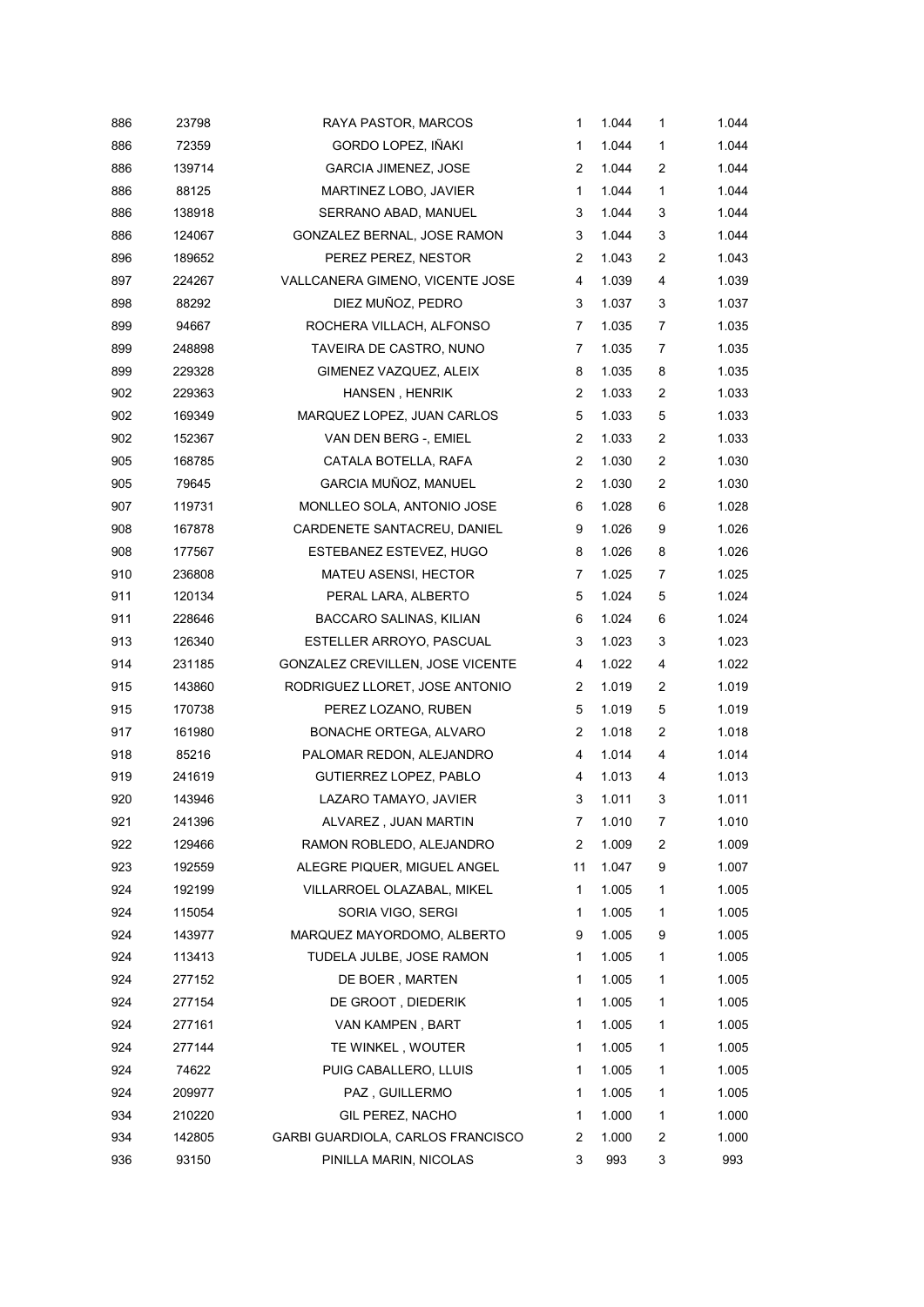| 886 | 23798  | RAYA PASTOR, MARCOS               | $\mathbf{1}$   | 1.044 | 1                | 1.044 |
|-----|--------|-----------------------------------|----------------|-------|------------------|-------|
| 886 | 72359  | GORDO LOPEZ, IÑAKI                | 1              | 1.044 | 1                | 1.044 |
| 886 | 139714 | <b>GARCIA JIMENEZ, JOSE</b>       | $\overline{2}$ | 1.044 | $\boldsymbol{2}$ | 1.044 |
| 886 | 88125  | MARTINEZ LOBO, JAVIER             | 1              | 1.044 | $\mathbf{1}$     | 1.044 |
| 886 | 138918 | SERRANO ABAD, MANUEL              | 3              | 1.044 | 3                | 1.044 |
| 886 | 124067 | GONZALEZ BERNAL, JOSE RAMON       | 3              | 1.044 | 3                | 1.044 |
| 896 | 189652 | PEREZ PEREZ, NESTOR               | $\overline{2}$ | 1.043 | 2                | 1.043 |
| 897 | 224267 | VALLCANERA GIMENO, VICENTE JOSE   | 4              | 1.039 | 4                | 1.039 |
| 898 | 88292  | DIEZ MUÑOZ, PEDRO                 | 3              | 1.037 | 3                | 1.037 |
| 899 | 94667  | ROCHERA VILLACH, ALFONSO          | $\overline{7}$ | 1.035 | 7                | 1.035 |
| 899 | 248898 | TAVEIRA DE CASTRO, NUNO           | $\overline{7}$ | 1.035 | 7                | 1.035 |
| 899 | 229328 | GIMENEZ VAZQUEZ, ALEIX            | 8              | 1.035 | 8                | 1.035 |
| 902 | 229363 | HANSEN, HENRIK                    | 2              | 1.033 | $\overline{c}$   | 1.033 |
| 902 | 169349 | MARQUEZ LOPEZ, JUAN CARLOS        | 5              | 1.033 | 5                | 1.033 |
| 902 | 152367 | VAN DEN BERG -, EMIEL             | $\overline{2}$ | 1.033 | $\boldsymbol{2}$ | 1.033 |
| 905 | 168785 | CATALA BOTELLA, RAFA              | $\overline{2}$ | 1.030 | $\overline{c}$   | 1.030 |
| 905 | 79645  | GARCIA MUÑOZ, MANUEL              | $\overline{2}$ | 1.030 | $\boldsymbol{2}$ | 1.030 |
| 907 | 119731 | MONLLEO SOLA, ANTONIO JOSE        | 6              | 1.028 | 6                | 1.028 |
| 908 | 167878 | CARDENETE SANTACREU, DANIEL       | 9              | 1.026 | 9                | 1.026 |
| 908 | 177567 | ESTEBANEZ ESTEVEZ, HUGO           | 8              | 1.026 | 8                | 1.026 |
| 910 | 236808 | <b>MATEU ASENSI, HECTOR</b>       | 7              | 1.025 | 7                | 1.025 |
| 911 | 120134 | PERAL LARA, ALBERTO               | 5              | 1.024 | 5                | 1.024 |
| 911 | 228646 | BACCARO SALINAS, KILIAN           | 6              | 1.024 | 6                | 1.024 |
| 913 | 126340 | ESTELLER ARROYO, PASCUAL          | 3              | 1.023 | 3                | 1.023 |
| 914 | 231185 | GONZALEZ CREVILLEN, JOSE VICENTE  | 4              | 1.022 | 4                | 1.022 |
| 915 | 143860 | RODRIGUEZ LLORET, JOSE ANTONIO    | 2              | 1.019 | $\overline{c}$   | 1.019 |
| 915 | 170738 | PEREZ LOZANO, RUBEN               | 5              | 1.019 | 5                | 1.019 |
| 917 | 161980 | BONACHE ORTEGA, ALVARO            | 2              | 1.018 | $\overline{c}$   | 1.018 |
| 918 | 85216  | PALOMAR REDON, ALEJANDRO          | 4              | 1.014 | 4                | 1.014 |
| 919 | 241619 | GUTIERREZ LOPEZ, PABLO            | 4              | 1.013 | 4                | 1.013 |
| 920 | 143946 | LAZARO TAMAYO, JAVIER             | 3              | 1.011 | 3                | 1.011 |
| 921 | 241396 | ALVAREZ, JUAN MARTIN              | 7              | 1.010 | 7                | 1.010 |
| 922 | 129466 | RAMON ROBLEDO, ALEJANDRO          | 2              | 1.009 | 2                | 1.009 |
| 923 | 192559 | ALEGRE PIQUER, MIGUEL ANGEL       | 11             | 1.047 | 9                | 1.007 |
| 924 | 192199 | VILLARROEL OLAZABAL, MIKEL        | 1              | 1.005 | 1                | 1.005 |
| 924 | 115054 | SORIA VIGO, SERGI                 | 1              | 1.005 | 1                | 1.005 |
| 924 | 143977 | MARQUEZ MAYORDOMO, ALBERTO        | 9              | 1.005 | 9                | 1.005 |
| 924 | 113413 | TUDELA JULBE, JOSE RAMON          | 1              | 1.005 | 1                | 1.005 |
| 924 | 277152 | DE BOER, MARTEN                   | 1              | 1.005 | 1                | 1.005 |
| 924 | 277154 | DE GROOT, DIEDERIK                | 1              | 1.005 | 1                | 1.005 |
| 924 | 277161 | VAN KAMPEN, BART                  | 1              | 1.005 | 1                | 1.005 |
| 924 | 277144 | TE WINKEL, WOUTER                 | 1              | 1.005 | 1                | 1.005 |
| 924 | 74622  | PUIG CABALLERO, LLUIS             | 1              | 1.005 | 1                | 1.005 |
| 924 | 209977 | PAZ, GUILLERMO                    | 1              | 1.005 | 1                | 1.005 |
| 934 | 210220 | GIL PEREZ, NACHO                  | 1              | 1.000 | 1                | 1.000 |
| 934 | 142805 | GARBI GUARDIOLA, CARLOS FRANCISCO | 2              | 1.000 | 2                | 1.000 |
| 936 | 93150  | PINILLA MARIN, NICOLAS            | 3              | 993   | 3                | 993   |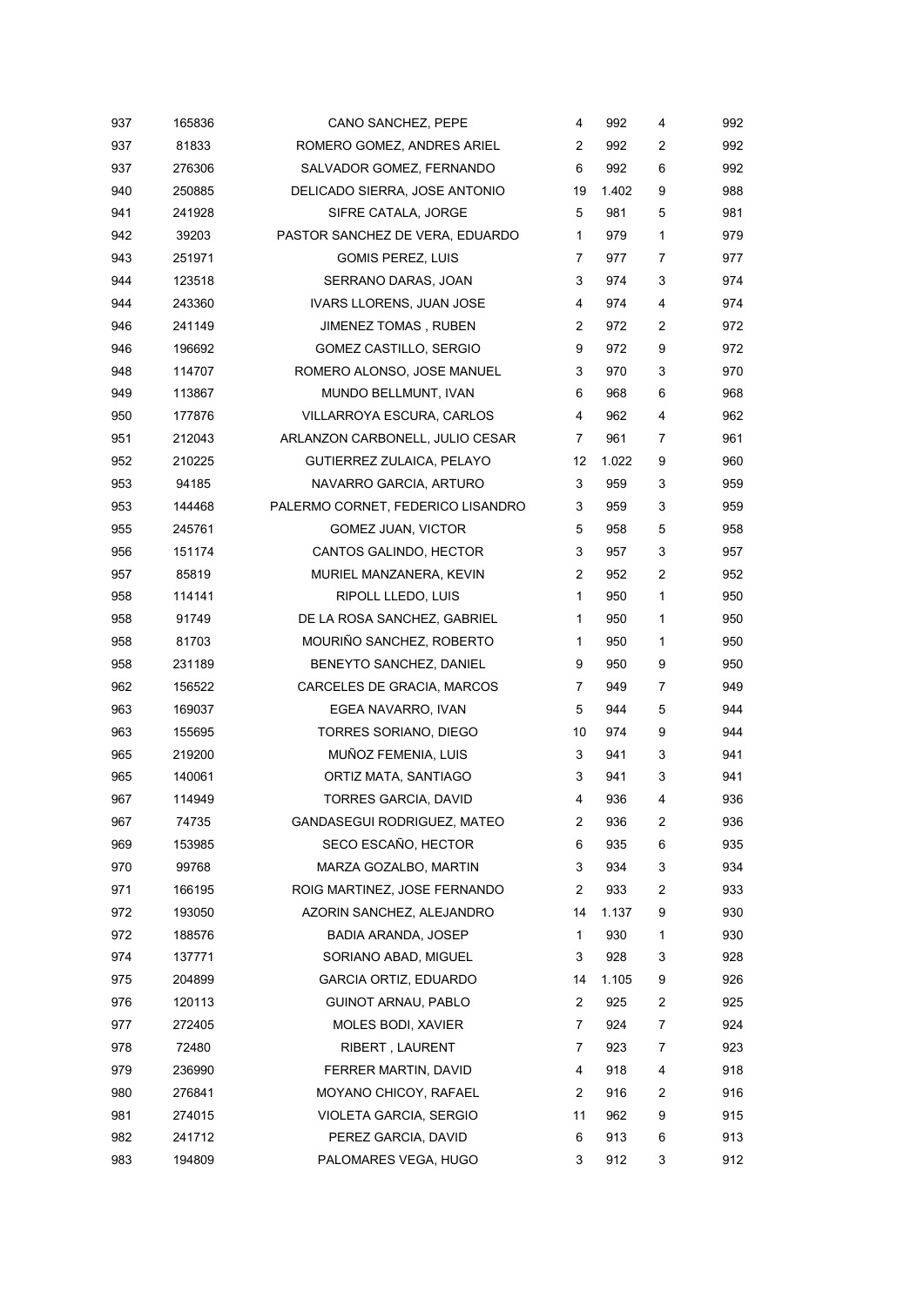| 937 | 165836 | CANO SANCHEZ, PEPE                | 4  | 992   | 4              | 992 |
|-----|--------|-----------------------------------|----|-------|----------------|-----|
| 937 | 81833  | ROMERO GOMEZ, ANDRES ARIEL        | 2  | 992   | 2              | 992 |
| 937 | 276306 | SALVADOR GOMEZ, FERNANDO          | 6  | 992   | 6              | 992 |
| 940 | 250885 | DELICADO SIERRA, JOSE ANTONIO     | 19 | 1.402 | 9              | 988 |
| 941 | 241928 | SIFRE CATALA, JORGE               | 5  | 981   | 5              | 981 |
| 942 | 39203  | PASTOR SANCHEZ DE VERA, EDUARDO   | 1  | 979   | 1              | 979 |
| 943 | 251971 | <b>GOMIS PEREZ, LUIS</b>          | 7  | 977   | 7              | 977 |
| 944 | 123518 | SERRANO DARAS, JOAN               | 3  | 974   | 3              | 974 |
| 944 | 243360 | <b>IVARS LLORENS, JUAN JOSE</b>   | 4  | 974   | 4              | 974 |
| 946 | 241149 | JIMENEZ TOMAS, RUBEN              | 2  | 972   | 2              | 972 |
| 946 | 196692 | GOMEZ CASTILLO, SERGIO            | 9  | 972   | 9              | 972 |
| 948 | 114707 | ROMERO ALONSO, JOSE MANUEL        | 3  | 970   | 3              | 970 |
| 949 | 113867 | MUNDO BELLMUNT, IVAN              | 6  | 968   | 6              | 968 |
| 950 | 177876 | <b>VILLARROYA ESCURA, CARLOS</b>  | 4  | 962   | 4              | 962 |
| 951 | 212043 | ARLANZON CARBONELL, JULIO CESAR   | 7  | 961   | 7              | 961 |
| 952 | 210225 | GUTIERREZ ZULAICA, PELAYO         | 12 | 1.022 | 9              | 960 |
| 953 | 94185  | NAVARRO GARCIA, ARTURO            | 3  | 959   | 3              | 959 |
| 953 | 144468 | PALERMO CORNET, FEDERICO LISANDRO | 3  | 959   | 3              | 959 |
| 955 | 245761 | GOMEZ JUAN, VICTOR                | 5  | 958   | 5              | 958 |
| 956 | 151174 | CANTOS GALINDO, HECTOR            | 3  | 957   | 3              | 957 |
| 957 | 85819  | MURIEL MANZANERA, KEVIN           | 2  | 952   | $\overline{c}$ | 952 |
| 958 | 114141 | RIPOLL LLEDO, LUIS                | 1  | 950   | 1              | 950 |
| 958 | 91749  | DE LA ROSA SANCHEZ, GABRIEL       | 1  | 950   | 1              | 950 |
| 958 | 81703  | MOURIÑO SANCHEZ, ROBERTO          | 1  | 950   | 1              | 950 |
| 958 | 231189 | BENEYTO SANCHEZ, DANIEL           | 9  | 950   | 9              | 950 |
| 962 | 156522 | CARCELES DE GRACIA, MARCOS        | 7  | 949   | 7              | 949 |
| 963 | 169037 | EGEA NAVARRO, IVAN                | 5  | 944   | 5              | 944 |
| 963 | 155695 | TORRES SORIANO, DIEGO             | 10 | 974   | 9              | 944 |
| 965 | 219200 | MUÑOZ FEMENIA, LUIS               | 3  | 941   | 3              | 941 |
| 965 | 140061 | ORTIZ MATA, SANTIAGO              | 3  | 941   | 3              | 941 |
| 967 | 114949 | <b>TORRES GARCIA, DAVID</b>       | 4  | 936   | 4              | 936 |
| 967 | 74735  | GANDASEGUI RODRIGUEZ, MATEO       | 2  | 936   | 2              | 936 |
| 969 | 153985 | SECO ESCAÑO, HECTOR               | 6  | 935   | 6              | 935 |
| 970 | 99768  | MARZA GOZALBO, MARTIN             | 3  | 934   | 3              | 934 |
| 971 | 166195 | ROIG MARTINEZ, JOSE FERNANDO      | 2  | 933   | 2              | 933 |
| 972 | 193050 | AZORIN SANCHEZ, ALEJANDRO         | 14 | 1.137 | 9              | 930 |
| 972 | 188576 | BADIA ARANDA, JOSEP               | 1  | 930   | 1              | 930 |
| 974 | 137771 | SORIANO ABAD, MIGUEL              | 3  | 928   | 3              | 928 |
| 975 | 204899 | <b>GARCIA ORTIZ, EDUARDO</b>      | 14 | 1.105 | 9              | 926 |
| 976 | 120113 | <b>GUINOT ARNAU, PABLO</b>        | 2  | 925   | $\overline{c}$ | 925 |
| 977 | 272405 | MOLES BODI, XAVIER                | 7  | 924   | 7              | 924 |
| 978 | 72480  | RIBERT, LAURENT                   | 7  | 923   | 7              | 923 |
| 979 | 236990 | FERRER MARTIN, DAVID              | 4  | 918   | 4              | 918 |
| 980 | 276841 | MOYANO CHICOY, RAFAEL             | 2  | 916   | $\overline{c}$ | 916 |
| 981 | 274015 | VIOLETA GARCIA, SERGIO            | 11 | 962   | 9              | 915 |
| 982 | 241712 | PEREZ GARCIA, DAVID               | 6  | 913   | 6              | 913 |
| 983 | 194809 | PALOMARES VEGA, HUGO              | 3  | 912   | 3              | 912 |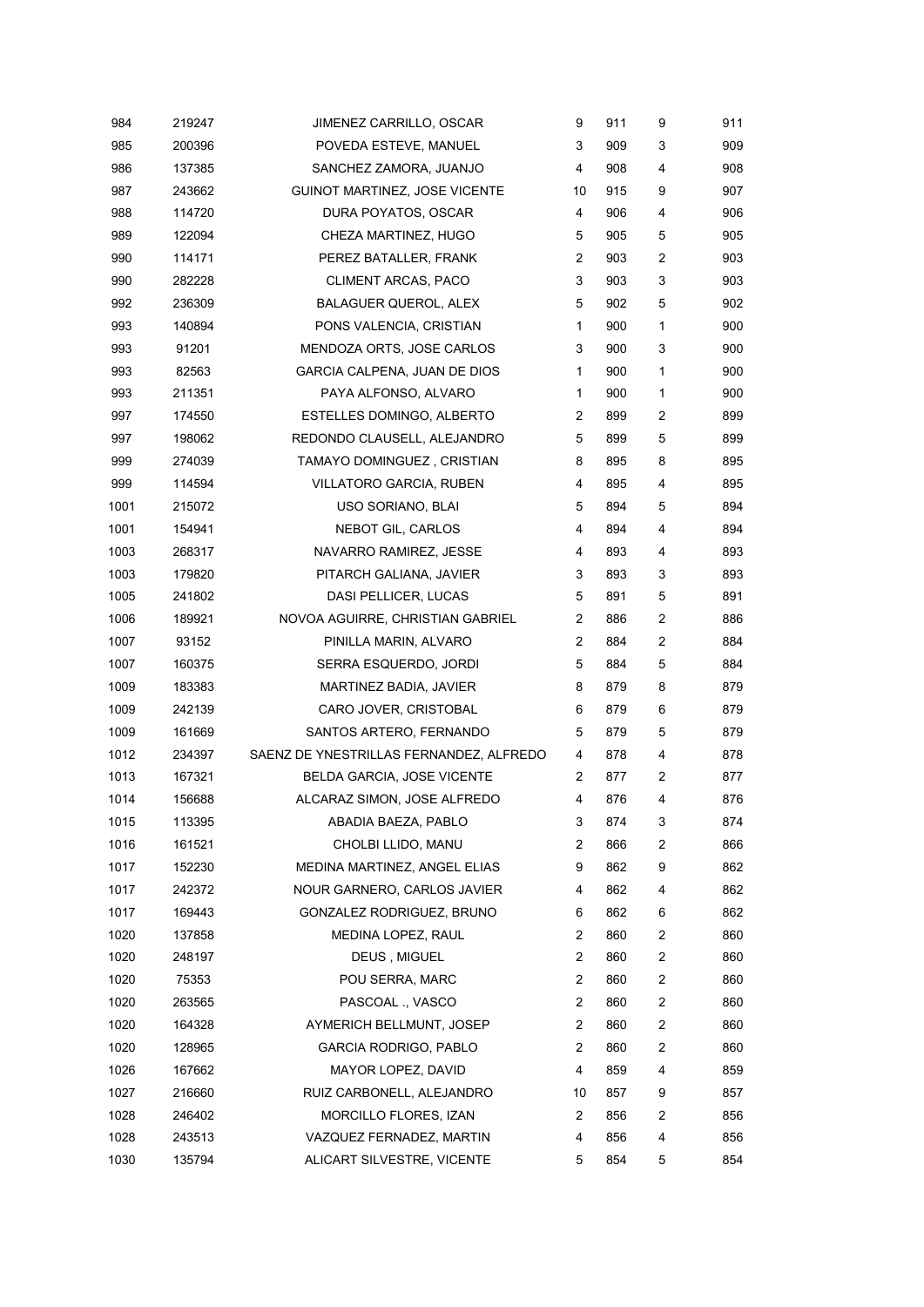| 984  | 219247 | JIMENEZ CARRILLO, OSCAR                 | 9              | 911 | 9 | 911 |
|------|--------|-----------------------------------------|----------------|-----|---|-----|
| 985  | 200396 | POVEDA ESTEVE, MANUEL                   | 3              | 909 | 3 | 909 |
| 986  | 137385 | SANCHEZ ZAMORA, JUANJO                  | 4              | 908 | 4 | 908 |
| 987  | 243662 | <b>GUINOT MARTINEZ, JOSE VICENTE</b>    | 10             | 915 | 9 | 907 |
| 988  | 114720 | DURA POYATOS, OSCAR                     | 4              | 906 | 4 | 906 |
| 989  | 122094 | CHEZA MARTINEZ, HUGO                    | 5              | 905 | 5 | 905 |
| 990  | 114171 | PEREZ BATALLER, FRANK                   | 2              | 903 | 2 | 903 |
| 990  | 282228 | CLIMENT ARCAS, PACO                     | 3              | 903 | 3 | 903 |
| 992  | 236309 | <b>BALAGUER QUEROL, ALEX</b>            | 5              | 902 | 5 | 902 |
| 993  | 140894 | PONS VALENCIA, CRISTIAN                 | 1              | 900 | 1 | 900 |
| 993  | 91201  | MENDOZA ORTS, JOSE CARLOS               | 3              | 900 | 3 | 900 |
| 993  | 82563  | GARCIA CALPENA, JUAN DE DIOS            | 1              | 900 | 1 | 900 |
| 993  | 211351 | PAYA ALFONSO, ALVARO                    | 1              | 900 | 1 | 900 |
| 997  | 174550 | ESTELLES DOMINGO, ALBERTO               | $\overline{2}$ | 899 | 2 | 899 |
| 997  | 198062 | REDONDO CLAUSELL, ALEJANDRO             | 5              | 899 | 5 | 899 |
| 999  | 274039 | TAMAYO DOMINGUEZ, CRISTIAN              | 8              | 895 | 8 | 895 |
| 999  | 114594 | <b>VILLATORO GARCIA, RUBEN</b>          | 4              | 895 | 4 | 895 |
| 1001 | 215072 | USO SORIANO, BLAI                       | 5              | 894 | 5 | 894 |
| 1001 | 154941 | NEBOT GIL, CARLOS                       | 4              | 894 | 4 | 894 |
| 1003 | 268317 | NAVARRO RAMIREZ, JESSE                  | 4              | 893 | 4 | 893 |
| 1003 | 179820 | PITARCH GALIANA, JAVIER                 | 3              | 893 | 3 | 893 |
| 1005 | 241802 | DASI PELLICER, LUCAS                    | 5              | 891 | 5 | 891 |
| 1006 | 189921 | NOVOA AGUIRRE, CHRISTIAN GABRIEL        | $\overline{c}$ | 886 | 2 | 886 |
| 1007 | 93152  | PINILLA MARIN, ALVARO                   | $\overline{2}$ | 884 | 2 | 884 |
| 1007 | 160375 | SERRA ESQUERDO, JORDI                   | 5              | 884 | 5 | 884 |
| 1009 | 183383 | MARTINEZ BADIA, JAVIER                  | 8              | 879 | 8 | 879 |
| 1009 | 242139 | CARO JOVER, CRISTOBAL                   | 6              | 879 | 6 | 879 |
| 1009 | 161669 | SANTOS ARTERO, FERNANDO                 | 5              | 879 | 5 | 879 |
| 1012 | 234397 | SAENZ DE YNESTRILLAS FERNANDEZ, ALFREDO | 4              | 878 | 4 | 878 |
| 1013 | 167321 | BELDA GARCIA, JOSE VICENTE              | 2              | 877 | 2 | 877 |
| 1014 | 156688 | ALCARAZ SIMON, JOSE ALFREDO             | 4              | 876 | 4 | 876 |
| 1015 | 113395 | ABADIA BAEZA, PABLO                     | 3              | 874 | 3 | 874 |
| 1016 | 161521 | CHOLBI LLIDO, MANU                      | 2              | 866 | 2 | 866 |
| 1017 | 152230 | MEDINA MARTINEZ, ANGEL ELIAS            | 9              | 862 | 9 | 862 |
| 1017 | 242372 | NOUR GARNERO, CARLOS JAVIER             | 4              | 862 | 4 | 862 |
| 1017 | 169443 | GONZALEZ RODRIGUEZ, BRUNO               | 6              | 862 | 6 | 862 |
| 1020 | 137858 | MEDINA LOPEZ, RAUL                      | $\overline{c}$ | 860 | 2 | 860 |
| 1020 | 248197 | <b>DEUS, MIGUEL</b>                     | $\overline{c}$ | 860 | 2 | 860 |
| 1020 | 75353  | POU SERRA, MARC                         | $\overline{c}$ | 860 | 2 | 860 |
| 1020 | 263565 | PASCOAL ., VASCO                        | 2              | 860 | 2 | 860 |
| 1020 | 164328 | AYMERICH BELLMUNT, JOSEP                | 2              | 860 | 2 | 860 |
| 1020 | 128965 | <b>GARCIA RODRIGO, PABLO</b>            | 2              | 860 | 2 | 860 |
| 1026 | 167662 | MAYOR LOPEZ, DAVID                      | 4              | 859 | 4 | 859 |
| 1027 | 216660 | RUIZ CARBONELL, ALEJANDRO               | 10             | 857 | 9 | 857 |
| 1028 | 246402 | MORCILLO FLORES, IZAN                   | 2              | 856 | 2 | 856 |
| 1028 | 243513 | VAZQUEZ FERNADEZ, MARTIN                | 4              | 856 | 4 | 856 |
| 1030 | 135794 | ALICART SILVESTRE, VICENTE              | 5              | 854 | 5 | 854 |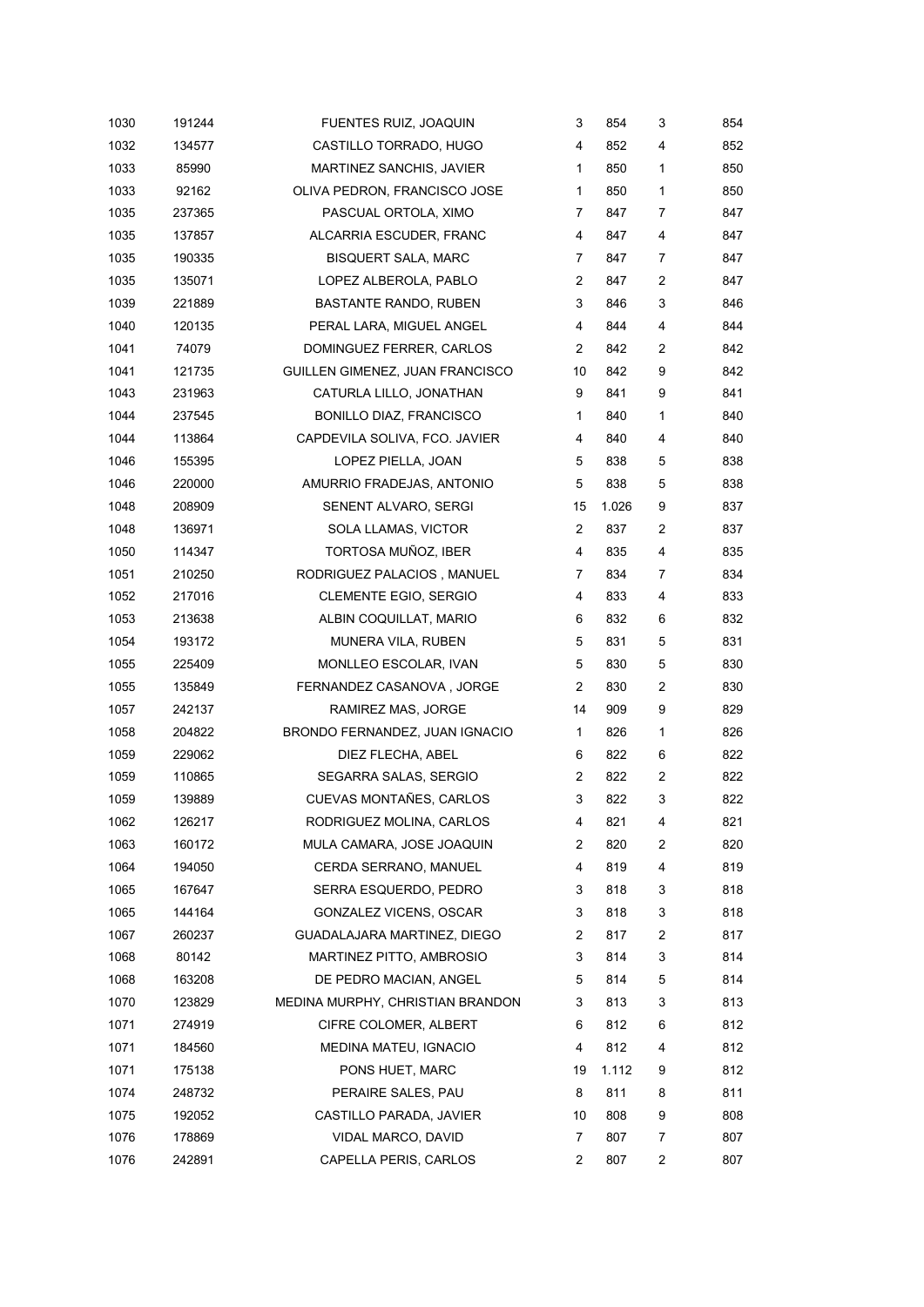| 1030 | 191244 | FUENTES RUIZ, JOAQUIN            | 3              | 854   | 3 | 854 |
|------|--------|----------------------------------|----------------|-------|---|-----|
| 1032 | 134577 | CASTILLO TORRADO, HUGO           | 4              | 852   | 4 | 852 |
| 1033 | 85990  | MARTINEZ SANCHIS, JAVIER         | 1              | 850   | 1 | 850 |
| 1033 | 92162  | OLIVA PEDRON, FRANCISCO JOSE     | 1              | 850   | 1 | 850 |
| 1035 | 237365 | PASCUAL ORTOLA, XIMO             | 7              | 847   | 7 | 847 |
| 1035 | 137857 | ALCARRIA ESCUDER, FRANC          | 4              | 847   | 4 | 847 |
| 1035 | 190335 | <b>BISQUERT SALA, MARC</b>       | 7              | 847   | 7 | 847 |
| 1035 | 135071 | LOPEZ ALBEROLA, PABLO            | 2              | 847   | 2 | 847 |
| 1039 | 221889 | BASTANTE RANDO, RUBEN            | 3              | 846   | 3 | 846 |
| 1040 | 120135 | PERAL LARA, MIGUEL ANGEL         | 4              | 844   | 4 | 844 |
| 1041 | 74079  | DOMINGUEZ FERRER, CARLOS         | $\overline{2}$ | 842   | 2 | 842 |
| 1041 | 121735 | GUILLEN GIMENEZ, JUAN FRANCISCO  | 10             | 842   | 9 | 842 |
| 1043 | 231963 | CATURLA LILLO, JONATHAN          | 9              | 841   | 9 | 841 |
| 1044 | 237545 | <b>BONILLO DIAZ, FRANCISCO</b>   | 1              | 840   | 1 | 840 |
| 1044 | 113864 | CAPDEVILA SOLIVA, FCO. JAVIER    | 4              | 840   | 4 | 840 |
| 1046 | 155395 | LOPEZ PIELLA, JOAN               | 5              | 838   | 5 | 838 |
| 1046 | 220000 | AMURRIO FRADEJAS, ANTONIO        | 5              | 838   | 5 | 838 |
| 1048 | 208909 | SENENT ALVARO, SERGI             | 15             | 1.026 | 9 | 837 |
| 1048 | 136971 | SOLA LLAMAS, VICTOR              | 2              | 837   | 2 | 837 |
| 1050 | 114347 | TORTOSA MUÑOZ, IBER              | 4              | 835   | 4 | 835 |
| 1051 | 210250 | RODRIGUEZ PALACIOS, MANUEL       | 7              | 834   | 7 | 834 |
| 1052 | 217016 | <b>CLEMENTE EGIO, SERGIO</b>     | 4              | 833   | 4 | 833 |
| 1053 | 213638 | ALBIN COQUILLAT, MARIO           | 6              | 832   | 6 | 832 |
| 1054 | 193172 | MUNERA VILA, RUBEN               | 5              | 831   | 5 | 831 |
| 1055 | 225409 | MONLLEO ESCOLAR, IVAN            | 5              | 830   | 5 | 830 |
| 1055 | 135849 | FERNANDEZ CASANOVA, JORGE        | $\overline{2}$ | 830   | 2 | 830 |
| 1057 | 242137 | RAMIREZ MAS, JORGE               | 14             | 909   | 9 | 829 |
| 1058 | 204822 | BRONDO FERNANDEZ, JUAN IGNACIO   | 1              | 826   | 1 | 826 |
| 1059 | 229062 | DIEZ FLECHA, ABEL                | 6              | 822   | 6 | 822 |
| 1059 | 110865 | SEGARRA SALAS, SERGIO            | 2              | 822   | 2 | 822 |
| 1059 | 139889 | CUEVAS MONTAÑES, CARLOS          | 3              | 822   | 3 | 822 |
| 1062 | 126217 | RODRIGUEZ MOLINA, CARLOS         | 4              | 821   | 4 | 821 |
| 1063 | 160172 | MULA CAMARA, JOSE JOAQUIN        | 2              | 820   | 2 | 820 |
| 1064 | 194050 | CERDA SERRANO, MANUEL            | 4              | 819   | 4 | 819 |
| 1065 | 167647 | SERRA ESQUERDO, PEDRO            | 3              | 818   | 3 | 818 |
| 1065 | 144164 | GONZALEZ VICENS, OSCAR           | 3              | 818   | 3 | 818 |
| 1067 | 260237 | GUADALAJARA MARTINEZ, DIEGO      | 2              | 817   | 2 | 817 |
| 1068 | 80142  | MARTINEZ PITTO, AMBROSIO         | 3              | 814   | 3 | 814 |
| 1068 | 163208 | DE PEDRO MACIAN, ANGEL           | 5              | 814   | 5 | 814 |
| 1070 | 123829 | MEDINA MURPHY, CHRISTIAN BRANDON | 3              | 813   | 3 | 813 |
| 1071 | 274919 | CIFRE COLOMER, ALBERT            | 6              | 812   | 6 | 812 |
| 1071 | 184560 | MEDINA MATEU, IGNACIO            | 4              | 812   | 4 | 812 |
| 1071 | 175138 | PONS HUET, MARC                  | 19             | 1.112 | 9 | 812 |
| 1074 | 248732 | PERAIRE SALES, PAU               | 8              | 811   | 8 | 811 |
| 1075 | 192052 | CASTILLO PARADA, JAVIER          | 10             | 808   | 9 | 808 |
| 1076 | 178869 | VIDAL MARCO, DAVID               | 7              | 807   | 7 | 807 |
| 1076 | 242891 | CAPELLA PERIS, CARLOS            | 2              | 807   | 2 | 807 |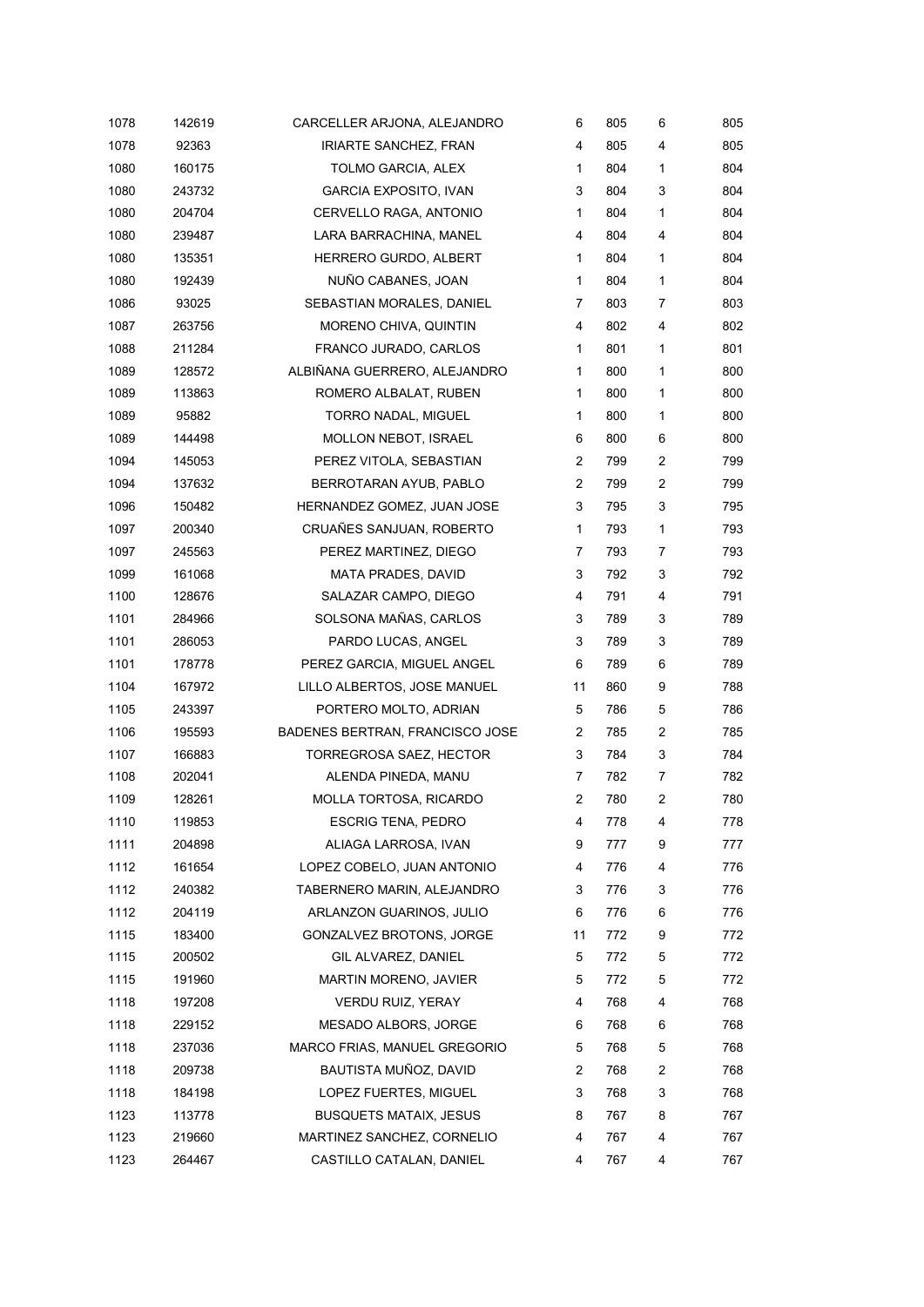| 1078 | 142619 | CARCELLER ARJONA, ALEJANDRO     | 6              | 805 | 6 | 805 |
|------|--------|---------------------------------|----------------|-----|---|-----|
| 1078 | 92363  | <b>IRIARTE SANCHEZ, FRAN</b>    | 4              | 805 | 4 | 805 |
| 1080 | 160175 | TOLMO GARCIA, ALEX              | 1              | 804 | 1 | 804 |
| 1080 | 243732 | <b>GARCIA EXPOSITO, IVAN</b>    | 3              | 804 | 3 | 804 |
| 1080 | 204704 | CERVELLO RAGA, ANTONIO          | $\mathbf{1}$   | 804 | 1 | 804 |
| 1080 | 239487 | LARA BARRACHINA, MANEL          | 4              | 804 | 4 | 804 |
| 1080 | 135351 | HERRERO GURDO, ALBERT           | $\mathbf{1}$   | 804 | 1 | 804 |
| 1080 | 192439 | NUÑO CABANES, JOAN              | 1              | 804 | 1 | 804 |
| 1086 | 93025  | SEBASTIAN MORALES, DANIEL       | 7              | 803 | 7 | 803 |
| 1087 | 263756 | MORENO CHIVA, QUINTIN           | 4              | 802 | 4 | 802 |
| 1088 | 211284 | FRANCO JURADO, CARLOS           | 1              | 801 | 1 | 801 |
| 1089 | 128572 | ALBIÑANA GUERRERO, ALEJANDRO    | 1              | 800 | 1 | 800 |
| 1089 | 113863 | ROMERO ALBALAT, RUBEN           | 1              | 800 | 1 | 800 |
| 1089 | 95882  | TORRO NADAL, MIGUEL             | 1              | 800 | 1 | 800 |
| 1089 | 144498 | MOLLON NEBOT, ISRAEL            | 6              | 800 | 6 | 800 |
| 1094 | 145053 | PEREZ VITOLA, SEBASTIAN         | 2              | 799 | 2 | 799 |
| 1094 | 137632 | BERROTARAN AYUB, PABLO          | 2              | 799 | 2 | 799 |
| 1096 | 150482 | HERNANDEZ GOMEZ, JUAN JOSE      | 3              | 795 | 3 | 795 |
| 1097 | 200340 | CRUAÑES SANJUAN, ROBERTO        | 1              | 793 | 1 | 793 |
| 1097 | 245563 | PEREZ MARTINEZ, DIEGO           | 7              | 793 | 7 | 793 |
| 1099 | 161068 | <b>MATA PRADES, DAVID</b>       | 3              | 792 | 3 | 792 |
| 1100 | 128676 | SALAZAR CAMPO, DIEGO            | 4              | 791 | 4 | 791 |
| 1101 | 284966 | SOLSONA MAÑAS, CARLOS           | 3              | 789 | 3 | 789 |
| 1101 | 286053 | PARDO LUCAS, ANGEL              | 3              | 789 | 3 | 789 |
| 1101 | 178778 | PEREZ GARCIA, MIGUEL ANGEL      | 6              | 789 | 6 | 789 |
| 1104 | 167972 | LILLO ALBERTOS, JOSE MANUEL     | 11             | 860 | 9 | 788 |
| 1105 | 243397 | PORTERO MOLTO, ADRIAN           | 5              | 786 | 5 | 786 |
| 1106 | 195593 | BADENES BERTRAN, FRANCISCO JOSE | 2              | 785 | 2 | 785 |
| 1107 | 166883 | TORREGROSA SAEZ, HECTOR         | 3              | 784 | 3 | 784 |
| 1108 | 202041 | ALENDA PINEDA, MANU             | 7              | 782 | 7 | 782 |
| 1109 | 128261 | MOLLA TORTOSA, RICARDO          | 2              | 780 | 2 | 780 |
| 1110 | 119853 | <b>ESCRIG TENA, PEDRO</b>       | 4              | 778 | 4 | 778 |
| 1111 | 204898 | ALIAGA LARROSA, IVAN            | 9              | 777 | 9 | 777 |
| 1112 | 161654 | LOPEZ COBELO, JUAN ANTONIO      | 4              | 776 | 4 | 776 |
| 1112 | 240382 | TABERNERO MARIN, ALEJANDRO      | 3              | 776 | 3 | 776 |
| 1112 | 204119 | ARLANZON GUARINOS, JULIO        | 6              | 776 | 6 | 776 |
| 1115 | 183400 | GONZALVEZ BROTONS, JORGE        | 11             | 772 | 9 | 772 |
| 1115 | 200502 | GIL ALVAREZ, DANIEL             | 5              | 772 | 5 | 772 |
| 1115 | 191960 | MARTIN MORENO, JAVIER           | 5              | 772 | 5 | 772 |
| 1118 | 197208 | <b>VERDU RUIZ, YERAY</b>        | 4              | 768 | 4 | 768 |
| 1118 | 229152 | MESADO ALBORS, JORGE            | 6              | 768 | 6 | 768 |
| 1118 | 237036 | MARCO FRIAS, MANUEL GREGORIO    | 5              | 768 | 5 | 768 |
| 1118 | 209738 | BAUTISTA MUÑOZ, DAVID           | $\overline{c}$ | 768 | 2 | 768 |
| 1118 | 184198 | LOPEZ FUERTES, MIGUEL           | 3              | 768 | 3 | 768 |
| 1123 | 113778 | <b>BUSQUETS MATAIX, JESUS</b>   | 8              | 767 | 8 | 767 |
| 1123 | 219660 | MARTINEZ SANCHEZ, CORNELIO      | 4              | 767 | 4 | 767 |
| 1123 | 264467 | CASTILLO CATALAN, DANIEL        | 4              | 767 | 4 | 767 |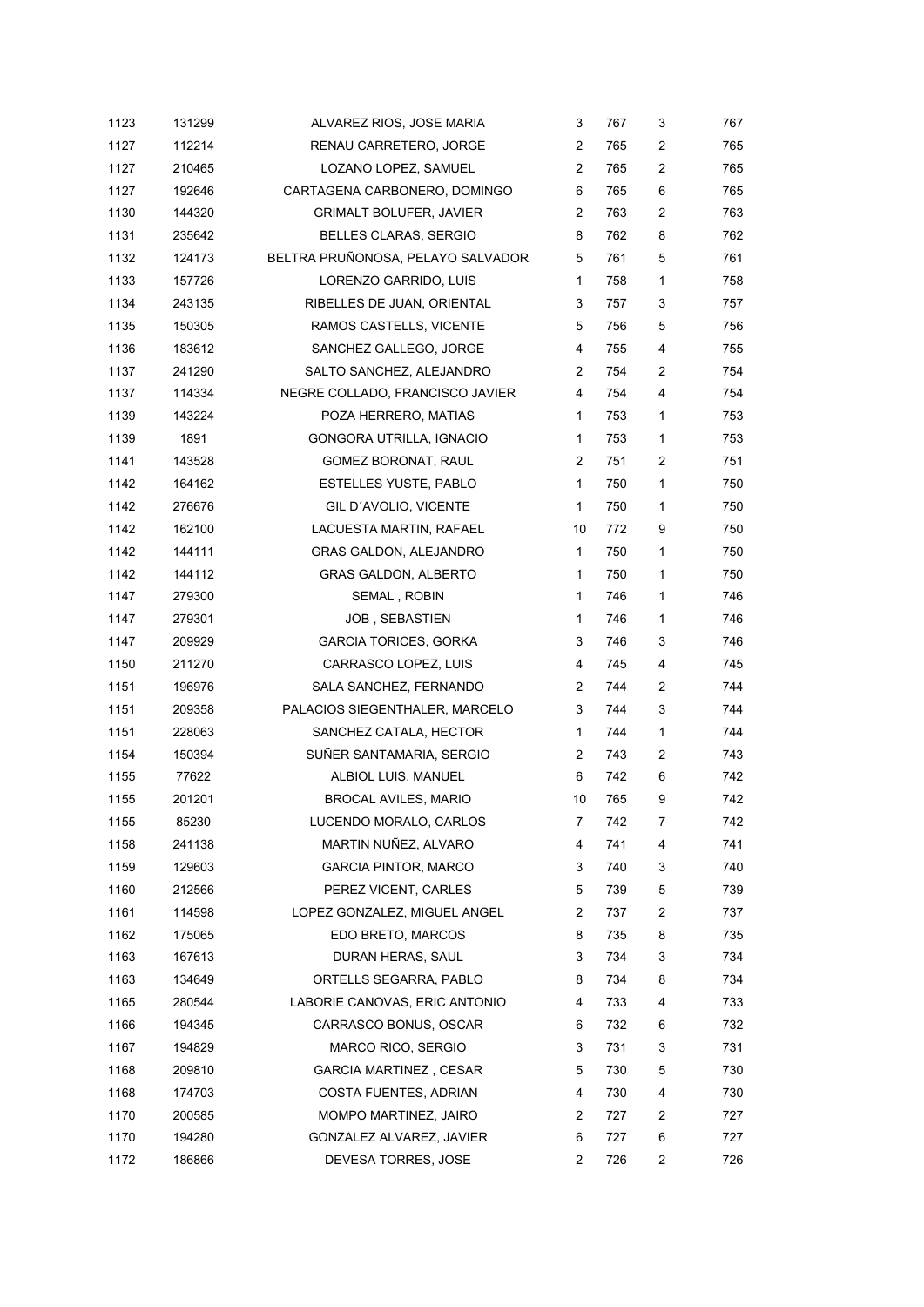| 1123 | 131299 | ALVAREZ RIOS, JOSE MARIA          | 3              | 767 | 3              | 767 |
|------|--------|-----------------------------------|----------------|-----|----------------|-----|
| 1127 | 112214 | RENAU CARRETERO, JORGE            | 2              | 765 | 2              | 765 |
| 1127 | 210465 | LOZANO LOPEZ, SAMUEL              | $\overline{2}$ | 765 | 2              | 765 |
| 1127 | 192646 | CARTAGENA CARBONERO, DOMINGO      | 6              | 765 | 6              | 765 |
| 1130 | 144320 | <b>GRIMALT BOLUFER, JAVIER</b>    | $\overline{2}$ | 763 | 2              | 763 |
| 1131 | 235642 | BELLES CLARAS, SERGIO             | 8              | 762 | 8              | 762 |
| 1132 | 124173 | BELTRA PRUÑONOSA, PELAYO SALVADOR | 5              | 761 | 5              | 761 |
| 1133 | 157726 | LORENZO GARRIDO, LUIS             | 1              | 758 | 1              | 758 |
| 1134 | 243135 | RIBELLES DE JUAN, ORIENTAL        | 3              | 757 | 3              | 757 |
| 1135 | 150305 | RAMOS CASTELLS, VICENTE           | 5              | 756 | 5              | 756 |
| 1136 | 183612 | SANCHEZ GALLEGO, JORGE            | 4              | 755 | 4              | 755 |
| 1137 | 241290 | SALTO SANCHEZ, ALEJANDRO          | $\overline{2}$ | 754 | 2              | 754 |
| 1137 | 114334 | NEGRE COLLADO, FRANCISCO JAVIER   | 4              | 754 | 4              | 754 |
| 1139 | 143224 | POZA HERRERO, MATIAS              | $\mathbf{1}$   | 753 | 1              | 753 |
| 1139 | 1891   | GONGORA UTRILLA, IGNACIO          | 1              | 753 | 1              | 753 |
| 1141 | 143528 | GOMEZ BORONAT, RAUL               | 2              | 751 | 2              | 751 |
| 1142 | 164162 | <b>ESTELLES YUSTE, PABLO</b>      | $\mathbf{1}$   | 750 | 1              | 750 |
| 1142 | 276676 | GIL D'AVOLIO, VICENTE             | 1              | 750 | 1              | 750 |
| 1142 | 162100 | LACUESTA MARTIN, RAFAEL           | 10             | 772 | 9              | 750 |
| 1142 | 144111 | GRAS GALDON, ALEJANDRO            | $\mathbf{1}$   | 750 | 1              | 750 |
| 1142 | 144112 | <b>GRAS GALDON, ALBERTO</b>       | 1              | 750 | 1              | 750 |
| 1147 | 279300 | SEMAL, ROBIN                      | 1              | 746 | 1              | 746 |
| 1147 | 279301 | <b>JOB, SEBASTIEN</b>             | 1              | 746 | 1              | 746 |
| 1147 | 209929 | <b>GARCIA TORICES, GORKA</b>      | 3              | 746 | 3              | 746 |
| 1150 | 211270 | CARRASCO LOPEZ, LUIS              | 4              | 745 | 4              | 745 |
| 1151 | 196976 | SALA SANCHEZ, FERNANDO            | 2              | 744 | $\overline{c}$ | 744 |
| 1151 | 209358 | PALACIOS SIEGENTHALER, MARCELO    | 3              | 744 | 3              | 744 |
| 1151 | 228063 | SANCHEZ CATALA, HECTOR            | 1              | 744 | 1              | 744 |
| 1154 | 150394 | SUÑER SANTAMARIA, SERGIO          | $\overline{2}$ | 743 | 2              | 743 |
| 1155 | 77622  | ALBIOL LUIS, MANUEL               | 6              | 742 | 6              | 742 |
| 1155 | 201201 | <b>BROCAL AVILES, MARIO</b>       | 10             | 765 | 9              | 742 |
| 1155 | 85230  | LUCENDO MORALO, CARLOS            | 7              | 742 | 7              | 742 |
| 1158 | 241138 | MARTIN NUÑEZ, ALVARO              | 4              | 741 | 4              | 741 |
| 1159 | 129603 | <b>GARCIA PINTOR, MARCO</b>       | 3              | 740 | 3              | 740 |
| 1160 | 212566 | PEREZ VICENT, CARLES              | 5              | 739 | 5              | 739 |
| 1161 | 114598 | LOPEZ GONZALEZ, MIGUEL ANGEL      | 2              | 737 | 2              | 737 |
| 1162 | 175065 | EDO BRETO, MARCOS                 | 8              | 735 | 8              | 735 |
| 1163 | 167613 | DURAN HERAS, SAUL                 | 3              | 734 | 3              | 734 |
| 1163 | 134649 | ORTELLS SEGARRA, PABLO            | 8              | 734 | 8              | 734 |
| 1165 | 280544 | LABORIE CANOVAS, ERIC ANTONIO     | 4              | 733 | 4              | 733 |
| 1166 | 194345 | CARRASCO BONUS, OSCAR             | 6              | 732 | 6              | 732 |
| 1167 | 194829 | <b>MARCO RICO, SERGIO</b>         | 3              | 731 | 3              | 731 |
| 1168 | 209810 | <b>GARCIA MARTINEZ, CESAR</b>     | 5              | 730 | 5              | 730 |
| 1168 | 174703 | COSTA FUENTES, ADRIAN             | 4              | 730 | 4              | 730 |
| 1170 | 200585 | MOMPO MARTINEZ, JAIRO             | 2              | 727 | 2              | 727 |
| 1170 | 194280 | GONZALEZ ALVAREZ, JAVIER          | 6              | 727 | 6              | 727 |
| 1172 | 186866 | DEVESA TORRES, JOSE               | $\overline{c}$ | 726 | 2              | 726 |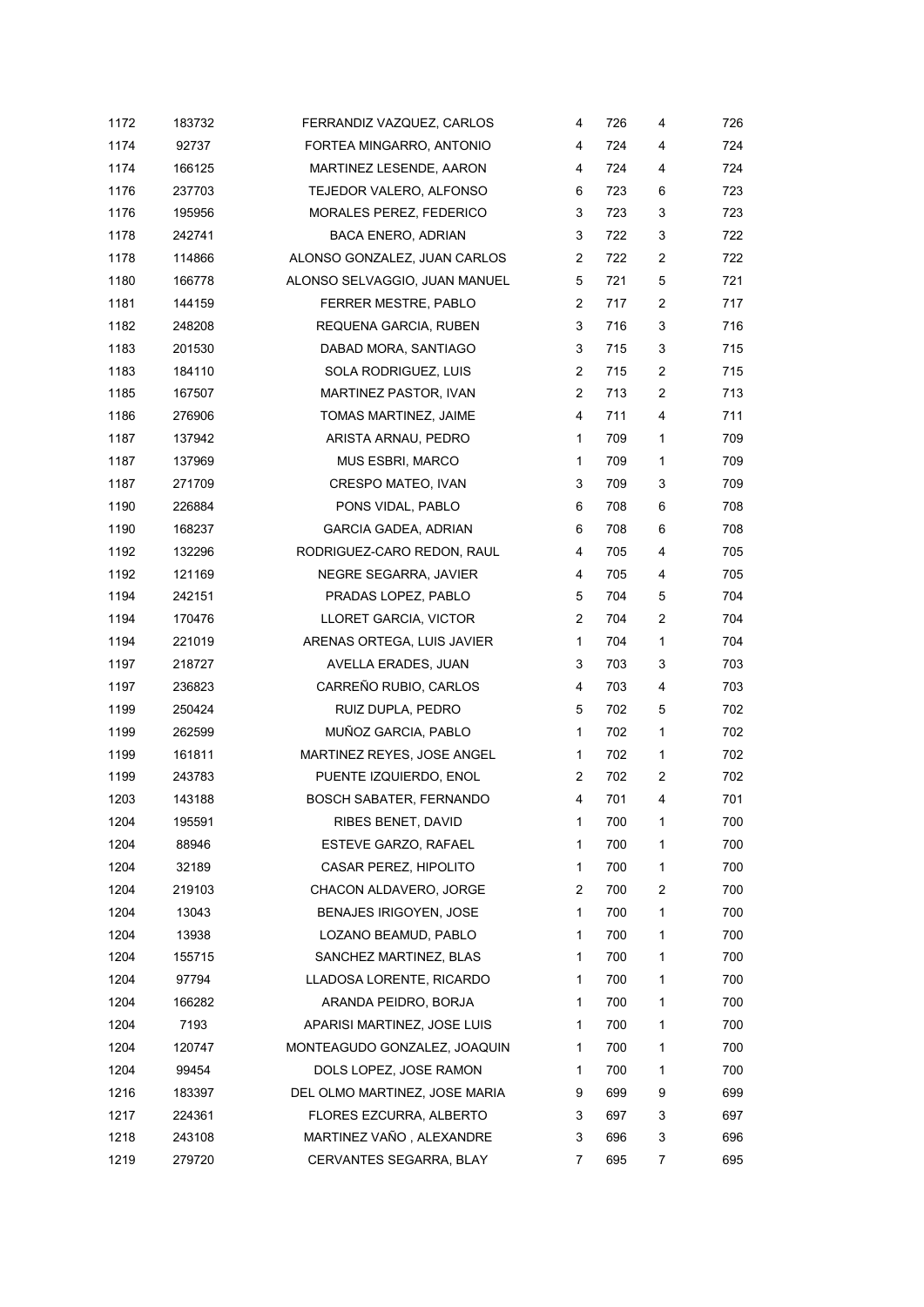| 1172 | 183732 | FERRANDIZ VAZQUEZ, CARLOS     | 4              | 726 | 4              | 726 |
|------|--------|-------------------------------|----------------|-----|----------------|-----|
| 1174 | 92737  | FORTEA MINGARRO, ANTONIO      | 4              | 724 | 4              | 724 |
| 1174 | 166125 | MARTINEZ LESENDE, AARON       | 4              | 724 | 4              | 724 |
| 1176 | 237703 | TEJEDOR VALERO, ALFONSO       | 6              | 723 | 6              | 723 |
| 1176 | 195956 | MORALES PEREZ, FEDERICO       | 3              | 723 | 3              | 723 |
| 1178 | 242741 | <b>BACA ENERO, ADRIAN</b>     | 3              | 722 | 3              | 722 |
| 1178 | 114866 | ALONSO GONZALEZ, JUAN CARLOS  | 2              | 722 | $\overline{c}$ | 722 |
| 1180 | 166778 | ALONSO SELVAGGIO, JUAN MANUEL | 5              | 721 | 5              | 721 |
| 1181 | 144159 | FERRER MESTRE, PABLO          | 2              | 717 | $\overline{c}$ | 717 |
| 1182 | 248208 | REQUENA GARCIA, RUBEN         | 3              | 716 | 3              | 716 |
| 1183 | 201530 | DABAD MORA, SANTIAGO          | 3              | 715 | 3              | 715 |
| 1183 | 184110 | SOLA RODRIGUEZ, LUIS          | $\overline{2}$ | 715 | $\overline{c}$ | 715 |
| 1185 | 167507 | MARTINEZ PASTOR, IVAN         | 2              | 713 | 2              | 713 |
| 1186 | 276906 | TOMAS MARTINEZ, JAIME         | $\overline{4}$ | 711 | 4              | 711 |
| 1187 | 137942 | ARISTA ARNAU, PEDRO           | 1              | 709 | 1              | 709 |
| 1187 | 137969 | MUS ESBRI, MARCO              | 1              | 709 | 1              | 709 |
| 1187 | 271709 | CRESPO MATEO, IVAN            | 3              | 709 | 3              | 709 |
| 1190 | 226884 | PONS VIDAL, PABLO             | 6              | 708 | 6              | 708 |
| 1190 | 168237 | <b>GARCIA GADEA, ADRIAN</b>   | 6              | 708 | 6              | 708 |
| 1192 | 132296 | RODRIGUEZ-CARO REDON, RAUL    | 4              | 705 | 4              | 705 |
| 1192 | 121169 | NEGRE SEGARRA, JAVIER         | 4              | 705 | 4              | 705 |
| 1194 | 242151 | PRADAS LOPEZ, PABLO           | 5              | 704 | 5              | 704 |
| 1194 | 170476 | LLORET GARCIA, VICTOR         | 2              | 704 | 2              | 704 |
| 1194 | 221019 | ARENAS ORTEGA, LUIS JAVIER    | $\mathbf{1}$   | 704 | 1              | 704 |
| 1197 | 218727 | AVELLA ERADES, JUAN           | 3              | 703 | 3              | 703 |
| 1197 | 236823 | CARREÑO RUBIO, CARLOS         | 4              | 703 | 4              | 703 |
| 1199 | 250424 | RUIZ DUPLA, PEDRO             | 5              | 702 | 5              | 702 |
| 1199 | 262599 | MUÑOZ GARCIA, PABLO           | 1              | 702 | 1              | 702 |
| 1199 | 161811 | MARTINEZ REYES, JOSE ANGEL    | $\mathbf{1}$   | 702 | $\mathbf{1}$   | 702 |
| 1199 | 243783 | PUENTE IZQUIERDO, ENOL        | 2              | 702 | 2              | 702 |
| 1203 | 143188 | BOSCH SABATER, FERNANDO       | 4              | 701 | 4              | 701 |
| 1204 | 195591 | RIBES BENET, DAVID            | 1              | 700 | 1              | 700 |
| 1204 | 88946  | ESTEVE GARZO, RAFAEL          | 1              | 700 | 1              | 700 |
| 1204 | 32189  | CASAR PEREZ, HIPOLITO         | 1              | 700 | $\mathbf{1}$   | 700 |
| 1204 | 219103 | CHACON ALDAVERO, JORGE        | 2              | 700 | 2              | 700 |
| 1204 | 13043  | <b>BENAJES IRIGOYEN, JOSE</b> | $\mathbf{1}$   | 700 | 1              | 700 |
| 1204 | 13938  | LOZANO BEAMUD, PABLO          | 1              | 700 | 1              | 700 |
| 1204 | 155715 | SANCHEZ MARTINEZ, BLAS        | 1              | 700 | 1              | 700 |
| 1204 | 97794  | LLADOSA LORENTE, RICARDO      | 1              | 700 | 1              | 700 |
| 1204 | 166282 | ARANDA PEIDRO, BORJA          | 1              | 700 | 1              | 700 |
| 1204 | 7193   | APARISI MARTINEZ, JOSE LUIS   | 1              | 700 | 1              | 700 |
| 1204 | 120747 | MONTEAGUDO GONZALEZ, JOAQUIN  | 1              | 700 | 1              | 700 |
| 1204 | 99454  | DOLS LOPEZ, JOSE RAMON        | 1              | 700 | 1              | 700 |
| 1216 | 183397 | DEL OLMO MARTINEZ, JOSE MARIA | 9              | 699 | 9              | 699 |
| 1217 | 224361 | FLORES EZCURRA, ALBERTO       | 3              | 697 | 3              | 697 |
| 1218 | 243108 | MARTINEZ VAÑO, ALEXANDRE      | 3              | 696 | 3              | 696 |
| 1219 | 279720 | CERVANTES SEGARRA, BLAY       | 7              | 695 | 7              | 695 |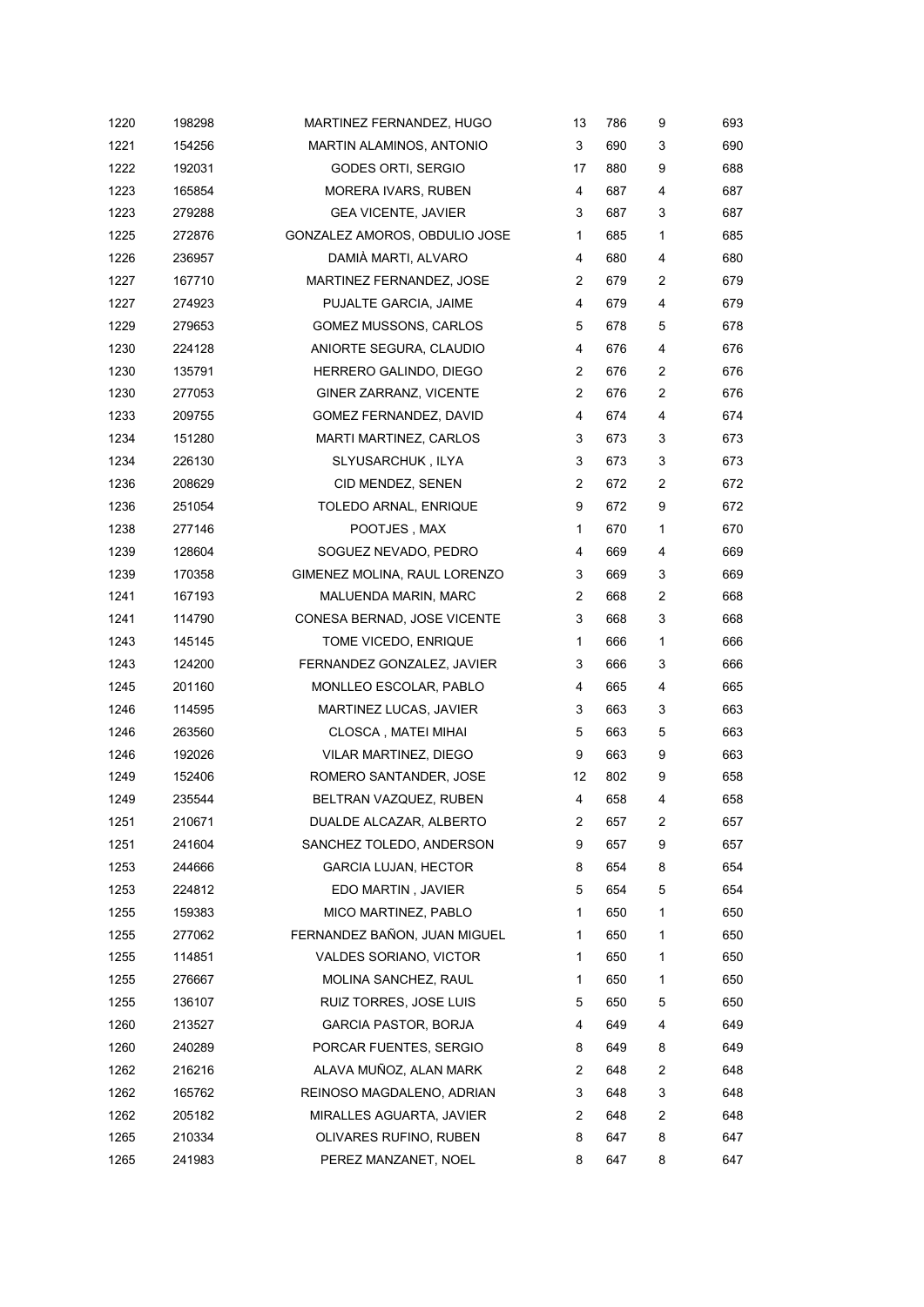| 1220 | 198298 | MARTINEZ FERNANDEZ, HUGO      | 13             | 786 | 9              | 693 |
|------|--------|-------------------------------|----------------|-----|----------------|-----|
| 1221 | 154256 | MARTIN ALAMINOS, ANTONIO      | 3              | 690 | 3              | 690 |
| 1222 | 192031 | GODES ORTI, SERGIO            | 17             | 880 | 9              | 688 |
| 1223 | 165854 | MORERA IVARS, RUBEN           | 4              | 687 | 4              | 687 |
| 1223 | 279288 | <b>GEA VICENTE, JAVIER</b>    | 3              | 687 | 3              | 687 |
| 1225 | 272876 | GONZALEZ AMOROS, OBDULIO JOSE | 1              | 685 | 1              | 685 |
| 1226 | 236957 | DAMIÀ MARTI, ALVARO           | 4              | 680 | 4              | 680 |
| 1227 | 167710 | MARTINEZ FERNANDEZ, JOSE      | 2              | 679 | 2              | 679 |
| 1227 | 274923 | PUJALTE GARCIA, JAIME         | 4              | 679 | 4              | 679 |
| 1229 | 279653 | <b>GOMEZ MUSSONS, CARLOS</b>  | 5              | 678 | 5              | 678 |
| 1230 | 224128 | ANIORTE SEGURA, CLAUDIO       | 4              | 676 | 4              | 676 |
| 1230 | 135791 | HERRERO GALINDO, DIEGO        | $\overline{2}$ | 676 | 2              | 676 |
| 1230 | 277053 | GINER ZARRANZ, VICENTE        | $\overline{2}$ | 676 | $\overline{c}$ | 676 |
| 1233 | 209755 | GOMEZ FERNANDEZ, DAVID        | 4              | 674 | 4              | 674 |
| 1234 | 151280 | MARTI MARTINEZ, CARLOS        | 3              | 673 | 3              | 673 |
| 1234 | 226130 | SLYUSARCHUK, ILYA             | 3              | 673 | 3              | 673 |
| 1236 | 208629 | CID MENDEZ, SENEN             | 2              | 672 | $\overline{c}$ | 672 |
| 1236 | 251054 | TOLEDO ARNAL, ENRIQUE         | 9              | 672 | 9              | 672 |
| 1238 | 277146 | POOTJES, MAX                  | 1              | 670 | 1              | 670 |
| 1239 | 128604 | SOGUEZ NEVADO, PEDRO          | 4              | 669 | 4              | 669 |
| 1239 | 170358 | GIMENEZ MOLINA, RAUL LORENZO  | 3              | 669 | 3              | 669 |
| 1241 | 167193 | MALUENDA MARIN, MARC          | 2              | 668 | 2              | 668 |
| 1241 | 114790 | CONESA BERNAD, JOSE VICENTE   | 3              | 668 | 3              | 668 |
| 1243 | 145145 | TOME VICEDO, ENRIQUE          | 1              | 666 | 1              | 666 |
| 1243 | 124200 | FERNANDEZ GONZALEZ, JAVIER    | 3              | 666 | 3              | 666 |
| 1245 | 201160 | MONLLEO ESCOLAR, PABLO        | 4              | 665 | 4              | 665 |
| 1246 | 114595 | MARTINEZ LUCAS, JAVIER        | 3              | 663 | 3              | 663 |
| 1246 | 263560 | CLOSCA, MATEI MIHAI           | 5              | 663 | 5              | 663 |
| 1246 | 192026 | VILAR MARTINEZ, DIEGO         | 9              | 663 | 9              | 663 |
| 1249 | 152406 | ROMERO SANTANDER, JOSE        | 12             | 802 | 9              | 658 |
| 1249 | 235544 | BELTRAN VAZQUEZ, RUBEN        | 4              | 658 | 4              | 658 |
| 1251 | 210671 | DUALDE ALCAZAR, ALBERTO       | 2              | 657 | $\overline{c}$ | 657 |
| 1251 | 241604 | SANCHEZ TOLEDO, ANDERSON      | 9              | 657 | 9              | 657 |
| 1253 | 244666 | <b>GARCIA LUJAN, HECTOR</b>   | 8              | 654 | 8              | 654 |
| 1253 | 224812 | EDO MARTIN, JAVIER            | 5              | 654 | 5              | 654 |
| 1255 | 159383 | MICO MARTINEZ, PABLO          | 1              | 650 | 1              | 650 |
| 1255 | 277062 | FERNANDEZ BAÑON, JUAN MIGUEL  | 1              | 650 | 1              | 650 |
| 1255 | 114851 | <b>VALDES SORIANO, VICTOR</b> | 1              | 650 | 1              | 650 |
| 1255 | 276667 | MOLINA SANCHEZ, RAUL          | 1              | 650 | 1              | 650 |
| 1255 | 136107 | RUIZ TORRES, JOSE LUIS        | 5              | 650 | 5              | 650 |
| 1260 | 213527 | <b>GARCIA PASTOR, BORJA</b>   | 4              | 649 | 4              | 649 |
| 1260 | 240289 | PORCAR FUENTES, SERGIO        | 8              | 649 | 8              | 649 |
| 1262 | 216216 | ALAVA MUÑOZ, ALAN MARK        | 2              | 648 | 2              | 648 |
| 1262 | 165762 | REINOSO MAGDALENO, ADRIAN     | 3              | 648 | 3              | 648 |
| 1262 | 205182 | MIRALLES AGUARTA, JAVIER      | 2              | 648 | 2              | 648 |
| 1265 | 210334 | OLIVARES RUFINO, RUBEN        | 8              | 647 | 8              | 647 |
| 1265 | 241983 | PEREZ MANZANET, NOEL          | 8              | 647 | 8              | 647 |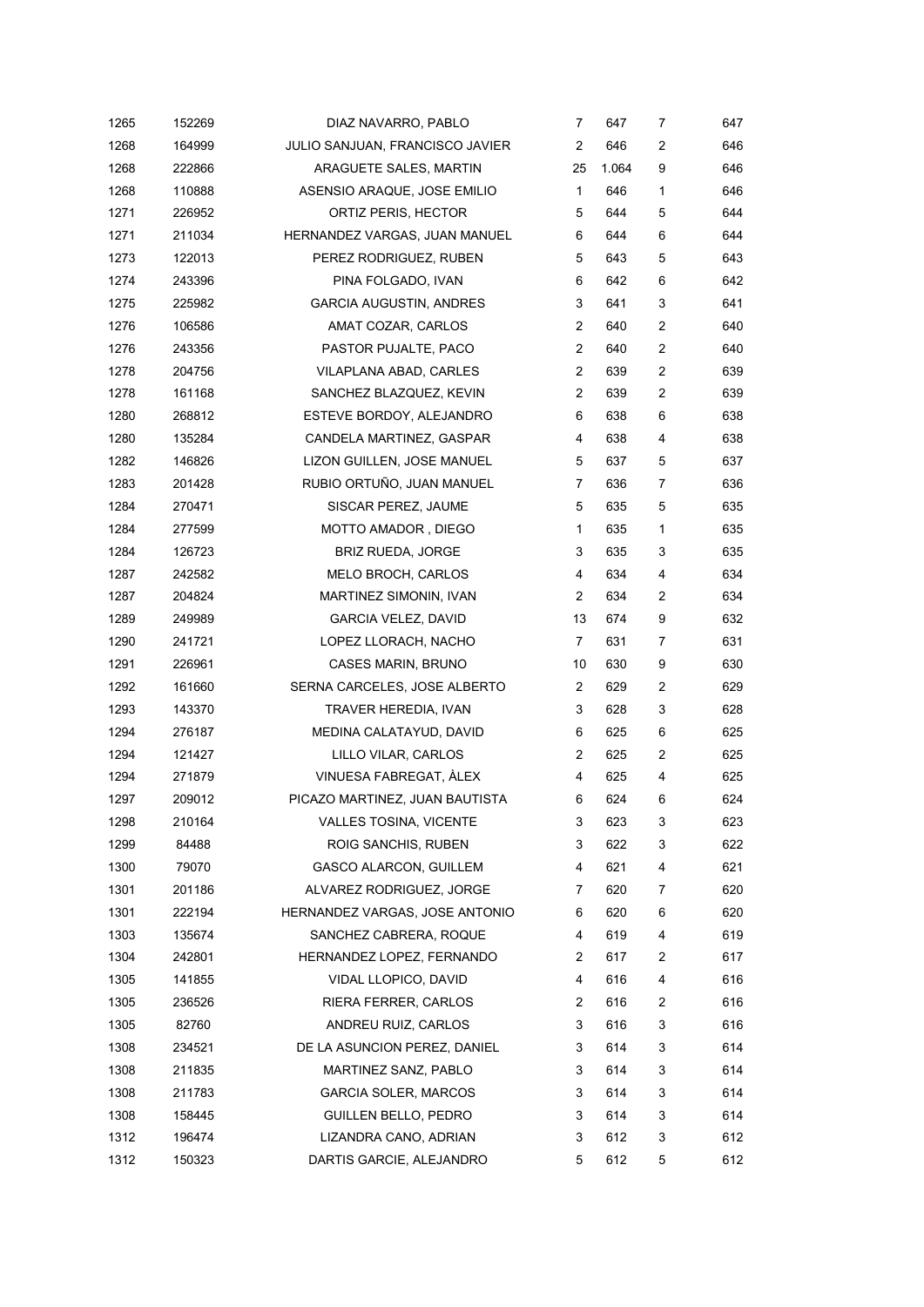| 1265 | 152269 | DIAZ NAVARRO, PABLO                    | 7              | 647   | 7              | 647 |
|------|--------|----------------------------------------|----------------|-------|----------------|-----|
| 1268 | 164999 | <b>JULIO SANJUAN, FRANCISCO JAVIER</b> | 2              | 646   | 2              | 646 |
| 1268 | 222866 | ARAGUETE SALES, MARTIN                 | 25             | 1.064 | 9              | 646 |
| 1268 | 110888 | ASENSIO ARAQUE, JOSE EMILIO            | $\mathbf 1$    | 646   | 1              | 646 |
| 1271 | 226952 | ORTIZ PERIS, HECTOR                    | 5              | 644   | 5              | 644 |
| 1271 | 211034 | HERNANDEZ VARGAS, JUAN MANUEL          | 6              | 644   | 6              | 644 |
| 1273 | 122013 | PEREZ RODRIGUEZ, RUBEN                 | 5              | 643   | 5              | 643 |
| 1274 | 243396 | PINA FOLGADO, IVAN                     | 6              | 642   | 6              | 642 |
| 1275 | 225982 | <b>GARCIA AUGUSTIN, ANDRES</b>         | 3              | 641   | 3              | 641 |
| 1276 | 106586 | AMAT COZAR, CARLOS                     | $\overline{2}$ | 640   | 2              | 640 |
| 1276 | 243356 | PASTOR PUJALTE, PACO                   | 2              | 640   | $\overline{2}$ | 640 |
| 1278 | 204756 | VILAPLANA ABAD, CARLES                 | 2              | 639   | 2              | 639 |
| 1278 | 161168 | SANCHEZ BLAZQUEZ, KEVIN                | $\overline{2}$ | 639   | 2              | 639 |
| 1280 | 268812 | ESTEVE BORDOY, ALEJANDRO               | 6              | 638   | 6              | 638 |
| 1280 | 135284 | CANDELA MARTINEZ, GASPAR               | 4              | 638   | 4              | 638 |
| 1282 | 146826 | LIZON GUILLEN, JOSE MANUEL             | 5              | 637   | 5              | 637 |
| 1283 | 201428 | RUBIO ORTUÑO, JUAN MANUEL              | 7              | 636   | 7              | 636 |
| 1284 | 270471 | SISCAR PEREZ, JAUME                    | 5              | 635   | 5              | 635 |
| 1284 | 277599 | MOTTO AMADOR, DIEGO                    | 1              | 635   | 1              | 635 |
| 1284 | 126723 | <b>BRIZ RUEDA, JORGE</b>               | 3              | 635   | 3              | 635 |
| 1287 | 242582 | MELO BROCH, CARLOS                     | 4              | 634   | 4              | 634 |
| 1287 | 204824 | MARTINEZ SIMONIN, IVAN                 | 2              | 634   | 2              | 634 |
| 1289 | 249989 | <b>GARCIA VELEZ, DAVID</b>             | 13             | 674   | 9              | 632 |
| 1290 | 241721 | LOPEZ LLORACH, NACHO                   | 7              | 631   | 7              | 631 |
| 1291 | 226961 | <b>CASES MARIN, BRUNO</b>              | 10             | 630   | 9              | 630 |
| 1292 | 161660 | SERNA CARCELES, JOSE ALBERTO           | 2              | 629   | 2              | 629 |
| 1293 | 143370 | TRAVER HEREDIA, IVAN                   | 3              | 628   | 3              | 628 |
| 1294 | 276187 | MEDINA CALATAYUD, DAVID                | 6              | 625   | 6              | 625 |
| 1294 | 121427 | LILLO VILAR, CARLOS                    | $\overline{2}$ | 625   | 2              | 625 |
| 1294 | 271879 | VINUESA FABREGAT, ÀLEX                 | 4              | 625   | 4              | 625 |
| 1297 | 209012 | PICAZO MARTINEZ, JUAN BAUTISTA         | 6              | 624   | 6              | 624 |
| 1298 | 210164 | <b>VALLES TOSINA, VICENTE</b>          | 3              | 623   | 3              | 623 |
| 1299 | 84488  | ROIG SANCHIS, RUBEN                    | 3              | 622   | 3              | 622 |
| 1300 | 79070  | GASCO ALARCON, GUILLEM                 | 4              | 621   | 4              | 621 |
| 1301 | 201186 | ALVAREZ RODRIGUEZ, JORGE               | 7              | 620   | 7              | 620 |
| 1301 | 222194 | HERNANDEZ VARGAS, JOSE ANTONIO         | 6              | 620   | 6              | 620 |
| 1303 | 135674 | SANCHEZ CABRERA, ROQUE                 | 4              | 619   | 4              | 619 |
| 1304 | 242801 | HERNANDEZ LOPEZ, FERNANDO              | 2              | 617   | 2              | 617 |
| 1305 | 141855 | VIDAL LLOPICO, DAVID                   | 4              | 616   | 4              | 616 |
| 1305 | 236526 | RIERA FERRER, CARLOS                   | 2              | 616   | 2              | 616 |
| 1305 | 82760  | ANDREU RUIZ, CARLOS                    | 3              | 616   | 3              | 616 |
| 1308 | 234521 | DE LA ASUNCION PEREZ, DANIEL           | 3              | 614   | 3              | 614 |
| 1308 | 211835 | MARTINEZ SANZ, PABLO                   | 3              | 614   | 3              | 614 |
| 1308 | 211783 | <b>GARCIA SOLER, MARCOS</b>            | 3              | 614   | 3              | 614 |
| 1308 | 158445 | GUILLEN BELLO, PEDRO                   | 3              | 614   | 3              | 614 |
| 1312 | 196474 | LIZANDRA CANO, ADRIAN                  | 3              | 612   | 3              | 612 |
| 1312 | 150323 | DARTIS GARCIE, ALEJANDRO               | 5              | 612   | 5              | 612 |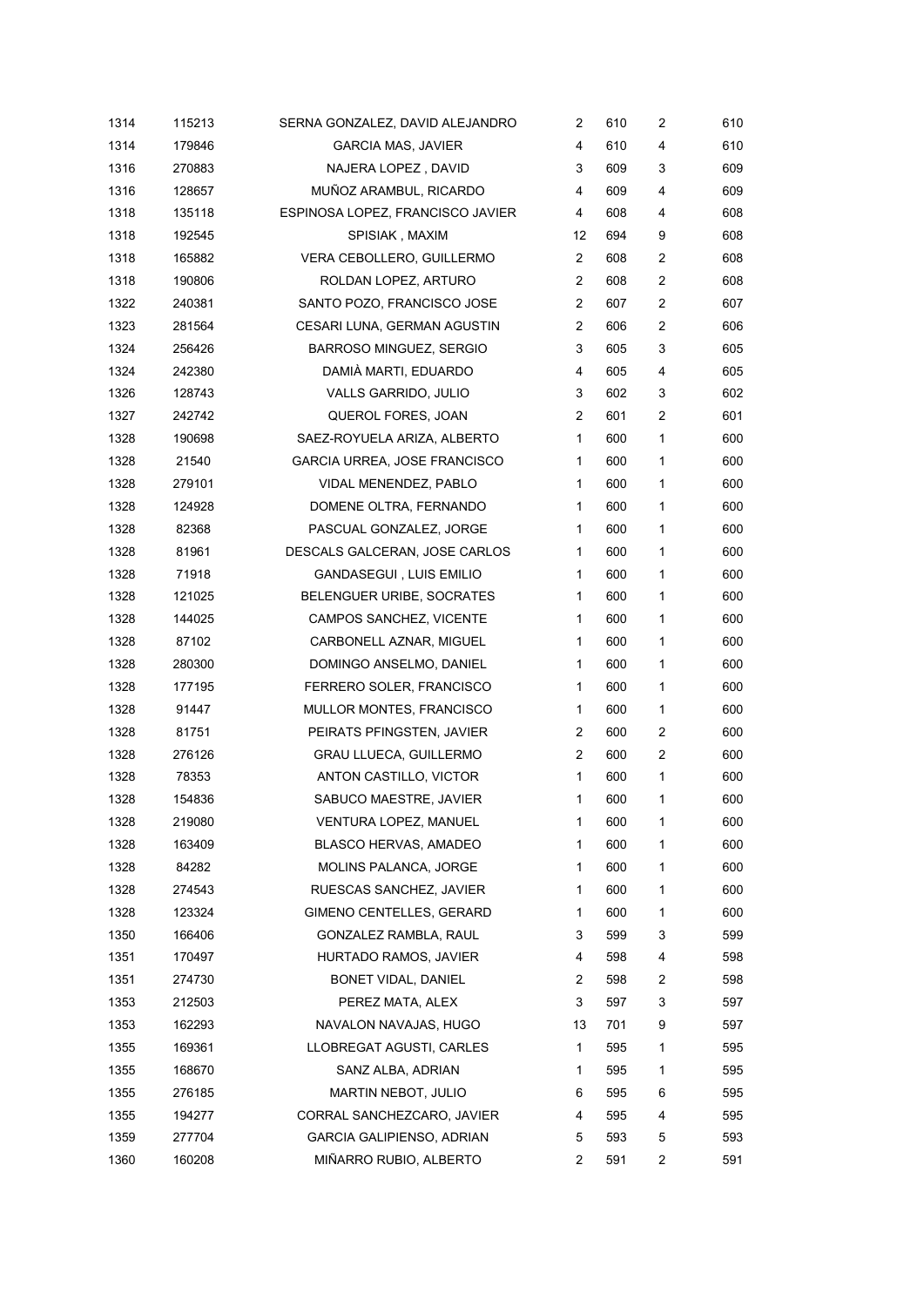| 1314 | 115213 | SERNA GONZALEZ, DAVID ALEJANDRO  | 2              | 610 | $\overline{c}$ | 610 |
|------|--------|----------------------------------|----------------|-----|----------------|-----|
| 1314 | 179846 | <b>GARCIA MAS, JAVIER</b>        | 4              | 610 | 4              | 610 |
| 1316 | 270883 | NAJERA LOPEZ, DAVID              | 3              | 609 | 3              | 609 |
| 1316 | 128657 | MUÑOZ ARAMBUL, RICARDO           | 4              | 609 | 4              | 609 |
| 1318 | 135118 | ESPINOSA LOPEZ, FRANCISCO JAVIER | 4              | 608 | 4              | 608 |
| 1318 | 192545 | SPISIAK, MAXIM                   | 12             | 694 | 9              | 608 |
| 1318 | 165882 | VERA CEBOLLERO, GUILLERMO        | 2              | 608 | $\overline{c}$ | 608 |
| 1318 | 190806 | ROLDAN LOPEZ, ARTURO             | $\overline{2}$ | 608 | $\overline{c}$ | 608 |
| 1322 | 240381 | SANTO POZO, FRANCISCO JOSE       | $\overline{2}$ | 607 | $\overline{c}$ | 607 |
| 1323 | 281564 | CESARI LUNA, GERMAN AGUSTIN      | $\overline{2}$ | 606 | 2              | 606 |
| 1324 | 256426 | <b>BARROSO MINGUEZ, SERGIO</b>   | 3              | 605 | 3              | 605 |
| 1324 | 242380 | DAMIÀ MARTI, EDUARDO             | 4              | 605 | 4              | 605 |
| 1326 | 128743 | VALLS GARRIDO, JULIO             | 3              | 602 | 3              | 602 |
| 1327 | 242742 | QUEROL FORES, JOAN               | 2              | 601 | $\overline{c}$ | 601 |
| 1328 | 190698 | SAEZ-ROYUELA ARIZA, ALBERTO      | $\mathbf{1}$   | 600 | 1              | 600 |
| 1328 | 21540  | GARCIA URREA, JOSE FRANCISCO     | 1              | 600 | 1              | 600 |
| 1328 | 279101 | VIDAL MENENDEZ, PABLO            | 1              | 600 | 1              | 600 |
| 1328 | 124928 | DOMENE OLTRA, FERNANDO           | 1              | 600 | 1              | 600 |
| 1328 | 82368  | PASCUAL GONZALEZ, JORGE          | 1              | 600 | 1              | 600 |
| 1328 | 81961  | DESCALS GALCERAN, JOSE CARLOS    | 1              | 600 | 1              | 600 |
| 1328 | 71918  | GANDASEGUI, LUIS EMILIO          | 1              | 600 | 1              | 600 |
| 1328 | 121025 | BELENGUER URIBE, SOCRATES        | 1              | 600 | 1              | 600 |
| 1328 | 144025 | CAMPOS SANCHEZ, VICENTE          | 1              | 600 | 1              | 600 |
| 1328 | 87102  | CARBONELL AZNAR, MIGUEL          | 1              | 600 | 1              | 600 |
| 1328 | 280300 | DOMINGO ANSELMO, DANIEL          | 1              | 600 | 1              | 600 |
| 1328 | 177195 | FERRERO SOLER, FRANCISCO         | 1              | 600 | 1              | 600 |
| 1328 | 91447  | MULLOR MONTES, FRANCISCO         | 1              | 600 | 1              | 600 |
| 1328 | 81751  | PEIRATS PFINGSTEN, JAVIER        | $\overline{2}$ | 600 | 2              | 600 |
| 1328 | 276126 | <b>GRAU LLUECA, GUILLERMO</b>    | $\overline{2}$ | 600 | 2              | 600 |
| 1328 | 78353  | ANTON CASTILLO, VICTOR           | 1              | 600 | 1              | 600 |
| 1328 | 154836 | SABUCO MAESTRE, JAVIER           | 1              | 600 | 1              | 600 |
| 1328 | 219080 | VENTURA LOPEZ, MANUEL            | 1              | 600 | 1              | 600 |
| 1328 | 163409 | <b>BLASCO HERVAS, AMADEO</b>     | 1              | 600 | 1              | 600 |
| 1328 | 84282  | MOLINS PALANCA, JORGE            | 1              | 600 | 1              | 600 |
| 1328 | 274543 | RUESCAS SANCHEZ, JAVIER          | 1              | 600 | 1              | 600 |
| 1328 | 123324 | GIMENO CENTELLES, GERARD         | 1              | 600 | 1              | 600 |
| 1350 | 166406 | GONZALEZ RAMBLA, RAUL            | 3              | 599 | 3              | 599 |
| 1351 | 170497 | HURTADO RAMOS, JAVIER            | 4              | 598 | 4              | 598 |
| 1351 | 274730 | BONET VIDAL, DANIEL              | 2              | 598 | 2              | 598 |
| 1353 | 212503 | PEREZ MATA, ALEX                 | 3              | 597 | 3              | 597 |
| 1353 | 162293 | NAVALON NAVAJAS, HUGO            | 13             | 701 | 9              | 597 |
| 1355 | 169361 | LLOBREGAT AGUSTI, CARLES         | 1              | 595 | 1              | 595 |
| 1355 | 168670 | SANZ ALBA, ADRIAN                | 1              | 595 | 1              | 595 |
| 1355 | 276185 | MARTIN NEBOT, JULIO              | 6              | 595 | 6              | 595 |
| 1355 | 194277 | CORRAL SANCHEZCARO, JAVIER       | 4              | 595 | 4              | 595 |
| 1359 | 277704 | <b>GARCIA GALIPIENSO, ADRIAN</b> | 5              | 593 | 5              | 593 |
| 1360 | 160208 | MIÑARRO RUBIO, ALBERTO           | 2              | 591 | 2              | 591 |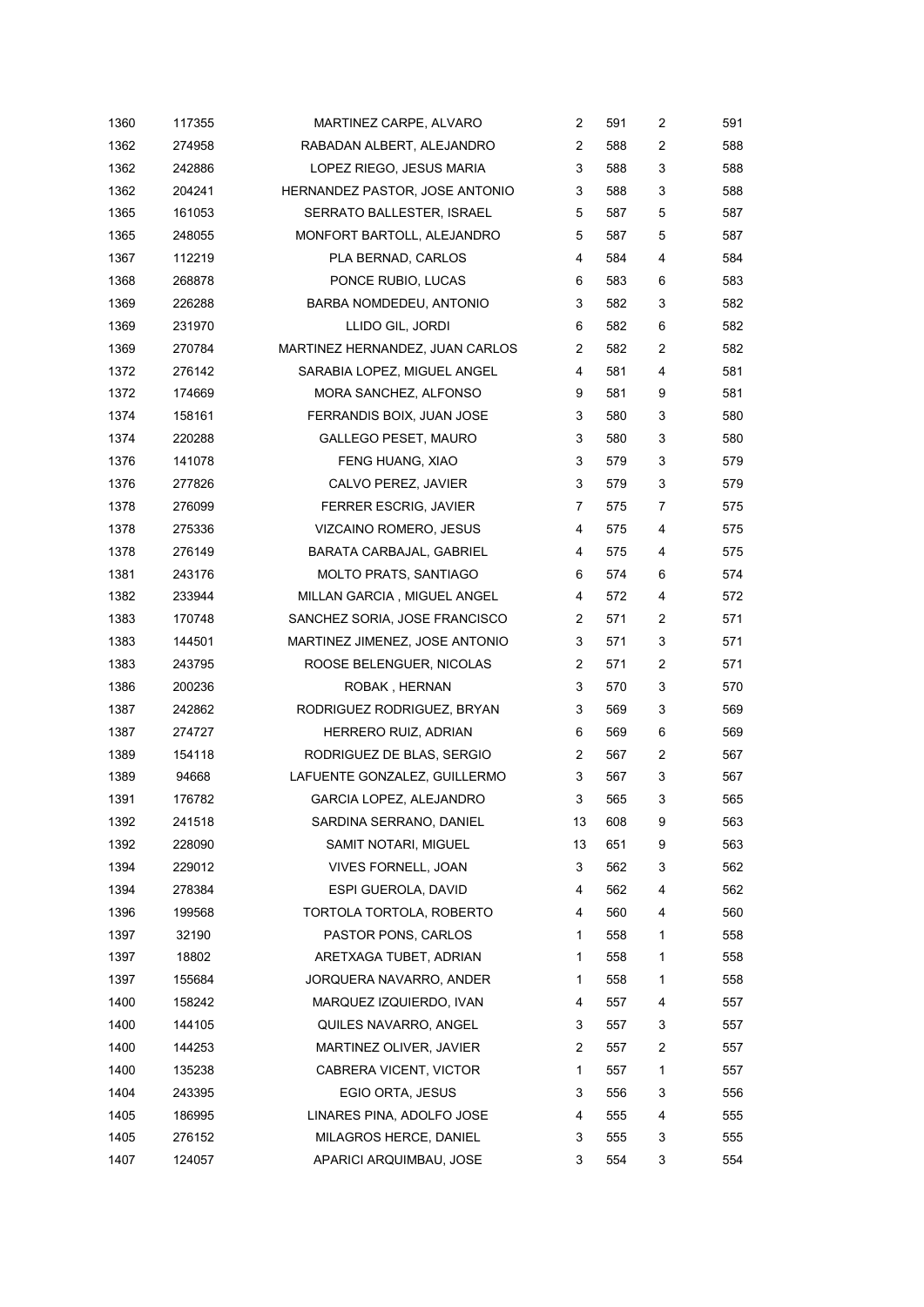| 1360 | 117355 | MARTINEZ CARPE, ALVARO          | 2              | 591 | 2 | 591 |
|------|--------|---------------------------------|----------------|-----|---|-----|
| 1362 | 274958 | RABADAN ALBERT, ALEJANDRO       | 2              | 588 | 2 | 588 |
| 1362 | 242886 | LOPEZ RIEGO, JESUS MARIA        | 3              | 588 | 3 | 588 |
| 1362 | 204241 | HERNANDEZ PASTOR, JOSE ANTONIO  | 3              | 588 | 3 | 588 |
| 1365 | 161053 | SERRATO BALLESTER, ISRAEL       | 5              | 587 | 5 | 587 |
| 1365 | 248055 | MONFORT BARTOLL, ALEJANDRO      | 5              | 587 | 5 | 587 |
| 1367 | 112219 | PLA BERNAD, CARLOS              | 4              | 584 | 4 | 584 |
| 1368 | 268878 | PONCE RUBIO, LUCAS              | 6              | 583 | 6 | 583 |
| 1369 | 226288 | BARBA NOMDEDEU, ANTONIO         | 3              | 582 | 3 | 582 |
| 1369 | 231970 | LLIDO GIL, JORDI                | 6              | 582 | 6 | 582 |
| 1369 | 270784 | MARTINEZ HERNANDEZ, JUAN CARLOS | 2              | 582 | 2 | 582 |
| 1372 | 276142 | SARABIA LOPEZ, MIGUEL ANGEL     | 4              | 581 | 4 | 581 |
| 1372 | 174669 | MORA SANCHEZ, ALFONSO           | 9              | 581 | 9 | 581 |
| 1374 | 158161 | FERRANDIS BOIX, JUAN JOSE       | 3              | 580 | 3 | 580 |
| 1374 | 220288 | <b>GALLEGO PESET, MAURO</b>     | 3              | 580 | 3 | 580 |
| 1376 | 141078 | FENG HUANG, XIAO                | 3              | 579 | 3 | 579 |
| 1376 | 277826 | CALVO PEREZ, JAVIER             | 3              | 579 | 3 | 579 |
| 1378 | 276099 | FERRER ESCRIG, JAVIER           | 7              | 575 | 7 | 575 |
| 1378 | 275336 | VIZCAINO ROMERO, JESUS          | 4              | 575 | 4 | 575 |
| 1378 | 276149 | BARATA CARBAJAL, GABRIEL        | 4              | 575 | 4 | 575 |
| 1381 | 243176 | <b>MOLTO PRATS, SANTIAGO</b>    | 6              | 574 | 6 | 574 |
| 1382 | 233944 | MILLAN GARCIA, MIGUEL ANGEL     | 4              | 572 | 4 | 572 |
| 1383 | 170748 | SANCHEZ SORIA, JOSE FRANCISCO   | 2              | 571 | 2 | 571 |
| 1383 | 144501 | MARTINEZ JIMENEZ, JOSE ANTONIO  | 3              | 571 | 3 | 571 |
| 1383 | 243795 | ROOSE BELENGUER, NICOLAS        | $\overline{c}$ | 571 | 2 | 571 |
| 1386 | 200236 | ROBAK, HERNAN                   | 3              | 570 | 3 | 570 |
| 1387 | 242862 | RODRIGUEZ RODRIGUEZ, BRYAN      | 3              | 569 | 3 | 569 |
| 1387 | 274727 | HERRERO RUIZ, ADRIAN            | 6              | 569 | 6 | 569 |
| 1389 | 154118 | RODRIGUEZ DE BLAS, SERGIO       | 2              | 567 | 2 | 567 |
| 1389 | 94668  | LAFUENTE GONZALEZ, GUILLERMO    | 3              | 567 | 3 | 567 |
| 1391 | 176782 | GARCIA LOPEZ, ALEJANDRO         | 3              | 565 | 3 | 565 |
| 1392 | 241518 | SARDINA SERRANO, DANIEL         | 13             | 608 | 9 | 563 |
| 1392 | 228090 | SAMIT NOTARI, MIGUEL            | 13             | 651 | 9 | 563 |
| 1394 | 229012 | VIVES FORNELL, JOAN             | 3              | 562 | 3 | 562 |
| 1394 | 278384 | ESPI GUEROLA, DAVID             | 4              | 562 | 4 | 562 |
| 1396 | 199568 | TORTOLA TORTOLA, ROBERTO        | 4              | 560 | 4 | 560 |
| 1397 | 32190  | PASTOR PONS, CARLOS             | 1              | 558 | 1 | 558 |
| 1397 | 18802  | ARETXAGA TUBET, ADRIAN          | 1              | 558 | 1 | 558 |
| 1397 | 155684 | JORQUERA NAVARRO, ANDER         | 1              | 558 | 1 | 558 |
| 1400 | 158242 | MARQUEZ IZQUIERDO, IVAN         | 4              | 557 | 4 | 557 |
| 1400 | 144105 | QUILES NAVARRO, ANGEL           | 3              | 557 | 3 | 557 |
| 1400 | 144253 | MARTINEZ OLIVER, JAVIER         | 2              | 557 | 2 | 557 |
| 1400 | 135238 | CABRERA VICENT, VICTOR          | 1              | 557 | 1 | 557 |
| 1404 | 243395 | EGIO ORTA, JESUS                | 3              | 556 | 3 | 556 |
| 1405 | 186995 | LINARES PINA, ADOLFO JOSE       | 4              | 555 | 4 | 555 |
| 1405 | 276152 | MILAGROS HERCE, DANIEL          | 3              | 555 | 3 | 555 |
| 1407 | 124057 | APARICI ARQUIMBAU, JOSE         | 3              | 554 | 3 | 554 |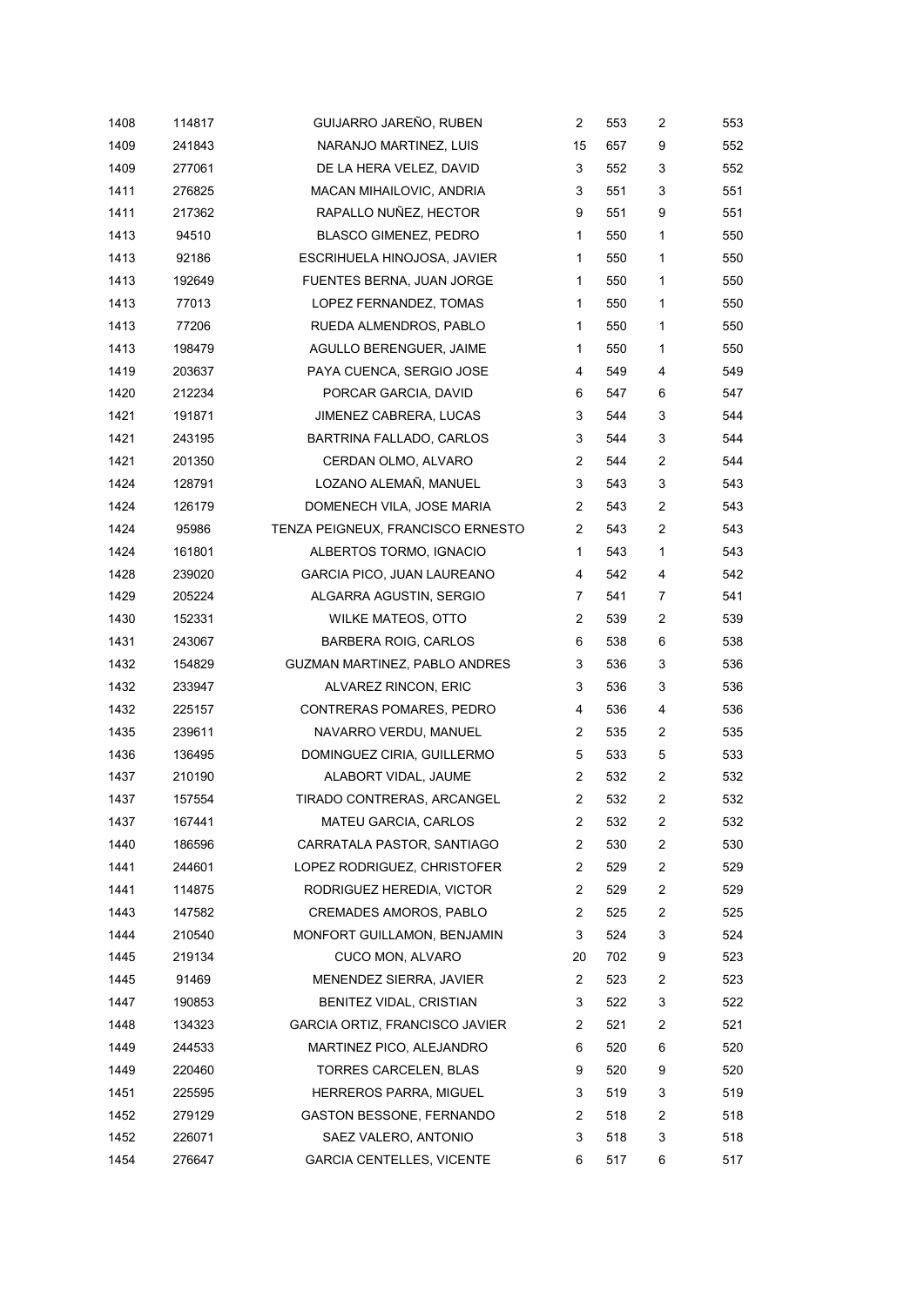| 1408 | 114817 | GUIJARRO JAREÑO, RUBEN            | $\overline{c}$ | 553 | 2              | 553 |
|------|--------|-----------------------------------|----------------|-----|----------------|-----|
| 1409 | 241843 | NARANJO MARTINEZ, LUIS            | 15             | 657 | 9              | 552 |
| 1409 | 277061 | DE LA HERA VELEZ, DAVID           | 3              | 552 | 3              | 552 |
| 1411 | 276825 | MACAN MIHAILOVIC, ANDRIA          | 3              | 551 | 3              | 551 |
| 1411 | 217362 | RAPALLO NUÑEZ, HECTOR             | 9              | 551 | 9              | 551 |
| 1413 | 94510  | <b>BLASCO GIMENEZ, PEDRO</b>      | 1              | 550 | 1              | 550 |
| 1413 | 92186  | ESCRIHUELA HINOJOSA, JAVIER       | 1              | 550 | $\mathbf{1}$   | 550 |
| 1413 | 192649 | FUENTES BERNA, JUAN JORGE         | 1              | 550 | 1              | 550 |
| 1413 | 77013  | LOPEZ FERNANDEZ, TOMAS            | 1              | 550 | 1              | 550 |
| 1413 | 77206  | RUEDA ALMENDROS, PABLO            | 1              | 550 | $\mathbf{1}$   | 550 |
| 1413 | 198479 | AGULLO BERENGUER, JAIME           | 1              | 550 | 1              | 550 |
| 1419 | 203637 | PAYA CUENCA, SERGIO JOSE          | 4              | 549 | 4              | 549 |
| 1420 | 212234 | PORCAR GARCIA, DAVID              | 6              | 547 | 6              | 547 |
| 1421 | 191871 | JIMENEZ CABRERA, LUCAS            | 3              | 544 | 3              | 544 |
| 1421 | 243195 | BARTRINA FALLADO, CARLOS          | 3              | 544 | 3              | 544 |
| 1421 | 201350 | CERDAN OLMO, ALVARO               | 2              | 544 | $\overline{c}$ | 544 |
| 1424 | 128791 | LOZANO ALEMAÑ, MANUEL             | 3              | 543 | 3              | 543 |
| 1424 | 126179 | DOMENECH VILA, JOSE MARIA         | 2              | 543 | 2              | 543 |
| 1424 | 95986  | TENZA PEIGNEUX, FRANCISCO ERNESTO | 2              | 543 | $\overline{c}$ | 543 |
| 1424 | 161801 | ALBERTOS TORMO, IGNACIO           | 1              | 543 | 1              | 543 |
| 1428 | 239020 | GARCIA PICO, JUAN LAUREANO        | 4              | 542 | 4              | 542 |
| 1429 | 205224 | ALGARRA AGUSTIN, SERGIO           | 7              | 541 | 7              | 541 |
| 1430 | 152331 | <b>WILKE MATEOS, OTTO</b>         | 2              | 539 | $\overline{c}$ | 539 |
| 1431 | 243067 | <b>BARBERA ROIG, CARLOS</b>       | 6              | 538 | 6              | 538 |
| 1432 | 154829 | GUZMAN MARTINEZ, PABLO ANDRES     | 3              | 536 | 3              | 536 |
| 1432 | 233947 | ALVAREZ RINCON, ERIC              | 3              | 536 | 3              | 536 |
| 1432 | 225157 | CONTRERAS POMARES, PEDRO          | 4              | 536 | 4              | 536 |
| 1435 | 239611 | NAVARRO VERDU, MANUEL             | 2              | 535 | $\overline{c}$ | 535 |
| 1436 | 136495 | DOMINGUEZ CIRIA, GUILLERMO        | 5              | 533 | 5              | 533 |
| 1437 | 210190 | ALABORT VIDAL, JAUME              | 2              | 532 | $\overline{c}$ | 532 |
| 1437 | 157554 | TIRADO CONTRERAS, ARCANGEL        | $\overline{2}$ | 532 | 2              | 532 |
| 1437 | 167441 | MATEU GARCIA, CARLOS              | 2              | 532 | $\overline{c}$ | 532 |
| 1440 | 186596 | CARRATALA PASTOR, SANTIAGO        | 2              | 530 | $\overline{c}$ | 530 |
| 1441 | 244601 | LOPEZ RODRIGUEZ, CHRISTOFER       | $\overline{2}$ | 529 | $\overline{c}$ | 529 |
| 1441 | 114875 | RODRIGUEZ HEREDIA, VICTOR         | 2              | 529 | 2              | 529 |
| 1443 | 147582 | <b>CREMADES AMOROS, PABLO</b>     | 2              | 525 | $\overline{c}$ | 525 |
| 1444 | 210540 | MONFORT GUILLAMON, BENJAMIN       | 3              | 524 | 3              | 524 |
| 1445 | 219134 | CUCO MON, ALVARO                  | 20             | 702 | 9              | 523 |
| 1445 | 91469  | MENENDEZ SIERRA, JAVIER           | 2              | 523 | $\overline{c}$ | 523 |
| 1447 | 190853 | BENITEZ VIDAL, CRISTIAN           | 3              | 522 | 3              | 522 |
| 1448 | 134323 | GARCIA ORTIZ, FRANCISCO JAVIER    | 2              | 521 | $\overline{c}$ | 521 |
| 1449 | 244533 | MARTINEZ PICO, ALEJANDRO          | 6              | 520 | 6              | 520 |
| 1449 | 220460 | TORRES CARCELEN, BLAS             | 9              | 520 | 9              | 520 |
| 1451 | 225595 | HERREROS PARRA, MIGUEL            | 3              | 519 | 3              | 519 |
| 1452 | 279129 | <b>GASTON BESSONE, FERNANDO</b>   | 2              | 518 | $\overline{c}$ | 518 |
| 1452 | 226071 | SAEZ VALERO, ANTONIO              | 3              | 518 | 3              | 518 |
| 1454 | 276647 | <b>GARCIA CENTELLES, VICENTE</b>  | 6              | 517 | 6              | 517 |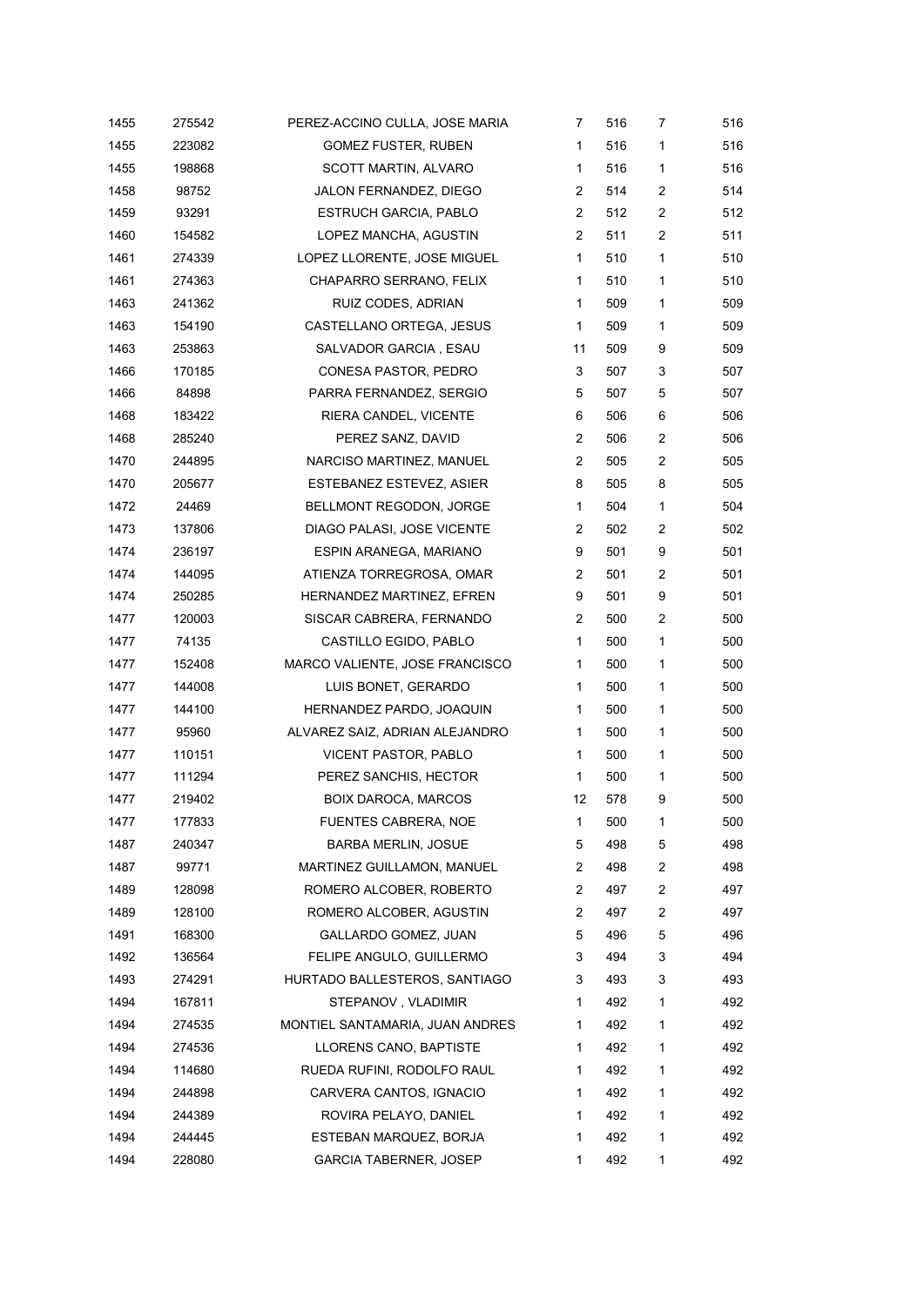| 1455 | 275542 | PEREZ-ACCINO CULLA, JOSE MARIA  | 7              | 516 | 7              | 516 |
|------|--------|---------------------------------|----------------|-----|----------------|-----|
| 1455 | 223082 | <b>GOMEZ FUSTER, RUBEN</b>      | 1              | 516 | 1              | 516 |
| 1455 | 198868 | SCOTT MARTIN, ALVARO            | 1              | 516 | 1              | 516 |
| 1458 | 98752  | JALON FERNANDEZ, DIEGO          | $\overline{c}$ | 514 | $\overline{c}$ | 514 |
| 1459 | 93291  | <b>ESTRUCH GARCIA, PABLO</b>    | 2              | 512 | $\overline{c}$ | 512 |
| 1460 | 154582 | LOPEZ MANCHA, AGUSTIN           | 2              | 511 | 2              | 511 |
| 1461 | 274339 | LOPEZ LLORENTE, JOSE MIGUEL     | 1              | 510 | 1              | 510 |
| 1461 | 274363 | CHAPARRO SERRANO, FELIX         | 1              | 510 | 1              | 510 |
| 1463 | 241362 | RUIZ CODES, ADRIAN              | 1              | 509 | 1              | 509 |
| 1463 | 154190 | CASTELLANO ORTEGA, JESUS        | 1              | 509 | 1              | 509 |
| 1463 | 253863 | SALVADOR GARCIA, ESAU           | 11             | 509 | 9              | 509 |
| 1466 | 170185 | CONESA PASTOR, PEDRO            | 3              | 507 | 3              | 507 |
| 1466 | 84898  | PARRA FERNANDEZ, SERGIO         | 5              | 507 | 5              | 507 |
| 1468 | 183422 | RIERA CANDEL, VICENTE           | 6              | 506 | 6              | 506 |
| 1468 | 285240 | PEREZ SANZ, DAVID               | 2              | 506 | $\overline{c}$ | 506 |
| 1470 | 244895 | NARCISO MARTINEZ, MANUEL        | 2              | 505 | 2              | 505 |
| 1470 | 205677 | ESTEBANEZ ESTEVEZ, ASIER        | 8              | 505 | 8              | 505 |
| 1472 | 24469  | BELLMONT REGODON, JORGE         | 1              | 504 | 1              | 504 |
| 1473 | 137806 | DIAGO PALASI, JOSE VICENTE      | 2              | 502 | 2              | 502 |
| 1474 | 236197 | ESPIN ARANEGA, MARIANO          | 9              | 501 | 9              | 501 |
| 1474 | 144095 | ATIENZA TORREGROSA, OMAR        | 2              | 501 | $\overline{c}$ | 501 |
| 1474 | 250285 | HERNANDEZ MARTINEZ, EFREN       | 9              | 501 | 9              | 501 |
| 1477 | 120003 | SISCAR CABRERA, FERNANDO        | $\overline{c}$ | 500 | $\overline{c}$ | 500 |
| 1477 | 74135  | CASTILLO EGIDO, PABLO           | 1              | 500 | 1              | 500 |
| 1477 | 152408 | MARCO VALIENTE, JOSE FRANCISCO  | 1              | 500 | 1              | 500 |
| 1477 | 144008 | LUIS BONET, GERARDO             | 1              | 500 | 1              | 500 |
| 1477 | 144100 | HERNANDEZ PARDO, JOAQUIN        | 1              | 500 | 1              | 500 |
| 1477 | 95960  | ALVAREZ SAIZ, ADRIAN ALEJANDRO  | 1              | 500 | 1              | 500 |
| 1477 | 110151 | <b>VICENT PASTOR, PABLO</b>     | 1              | 500 | 1              | 500 |
| 1477 | 111294 | PEREZ SANCHIS, HECTOR           | 1              | 500 | 1              | 500 |
| 1477 | 219402 | <b>BOIX DAROCA, MARCOS</b>      | 12             | 578 | 9              | 500 |
| 1477 | 177833 | <b>FUENTES CABRERA, NOE</b>     | 1              | 500 | 1              | 500 |
| 1487 | 240347 | <b>BARBA MERLIN, JOSUE</b>      | 5              | 498 | 5              | 498 |
| 1487 | 99771  | MARTINEZ GUILLAMON, MANUEL      | 2              | 498 | 2              | 498 |
| 1489 | 128098 | ROMERO ALCOBER, ROBERTO         | 2              | 497 | 2              | 497 |
| 1489 | 128100 | ROMERO ALCOBER, AGUSTIN         | 2              | 497 | 2              | 497 |
| 1491 | 168300 | GALLARDO GOMEZ, JUAN            | 5              | 496 | 5              | 496 |
| 1492 | 136564 | FELIPE ANGULO, GUILLERMO        | 3              | 494 | 3              | 494 |
| 1493 | 274291 | HURTADO BALLESTEROS, SANTIAGO   | 3              | 493 | 3              | 493 |
| 1494 | 167811 | STEPANOV, VLADIMIR              | 1              | 492 | 1              | 492 |
| 1494 | 274535 | MONTIEL SANTAMARIA, JUAN ANDRES | 1              | 492 | 1              | 492 |
| 1494 | 274536 | LLORENS CANO, BAPTISTE          | 1              | 492 | 1              | 492 |
| 1494 | 114680 | RUEDA RUFINI, RODOLFO RAUL      | 1              | 492 | 1              | 492 |
| 1494 | 244898 | CARVERA CANTOS, IGNACIO         | 1              | 492 | 1              | 492 |
| 1494 | 244389 | ROVIRA PELAYO, DANIEL           | 1              | 492 | 1              | 492 |
| 1494 | 244445 | ESTEBAN MARQUEZ, BORJA          | 1              | 492 | 1              | 492 |
| 1494 | 228080 | <b>GARCIA TABERNER, JOSEP</b>   | 1              | 492 | 1              | 492 |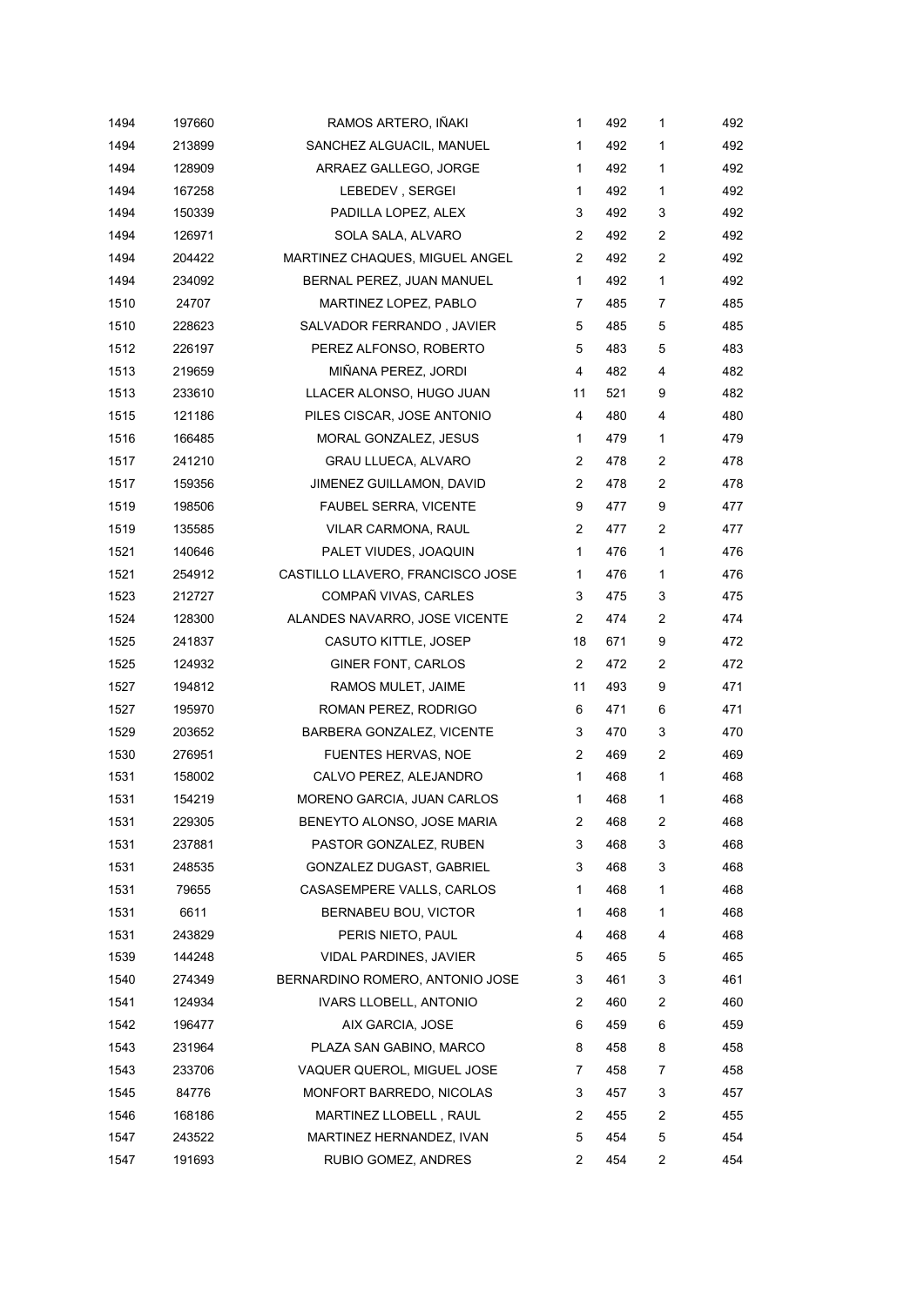| 1494 | 197660 | RAMOS ARTERO, IÑAKI              | 1              | 492 | 1 | 492 |
|------|--------|----------------------------------|----------------|-----|---|-----|
| 1494 | 213899 | SANCHEZ ALGUACIL, MANUEL         | 1              | 492 | 1 | 492 |
| 1494 | 128909 | ARRAEZ GALLEGO, JORGE            | 1              | 492 | 1 | 492 |
| 1494 | 167258 | LEBEDEV, SERGEI                  | 1              | 492 | 1 | 492 |
| 1494 | 150339 | PADILLA LOPEZ, ALEX              | 3              | 492 | 3 | 492 |
| 1494 | 126971 | SOLA SALA, ALVARO                | 2              | 492 | 2 | 492 |
| 1494 | 204422 | MARTINEZ CHAQUES, MIGUEL ANGEL   | $\overline{2}$ | 492 | 2 | 492 |
| 1494 | 234092 | BERNAL PEREZ, JUAN MANUEL        | 1              | 492 | 1 | 492 |
| 1510 | 24707  | MARTINEZ LOPEZ, PABLO            | 7              | 485 | 7 | 485 |
| 1510 | 228623 | SALVADOR FERRANDO, JAVIER        | 5              | 485 | 5 | 485 |
| 1512 | 226197 | PEREZ ALFONSO, ROBERTO           | 5              | 483 | 5 | 483 |
| 1513 | 219659 | MIÑANA PEREZ, JORDI              | 4              | 482 | 4 | 482 |
| 1513 | 233610 | LLACER ALONSO, HUGO JUAN         | 11             | 521 | 9 | 482 |
| 1515 | 121186 | PILES CISCAR, JOSE ANTONIO       | 4              | 480 | 4 | 480 |
| 1516 | 166485 | MORAL GONZALEZ, JESUS            | 1              | 479 | 1 | 479 |
| 1517 | 241210 | GRAU LLUECA, ALVARO              | 2              | 478 | 2 | 478 |
| 1517 | 159356 | JIMENEZ GUILLAMON, DAVID         | 2              | 478 | 2 | 478 |
| 1519 | 198506 | <b>FAUBEL SERRA, VICENTE</b>     | 9              | 477 | 9 | 477 |
| 1519 | 135585 | VILAR CARMONA, RAUL              | 2              | 477 | 2 | 477 |
| 1521 | 140646 | PALET VIUDES, JOAQUIN            | 1              | 476 | 1 | 476 |
| 1521 | 254912 | CASTILLO LLAVERO, FRANCISCO JOSE | 1              | 476 | 1 | 476 |
| 1523 | 212727 | COMPAÑ VIVAS, CARLES             | 3              | 475 | 3 | 475 |
| 1524 | 128300 | ALANDES NAVARRO, JOSE VICENTE    | 2              | 474 | 2 | 474 |
| 1525 | 241837 | <b>CASUTO KITTLE, JOSEP</b>      | 18             | 671 | 9 | 472 |
| 1525 | 124932 | GINER FONT, CARLOS               | 2              | 472 | 2 | 472 |
| 1527 | 194812 | RAMOS MULET, JAIME               | 11             | 493 | 9 | 471 |
| 1527 | 195970 | ROMAN PEREZ, RODRIGO             | 6              | 471 | 6 | 471 |
| 1529 | 203652 | BARBERA GONZALEZ, VICENTE        | 3              | 470 | 3 | 470 |
| 1530 | 276951 | FUENTES HERVAS, NOE              | 2              | 469 | 2 | 469 |
| 1531 | 158002 | CALVO PEREZ, ALEJANDRO           | 1              | 468 | 1 | 468 |
| 1531 | 154219 | MORENO GARCIA, JUAN CARLOS       | 1              | 468 | 1 | 468 |
| 1531 | 229305 | BENEYTO ALONSO, JOSE MARIA       | 2              | 468 | 2 | 468 |
| 1531 | 237881 | PASTOR GONZALEZ, RUBEN           | 3              | 468 | 3 | 468 |
| 1531 | 248535 | GONZALEZ DUGAST, GABRIEL         | 3              | 468 | 3 | 468 |
| 1531 | 79655  | CASASEMPERE VALLS, CARLOS        | 1              | 468 | 1 | 468 |
| 1531 | 6611   | BERNABEU BOU, VICTOR             | 1              | 468 | 1 | 468 |
| 1531 | 243829 | PERIS NIETO, PAUL                | 4              | 468 | 4 | 468 |
| 1539 | 144248 | VIDAL PARDINES, JAVIER           | 5              | 465 | 5 | 465 |
| 1540 | 274349 | BERNARDINO ROMERO, ANTONIO JOSE  | 3              | 461 | 3 | 461 |
| 1541 | 124934 | <b>IVARS LLOBELL, ANTONIO</b>    | 2              | 460 | 2 | 460 |
| 1542 | 196477 | AIX GARCIA, JOSE                 | 6              | 459 | 6 | 459 |
| 1543 | 231964 | PLAZA SAN GABINO, MARCO          | 8              | 458 | 8 | 458 |
| 1543 | 233706 | VAQUER QUEROL, MIGUEL JOSE       | 7              | 458 | 7 | 458 |
| 1545 | 84776  | MONFORT BARREDO, NICOLAS         | 3              | 457 | 3 | 457 |
| 1546 | 168186 | MARTINEZ LLOBELL, RAUL           | 2              | 455 | 2 | 455 |
| 1547 | 243522 | MARTINEZ HERNANDEZ, IVAN         | 5              | 454 | 5 | 454 |
| 1547 | 191693 | RUBIO GOMEZ, ANDRES              | 2              | 454 | 2 | 454 |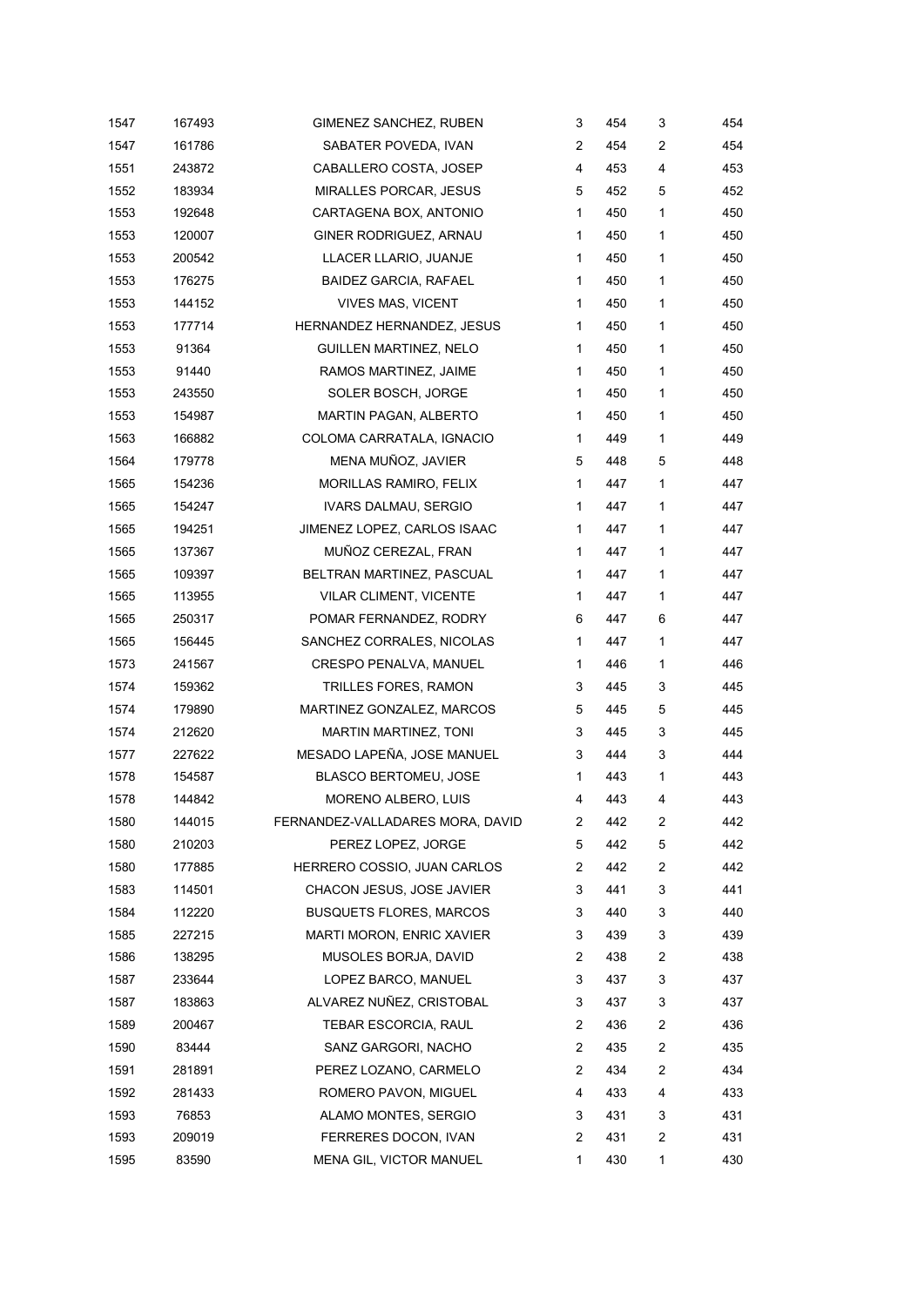| 1547 | 167493 | GIMENEZ SANCHEZ, RUBEN           | 3 | 454 | 3 | 454 |
|------|--------|----------------------------------|---|-----|---|-----|
| 1547 | 161786 | SABATER POVEDA, IVAN             | 2 | 454 | 2 | 454 |
| 1551 | 243872 | CABALLERO COSTA, JOSEP           | 4 | 453 | 4 | 453 |
| 1552 | 183934 | MIRALLES PORCAR, JESUS           | 5 | 452 | 5 | 452 |
| 1553 | 192648 | CARTAGENA BOX, ANTONIO           | 1 | 450 | 1 | 450 |
| 1553 | 120007 | GINER RODRIGUEZ, ARNAU           | 1 | 450 | 1 | 450 |
| 1553 | 200542 | LLACER LLARIO, JUANJE            | 1 | 450 | 1 | 450 |
| 1553 | 176275 | BAIDEZ GARCIA, RAFAEL            | 1 | 450 | 1 | 450 |
| 1553 | 144152 | VIVES MAS, VICENT                | 1 | 450 | 1 | 450 |
| 1553 | 177714 | HERNANDEZ HERNANDEZ, JESUS       | 1 | 450 | 1 | 450 |
| 1553 | 91364  | GUILLEN MARTINEZ, NELO           | 1 | 450 | 1 | 450 |
| 1553 | 91440  | RAMOS MARTINEZ, JAIME            | 1 | 450 | 1 | 450 |
| 1553 | 243550 | SOLER BOSCH, JORGE               | 1 | 450 | 1 | 450 |
| 1553 | 154987 | MARTIN PAGAN, ALBERTO            | 1 | 450 | 1 | 450 |
| 1563 | 166882 | COLOMA CARRATALA, IGNACIO        | 1 | 449 | 1 | 449 |
| 1564 | 179778 | MENA MUÑOZ, JAVIER               | 5 | 448 | 5 | 448 |
| 1565 | 154236 | MORILLAS RAMIRO, FELIX           | 1 | 447 | 1 | 447 |
| 1565 | 154247 | <b>IVARS DALMAU, SERGIO</b>      | 1 | 447 | 1 | 447 |
| 1565 | 194251 | JIMENEZ LOPEZ, CARLOS ISAAC      | 1 | 447 | 1 | 447 |
| 1565 | 137367 | MUÑOZ CEREZAL, FRAN              | 1 | 447 | 1 | 447 |
| 1565 | 109397 | BELTRAN MARTINEZ, PASCUAL        | 1 | 447 | 1 | 447 |
| 1565 | 113955 | VILAR CLIMENT, VICENTE           | 1 | 447 | 1 | 447 |
| 1565 | 250317 | POMAR FERNANDEZ, RODRY           | 6 | 447 | 6 | 447 |
| 1565 | 156445 | SANCHEZ CORRALES, NICOLAS        | 1 | 447 | 1 | 447 |
| 1573 | 241567 | CRESPO PENALVA, MANUEL           | 1 | 446 | 1 | 446 |
| 1574 | 159362 | TRILLES FORES, RAMON             | 3 | 445 | 3 | 445 |
| 1574 | 179890 | MARTINEZ GONZALEZ, MARCOS        | 5 | 445 | 5 | 445 |
| 1574 | 212620 | MARTIN MARTINEZ, TONI            | 3 | 445 | 3 | 445 |
| 1577 | 227622 | MESADO LAPEÑA, JOSE MANUEL       | 3 | 444 | 3 | 444 |
| 1578 | 154587 | <b>BLASCO BERTOMEU, JOSE</b>     | 1 | 443 | 1 | 443 |
| 1578 | 144842 | MORENO ALBERO, LUIS              | 4 | 443 | 4 | 443 |
| 1580 | 144015 | FERNANDEZ-VALLADARES MORA, DAVID | 2 | 442 | 2 | 442 |
| 1580 | 210203 | PEREZ LOPEZ, JORGE               | 5 | 442 | 5 | 442 |
| 1580 | 177885 | HERRERO COSSIO, JUAN CARLOS      | 2 | 442 | 2 | 442 |
| 1583 | 114501 | CHACON JESUS, JOSE JAVIER        | 3 | 441 | 3 | 441 |
| 1584 | 112220 | <b>BUSQUETS FLORES, MARCOS</b>   | 3 | 440 | 3 | 440 |
| 1585 | 227215 | MARTI MORON, ENRIC XAVIER        | 3 | 439 | 3 | 439 |
| 1586 | 138295 | MUSOLES BORJA, DAVID             | 2 | 438 | 2 | 438 |
| 1587 | 233644 | LOPEZ BARCO, MANUEL              | 3 | 437 | 3 | 437 |
| 1587 | 183863 | ALVAREZ NUÑEZ, CRISTOBAL         | 3 | 437 | 3 | 437 |
| 1589 | 200467 | TEBAR ESCORCIA, RAUL             | 2 | 436 | 2 | 436 |
| 1590 | 83444  | SANZ GARGORI, NACHO              | 2 | 435 | 2 | 435 |
| 1591 | 281891 | PEREZ LOZANO, CARMELO            | 2 | 434 | 2 | 434 |
| 1592 | 281433 | ROMERO PAVON, MIGUEL             | 4 | 433 | 4 | 433 |
| 1593 | 76853  | ALAMO MONTES, SERGIO             | 3 | 431 | 3 | 431 |
| 1593 | 209019 | FERRERES DOCON, IVAN             | 2 | 431 | 2 | 431 |
| 1595 | 83590  | MENA GIL, VICTOR MANUEL          | 1 | 430 | 1 | 430 |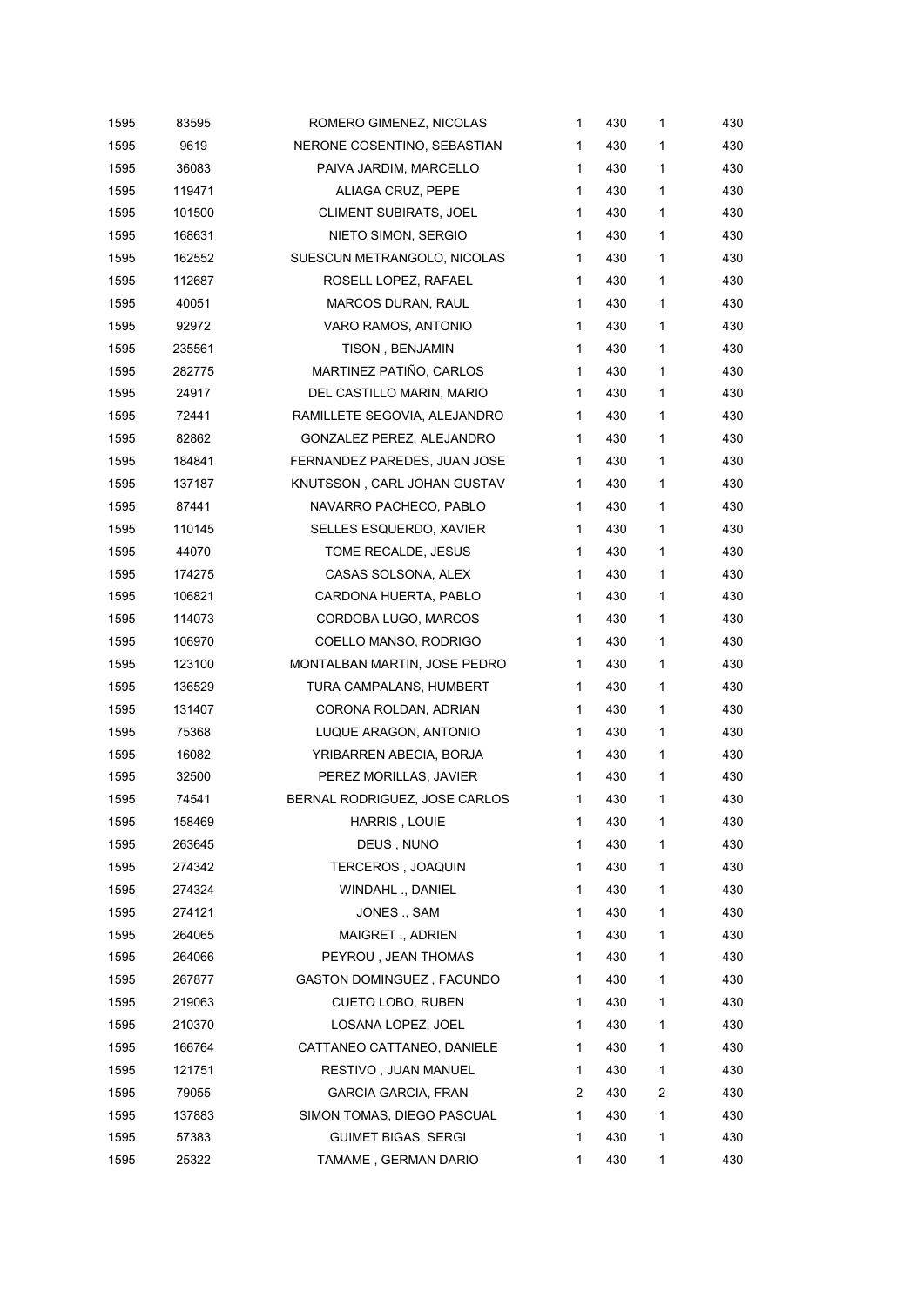| 1595 | 83595  | ROMERO GIMENEZ, NICOLAS       | 1 | 430 | 1            | 430 |
|------|--------|-------------------------------|---|-----|--------------|-----|
| 1595 | 9619   | NERONE COSENTINO, SEBASTIAN   | 1 | 430 | 1            | 430 |
| 1595 | 36083  | PAIVA JARDIM, MARCELLO        | 1 | 430 | 1            | 430 |
| 1595 | 119471 | ALIAGA CRUZ, PEPE             | 1 | 430 | 1            | 430 |
| 1595 | 101500 | <b>CLIMENT SUBIRATS, JOEL</b> | 1 | 430 | 1            | 430 |
| 1595 | 168631 | NIETO SIMON, SERGIO           | 1 | 430 | 1            | 430 |
| 1595 | 162552 | SUESCUN METRANGOLO, NICOLAS   | 1 | 430 | 1            | 430 |
| 1595 | 112687 | ROSELL LOPEZ, RAFAEL          | 1 | 430 | 1            | 430 |
| 1595 | 40051  | MARCOS DURAN, RAUL            | 1 | 430 | 1            | 430 |
| 1595 | 92972  | VARO RAMOS, ANTONIO           | 1 | 430 | 1            | 430 |
| 1595 | 235561 | <b>TISON, BENJAMIN</b>        | 1 | 430 | 1            | 430 |
| 1595 | 282775 | MARTINEZ PATIÑO, CARLOS       | 1 | 430 | 1            | 430 |
| 1595 | 24917  | DEL CASTILLO MARIN, MARIO     | 1 | 430 | 1            | 430 |
| 1595 | 72441  | RAMILLETE SEGOVIA, ALEJANDRO  | 1 | 430 | 1            | 430 |
| 1595 | 82862  | GONZALEZ PEREZ, ALEJANDRO     | 1 | 430 | 1            | 430 |
| 1595 | 184841 | FERNANDEZ PAREDES, JUAN JOSE  | 1 | 430 | $\mathbf{1}$ | 430 |
| 1595 | 137187 | KNUTSSON, CARL JOHAN GUSTAV   | 1 | 430 | 1            | 430 |
| 1595 | 87441  | NAVARRO PACHECO, PABLO        | 1 | 430 | 1            | 430 |
| 1595 | 110145 | SELLES ESQUERDO, XAVIER       | 1 | 430 | 1            | 430 |
| 1595 | 44070  | TOME RECALDE, JESUS           | 1 | 430 | 1            | 430 |
| 1595 | 174275 | CASAS SOLSONA, ALEX           | 1 | 430 | 1            | 430 |
| 1595 | 106821 | CARDONA HUERTA, PABLO         | 1 | 430 | 1            | 430 |
| 1595 | 114073 | CORDOBA LUGO, MARCOS          | 1 | 430 | $\mathbf{1}$ | 430 |
| 1595 | 106970 | COELLO MANSO, RODRIGO         | 1 | 430 | 1            | 430 |
| 1595 | 123100 | MONTALBAN MARTIN, JOSE PEDRO  | 1 | 430 | 1            | 430 |
| 1595 | 136529 | TURA CAMPALANS, HUMBERT       | 1 | 430 | 1            | 430 |
| 1595 | 131407 | CORONA ROLDAN, ADRIAN         | 1 | 430 | $\mathbf{1}$ | 430 |
| 1595 | 75368  | LUQUE ARAGON, ANTONIO         | 1 | 430 | 1            | 430 |
| 1595 | 16082  | YRIBARREN ABECIA, BORJA       | 1 | 430 | $\mathbf{1}$ | 430 |
| 1595 | 32500  | PEREZ MORILLAS, JAVIER        | 1 | 430 | 1            | 430 |
| 1595 | 74541  | BERNAL RODRIGUEZ, JOSE CARLOS | 1 | 430 | 1            | 430 |
| 1595 | 158469 | HARRIS, LOUIE                 | 1 | 430 | 1            | 430 |
| 1595 | 263645 | DEUS, NUNO                    | 1 | 430 | 1            | 430 |
| 1595 | 274342 | TERCEROS, JOAQUIN             | 1 | 430 | 1            | 430 |
| 1595 | 274324 | WINDAHL ., DANIEL             | 1 | 430 | 1            | 430 |
| 1595 | 274121 | JONES ., SAM                  | 1 | 430 | 1            | 430 |
| 1595 | 264065 | MAIGRET., ADRIEN              | 1 | 430 | 1            | 430 |
| 1595 | 264066 | PEYROU, JEAN THOMAS           | 1 | 430 | 1            | 430 |
| 1595 | 267877 | GASTON DOMINGUEZ, FACUNDO     | 1 | 430 | 1            | 430 |
| 1595 | 219063 | CUETO LOBO, RUBEN             | 1 | 430 | 1            | 430 |
| 1595 | 210370 | LOSANA LOPEZ, JOEL            | 1 | 430 | 1            | 430 |
| 1595 | 166764 | CATTANEO CATTANEO, DANIELE    | 1 | 430 | 1            | 430 |
| 1595 | 121751 | RESTIVO, JUAN MANUEL          | 1 | 430 | 1            | 430 |
| 1595 | 79055  | <b>GARCIA GARCIA, FRAN</b>    | 2 | 430 | 2            | 430 |
| 1595 | 137883 | SIMON TOMAS, DIEGO PASCUAL    | 1 | 430 | 1            | 430 |
| 1595 | 57383  | <b>GUIMET BIGAS, SERGI</b>    | 1 | 430 | 1            | 430 |
| 1595 | 25322  | TAMAME, GERMAN DARIO          | 1 | 430 | 1            | 430 |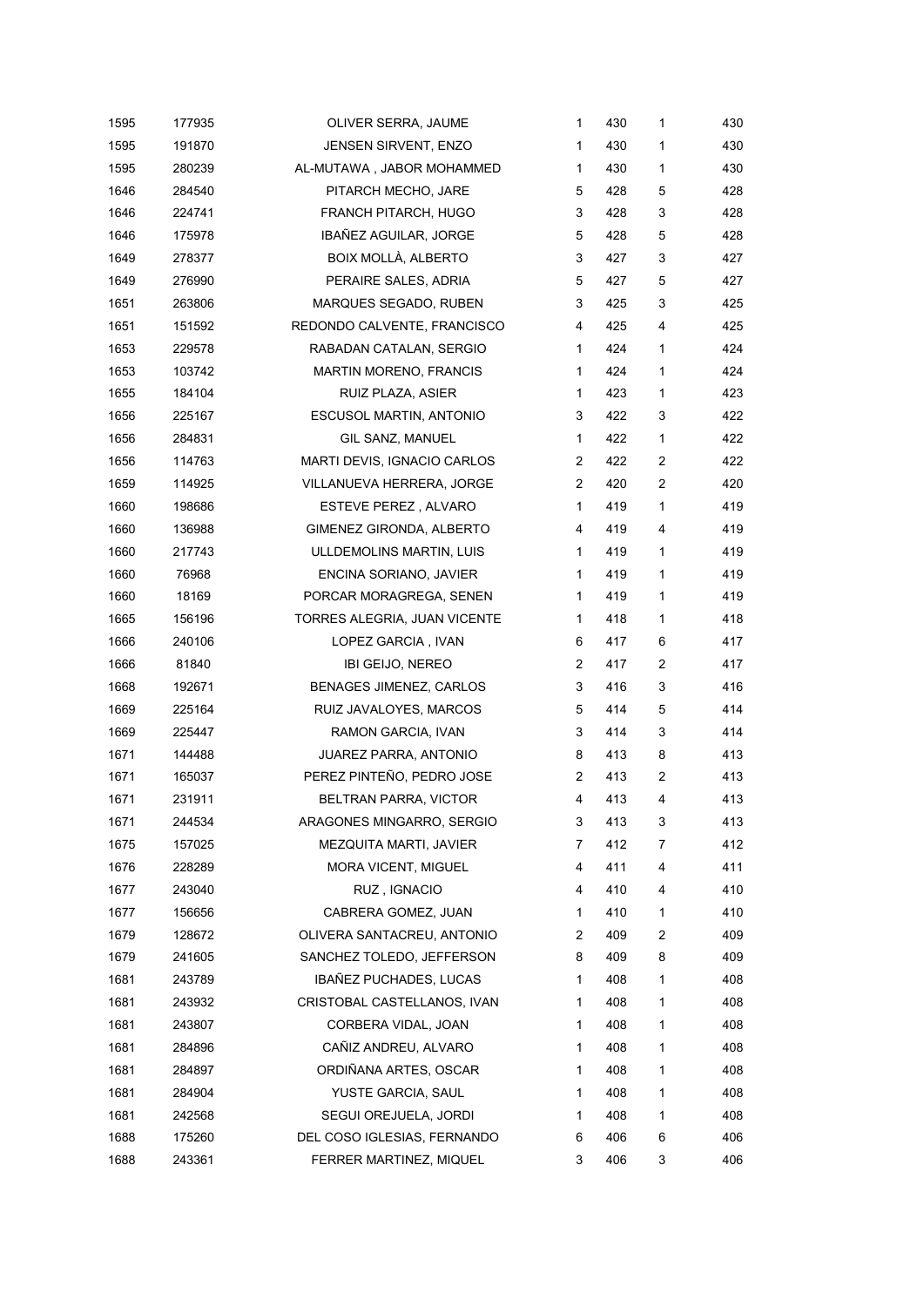| 1595 | 177935 | OLIVER SERRA, JAUME           | $\mathbf{1}$   | 430 | $\mathbf{1}$ | 430 |
|------|--------|-------------------------------|----------------|-----|--------------|-----|
| 1595 | 191870 | JENSEN SIRVENT, ENZO          | 1              | 430 | 1            | 430 |
| 1595 | 280239 | AL-MUTAWA, JABOR MOHAMMED     | 1              | 430 | 1            | 430 |
| 1646 | 284540 | PITARCH MECHO, JARE           | 5              | 428 | 5            | 428 |
| 1646 | 224741 | FRANCH PITARCH, HUGO          | 3              | 428 | 3            | 428 |
| 1646 | 175978 | <b>IBAÑEZ AGUILAR, JORGE</b>  | 5              | 428 | 5            | 428 |
| 1649 | 278377 | BOIX MOLLÀ, ALBERTO           | 3              | 427 | 3            | 427 |
| 1649 | 276990 | PERAIRE SALES, ADRIA          | 5              | 427 | 5            | 427 |
| 1651 | 263806 | MARQUES SEGADO, RUBEN         | 3              | 425 | 3            | 425 |
| 1651 | 151592 | REDONDO CALVENTE, FRANCISCO   | 4              | 425 | 4            | 425 |
| 1653 | 229578 | RABADAN CATALAN, SERGIO       | $\mathbf{1}$   | 424 | $\mathbf{1}$ | 424 |
| 1653 | 103742 | <b>MARTIN MORENO, FRANCIS</b> | 1              | 424 | 1            | 424 |
| 1655 | 184104 | RUIZ PLAZA, ASIER             | 1              | 423 | $\mathbf{1}$ | 423 |
| 1656 | 225167 | ESCUSOL MARTIN, ANTONIO       | 3              | 422 | 3            | 422 |
| 1656 | 284831 | GIL SANZ, MANUEL              | 1              | 422 | $\mathbf{1}$ | 422 |
| 1656 | 114763 | MARTI DEVIS, IGNACIO CARLOS   | 2              | 422 | 2            | 422 |
| 1659 | 114925 | VILLANUEVA HERRERA, JORGE     | $\overline{2}$ | 420 | 2            | 420 |
| 1660 | 198686 | ESTEVE PEREZ, ALVARO          | 1              | 419 | 1            | 419 |
| 1660 | 136988 | GIMENEZ GIRONDA, ALBERTO      | 4              | 419 | 4            | 419 |
| 1660 | 217743 | ULLDEMOLINS MARTIN, LUIS      | $\mathbf{1}$   | 419 | $\mathbf{1}$ | 419 |
| 1660 | 76968  | ENCINA SORIANO, JAVIER        | 1              | 419 | 1            | 419 |
| 1660 | 18169  | PORCAR MORAGREGA, SENEN       | 1              | 419 | $\mathbf{1}$ | 419 |
| 1665 | 156196 | TORRES ALEGRIA, JUAN VICENTE  | 1              | 418 | $\mathbf{1}$ | 418 |
| 1666 | 240106 | LOPEZ GARCIA, IVAN            | 6              | 417 | 6            | 417 |
| 1666 | 81840  | IBI GEIJO, NEREO              | 2              | 417 | 2            | 417 |
| 1668 | 192671 | BENAGES JIMENEZ, CARLOS       | 3              | 416 | 3            | 416 |
| 1669 | 225164 | RUIZ JAVALOYES, MARCOS        | 5              | 414 | 5            | 414 |
| 1669 | 225447 | RAMON GARCIA, IVAN            | 3              | 414 | 3            | 414 |
| 1671 | 144488 | JUAREZ PARRA, ANTONIO         | 8              | 413 | 8            | 413 |
| 1671 | 165037 | PEREZ PINTEÑO, PEDRO JOSE     | 2              | 413 | 2            | 413 |
| 1671 | 231911 | BELTRAN PARRA, VICTOR         | 4              | 413 | 4            | 413 |
| 1671 | 244534 | ARAGONES MINGARRO, SERGIO     | 3              | 413 | 3            | 413 |
| 1675 | 157025 | MEZQUITA MARTI, JAVIER        | 7              | 412 | 7            | 412 |
| 1676 | 228289 | MORA VICENT, MIGUEL           | 4              | 411 | 4            | 411 |
| 1677 | 243040 | RUZ, IGNACIO                  | 4              | 410 | 4            | 410 |
| 1677 | 156656 | CABRERA GOMEZ, JUAN           | 1              | 410 | 1            | 410 |
| 1679 | 128672 | OLIVERA SANTACREU, ANTONIO    | 2              | 409 | 2            | 409 |
| 1679 | 241605 | SANCHEZ TOLEDO, JEFFERSON     | 8              | 409 | 8            | 409 |
| 1681 | 243789 | IBAÑEZ PUCHADES, LUCAS        | 1              | 408 | 1            | 408 |
| 1681 | 243932 | CRISTOBAL CASTELLANOS, IVAN   | 1              | 408 | 1            | 408 |
| 1681 | 243807 | CORBERA VIDAL, JOAN           | 1              | 408 | 1            | 408 |
| 1681 | 284896 | CAÑIZ ANDREU, ALVARO          | 1              | 408 | 1            | 408 |
| 1681 | 284897 | ORDIÑANA ARTES, OSCAR         | 1              | 408 | 1            | 408 |
| 1681 | 284904 | YUSTE GARCIA, SAUL            | 1              | 408 | 1            | 408 |
| 1681 | 242568 | SEGUI OREJUELA, JORDI         | 1              | 408 | 1            | 408 |
| 1688 | 175260 | DEL COSO IGLESIAS, FERNANDO   | 6              | 406 | 6            | 406 |
| 1688 | 243361 | FERRER MARTINEZ, MIQUEL       | 3              | 406 | 3            | 406 |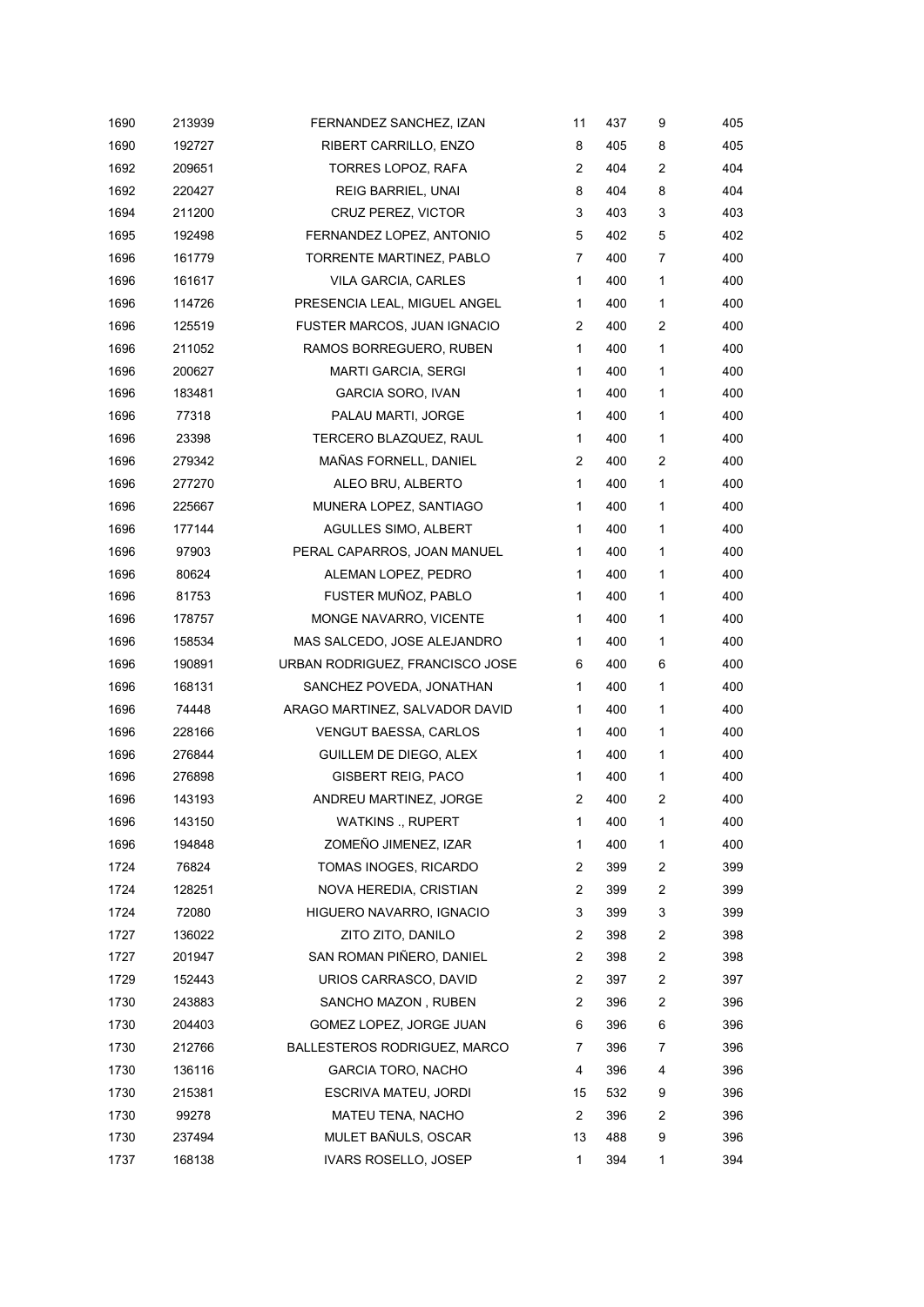| 1690 | 213939 | FERNANDEZ SANCHEZ, IZAN         | 11             | 437 | 9 | 405 |
|------|--------|---------------------------------|----------------|-----|---|-----|
| 1690 | 192727 | <b>RIBERT CARRILLO, ENZO</b>    | 8              | 405 | 8 | 405 |
| 1692 | 209651 | TORRES LOPOZ, RAFA              | 2              | 404 | 2 | 404 |
| 1692 | 220427 | REIG BARRIEL, UNAI              | 8              | 404 | 8 | 404 |
| 1694 | 211200 | CRUZ PEREZ, VICTOR              | 3              | 403 | 3 | 403 |
| 1695 | 192498 | FERNANDEZ LOPEZ, ANTONIO        | 5              | 402 | 5 | 402 |
| 1696 | 161779 | TORRENTE MARTINEZ, PABLO        | 7              | 400 | 7 | 400 |
| 1696 | 161617 | VILA GARCIA, CARLES             | $\mathbf{1}$   | 400 | 1 | 400 |
| 1696 | 114726 | PRESENCIA LEAL, MIGUEL ANGEL    | $\mathbf{1}$   | 400 | 1 | 400 |
| 1696 | 125519 | FUSTER MARCOS, JUAN IGNACIO     | 2              | 400 | 2 | 400 |
| 1696 | 211052 | RAMOS BORREGUERO, RUBEN         | $\mathbf{1}$   | 400 | 1 | 400 |
| 1696 | 200627 | <b>MARTI GARCIA, SERGI</b>      | $\mathbf{1}$   | 400 | 1 | 400 |
| 1696 | 183481 | GARCIA SORO, IVAN               | $\mathbf{1}$   | 400 | 1 | 400 |
| 1696 | 77318  | PALAU MARTI, JORGE              | 1              | 400 | 1 | 400 |
| 1696 | 23398  | TERCERO BLAZQUEZ, RAUL          | $\mathbf{1}$   | 400 | 1 | 400 |
| 1696 | 279342 | MAÑAS FORNELL, DANIEL           | 2              | 400 | 2 | 400 |
| 1696 | 277270 | ALEO BRU, ALBERTO               | $\mathbf{1}$   | 400 | 1 | 400 |
| 1696 | 225667 | MUNERA LOPEZ, SANTIAGO          | 1              | 400 | 1 | 400 |
| 1696 | 177144 | AGULLES SIMO, ALBERT            | $\mathbf{1}$   | 400 | 1 | 400 |
| 1696 | 97903  | PERAL CAPARROS, JOAN MANUEL     | $\mathbf{1}$   | 400 | 1 | 400 |
| 1696 | 80624  | ALEMAN LOPEZ, PEDRO             | $\mathbf{1}$   | 400 | 1 | 400 |
| 1696 | 81753  | FUSTER MUÑOZ, PABLO             | $\mathbf{1}$   | 400 | 1 | 400 |
| 1696 | 178757 | MONGE NAVARRO, VICENTE          | 1              | 400 | 1 | 400 |
| 1696 | 158534 | MAS SALCEDO, JOSE ALEJANDRO     | $\mathbf{1}$   | 400 | 1 | 400 |
| 1696 | 190891 | URBAN RODRIGUEZ, FRANCISCO JOSE | 6              | 400 | 6 | 400 |
| 1696 | 168131 | SANCHEZ POVEDA, JONATHAN        | $\mathbf{1}$   | 400 | 1 | 400 |
| 1696 | 74448  | ARAGO MARTINEZ, SALVADOR DAVID  | $\mathbf{1}$   | 400 | 1 | 400 |
| 1696 | 228166 | <b>VENGUT BAESSA, CARLOS</b>    | 1              | 400 | 1 | 400 |
| 1696 | 276844 | GUILLEM DE DIEGO, ALEX          | $\mathbf{1}$   | 400 | 1 | 400 |
| 1696 | 276898 | <b>GISBERT REIG, PACO</b>       | 1              | 400 | 1 | 400 |
| 1696 | 143193 | ANDREU MARTINEZ, JORGE          | 2              | 400 | 2 | 400 |
| 1696 | 143150 | <b>WATKINS</b> ., RUPERT        | 1              | 400 | 1 | 400 |
| 1696 | 194848 | ZOMEÑO JIMENEZ, IZAR            | 1              | 400 | 1 | 400 |
| 1724 | 76824  | TOMAS INOGES, RICARDO           | 2              | 399 | 2 | 399 |
| 1724 | 128251 | NOVA HEREDIA, CRISTIAN          | $\overline{c}$ | 399 | 2 | 399 |
| 1724 | 72080  | HIGUERO NAVARRO, IGNACIO        | 3              | 399 | 3 | 399 |
| 1727 | 136022 | ZITO ZITO, DANILO               | 2              | 398 | 2 | 398 |
| 1727 | 201947 | SAN ROMAN PIÑERO, DANIEL        | $\overline{2}$ | 398 | 2 | 398 |
| 1729 | 152443 | URIOS CARRASCO, DAVID           | 2              | 397 | 2 | 397 |
| 1730 | 243883 | SANCHO MAZON, RUBEN             | 2              | 396 | 2 | 396 |
| 1730 | 204403 | GOMEZ LOPEZ, JORGE JUAN         | 6              | 396 | 6 | 396 |
| 1730 | 212766 | BALLESTEROS RODRIGUEZ, MARCO    | 7              | 396 | 7 | 396 |
| 1730 | 136116 | <b>GARCIA TORO, NACHO</b>       | 4              | 396 | 4 | 396 |
| 1730 | 215381 | ESCRIVA MATEU, JORDI            | 15             | 532 | 9 | 396 |
| 1730 | 99278  | MATEU TENA, NACHO               | 2              | 396 | 2 | 396 |
| 1730 | 237494 | MULET BAÑULS, OSCAR             | 13             | 488 | 9 | 396 |
| 1737 | 168138 | IVARS ROSELLO, JOSEP            | 1              | 394 | 1 | 394 |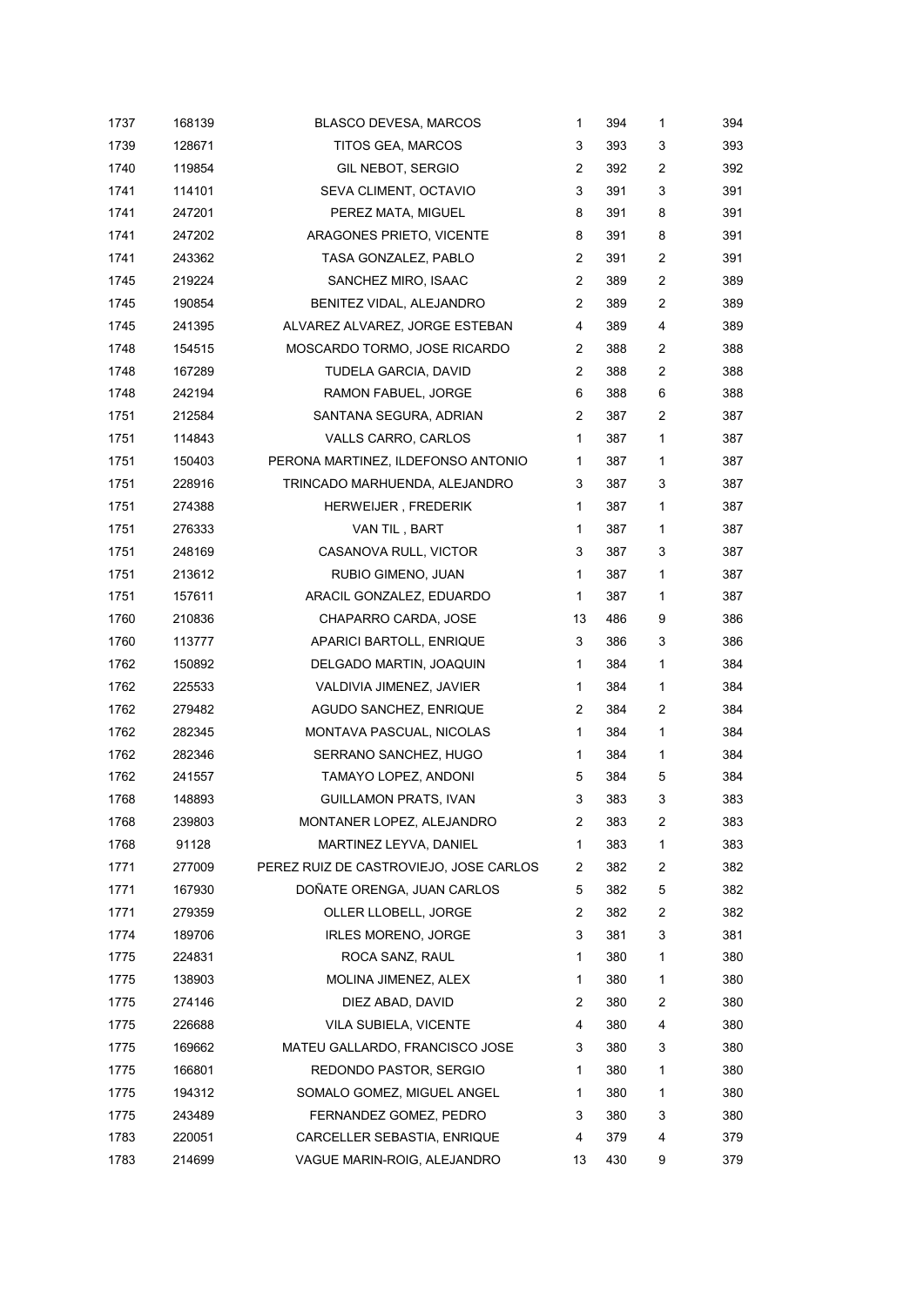| 1737 | 168139 | <b>BLASCO DEVESA, MARCOS</b>           | 1              | 394 | 1              | 394 |
|------|--------|----------------------------------------|----------------|-----|----------------|-----|
| 1739 | 128671 | TITOS GEA, MARCOS                      | 3              | 393 | 3              | 393 |
| 1740 | 119854 | GIL NEBOT, SERGIO                      | 2              | 392 | $\overline{c}$ | 392 |
| 1741 | 114101 | SEVA CLIMENT, OCTAVIO                  | 3              | 391 | 3              | 391 |
| 1741 | 247201 | PEREZ MATA, MIGUEL                     | 8              | 391 | 8              | 391 |
| 1741 | 247202 | ARAGONES PRIETO, VICENTE               | 8              | 391 | 8              | 391 |
| 1741 | 243362 | TASA GONZALEZ, PABLO                   | 2              | 391 | $\overline{c}$ | 391 |
| 1745 | 219224 | SANCHEZ MIRO, ISAAC                    | 2              | 389 | $\overline{c}$ | 389 |
| 1745 | 190854 | BENITEZ VIDAL, ALEJANDRO               | 2              | 389 | $\overline{c}$ | 389 |
| 1745 | 241395 | ALVAREZ ALVAREZ, JORGE ESTEBAN         | 4              | 389 | 4              | 389 |
| 1748 | 154515 | MOSCARDO TORMO, JOSE RICARDO           | $\overline{2}$ | 388 | 2              | 388 |
| 1748 | 167289 | TUDELA GARCIA, DAVID                   | $\overline{2}$ | 388 | $\overline{2}$ | 388 |
| 1748 | 242194 | RAMON FABUEL, JORGE                    | 6              | 388 | 6              | 388 |
| 1751 | 212584 | SANTANA SEGURA, ADRIAN                 | 2              | 387 | $\overline{c}$ | 387 |
| 1751 | 114843 | VALLS CARRO, CARLOS                    | $\mathbf{1}$   | 387 | $\mathbf{1}$   | 387 |
| 1751 | 150403 | PERONA MARTINEZ, ILDEFONSO ANTONIO     | 1              | 387 | 1              | 387 |
| 1751 | 228916 | TRINCADO MARHUENDA, ALEJANDRO          | 3              | 387 | 3              | 387 |
| 1751 | 274388 | HERWEIJER, FREDERIK                    | 1              | 387 | 1              | 387 |
| 1751 | 276333 | VAN TIL, BART                          | 1              | 387 | 1              | 387 |
| 1751 | 248169 | CASANOVA RULL, VICTOR                  | 3              | 387 | 3              | 387 |
| 1751 | 213612 | RUBIO GIMENO, JUAN                     | 1              | 387 | 1              | 387 |
| 1751 | 157611 | ARACIL GONZALEZ, EDUARDO               | $\mathbf{1}$   | 387 | 1              | 387 |
| 1760 | 210836 | CHAPARRO CARDA, JOSE                   | 13             | 486 | 9              | 386 |
| 1760 | 113777 | APARICI BARTOLL, ENRIQUE               | 3              | 386 | 3              | 386 |
| 1762 | 150892 | DELGADO MARTIN, JOAQUIN                | 1              | 384 | 1              | 384 |
| 1762 | 225533 | VALDIVIA JIMENEZ, JAVIER               | 1              | 384 | 1              | 384 |
| 1762 | 279482 | AGUDO SANCHEZ, ENRIQUE                 | 2              | 384 | 2              | 384 |
| 1762 | 282345 | MONTAVA PASCUAL, NICOLAS               | 1              | 384 | 1              | 384 |
| 1762 | 282346 | SERRANO SANCHEZ, HUGO                  | 1              | 384 | 1              | 384 |
| 1762 | 241557 | TAMAYO LOPEZ, ANDONI                   | 5              | 384 | 5              | 384 |
| 1768 | 148893 | GUILLAMON PRATS, IVAN                  | 3              | 383 | 3              | 383 |
| 1768 | 239803 | MONTANER LOPEZ, ALEJANDRO              | 2              | 383 | 2              | 383 |
| 1768 | 91128  | MARTINEZ LEYVA, DANIEL                 | 1              | 383 | 1              | 383 |
| 1771 | 277009 | PEREZ RUIZ DE CASTROVIEJO, JOSE CARLOS | 2              | 382 | 2              | 382 |
| 1771 | 167930 | DOÑATE ORENGA, JUAN CARLOS             | 5              | 382 | 5              | 382 |
| 1771 | 279359 | OLLER LLOBELL, JORGE                   | 2              | 382 | $\overline{c}$ | 382 |
| 1774 | 189706 | IRLES MORENO, JORGE                    | 3              | 381 | 3              | 381 |
| 1775 | 224831 | ROCA SANZ, RAUL                        | 1              | 380 | 1              | 380 |
| 1775 | 138903 | MOLINA JIMENEZ, ALEX                   | 1              | 380 | 1              | 380 |
| 1775 | 274146 | DIEZ ABAD, DAVID                       | 2              | 380 | 2              | 380 |
| 1775 | 226688 | VILA SUBIELA, VICENTE                  | 4              | 380 | 4              | 380 |
| 1775 | 169662 | MATEU GALLARDO, FRANCISCO JOSE         | 3              | 380 | 3              | 380 |
| 1775 | 166801 | REDONDO PASTOR, SERGIO                 | 1              | 380 | 1              | 380 |
| 1775 | 194312 | SOMALO GOMEZ, MIGUEL ANGEL             | 1              | 380 | 1              | 380 |
| 1775 | 243489 | FERNANDEZ GOMEZ, PEDRO                 | 3              | 380 | 3              | 380 |
| 1783 | 220051 | CARCELLER SEBASTIA, ENRIQUE            | 4              | 379 | 4              | 379 |
| 1783 | 214699 | VAGUE MARIN-ROIG, ALEJANDRO            | 13             | 430 | 9              | 379 |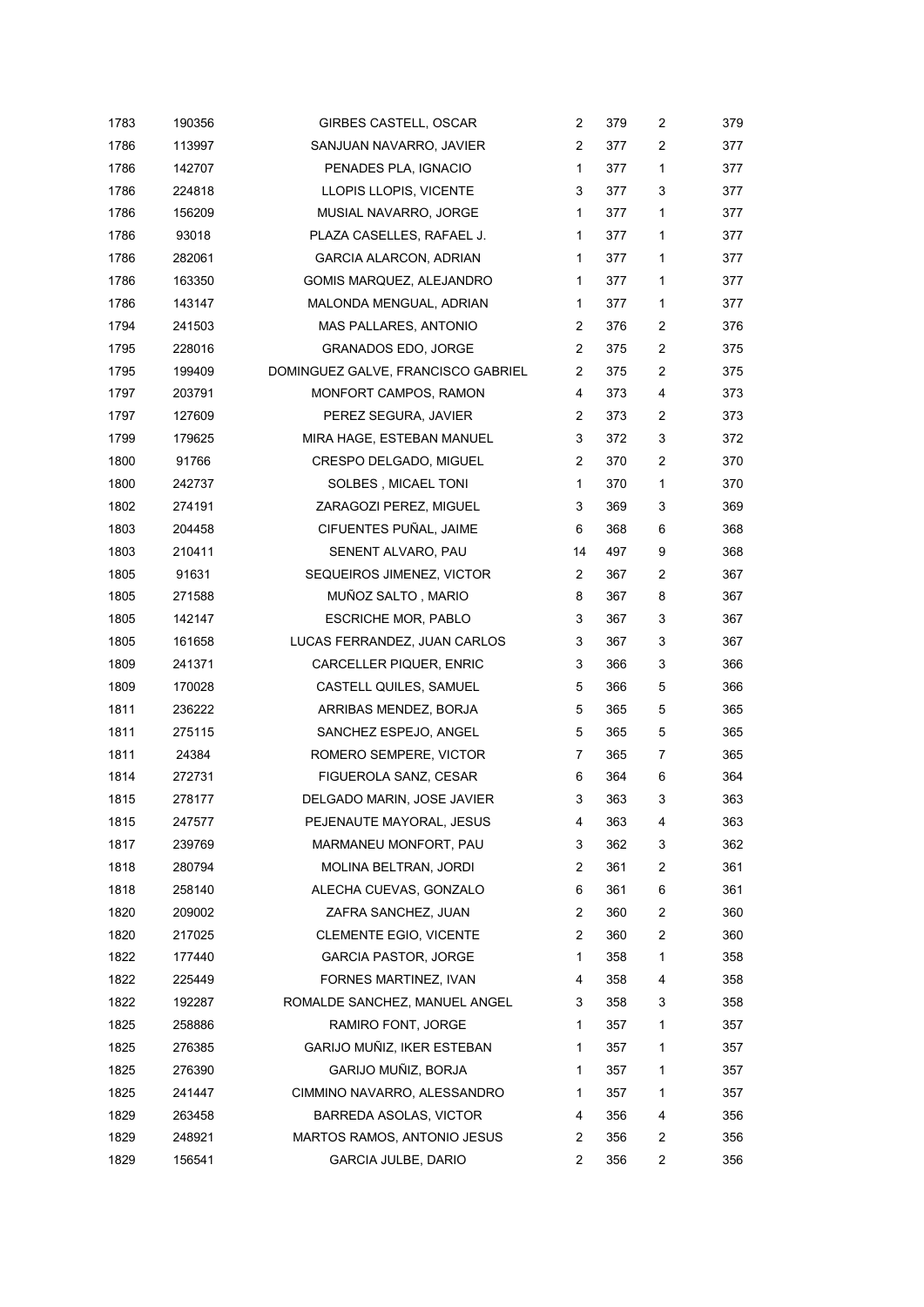| 1783 | 190356 | <b>GIRBES CASTELL, OSCAR</b>       | 2              | 379 | 2              | 379 |
|------|--------|------------------------------------|----------------|-----|----------------|-----|
| 1786 | 113997 | SANJUAN NAVARRO, JAVIER            | 2              | 377 | $\overline{c}$ | 377 |
| 1786 | 142707 | PENADES PLA, IGNACIO               | 1              | 377 | 1              | 377 |
| 1786 | 224818 | LLOPIS LLOPIS, VICENTE             | 3              | 377 | 3              | 377 |
| 1786 | 156209 | MUSIAL NAVARRO, JORGE              | 1              | 377 | 1              | 377 |
| 1786 | 93018  | PLAZA CASELLES, RAFAEL J.          | 1              | 377 | 1              | 377 |
| 1786 | 282061 | <b>GARCIA ALARCON, ADRIAN</b>      | 1              | 377 | 1              | 377 |
| 1786 | 163350 | GOMIS MARQUEZ, ALEJANDRO           | 1              | 377 | 1              | 377 |
| 1786 | 143147 | MALONDA MENGUAL, ADRIAN            | 1              | 377 | $\mathbf{1}$   | 377 |
| 1794 | 241503 | MAS PALLARES, ANTONIO              | 2              | 376 | $\overline{c}$ | 376 |
| 1795 | 228016 | <b>GRANADOS EDO, JORGE</b>         | 2              | 375 | $\overline{2}$ | 375 |
| 1795 | 199409 | DOMINGUEZ GALVE, FRANCISCO GABRIEL | 2              | 375 | $\overline{c}$ | 375 |
| 1797 | 203791 | MONFORT CAMPOS, RAMON              | 4              | 373 | 4              | 373 |
| 1797 | 127609 | PEREZ SEGURA, JAVIER               | 2              | 373 | $\overline{c}$ | 373 |
| 1799 | 179625 | MIRA HAGE, ESTEBAN MANUEL          | 3              | 372 | 3              | 372 |
| 1800 | 91766  | CRESPO DELGADO, MIGUEL             | 2              | 370 | $\overline{c}$ | 370 |
| 1800 | 242737 | SOLBES, MICAEL TONI                | 1              | 370 | 1              | 370 |
| 1802 | 274191 | ZARAGOZI PEREZ, MIGUEL             | 3              | 369 | 3              | 369 |
| 1803 | 204458 | CIFUENTES PUÑAL, JAIME             | 6              | 368 | 6              | 368 |
| 1803 | 210411 | SENENT ALVARO, PAU                 | 14             | 497 | 9              | 368 |
| 1805 | 91631  | SEQUEIROS JIMENEZ, VICTOR          | $\overline{2}$ | 367 | 2              | 367 |
| 1805 | 271588 | MUÑOZ SALTO, MARIO                 | 8              | 367 | 8              | 367 |
| 1805 | 142147 | <b>ESCRICHE MOR, PABLO</b>         | 3              | 367 | 3              | 367 |
| 1805 | 161658 | LUCAS FERRANDEZ, JUAN CARLOS       | 3              | 367 | 3              | 367 |
| 1809 | 241371 | CARCELLER PIQUER, ENRIC            | 3              | 366 | 3              | 366 |
| 1809 | 170028 | CASTELL QUILES, SAMUEL             | 5              | 366 | 5              | 366 |
| 1811 | 236222 | ARRIBAS MENDEZ, BORJA              | 5              | 365 | 5              | 365 |
| 1811 | 275115 | SANCHEZ ESPEJO, ANGEL              | 5              | 365 | 5              | 365 |
| 1811 | 24384  | ROMERO SEMPERE, VICTOR             | 7              | 365 | 7              | 365 |
| 1814 | 272731 | FIGUEROLA SANZ, CESAR              | 6              | 364 | 6              | 364 |
| 1815 | 278177 | DELGADO MARIN, JOSE JAVIER         | 3              | 363 | 3              | 363 |
| 1815 | 247577 | PEJENAUTE MAYORAL, JESUS           | 4              | 363 | 4              | 363 |
| 1817 | 239769 | MARMANEU MONFORT, PAU              | 3              | 362 | 3              | 362 |
| 1818 | 280794 | MOLINA BELTRAN, JORDI              | 2              | 361 | 2              | 361 |
| 1818 | 258140 | ALECHA CUEVAS, GONZALO             | 6              | 361 | 6              | 361 |
| 1820 | 209002 | ZAFRA SANCHEZ, JUAN                | 2              | 360 | 2              | 360 |
| 1820 | 217025 | <b>CLEMENTE EGIO, VICENTE</b>      | 2              | 360 | 2              | 360 |
| 1822 | 177440 | <b>GARCIA PASTOR, JORGE</b>        | 1              | 358 | 1              | 358 |
| 1822 | 225449 | FORNES MARTINEZ, IVAN              | 4              | 358 | 4              | 358 |
| 1822 | 192287 | ROMALDE SANCHEZ, MANUEL ANGEL      | 3              | 358 | 3              | 358 |
| 1825 | 258886 | RAMIRO FONT, JORGE                 | 1              | 357 | 1              | 357 |
| 1825 | 276385 | GARIJO MUÑIZ, IKER ESTEBAN         | 1              | 357 | 1              | 357 |
| 1825 | 276390 | GARIJO MUÑIZ, BORJA                | 1              | 357 | 1              | 357 |
| 1825 | 241447 | CIMMINO NAVARRO, ALESSANDRO        | 1              | 357 | 1              | 357 |
| 1829 | 263458 | <b>BARREDA ASOLAS, VICTOR</b>      | 4              | 356 | 4              | 356 |
| 1829 | 248921 | MARTOS RAMOS, ANTONIO JESUS        | 2              | 356 | 2              | 356 |
| 1829 | 156541 | <b>GARCIA JULBE, DARIO</b>         | $\overline{2}$ | 356 | 2              | 356 |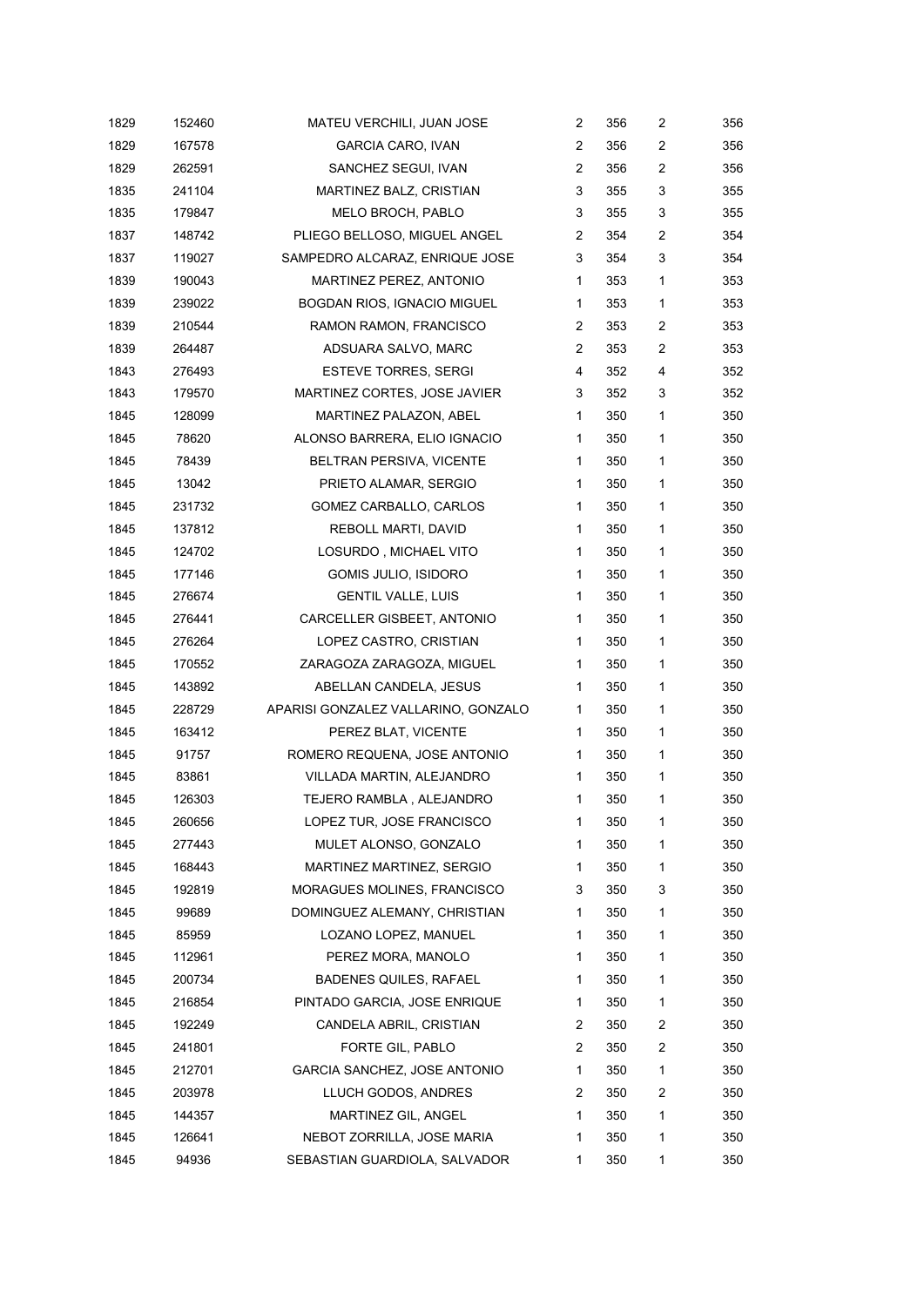| 1829 | 152460 | MATEU VERCHILI, JUAN JOSE           | 2              | 356 | 2            | 356 |
|------|--------|-------------------------------------|----------------|-----|--------------|-----|
| 1829 | 167578 | <b>GARCIA CARO, IVAN</b>            | 2              | 356 | 2            | 356 |
| 1829 | 262591 | SANCHEZ SEGUI, IVAN                 | $\overline{2}$ | 356 | 2            | 356 |
| 1835 | 241104 | MARTINEZ BALZ, CRISTIAN             | 3              | 355 | 3            | 355 |
| 1835 | 179847 | MELO BROCH, PABLO                   | 3              | 355 | 3            | 355 |
| 1837 | 148742 | PLIEGO BELLOSO, MIGUEL ANGEL        | 2              | 354 | 2            | 354 |
| 1837 | 119027 | SAMPEDRO ALCARAZ, ENRIQUE JOSE      | 3              | 354 | 3            | 354 |
| 1839 | 190043 | MARTINEZ PEREZ, ANTONIO             | 1              | 353 | $\mathbf{1}$ | 353 |
| 1839 | 239022 | BOGDAN RIOS, IGNACIO MIGUEL         | 1              | 353 | 1            | 353 |
| 1839 | 210544 | RAMON RAMON, FRANCISCO              | 2              | 353 | 2            | 353 |
| 1839 | 264487 | ADSUARA SALVO, MARC                 | 2              | 353 | 2            | 353 |
| 1843 | 276493 | <b>ESTEVE TORRES, SERGI</b>         | 4              | 352 | 4            | 352 |
| 1843 | 179570 | MARTINEZ CORTES, JOSE JAVIER        | 3              | 352 | 3            | 352 |
| 1845 | 128099 | MARTINEZ PALAZON, ABEL              | $\mathbf{1}$   | 350 | 1            | 350 |
| 1845 | 78620  | ALONSO BARRERA, ELIO IGNACIO        | 1              | 350 | 1            | 350 |
| 1845 | 78439  | BELTRAN PERSIVA, VICENTE            | 1              | 350 | 1            | 350 |
| 1845 | 13042  | PRIETO ALAMAR, SERGIO               | 1              | 350 | 1            | 350 |
| 1845 | 231732 | GOMEZ CARBALLO, CARLOS              | 1              | 350 | 1            | 350 |
| 1845 | 137812 | REBOLL MARTI, DAVID                 | 1              | 350 | 1            | 350 |
| 1845 | 124702 | LOSURDO, MICHAEL VITO               | 1              | 350 | 1            | 350 |
| 1845 | 177146 | GOMIS JULIO, ISIDORO                | 1              | 350 | 1            | 350 |
| 1845 | 276674 | <b>GENTIL VALLE, LUIS</b>           | 1              | 350 | 1            | 350 |
| 1845 | 276441 | CARCELLER GISBEET, ANTONIO          | 1              | 350 | 1            | 350 |
| 1845 | 276264 | LOPEZ CASTRO, CRISTIAN              | 1              | 350 | 1            | 350 |
| 1845 | 170552 | ZARAGOZA ZARAGOZA, MIGUEL           | 1              | 350 | 1            | 350 |
| 1845 | 143892 | ABELLAN CANDELA, JESUS              | 1              | 350 | 1            | 350 |
| 1845 | 228729 | APARISI GONZALEZ VALLARINO, GONZALO | 1              | 350 | 1            | 350 |
| 1845 | 163412 | PEREZ BLAT, VICENTE                 | $\mathbf{1}$   | 350 | $\mathbf{1}$ | 350 |
| 1845 | 91757  | ROMERO REQUENA, JOSE ANTONIO        | 1              | 350 | 1            | 350 |
| 1845 | 83861  | VILLADA MARTIN, ALEJANDRO           | 1              | 350 | 1            | 350 |
| 1845 | 126303 | TEJERO RAMBLA, ALEJANDRO            | 1              | 350 | 1            | 350 |
| 1845 | 260656 | LOPEZ TUR, JOSE FRANCISCO           | 1              | 350 | 1            | 350 |
| 1845 | 277443 | MULET ALONSO, GONZALO               | 1              | 350 | 1            | 350 |
| 1845 | 168443 | MARTINEZ MARTINEZ, SERGIO           | 1              | 350 | 1            | 350 |
| 1845 | 192819 | MORAGUES MOLINES, FRANCISCO         | 3              | 350 | 3            | 350 |
| 1845 | 99689  | DOMINGUEZ ALEMANY, CHRISTIAN        | 1              | 350 | 1            | 350 |
| 1845 | 85959  | LOZANO LOPEZ, MANUEL                | 1              | 350 | 1            | 350 |
| 1845 | 112961 | PEREZ MORA, MANOLO                  | 1              | 350 | 1            | 350 |
| 1845 | 200734 | BADENES QUILES, RAFAEL              | 1              | 350 | 1            | 350 |
| 1845 | 216854 | PINTADO GARCIA, JOSE ENRIQUE        | 1              | 350 | 1            | 350 |
| 1845 | 192249 | CANDELA ABRIL, CRISTIAN             | 2              | 350 | 2            | 350 |
| 1845 | 241801 | FORTE GIL, PABLO                    | 2              | 350 | 2            | 350 |
| 1845 | 212701 | <b>GARCIA SANCHEZ, JOSE ANTONIO</b> | 1              | 350 | 1            | 350 |
| 1845 | 203978 | LLUCH GODOS, ANDRES                 | 2              | 350 | 2            | 350 |
| 1845 | 144357 | MARTINEZ GIL, ANGEL                 | 1              | 350 | 1            | 350 |
| 1845 | 126641 | NEBOT ZORRILLA, JOSE MARIA          | 1              | 350 | 1            | 350 |
| 1845 | 94936  | SEBASTIAN GUARDIOLA, SALVADOR       | 1              | 350 | 1            | 350 |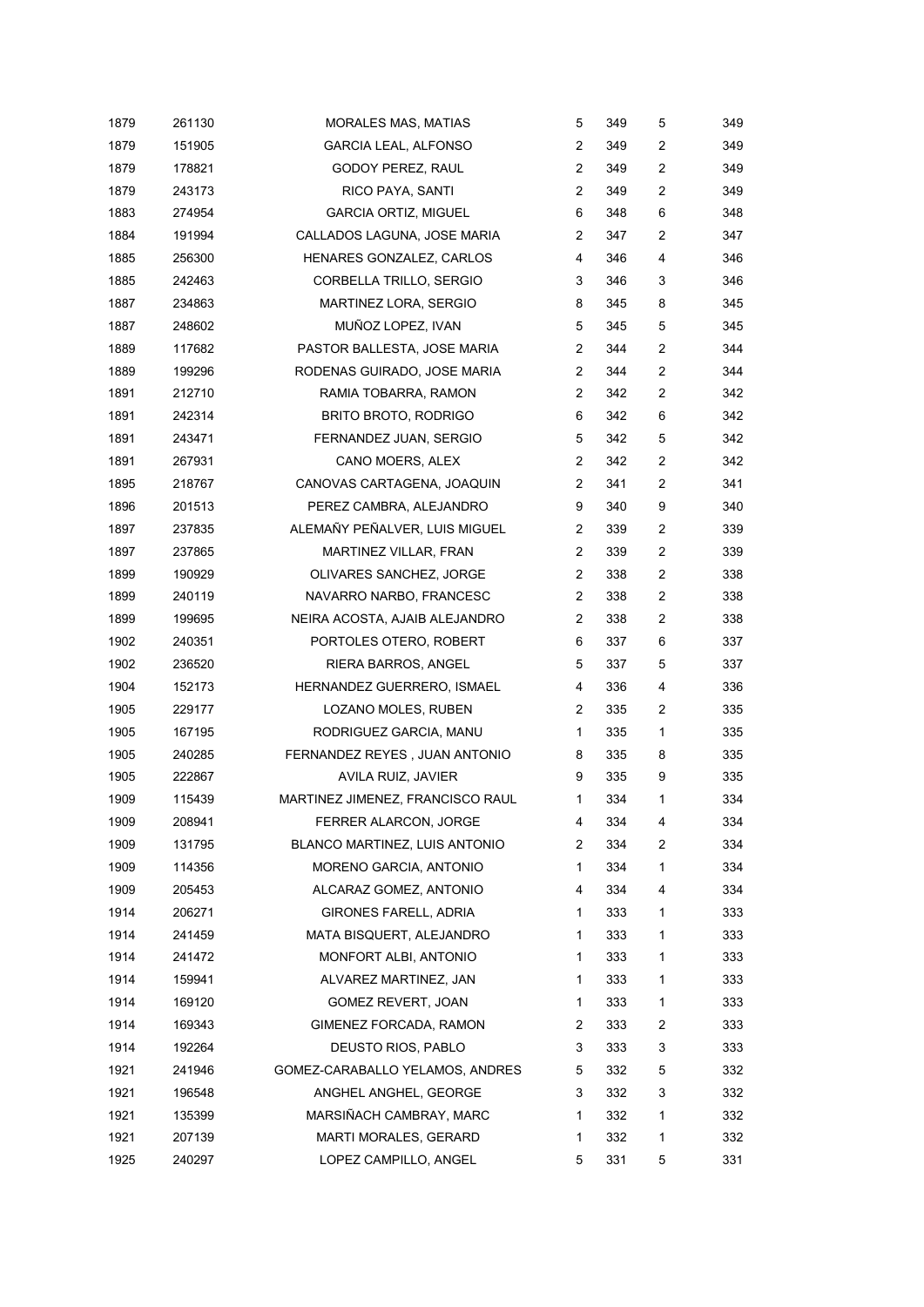| 1879 | 261130 | <b>MORALES MAS, MATIAS</b>       | 5              | 349 | 5            | 349 |
|------|--------|----------------------------------|----------------|-----|--------------|-----|
| 1879 | 151905 | <b>GARCIA LEAL, ALFONSO</b>      | 2              | 349 | 2            | 349 |
| 1879 | 178821 | GODOY PEREZ, RAUL                | $\overline{2}$ | 349 | 2            | 349 |
| 1879 | 243173 | RICO PAYA, SANTI                 | 2              | 349 | 2            | 349 |
| 1883 | 274954 | <b>GARCIA ORTIZ, MIGUEL</b>      | 6              | 348 | 6            | 348 |
| 1884 | 191994 | CALLADOS LAGUNA, JOSE MARIA      | $\overline{c}$ | 347 | 2            | 347 |
| 1885 | 256300 | HENARES GONZALEZ, CARLOS         | 4              | 346 | 4            | 346 |
| 1885 | 242463 | CORBELLA TRILLO, SERGIO          | 3              | 346 | 3            | 346 |
| 1887 | 234863 | MARTINEZ LORA, SERGIO            | 8              | 345 | 8            | 345 |
| 1887 | 248602 | MUÑOZ LOPEZ, IVAN                | 5              | 345 | 5            | 345 |
| 1889 | 117682 | PASTOR BALLESTA, JOSE MARIA      | 2              | 344 | 2            | 344 |
| 1889 | 199296 | RODENAS GUIRADO, JOSE MARIA      | $\overline{2}$ | 344 | 2            | 344 |
| 1891 | 212710 | RAMIA TOBARRA, RAMON             | 2              | 342 | 2            | 342 |
| 1891 | 242314 | <b>BRITO BROTO, RODRIGO</b>      | 6              | 342 | 6            | 342 |
| 1891 | 243471 | FERNANDEZ JUAN, SERGIO           | 5              | 342 | 5            | 342 |
| 1891 | 267931 | CANO MOERS, ALEX                 | 2              | 342 | 2            | 342 |
| 1895 | 218767 | CANOVAS CARTAGENA, JOAQUIN       | 2              | 341 | 2            | 341 |
| 1896 | 201513 | PEREZ CAMBRA, ALEJANDRO          | 9              | 340 | 9            | 340 |
| 1897 | 237835 | ALEMAÑY PEÑALVER, LUIS MIGUEL    | 2              | 339 | 2            | 339 |
| 1897 | 237865 | MARTINEZ VILLAR, FRAN            | 2              | 339 | 2            | 339 |
| 1899 | 190929 | OLIVARES SANCHEZ, JORGE          | 2              | 338 | 2            | 338 |
| 1899 | 240119 | NAVARRO NARBO, FRANCESC          | $\overline{2}$ | 338 | 2            | 338 |
| 1899 | 199695 | NEIRA ACOSTA, AJAIB ALEJANDRO    | 2              | 338 | 2            | 338 |
| 1902 | 240351 | PORTOLES OTERO, ROBERT           | 6              | 337 | 6            | 337 |
| 1902 | 236520 | RIERA BARROS, ANGEL              | 5              | 337 | 5            | 337 |
| 1904 | 152173 | HERNANDEZ GUERRERO, ISMAEL       | 4              | 336 | 4            | 336 |
| 1905 | 229177 | LOZANO MOLES, RUBEN              | 2              | 335 | 2            | 335 |
| 1905 | 167195 | RODRIGUEZ GARCIA, MANU           | 1              | 335 | $\mathbf{1}$ | 335 |
| 1905 | 240285 | FERNANDEZ REYES, JUAN ANTONIO    | 8              | 335 | 8            | 335 |
| 1905 | 222867 | AVILA RUIZ, JAVIER               | 9              | 335 | 9            | 335 |
| 1909 | 115439 | MARTINEZ JIMENEZ, FRANCISCO RAUL | 1              | 334 | 1            | 334 |
| 1909 | 208941 | FERRER ALARCON, JORGE            | 4              | 334 | 4            | 334 |
| 1909 | 131795 | BLANCO MARTINEZ, LUIS ANTONIO    | 2              | 334 | 2            | 334 |
| 1909 | 114356 | MORENO GARCIA, ANTONIO           | 1              | 334 | 1            | 334 |
| 1909 | 205453 | ALCARAZ GOMEZ, ANTONIO           | 4              | 334 | 4            | 334 |
| 1914 | 206271 | <b>GIRONES FARELL, ADRIA</b>     | 1              | 333 | 1            | 333 |
| 1914 | 241459 | MATA BISQUERT, ALEJANDRO         | 1              | 333 | 1            | 333 |
| 1914 | 241472 | MONFORT ALBI, ANTONIO            | 1              | 333 | 1            | 333 |
| 1914 | 159941 | ALVAREZ MARTINEZ, JAN            | 1              | 333 | 1            | 333 |
| 1914 | 169120 | GOMEZ REVERT, JOAN               | 1              | 333 | 1            | 333 |
| 1914 | 169343 | GIMENEZ FORCADA, RAMON           | 2              | 333 | 2            | 333 |
| 1914 | 192264 | DEUSTO RIOS, PABLO               | 3              | 333 | 3            | 333 |
| 1921 | 241946 | GOMEZ-CARABALLO YELAMOS, ANDRES  | 5              | 332 | 5            | 332 |
| 1921 | 196548 | ANGHEL ANGHEL, GEORGE            | 3              | 332 | 3            | 332 |
| 1921 | 135399 | MARSIÑACH CAMBRAY, MARC          | 1              | 332 | 1            | 332 |
| 1921 | 207139 | MARTI MORALES, GERARD            | 1              | 332 | 1            | 332 |
| 1925 | 240297 | LOPEZ CAMPILLO, ANGEL            | 5              | 331 | 5            | 331 |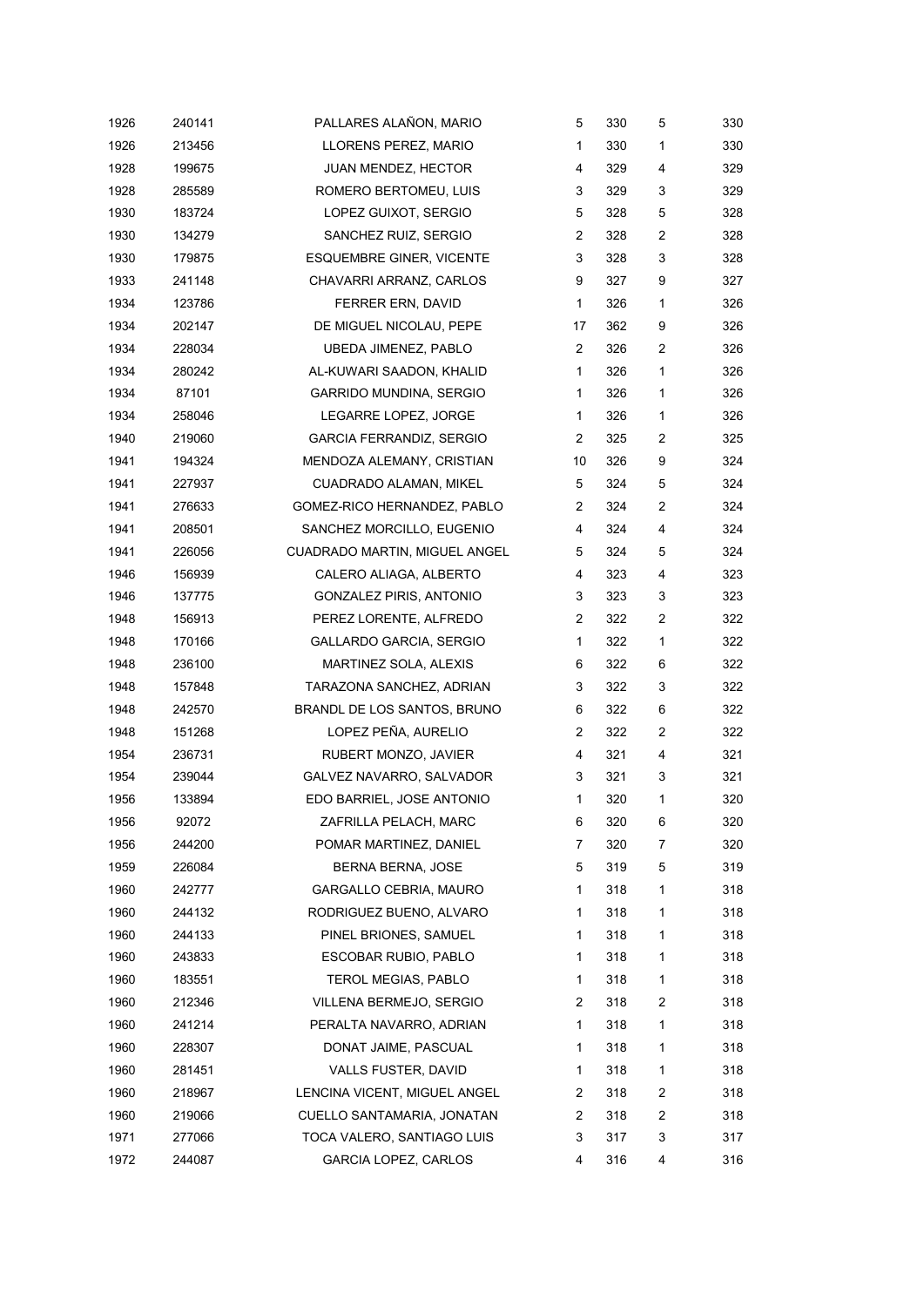| 1926 | 240141 | PALLARES ALAÑON, MARIO          | 5              | 330 | 5              | 330 |
|------|--------|---------------------------------|----------------|-----|----------------|-----|
| 1926 | 213456 | LLORENS PEREZ, MARIO            | 1              | 330 | 1              | 330 |
| 1928 | 199675 | JUAN MENDEZ, HECTOR             | 4              | 329 | 4              | 329 |
| 1928 | 285589 | ROMERO BERTOMEU, LUIS           | 3              | 329 | 3              | 329 |
| 1930 | 183724 | LOPEZ GUIXOT, SERGIO            | 5              | 328 | 5              | 328 |
| 1930 | 134279 | SANCHEZ RUIZ, SERGIO            | $\overline{c}$ | 328 | $\overline{c}$ | 328 |
| 1930 | 179875 | <b>ESQUEMBRE GINER, VICENTE</b> | 3              | 328 | 3              | 328 |
| 1933 | 241148 | CHAVARRI ARRANZ, CARLOS         | 9              | 327 | 9              | 327 |
| 1934 | 123786 | FERRER ERN, DAVID               | 1              | 326 | 1              | 326 |
| 1934 | 202147 | DE MIGUEL NICOLAU, PEPE         | 17             | 362 | 9              | 326 |
| 1934 | 228034 | UBEDA JIMENEZ, PABLO            | $\mathbf{2}$   | 326 | $\overline{c}$ | 326 |
| 1934 | 280242 | AL-KUWARI SAADON, KHALID        | $\mathbf{1}$   | 326 | 1              | 326 |
| 1934 | 87101  | GARRIDO MUNDINA, SERGIO         | $\mathbf{1}$   | 326 | 1              | 326 |
| 1934 | 258046 | LEGARRE LOPEZ, JORGE            | 1              | 326 | 1              | 326 |
| 1940 | 219060 | <b>GARCIA FERRANDIZ, SERGIO</b> | 2              | 325 | 2              | 325 |
| 1941 | 194324 | MENDOZA ALEMANY, CRISTIAN       | 10             | 326 | 9              | 324 |
| 1941 | 227937 | CUADRADO ALAMAN, MIKEL          | 5              | 324 | 5              | 324 |
| 1941 | 276633 | GOMEZ-RICO HERNANDEZ, PABLO     | 2              | 324 | 2              | 324 |
| 1941 | 208501 | SANCHEZ MORCILLO, EUGENIO       | 4              | 324 | 4              | 324 |
| 1941 | 226056 | CUADRADO MARTIN, MIGUEL ANGEL   | 5              | 324 | 5              | 324 |
| 1946 | 156939 | CALERO ALIAGA, ALBERTO          | 4              | 323 | 4              | 323 |
| 1946 | 137775 | <b>GONZALEZ PIRIS, ANTONIO</b>  | 3              | 323 | 3              | 323 |
| 1948 | 156913 | PEREZ LORENTE, ALFREDO          | 2              | 322 | 2              | 322 |
| 1948 | 170166 | <b>GALLARDO GARCIA, SERGIO</b>  | $\mathbf{1}$   | 322 | 1              | 322 |
| 1948 | 236100 | MARTINEZ SOLA, ALEXIS           | 6              | 322 | 6              | 322 |
| 1948 | 157848 | TARAZONA SANCHEZ, ADRIAN        | 3              | 322 | 3              | 322 |
| 1948 | 242570 | BRANDL DE LOS SANTOS, BRUNO     | 6              | 322 | 6              | 322 |
| 1948 | 151268 | LOPEZ PEÑA, AURELIO             | 2              | 322 | 2              | 322 |
| 1954 | 236731 | RUBERT MONZO, JAVIER            | 4              | 321 | 4              | 321 |
| 1954 | 239044 | GALVEZ NAVARRO, SALVADOR        | 3              | 321 | 3              | 321 |
| 1956 | 133894 | EDO BARRIEL, JOSE ANTONIO       | 1              | 320 | 1              | 320 |
| 1956 | 92072  | ZAFRILLA PELACH, MARC           | 6              | 320 | 6              | 320 |
| 1956 | 244200 | POMAR MARTINEZ, DANIEL          | 7              | 320 | 7              | 320 |
| 1959 | 226084 | BERNA BERNA, JOSE               | 5              | 319 | 5              | 319 |
| 1960 | 242777 | GARGALLO CEBRIA, MAURO          | 1              | 318 | 1              | 318 |
| 1960 | 244132 | RODRIGUEZ BUENO, ALVARO         | 1              | 318 | 1              | 318 |
| 1960 | 244133 | PINEL BRIONES, SAMUEL           | 1              | 318 | 1              | 318 |
| 1960 | 243833 | ESCOBAR RUBIO, PABLO            | 1              | 318 | 1              | 318 |
| 1960 | 183551 | TEROL MEGIAS, PABLO             | 1              | 318 | 1              | 318 |
| 1960 | 212346 | VILLENA BERMEJO, SERGIO         | 2              | 318 | 2              | 318 |
| 1960 | 241214 | PERALTA NAVARRO, ADRIAN         | 1              | 318 | $\mathbf{1}$   | 318 |
| 1960 | 228307 | DONAT JAIME, PASCUAL            | 1              | 318 | 1              | 318 |
| 1960 | 281451 | VALLS FUSTER, DAVID             | 1              | 318 | 1              | 318 |
| 1960 | 218967 | LENCINA VICENT, MIGUEL ANGEL    | 2              | 318 | $\overline{c}$ | 318 |
| 1960 | 219066 | CUELLO SANTAMARIA, JONATAN      | 2              | 318 | 2              | 318 |
| 1971 | 277066 | TOCA VALERO, SANTIAGO LUIS      | 3              | 317 | 3              | 317 |
| 1972 | 244087 | GARCIA LOPEZ, CARLOS            | 4              | 316 | 4              | 316 |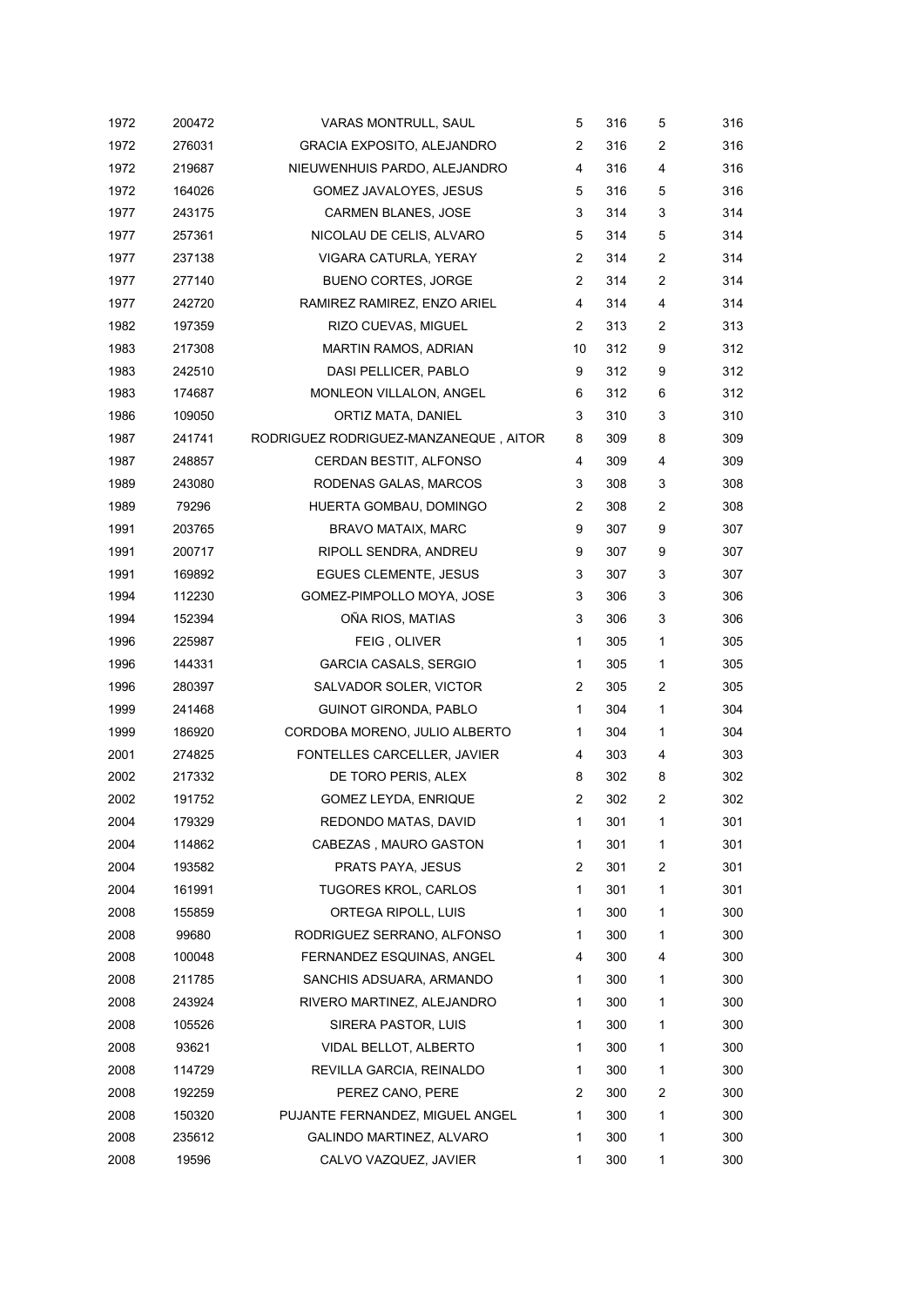| 1972 | 200472 | VARAS MONTRULL, SAUL                  | 5              | 316 | 5 | 316 |
|------|--------|---------------------------------------|----------------|-----|---|-----|
| 1972 | 276031 | <b>GRACIA EXPOSITO, ALEJANDRO</b>     | 2              | 316 | 2 | 316 |
| 1972 | 219687 | NIEUWENHUIS PARDO, ALEJANDRO          | 4              | 316 | 4 | 316 |
| 1972 | 164026 | GOMEZ JAVALOYES, JESUS                | 5              | 316 | 5 | 316 |
| 1977 | 243175 | <b>CARMEN BLANES, JOSE</b>            | 3              | 314 | 3 | 314 |
| 1977 | 257361 | NICOLAU DE CELIS, ALVARO              | 5              | 314 | 5 | 314 |
| 1977 | 237138 | VIGARA CATURLA, YERAY                 | $\overline{2}$ | 314 | 2 | 314 |
| 1977 | 277140 | <b>BUENO CORTES, JORGE</b>            | 2              | 314 | 2 | 314 |
| 1977 | 242720 | RAMIREZ RAMIREZ, ENZO ARIEL           | 4              | 314 | 4 | 314 |
| 1982 | 197359 | RIZO CUEVAS, MIGUEL                   | 2              | 313 | 2 | 313 |
| 1983 | 217308 | MARTIN RAMOS, ADRIAN                  | 10             | 312 | 9 | 312 |
| 1983 | 242510 | DASI PELLICER, PABLO                  | 9              | 312 | 9 | 312 |
| 1983 | 174687 | MONLEON VILLALON, ANGEL               | 6              | 312 | 6 | 312 |
| 1986 | 109050 | ORTIZ MATA, DANIEL                    | 3              | 310 | 3 | 310 |
| 1987 | 241741 | RODRIGUEZ RODRIGUEZ-MANZANEQUE, AITOR | 8              | 309 | 8 | 309 |
| 1987 | 248857 | CERDAN BESTIT, ALFONSO                | 4              | 309 | 4 | 309 |
| 1989 | 243080 | RODENAS GALAS, MARCOS                 | 3              | 308 | 3 | 308 |
| 1989 | 79296  | HUERTA GOMBAU, DOMINGO                | 2              | 308 | 2 | 308 |
| 1991 | 203765 | <b>BRAVO MATAIX, MARC</b>             | 9              | 307 | 9 | 307 |
| 1991 | 200717 | RIPOLL SENDRA, ANDREU                 | 9              | 307 | 9 | 307 |
| 1991 | 169892 | <b>EGUES CLEMENTE, JESUS</b>          | 3              | 307 | 3 | 307 |
| 1994 | 112230 | GOMEZ-PIMPOLLO MOYA, JOSE             | 3              | 306 | 3 | 306 |
| 1994 | 152394 | OÑA RIOS, MATIAS                      | 3              | 306 | 3 | 306 |
| 1996 | 225987 | FEIG, OLIVER                          | 1              | 305 | 1 | 305 |
| 1996 | 144331 | <b>GARCIA CASALS, SERGIO</b>          | 1              | 305 | 1 | 305 |
| 1996 | 280397 | SALVADOR SOLER, VICTOR                | 2              | 305 | 2 | 305 |
| 1999 | 241468 | GUINOT GIRONDA, PABLO                 | 1              | 304 | 1 | 304 |
| 1999 | 186920 | CORDOBA MORENO, JULIO ALBERTO         | 1              | 304 | 1 | 304 |
| 2001 | 274825 | FONTELLES CARCELLER, JAVIER           | 4              | 303 | 4 | 303 |
| 2002 | 217332 | DE TORO PERIS, ALEX                   | 8              | 302 | 8 | 302 |
| 2002 | 191752 | <b>GOMEZ LEYDA, ENRIQUE</b>           | $\overline{2}$ | 302 | 2 | 302 |
| 2004 | 179329 | REDONDO MATAS, DAVID                  | 1              | 301 | 1 | 301 |
| 2004 | 114862 | CABEZAS, MAURO GASTON                 | 1              | 301 | 1 | 301 |
| 2004 | 193582 | PRATS PAYA, JESUS                     | 2              | 301 | 2 | 301 |
| 2004 | 161991 | <b>TUGORES KROL, CARLOS</b>           | 1              | 301 | 1 | 301 |
| 2008 | 155859 | ORTEGA RIPOLL, LUIS                   | 1              | 300 | 1 | 300 |
| 2008 | 99680  | RODRIGUEZ SERRANO, ALFONSO            | 1              | 300 | 1 | 300 |
| 2008 | 100048 | FERNANDEZ ESQUINAS, ANGEL             | 4              | 300 | 4 | 300 |
| 2008 | 211785 | SANCHIS ADSUARA, ARMANDO              | 1              | 300 | 1 | 300 |
| 2008 | 243924 | RIVERO MARTINEZ, ALEJANDRO            | 1              | 300 | 1 | 300 |
| 2008 | 105526 | SIRERA PASTOR, LUIS                   | 1              | 300 | 1 | 300 |
| 2008 | 93621  | VIDAL BELLOT, ALBERTO                 | 1              | 300 | 1 | 300 |
| 2008 | 114729 | REVILLA GARCIA, REINALDO              | 1              | 300 | 1 | 300 |
| 2008 | 192259 | PEREZ CANO, PERE                      | 2              | 300 | 2 | 300 |
| 2008 | 150320 | PUJANTE FERNANDEZ, MIGUEL ANGEL       | 1              | 300 | 1 | 300 |
| 2008 | 235612 | GALINDO MARTINEZ, ALVARO              | 1              | 300 | 1 | 300 |
| 2008 | 19596  | CALVO VAZQUEZ, JAVIER                 | 1              | 300 | 1 | 300 |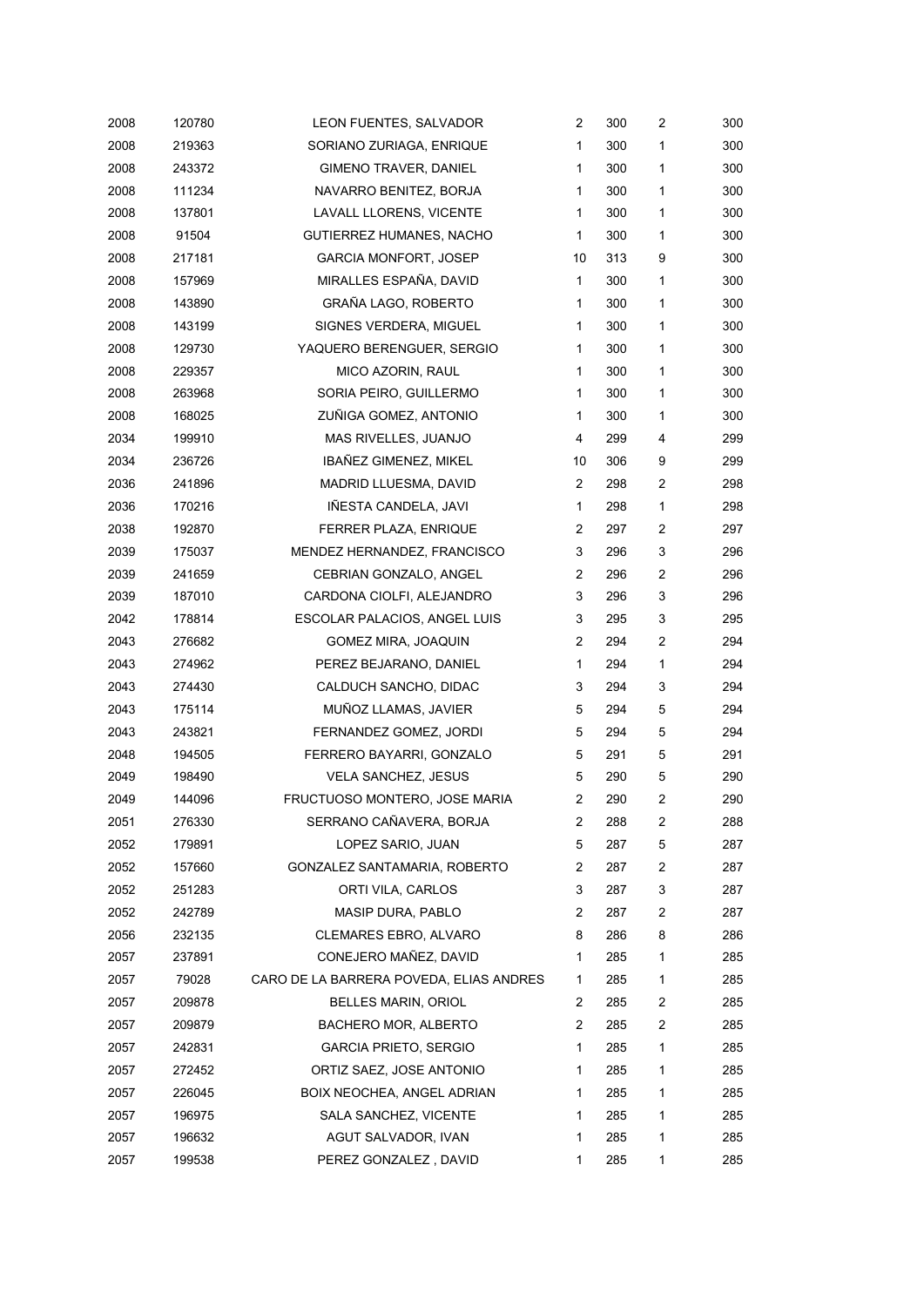| 2008 | 120780 | LEON FUENTES, SALVADOR                  | $\overline{c}$ | 300 | 2            | 300 |
|------|--------|-----------------------------------------|----------------|-----|--------------|-----|
| 2008 | 219363 | SORIANO ZURIAGA, ENRIQUE                | 1              | 300 | 1            | 300 |
| 2008 | 243372 | <b>GIMENO TRAVER, DANIEL</b>            | 1              | 300 | 1            | 300 |
| 2008 | 111234 | NAVARRO BENITEZ, BORJA                  | 1              | 300 | $\mathbf{1}$ | 300 |
| 2008 | 137801 | LAVALL LLORENS, VICENTE                 | 1              | 300 | 1            | 300 |
| 2008 | 91504  | GUTIERREZ HUMANES, NACHO                | 1              | 300 | 1            | 300 |
| 2008 | 217181 | <b>GARCIA MONFORT, JOSEP</b>            | 10             | 313 | 9            | 300 |
| 2008 | 157969 | MIRALLES ESPAÑA, DAVID                  | 1              | 300 | $\mathbf{1}$ | 300 |
| 2008 | 143890 | GRAÑA LAGO, ROBERTO                     | 1              | 300 | $\mathbf{1}$ | 300 |
| 2008 | 143199 | SIGNES VERDERA, MIGUEL                  | 1              | 300 | 1            | 300 |
| 2008 | 129730 | YAQUERO BERENGUER, SERGIO               | 1              | 300 | $\mathbf{1}$ | 300 |
| 2008 | 229357 | MICO AZORIN, RAUL                       | 1              | 300 | 1            | 300 |
| 2008 | 263968 | SORIA PEIRO, GUILLERMO                  | 1              | 300 | 1            | 300 |
| 2008 | 168025 | ZUÑIGA GOMEZ, ANTONIO                   | 1              | 300 | 1            | 300 |
| 2034 | 199910 | MAS RIVELLES, JUANJO                    | 4              | 299 | 4            | 299 |
| 2034 | 236726 | IBAÑEZ GIMENEZ, MIKEL                   | 10             | 306 | 9            | 299 |
| 2036 | 241896 | MADRID LLUESMA, DAVID                   | 2              | 298 | 2            | 298 |
| 2036 | 170216 | IÑESTA CANDELA, JAVI                    | 1              | 298 | 1            | 298 |
| 2038 | 192870 | FERRER PLAZA, ENRIQUE                   | $\overline{c}$ | 297 | 2            | 297 |
| 2039 | 175037 | MENDEZ HERNANDEZ, FRANCISCO             | 3              | 296 | 3            | 296 |
| 2039 | 241659 | CEBRIAN GONZALO, ANGEL                  | $\overline{2}$ | 296 | 2            | 296 |
| 2039 | 187010 | CARDONA CIOLFI, ALEJANDRO               | 3              | 296 | 3            | 296 |
| 2042 | 178814 | ESCOLAR PALACIOS, ANGEL LUIS            | 3              | 295 | 3            | 295 |
| 2043 | 276682 | GOMEZ MIRA, JOAQUIN                     | $\overline{2}$ | 294 | 2            | 294 |
| 2043 | 274962 | PEREZ BEJARANO, DANIEL                  | 1              | 294 | 1            | 294 |
| 2043 | 274430 | CALDUCH SANCHO, DIDAC                   | 3              | 294 | 3            | 294 |
| 2043 | 175114 | MUNOZ LLAMAS, JAVIER                    | 5              | 294 | 5            | 294 |
| 2043 | 243821 | FERNANDEZ GOMEZ, JORDI                  | 5              | 294 | 5            | 294 |
| 2048 | 194505 | FERRERO BAYARRI, GONZALO                | 5              | 291 | 5            | 291 |
| 2049 | 198490 | VELA SANCHEZ, JESUS                     | 5              | 290 | 5            | 290 |
| 2049 | 144096 | FRUCTUOSO MONTERO, JOSE MARIA           | $\overline{2}$ | 290 | 2            | 290 |
| 2051 | 276330 | SERRANO CAÑAVERA, BORJA                 | 2              | 288 | 2            | 288 |
| 2052 | 179891 | LOPEZ SARIO, JUAN                       | 5              | 287 | 5            | 287 |
| 2052 | 157660 | GONZALEZ SANTAMARIA, ROBERTO            | 2              | 287 | 2            | 287 |
| 2052 | 251283 | ORTI VILA, CARLOS                       | 3              | 287 | 3            | 287 |
| 2052 | 242789 | MASIP DURA, PABLO                       | 2              | 287 | 2            | 287 |
| 2056 | 232135 | CLEMARES EBRO, ALVARO                   | 8              | 286 | 8            | 286 |
| 2057 | 237891 | CONEJERO MAÑEZ, DAVID                   | 1              | 285 | 1            | 285 |
| 2057 | 79028  | CARO DE LA BARRERA POVEDA, ELIAS ANDRES | 1              | 285 | 1            | 285 |
| 2057 | 209878 | BELLES MARIN, ORIOL                     | 2              | 285 | 2            | 285 |
| 2057 | 209879 | BACHERO MOR, ALBERTO                    | 2              | 285 | 2            | 285 |
| 2057 | 242831 | <b>GARCIA PRIETO, SERGIO</b>            | 1              | 285 | 1            | 285 |
| 2057 | 272452 | ORTIZ SAEZ, JOSE ANTONIO                | 1              | 285 | 1            | 285 |
| 2057 | 226045 | BOIX NEOCHEA, ANGEL ADRIAN              | 1              | 285 | 1            | 285 |
| 2057 | 196975 | SALA SANCHEZ, VICENTE                   | 1              | 285 | 1            | 285 |
| 2057 | 196632 | AGUT SALVADOR, IVAN                     | 1              | 285 | 1            | 285 |
| 2057 | 199538 | PEREZ GONZALEZ, DAVID                   | 1              | 285 | 1            | 285 |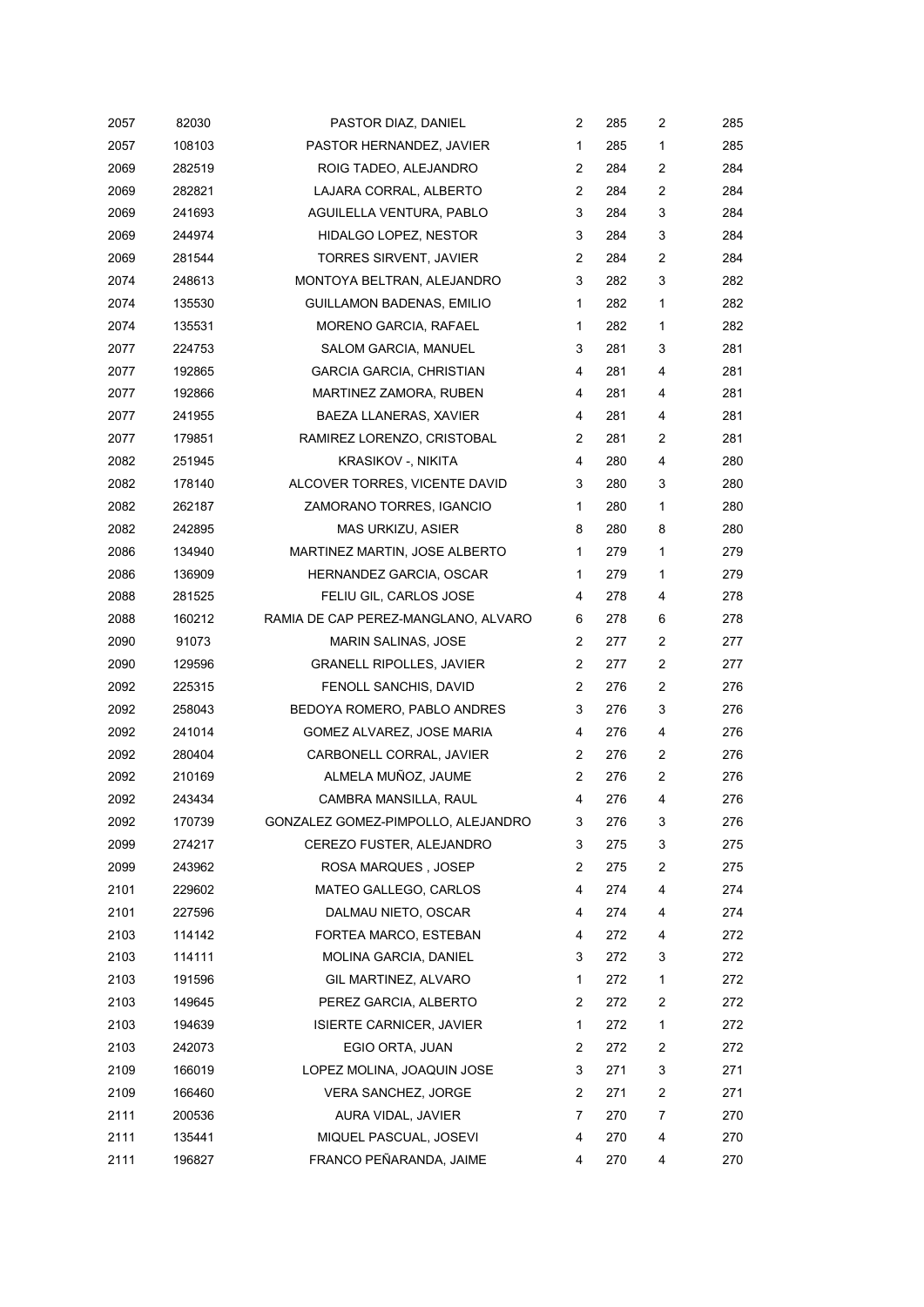| 2057 | 82030  | PASTOR DIAZ, DANIEL                 | 2              | 285 | 2              | 285 |
|------|--------|-------------------------------------|----------------|-----|----------------|-----|
| 2057 | 108103 | PASTOR HERNANDEZ, JAVIER            | 1              | 285 | 1              | 285 |
| 2069 | 282519 | ROIG TADEO, ALEJANDRO               | 2              | 284 | 2              | 284 |
| 2069 | 282821 | LAJARA CORRAL, ALBERTO              | 2              | 284 | 2              | 284 |
| 2069 | 241693 | AGUILELLA VENTURA, PABLO            | 3              | 284 | 3              | 284 |
| 2069 | 244974 | HIDALGO LOPEZ, NESTOR               | 3              | 284 | 3              | 284 |
| 2069 | 281544 | <b>TORRES SIRVENT, JAVIER</b>       | $\overline{2}$ | 284 | 2              | 284 |
| 2074 | 248613 | MONTOYA BELTRAN, ALEJANDRO          | 3              | 282 | 3              | 282 |
| 2074 | 135530 | GUILLAMON BADENAS, EMILIO           | $\mathbf{1}$   | 282 | 1              | 282 |
| 2074 | 135531 | MORENO GARCIA, RAFAEL               | $\mathbf{1}$   | 282 | 1              | 282 |
| 2077 | 224753 | SALOM GARCIA, MANUEL                | 3              | 281 | 3              | 281 |
| 2077 | 192865 | GARCIA GARCIA, CHRISTIAN            | 4              | 281 | 4              | 281 |
| 2077 | 192866 | MARTINEZ ZAMORA, RUBEN              | 4              | 281 | 4              | 281 |
| 2077 | 241955 | BAEZA LLANERAS, XAVIER              | 4              | 281 | 4              | 281 |
| 2077 | 179851 | RAMIREZ LORENZO, CRISTOBAL          | $\overline{c}$ | 281 | 2              | 281 |
| 2082 | 251945 | KRASIKOV -, NIKITA                  | 4              | 280 | 4              | 280 |
| 2082 | 178140 | ALCOVER TORRES, VICENTE DAVID       | 3              | 280 | 3              | 280 |
| 2082 | 262187 | ZAMORANO TORRES, IGANCIO            | 1              | 280 | 1              | 280 |
| 2082 | 242895 | MAS URKIZU, ASIER                   | 8              | 280 | 8              | 280 |
| 2086 | 134940 | MARTINEZ MARTIN, JOSE ALBERTO       | 1              | 279 | $\mathbf{1}$   | 279 |
| 2086 | 136909 | HERNANDEZ GARCIA, OSCAR             | 1              | 279 | 1              | 279 |
| 2088 | 281525 | FELIU GIL, CARLOS JOSE              | 4              | 278 | 4              | 278 |
| 2088 | 160212 | RAMIA DE CAP PEREZ-MANGLANO, ALVARO | 6              | 278 | 6              | 278 |
| 2090 | 91073  | MARIN SALINAS, JOSE                 | 2              | 277 | 2              | 277 |
| 2090 | 129596 | <b>GRANELL RIPOLLES, JAVIER</b>     | 2              | 277 | 2              | 277 |
| 2092 | 225315 | FENOLL SANCHIS, DAVID               | 2              | 276 | $\overline{c}$ | 276 |
| 2092 | 258043 | BEDOYA ROMERO, PABLO ANDRES         | 3              | 276 | 3              | 276 |
| 2092 | 241014 | GOMEZ ALVAREZ, JOSE MARIA           | 4              | 276 | 4              | 276 |
| 2092 | 280404 | CARBONELL CORRAL, JAVIER            | 2              | 276 | 2              | 276 |
| 2092 | 210169 | ALMELA MUÑOZ, JAUME                 | 2              | 276 | 2              | 276 |
| 2092 | 243434 | CAMBRA MANSILLA, RAUL               | 4              | 276 | 4              | 276 |
| 2092 | 170739 | GONZALEZ GOMEZ-PIMPOLLO, ALEJANDRO  | 3              | 276 | 3              | 276 |
| 2099 | 274217 | CEREZO FUSTER, ALEJANDRO            | 3              | 275 | 3              | 275 |
| 2099 | 243962 | ROSA MARQUES , JOSEP                | 2              | 275 | $\overline{c}$ | 275 |
| 2101 | 229602 | MATEO GALLEGO, CARLOS               | 4              | 274 | 4              | 274 |
| 2101 | 227596 | DALMAU NIETO, OSCAR                 | 4              | 274 | 4              | 274 |
| 2103 | 114142 | FORTEA MARCO, ESTEBAN               | 4              | 272 | 4              | 272 |
| 2103 | 114111 | MOLINA GARCIA, DANIEL               | 3              | 272 | 3              | 272 |
| 2103 | 191596 | GIL MARTINEZ, ALVARO                | 1              | 272 | $\mathbf{1}$   | 272 |
| 2103 | 149645 | PEREZ GARCIA, ALBERTO               | 2              | 272 | 2              | 272 |
| 2103 | 194639 | <b>ISIERTE CARNICER, JAVIER</b>     | $\mathbf 1$    | 272 | $\mathbf 1$    | 272 |
| 2103 | 242073 | EGIO ORTA, JUAN                     | 2              | 272 | $\overline{c}$ | 272 |
| 2109 | 166019 | LOPEZ MOLINA, JOAQUIN JOSE          | 3              | 271 | 3              | 271 |
| 2109 | 166460 | VERA SANCHEZ, JORGE                 | 2              | 271 | $\overline{c}$ | 271 |
| 2111 | 200536 | AURA VIDAL, JAVIER                  | 7              | 270 | 7              | 270 |
| 2111 | 135441 | MIQUEL PASCUAL, JOSEVI              | 4              | 270 | 4              | 270 |
| 2111 | 196827 | FRANCO PEÑARANDA, JAIME             | 4              | 270 | 4              | 270 |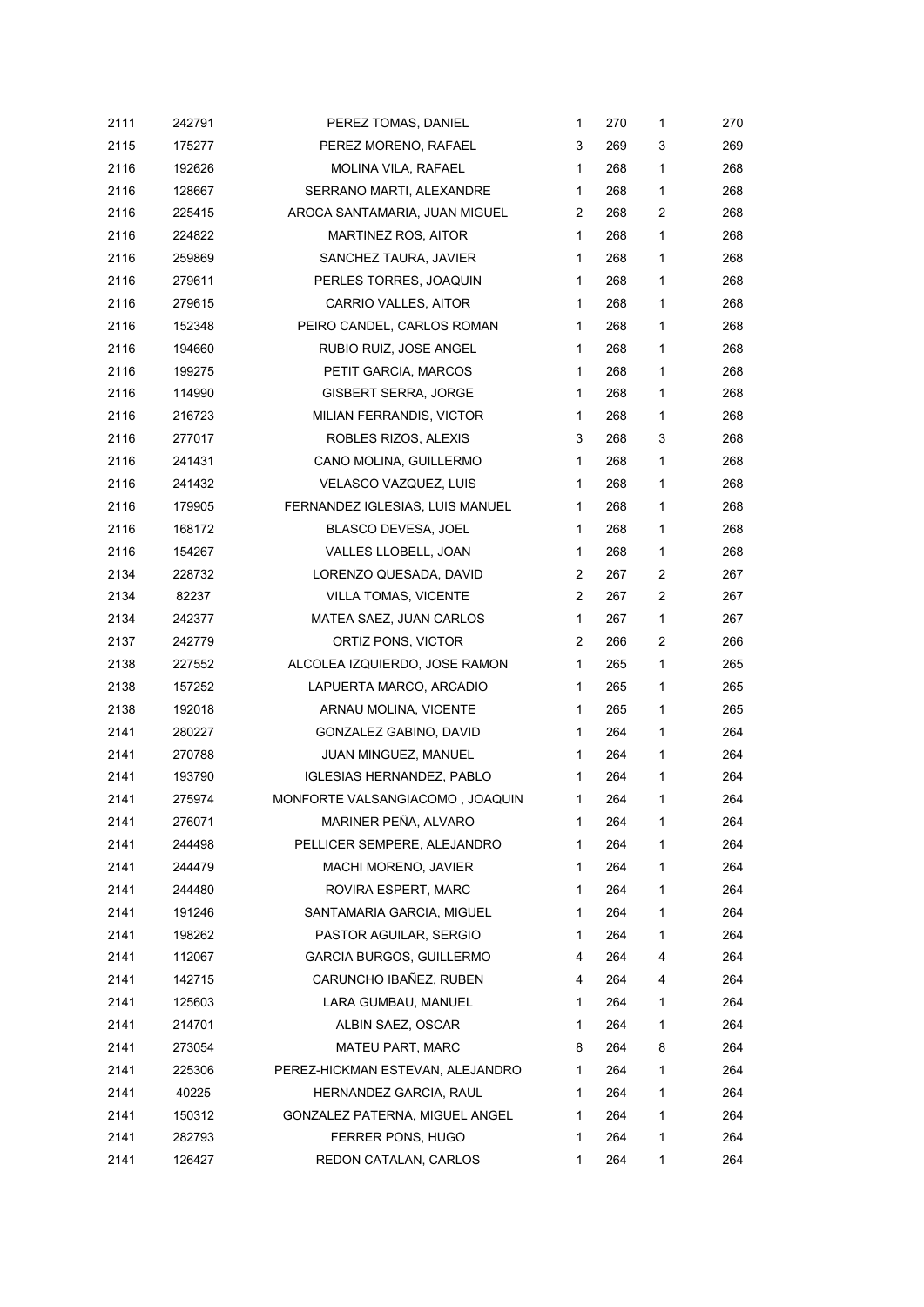| 2111 | 242791 | PEREZ TOMAS, DANIEL              | 1 | 270 | 1 | 270 |
|------|--------|----------------------------------|---|-----|---|-----|
| 2115 | 175277 | PEREZ MORENO, RAFAEL             | 3 | 269 | 3 | 269 |
| 2116 | 192626 | MOLINA VILA, RAFAEL              | 1 | 268 | 1 | 268 |
| 2116 | 128667 | SERRANO MARTI, ALEXANDRE         | 1 | 268 | 1 | 268 |
| 2116 | 225415 | AROCA SANTAMARIA, JUAN MIGUEL    | 2 | 268 | 2 | 268 |
| 2116 | 224822 | MARTINEZ ROS, AITOR              | 1 | 268 | 1 | 268 |
| 2116 | 259869 | SANCHEZ TAURA, JAVIER            | 1 | 268 | 1 | 268 |
| 2116 | 279611 | PERLES TORRES, JOAQUIN           | 1 | 268 | 1 | 268 |
| 2116 | 279615 | CARRIO VALLES, AITOR             | 1 | 268 | 1 | 268 |
| 2116 | 152348 | PEIRO CANDEL, CARLOS ROMAN       | 1 | 268 | 1 | 268 |
| 2116 | 194660 | RUBIO RUIZ, JOSE ANGEL           | 1 | 268 | 1 | 268 |
| 2116 | 199275 | PETIT GARCIA, MARCOS             | 1 | 268 | 1 | 268 |
| 2116 | 114990 | GISBERT SERRA, JORGE             | 1 | 268 | 1 | 268 |
| 2116 | 216723 | MILIAN FERRANDIS, VICTOR         | 1 | 268 | 1 | 268 |
| 2116 | 277017 | ROBLES RIZOS, ALEXIS             | 3 | 268 | 3 | 268 |
| 2116 | 241431 | CANO MOLINA, GUILLERMO           | 1 | 268 | 1 | 268 |
| 2116 | 241432 | VELASCO VAZQUEZ, LUIS            | 1 | 268 | 1 | 268 |
| 2116 | 179905 | FERNANDEZ IGLESIAS, LUIS MANUEL  | 1 | 268 | 1 | 268 |
| 2116 | 168172 | BLASCO DEVESA, JOEL              | 1 | 268 | 1 | 268 |
| 2116 | 154267 | VALLES LLOBELL, JOAN             | 1 | 268 | 1 | 268 |
| 2134 | 228732 | LORENZO QUESADA, DAVID           | 2 | 267 | 2 | 267 |
| 2134 | 82237  | <b>VILLA TOMAS, VICENTE</b>      | 2 | 267 | 2 | 267 |
| 2134 | 242377 | MATEA SAEZ, JUAN CARLOS          | 1 | 267 | 1 | 267 |
| 2137 | 242779 | ORTIZ PONS, VICTOR               | 2 | 266 | 2 | 266 |
| 2138 | 227552 | ALCOLEA IZQUIERDO, JOSE RAMON    | 1 | 265 | 1 | 265 |
| 2138 | 157252 | LAPUERTA MARCO, ARCADIO          | 1 | 265 | 1 | 265 |
| 2138 | 192018 | ARNAU MOLINA, VICENTE            | 1 | 265 | 1 | 265 |
| 2141 | 280227 | GONZALEZ GABINO, DAVID           | 1 | 264 | 1 | 264 |
| 2141 | 270788 | JUAN MINGUEZ, MANUEL             | 1 | 264 | 1 | 264 |
| 2141 | 193790 | <b>IGLESIAS HERNANDEZ, PABLO</b> | 1 | 264 | 1 | 264 |
| 2141 | 275974 | MONFORTE VALSANGIACOMO, JOAQUIN  | 1 | 264 | 1 | 264 |
| 2141 | 276071 | MARINER PEÑA, ALVARO             | 1 | 264 | 1 | 264 |
| 2141 | 244498 | PELLICER SEMPERE, ALEJANDRO      | 1 | 264 | 1 | 264 |
| 2141 | 244479 | MACHI MORENO, JAVIER             | 1 | 264 | 1 | 264 |
| 2141 | 244480 | ROVIRA ESPERT, MARC              | 1 | 264 | 1 | 264 |
| 2141 | 191246 | SANTAMARIA GARCIA, MIGUEL        | 1 | 264 | 1 | 264 |
| 2141 | 198262 | PASTOR AGUILAR, SERGIO           | 1 | 264 | 1 | 264 |
| 2141 | 112067 | <b>GARCIA BURGOS, GUILLERMO</b>  | 4 | 264 | 4 | 264 |
| 2141 | 142715 | CARUNCHO IBAÑEZ, RUBEN           | 4 | 264 | 4 | 264 |
| 2141 | 125603 | LARA GUMBAU, MANUEL              | 1 | 264 | 1 | 264 |
| 2141 | 214701 | ALBIN SAEZ, OSCAR                | 1 | 264 | 1 | 264 |
| 2141 | 273054 | <b>MATEU PART, MARC</b>          | 8 | 264 | 8 | 264 |
| 2141 | 225306 | PEREZ-HICKMAN ESTEVAN, ALEJANDRO | 1 | 264 | 1 | 264 |
| 2141 | 40225  | HERNANDEZ GARCIA, RAUL           | 1 | 264 | 1 | 264 |
| 2141 | 150312 | GONZALEZ PATERNA, MIGUEL ANGEL   | 1 | 264 | 1 | 264 |
| 2141 | 282793 | FERRER PONS, HUGO                | 1 | 264 | 1 | 264 |
| 2141 | 126427 | REDON CATALAN, CARLOS            | 1 | 264 | 1 | 264 |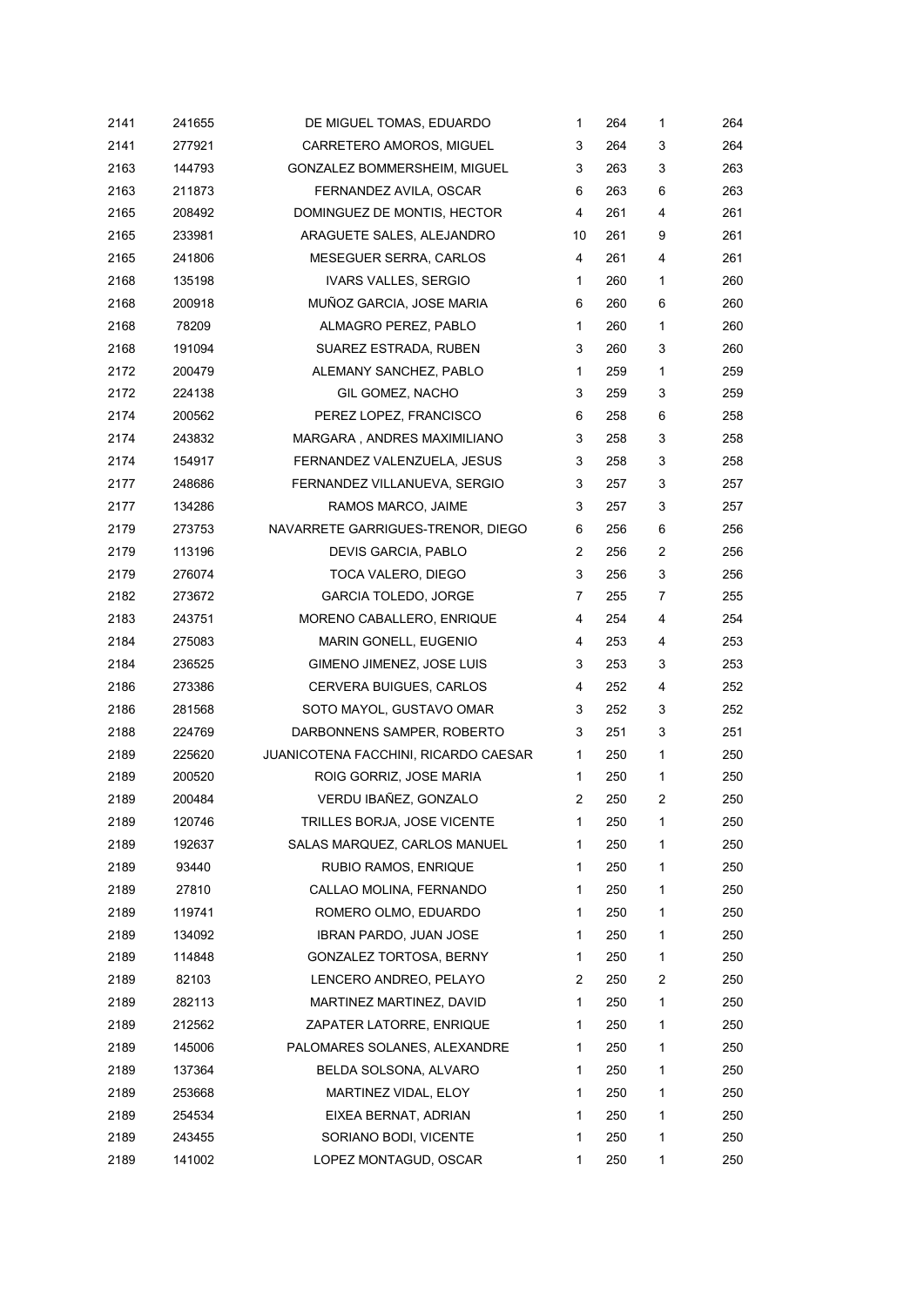| 2141 | 241655 | DE MIGUEL TOMAS, EDUARDO             | 1              | 264 | 1            | 264 |
|------|--------|--------------------------------------|----------------|-----|--------------|-----|
| 2141 | 277921 | CARRETERO AMOROS, MIGUEL             | 3              | 264 | 3            | 264 |
| 2163 | 144793 | GONZALEZ BOMMERSHEIM, MIGUEL         | 3              | 263 | 3            | 263 |
| 2163 | 211873 | FERNANDEZ AVILA, OSCAR               | 6              | 263 | 6            | 263 |
| 2165 | 208492 | DOMINGUEZ DE MONTIS, HECTOR          | 4              | 261 | 4            | 261 |
| 2165 | 233981 | ARAGUETE SALES, ALEJANDRO            | 10             | 261 | 9            | 261 |
| 2165 | 241806 | <b>MESEGUER SERRA, CARLOS</b>        | 4              | 261 | 4            | 261 |
| 2168 | 135198 | IVARS VALLES, SERGIO                 | $\mathbf 1$    | 260 | 1            | 260 |
| 2168 | 200918 | MUÑOZ GARCIA, JOSE MARIA             | 6              | 260 | 6            | 260 |
| 2168 | 78209  | ALMAGRO PEREZ, PABLO                 | $\mathbf{1}$   | 260 | 1            | 260 |
| 2168 | 191094 | SUAREZ ESTRADA, RUBEN                | 3              | 260 | 3            | 260 |
| 2172 | 200479 | ALEMANY SANCHEZ, PABLO               | $\mathbf{1}$   | 259 | 1            | 259 |
| 2172 | 224138 | GIL GOMEZ, NACHO                     | 3              | 259 | 3            | 259 |
| 2174 | 200562 | PEREZ LOPEZ, FRANCISCO               | 6              | 258 | 6            | 258 |
| 2174 | 243832 | MARGARA, ANDRES MAXIMILIANO          | 3              | 258 | 3            | 258 |
| 2174 | 154917 | FERNANDEZ VALENZUELA, JESUS          | 3              | 258 | 3            | 258 |
| 2177 | 248686 | FERNANDEZ VILLANUEVA, SERGIO         | 3              | 257 | 3            | 257 |
| 2177 | 134286 | RAMOS MARCO, JAIME                   | 3              | 257 | 3            | 257 |
| 2179 | 273753 | NAVARRETE GARRIGUES-TRENOR, DIEGO    | 6              | 256 | 6            | 256 |
| 2179 | 113196 | DEVIS GARCIA, PABLO                  | 2              | 256 | 2            | 256 |
| 2179 | 276074 | TOCA VALERO, DIEGO                   | 3              | 256 | 3            | 256 |
| 2182 | 273672 | <b>GARCIA TOLEDO, JORGE</b>          | 7              | 255 | 7            | 255 |
| 2183 | 243751 | MORENO CABALLERO, ENRIQUE            | 4              | 254 | 4            | 254 |
| 2184 | 275083 | MARIN GONELL, EUGENIO                | 4              | 253 | 4            | 253 |
| 2184 | 236525 | GIMENO JIMENEZ, JOSE LUIS            | 3              | 253 | 3            | 253 |
| 2186 | 273386 | CERVERA BUIGUES, CARLOS              | 4              | 252 | 4            | 252 |
| 2186 | 281568 | SOTO MAYOL, GUSTAVO OMAR             | 3              | 252 | 3            | 252 |
| 2188 | 224769 | DARBONNENS SAMPER, ROBERTO           | 3              | 251 | 3            | 251 |
| 2189 | 225620 | JUANICOTENA FACCHINI, RICARDO CAESAR | $\mathbf{1}$   | 250 | 1            | 250 |
| 2189 | 200520 | ROIG GORRIZ, JOSE MARIA              | 1              | 250 | 1            | 250 |
| 2189 | 200484 | VERDU IBAÑEZ, GONZALO                | $\overline{2}$ | 250 | 2            | 250 |
| 2189 | 120746 | TRILLES BORJA, JOSE VICENTE          | 1              | 250 | 1            | 250 |
| 2189 | 192637 | SALAS MARQUEZ, CARLOS MANUEL         | 1              | 250 | 1            | 250 |
| 2189 | 93440  | RUBIO RAMOS, ENRIQUE                 | 1              | 250 | 1            | 250 |
| 2189 | 27810  | CALLAO MOLINA, FERNANDO              | 1              | 250 | 1            | 250 |
| 2189 | 119741 | ROMERO OLMO, EDUARDO                 | 1              | 250 | 1            | 250 |
| 2189 | 134092 | <b>IBRAN PARDO, JUAN JOSE</b>        | 1              | 250 | $\mathbf{1}$ | 250 |
| 2189 | 114848 | GONZALEZ TORTOSA, BERNY              | 1              | 250 | 1            | 250 |
| 2189 | 82103  | LENCERO ANDREO, PELAYO               | 2              | 250 | 2            | 250 |
| 2189 | 282113 | MARTINEZ MARTINEZ, DAVID             | 1              | 250 | 1            | 250 |
| 2189 | 212562 | ZAPATER LATORRE, ENRIQUE             | $\mathbf{1}$   | 250 | $\mathbf{1}$ | 250 |
| 2189 | 145006 | PALOMARES SOLANES, ALEXANDRE         | 1              | 250 | 1            | 250 |
| 2189 | 137364 | BELDA SOLSONA, ALVARO                | $\mathbf{1}$   | 250 | 1            | 250 |
| 2189 | 253668 | MARTINEZ VIDAL, ELOY                 | 1              | 250 | 1            | 250 |
| 2189 | 254534 | EIXEA BERNAT, ADRIAN                 | 1              | 250 | 1            | 250 |
| 2189 | 243455 | SORIANO BODI, VICENTE                | 1              | 250 | $\mathbf{1}$ | 250 |
| 2189 | 141002 | LOPEZ MONTAGUD, OSCAR                | 1              | 250 | $\mathbf{1}$ | 250 |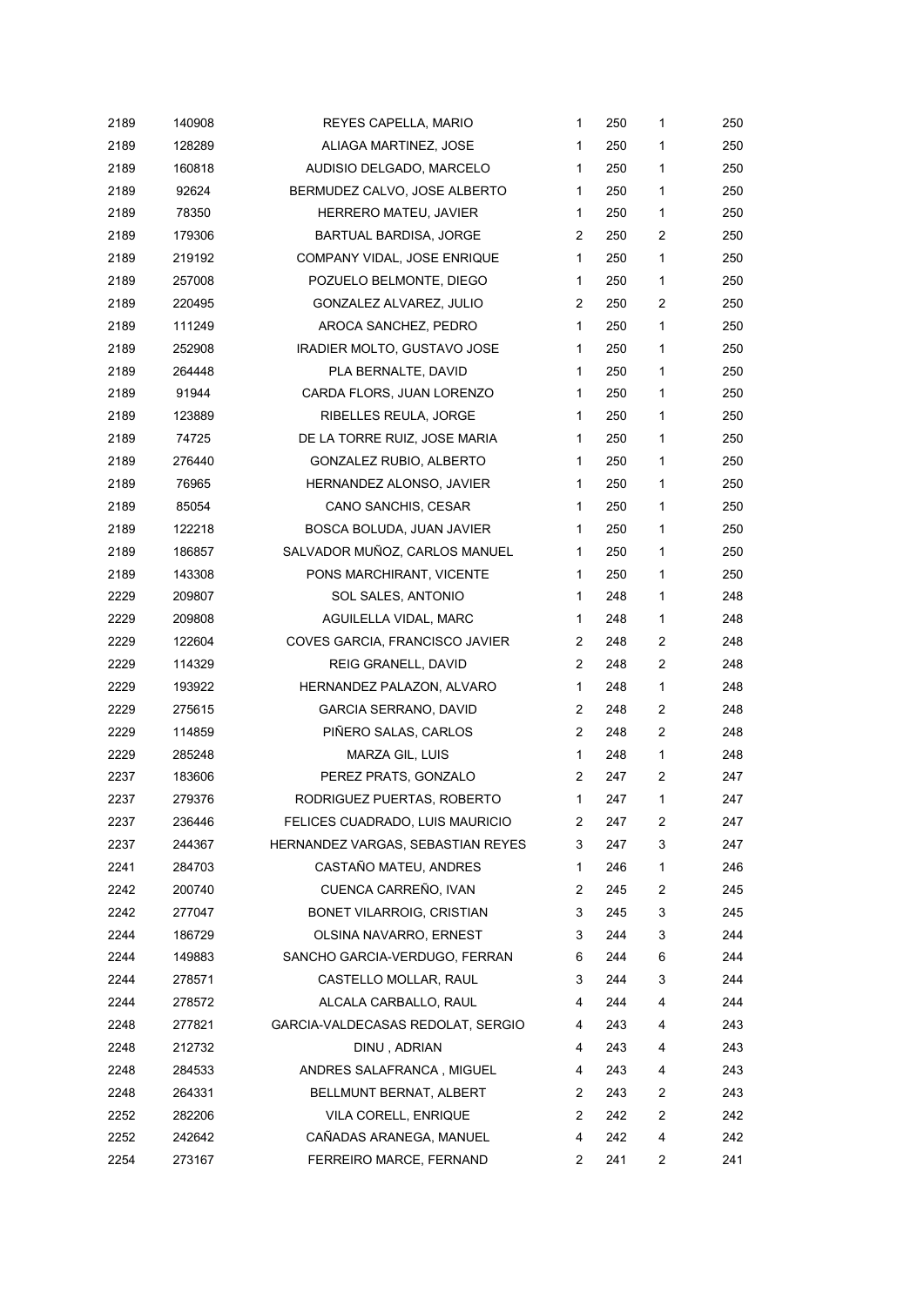| 2189 | 140908 | REYES CAPELLA, MARIO              | $\mathbf{1}$   | 250 | $\mathbf{1}$   | 250 |
|------|--------|-----------------------------------|----------------|-----|----------------|-----|
| 2189 | 128289 | ALIAGA MARTINEZ, JOSE             | 1              | 250 | 1              | 250 |
| 2189 | 160818 | AUDISIO DELGADO, MARCELO          | 1              | 250 | 1              | 250 |
| 2189 | 92624  | BERMUDEZ CALVO, JOSE ALBERTO      | 1              | 250 | 1              | 250 |
| 2189 | 78350  | HERRERO MATEU, JAVIER             | 1              | 250 | 1              | 250 |
| 2189 | 179306 | BARTUAL BARDISA, JORGE            | 2              | 250 | 2              | 250 |
| 2189 | 219192 | COMPANY VIDAL, JOSE ENRIQUE       | $\mathbf{1}$   | 250 | 1              | 250 |
| 2189 | 257008 | POZUELO BELMONTE, DIEGO           | $\mathbf{1}$   | 250 | 1              | 250 |
| 2189 | 220495 | GONZALEZ ALVAREZ, JULIO           | 2              | 250 | $\overline{c}$ | 250 |
| 2189 | 111249 | AROCA SANCHEZ, PEDRO              | $\mathbf{1}$   | 250 | 1              | 250 |
| 2189 | 252908 | IRADIER MOLTO, GUSTAVO JOSE       | 1              | 250 | 1              | 250 |
| 2189 | 264448 | PLA BERNALTE, DAVID               | 1              | 250 | 1              | 250 |
| 2189 | 91944  | CARDA FLORS, JUAN LORENZO         | 1              | 250 | $\mathbf{1}$   | 250 |
| 2189 | 123889 | RIBELLES REULA, JORGE             | 1              | 250 | 1              | 250 |
| 2189 | 74725  | DE LA TORRE RUIZ, JOSE MARIA      | $\mathbf{1}$   | 250 | 1              | 250 |
| 2189 | 276440 | GONZALEZ RUBIO, ALBERTO           | 1              | 250 | $\mathbf{1}$   | 250 |
| 2189 | 76965  | HERNANDEZ ALONSO, JAVIER          | $\mathbf{1}$   | 250 | 1              | 250 |
| 2189 | 85054  | CANO SANCHIS, CESAR               | 1              | 250 | 1              | 250 |
| 2189 | 122218 | BOSCA BOLUDA, JUAN JAVIER         | 1              | 250 | 1              | 250 |
| 2189 | 186857 | SALVADOR MUÑOZ, CARLOS MANUEL     | $\mathbf{1}$   | 250 | 1              | 250 |
| 2189 | 143308 | PONS MARCHIRANT, VICENTE          | 1              | 250 | 1              | 250 |
| 2229 | 209807 | SOL SALES, ANTONIO                | $\mathbf{1}$   | 248 | 1              | 248 |
| 2229 | 209808 | AGUILELLA VIDAL, MARC             | 1              | 248 | 1              | 248 |
| 2229 | 122604 | COVES GARCIA, FRANCISCO JAVIER    | 2              | 248 | 2              | 248 |
| 2229 | 114329 | REIG GRANELL, DAVID               | 2              | 248 | 2              | 248 |
| 2229 | 193922 | HERNANDEZ PALAZON, ALVARO         | 1              | 248 | 1              | 248 |
| 2229 | 275615 | <b>GARCIA SERRANO, DAVID</b>      | $\overline{2}$ | 248 | 2              | 248 |
| 2229 | 114859 | PIÑERO SALAS, CARLOS              | 2              | 248 | $\overline{c}$ | 248 |
| 2229 | 285248 | MARZA GIL, LUIS                   | $\mathbf{1}$   | 248 | $\mathbf{1}$   | 248 |
| 2237 | 183606 | PEREZ PRATS, GONZALO              | 2              | 247 | 2              | 247 |
| 2237 | 279376 | RODRIGUEZ PUERTAS, ROBERTO        | 1              | 247 | 1              | 247 |
| 2237 | 236446 | FELICES CUADRADO, LUIS MAURICIO   | 2              | 247 | 2              | 247 |
| 2237 | 244367 | HERNANDEZ VARGAS, SEBASTIAN REYES | 3              | 247 | 3              | 247 |
| 2241 | 284703 | CASTAÑO MATEU, ANDRES             | $\mathbf{1}$   | 246 | 1              | 246 |
| 2242 | 200740 | CUENCA CARREÑO, IVAN              | 2              | 245 | 2              | 245 |
| 2242 | 277047 | BONET VILARROIG, CRISTIAN         | 3              | 245 | 3              | 245 |
| 2244 | 186729 | OLSINA NAVARRO, ERNEST            | 3              | 244 | 3              | 244 |
| 2244 | 149883 | SANCHO GARCIA-VERDUGO, FERRAN     | 6              | 244 | 6              | 244 |
| 2244 | 278571 | CASTELLO MOLLAR, RAUL             | 3              | 244 | 3              | 244 |
| 2244 | 278572 | ALCALA CARBALLO, RAUL             | 4              | 244 | 4              | 244 |
| 2248 | 277821 | GARCIA-VALDECASAS REDOLAT, SERGIO | 4              | 243 | 4              | 243 |
| 2248 | 212732 | DINU, ADRIAN                      | 4              | 243 | 4              | 243 |
| 2248 | 284533 | ANDRES SALAFRANCA, MIGUEL         | 4              | 243 | 4              | 243 |
| 2248 | 264331 | BELLMUNT BERNAT, ALBERT           | 2              | 243 | $\overline{c}$ | 243 |
| 2252 | 282206 | VILA CORELL, ENRIQUE              | 2              | 242 | $\overline{c}$ | 242 |
| 2252 | 242642 | CAÑADAS ARANEGA, MANUEL           | 4              | 242 | 4              | 242 |
| 2254 | 273167 | FERREIRO MARCE, FERNAND           | 2              | 241 | 2              | 241 |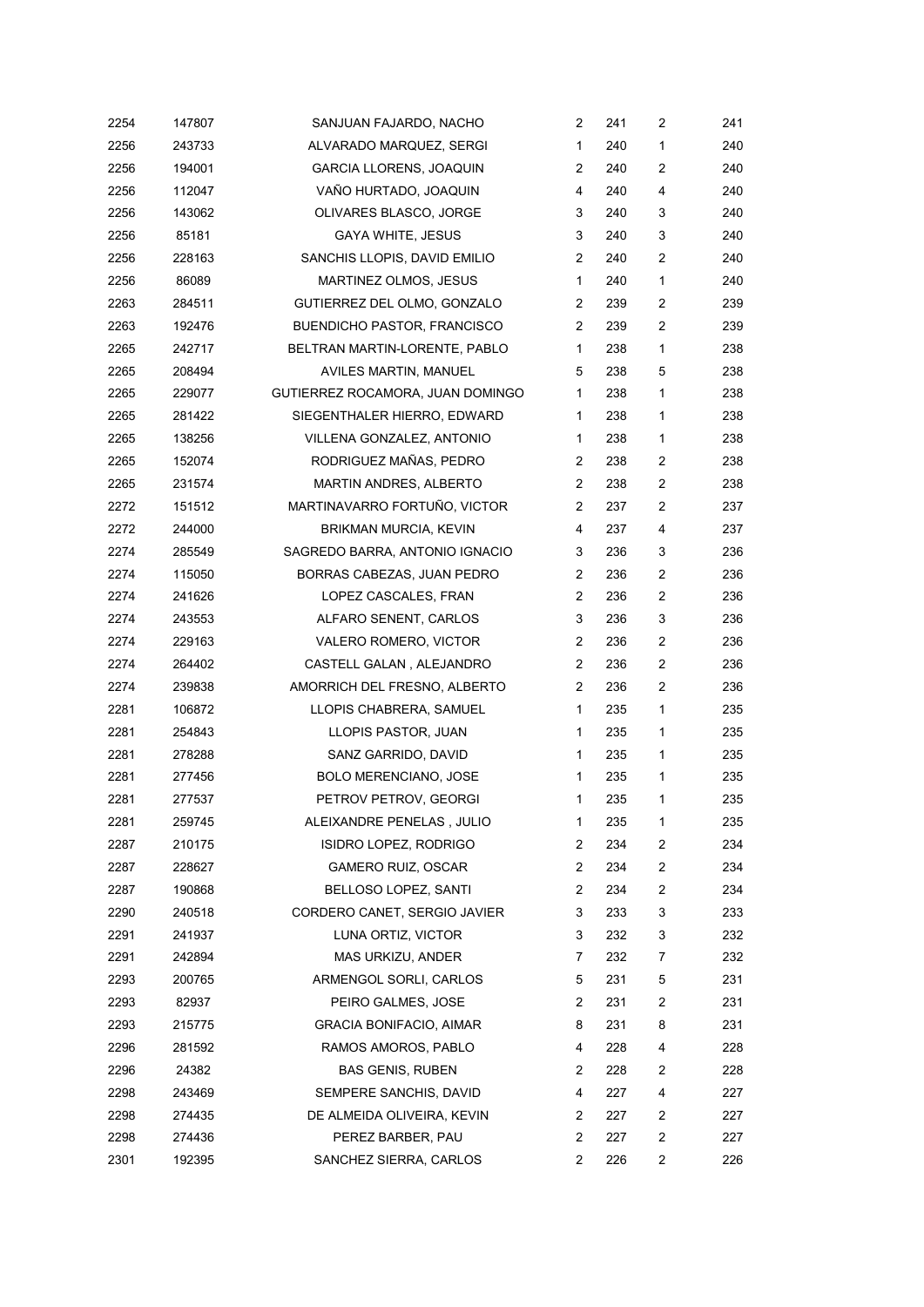| 2254 | 147807 | SANJUAN FAJARDO, NACHO             | 2              | 241 | 2              | 241 |
|------|--------|------------------------------------|----------------|-----|----------------|-----|
| 2256 | 243733 | ALVARADO MARQUEZ, SERGI            | 1              | 240 | 1              | 240 |
| 2256 | 194001 | <b>GARCIA LLORENS, JOAQUIN</b>     | 2              | 240 | 2              | 240 |
| 2256 | 112047 | VAÑO HURTADO, JOAQUIN              | 4              | 240 | 4              | 240 |
| 2256 | 143062 | OLIVARES BLASCO, JORGE             | 3              | 240 | 3              | 240 |
| 2256 | 85181  | <b>GAYA WHITE, JESUS</b>           | 3              | 240 | 3              | 240 |
| 2256 | 228163 | SANCHIS LLOPIS, DAVID EMILIO       | 2              | 240 | $\overline{c}$ | 240 |
| 2256 | 86089  | MARTINEZ OLMOS, JESUS              | 1              | 240 | 1              | 240 |
| 2263 | 284511 | GUTIERREZ DEL OLMO, GONZALO        | 2              | 239 | 2              | 239 |
| 2263 | 192476 | <b>BUENDICHO PASTOR, FRANCISCO</b> | 2              | 239 | $\overline{c}$ | 239 |
| 2265 | 242717 | BELTRAN MARTIN-LORENTE, PABLO      | 1              | 238 | $\mathbf{1}$   | 238 |
| 2265 | 208494 | AVILES MARTIN, MANUEL              | 5              | 238 | 5              | 238 |
| 2265 | 229077 | GUTIERREZ ROCAMORA, JUAN DOMINGO   | 1              | 238 | 1              | 238 |
| 2265 | 281422 | SIEGENTHALER HIERRO, EDWARD        | 1              | 238 | 1              | 238 |
| 2265 | 138256 | VILLENA GONZALEZ, ANTONIO          | 1              | 238 | 1              | 238 |
| 2265 | 152074 | RODRIGUEZ MAÑAS, PEDRO             | 2              | 238 | 2              | 238 |
| 2265 | 231574 | MARTIN ANDRES, ALBERTO             | $\overline{2}$ | 238 | $\overline{2}$ | 238 |
| 2272 | 151512 | MARTINAVARRO FORTUÑO, VICTOR       | 2              | 237 | 2              | 237 |
| 2272 | 244000 | BRIKMAN MURCIA, KEVIN              | 4              | 237 | 4              | 237 |
| 2274 | 285549 | SAGREDO BARRA, ANTONIO IGNACIO     | 3              | 236 | 3              | 236 |
| 2274 | 115050 | BORRAS CABEZAS, JUAN PEDRO         | 2              | 236 | $\overline{c}$ | 236 |
| 2274 | 241626 | LOPEZ CASCALES, FRAN               | 2              | 236 | 2              | 236 |
| 2274 | 243553 | ALFARO SENENT, CARLOS              | 3              | 236 | 3              | 236 |
| 2274 | 229163 | VALERO ROMERO, VICTOR              | 2              | 236 | 2              | 236 |
| 2274 | 264402 | CASTELL GALAN, ALEJANDRO           | 2              | 236 | $\overline{2}$ | 236 |
| 2274 | 239838 | AMORRICH DEL FRESNO, ALBERTO       | 2              | 236 | $\overline{c}$ | 236 |
| 2281 | 106872 | LLOPIS CHABRERA, SAMUEL            | 1              | 235 | 1              | 235 |
| 2281 | 254843 | LLOPIS PASTOR, JUAN                | 1              | 235 | 1              | 235 |
| 2281 | 278288 | SANZ GARRIDO, DAVID                | 1              | 235 | 1              | 235 |
| 2281 | 277456 | BOLO MERENCIANO, JOSE              | 1              | 235 | 1              | 235 |
| 2281 | 277537 | PETROV PETROV, GEORGI              | 1              | 235 | 1              | 235 |
| 2281 | 259745 | ALEIXANDRE PENELAS, JULIO          | 1              | 235 | 1              | 235 |
| 2287 | 210175 | ISIDRO LOPEZ, RODRIGO              | 2              | 234 | 2              | 234 |
| 2287 | 228627 | GAMERO RUIZ, OSCAR                 | 2              | 234 | 2              | 234 |
| 2287 | 190868 | BELLOSO LOPEZ, SANTI               | 2              | 234 | $\overline{c}$ | 234 |
| 2290 | 240518 | CORDERO CANET, SERGIO JAVIER       | 3              | 233 | 3              | 233 |
| 2291 | 241937 | LUNA ORTIZ, VICTOR                 | 3              | 232 | 3              | 232 |
| 2291 | 242894 | MAS URKIZU, ANDER                  | 7              | 232 | 7              | 232 |
| 2293 | 200765 | ARMENGOL SORLI, CARLOS             | 5              | 231 | 5              | 231 |
| 2293 | 82937  | PEIRO GALMES, JOSE                 | 2              | 231 | 2              | 231 |
| 2293 | 215775 | GRACIA BONIFACIO, AIMAR            | 8              | 231 | 8              | 231 |
| 2296 | 281592 | RAMOS AMOROS, PABLO                | 4              | 228 | 4              | 228 |
| 2296 | 24382  | <b>BAS GENIS, RUBEN</b>            | 2              | 228 | 2              | 228 |
| 2298 | 243469 | SEMPERE SANCHIS, DAVID             | 4              | 227 | 4              | 227 |
| 2298 | 274435 | DE ALMEIDA OLIVEIRA, KEVIN         | 2              | 227 | 2              | 227 |
| 2298 | 274436 | PEREZ BARBER, PAU                  | 2              | 227 | $\overline{c}$ | 227 |
| 2301 | 192395 | SANCHEZ SIERRA, CARLOS             | 2              | 226 | 2              | 226 |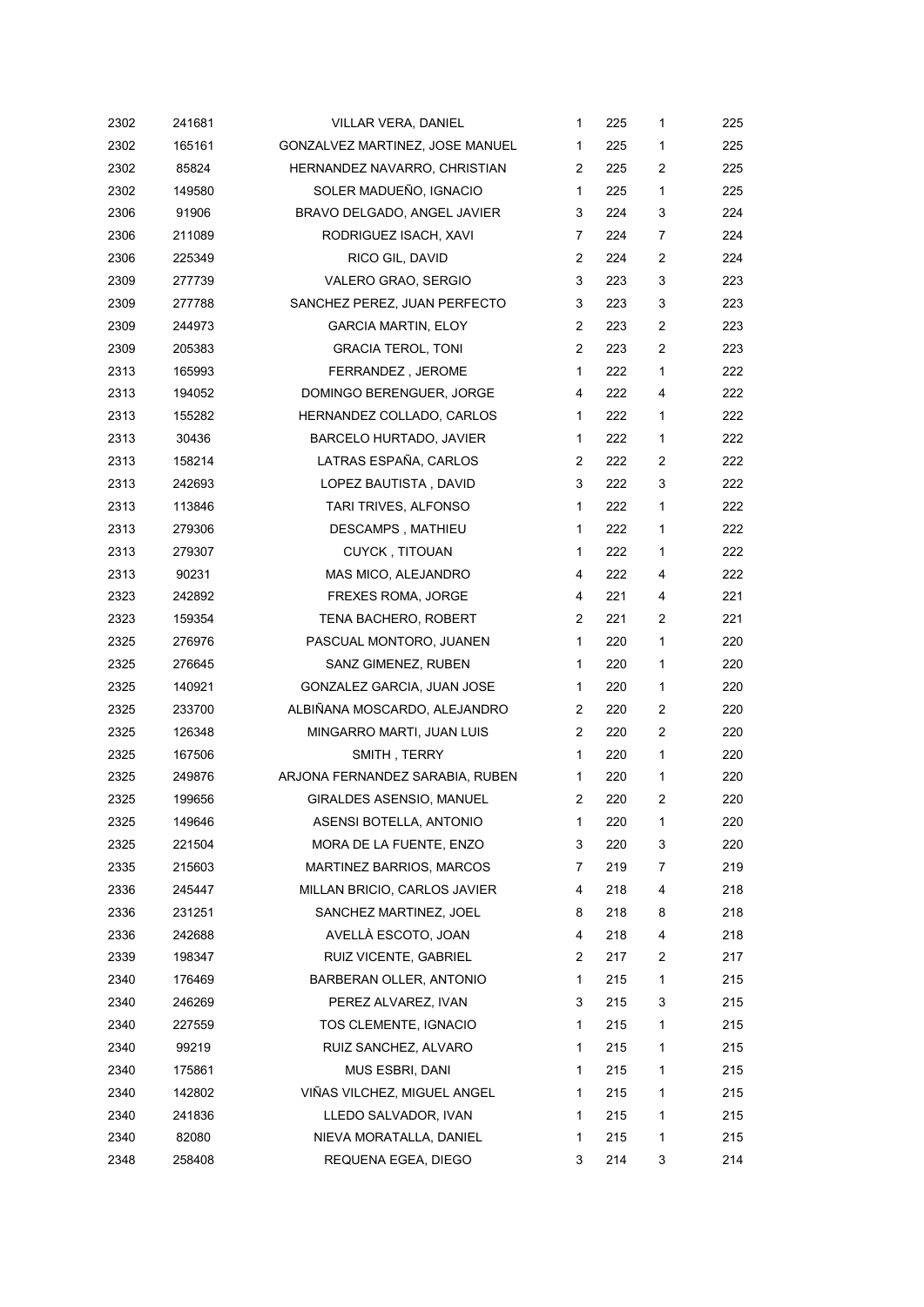| 2302 | 241681 | <b>VILLAR VERA, DANIEL</b>      | $\mathbf{1}$ | 225 | $\mathbf{1}$   | 225 |
|------|--------|---------------------------------|--------------|-----|----------------|-----|
| 2302 | 165161 | GONZALVEZ MARTINEZ, JOSE MANUEL | 1            | 225 | 1              | 225 |
| 2302 | 85824  | HERNANDEZ NAVARRO, CHRISTIAN    | 2            | 225 | $\overline{c}$ | 225 |
| 2302 | 149580 | SOLER MADUEÑO, IGNACIO          | 1            | 225 | 1              | 225 |
| 2306 | 91906  | BRAVO DELGADO, ANGEL JAVIER     | 3            | 224 | 3              | 224 |
| 2306 | 211089 | RODRIGUEZ ISACH, XAVI           | 7            | 224 | 7              | 224 |
| 2306 | 225349 | RICO GIL, DAVID                 | 2            | 224 | 2              | 224 |
| 2309 | 277739 | VALERO GRAO, SERGIO             | 3            | 223 | 3              | 223 |
| 2309 | 277788 | SANCHEZ PEREZ, JUAN PERFECTO    | 3            | 223 | 3              | 223 |
| 2309 | 244973 | <b>GARCIA MARTIN, ELOY</b>      | 2            | 223 | 2              | 223 |
| 2309 | 205383 | <b>GRACIA TEROL, TONI</b>       | 2            | 223 | 2              | 223 |
| 2313 | 165993 | FERRANDEZ, JEROME               | $\mathbf{1}$ | 222 | 1              | 222 |
| 2313 | 194052 | DOMINGO BERENGUER, JORGE        | 4            | 222 | 4              | 222 |
| 2313 | 155282 | HERNANDEZ COLLADO, CARLOS       | $\mathbf{1}$ | 222 | 1              | 222 |
| 2313 | 30436  | BARCELO HURTADO, JAVIER         | $\mathbf{1}$ | 222 | 1              | 222 |
| 2313 | 158214 | LATRAS ESPAÑA, CARLOS           | 2            | 222 | 2              | 222 |
| 2313 | 242693 | LOPEZ BAUTISTA, DAVID           | 3            | 222 | 3              | 222 |
| 2313 | 113846 | TARI TRIVES, ALFONSO            | 1            | 222 | 1              | 222 |
| 2313 | 279306 | DESCAMPS, MATHIEU               | 1            | 222 | 1              | 222 |
| 2313 | 279307 | <b>CUYCK, TITOUAN</b>           | $\mathbf{1}$ | 222 | 1              | 222 |
| 2313 | 90231  | MAS MICO, ALEJANDRO             | 4            | 222 | 4              | 222 |
| 2323 | 242892 | FREXES ROMA, JORGE              | 4            | 221 | 4              | 221 |
| 2323 | 159354 | TENA BACHERO, ROBERT            | 2            | 221 | $\overline{c}$ | 221 |
| 2325 | 276976 | PASCUAL MONTORO, JUANEN         | 1            | 220 | 1              | 220 |
| 2325 | 276645 | SANZ GIMENEZ, RUBEN             | $\mathbf{1}$ | 220 | 1              | 220 |
| 2325 | 140921 | GONZALEZ GARCIA, JUAN JOSE      | 1            | 220 | 1              | 220 |
| 2325 | 233700 | ALBIÑANA MOSCARDO, ALEJANDRO    | 2            | 220 | 2              | 220 |
| 2325 | 126348 | MINGARRO MARTI, JUAN LUIS       | 2            | 220 | $\overline{c}$ | 220 |
| 2325 | 167506 | SMITH, TERRY                    | $\mathbf{1}$ | 220 | 1              | 220 |
| 2325 | 249876 | ARJONA FERNANDEZ SARABIA, RUBEN | 1            | 220 | 1              | 220 |
| 2325 | 199656 | GIRALDES ASENSIO, MANUEL        | 2            | 220 | $\overline{c}$ | 220 |
| 2325 | 149646 | ASENSI BOTELLA, ANTONIO         | $\mathbf{1}$ | 220 | 1              | 220 |
| 2325 | 221504 | MORA DE LA FUENTE, ENZO         | 3            | 220 | 3              | 220 |
| 2335 | 215603 | <b>MARTINEZ BARRIOS, MARCOS</b> | 7            | 219 | 7              | 219 |
| 2336 | 245447 | MILLAN BRICIO, CARLOS JAVIER    | 4            | 218 | 4              | 218 |
| 2336 | 231251 | SANCHEZ MARTINEZ, JOEL          | 8            | 218 | 8              | 218 |
| 2336 | 242688 | AVELLÀ ESCOTO, JOAN             | 4            | 218 | 4              | 218 |
| 2339 | 198347 | RUIZ VICENTE, GABRIEL           | 2            | 217 | 2              | 217 |
| 2340 | 176469 | BARBERAN OLLER, ANTONIO         | 1            | 215 | 1              | 215 |
| 2340 | 246269 | PEREZ ALVAREZ, IVAN             | 3            | 215 | 3              | 215 |
| 2340 | 227559 | TOS CLEMENTE, IGNACIO           | 1            | 215 | 1              | 215 |
| 2340 | 99219  | RUIZ SANCHEZ, ALVARO            | 1            | 215 | 1              | 215 |
| 2340 | 175861 | MUS ESBRI, DANI                 | 1            | 215 | 1              | 215 |
| 2340 | 142802 | VIÑAS VILCHEZ, MIGUEL ANGEL     | 1            | 215 | 1              | 215 |
| 2340 | 241836 | LLEDO SALVADOR, IVAN            | 1            | 215 | 1              | 215 |
| 2340 | 82080  | NIEVA MORATALLA, DANIEL         | 1            | 215 | 1              | 215 |
| 2348 | 258408 | REQUENA EGEA, DIEGO             | 3            | 214 | 3              | 214 |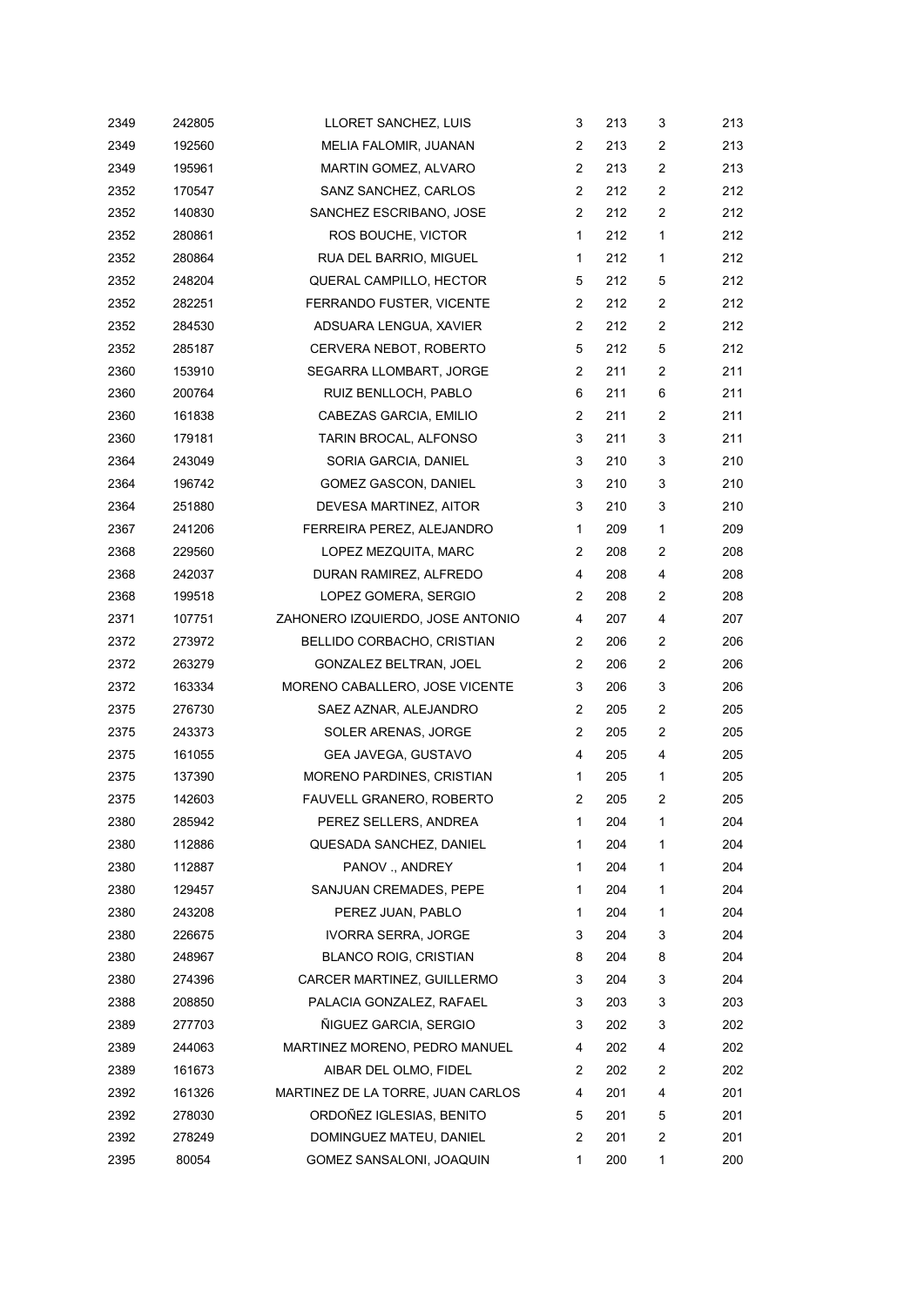| 2349 | 242805 | LLORET SANCHEZ, LUIS              | 3              | 213 | 3              | 213 |
|------|--------|-----------------------------------|----------------|-----|----------------|-----|
| 2349 | 192560 | MELIA FALOMIR, JUANAN             | 2              | 213 | $\overline{c}$ | 213 |
| 2349 | 195961 | MARTIN GOMEZ, ALVARO              | 2              | 213 | $\overline{c}$ | 213 |
| 2352 | 170547 | SANZ SANCHEZ, CARLOS              | $\overline{2}$ | 212 | $\overline{2}$ | 212 |
| 2352 | 140830 | SANCHEZ ESCRIBANO, JOSE           | $\overline{2}$ | 212 | $\overline{c}$ | 212 |
| 2352 | 280861 | ROS BOUCHE, VICTOR                | $\mathbf{1}$   | 212 | $\mathbf{1}$   | 212 |
| 2352 | 280864 | RUA DEL BARRIO, MIGUEL            | 1              | 212 | 1              | 212 |
| 2352 | 248204 | QUERAL CAMPILLO, HECTOR           | 5              | 212 | 5              | 212 |
| 2352 | 282251 | FERRANDO FUSTER, VICENTE          | 2              | 212 | $\overline{c}$ | 212 |
| 2352 | 284530 | ADSUARA LENGUA, XAVIER            | 2              | 212 | 2              | 212 |
| 2352 | 285187 | CERVERA NEBOT, ROBERTO            | 5              | 212 | 5              | 212 |
| 2360 | 153910 | SEGARRA LLOMBART, JORGE           | 2              | 211 | $\overline{c}$ | 211 |
| 2360 | 200764 | RUIZ BENLLOCH, PABLO              | 6              | 211 | 6              | 211 |
| 2360 | 161838 | CABEZAS GARCIA, EMILIO            | $\overline{2}$ | 211 | $\overline{c}$ | 211 |
| 2360 | 179181 | TARIN BROCAL, ALFONSO             | 3              | 211 | 3              | 211 |
| 2364 | 243049 | SORIA GARCIA, DANIEL              | 3              | 210 | 3              | 210 |
| 2364 | 196742 | <b>GOMEZ GASCON, DANIEL</b>       | 3              | 210 | 3              | 210 |
| 2364 | 251880 | DEVESA MARTINEZ, AITOR            | 3              | 210 | 3              | 210 |
| 2367 | 241206 | FERREIRA PEREZ, ALEJANDRO         | $\mathbf{1}$   | 209 | $\mathbf{1}$   | 209 |
| 2368 | 229560 | LOPEZ MEZQUITA, MARC              | $\overline{2}$ | 208 | $\overline{c}$ | 208 |
| 2368 | 242037 | DURAN RAMIREZ, ALFREDO            | 4              | 208 | 4              | 208 |
| 2368 | 199518 | LOPEZ GOMERA, SERGIO              | 2              | 208 | $\overline{c}$ | 208 |
| 2371 | 107751 | ZAHONERO IZQUIERDO, JOSE ANTONIO  | 4              | 207 | 4              | 207 |
| 2372 | 273972 | BELLIDO CORBACHO, CRISTIAN        | 2              | 206 | $\overline{c}$ | 206 |
| 2372 | 263279 | GONZALEZ BELTRAN, JOEL            | $\overline{2}$ | 206 | $\overline{c}$ | 206 |
| 2372 | 163334 | MORENO CABALLERO, JOSE VICENTE    | 3              | 206 | 3              | 206 |
| 2375 | 276730 | SAEZ AZNAR, ALEJANDRO             | 2              | 205 | $\overline{c}$ | 205 |
| 2375 | 243373 | SOLER ARENAS, JORGE               | 2              | 205 | $\overline{c}$ | 205 |
| 2375 | 161055 | GEA JAVEGA, GUSTAVO               | 4              | 205 | 4              | 205 |
| 2375 | 137390 | MORENO PARDINES, CRISTIAN         | 1              | 205 | $\mathbf{1}$   | 205 |
| 2375 | 142603 | FAUVELL GRANERO, ROBERTO          | 2              | 205 | $\overline{c}$ | 205 |
| 2380 | 285942 | PEREZ SELLERS, ANDREA             | 1              | 204 | 1              | 204 |
| 2380 | 112886 | QUESADA SANCHEZ, DANIEL           | 1              | 204 | 1              | 204 |
| 2380 | 112887 | PANOV., ANDREY                    | 1              | 204 | 1              | 204 |
| 2380 | 129457 | SANJUAN CREMADES, PEPE            | 1              | 204 | 1              | 204 |
| 2380 | 243208 | PEREZ JUAN, PABLO                 | 1              | 204 | 1              | 204 |
| 2380 | 226675 | IVORRA SERRA, JORGE               | 3              | 204 | 3              | 204 |
| 2380 | 248967 | BLANCO ROIG, CRISTIAN             | 8              | 204 | 8              | 204 |
| 2380 | 274396 | CARCER MARTINEZ, GUILLERMO        | 3              | 204 | 3              | 204 |
| 2388 | 208850 | PALACIA GONZALEZ, RAFAEL          | 3              | 203 | 3              | 203 |
| 2389 | 277703 | ÑIGUEZ GARCIA, SERGIO             | 3              | 202 | 3              | 202 |
| 2389 | 244063 | MARTINEZ MORENO, PEDRO MANUEL     | 4              | 202 | 4              | 202 |
| 2389 | 161673 | AIBAR DEL OLMO, FIDEL             | 2              | 202 | 2              | 202 |
| 2392 | 161326 | MARTINEZ DE LA TORRE, JUAN CARLOS | 4              | 201 | 4              | 201 |
| 2392 | 278030 | ORDOÑEZ IGLESIAS, BENITO          | 5              | 201 | 5              | 201 |
| 2392 | 278249 | DOMINGUEZ MATEU, DANIEL           | 2              | 201 | $\overline{c}$ | 201 |
| 2395 | 80054  | GOMEZ SANSALONI, JOAQUIN          | 1              | 200 | 1              | 200 |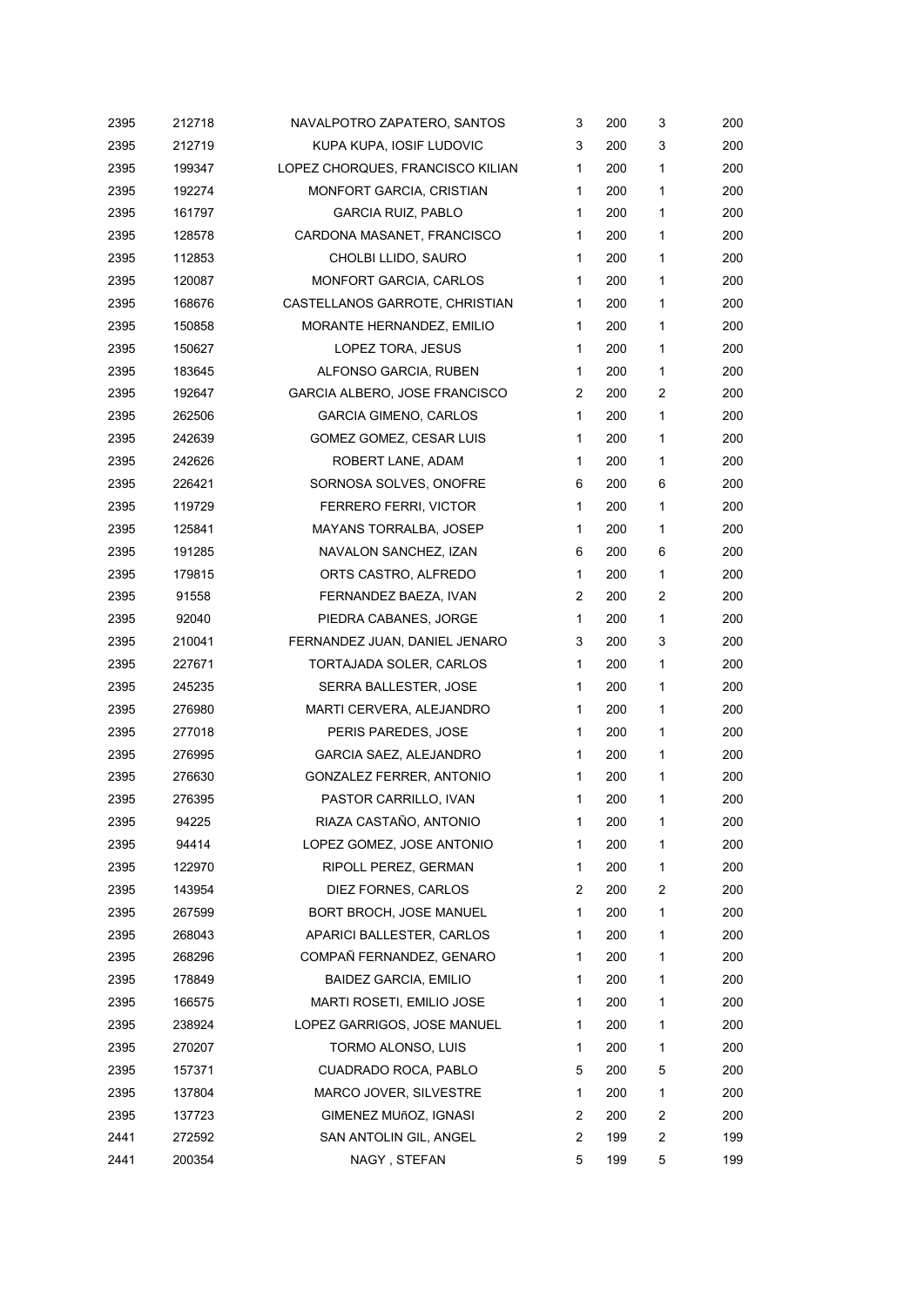| 2395 | 212718 | NAVALPOTRO ZAPATERO, SANTOS      | 3              | 200 | 3              | 200 |
|------|--------|----------------------------------|----------------|-----|----------------|-----|
| 2395 | 212719 | KUPA KUPA. IOSIF LUDOVIC         | 3              | 200 | 3              | 200 |
| 2395 | 199347 | LOPEZ CHORQUES, FRANCISCO KILIAN | $\mathbf{1}$   | 200 | 1              | 200 |
| 2395 | 192274 | MONFORT GARCIA, CRISTIAN         | 1              | 200 | 1              | 200 |
| 2395 | 161797 | <b>GARCIA RUIZ, PABLO</b>        | 1              | 200 | 1              | 200 |
| 2395 | 128578 | CARDONA MASANET, FRANCISCO       | 1              | 200 | 1              | 200 |
| 2395 | 112853 | CHOLBI LLIDO, SAURO              | $\mathbf{1}$   | 200 | 1              | 200 |
| 2395 | 120087 | <b>MONFORT GARCIA, CARLOS</b>    | $\mathbf{1}$   | 200 | 1              | 200 |
| 2395 | 168676 | CASTELLANOS GARROTE, CHRISTIAN   | 1              | 200 | 1              | 200 |
| 2395 | 150858 | MORANTE HERNANDEZ, EMILIO        | $\mathbf{1}$   | 200 | 1              | 200 |
| 2395 | 150627 | LOPEZ TORA, JESUS                | 1              | 200 | 1              | 200 |
| 2395 | 183645 | ALFONSO GARCIA, RUBEN            | 1              | 200 | 1              | 200 |
| 2395 | 192647 | GARCIA ALBERO, JOSE FRANCISCO    | $\overline{c}$ | 200 | $\overline{c}$ | 200 |
| 2395 | 262506 | <b>GARCIA GIMENO, CARLOS</b>     | $\mathbf{1}$   | 200 | 1              | 200 |
| 2395 | 242639 | GOMEZ GOMEZ, CESAR LUIS          | $\mathbf{1}$   | 200 | 1              | 200 |
| 2395 | 242626 | ROBERT LANE, ADAM                | 1              | 200 | 1              | 200 |
| 2395 | 226421 | SORNOSA SOLVES, ONOFRE           | 6              | 200 | 6              | 200 |
| 2395 | 119729 | FERRERO FERRI, VICTOR            | $\mathbf{1}$   | 200 | 1              | 200 |
| 2395 | 125841 | <b>MAYANS TORRALBA, JOSEP</b>    | 1              | 200 | 1              | 200 |
| 2395 | 191285 | NAVALON SANCHEZ, IZAN            | 6              | 200 | 6              | 200 |
| 2395 | 179815 | ORTS CASTRO, ALFREDO             | $\mathbf{1}$   | 200 | 1              | 200 |
| 2395 | 91558  | FERNANDEZ BAEZA, IVAN            | 2              | 200 | 2              | 200 |
| 2395 | 92040  | PIEDRA CABANES, JORGE            | 1              | 200 | 1              | 200 |
| 2395 | 210041 | FERNANDEZ JUAN, DANIEL JENARO    | 3              | 200 | 3              | 200 |
| 2395 | 227671 | TORTAJADA SOLER, CARLOS          | 1              | 200 | 1              | 200 |
| 2395 | 245235 | SERRA BALLESTER, JOSE            | 1              | 200 | 1              | 200 |
| 2395 | 276980 | MARTI CERVERA, ALEJANDRO         | $\mathbf{1}$   | 200 | 1              | 200 |
| 2395 | 277018 | PERIS PAREDES, JOSE              | 1              | 200 | 1              | 200 |
| 2395 | 276995 | GARCIA SAEZ, ALEJANDRO           | 1              | 200 | 1              | 200 |
| 2395 | 276630 | <b>GONZALEZ FERRER, ANTONIO</b>  | 1              | 200 | 1              | 200 |
| 2395 | 276395 | PASTOR CARRILLO, IVAN            | 1              | 200 | 1              | 200 |
| 2395 | 94225  | RIAZA CASTAÑO, ANTONIO           | $\mathbf{1}$   | 200 | 1              | 200 |
| 2395 | 94414  | LOPEZ GOMEZ, JOSE ANTONIO        | 1              | 200 | 1              | 200 |
| 2395 | 122970 | RIPOLL PEREZ, GERMAN             | 1              | 200 | 1              | 200 |
| 2395 | 143954 | DIEZ FORNES, CARLOS              | 2              | 200 | $\overline{c}$ | 200 |
| 2395 | 267599 | BORT BROCH, JOSE MANUEL          | $\mathbf{1}$   | 200 | 1              | 200 |
| 2395 | 268043 | APARICI BALLESTER, CARLOS        | 1              | 200 | 1              | 200 |
| 2395 | 268296 | COMPAÑ FERNANDEZ, GENARO         | 1              | 200 | 1              | 200 |
| 2395 | 178849 | <b>BAIDEZ GARCIA, EMILIO</b>     | 1              | 200 | 1              | 200 |
| 2395 | 166575 | MARTI ROSETI, EMILIO JOSE        | 1              | 200 | 1              | 200 |
| 2395 | 238924 | LOPEZ GARRIGOS, JOSE MANUEL      | 1              | 200 | 1              | 200 |
| 2395 | 270207 | TORMO ALONSO, LUIS               | 1              | 200 | 1              | 200 |
| 2395 | 157371 | CUADRADO ROCA, PABLO             | 5              | 200 | 5              | 200 |
| 2395 | 137804 | MARCO JOVER, SILVESTRE           | 1              | 200 | 1              | 200 |
| 2395 | 137723 | GIMENEZ MUñOZ, IGNASI            | 2              | 200 | $\overline{c}$ | 200 |
| 2441 | 272592 | SAN ANTOLIN GIL, ANGEL           | 2              | 199 | $\overline{c}$ | 199 |
| 2441 | 200354 | NAGY, STEFAN                     | 5              | 199 | 5              | 199 |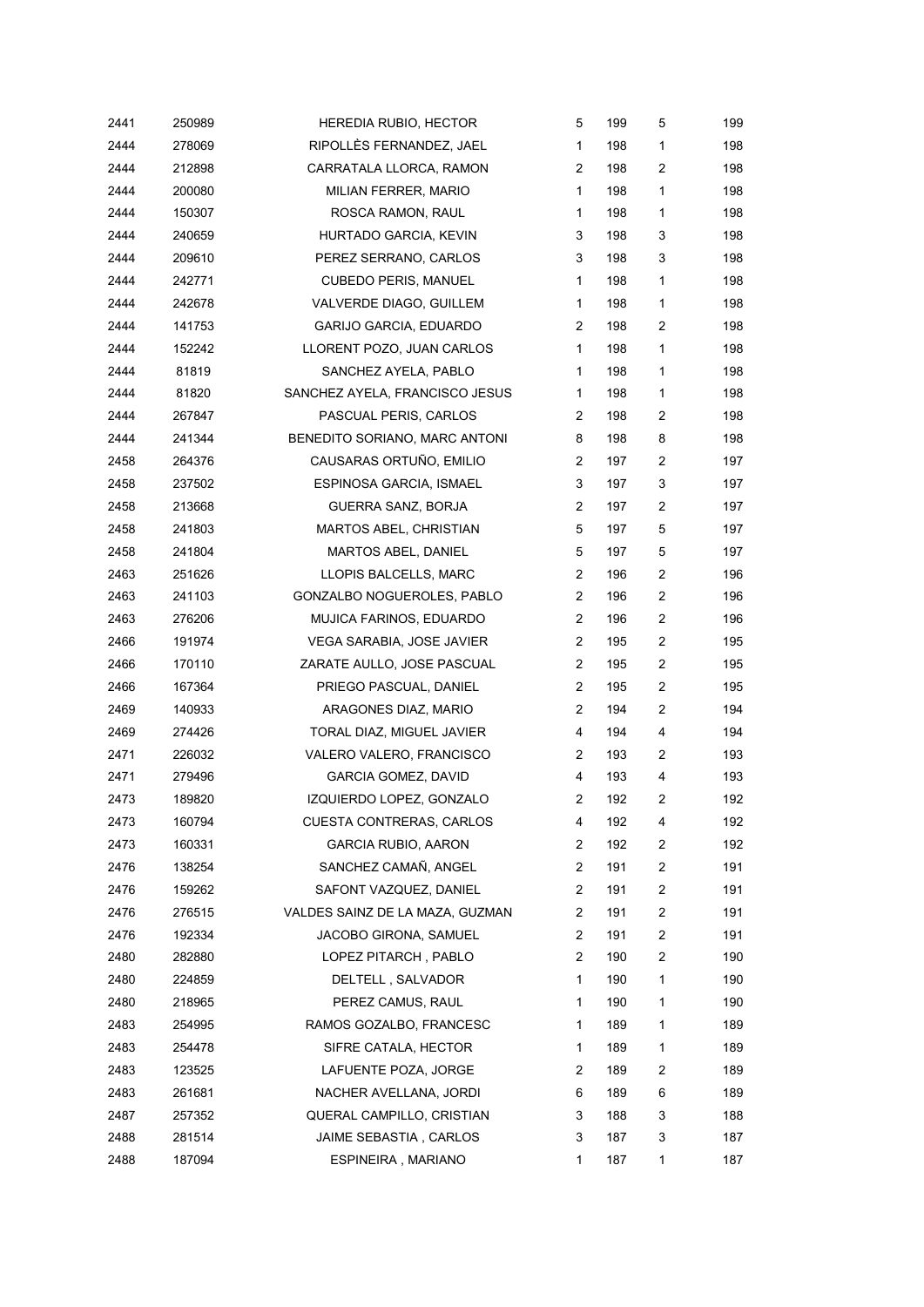| 2441 | 250989 | <b>HEREDIA RUBIO, HECTOR</b>    | 5                     | 199 | 5                       | 199 |
|------|--------|---------------------------------|-----------------------|-----|-------------------------|-----|
| 2444 | 278069 | RIPOLLÈS FERNANDEZ, JAEL        | $\mathbf{1}$          | 198 | 1                       | 198 |
| 2444 | 212898 | CARRATALA LLORCA, RAMON         | 2                     | 198 | $\overline{\mathbf{c}}$ | 198 |
| 2444 | 200080 | MILIAN FERRER, MARIO            | $\mathbf{1}$          | 198 | 1                       | 198 |
| 2444 | 150307 | ROSCA RAMON, RAUL               | 1                     | 198 | 1                       | 198 |
| 2444 | 240659 | HURTADO GARCIA, KEVIN           | 3                     | 198 | 3                       | 198 |
| 2444 | 209610 | PEREZ SERRANO, CARLOS           | 3                     | 198 | 3                       | 198 |
| 2444 | 242771 | <b>CUBEDO PERIS, MANUEL</b>     | $\mathbf{1}$          | 198 | $\mathbf{1}$            | 198 |
| 2444 | 242678 | VALVERDE DIAGO, GUILLEM         | $\mathbf{1}$          | 198 | 1                       | 198 |
| 2444 | 141753 | <b>GARIJO GARCIA, EDUARDO</b>   | 2                     | 198 | $\overline{c}$          | 198 |
| 2444 | 152242 | LLORENT POZO, JUAN CARLOS       | $\mathbf{1}$          | 198 | $\mathbf{1}$            | 198 |
| 2444 | 81819  | SANCHEZ AYELA, PABLO            | $\mathbf{1}$          | 198 | $\mathbf{1}$            | 198 |
| 2444 | 81820  | SANCHEZ AYELA, FRANCISCO JESUS  | 1                     | 198 | $\mathbf 1$             | 198 |
| 2444 | 267847 | PASCUAL PERIS, CARLOS           | $\overline{2}$        | 198 | $\overline{\mathbf{c}}$ | 198 |
| 2444 | 241344 | BENEDITO SORIANO, MARC ANTONI   | 8                     | 198 | 8                       | 198 |
| 2458 | 264376 | CAUSARAS ORTUÑO, EMILIO         | 2                     | 197 | $\overline{2}$          | 197 |
| 2458 | 237502 | ESPINOSA GARCIA, ISMAEL         | 3                     | 197 | 3                       | 197 |
| 2458 | 213668 | GUERRA SANZ, BORJA              | 2                     | 197 | 2                       | 197 |
| 2458 | 241803 | MARTOS ABEL, CHRISTIAN          | 5                     | 197 | 5                       | 197 |
| 2458 | 241804 | MARTOS ABEL, DANIEL             | 5                     | 197 | 5                       | 197 |
| 2463 | 251626 | LLOPIS BALCELLS, MARC           | $\overline{2}$        | 196 | $\overline{c}$          | 196 |
| 2463 | 241103 | GONZALBO NOGUEROLES, PABLO      | $\mathbf{2}^{\prime}$ | 196 | $\overline{2}$          | 196 |
| 2463 | 276206 | MUJICA FARINOS, EDUARDO         | $\overline{2}$        | 196 | $\overline{2}$          | 196 |
| 2466 | 191974 | VEGA SARABIA, JOSE JAVIER       | $\mathbf{2}^{\prime}$ | 195 | $\overline{c}$          | 195 |
| 2466 | 170110 | ZARATE AULLO, JOSE PASCUAL      | $\overline{2}$        | 195 | $\overline{2}$          | 195 |
| 2466 | 167364 | PRIEGO PASCUAL, DANIEL          | $\overline{2}$        | 195 | $\overline{2}$          | 195 |
| 2469 | 140933 | ARAGONES DIAZ, MARIO            | $\mathbf{2}^{\prime}$ | 194 | 2                       | 194 |
| 2469 | 274426 | TORAL DIAZ, MIGUEL JAVIER       | 4                     | 194 | 4                       | 194 |
| 2471 | 226032 | VALERO VALERO, FRANCISCO        | 2                     | 193 | 2                       | 193 |
| 2471 | 279496 | <b>GARCIA GOMEZ, DAVID</b>      | 4                     | 193 | 4                       | 193 |
| 2473 | 189820 | IZQUIERDO LOPEZ, GONZALO        | 2                     | 192 | $\overline{\mathbf{c}}$ | 192 |
| 2473 | 160794 | <b>CUESTA CONTRERAS, CARLOS</b> | 4                     | 192 | 4                       | 192 |
| 2473 | 160331 | <b>GARCIA RUBIO, AARON</b>      | 2                     | 192 | $\overline{c}$          | 192 |
| 2476 | 138254 | SANCHEZ CAMAÑ, ANGEL            | 2                     | 191 | 2                       | 191 |
| 2476 | 159262 | SAFONT VAZQUEZ, DANIEL          | 2                     | 191 | 2                       | 191 |
| 2476 | 276515 | VALDES SAINZ DE LA MAZA, GUZMAN | 2                     | 191 | $\overline{c}$          | 191 |
| 2476 | 192334 | <b>JACOBO GIRONA, SAMUEL</b>    | $\overline{2}$        | 191 | $\overline{c}$          | 191 |
| 2480 | 282880 | LOPEZ PITARCH, PABLO            | 2                     | 190 | 2                       | 190 |
| 2480 | 224859 | DELTELL, SALVADOR               | 1                     | 190 | 1                       | 190 |
| 2480 | 218965 | PEREZ CAMUS, RAUL               | 1                     | 190 | 1                       | 190 |
| 2483 | 254995 | RAMOS GOZALBO, FRANCESC         | 1                     | 189 | 1                       | 189 |
| 2483 | 254478 | SIFRE CATALA, HECTOR            | $\mathbf{1}$          | 189 | 1                       | 189 |
| 2483 | 123525 | LAFUENTE POZA, JORGE            | 2                     | 189 | 2                       | 189 |
| 2483 | 261681 | NACHER AVELLANA, JORDI          | 6                     | 189 | 6                       | 189 |
| 2487 | 257352 | QUERAL CAMPILLO, CRISTIAN       | 3                     | 188 | 3                       | 188 |
| 2488 | 281514 | JAIME SEBASTIA, CARLOS          | 3                     | 187 | 3                       | 187 |
| 2488 | 187094 | ESPINEIRA, MARIANO              | 1                     | 187 | 1                       | 187 |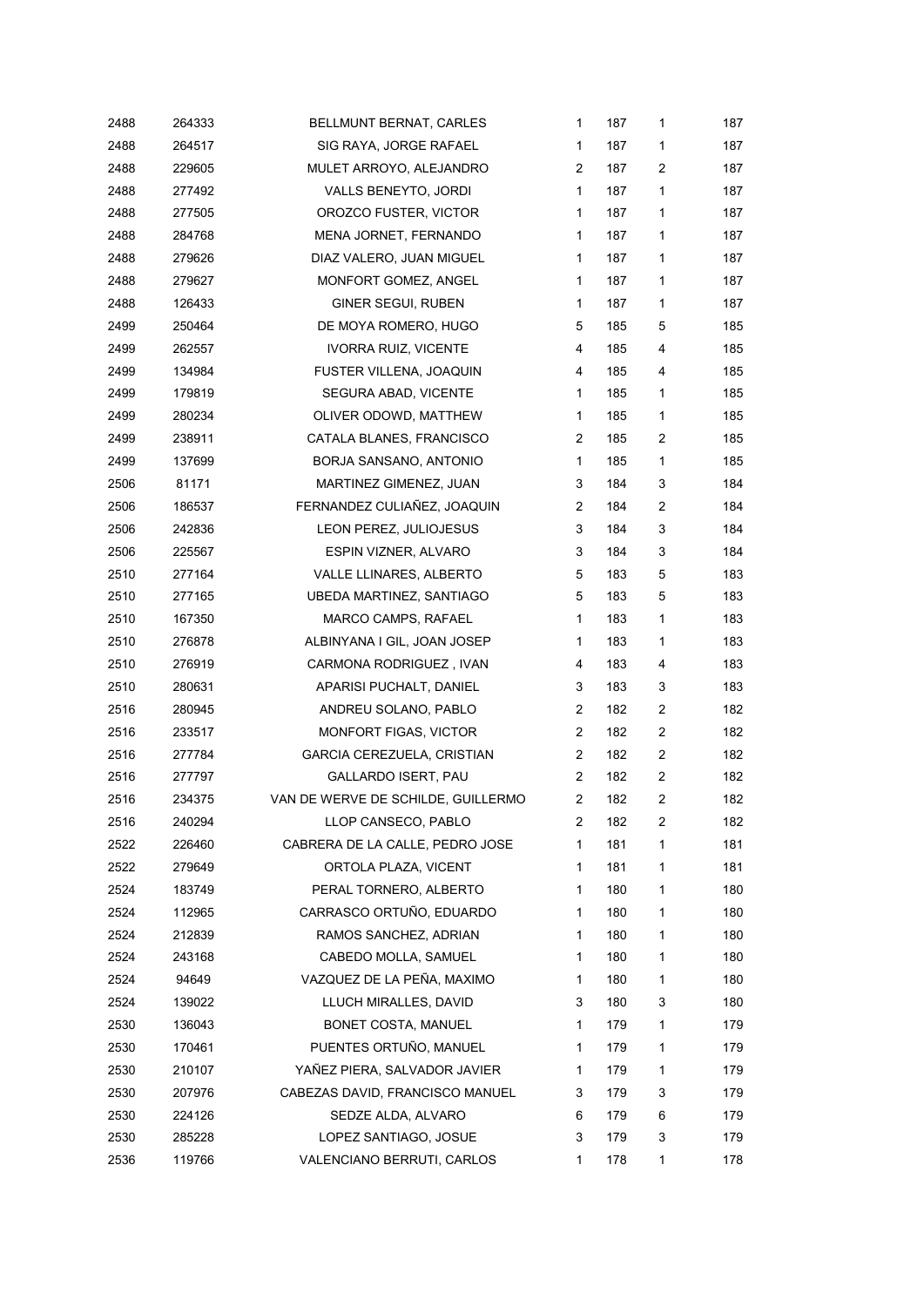| 2488 | 264333 | BELLMUNT BERNAT, CARLES            | $\mathbf{1}$   | 187 | 1                       | 187 |
|------|--------|------------------------------------|----------------|-----|-------------------------|-----|
| 2488 | 264517 | SIG RAYA, JORGE RAFAEL             | $\mathbf{1}$   | 187 | $\mathbf{1}$            | 187 |
| 2488 | 229605 | MULET ARROYO, ALEJANDRO            | 2              | 187 | 2                       | 187 |
| 2488 | 277492 | VALLS BENEYTO, JORDI               | $\mathbf{1}$   | 187 | 1                       | 187 |
| 2488 | 277505 | OROZCO FUSTER, VICTOR              | $\mathbf{1}$   | 187 | 1                       | 187 |
| 2488 | 284768 | MENA JORNET, FERNANDO              | $\mathbf{1}$   | 187 | 1                       | 187 |
| 2488 | 279626 | DIAZ VALERO, JUAN MIGUEL           | $\mathbf{1}$   | 187 | 1                       | 187 |
| 2488 | 279627 | MONFORT GOMEZ, ANGEL               | $\mathbf{1}$   | 187 | $\mathbf{1}$            | 187 |
| 2488 | 126433 | <b>GINER SEGUI, RUBEN</b>          | $\mathbf{1}$   | 187 | $\mathbf{1}$            | 187 |
| 2499 | 250464 | DE MOYA ROMERO, HUGO               | 5              | 185 | 5                       | 185 |
| 2499 | 262557 | IVORRA RUIZ, VICENTE               | 4              | 185 | 4                       | 185 |
| 2499 | 134984 | FUSTER VILLENA, JOAQUIN            | 4              | 185 | 4                       | 185 |
| 2499 | 179819 | SEGURA ABAD, VICENTE               | $\mathbf{1}$   | 185 | $\mathbf{1}$            | 185 |
| 2499 | 280234 | OLIVER ODOWD, MATTHEW              | $\mathbf{1}$   | 185 | 1                       | 185 |
| 2499 | 238911 | CATALA BLANES, FRANCISCO           | $\overline{c}$ | 185 | $\overline{c}$          | 185 |
| 2499 | 137699 | BORJA SANSANO, ANTONIO             | $\mathbf{1}$   | 185 | 1                       | 185 |
| 2506 | 81171  | MARTINEZ GIMENEZ, JUAN             | 3              | 184 | 3                       | 184 |
| 2506 | 186537 | FERNANDEZ CULIAÑEZ, JOAQUIN        | $\overline{2}$ | 184 | $\overline{c}$          | 184 |
| 2506 | 242836 | LEON PEREZ, JULIOJESUS             | 3              | 184 | 3                       | 184 |
| 2506 | 225567 | ESPIN VIZNER, ALVARO               | 3              | 184 | 3                       | 184 |
| 2510 | 277164 | VALLE LLINARES, ALBERTO            | 5              | 183 | 5                       | 183 |
| 2510 | 277165 | UBEDA MARTINEZ, SANTIAGO           | 5              | 183 | 5                       | 183 |
| 2510 | 167350 | MARCO CAMPS, RAFAEL                | $\mathbf{1}$   | 183 | $\mathbf{1}$            | 183 |
| 2510 | 276878 | ALBINYANA I GIL, JOAN JOSEP        | $\mathbf{1}$   | 183 | 1                       | 183 |
| 2510 | 276919 | CARMONA RODRIGUEZ, IVAN            | 4              | 183 | 4                       | 183 |
| 2510 | 280631 | APARISI PUCHALT, DANIEL            | 3              | 183 | 3                       | 183 |
| 2516 | 280945 | ANDREU SOLANO, PABLO               | $\overline{2}$ | 182 | $\overline{2}$          | 182 |
| 2516 | 233517 | MONFORT FIGAS, VICTOR              | $\overline{c}$ | 182 | $\overline{c}$          | 182 |
| 2516 | 277784 | <b>GARCIA CEREZUELA, CRISTIAN</b>  | 2              | 182 | $\overline{\mathbf{c}}$ | 182 |
| 2516 | 277797 | GALLARDO ISERT, PAU                | $\overline{2}$ | 182 | $\overline{\mathbf{c}}$ | 182 |
| 2516 | 234375 | VAN DE WERVE DE SCHILDE, GUILLERMO | $\overline{2}$ | 182 | 2                       | 182 |
| 2516 | 240294 | LLOP CANSECO, PABLO                | 2              | 182 | 2                       | 182 |
| 2522 | 226460 | CABRERA DE LA CALLE, PEDRO JOSE    | 1              | 181 | 1                       | 181 |
| 2522 | 279649 | ORTOLA PLAZA, VICENT               | 1              | 181 | $\mathbf{1}$            | 181 |
| 2524 | 183749 | PERAL TORNERO, ALBERTO             | 1              | 180 | 1                       | 180 |
| 2524 | 112965 | CARRASCO ORTUÑO, EDUARDO           | 1              | 180 | 1                       | 180 |
| 2524 | 212839 | RAMOS SANCHEZ, ADRIAN              | 1              | 180 | 1                       | 180 |
| 2524 | 243168 | CABEDO MOLLA, SAMUEL               | 1              | 180 | 1                       | 180 |
| 2524 | 94649  | VAZQUEZ DE LA PEÑA, MAXIMO         | 1              | 180 | 1                       | 180 |
| 2524 | 139022 | LLUCH MIRALLES, DAVID              | 3              | 180 | 3                       | 180 |
| 2530 | 136043 | <b>BONET COSTA, MANUEL</b>         | 1              | 179 | 1                       | 179 |
| 2530 | 170461 | PUENTES ORTUÑO, MANUEL             | 1              | 179 | 1                       | 179 |
| 2530 | 210107 | YAÑEZ PIERA, SALVADOR JAVIER       | 1              | 179 | 1                       | 179 |
| 2530 | 207976 | CABEZAS DAVID, FRANCISCO MANUEL    | 3              | 179 | 3                       | 179 |
| 2530 | 224126 | SEDZE ALDA, ALVARO                 | 6              | 179 | 6                       | 179 |
| 2530 | 285228 | LOPEZ SANTIAGO, JOSUE              | 3              | 179 | 3                       | 179 |
| 2536 | 119766 | VALENCIANO BERRUTI, CARLOS         | 1              | 178 | 1                       | 178 |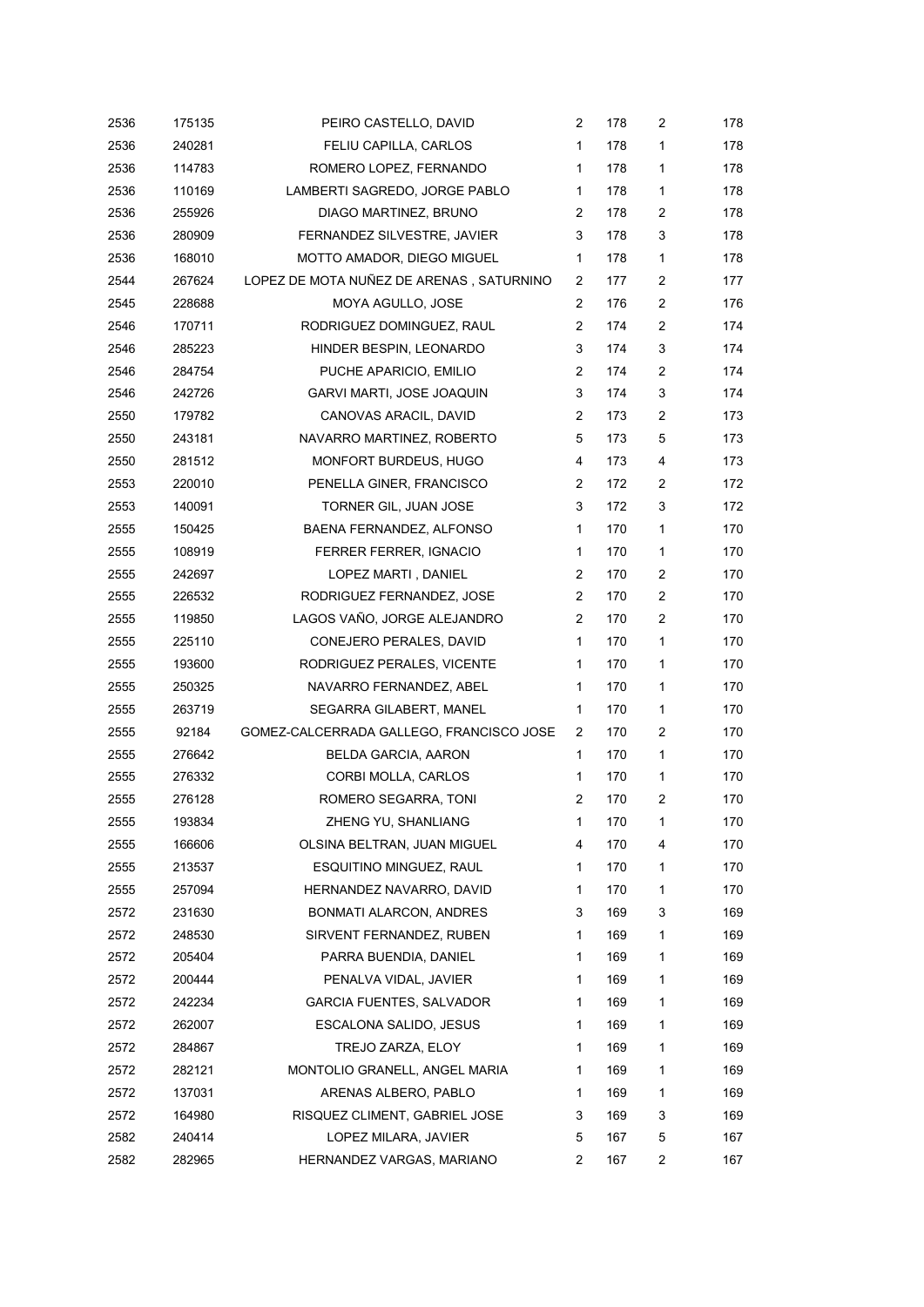| 2536 | 175135 | PEIRO CASTELLO, DAVID                    | 2              | 178 | 2 | 178 |
|------|--------|------------------------------------------|----------------|-----|---|-----|
| 2536 | 240281 | FELIU CAPILLA, CARLOS                    | 1              | 178 | 1 | 178 |
| 2536 | 114783 | ROMERO LOPEZ, FERNANDO                   | 1              | 178 | 1 | 178 |
| 2536 | 110169 | LAMBERTI SAGREDO, JORGE PABLO            | 1              | 178 | 1 | 178 |
| 2536 | 255926 | DIAGO MARTINEZ, BRUNO                    | $\overline{2}$ | 178 | 2 | 178 |
| 2536 | 280909 | FERNANDEZ SILVESTRE, JAVIER              | 3              | 178 | 3 | 178 |
| 2536 | 168010 | MOTTO AMADOR, DIEGO MIGUEL               | $\mathbf{1}$   | 178 | 1 | 178 |
| 2544 | 267624 | LOPEZ DE MOTA NUÑEZ DE ARENAS, SATURNINO | 2              | 177 | 2 | 177 |
| 2545 | 228688 | MOYA AGULLO, JOSE                        | 2              | 176 | 2 | 176 |
| 2546 | 170711 | RODRIGUEZ DOMINGUEZ, RAUL                | 2              | 174 | 2 | 174 |
| 2546 | 285223 | HINDER BESPIN, LEONARDO                  | 3              | 174 | 3 | 174 |
| 2546 | 284754 | PUCHE APARICIO, EMILIO                   | 2              | 174 | 2 | 174 |
| 2546 | 242726 | GARVI MARTI, JOSE JOAQUIN                | 3              | 174 | 3 | 174 |
| 2550 | 179782 | CANOVAS ARACIL, DAVID                    | 2              | 173 | 2 | 173 |
| 2550 | 243181 | NAVARRO MARTINEZ, ROBERTO                | 5              | 173 | 5 | 173 |
| 2550 | 281512 | MONFORT BURDEUS, HUGO                    | 4              | 173 | 4 | 173 |
| 2553 | 220010 | PENELLA GINER, FRANCISCO                 | 2              | 172 | 2 | 172 |
| 2553 | 140091 | TORNER GIL, JUAN JOSE                    | 3              | 172 | 3 | 172 |
| 2555 | 150425 | BAENA FERNANDEZ, ALFONSO                 | 1              | 170 | 1 | 170 |
| 2555 | 108919 | FERRER FERRER, IGNACIO                   | 1              | 170 | 1 | 170 |
| 2555 | 242697 | LOPEZ MARTI, DANIEL                      | 2              | 170 | 2 | 170 |
| 2555 | 226532 | RODRIGUEZ FERNANDEZ, JOSE                | 2              | 170 | 2 | 170 |
| 2555 | 119850 | LAGOS VAÑO, JORGE ALEJANDRO              | 2              | 170 | 2 | 170 |
| 2555 | 225110 | CONEJERO PERALES, DAVID                  | 1              | 170 | 1 | 170 |
| 2555 | 193600 | RODRIGUEZ PERALES, VICENTE               | 1              | 170 | 1 | 170 |
| 2555 | 250325 | NAVARRO FERNANDEZ, ABEL                  | 1              | 170 | 1 | 170 |
| 2555 | 263719 | SEGARRA GILABERT, MANEL                  | 1              | 170 | 1 | 170 |
| 2555 | 92184  | GOMEZ-CALCERRADA GALLEGO, FRANCISCO JOSE | 2              | 170 | 2 | 170 |
| 2555 | 276642 | BELDA GARCIA, AARON                      | 1              | 170 | 1 | 170 |
| 2555 | 276332 | CORBI MOLLA, CARLOS                      | 1              | 170 | 1 | 170 |
| 2555 | 276128 | ROMERO SEGARRA, TONI                     | 2              | 170 | 2 | 170 |
| 2555 | 193834 | ZHENG YU, SHANLIANG                      | 1              | 170 | 1 | 170 |
| 2555 | 166606 | OLSINA BELTRAN, JUAN MIGUEL              | 4              | 170 | 4 | 170 |
| 2555 | 213537 | ESQUITINO MINGUEZ, RAUL                  | 1              | 170 | 1 | 170 |
| 2555 | 257094 | HERNANDEZ NAVARRO, DAVID                 | 1              | 170 | 1 | 170 |
| 2572 | 231630 | <b>BONMATI ALARCON, ANDRES</b>           | 3              | 169 | 3 | 169 |
| 2572 | 248530 | SIRVENT FERNANDEZ, RUBEN                 | 1              | 169 | 1 | 169 |
| 2572 | 205404 | PARRA BUENDIA, DANIEL                    | 1              | 169 | 1 | 169 |
| 2572 | 200444 | PENALVA VIDAL, JAVIER                    | 1              | 169 | 1 | 169 |
| 2572 | 242234 | <b>GARCIA FUENTES, SALVADOR</b>          | 1              | 169 | 1 | 169 |
| 2572 | 262007 | ESCALONA SALIDO, JESUS                   | 1              | 169 | 1 | 169 |
| 2572 | 284867 | TREJO ZARZA, ELOY                        | 1              | 169 | 1 | 169 |
| 2572 | 282121 | MONTOLIO GRANELL, ANGEL MARIA            | 1              | 169 | 1 | 169 |
| 2572 | 137031 | ARENAS ALBERO, PABLO                     | 1              | 169 | 1 | 169 |
| 2572 | 164980 | RISQUEZ CLIMENT, GABRIEL JOSE            | 3              | 169 | 3 | 169 |
| 2582 | 240414 | LOPEZ MILARA, JAVIER                     | 5              | 167 | 5 | 167 |
| 2582 | 282965 | HERNANDEZ VARGAS, MARIANO                | $\overline{c}$ | 167 | 2 | 167 |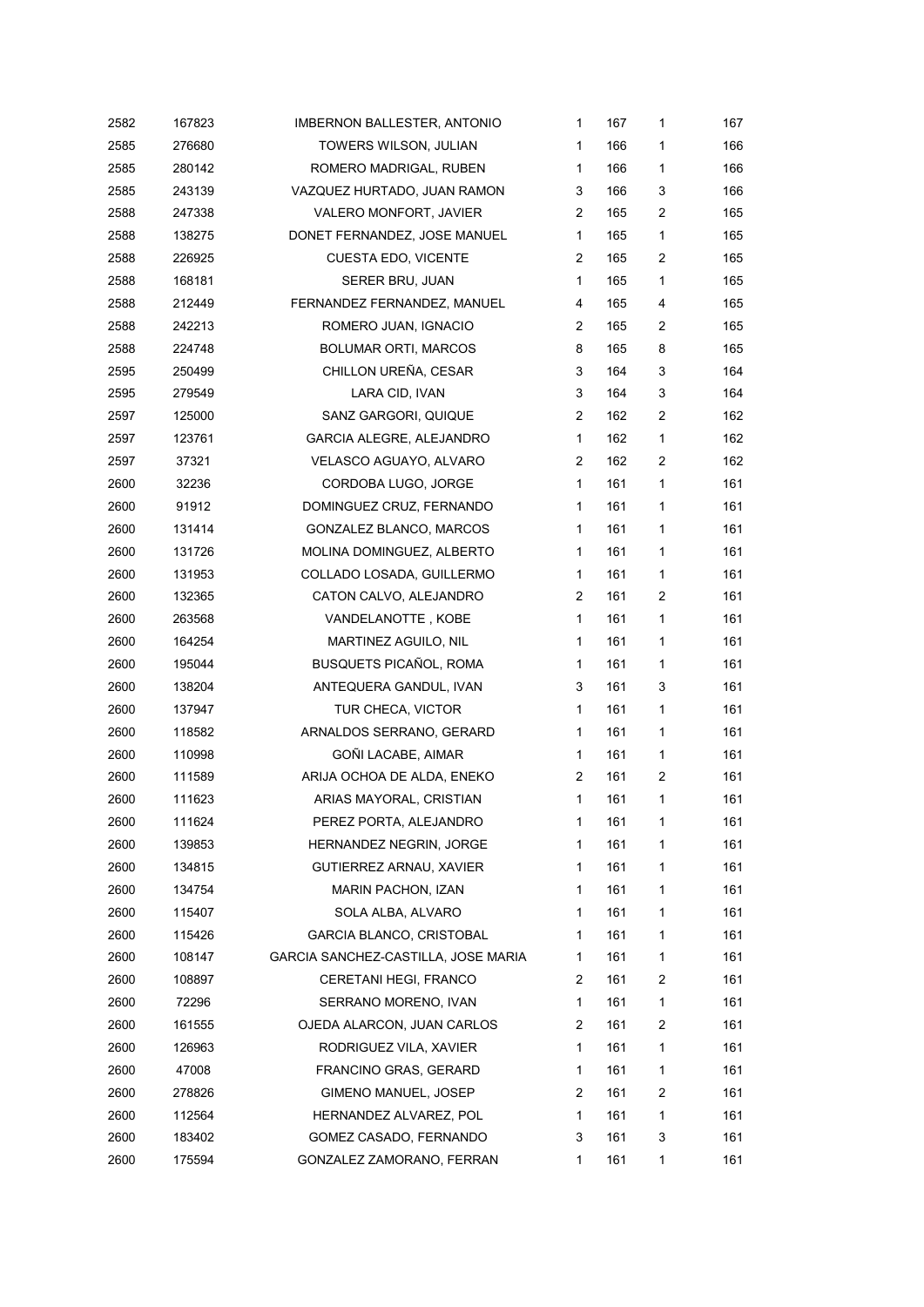| 2582 | 167823 | <b>IMBERNON BALLESTER, ANTONIO</b>  | 1              | 167 | 1              | 167 |
|------|--------|-------------------------------------|----------------|-----|----------------|-----|
| 2585 | 276680 | TOWERS WILSON, JULIAN               | $\mathbf{1}$   | 166 | 1              | 166 |
| 2585 | 280142 | ROMERO MADRIGAL, RUBEN              | 1              | 166 | 1              | 166 |
| 2585 | 243139 | VAZQUEZ HURTADO, JUAN RAMON         | 3              | 166 | 3              | 166 |
| 2588 | 247338 | VALERO MONFORT, JAVIER              | 2              | 165 | 2              | 165 |
| 2588 | 138275 | DONET FERNANDEZ, JOSE MANUEL        | 1              | 165 | 1              | 165 |
| 2588 | 226925 | <b>CUESTA EDO, VICENTE</b>          | 2              | 165 | 2              | 165 |
| 2588 | 168181 | SERER BRU, JUAN                     | $\mathbf{1}$   | 165 | 1              | 165 |
| 2588 | 212449 | FERNANDEZ FERNANDEZ, MANUEL         | 4              | 165 | 4              | 165 |
| 2588 | 242213 | ROMERO JUAN, IGNACIO                | 2              | 165 | 2              | 165 |
| 2588 | 224748 | <b>BOLUMAR ORTI, MARCOS</b>         | 8              | 165 | 8              | 165 |
| 2595 | 250499 | CHILLON UREÑA, CESAR                | 3              | 164 | 3              | 164 |
| 2595 | 279549 | LARA CID, IVAN                      | 3              | 164 | 3              | 164 |
| 2597 | 125000 | SANZ GARGORI, QUIQUE                | $\overline{c}$ | 162 | 2              | 162 |
| 2597 | 123761 | GARCIA ALEGRE, ALEJANDRO            | 1              | 162 | 1              | 162 |
| 2597 | 37321  | VELASCO AGUAYO, ALVARO              | 2              | 162 | 2              | 162 |
| 2600 | 32236  | CORDOBA LUGO, JORGE                 | 1              | 161 | 1              | 161 |
| 2600 | 91912  | DOMINGUEZ CRUZ, FERNANDO            | 1              | 161 | 1              | 161 |
| 2600 | 131414 | GONZALEZ BLANCO, MARCOS             | 1              | 161 | 1              | 161 |
| 2600 | 131726 | MOLINA DOMINGUEZ, ALBERTO           | 1              | 161 | 1              | 161 |
| 2600 | 131953 | COLLADO LOSADA, GUILLERMO           | 1              | 161 | 1              | 161 |
| 2600 | 132365 | CATON CALVO, ALEJANDRO              | 2              | 161 | 2              | 161 |
| 2600 | 263568 | VANDELANOTTE, KOBE                  | 1              | 161 | 1              | 161 |
| 2600 | 164254 | MARTINEZ AGUILO, NIL                | 1              | 161 | $\mathbf{1}$   | 161 |
| 2600 | 195044 | <b>BUSQUETS PICAÑOL, ROMA</b>       | 1              | 161 | 1              | 161 |
| 2600 | 138204 | ANTEQUERA GANDUL, IVAN              | 3              | 161 | 3              | 161 |
| 2600 | 137947 | TUR CHECA, VICTOR                   | 1              | 161 | 1              | 161 |
| 2600 | 118582 | ARNALDOS SERRANO, GERARD            | 1              | 161 | 1              | 161 |
| 2600 | 110998 | GOÑI LACABE, AIMAR                  | 1              | 161 | $\mathbf{1}$   | 161 |
| 2600 | 111589 | ARIJA OCHOA DE ALDA, ENEKO          | 2              | 161 | 2              | 161 |
| 2600 | 111623 | ARIAS MAYORAL, CRISTIAN             | 1              | 161 | 1              | 161 |
| 2600 | 111624 | PEREZ PORTA, ALEJANDRO              | 1              | 161 | 1              | 161 |
| 2600 | 139853 | HERNANDEZ NEGRIN, JORGE             | 1              | 161 | 1              | 161 |
| 2600 | 134815 | GUTIERREZ ARNAU, XAVIER             | 1              | 161 | 1              | 161 |
| 2600 | 134754 | <b>MARIN PACHON, IZAN</b>           | 1              | 161 | 1              | 161 |
| 2600 | 115407 | SOLA ALBA, ALVARO                   | 1              | 161 | 1              | 161 |
| 2600 | 115426 | <b>GARCIA BLANCO, CRISTOBAL</b>     | 1              | 161 | 1              | 161 |
| 2600 | 108147 | GARCIA SANCHEZ-CASTILLA, JOSE MARIA | 1              | 161 | 1              | 161 |
| 2600 | 108897 | CERETANI HEGI, FRANCO               | $\overline{c}$ | 161 | 2              | 161 |
| 2600 | 72296  | SERRANO MORENO, IVAN                | 1              | 161 | 1              | 161 |
| 2600 | 161555 | OJEDA ALARCON, JUAN CARLOS          | 2              | 161 | 2              | 161 |
| 2600 | 126963 | RODRIGUEZ VILA, XAVIER              | 1              | 161 | $\mathbf{1}$   | 161 |
| 2600 | 47008  | FRANCINO GRAS, GERARD               | 1              | 161 | 1              | 161 |
| 2600 | 278826 | GIMENO MANUEL, JOSEP                | $\overline{c}$ | 161 | $\overline{c}$ | 161 |
| 2600 | 112564 | HERNANDEZ ALVAREZ, POL              | 1              | 161 | 1              | 161 |
| 2600 | 183402 | GOMEZ CASADO, FERNANDO              | 3              | 161 | 3              | 161 |
| 2600 | 175594 | GONZALEZ ZAMORANO, FERRAN           | 1              | 161 | 1              | 161 |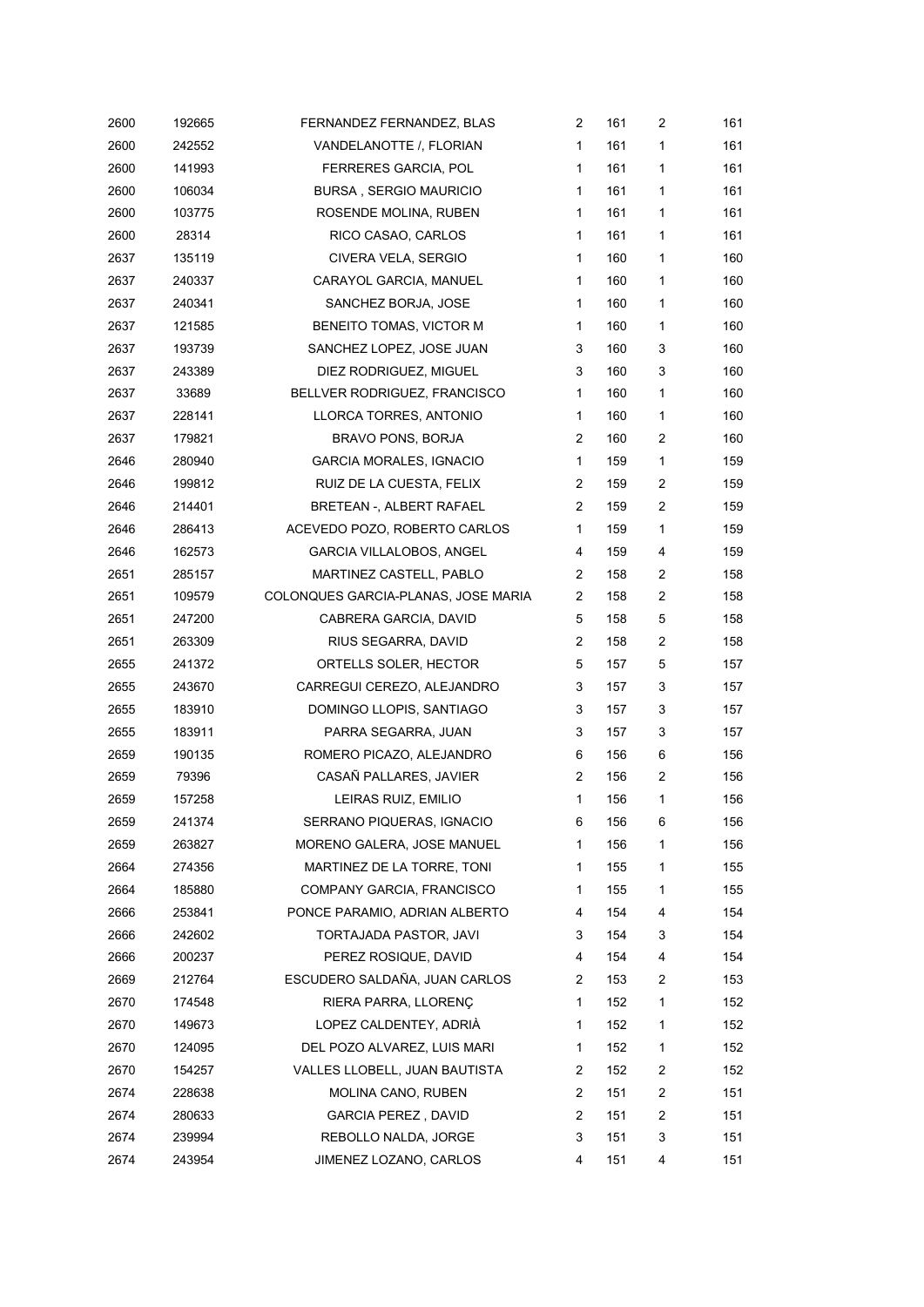| 2600 | 192665 | FERNANDEZ FERNANDEZ, BLAS           | 2              | 161 | 2            | 161 |
|------|--------|-------------------------------------|----------------|-----|--------------|-----|
| 2600 | 242552 | VANDELANOTTE / FLORIAN              | 1              | 161 | 1            | 161 |
| 2600 | 141993 | FERRERES GARCIA, POL                | 1              | 161 | 1            | 161 |
| 2600 | 106034 | <b>BURSA, SERGIO MAURICIO</b>       | 1              | 161 | 1            | 161 |
| 2600 | 103775 | ROSENDE MOLINA, RUBEN               | 1              | 161 | 1            | 161 |
| 2600 | 28314  | RICO CASAO, CARLOS                  | 1              | 161 | 1            | 161 |
| 2637 | 135119 | CIVERA VELA, SERGIO                 | 1              | 160 | 1            | 160 |
| 2637 | 240337 | CARAYOL GARCIA, MANUEL              | 1              | 160 | 1            | 160 |
| 2637 | 240341 | SANCHEZ BORJA, JOSE                 | 1              | 160 | 1            | 160 |
| 2637 | 121585 | BENEITO TOMAS, VICTOR M             | 1              | 160 | 1            | 160 |
| 2637 | 193739 | SANCHEZ LOPEZ, JOSE JUAN            | 3              | 160 | 3            | 160 |
| 2637 | 243389 | DIEZ RODRIGUEZ, MIGUEL              | 3              | 160 | 3            | 160 |
| 2637 | 33689  | BELLVER RODRIGUEZ, FRANCISCO        | 1              | 160 | 1            | 160 |
| 2637 | 228141 | LLORCA TORRES, ANTONIO              | 1              | 160 | 1            | 160 |
| 2637 | 179821 | <b>BRAVO PONS, BORJA</b>            | 2              | 160 | 2            | 160 |
| 2646 | 280940 | GARCIA MORALES, IGNACIO             | 1              | 159 | $\mathbf{1}$ | 159 |
| 2646 | 199812 | RUIZ DE LA CUESTA, FELIX            | 2              | 159 | 2            | 159 |
| 2646 | 214401 | BRETEAN -, ALBERT RAFAEL            | 2              | 159 | 2            | 159 |
| 2646 | 286413 | ACEVEDO POZO, ROBERTO CARLOS        | 1              | 159 | 1            | 159 |
| 2646 | 162573 | GARCIA VILLALOBOS, ANGEL            | 4              | 159 | 4            | 159 |
| 2651 | 285157 | MARTINEZ CASTELL, PABLO             | 2              | 158 | 2            | 158 |
| 2651 | 109579 | COLONQUES GARCIA-PLANAS, JOSE MARIA | 2              | 158 | 2            | 158 |
| 2651 | 247200 | CABRERA GARCIA, DAVID               | 5              | 158 | 5            | 158 |
| 2651 | 263309 | RIUS SEGARRA, DAVID                 | 2              | 158 | 2            | 158 |
| 2655 | 241372 | ORTELLS SOLER, HECTOR               | 5              | 157 | 5            | 157 |
| 2655 | 243670 | CARREGUI CEREZO, ALEJANDRO          | 3              | 157 | 3            | 157 |
| 2655 | 183910 | DOMINGO LLOPIS, SANTIAGO            | 3              | 157 | 3            | 157 |
| 2655 | 183911 | PARRA SEGARRA, JUAN                 | 3              | 157 | 3            | 157 |
| 2659 | 190135 | ROMERO PICAZO, ALEJANDRO            | 6              | 156 | 6            | 156 |
| 2659 | 79396  | CASAÑ PALLARES, JAVIER              | 2              | 156 | 2            | 156 |
| 2659 | 157258 | LEIRAS RUIZ, EMILIO                 | 1              | 156 | 1            | 156 |
| 2659 | 241374 | SERRANO PIQUERAS, IGNACIO           | 6              | 156 | 6            | 156 |
| 2659 | 263827 | MORENO GALERA, JOSE MANUEL          | 1              | 156 | 1            | 156 |
| 2664 | 274356 | MARTINEZ DE LA TORRE, TONI          | 1              | 155 | 1            | 155 |
| 2664 | 185880 | COMPANY GARCIA, FRANCISCO           | 1              | 155 | 1            | 155 |
| 2666 | 253841 | PONCE PARAMIO. ADRIAN ALBERTO       | 4              | 154 | 4            | 154 |
| 2666 | 242602 | TORTAJADA PASTOR, JAVI              | 3              | 154 | 3            | 154 |
| 2666 | 200237 | PEREZ ROSIQUE, DAVID                | 4              | 154 | 4            | 154 |
| 2669 | 212764 | ESCUDERO SALDAÑA, JUAN CARLOS       | 2              | 153 | 2            | 153 |
| 2670 | 174548 | RIERA PARRA, LLORENÇ                | 1              | 152 | 1            | 152 |
| 2670 | 149673 | LOPEZ CALDENTEY, ADRIÀ              | 1              | 152 | 1            | 152 |
| 2670 | 124095 | DEL POZO ALVAREZ, LUIS MARI         | 1              | 152 | 1            | 152 |
| 2670 | 154257 | VALLES LLOBELL, JUAN BAUTISTA       | 2              | 152 | 2            | 152 |
| 2674 | 228638 | MOLINA CANO, RUBEN                  | 2              | 151 | 2            | 151 |
| 2674 | 280633 | GARCIA PEREZ, DAVID                 | $\overline{c}$ | 151 | 2            | 151 |
| 2674 | 239994 | REBOLLO NALDA, JORGE                | 3              | 151 | 3            | 151 |
| 2674 | 243954 | JIMENEZ LOZANO, CARLOS              | 4              | 151 | 4            | 151 |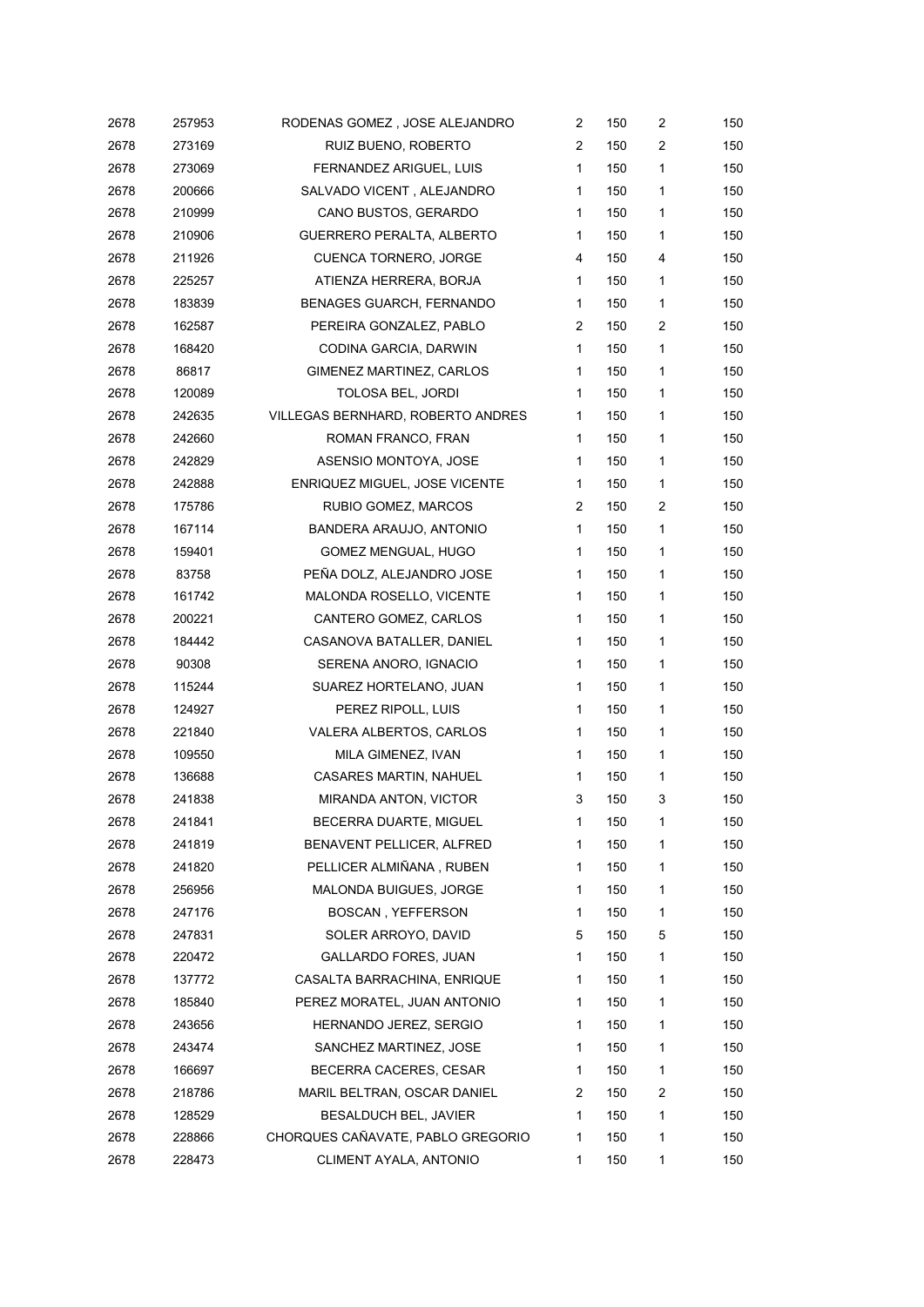| 2678 | 257953 | RODENAS GOMEZ, JOSE ALEJANDRO     | $\overline{c}$ | 150 | 2 | 150 |
|------|--------|-----------------------------------|----------------|-----|---|-----|
| 2678 | 273169 | RUIZ BUENO, ROBERTO               | 2              | 150 | 2 | 150 |
| 2678 | 273069 | FERNANDEZ ARIGUEL, LUIS           | $\mathbf{1}$   | 150 | 1 | 150 |
| 2678 | 200666 | SALVADO VICENT, ALEJANDRO         | 1              | 150 | 1 | 150 |
| 2678 | 210999 | CANO BUSTOS, GERARDO              | 1              | 150 | 1 | 150 |
| 2678 | 210906 | GUERRERO PERALTA, ALBERTO         | 1              | 150 | 1 | 150 |
| 2678 | 211926 | CUENCA TORNERO, JORGE             | 4              | 150 | 4 | 150 |
| 2678 | 225257 | ATIENZA HERRERA, BORJA            | 1              | 150 | 1 | 150 |
| 2678 | 183839 | <b>BENAGES GUARCH, FERNANDO</b>   | 1              | 150 | 1 | 150 |
| 2678 | 162587 | PEREIRA GONZALEZ, PABLO           | 2              | 150 | 2 | 150 |
| 2678 | 168420 | CODINA GARCIA, DARWIN             | 1              | 150 | 1 | 150 |
| 2678 | 86817  | GIMENEZ MARTINEZ, CARLOS          | 1              | 150 | 1 | 150 |
| 2678 | 120089 | TOLOSA BEL, JORDI                 | 1              | 150 | 1 | 150 |
| 2678 | 242635 | VILLEGAS BERNHARD, ROBERTO ANDRES | 1              | 150 | 1 | 150 |
| 2678 | 242660 | ROMAN FRANCO, FRAN                | 1              | 150 | 1 | 150 |
| 2678 | 242829 | ASENSIO MONTOYA, JOSE             | 1              | 150 | 1 | 150 |
| 2678 | 242888 | ENRIQUEZ MIGUEL, JOSE VICENTE     | $\mathbf{1}$   | 150 | 1 | 150 |
| 2678 | 175786 | RUBIO GOMEZ, MARCOS               | 2              | 150 | 2 | 150 |
| 2678 | 167114 | BANDERA ARAUJO, ANTONIO           | 1              | 150 | 1 | 150 |
| 2678 | 159401 | GOMEZ MENGUAL, HUGO               | 1              | 150 | 1 | 150 |
| 2678 | 83758  | PEÑA DOLZ, ALEJANDRO JOSE         | 1              | 150 | 1 | 150 |
| 2678 | 161742 | MALONDA ROSELLO, VICENTE          | 1              | 150 | 1 | 150 |
| 2678 | 200221 | CANTERO GOMEZ, CARLOS             | 1              | 150 | 1 | 150 |
| 2678 | 184442 | CASANOVA BATALLER, DANIEL         | 1              | 150 | 1 | 150 |
| 2678 | 90308  | SERENA ANORO, IGNACIO             | 1              | 150 | 1 | 150 |
| 2678 | 115244 | SUAREZ HORTELANO, JUAN            | 1              | 150 | 1 | 150 |
| 2678 | 124927 | PEREZ RIPOLL, LUIS                | 1              | 150 | 1 | 150 |
| 2678 | 221840 | VALERA ALBERTOS, CARLOS           | 1              | 150 | 1 | 150 |
| 2678 | 109550 | MILA GIMENEZ, IVAN                | 1              | 150 | 1 | 150 |
| 2678 | 136688 | <b>CASARES MARTIN, NAHUEL</b>     | 1              | 150 | 1 | 150 |
| 2678 | 241838 | MIRANDA ANTON, VICTOR             | 3              | 150 | 3 | 150 |
| 2678 | 241841 | BECERRA DUARTE, MIGUEL            | 1              | 150 | 1 | 150 |
| 2678 | 241819 | BENAVENT PELLICER, ALFRED         | 1              | 150 | 1 | 150 |
| 2678 | 241820 | PELLICER ALMIÑANA, RUBEN          | 1              | 150 | 1 | 150 |
| 2678 | 256956 | MALONDA BUIGUES, JORGE            | 1              | 150 | 1 | 150 |
| 2678 | 247176 | <b>BOSCAN, YEFFERSON</b>          | 1              | 150 | 1 | 150 |
| 2678 | 247831 | SOLER ARROYO, DAVID               | 5              | 150 | 5 | 150 |
| 2678 | 220472 | GALLARDO FORES, JUAN              | 1              | 150 | 1 | 150 |
| 2678 | 137772 | CASALTA BARRACHINA, ENRIQUE       | 1              | 150 | 1 | 150 |
| 2678 | 185840 | PEREZ MORATEL, JUAN ANTONIO       | 1              | 150 | 1 | 150 |
| 2678 | 243656 | HERNANDO JEREZ, SERGIO            | 1              | 150 | 1 | 150 |
| 2678 | 243474 | SANCHEZ MARTINEZ, JOSE            | 1              | 150 | 1 | 150 |
| 2678 | 166697 | BECERRA CACERES, CESAR            | 1              | 150 | 1 | 150 |
| 2678 | 218786 | MARIL BELTRAN, OSCAR DANIEL       | 2              | 150 | 2 | 150 |
| 2678 | 128529 | BESALDUCH BEL, JAVIER             | 1              | 150 | 1 | 150 |
| 2678 | 228866 | CHORQUES CAÑAVATE, PABLO GREGORIO | 1              | 150 | 1 | 150 |
| 2678 | 228473 | CLIMENT AYALA, ANTONIO            | 1              | 150 | 1 | 150 |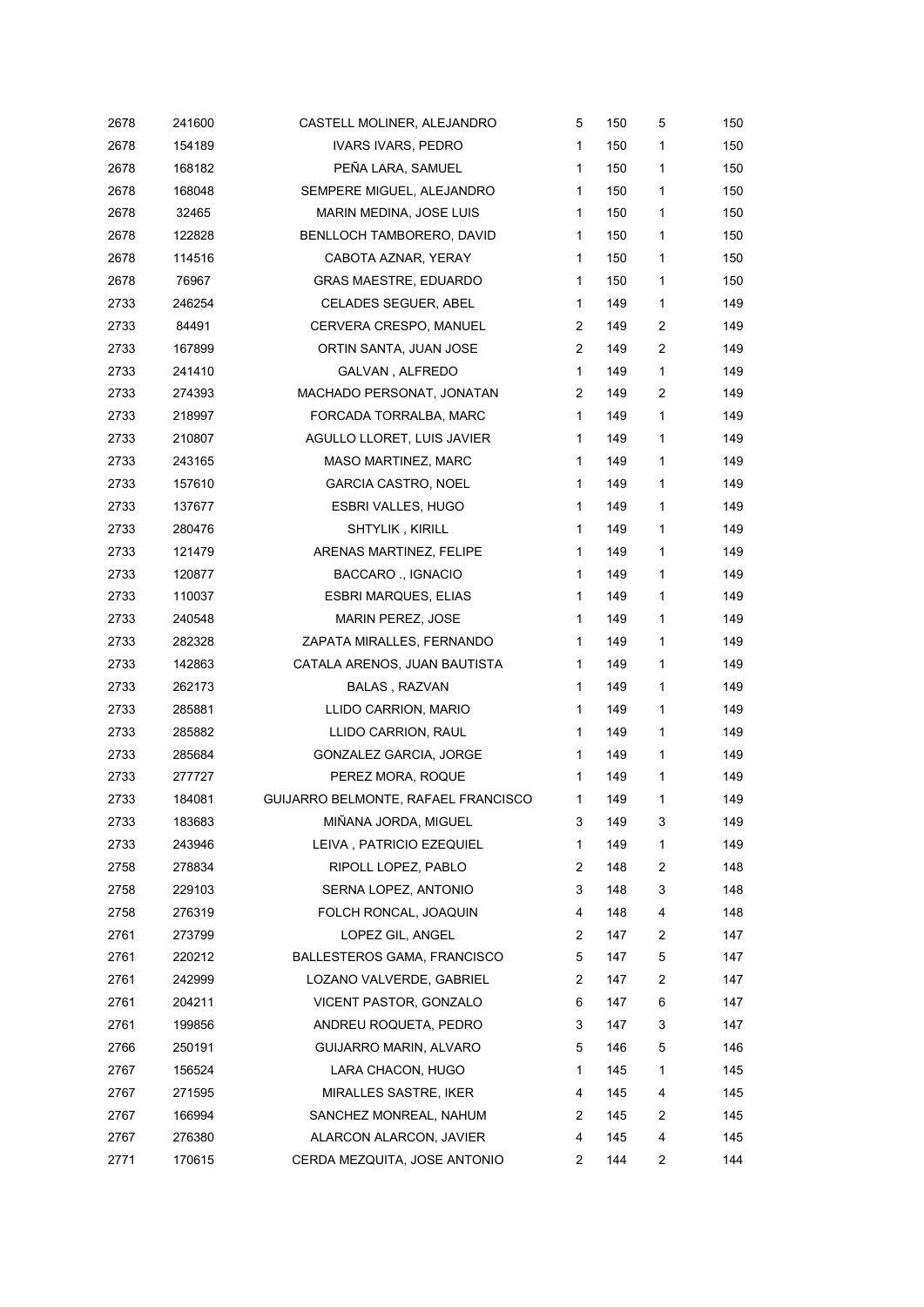| 2678 | 241600 | CASTELL MOLINER, ALEJANDRO          | 5            | 150 | 5              | 150 |
|------|--------|-------------------------------------|--------------|-----|----------------|-----|
| 2678 | 154189 | IVARS IVARS, PEDRO                  | $\mathbf{1}$ | 150 | 1              | 150 |
| 2678 | 168182 | PEÑA LARA, SAMUEL                   | $\mathbf{1}$ | 150 | 1              | 150 |
| 2678 | 168048 | SEMPERE MIGUEL, ALEJANDRO           | 1            | 150 | 1              | 150 |
| 2678 | 32465  | MARIN MEDINA, JOSE LUIS             | $\mathbf{1}$ | 150 | 1              | 150 |
| 2678 | 122828 | BENLLOCH TAMBORERO, DAVID           | $\mathbf 1$  | 150 | 1              | 150 |
| 2678 | 114516 | CABOTA AZNAR, YERAY                 | $\mathbf{1}$ | 150 | 1              | 150 |
| 2678 | 76967  | GRAS MAESTRE, EDUARDO               | $\mathbf 1$  | 150 | 1              | 150 |
| 2733 | 246254 | CELADES SEGUER, ABEL                | $\mathbf{1}$ | 149 | 1              | 149 |
| 2733 | 84491  | CERVERA CRESPO, MANUEL              | 2            | 149 | 2              | 149 |
| 2733 | 167899 | ORTIN SANTA, JUAN JOSE              | 2            | 149 | 2              | 149 |
| 2733 | 241410 | GALVAN, ALFREDO                     | $\mathbf 1$  | 149 | 1              | 149 |
| 2733 | 274393 | MACHADO PERSONAT, JONATAN           | 2            | 149 | $\overline{c}$ | 149 |
| 2733 | 218997 | FORCADA TORRALBA, MARC              | $\mathbf{1}$ | 149 | 1              | 149 |
| 2733 | 210807 | AGULLO LLORET, LUIS JAVIER          | $\mathbf 1$  | 149 | $\mathbf{1}$   | 149 |
| 2733 | 243165 | MASO MARTINEZ, MARC                 | $\mathbf 1$  | 149 | 1              | 149 |
| 2733 | 157610 | <b>GARCIA CASTRO, NOEL</b>          | $\mathbf{1}$ | 149 | 1              | 149 |
| 2733 | 137677 | <b>ESBRI VALLES, HUGO</b>           | $\mathbf{1}$ | 149 | 1              | 149 |
| 2733 | 280476 | SHTYLIK, KIRILL                     | $\mathbf{1}$ | 149 | 1              | 149 |
| 2733 | 121479 | ARENAS MARTINEZ, FELIPE             | $\mathbf 1$  | 149 | 1              | 149 |
| 2733 | 120877 | <b>BACCARO</b> ., IGNACIO           | $\mathbf 1$  | 149 | 1              | 149 |
| 2733 | 110037 | <b>ESBRI MARQUES, ELIAS</b>         | $\mathbf 1$  | 149 | 1              | 149 |
| 2733 | 240548 | <b>MARIN PEREZ, JOSE</b>            | 1            | 149 | 1              | 149 |
| 2733 | 282328 | ZAPATA MIRALLES, FERNANDO           | $\mathbf{1}$ | 149 | 1              | 149 |
| 2733 | 142863 | CATALA ARENOS, JUAN BAUTISTA        | $\mathbf 1$  | 149 | 1              | 149 |
| 2733 | 262173 | BALAS, RAZVAN                       | $\mathbf{1}$ | 149 | 1              | 149 |
| 2733 | 285881 | LLIDO CARRION, MARIO                | $\mathbf 1$  | 149 | 1              | 149 |
| 2733 | 285882 | LLIDO CARRION, RAUL                 | $\mathbf{1}$ | 149 | 1              | 149 |
| 2733 | 285684 | <b>GONZALEZ GARCIA, JORGE</b>       | $\mathbf 1$  | 149 | 1              | 149 |
| 2733 | 277727 | PEREZ MORA, ROQUE                   | $\mathbf{1}$ | 149 | 1              | 149 |
| 2733 | 184081 | GUIJARRO BELMONTE, RAFAEL FRANCISCO | 1            | 149 | 1              | 149 |
| 2733 | 183683 | MIÑANA JORDA, MIGUEL                | 3            | 149 | 3              | 149 |
| 2733 | 243946 | LEIVA, PATRICIO EZEQUIEL            | 1            | 149 | 1              | 149 |
| 2758 | 278834 | RIPOLL LOPEZ, PABLO                 | 2            | 148 | 2              | 148 |
| 2758 | 229103 | SERNA LOPEZ, ANTONIO                | 3            | 148 | 3              | 148 |
| 2758 | 276319 | FOLCH RONCAL, JOAQUIN               | 4            | 148 | 4              | 148 |
| 2761 | 273799 | LOPEZ GIL, ANGEL                    | 2            | 147 | 2              | 147 |
| 2761 | 220212 | BALLESTEROS GAMA, FRANCISCO         | 5            | 147 | 5              | 147 |
| 2761 | 242999 | LOZANO VALVERDE, GABRIEL            | 2            | 147 | $\overline{c}$ | 147 |
| 2761 | 204211 | VICENT PASTOR, GONZALO              | 6            | 147 | 6              | 147 |
| 2761 | 199856 | ANDREU ROQUETA, PEDRO               | 3            | 147 | 3              | 147 |
| 2766 | 250191 | GUIJARRO MARIN, ALVARO              | 5            | 146 | 5              | 146 |
| 2767 | 156524 | LARA CHACON, HUGO                   | 1            | 145 | 1              | 145 |
| 2767 | 271595 | MIRALLES SASTRE, IKER               | 4            | 145 | 4              | 145 |
| 2767 | 166994 | SANCHEZ MONREAL, NAHUM              | 2            | 145 | 2              | 145 |
| 2767 | 276380 | ALARCON ALARCON, JAVIER             | 4            | 145 | 4              | 145 |
| 2771 | 170615 | CERDA MEZQUITA, JOSE ANTONIO        | 2            | 144 | 2              | 144 |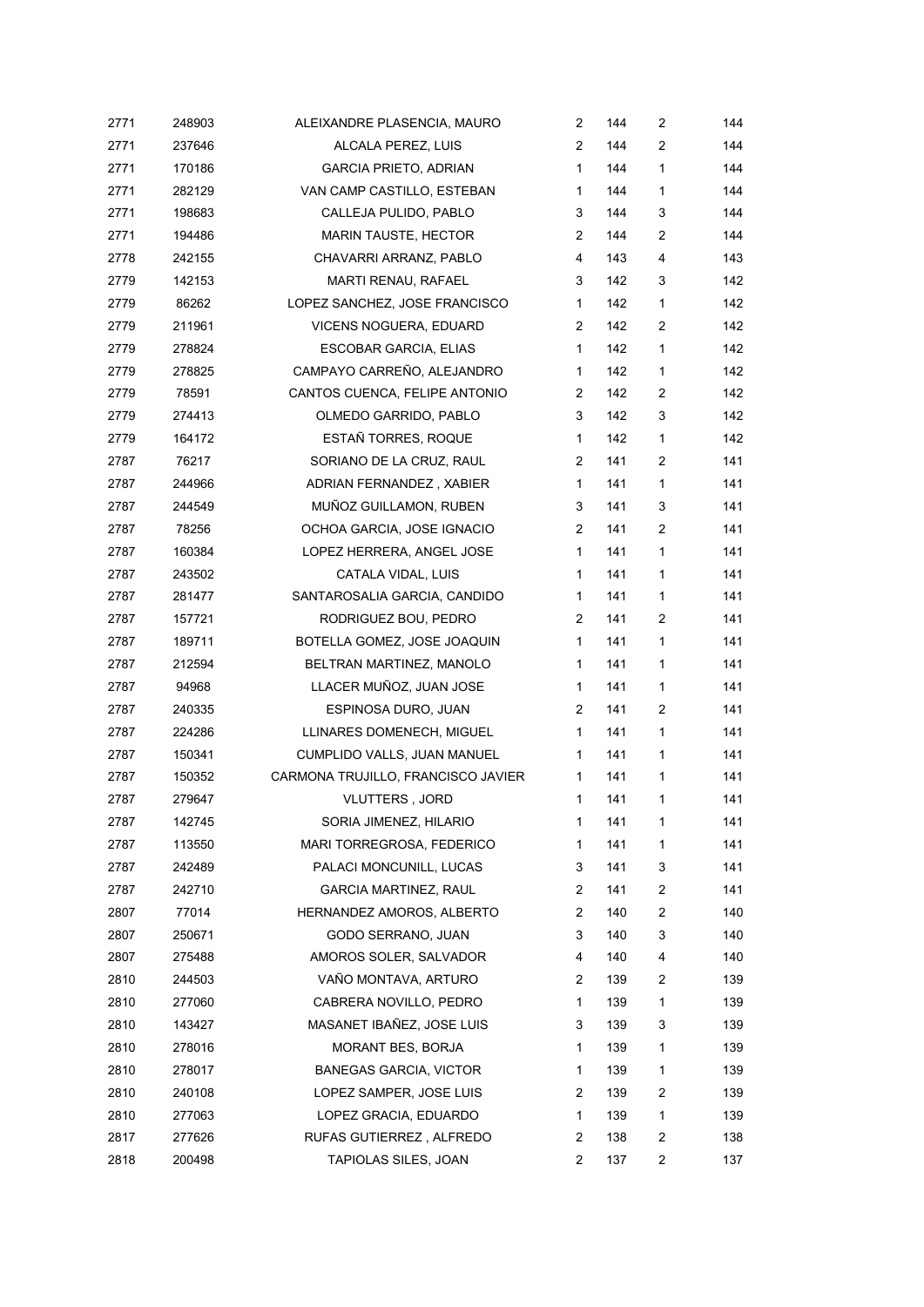| 2771 | 248903 | ALEIXANDRE PLASENCIA, MAURO        | $\overline{c}$        | 144 | 2              | 144 |
|------|--------|------------------------------------|-----------------------|-----|----------------|-----|
| 2771 | 237646 | ALCALA PEREZ, LUIS                 | $\mathbf{2}^{\prime}$ | 144 | 2              | 144 |
| 2771 | 170186 | <b>GARCIA PRIETO, ADRIAN</b>       | $\mathbf{1}$          | 144 | 1              | 144 |
| 2771 | 282129 | VAN CAMP CASTILLO, ESTEBAN         | $\mathbf 1$           | 144 | 1              | 144 |
| 2771 | 198683 | CALLEJA PULIDO, PABLO              | 3                     | 144 | 3              | 144 |
| 2771 | 194486 | <b>MARIN TAUSTE, HECTOR</b>        | 2                     | 144 | 2              | 144 |
| 2778 | 242155 | CHAVARRI ARRANZ, PABLO             | 4                     | 143 | 4              | 143 |
| 2779 | 142153 | MARTI RENAU, RAFAEL                | 3                     | 142 | 3              | 142 |
| 2779 | 86262  | LOPEZ SANCHEZ, JOSE FRANCISCO      | $\mathbf 1$           | 142 | 1              | 142 |
| 2779 | 211961 | VICENS NOGUERA, EDUARD             | 2                     | 142 | 2              | 142 |
| 2779 | 278824 | <b>ESCOBAR GARCIA, ELIAS</b>       | $\mathbf{1}$          | 142 | $\mathbf{1}$   | 142 |
| 2779 | 278825 | CAMPAYO CARREÑO, ALEJANDRO         | $\mathbf 1$           | 142 | 1              | 142 |
| 2779 | 78591  | CANTOS CUENCA, FELIPE ANTONIO      | 2                     | 142 | 2              | 142 |
| 2779 | 274413 | OLMEDO GARRIDO, PABLO              | 3                     | 142 | 3              | 142 |
| 2779 | 164172 | ESTAÑ TORRES, ROQUE                | $\mathbf{1}$          | 142 | 1              | 142 |
| 2787 | 76217  | SORIANO DE LA CRUZ, RAUL           | 2                     | 141 | 2              | 141 |
| 2787 | 244966 | ADRIAN FERNANDEZ, XABIER           | $\mathbf{1}$          | 141 | 1              | 141 |
| 2787 | 244549 | MUÑOZ GUILLAMON, RUBEN             | 3                     | 141 | 3              | 141 |
| 2787 | 78256  | OCHOA GARCIA, JOSE IGNACIO         | 2                     | 141 | 2              | 141 |
| 2787 | 160384 | LOPEZ HERRERA, ANGEL JOSE          | $\mathbf{1}$          | 141 | $\mathbf{1}$   | 141 |
| 2787 | 243502 | CATALA VIDAL, LUIS                 | $\mathbf{1}$          | 141 | 1              | 141 |
| 2787 | 281477 | SANTAROSALIA GARCIA, CANDIDO       | $\mathbf 1$           | 141 | 1              | 141 |
| 2787 | 157721 | RODRIGUEZ BOU, PEDRO               | 2                     | 141 | $\overline{c}$ | 141 |
| 2787 | 189711 | BOTELLA GOMEZ, JOSE JOAQUIN        | $\mathbf{1}$          | 141 | 1              | 141 |
| 2787 | 212594 | BELTRAN MARTINEZ, MANOLO           | $\mathbf 1$           | 141 | 1              | 141 |
| 2787 | 94968  | LLACER MUÑOZ, JUAN JOSE            | $\mathbf 1$           | 141 | 1              | 141 |
| 2787 | 240335 | ESPINOSA DURO, JUAN                | 2                     | 141 | 2              | 141 |
| 2787 | 224286 | LLINARES DOMENECH, MIGUEL          | $\mathbf 1$           | 141 | 1              | 141 |
| 2787 | 150341 | CUMPLIDO VALLS, JUAN MANUEL        | $\mathbf 1$           | 141 | 1              | 141 |
| 2787 | 150352 | CARMONA TRUJILLO, FRANCISCO JAVIER | 1                     | 141 | 1              | 141 |
| 2787 | 279647 | VLUTTERS, JORD                     | 1                     | 141 | 1              | 141 |
| 2787 | 142745 | SORIA JIMENEZ, HILARIO             | 1                     | 141 | 1              | 141 |
| 2787 | 113550 | MARI TORREGROSA, FEDERICO          | 1                     | 141 | 1              | 141 |
| 2787 | 242489 | PALACI MONCUNILL, LUCAS            | 3                     | 141 | 3              | 141 |
| 2787 | 242710 | <b>GARCIA MARTINEZ, RAUL</b>       | 2                     | 141 | 2              | 141 |
| 2807 | 77014  | HERNANDEZ AMOROS, ALBERTO          | 2                     | 140 | 2              | 140 |
| 2807 | 250671 | GODO SERRANO, JUAN                 | 3                     | 140 | 3              | 140 |
| 2807 | 275488 | AMOROS SOLER, SALVADOR             | 4                     | 140 | 4              | 140 |
| 2810 | 244503 | VAÑO MONTAVA, ARTURO               | $\overline{c}$        | 139 | 2              | 139 |
| 2810 | 277060 | CABRERA NOVILLO, PEDRO             | 1                     | 139 | 1              | 139 |
| 2810 | 143427 | MASANET IBAÑEZ, JOSE LUIS          | 3                     | 139 | 3              | 139 |
| 2810 | 278016 | MORANT BES, BORJA                  | 1                     | 139 | $\mathbf{1}$   | 139 |
| 2810 | 278017 | <b>BANEGAS GARCIA, VICTOR</b>      | 1                     | 139 | 1              | 139 |
| 2810 | 240108 | LOPEZ SAMPER, JOSE LUIS            | 2                     | 139 | 2              | 139 |
| 2810 | 277063 | LOPEZ GRACIA, EDUARDO              | 1                     | 139 | 1              | 139 |
| 2817 | 277626 | RUFAS GUTIERREZ, ALFREDO           | 2                     | 138 | 2              | 138 |
| 2818 | 200498 | TAPIOLAS SILES, JOAN               | 2                     | 137 | 2              | 137 |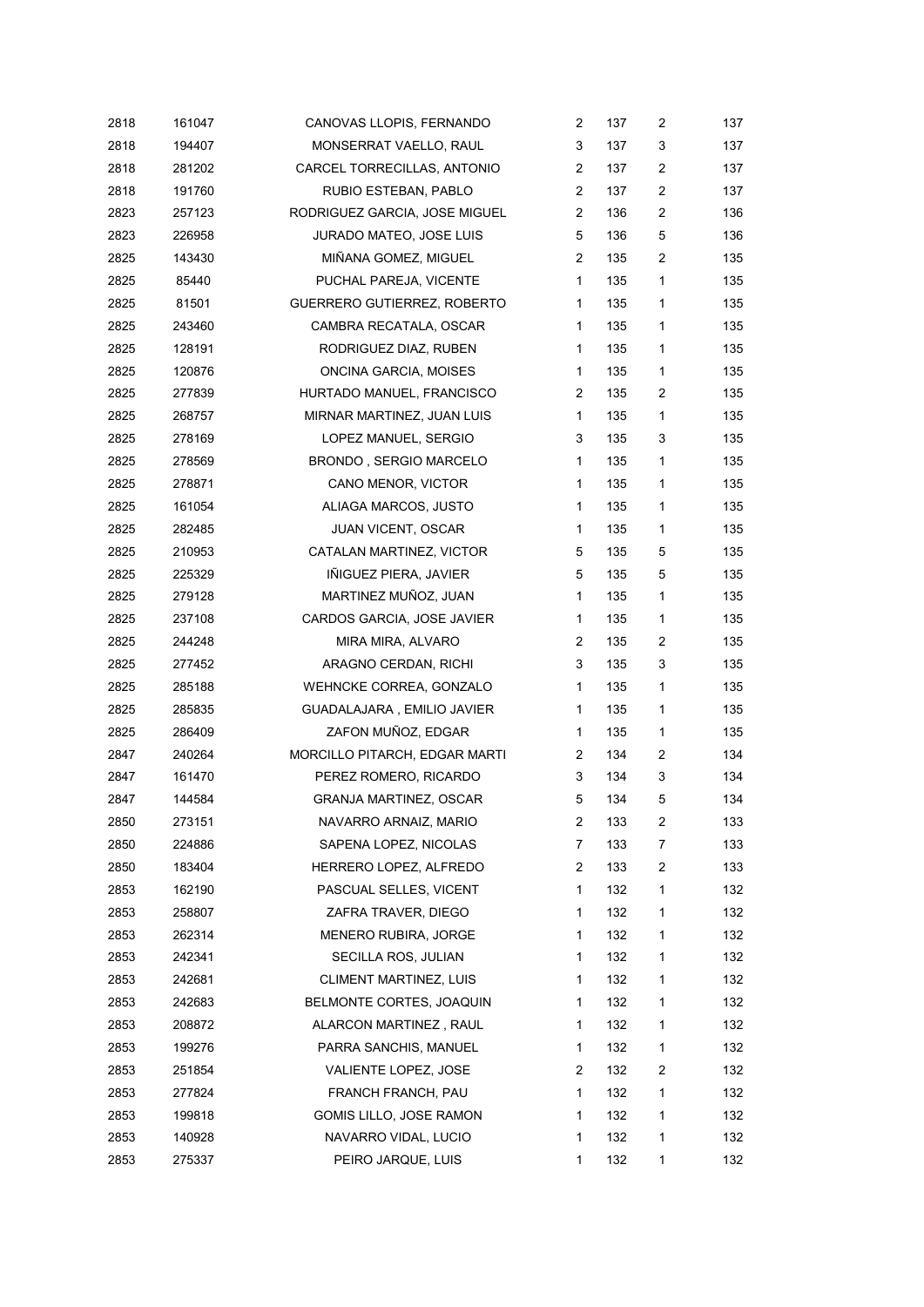| 2818 | 161047 | CANOVAS LLOPIS, FERNANDO      | 2              | 137 | $\overline{c}$ | 137 |
|------|--------|-------------------------------|----------------|-----|----------------|-----|
| 2818 | 194407 | MONSERRAT VAELLO, RAUL        | 3              | 137 | 3              | 137 |
| 2818 | 281202 | CARCEL TORRECILLAS, ANTONIO   | 2              | 137 | 2              | 137 |
| 2818 | 191760 | RUBIO ESTEBAN, PABLO          | $\overline{2}$ | 137 | $\overline{c}$ | 137 |
| 2823 | 257123 | RODRIGUEZ GARCIA, JOSE MIGUEL | 2              | 136 | 2              | 136 |
| 2823 | 226958 | JURADO MATEO, JOSE LUIS       | 5              | 136 | 5              | 136 |
| 2825 | 143430 | MIÑANA GOMEZ, MIGUEL          | 2              | 135 | $\overline{c}$ | 135 |
| 2825 | 85440  | PUCHAL PAREJA, VICENTE        | $\mathbf{1}$   | 135 | $\mathbf{1}$   | 135 |
| 2825 | 81501  | GUERRERO GUTIERREZ, ROBERTO   | $\mathbf{1}$   | 135 | 1              | 135 |
| 2825 | 243460 | CAMBRA RECATALA, OSCAR        | $\mathbf{1}$   | 135 | 1              | 135 |
| 2825 | 128191 | RODRIGUEZ DIAZ, RUBEN         | $\mathbf{1}$   | 135 | $\mathbf{1}$   | 135 |
| 2825 | 120876 | ONCINA GARCIA, MOISES         | 1              | 135 | 1              | 135 |
| 2825 | 277839 | HURTADO MANUEL, FRANCISCO     | 2              | 135 | 2              | 135 |
| 2825 | 268757 | MIRNAR MARTINEZ, JUAN LUIS    | $\mathbf{1}$   | 135 | 1              | 135 |
| 2825 | 278169 | LOPEZ MANUEL, SERGIO          | 3              | 135 | 3              | 135 |
| 2825 | 278569 | BRONDO, SERGIO MARCELO        | 1              | 135 | 1              | 135 |
| 2825 | 278871 | CANO MENOR, VICTOR            | $\mathbf{1}$   | 135 | 1              | 135 |
| 2825 | 161054 | ALIAGA MARCOS, JUSTO          | 1              | 135 | 1              | 135 |
| 2825 | 282485 | <b>JUAN VICENT, OSCAR</b>     | 1              | 135 | 1              | 135 |
| 2825 | 210953 | CATALAN MARTINEZ, VICTOR      | 5              | 135 | 5              | 135 |
| 2825 | 225329 | IÑIGUEZ PIERA, JAVIER         | 5              | 135 | 5              | 135 |
| 2825 | 279128 | MARTINEZ MUÑOZ, JUAN          | $\mathbf{1}$   | 135 | $\mathbf{1}$   | 135 |
| 2825 | 237108 | CARDOS GARCIA, JOSE JAVIER    | 1              | 135 | $\mathbf{1}$   | 135 |
| 2825 | 244248 | MIRA MIRA, ALVARO             | 2              | 135 | $\overline{c}$ | 135 |
| 2825 | 277452 | ARAGNO CERDAN, RICHI          | 3              | 135 | 3              | 135 |
| 2825 | 285188 | WEHNCKE CORREA, GONZALO       | $\mathbf{1}$   | 135 | 1              | 135 |
| 2825 | 285835 | GUADALAJARA, EMILIO JAVIER    | $\mathbf 1$    | 135 | $\mathbf{1}$   | 135 |
| 2825 | 286409 | ZAFON MUÑOZ, EDGAR            | 1              | 135 | 1              | 135 |
| 2847 | 240264 | MORCILLO PITARCH, EDGAR MARTI | 2              | 134 | 2              | 134 |
| 2847 | 161470 | PEREZ ROMERO, RICARDO         | 3              | 134 | 3              | 134 |
| 2847 | 144584 | <b>GRANJA MARTINEZ, OSCAR</b> | 5              | 134 | 5              | 134 |
| 2850 | 273151 | NAVARRO ARNAIZ, MARIO         | 2              | 133 | 2              | 133 |
| 2850 | 224886 | SAPENA LOPEZ, NICOLAS         | 7              | 133 | 7              | 133 |
| 2850 | 183404 | HERRERO LOPEZ, ALFREDO        | 2              | 133 | 2              | 133 |
| 2853 | 162190 | PASCUAL SELLES, VICENT        | 1              | 132 | 1              | 132 |
| 2853 | 258807 | ZAFRA TRAVER, DIEGO           | 1              | 132 | 1              | 132 |
| 2853 | 262314 | MENERO RUBIRA, JORGE          | 1              | 132 | 1              | 132 |
| 2853 | 242341 | SECILLA ROS, JULIAN           | 1              | 132 | 1              | 132 |
| 2853 | 242681 | CLIMENT MARTINEZ, LUIS        | 1              | 132 | 1              | 132 |
| 2853 | 242683 | BELMONTE CORTES, JOAQUIN      | 1              | 132 | 1              | 132 |
| 2853 | 208872 | ALARCON MARTINEZ, RAUL        | 1              | 132 | 1              | 132 |
| 2853 | 199276 | PARRA SANCHIS, MANUEL         | 1              | 132 | 1              | 132 |
| 2853 | 251854 | VALIENTE LOPEZ, JOSE          | 2              | 132 | 2              | 132 |
| 2853 | 277824 | FRANCH FRANCH, PAU            | 1              | 132 | 1              | 132 |
| 2853 | 199818 | GOMIS LILLO, JOSE RAMON       | 1              | 132 | 1              | 132 |
| 2853 | 140928 | NAVARRO VIDAL, LUCIO          | 1              | 132 | $\mathbf{1}$   | 132 |
| 2853 | 275337 | PEIRO JARQUE, LUIS            | 1              | 132 | 1              | 132 |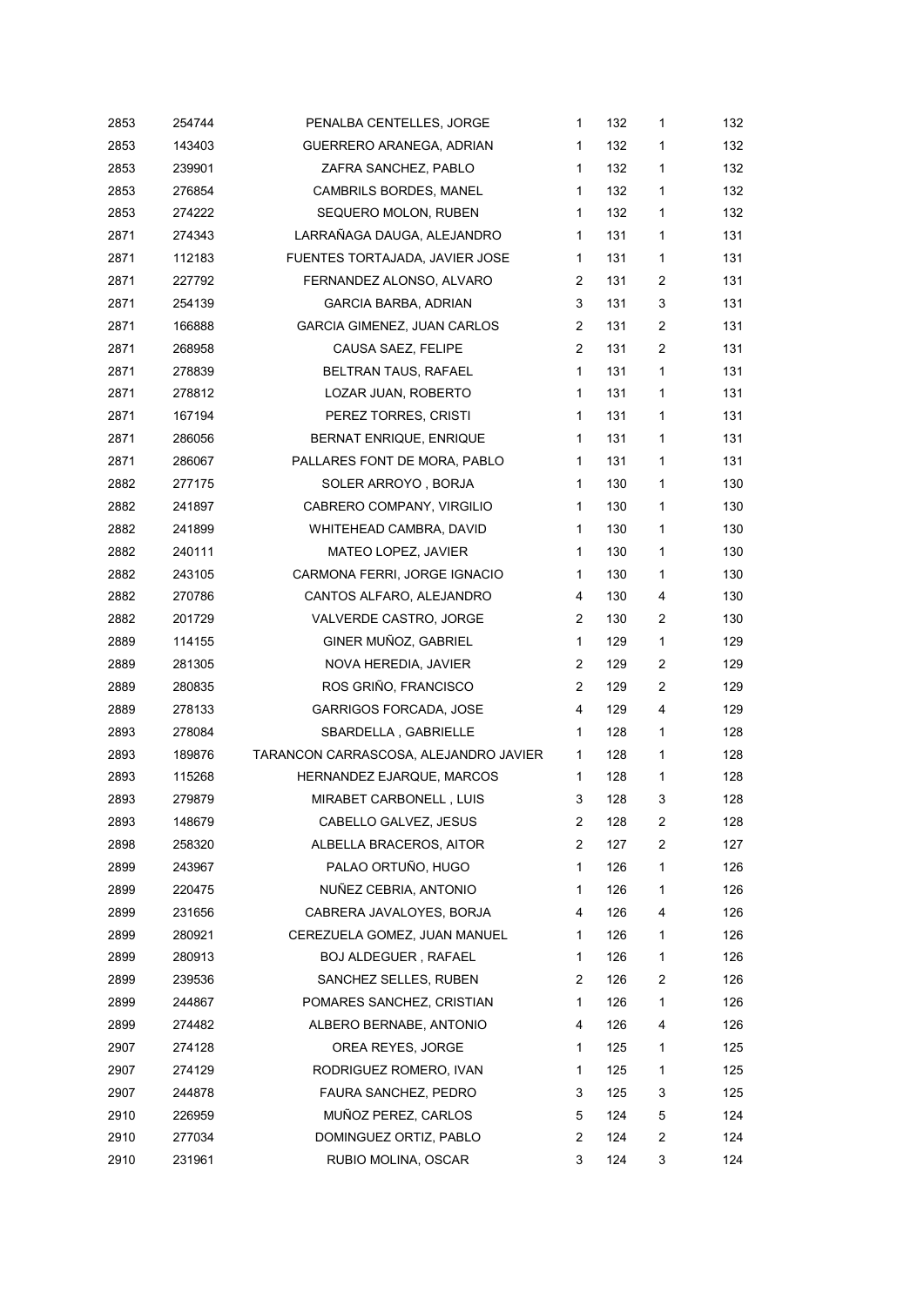| 2853 | 254744 | PENALBA CENTELLES, JORGE              | 1              | 132 | 1              | 132 |
|------|--------|---------------------------------------|----------------|-----|----------------|-----|
| 2853 | 143403 | GUERRERO ARANEGA, ADRIAN              | 1              | 132 | 1              | 132 |
| 2853 | 239901 | ZAFRA SANCHEZ, PABLO                  | $\mathbf 1$    | 132 | 1              | 132 |
| 2853 | 276854 | CAMBRILS BORDES, MANEL                | 1              | 132 | 1              | 132 |
| 2853 | 274222 | SEQUERO MOLON, RUBEN                  | 1              | 132 | 1              | 132 |
| 2871 | 274343 | LARRAÑAGA DAUGA, ALEJANDRO            | 1              | 131 | 1              | 131 |
| 2871 | 112183 | FUENTES TORTAJADA, JAVIER JOSE        | $\mathbf 1$    | 131 | 1              | 131 |
| 2871 | 227792 | FERNANDEZ ALONSO, ALVARO              | 2              | 131 | $\overline{c}$ | 131 |
| 2871 | 254139 | <b>GARCIA BARBA, ADRIAN</b>           | 3              | 131 | 3              | 131 |
| 2871 | 166888 | <b>GARCIA GIMENEZ, JUAN CARLOS</b>    | 2              | 131 | 2              | 131 |
| 2871 | 268958 | CAUSA SAEZ, FELIPE                    | 2              | 131 | 2              | 131 |
| 2871 | 278839 | BELTRAN TAUS, RAFAEL                  | $\mathbf{1}$   | 131 | 1              | 131 |
| 2871 | 278812 | LOZAR JUAN, ROBERTO                   | 1              | 131 | 1              | 131 |
| 2871 | 167194 | PEREZ TORRES, CRISTI                  | 1              | 131 | 1              | 131 |
| 2871 | 286056 | BERNAT ENRIQUE, ENRIQUE               | $\mathbf 1$    | 131 | 1              | 131 |
| 2871 | 286067 | PALLARES FONT DE MORA, PABLO          | $\mathbf 1$    | 131 | 1              | 131 |
| 2882 | 277175 | SOLER ARROYO, BORJA                   | $\mathbf{1}$   | 130 | 1              | 130 |
| 2882 | 241897 | CABRERO COMPANY, VIRGILIO             | 1              | 130 | 1              | 130 |
| 2882 | 241899 | WHITEHEAD CAMBRA, DAVID               | 1              | 130 | 1              | 130 |
| 2882 | 240111 | MATEO LOPEZ, JAVIER                   | 1              | 130 | 1              | 130 |
| 2882 | 243105 | CARMONA FERRI, JORGE IGNACIO          | 1              | 130 | 1              | 130 |
| 2882 | 270786 | CANTOS ALFARO, ALEJANDRO              | 4              | 130 | 4              | 130 |
| 2882 | 201729 | VALVERDE CASTRO, JORGE                | $\overline{2}$ | 130 | 2              | 130 |
| 2889 | 114155 | GINER MUÑOZ, GABRIEL                  | $\mathbf{1}$   | 129 | 1              | 129 |
| 2889 | 281305 | NOVA HEREDIA, JAVIER                  | $\overline{2}$ | 129 | 2              | 129 |
| 2889 | 280835 | ROS GRIÑO, FRANCISCO                  | $\overline{2}$ | 129 | 2              | 129 |
| 2889 | 278133 | <b>GARRIGOS FORCADA, JOSE</b>         | 4              | 129 | 4              | 129 |
| 2893 | 278084 | SBARDELLA, GABRIELLE                  | 1              | 128 | 1              | 128 |
| 2893 | 189876 | TARANCON CARRASCOSA, ALEJANDRO JAVIER | $\mathbf 1$    | 128 | 1              | 128 |
| 2893 | 115268 | HERNANDEZ EJARQUE, MARCOS             | 1              | 128 | 1              | 128 |
| 2893 | 279879 | MIRABET CARBONELL, LUIS               | 3              | 128 | 3              | 128 |
| 2893 | 148679 | CABELLO GALVEZ, JESUS                 | $\overline{c}$ | 128 | 2              | 128 |
| 2898 | 258320 | ALBELLA BRACEROS, AITOR               | $\overline{2}$ | 127 | 2              | 127 |
| 2899 | 243967 | PALAO ORTUÑO, HUGO                    | 1              | 126 | 1              | 126 |
| 2899 | 220475 | NUÑEZ CEBRIA, ANTONIO                 | 1              | 126 | 1              | 126 |
| 2899 | 231656 | CABRERA JAVALOYES, BORJA              | 4              | 126 | 4              | 126 |
| 2899 | 280921 | CEREZUELA GOMEZ, JUAN MANUEL          | 1              | 126 | 1              | 126 |
| 2899 | 280913 | <b>BOJ ALDEGUER, RAFAEL</b>           | 1              | 126 | 1              | 126 |
| 2899 | 239536 | SANCHEZ SELLES, RUBEN                 | 2              | 126 | 2              | 126 |
| 2899 | 244867 | POMARES SANCHEZ, CRISTIAN             | 1              | 126 | 1              | 126 |
| 2899 | 274482 | ALBERO BERNABE, ANTONIO               | 4              | 126 | 4              | 126 |
| 2907 | 274128 | OREA REYES, JORGE                     | 1              | 125 | 1              | 125 |
| 2907 | 274129 | RODRIGUEZ ROMERO, IVAN                | 1              | 125 | 1              | 125 |
| 2907 | 244878 | FAURA SANCHEZ, PEDRO                  | 3              | 125 | 3              | 125 |
| 2910 | 226959 | MUÑOZ PEREZ, CARLOS                   | 5              | 124 | 5              | 124 |
| 2910 | 277034 | DOMINGUEZ ORTIZ, PABLO                | 2              | 124 | 2              | 124 |
| 2910 | 231961 | RUBIO MOLINA, OSCAR                   | 3              | 124 | 3              | 124 |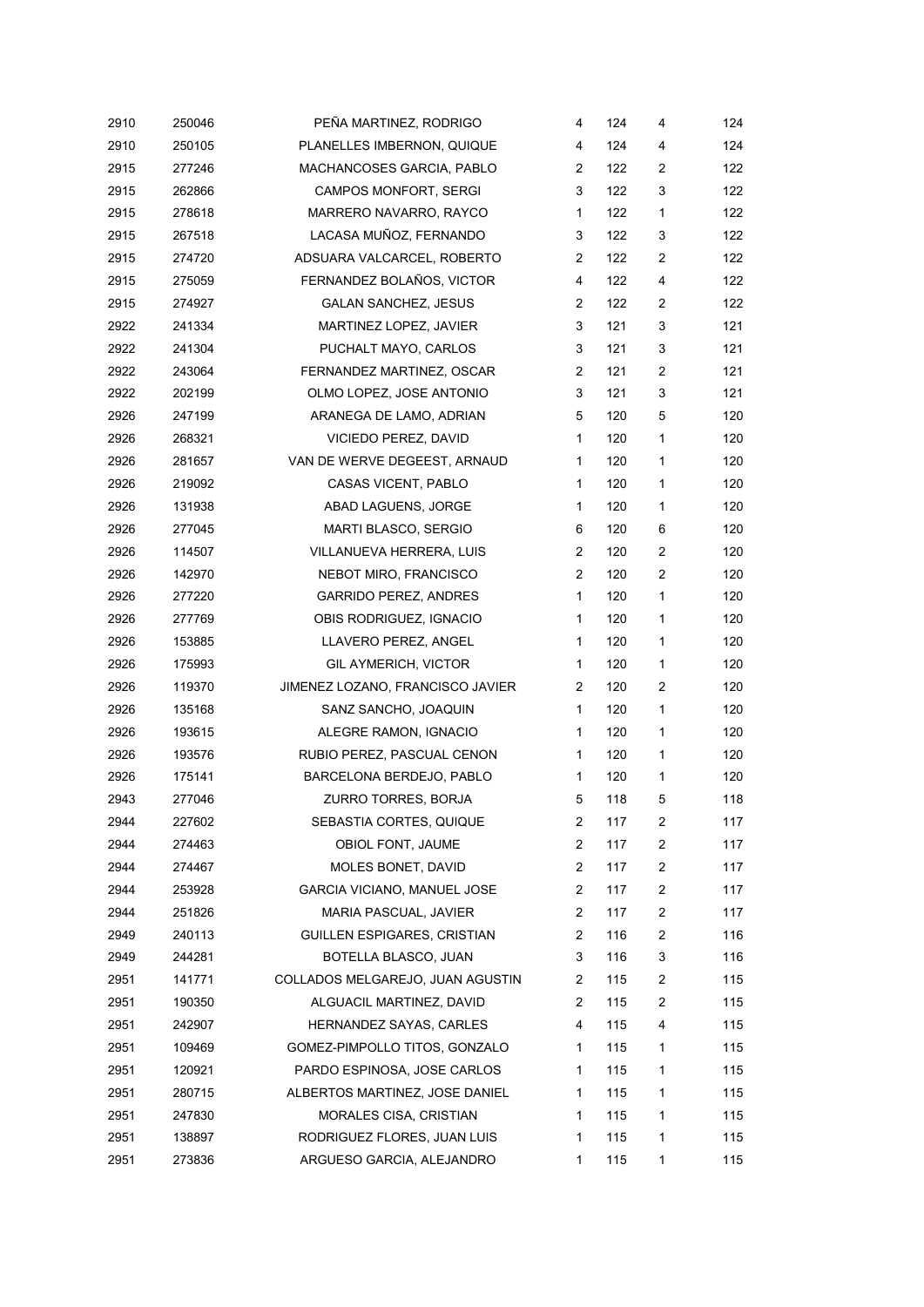| 2910 | 250046 | PEÑA MARTINEZ, RODRIGO             | 4                     | 124 | 4              | 124 |
|------|--------|------------------------------------|-----------------------|-----|----------------|-----|
| 2910 | 250105 | PLANELLES IMBERNON, QUIQUE         | 4                     | 124 | 4              | 124 |
| 2915 | 277246 | MACHANCOSES GARCIA, PABLO          | 2                     | 122 | $\overline{c}$ | 122 |
| 2915 | 262866 | CAMPOS MONFORT, SERGI              | 3                     | 122 | 3              | 122 |
| 2915 | 278618 | MARRERO NAVARRO, RAYCO             | 1                     | 122 | $\mathbf{1}$   | 122 |
| 2915 | 267518 | LACASA MUÑOZ, FERNANDO             | 3                     | 122 | 3              | 122 |
| 2915 | 274720 | ADSUARA VALCARCEL, ROBERTO         | $\mathbf{2}^{\prime}$ | 122 | $\overline{c}$ | 122 |
| 2915 | 275059 | FERNANDEZ BOLAÑOS, VICTOR          | 4                     | 122 | 4              | 122 |
| 2915 | 274927 | <b>GALAN SANCHEZ, JESUS</b>        | 2                     | 122 | 2              | 122 |
| 2922 | 241334 | MARTINEZ LOPEZ, JAVIER             | 3                     | 121 | 3              | 121 |
| 2922 | 241304 | PUCHALT MAYO, CARLOS               | 3                     | 121 | 3              | 121 |
| 2922 | 243064 | FERNANDEZ MARTINEZ, OSCAR          | 2                     | 121 | $\overline{c}$ | 121 |
| 2922 | 202199 | OLMO LOPEZ, JOSE ANTONIO           | 3                     | 121 | 3              | 121 |
| 2926 | 247199 | ARANEGA DE LAMO, ADRIAN            | 5                     | 120 | 5              | 120 |
| 2926 | 268321 | VICIEDO PEREZ, DAVID               | $\mathbf{1}$          | 120 | $\mathbf{1}$   | 120 |
| 2926 | 281657 | VAN DE WERVE DEGEEST, ARNAUD       | 1                     | 120 | 1              | 120 |
| 2926 | 219092 | CASAS VICENT, PABLO                | $\mathbf{1}$          | 120 | $\mathbf{1}$   | 120 |
| 2926 | 131938 | ABAD LAGUENS, JORGE                | 1                     | 120 | 1              | 120 |
| 2926 | 277045 | MARTI BLASCO, SERGIO               | 6                     | 120 | 6              | 120 |
| 2926 | 114507 | VILLANUEVA HERRERA, LUIS           | $\overline{2}$        | 120 | $\overline{c}$ | 120 |
| 2926 | 142970 | NEBOT MIRO, FRANCISCO              | $\overline{2}$        | 120 | 2              | 120 |
| 2926 | 277220 | <b>GARRIDO PEREZ, ANDRES</b>       | $\mathbf{1}$          | 120 | $\mathbf{1}$   | 120 |
| 2926 | 277769 | OBIS RODRIGUEZ, IGNACIO            | 1                     | 120 | $\mathbf{1}$   | 120 |
| 2926 | 153885 | LLAVERO PEREZ, ANGEL               | $\mathbf{1}$          | 120 | $\mathbf{1}$   | 120 |
| 2926 | 175993 | <b>GIL AYMERICH, VICTOR</b>        | $\mathbf 1$           | 120 | 1              | 120 |
| 2926 | 119370 | JIMENEZ LOZANO, FRANCISCO JAVIER   | $\mathbf{2}$          | 120 | 2              | 120 |
| 2926 | 135168 | SANZ SANCHO, JOAQUIN               | 1                     | 120 | $\mathbf{1}$   | 120 |
| 2926 | 193615 | ALEGRE RAMON, IGNACIO              | 1                     | 120 | $\mathbf{1}$   | 120 |
| 2926 | 193576 | RUBIO PEREZ, PASCUAL CENON         | $\mathbf{1}$          | 120 | 1              | 120 |
| 2926 | 175141 | BARCELONA BERDEJO, PABLO           | 1                     | 120 | 1              | 120 |
| 2943 | 277046 | ZURRO TORRES, BORJA                | 5                     | 118 | 5              | 118 |
| 2944 | 227602 | SEBASTIA CORTES, QUIQUE            | 2                     | 117 | 2              | 117 |
| 2944 | 274463 | OBIOL FONT, JAUME                  | 2                     | 117 | 2              | 117 |
| 2944 | 274467 | MOLES BONET, DAVID                 | $\overline{2}$        | 117 | $\overline{c}$ | 117 |
| 2944 | 253928 | <b>GARCIA VICIANO, MANUEL JOSE</b> | 2                     | 117 | $\overline{c}$ | 117 |
| 2944 | 251826 | MARIA PASCUAL, JAVIER              | 2                     | 117 | $\overline{c}$ | 117 |
| 2949 | 240113 | GUILLEN ESPIGARES, CRISTIAN        | 2                     | 116 | 2              | 116 |
| 2949 | 244281 | BOTELLA BLASCO, JUAN               | 3                     | 116 | 3              | 116 |
| 2951 | 141771 | COLLADOS MELGAREJO, JUAN AGUSTIN   | 2                     | 115 | $\overline{2}$ | 115 |
| 2951 | 190350 | ALGUACIL MARTINEZ, DAVID           | 2                     | 115 | 2              | 115 |
| 2951 | 242907 | HERNANDEZ SAYAS, CARLES            | 4                     | 115 | 4              | 115 |
| 2951 | 109469 | GOMEZ-PIMPOLLO TITOS, GONZALO      | 1                     | 115 | 1              | 115 |
| 2951 | 120921 | PARDO ESPINOSA, JOSE CARLOS        | 1                     | 115 | 1              | 115 |
| 2951 | 280715 | ALBERTOS MARTINEZ, JOSE DANIEL     | 1                     | 115 | 1              | 115 |
| 2951 | 247830 | MORALES CISA, CRISTIAN             | 1                     | 115 | 1              | 115 |
| 2951 | 138897 | RODRIGUEZ FLORES, JUAN LUIS        | 1                     | 115 | $\mathbf{1}$   | 115 |
| 2951 | 273836 | ARGUESO GARCIA, ALEJANDRO          | 1                     | 115 | 1              | 115 |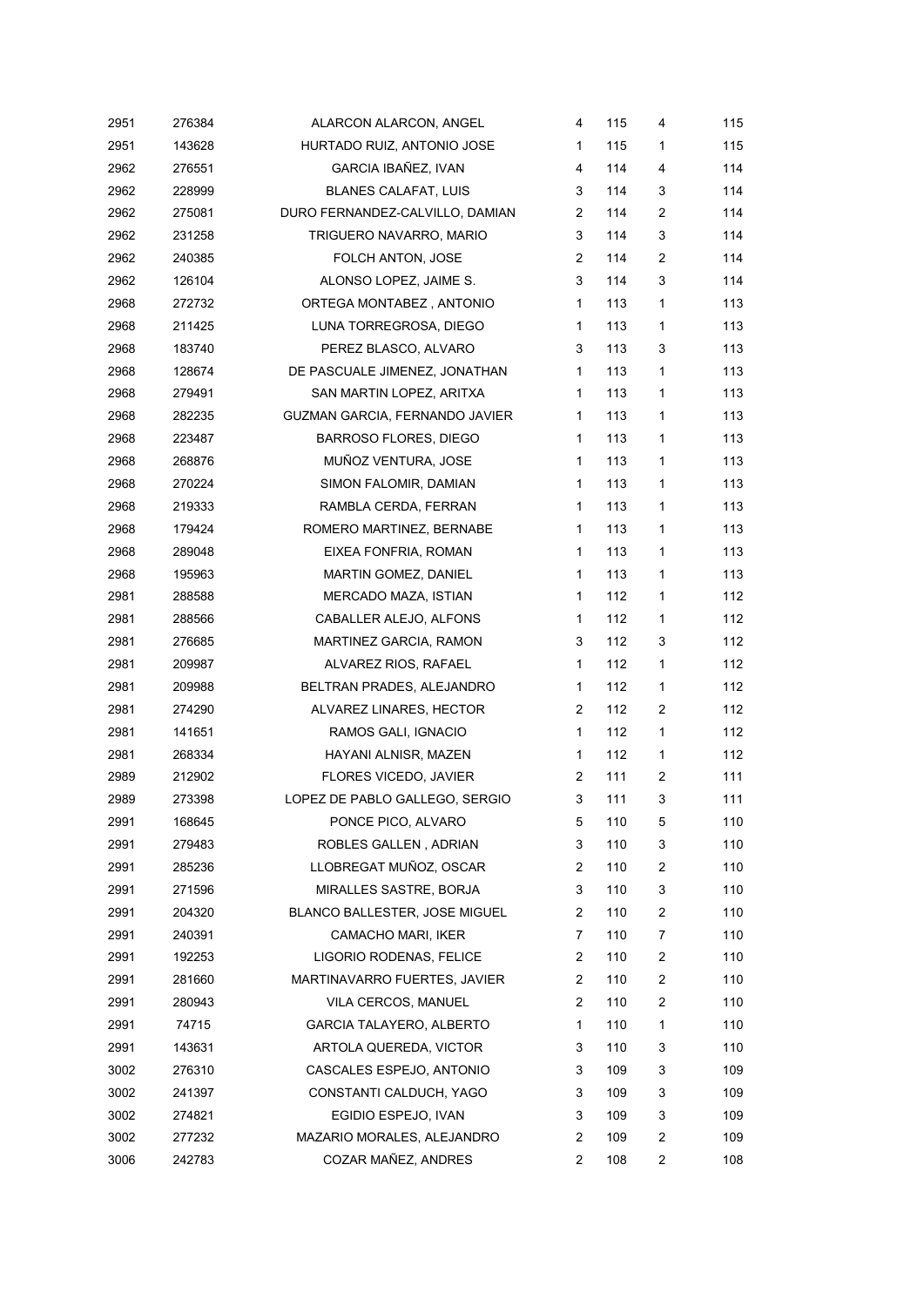| 2951 | 276384 | ALARCON ALARCON, ANGEL          | 4              | 115 | 4              | 115 |
|------|--------|---------------------------------|----------------|-----|----------------|-----|
| 2951 | 143628 | HURTADO RUIZ, ANTONIO JOSE      | 1              | 115 | 1              | 115 |
| 2962 | 276551 | GARCIA IBAÑEZ, IVAN             | 4              | 114 | 4              | 114 |
| 2962 | 228999 | <b>BLANES CALAFAT, LUIS</b>     | 3              | 114 | 3              | 114 |
| 2962 | 275081 | DURO FERNANDEZ-CALVILLO, DAMIAN | 2              | 114 | 2              | 114 |
| 2962 | 231258 | TRIGUERO NAVARRO, MARIO         | 3              | 114 | 3              | 114 |
| 2962 | 240385 | FOLCH ANTON, JOSE               | 2              | 114 | 2              | 114 |
| 2962 | 126104 | ALONSO LOPEZ, JAIME S.          | 3              | 114 | 3              | 114 |
| 2968 | 272732 | ORTEGA MONTABEZ, ANTONIO        | 1              | 113 | 1              | 113 |
| 2968 | 211425 | LUNA TORREGROSA, DIEGO          | 1              | 113 | 1              | 113 |
| 2968 | 183740 | PEREZ BLASCO, ALVARO            | 3              | 113 | 3              | 113 |
| 2968 | 128674 | DE PASCUALE JIMENEZ, JONATHAN   | 1              | 113 | 1              | 113 |
| 2968 | 279491 | SAN MARTIN LOPEZ, ARITXA        | 1              | 113 | 1              | 113 |
| 2968 | 282235 | GUZMAN GARCIA, FERNANDO JAVIER  | 1              | 113 | 1              | 113 |
| 2968 | 223487 | <b>BARROSO FLORES, DIEGO</b>    | 1              | 113 | 1              | 113 |
| 2968 | 268876 | MUÑOZ VENTURA, JOSE             | 1              | 113 | 1              | 113 |
| 2968 | 270224 | SIMON FALOMIR, DAMIAN           | 1              | 113 | 1              | 113 |
| 2968 | 219333 | RAMBLA CERDA, FERRAN            | 1              | 113 | 1              | 113 |
| 2968 | 179424 | ROMERO MARTINEZ, BERNABE        | 1              | 113 | 1              | 113 |
| 2968 | 289048 | EIXEA FONFRIA, ROMAN            | 1              | 113 | 1              | 113 |
| 2968 | 195963 | MARTIN GOMEZ, DANIEL            | 1              | 113 | 1              | 113 |
| 2981 | 288588 | MERCADO MAZA, ISTIAN            | 1              | 112 | 1              | 112 |
| 2981 | 288566 | CABALLER ALEJO, ALFONS          | 1              | 112 | 1              | 112 |
| 2981 | 276685 | MARTINEZ GARCIA, RAMON          | 3              | 112 | 3              | 112 |
| 2981 | 209987 | ALVAREZ RIOS, RAFAEL            | 1              | 112 | 1              | 112 |
| 2981 | 209988 | BELTRAN PRADES, ALEJANDRO       | 1              | 112 | 1              | 112 |
| 2981 | 274290 | ALVAREZ LINARES, HECTOR         | 2              | 112 | 2              | 112 |
| 2981 | 141651 | RAMOS GALI, IGNACIO             | 1              | 112 | 1              | 112 |
| 2981 | 268334 | HAYANI ALNISR, MAZEN            | 1              | 112 | 1              | 112 |
| 2989 | 212902 | FLORES VICEDO, JAVIER           | 2              | 111 | $\overline{2}$ | 111 |
| 2989 | 273398 | LOPEZ DE PABLO GALLEGO, SERGIO  | 3              | 111 | 3              | 111 |
| 2991 | 168645 | PONCE PICO, ALVARO              | 5              | 110 | 5              | 110 |
| 2991 | 279483 | ROBLES GALLEN, ADRIAN           | 3              | 110 | 3              | 110 |
| 2991 | 285236 | LLOBREGAT MUÑOZ, OSCAR          | $\overline{c}$ | 110 | 2              | 110 |
| 2991 | 271596 | MIRALLES SASTRE, BORJA          | 3              | 110 | 3              | 110 |
| 2991 | 204320 | BLANCO BALLESTER, JOSE MIGUEL   | 2              | 110 | 2              | 110 |
| 2991 | 240391 | CAMACHO MARI, IKER              | 7              | 110 | 7              | 110 |
| 2991 | 192253 | LIGORIO RODENAS, FELICE         | 2              | 110 | 2              | 110 |
| 2991 | 281660 | MARTINAVARRO FUERTES, JAVIER    | 2              | 110 | 2              | 110 |
| 2991 | 280943 | VILA CERCOS, MANUEL             | 2              | 110 | 2              | 110 |
| 2991 | 74715  | GARCIA TALAYERO, ALBERTO        | 1              | 110 | 1              | 110 |
| 2991 | 143631 | ARTOLA QUEREDA, VICTOR          | 3              | 110 | 3              | 110 |
| 3002 | 276310 | CASCALES ESPEJO, ANTONIO        | 3              | 109 | 3              | 109 |
| 3002 | 241397 | CONSTANTI CALDUCH, YAGO         | 3              | 109 | 3              | 109 |
| 3002 | 274821 | EGIDIO ESPEJO, IVAN             | 3              | 109 | 3              | 109 |
| 3002 | 277232 | MAZARIO MORALES, ALEJANDRO      | 2              | 109 | 2              | 109 |
| 3006 | 242783 | COZAR MAÑEZ, ANDRES             | 2              | 108 | 2              | 108 |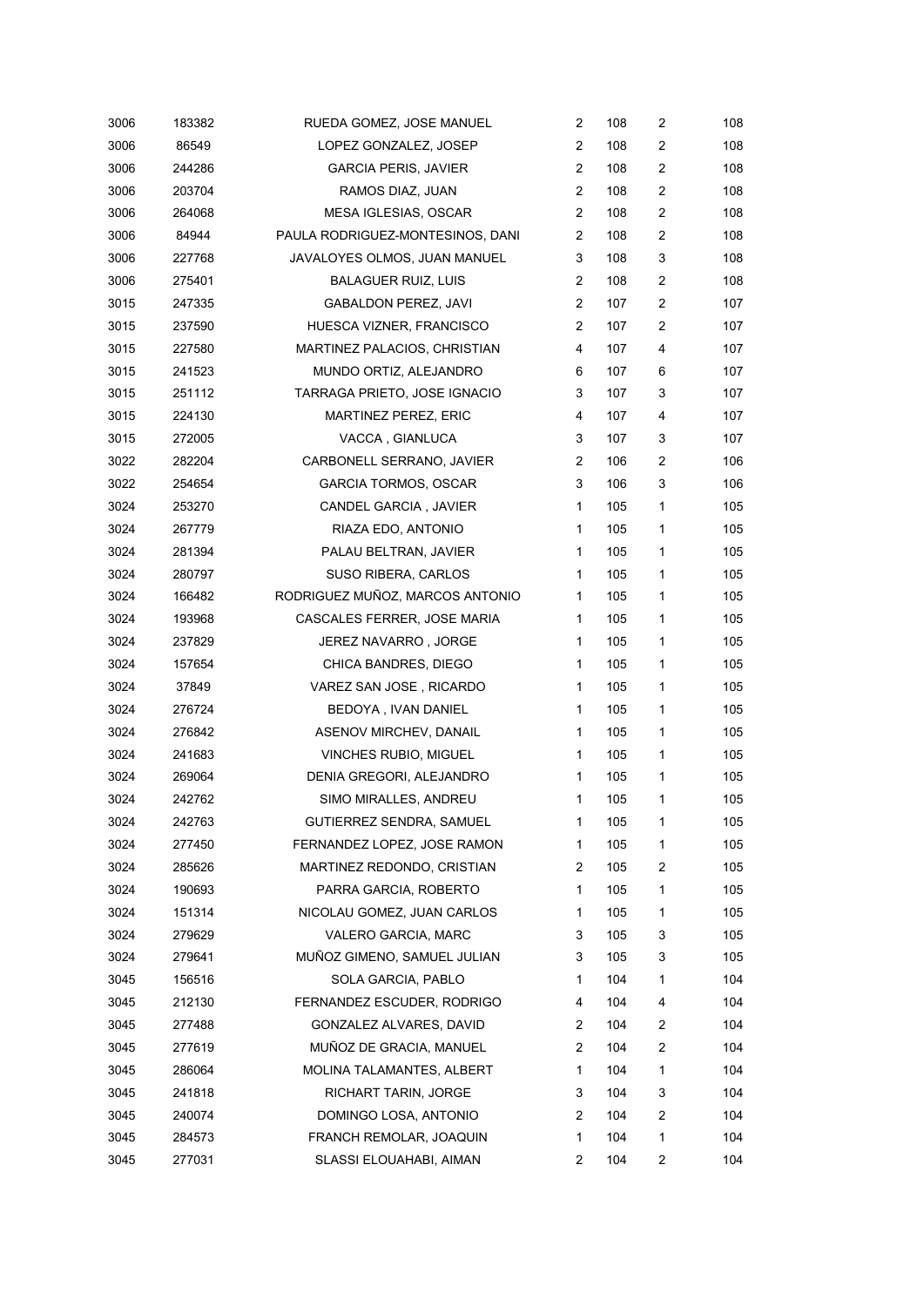| 3006 | 183382 | RUEDA GOMEZ, JOSE MANUEL         | 2                       | 108 | $\overline{c}$ | 108 |
|------|--------|----------------------------------|-------------------------|-----|----------------|-----|
| 3006 | 86549  | LOPEZ GONZALEZ, JOSEP            | 2                       | 108 | 2              | 108 |
| 3006 | 244286 | <b>GARCIA PERIS, JAVIER</b>      | $\overline{2}$          | 108 | 2              | 108 |
| 3006 | 203704 | RAMOS DIAZ, JUAN                 | $\overline{c}$          | 108 | 2              | 108 |
| 3006 | 264068 | MESA IGLESIAS, OSCAR             | 2                       | 108 | 2              | 108 |
| 3006 | 84944  | PAULA RODRIGUEZ-MONTESINOS, DANI | $\overline{\mathbf{c}}$ | 108 | 2              | 108 |
| 3006 | 227768 | JAVALOYES OLMOS, JUAN MANUEL     | 3                       | 108 | 3              | 108 |
| 3006 | 275401 | <b>BALAGUER RUIZ, LUIS</b>       | 2                       | 108 | 2              | 108 |
| 3015 | 247335 | <b>GABALDON PEREZ, JAVI</b>      | $\overline{c}$          | 107 | 2              | 107 |
| 3015 | 237590 | HUESCA VIZNER, FRANCISCO         | $\overline{2}$          | 107 | 2              | 107 |
| 3015 | 227580 | MARTINEZ PALACIOS, CHRISTIAN     | 4                       | 107 | 4              | 107 |
| 3015 | 241523 | MUNDO ORTIZ, ALEJANDRO           | 6                       | 107 | 6              | 107 |
| 3015 | 251112 | TARRAGA PRIETO, JOSE IGNACIO     | 3                       | 107 | 3              | 107 |
| 3015 | 224130 | <b>MARTINEZ PEREZ, ERIC</b>      | 4                       | 107 | 4              | 107 |
| 3015 | 272005 | VACCA, GIANLUCA                  | 3                       | 107 | 3              | 107 |
| 3022 | 282204 | CARBONELL SERRANO, JAVIER        | 2                       | 106 | 2              | 106 |
| 3022 | 254654 | <b>GARCIA TORMOS, OSCAR</b>      | 3                       | 106 | 3              | 106 |
| 3024 | 253270 | CANDEL GARCIA, JAVIER            | 1                       | 105 | 1              | 105 |
| 3024 | 267779 | RIAZA EDO, ANTONIO               | 1                       | 105 | 1              | 105 |
| 3024 | 281394 | PALAU BELTRAN, JAVIER            | 1                       | 105 | 1              | 105 |
| 3024 | 280797 | SUSO RIBERA, CARLOS              | 1                       | 105 | 1              | 105 |
| 3024 | 166482 | RODRIGUEZ MUÑOZ, MARCOS ANTONIO  | 1                       | 105 | 1              | 105 |
| 3024 | 193968 | CASCALES FERRER, JOSE MARIA      | 1                       | 105 | 1              | 105 |
| 3024 | 237829 | JEREZ NAVARRO, JORGE             | 1                       | 105 | 1              | 105 |
| 3024 | 157654 | CHICA BANDRES, DIEGO             | 1                       | 105 | 1              | 105 |
| 3024 | 37849  | VAREZ SAN JOSE, RICARDO          | 1                       | 105 | 1              | 105 |
| 3024 | 276724 | BEDOYA, IVAN DANIEL              | $\mathbf{1}$            | 105 | 1              | 105 |
| 3024 | 276842 | ASENOV MIRCHEV, DANAIL           | 1                       | 105 | 1              | 105 |
| 3024 | 241683 | VINCHES RUBIO, MIGUEL            | 1                       | 105 | $\mathbf{1}$   | 105 |
| 3024 | 269064 | DENIA GREGORI, ALEJANDRO         | 1                       | 105 | 1              | 105 |
| 3024 | 242762 | SIMO MIRALLES, ANDREU            | 1                       | 105 | 1              | 105 |
| 3024 | 242763 | GUTIERREZ SENDRA, SAMUEL         | 1                       | 105 | 1              | 105 |
| 3024 | 277450 | FERNANDEZ LOPEZ, JOSE RAMON      | 1                       | 105 | 1              | 105 |
| 3024 | 285626 | MARTINEZ REDONDO, CRISTIAN       | 2                       | 105 | 2              | 105 |
| 3024 | 190693 | PARRA GARCIA, ROBERTO            | 1                       | 105 | 1              | 105 |
| 3024 | 151314 | NICOLAU GOMEZ, JUAN CARLOS       | 1                       | 105 | 1              | 105 |
| 3024 | 279629 | VALERO GARCIA, MARC              | 3                       | 105 | 3              | 105 |
| 3024 | 279641 | MUÑOZ GIMENO, SAMUEL JULIAN      | 3                       | 105 | 3              | 105 |
| 3045 | 156516 | SOLA GARCIA, PABLO               | 1                       | 104 | 1              | 104 |
| 3045 | 212130 | FERNANDEZ ESCUDER, RODRIGO       | 4                       | 104 | 4              | 104 |
| 3045 | 277488 | GONZALEZ ALVARES, DAVID          | 2                       | 104 | 2              | 104 |
| 3045 | 277619 | MUÑOZ DE GRACIA, MANUEL          | 2                       | 104 | 2              | 104 |
| 3045 | 286064 | MOLINA TALAMANTES, ALBERT        | 1                       | 104 | 1              | 104 |
| 3045 | 241818 | RICHART TARIN, JORGE             | 3                       | 104 | 3              | 104 |
| 3045 | 240074 | DOMINGO LOSA, ANTONIO            | 2                       | 104 | 2              | 104 |
| 3045 | 284573 | FRANCH REMOLAR, JOAQUIN          | 1                       | 104 | 1              | 104 |
| 3045 | 277031 | SLASSI ELOUAHABI, AIMAN          | 2                       | 104 | 2              | 104 |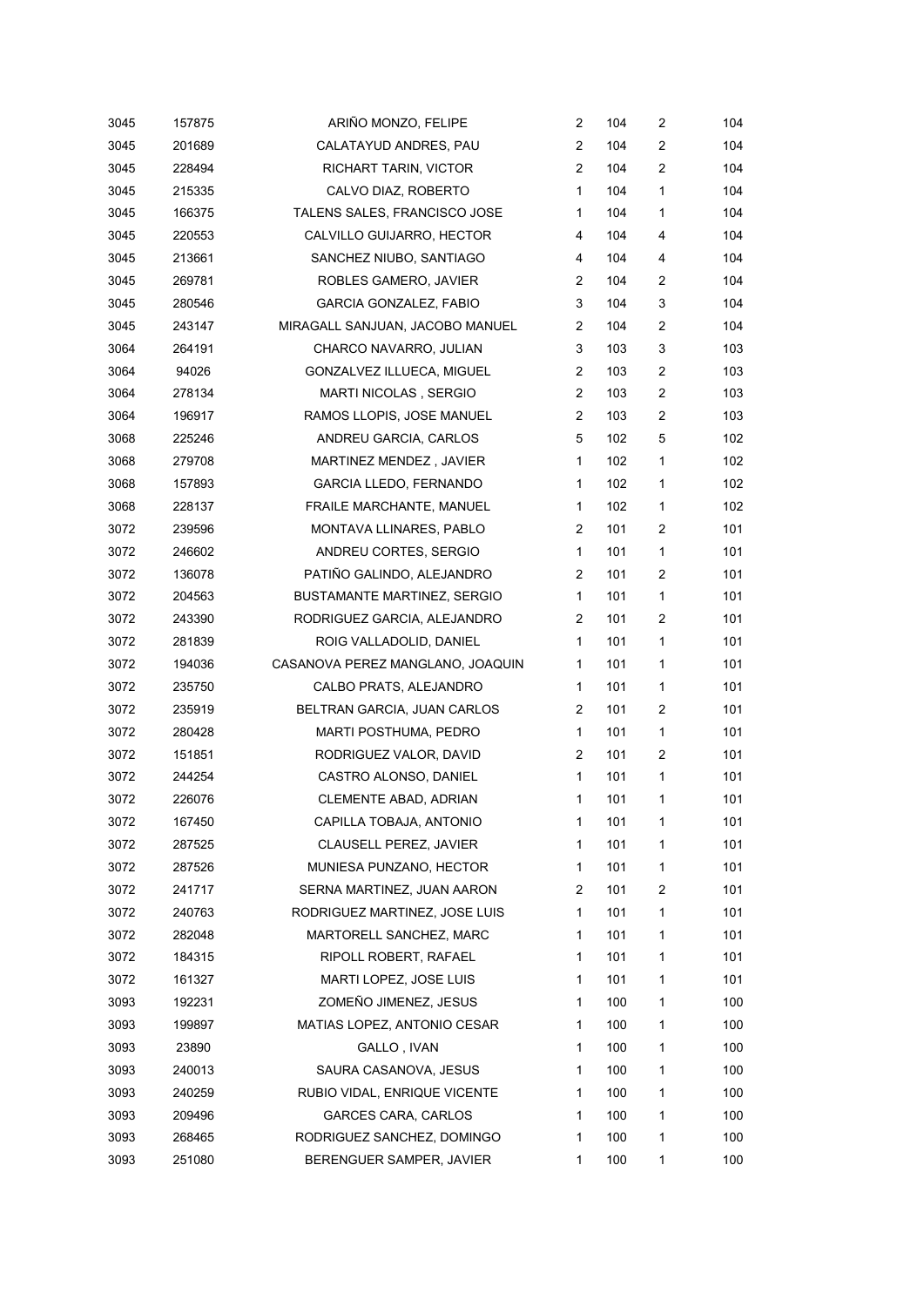| 3045 | 157875 | ARIÑO MONZO, FELIPE              | 2              | 104 | $\overline{c}$ | 104 |
|------|--------|----------------------------------|----------------|-----|----------------|-----|
| 3045 | 201689 | CALATAYUD ANDRES, PAU            | 2              | 104 | $\overline{c}$ | 104 |
| 3045 | 228494 | RICHART TARIN, VICTOR            | $\overline{2}$ | 104 | $\overline{2}$ | 104 |
| 3045 | 215335 | CALVO DIAZ, ROBERTO              | 1              | 104 | 1              | 104 |
| 3045 | 166375 | TALENS SALES, FRANCISCO JOSE     | 1              | 104 | 1              | 104 |
| 3045 | 220553 | CALVILLO GUIJARRO, HECTOR        | 4              | 104 | 4              | 104 |
| 3045 | 213661 | SANCHEZ NIUBO, SANTIAGO          | 4              | 104 | 4              | 104 |
| 3045 | 269781 | ROBLES GAMERO, JAVIER            | 2              | 104 | 2              | 104 |
| 3045 | 280546 | <b>GARCIA GONZALEZ, FABIO</b>    | 3              | 104 | 3              | 104 |
| 3045 | 243147 | MIRAGALL SANJUAN, JACOBO MANUEL  | $\overline{c}$ | 104 | 2              | 104 |
| 3064 | 264191 | CHARCO NAVARRO, JULIAN           | 3              | 103 | 3              | 103 |
| 3064 | 94026  | GONZALVEZ ILLUECA, MIGUEL        | $\overline{2}$ | 103 | $\overline{c}$ | 103 |
| 3064 | 278134 | MARTI NICOLAS , SERGIO           | $\overline{2}$ | 103 | $\overline{c}$ | 103 |
| 3064 | 196917 | RAMOS LLOPIS, JOSE MANUEL        | 2              | 103 | 2              | 103 |
| 3068 | 225246 | ANDREU GARCIA, CARLOS            | 5              | 102 | 5              | 102 |
| 3068 | 279708 | MARTINEZ MENDEZ, JAVIER          | 1              | 102 | 1              | 102 |
| 3068 | 157893 | <b>GARCIA LLEDO, FERNANDO</b>    | 1              | 102 | $\mathbf{1}$   | 102 |
| 3068 | 228137 | FRAILE MARCHANTE, MANUEL         | 1              | 102 | 1              | 102 |
| 3072 | 239596 | MONTAVA LLINARES, PABLO          | $\overline{c}$ | 101 | 2              | 101 |
| 3072 | 246602 | ANDREU CORTES, SERGIO            | 1              | 101 | $\mathbf{1}$   | 101 |
| 3072 | 136078 | PATIÑO GALINDO, ALEJANDRO        | 2              | 101 | 2              | 101 |
| 3072 | 204563 | BUSTAMANTE MARTINEZ, SERGIO      | 1              | 101 | $\mathbf{1}$   | 101 |
| 3072 | 243390 | RODRIGUEZ GARCIA, ALEJANDRO      | 2              | 101 | 2              | 101 |
| 3072 | 281839 | ROIG VALLADOLID, DANIEL          | 1              | 101 | 1              | 101 |
| 3072 | 194036 | CASANOVA PEREZ MANGLANO, JOAQUIN | 1              | 101 | 1              | 101 |
| 3072 | 235750 | CALBO PRATS, ALEJANDRO           | 1              | 101 | 1              | 101 |
| 3072 | 235919 | BELTRAN GARCIA, JUAN CARLOS      | 2              | 101 | $\overline{c}$ | 101 |
| 3072 | 280428 | MARTI POSTHUMA, PEDRO            | 1              | 101 | $\mathbf{1}$   | 101 |
| 3072 | 151851 | RODRIGUEZ VALOR, DAVID           | $\overline{c}$ | 101 | 2              | 101 |
| 3072 | 244254 | CASTRO ALONSO, DANIEL            | 1              | 101 | 1              | 101 |
| 3072 | 226076 | CLEMENTE ABAD, ADRIAN            | 1              | 101 | 1              | 101 |
| 3072 | 167450 | CAPILLA TOBAJA, ANTONIO          | 1              | 101 | 1              | 101 |
| 3072 | 287525 | CLAUSELL PEREZ, JAVIER           | 1              | 101 | 1              | 101 |
| 3072 | 287526 | MUNIESA PUNZANO, HECTOR          | 1              | 101 | 1              | 101 |
| 3072 | 241717 | SERNA MARTINEZ, JUAN AARON       | 2              | 101 | 2              | 101 |
| 3072 | 240763 | RODRIGUEZ MARTINEZ, JOSE LUIS    | 1              | 101 | 1              | 101 |
| 3072 | 282048 | MARTORELL SANCHEZ, MARC          | 1              | 101 | 1              | 101 |
| 3072 | 184315 | RIPOLL ROBERT, RAFAEL            | 1              | 101 | 1              | 101 |
| 3072 | 161327 | MARTI LOPEZ, JOSE LUIS           | 1              | 101 | 1              | 101 |
| 3093 | 192231 | ZOMEÑO JIMENEZ, JESUS            | 1              | 100 | 1              | 100 |
| 3093 | 199897 | MATIAS LOPEZ, ANTONIO CESAR      | 1              | 100 | 1              | 100 |
| 3093 | 23890  | GALLO, IVAN                      | 1              | 100 | 1              | 100 |
| 3093 | 240013 | SAURA CASANOVA, JESUS            | 1              | 100 | 1              | 100 |
| 3093 | 240259 | RUBIO VIDAL, ENRIQUE VICENTE     | 1              | 100 | 1              | 100 |
| 3093 | 209496 | GARCES CARA, CARLOS              | 1              | 100 | 1              | 100 |
| 3093 | 268465 | RODRIGUEZ SANCHEZ, DOMINGO       | 1              | 100 | 1              | 100 |
| 3093 | 251080 | BERENGUER SAMPER, JAVIER         | 1              | 100 | 1              | 100 |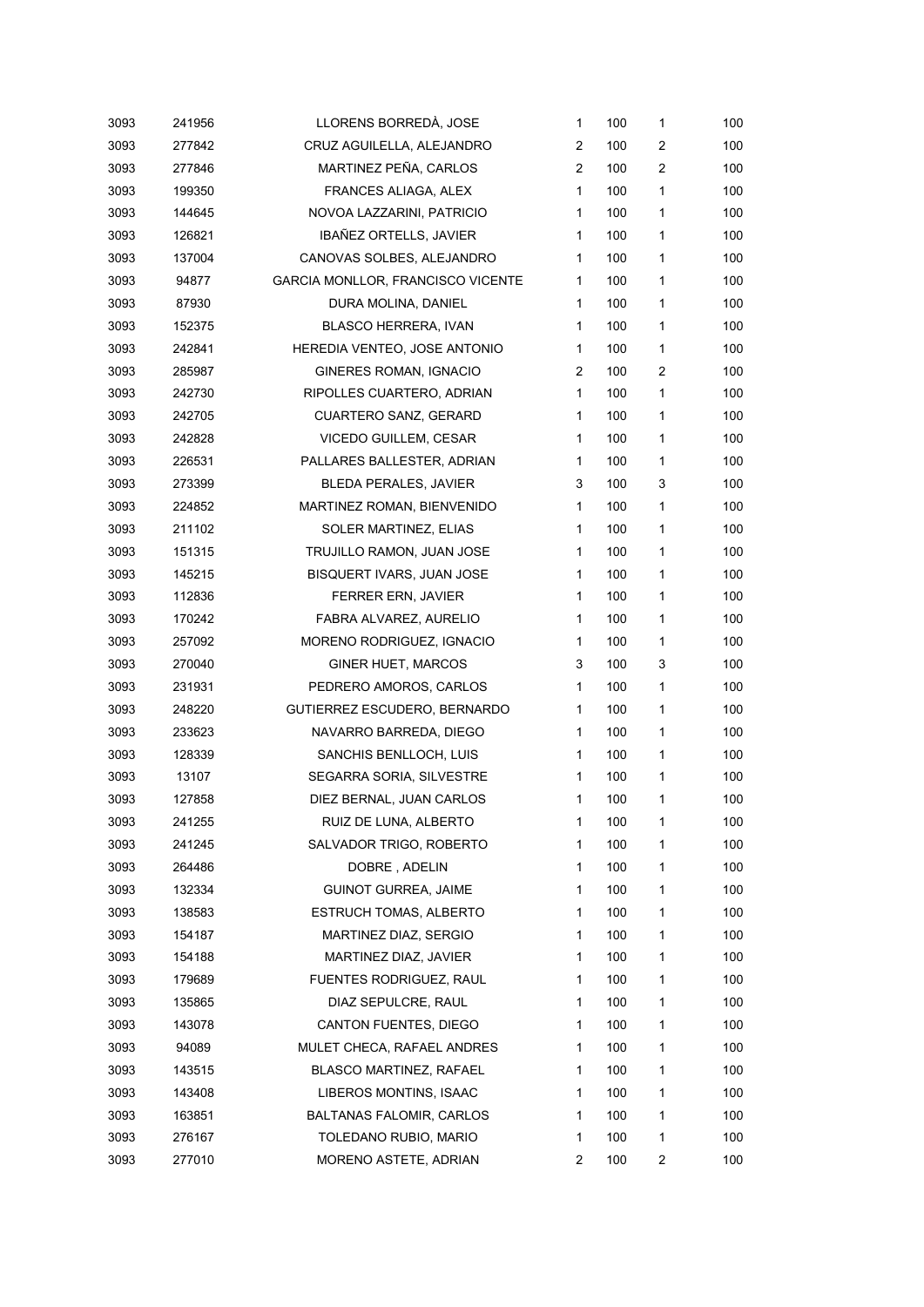| 3093 | 241956 | LLORENS BORREDÀ, JOSE             | $\mathbf{1}$   | 100 | $\mathbf{1}$            | 100 |
|------|--------|-----------------------------------|----------------|-----|-------------------------|-----|
| 3093 | 277842 | CRUZ AGUILELLA, ALEJANDRO         | 2              | 100 | $\overline{\mathbf{c}}$ | 100 |
| 3093 | 277846 | MARTINEZ PEÑA, CARLOS             | $\overline{2}$ | 100 | $\overline{\mathbf{c}}$ | 100 |
| 3093 | 199350 | FRANCES ALIAGA, ALEX              | $\mathbf{1}$   | 100 | 1                       | 100 |
| 3093 | 144645 | NOVOA LAZZARINI, PATRICIO         | 1              | 100 | 1                       | 100 |
| 3093 | 126821 | <b>IBANEZ ORTELLS, JAVIER</b>     | $\mathbf{1}$   | 100 | 1                       | 100 |
| 3093 | 137004 | CANOVAS SOLBES, ALEJANDRO         | $\mathbf{1}$   | 100 | 1                       | 100 |
| 3093 | 94877  | GARCIA MONLLOR, FRANCISCO VICENTE | $\mathbf{1}$   | 100 | 1                       | 100 |
| 3093 | 87930  | DURA MOLINA, DANIEL               | $\mathbf{1}$   | 100 | 1                       | 100 |
| 3093 | 152375 | BLASCO HERRERA, IVAN              | $\mathbf{1}$   | 100 | 1                       | 100 |
| 3093 | 242841 | HEREDIA VENTEO, JOSE ANTONIO      | $\mathbf{1}$   | 100 | $\mathbf{1}$            | 100 |
| 3093 | 285987 | GINERES ROMAN, IGNACIO            | 2              | 100 | $\overline{\mathbf{c}}$ | 100 |
| 3093 | 242730 | RIPOLLES CUARTERO, ADRIAN         | $\mathbf{1}$   | 100 | 1                       | 100 |
| 3093 | 242705 | CUARTERO SANZ, GERARD             | $\mathbf{1}$   | 100 | 1                       | 100 |
| 3093 | 242828 | VICEDO GUILLEM, CESAR             | $\mathbf{1}$   | 100 | 1                       | 100 |
| 3093 | 226531 | PALLARES BALLESTER, ADRIAN        | $\mathbf{1}$   | 100 | $\mathbf{1}$            | 100 |
| 3093 | 273399 | <b>BLEDA PERALES, JAVIER</b>      | 3              | 100 | 3                       | 100 |
| 3093 | 224852 | MARTINEZ ROMAN, BIENVENIDO        | 1              | 100 | 1                       | 100 |
| 3093 | 211102 | SOLER MARTINEZ, ELIAS             | $\mathbf{1}$   | 100 | 1                       | 100 |
| 3093 | 151315 | TRUJILLO RAMON, JUAN JOSE         | $\mathbf{1}$   | 100 | 1                       | 100 |
| 3093 | 145215 | BISQUERT IVARS, JUAN JOSE         | $\mathbf{1}$   | 100 | 1                       | 100 |
| 3093 | 112836 | FERRER ERN, JAVIER                | $\mathbf{1}$   | 100 | 1                       | 100 |
| 3093 | 170242 | FABRA ALVAREZ, AURELIO            | $\mathbf{1}$   | 100 | 1                       | 100 |
| 3093 | 257092 | MORENO RODRIGUEZ, IGNACIO         | $\mathbf{1}$   | 100 | 1                       | 100 |
| 3093 | 270040 | <b>GINER HUET, MARCOS</b>         | 3              | 100 | 3                       | 100 |
| 3093 | 231931 | PEDRERO AMOROS, CARLOS            | $\mathbf{1}$   | 100 | 1                       | 100 |
| 3093 | 248220 | GUTIERREZ ESCUDERO, BERNARDO      | $\mathbf{1}$   | 100 | 1                       | 100 |
| 3093 | 233623 | NAVARRO BARREDA, DIEGO            | $\mathbf{1}$   | 100 | 1                       | 100 |
| 3093 | 128339 | SANCHIS BENLLOCH, LUIS            | $\mathbf{1}$   | 100 | 1                       | 100 |
| 3093 | 13107  | SEGARRA SORIA, SILVESTRE          | 1              | 100 | 1                       | 100 |
| 3093 | 127858 | DIEZ BERNAL, JUAN CARLOS          | 1              | 100 | 1                       | 100 |
| 3093 | 241255 | RUIZ DE LUNA, ALBERTO             | 1              | 100 | 1                       | 100 |
| 3093 | 241245 | SALVADOR TRIGO, ROBERTO           | 1              | 100 | 1                       | 100 |
| 3093 | 264486 | DOBRE, ADELIN                     | 1              | 100 | 1                       | 100 |
| 3093 | 132334 | <b>GUINOT GURREA, JAIME</b>       | 1              | 100 | 1                       | 100 |
| 3093 | 138583 | <b>ESTRUCH TOMAS, ALBERTO</b>     | $\mathbf{1}$   | 100 | 1                       | 100 |
| 3093 | 154187 | MARTINEZ DIAZ, SERGIO             | 1              | 100 | 1                       | 100 |
| 3093 | 154188 | MARTINEZ DIAZ, JAVIER             | 1              | 100 | 1                       | 100 |
| 3093 | 179689 | FUENTES RODRIGUEZ, RAUL           | 1              | 100 | 1                       | 100 |
| 3093 | 135865 | DIAZ SEPULCRE, RAUL               | 1              | 100 | 1                       | 100 |
| 3093 | 143078 | CANTON FUENTES, DIEGO             | 1              | 100 | 1                       | 100 |
| 3093 | 94089  | MULET CHECA, RAFAEL ANDRES        | 1              | 100 | 1                       | 100 |
| 3093 | 143515 | <b>BLASCO MARTINEZ, RAFAEL</b>    | 1              | 100 | 1                       | 100 |
| 3093 | 143408 | LIBEROS MONTINS, ISAAC            | 1              | 100 | 1                       | 100 |
| 3093 | 163851 | <b>BALTANAS FALOMIR, CARLOS</b>   | 1              | 100 | 1                       | 100 |
| 3093 | 276167 | TOLEDANO RUBIO, MARIO             | $\mathbf{1}$   | 100 | 1                       | 100 |
| 3093 | 277010 | MORENO ASTETE, ADRIAN             | 2              | 100 | 2                       | 100 |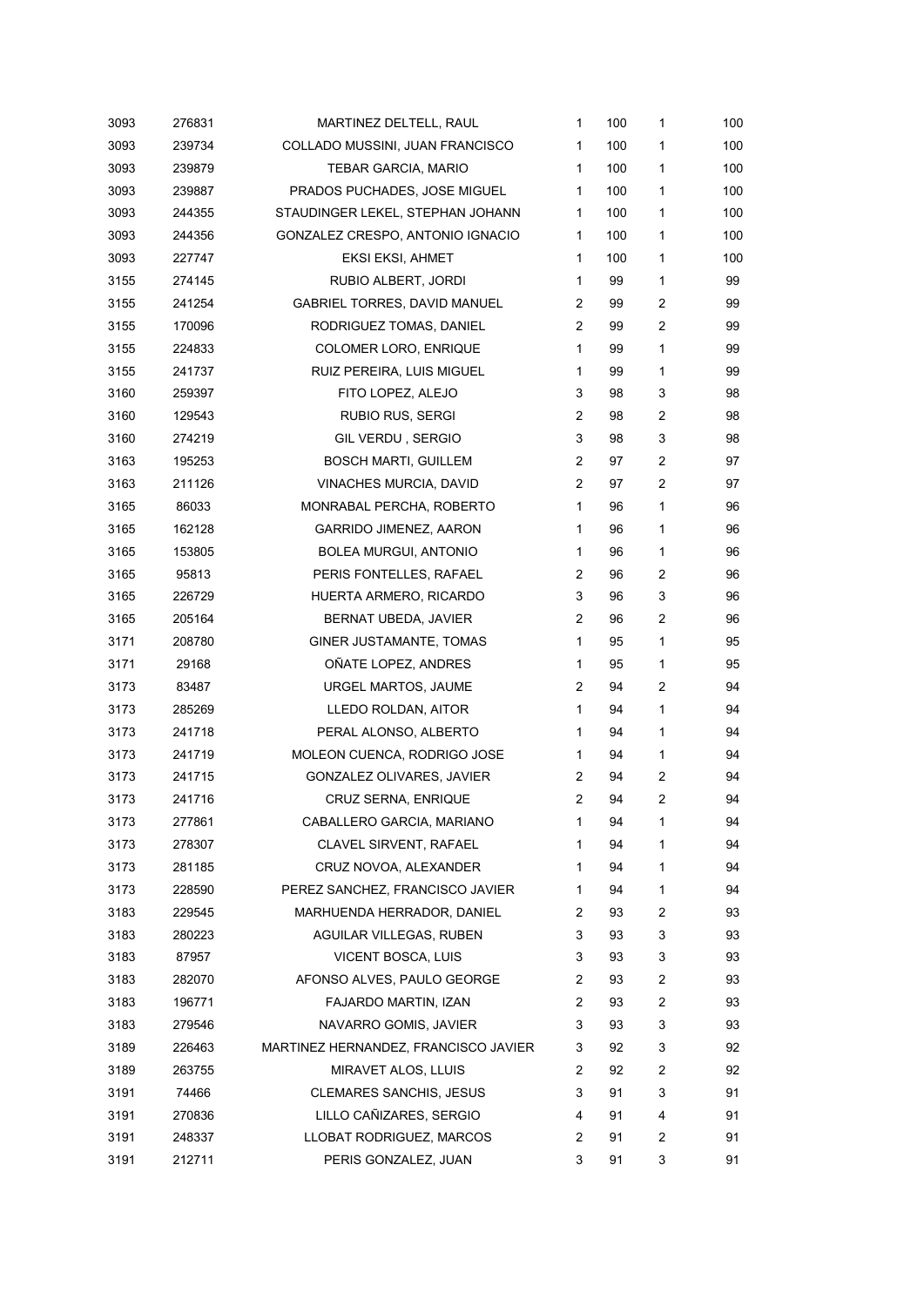| 3093 | 276831 | MARTINEZ DELTELL, RAUL               | 1              | 100 | 1              | 100 |
|------|--------|--------------------------------------|----------------|-----|----------------|-----|
| 3093 | 239734 | COLLADO MUSSINI, JUAN FRANCISCO      | 1              | 100 | 1              | 100 |
| 3093 | 239879 | TEBAR GARCIA, MARIO                  | 1              | 100 | 1              | 100 |
| 3093 | 239887 | PRADOS PUCHADES, JOSE MIGUEL         | 1              | 100 | 1              | 100 |
| 3093 | 244355 | STAUDINGER LEKEL, STEPHAN JOHANN     | 1              | 100 | 1              | 100 |
| 3093 | 244356 | GONZALEZ CRESPO, ANTONIO IGNACIO     | 1              | 100 | 1              | 100 |
| 3093 | 227747 | EKSI EKSI, AHMET                     | 1              | 100 | 1              | 100 |
| 3155 | 274145 | RUBIO ALBERT, JORDI                  | 1              | 99  | 1              | 99  |
| 3155 | 241254 | GABRIEL TORRES, DAVID MANUEL         | 2              | 99  | 2              | 99  |
| 3155 | 170096 | RODRIGUEZ TOMAS, DANIEL              | 2              | 99  | 2              | 99  |
| 3155 | 224833 | COLOMER LORO, ENRIQUE                | 1              | 99  | 1              | 99  |
| 3155 | 241737 | RUIZ PEREIRA, LUIS MIGUEL            | 1              | 99  | 1              | 99  |
| 3160 | 259397 | FITO LOPEZ, ALEJO                    | 3              | 98  | 3              | 98  |
| 3160 | 129543 | RUBIO RUS, SERGI                     | 2              | 98  | 2              | 98  |
| 3160 | 274219 | GIL VERDU, SERGIO                    | 3              | 98  | 3              | 98  |
| 3163 | 195253 | <b>BOSCH MARTI, GUILLEM</b>          | $\overline{2}$ | 97  | $\overline{c}$ | 97  |
| 3163 | 211126 | VINACHES MURCIA, DAVID               | $\overline{2}$ | 97  | 2              | 97  |
| 3165 | 86033  | MONRABAL PERCHA, ROBERTO             | 1              | 96  | 1              | 96  |
| 3165 | 162128 | <b>GARRIDO JIMENEZ, AARON</b>        | 1              | 96  | 1              | 96  |
| 3165 | 153805 | <b>BOLEA MURGUI, ANTONIO</b>         | 1              | 96  | 1              | 96  |
| 3165 | 95813  | PERIS FONTELLES, RAFAEL              | 2              | 96  | $\overline{c}$ | 96  |
| 3165 | 226729 | HUERTA ARMERO, RICARDO               | 3              | 96  | 3              | 96  |
| 3165 | 205164 | BERNAT UBEDA, JAVIER                 | 2              | 96  | 2              | 96  |
| 3171 | 208780 | GINER JUSTAMANTE, TOMAS              | 1              | 95  | 1              | 95  |
| 3171 | 29168  | OÑATE LOPEZ, ANDRES                  | 1              | 95  | 1              | 95  |
| 3173 | 83487  | URGEL MARTOS, JAUME                  | 2              | 94  | $\overline{c}$ | 94  |
| 3173 | 285269 | LLEDO ROLDAN, AITOR                  | 1              | 94  | 1              | 94  |
| 3173 | 241718 | PERAL ALONSO, ALBERTO                | 1              | 94  | 1              | 94  |
| 3173 | 241719 | MOLEON CUENCA, RODRIGO JOSE          | 1              | 94  | 1              | 94  |
| 3173 | 241715 | GONZALEZ OLIVARES, JAVIER            | 2              | 94  | $\overline{2}$ | 94  |
| 3173 | 241716 | CRUZ SERNA, ENRIQUE                  | 2              | 94  | 2              | 94  |
| 3173 | 277861 | CABALLERO GARCIA, MARIANO            | 1              | 94  | 1              | 94  |
| 3173 | 278307 | CLAVEL SIRVENT, RAFAEL               | 1              | 94  | 1              | 94  |
| 3173 | 281185 | CRUZ NOVOA, ALEXANDER                | 1              | 94  | 1              | 94  |
| 3173 | 228590 | PEREZ SANCHEZ, FRANCISCO JAVIER      | 1              | 94  | 1              | 94  |
| 3183 | 229545 | MARHUENDA HERRADOR, DANIEL           | 2              | 93  | 2              | 93  |
| 3183 | 280223 | AGUILAR VILLEGAS, RUBEN              | 3              | 93  | 3              | 93  |
| 3183 | 87957  | VICENT BOSCA, LUIS                   | 3              | 93  | 3              | 93  |
| 3183 | 282070 | AFONSO ALVES, PAULO GEORGE           | 2              | 93  | $\overline{c}$ | 93  |
| 3183 | 196771 | FAJARDO MARTIN, IZAN                 | 2              | 93  | 2              | 93  |
| 3183 | 279546 | NAVARRO GOMIS, JAVIER                | 3              | 93  | 3              | 93  |
| 3189 | 226463 | MARTINEZ HERNANDEZ, FRANCISCO JAVIER | 3              | 92  | 3              | 92  |
| 3189 | 263755 | MIRAVET ALOS, LLUIS                  | 2              | 92  | 2              | 92  |
| 3191 | 74466  | CLEMARES SANCHIS, JESUS              | 3              | 91  | 3              | 91  |
| 3191 | 270836 | LILLO CAÑIZARES, SERGIO              | 4              | 91  | 4              | 91  |
| 3191 | 248337 | LLOBAT RODRIGUEZ, MARCOS             | 2              | 91  | 2              | 91  |
| 3191 | 212711 | PERIS GONZALEZ, JUAN                 | 3              | 91  | 3              | 91  |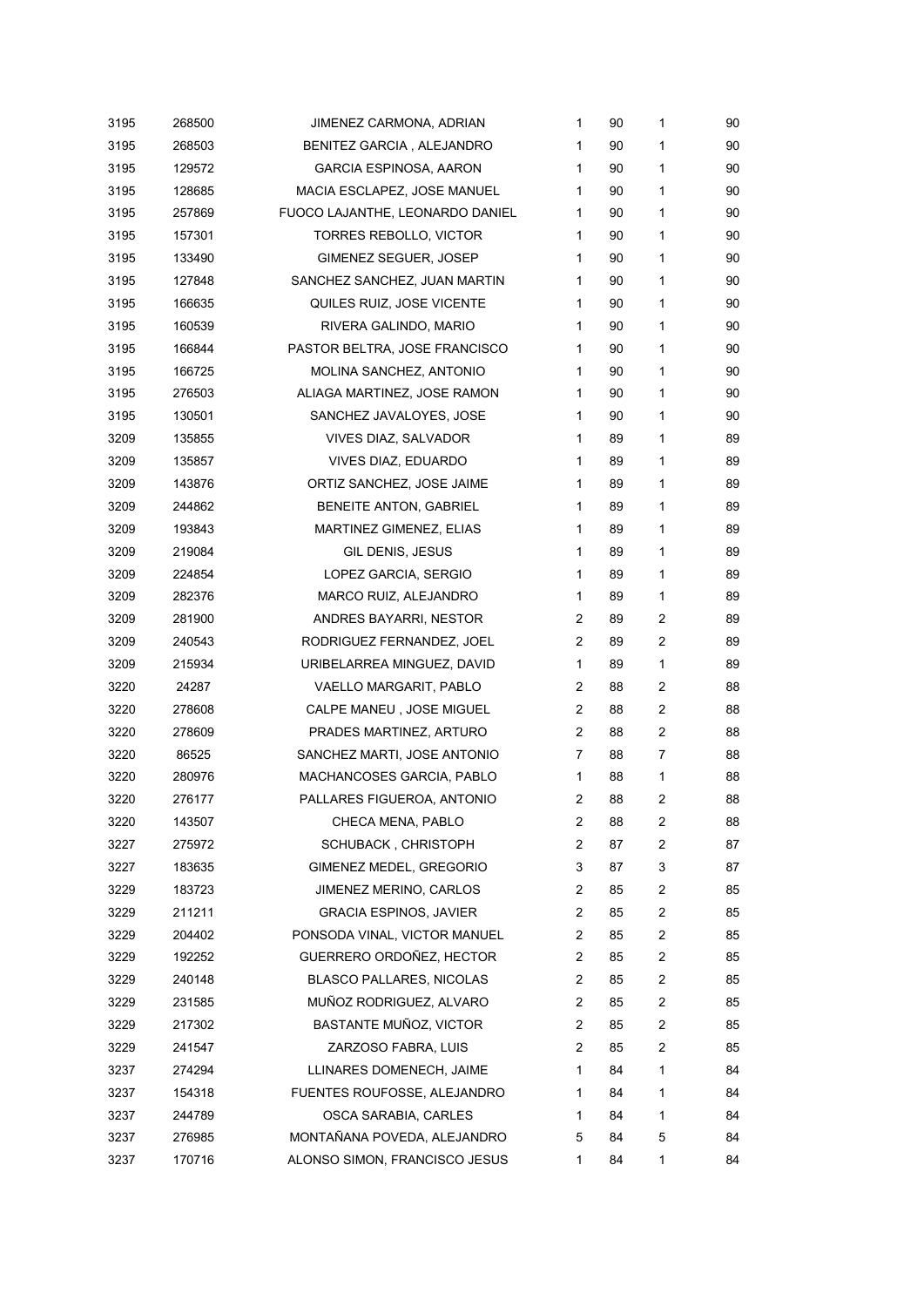| 3195 | 268500 | JIMENEZ CARMONA, ADRIAN         | 1              | 90 | 1              | 90 |
|------|--------|---------------------------------|----------------|----|----------------|----|
| 3195 | 268503 | BENITEZ GARCIA, ALEJANDRO       | 1              | 90 | 1              | 90 |
| 3195 | 129572 | <b>GARCIA ESPINOSA, AARON</b>   | $\mathbf{1}$   | 90 | 1              | 90 |
| 3195 | 128685 | MACIA ESCLAPEZ, JOSE MANUEL     | 1              | 90 | 1              | 90 |
| 3195 | 257869 | FUOCO LAJANTHE, LEONARDO DANIEL | $\mathbf{1}$   | 90 | 1              | 90 |
| 3195 | 157301 | <b>TORRES REBOLLO, VICTOR</b>   | $\mathbf{1}$   | 90 | 1              | 90 |
| 3195 | 133490 | GIMENEZ SEGUER, JOSEP           | 1              | 90 | 1              | 90 |
| 3195 | 127848 | SANCHEZ SANCHEZ, JUAN MARTIN    | $\mathbf{1}$   | 90 | 1              | 90 |
| 3195 | 166635 | QUILES RUIZ, JOSE VICENTE       | 1              | 90 | 1              | 90 |
| 3195 | 160539 | RIVERA GALINDO, MARIO           | $\mathbf{1}$   | 90 | 1              | 90 |
| 3195 | 166844 | PASTOR BELTRA, JOSE FRANCISCO   | 1              | 90 | 1              | 90 |
| 3195 | 166725 | MOLINA SANCHEZ, ANTONIO         | $\mathbf{1}$   | 90 | 1              | 90 |
| 3195 | 276503 | ALIAGA MARTINEZ, JOSE RAMON     | $\mathbf{1}$   | 90 | 1              | 90 |
| 3195 | 130501 | SANCHEZ JAVALOYES, JOSE         | 1              | 90 | 1              | 90 |
| 3209 | 135855 | VIVES DIAZ, SALVADOR            | $\mathbf{1}$   | 89 | 1              | 89 |
| 3209 | 135857 | VIVES DIAZ, EDUARDO             | $\mathbf{1}$   | 89 | 1              | 89 |
| 3209 | 143876 | ORTIZ SANCHEZ, JOSE JAIME       | 1              | 89 | 1              | 89 |
| 3209 | 244862 | BENEITE ANTON, GABRIEL          | $\mathbf{1}$   | 89 | 1              | 89 |
| 3209 | 193843 | MARTINEZ GIMENEZ, ELIAS         | 1              | 89 | 1              | 89 |
| 3209 | 219084 | GIL DENIS, JESUS                | 1              | 89 | 1              | 89 |
| 3209 | 224854 | LOPEZ GARCIA, SERGIO            | $\mathbf{1}$   | 89 | 1              | 89 |
| 3209 | 282376 | MARCO RUIZ, ALEJANDRO           | $\mathbf{1}$   | 89 | 1              | 89 |
| 3209 | 281900 | ANDRES BAYARRI, NESTOR          | 2              | 89 | $\overline{c}$ | 89 |
| 3209 | 240543 | RODRIGUEZ FERNANDEZ, JOEL       | 2              | 89 | $\overline{c}$ | 89 |
| 3209 | 215934 | URIBELARREA MINGUEZ, DAVID      | $\mathbf{1}$   | 89 | 1              | 89 |
| 3220 | 24287  | VAELLO MARGARIT, PABLO          | 2              | 88 | 2              | 88 |
| 3220 | 278608 | CALPE MANEU, JOSE MIGUEL        | 2              | 88 | $\overline{c}$ | 88 |
| 3220 | 278609 | PRADES MARTINEZ, ARTURO         | 2              | 88 | 2              | 88 |
| 3220 | 86525  | SANCHEZ MARTI, JOSE ANTONIO     | $\overline{7}$ | 88 | 7              | 88 |
| 3220 | 280976 | MACHANCOSES GARCIA, PABLO       | $\mathbf{1}$   | 88 | 1              | 88 |
| 3220 | 276177 | PALLARES FIGUEROA, ANTONIO      | 2              | 88 | 2              | 88 |
| 3220 | 143507 | CHECA MENA, PABLO               | $\overline{2}$ | 88 | 2              | 88 |
| 3227 | 275972 | <b>SCHUBACK, CHRISTOPH</b>      | 2              | 87 | 2              | 87 |
| 3227 | 183635 | GIMENEZ MEDEL, GREGORIO         | 3              | 87 | 3              | 87 |
| 3229 | 183723 | JIMENEZ MERINO, CARLOS          | 2              | 85 | 2              | 85 |
| 3229 | 211211 | <b>GRACIA ESPINOS, JAVIER</b>   | 2              | 85 | $\overline{c}$ | 85 |
| 3229 | 204402 | PONSODA VINAL, VICTOR MANUEL    | 2              | 85 | 2              | 85 |
| 3229 | 192252 | GUERRERO ORDOÑEZ, HECTOR        | 2              | 85 | 2              | 85 |
| 3229 | 240148 | <b>BLASCO PALLARES, NICOLAS</b> | 2              | 85 | 2              | 85 |
| 3229 | 231585 | MUÑOZ RODRIGUEZ, ALVARO         | 2              | 85 | 2              | 85 |
| 3229 | 217302 | BASTANTE MUÑOZ, VICTOR          | 2              | 85 | 2              | 85 |
| 3229 | 241547 | ZARZOSO FABRA, LUIS             | $\overline{2}$ | 85 | 2              | 85 |
| 3237 | 274294 | LLINARES DOMENECH, JAIME        | 1              | 84 | 1              | 84 |
| 3237 | 154318 | FUENTES ROUFOSSE, ALEJANDRO     | 1              | 84 | 1              | 84 |
| 3237 | 244789 | OSCA SARABIA, CARLES            | 1              | 84 | 1              | 84 |
| 3237 | 276985 | MONTAÑANA POVEDA, ALEJANDRO     | 5              | 84 | 5              | 84 |
| 3237 | 170716 | ALONSO SIMON, FRANCISCO JESUS   | 1              | 84 | 1              | 84 |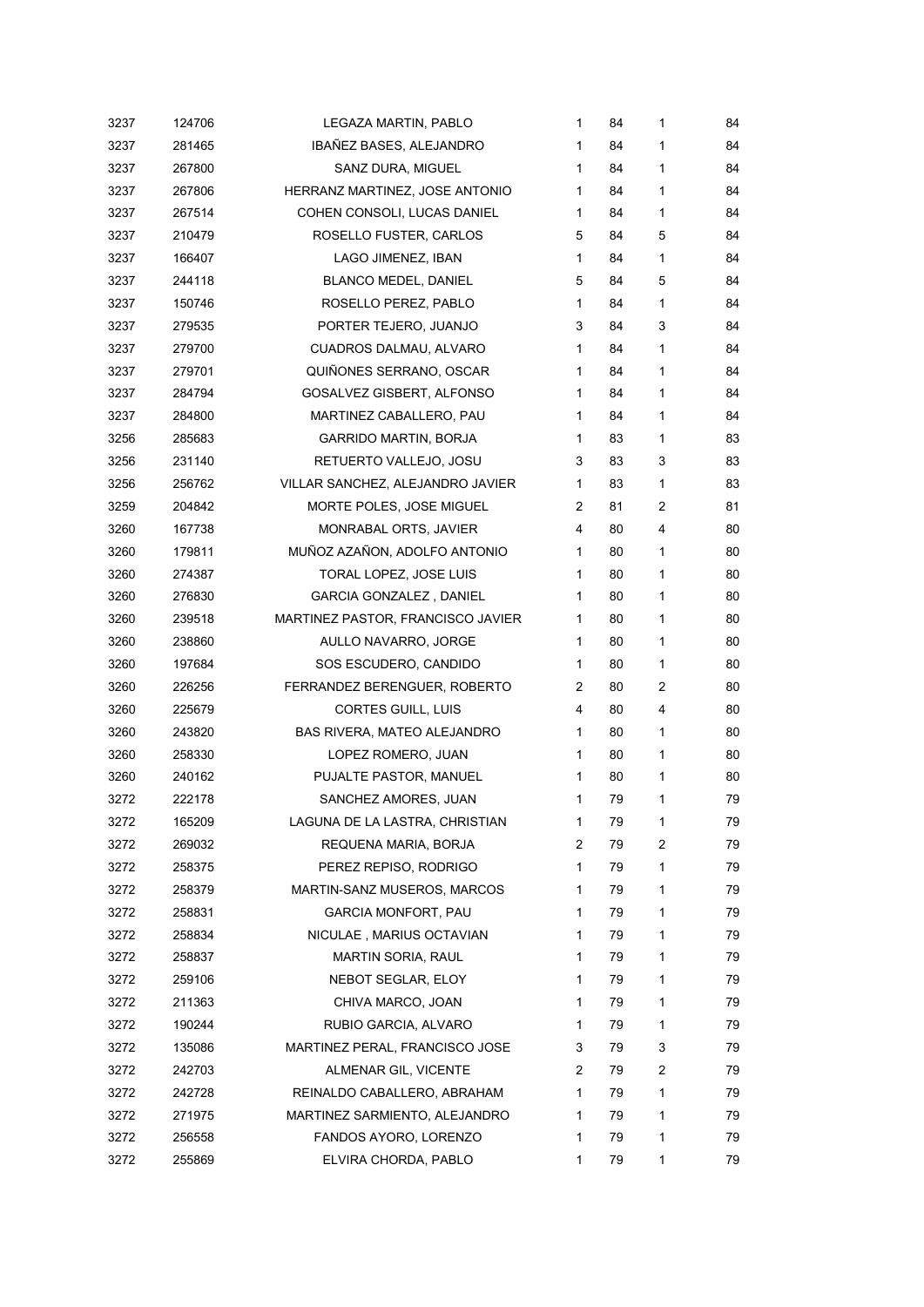| 3237 | 124706 | LEGAZA MARTIN, PABLO              | 1                     | 84 | 1 | 84 |
|------|--------|-----------------------------------|-----------------------|----|---|----|
| 3237 | 281465 | IBAÑEZ BASES, ALEJANDRO           | 1                     | 84 | 1 | 84 |
| 3237 | 267800 | SANZ DURA, MIGUEL                 | 1                     | 84 | 1 | 84 |
| 3237 | 267806 | HERRANZ MARTINEZ, JOSE ANTONIO    | 1                     | 84 | 1 | 84 |
| 3237 | 267514 | COHEN CONSOLI, LUCAS DANIEL       | $\mathbf{1}$          | 84 | 1 | 84 |
| 3237 | 210479 | ROSELLO FUSTER, CARLOS            | 5                     | 84 | 5 | 84 |
| 3237 | 166407 | LAGO JIMENEZ, IBAN                | $\mathbf{1}$          | 84 | 1 | 84 |
| 3237 | 244118 | <b>BLANCO MEDEL, DANIEL</b>       | 5                     | 84 | 5 | 84 |
| 3237 | 150746 | ROSELLO PEREZ, PABLO              | 1                     | 84 | 1 | 84 |
| 3237 | 279535 | PORTER TEJERO, JUANJO             | 3                     | 84 | 3 | 84 |
| 3237 | 279700 | CUADROS DALMAU, ALVARO            | $\mathbf{1}$          | 84 | 1 | 84 |
| 3237 | 279701 | QUIÑONES SERRANO, OSCAR           | 1                     | 84 | 1 | 84 |
| 3237 | 284794 | GOSALVEZ GISBERT, ALFONSO         | 1                     | 84 | 1 | 84 |
| 3237 | 284800 | MARTINEZ CABALLERO, PAU           | 1                     | 84 | 1 | 84 |
| 3256 | 285683 | <b>GARRIDO MARTIN, BORJA</b>      | 1                     | 83 | 1 | 83 |
| 3256 | 231140 | RETUERTO VALLEJO, JOSU            | 3                     | 83 | 3 | 83 |
| 3256 | 256762 | VILLAR SANCHEZ, ALEJANDRO JAVIER  | 1                     | 83 | 1 | 83 |
| 3259 | 204842 | MORTE POLES, JOSE MIGUEL          | $\overline{2}$        | 81 | 2 | 81 |
| 3260 | 167738 | MONRABAL ORTS, JAVIER             | 4                     | 80 | 4 | 80 |
| 3260 | 179811 | MUÑOZ AZAÑON, ADOLFO ANTONIO      | 1                     | 80 | 1 | 80 |
| 3260 | 274387 | TORAL LOPEZ, JOSE LUIS            | 1                     | 80 | 1 | 80 |
| 3260 | 276830 | <b>GARCIA GONZALEZ, DANIEL</b>    | 1                     | 80 | 1 | 80 |
| 3260 | 239518 | MARTINEZ PASTOR, FRANCISCO JAVIER | 1                     | 80 | 1 | 80 |
| 3260 | 238860 | AULLO NAVARRO, JORGE              | 1                     | 80 | 1 | 80 |
| 3260 | 197684 | SOS ESCUDERO, CANDIDO             | 1                     | 80 | 1 | 80 |
| 3260 | 226256 | FERRANDEZ BERENGUER, ROBERTO      | $\mathbf{2}^{\prime}$ | 80 | 2 | 80 |
| 3260 | 225679 | CORTES GUILL, LUIS                | 4                     | 80 | 4 | 80 |
| 3260 | 243820 | BAS RIVERA, MATEO ALEJANDRO       | 1                     | 80 | 1 | 80 |
| 3260 | 258330 | LOPEZ ROMERO, JUAN                | 1                     | 80 | 1 | 80 |
| 3260 | 240162 | PUJALTE PASTOR, MANUEL            | 1                     | 80 | 1 | 80 |
| 3272 | 222178 | SANCHEZ AMORES, JUAN              | 1                     | 79 | 1 | 79 |
| 3272 | 165209 | LAGUNA DE LA LASTRA, CHRISTIAN    | 1                     | 79 | 1 | 79 |
| 3272 | 269032 | REQUENA MARIA, BORJA              | 2                     | 79 | 2 | 79 |
| 3272 | 258375 | PEREZ REPISO, RODRIGO             | 1                     | 79 | 1 | 79 |
| 3272 | 258379 | MARTIN-SANZ MUSEROS, MARCOS       | 1                     | 79 | 1 | 79 |
| 3272 | 258831 | GARCIA MONFORT, PAU               | 1                     | 79 | 1 | 79 |
| 3272 | 258834 | NICULAE, MARIUS OCTAVIAN          | 1.                    | 79 | 1 | 79 |
| 3272 | 258837 | MARTIN SORIA, RAUL                | 1                     | 79 | 1 | 79 |
| 3272 | 259106 | NEBOT SEGLAR, ELOY                | 1                     | 79 | 1 | 79 |
| 3272 | 211363 | CHIVA MARCO, JOAN                 | 1                     | 79 | 1 | 79 |
| 3272 | 190244 | RUBIO GARCIA, ALVARO              | 1                     | 79 | 1 | 79 |
| 3272 | 135086 | MARTINEZ PERAL, FRANCISCO JOSE    | 3                     | 79 | 3 | 79 |
| 3272 | 242703 | ALMENAR GIL, VICENTE              | 2                     | 79 | 2 | 79 |
| 3272 | 242728 | REINALDO CABALLERO, ABRAHAM       | 1                     | 79 | 1 | 79 |
| 3272 | 271975 | MARTINEZ SARMIENTO, ALEJANDRO     | 1                     | 79 | 1 | 79 |
| 3272 | 256558 | FANDOS AYORO, LORENZO             | 1                     | 79 | 1 | 79 |
| 3272 | 255869 | ELVIRA CHORDA, PABLO              | 1                     | 79 | 1 | 79 |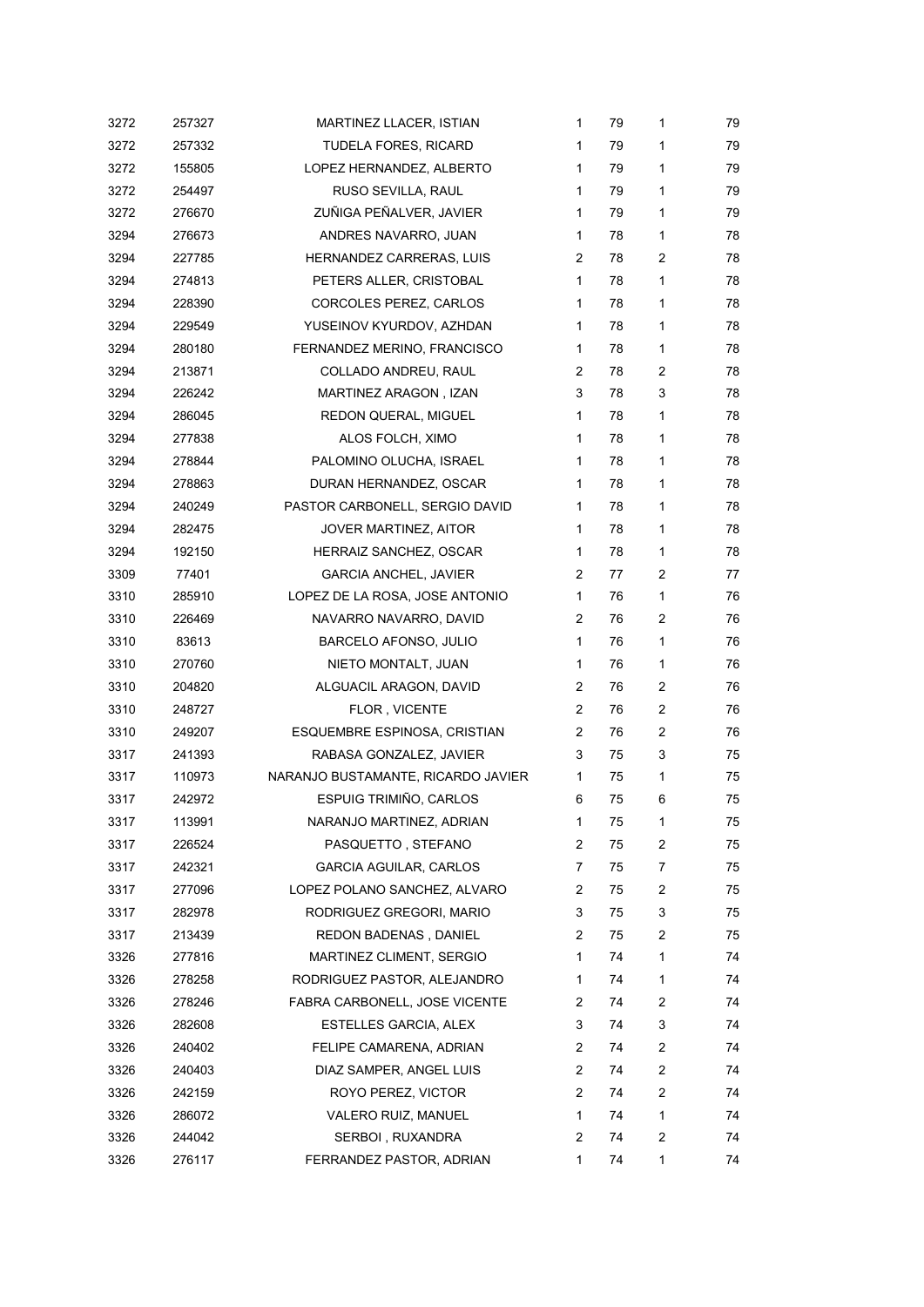| 3272 | 257327 | MARTINEZ LLACER, ISTIAN            | 1                     | 79 | 1              | 79 |
|------|--------|------------------------------------|-----------------------|----|----------------|----|
| 3272 | 257332 | TUDELA FORES, RICARD               | 1                     | 79 | 1              | 79 |
| 3272 | 155805 | LOPEZ HERNANDEZ, ALBERTO           | 1                     | 79 | 1              | 79 |
| 3272 | 254497 | RUSO SEVILLA, RAUL                 | 1                     | 79 | 1              | 79 |
| 3272 | 276670 | ZUÑIGA PEÑALVER, JAVIER            | 1                     | 79 | 1              | 79 |
| 3294 | 276673 | ANDRES NAVARRO, JUAN               | $\mathbf{1}$          | 78 | 1              | 78 |
| 3294 | 227785 | HERNANDEZ CARRERAS, LUIS           | $\mathbf{2}^{\prime}$ | 78 | $\overline{c}$ | 78 |
| 3294 | 274813 | PETERS ALLER, CRISTOBAL            | 1                     | 78 | 1              | 78 |
| 3294 | 228390 | CORCOLES PEREZ, CARLOS             | $\mathbf{1}$          | 78 | 1              | 78 |
| 3294 | 229549 | YUSEINOV KYURDOV, AZHDAN           | 1                     | 78 | 1              | 78 |
| 3294 | 280180 | FERNANDEZ MERINO, FRANCISCO        | 1                     | 78 | 1              | 78 |
| 3294 | 213871 | COLLADO ANDREU, RAUL               | 2                     | 78 | 2              | 78 |
| 3294 | 226242 | MARTINEZ ARAGON, IZAN              | 3                     | 78 | 3              | 78 |
| 3294 | 286045 | REDON QUERAL, MIGUEL               | $\mathbf{1}$          | 78 | 1              | 78 |
| 3294 | 277838 | ALOS FOLCH, XIMO                   | 1                     | 78 | 1              | 78 |
| 3294 | 278844 | PALOMINO OLUCHA, ISRAEL            | 1                     | 78 | 1              | 78 |
| 3294 | 278863 | DURAN HERNANDEZ, OSCAR             | 1                     | 78 | 1              | 78 |
| 3294 | 240249 | PASTOR CARBONELL, SERGIO DAVID     | 1                     | 78 | 1              | 78 |
| 3294 | 282475 | JOVER MARTINEZ, AITOR              | 1                     | 78 | 1              | 78 |
| 3294 | 192150 | HERRAIZ SANCHEZ, OSCAR             | 1                     | 78 | 1              | 78 |
| 3309 | 77401  | <b>GARCIA ANCHEL, JAVIER</b>       | 2                     | 77 | 2              | 77 |
| 3310 | 285910 | LOPEZ DE LA ROSA, JOSE ANTONIO     | 1                     | 76 | 1              | 76 |
| 3310 | 226469 | NAVARRO NAVARRO, DAVID             | 2                     | 76 | $\overline{c}$ | 76 |
| 3310 | 83613  | BARCELO AFONSO, JULIO              | 1                     | 76 | 1              | 76 |
| 3310 | 270760 | NIETO MONTALT, JUAN                | $\mathbf 1$           | 76 | 1              | 76 |
| 3310 | 204820 | ALGUACIL ARAGON, DAVID             | $\overline{2}$        | 76 | $\overline{c}$ | 76 |
| 3310 | 248727 | FLOR, VICENTE                      | $\mathbf{2}^{\prime}$ | 76 | 2              | 76 |
| 3310 | 249207 | ESQUEMBRE ESPINOSA, CRISTIAN       | 2                     | 76 | 2              | 76 |
| 3317 | 241393 | RABASA GONZALEZ, JAVIER            | 3                     | 75 | 3              | 75 |
| 3317 | 110973 | NARANJO BUSTAMANTE, RICARDO JAVIER | 1                     | 75 | 1              | 75 |
| 3317 | 242972 | ESPUIG TRIMIÑO, CARLOS             | 6                     | 75 | 6              | 75 |
| 3317 | 113991 | NARANJO MARTINEZ, ADRIAN           | 1                     | 75 | 1              | 75 |
| 3317 | 226524 | PASQUETTO, STEFANO                 | 2                     | 75 | 2              | 75 |
| 3317 | 242321 | <b>GARCIA AGUILAR, CARLOS</b>      | 7                     | 75 | 7              | 75 |
| 3317 | 277096 | LOPEZ POLANO SANCHEZ, ALVARO       | 2                     | 75 | 2              | 75 |
| 3317 | 282978 | RODRIGUEZ GREGORI, MARIO           | 3                     | 75 | 3              | 75 |
| 3317 | 213439 | REDON BADENAS, DANIEL              | 2                     | 75 | 2              | 75 |
| 3326 | 277816 | MARTINEZ CLIMENT, SERGIO           | 1                     | 74 | 1              | 74 |
| 3326 | 278258 | RODRIGUEZ PASTOR, ALEJANDRO        | 1                     | 74 | 1              | 74 |
| 3326 | 278246 | FABRA CARBONELL, JOSE VICENTE      | 2                     | 74 | 2              | 74 |
| 3326 | 282608 | ESTELLES GARCIA, ALEX              | 3                     | 74 | 3              | 74 |
| 3326 | 240402 | FELIPE CAMARENA, ADRIAN            | 2                     | 74 | 2              | 74 |
| 3326 | 240403 | DIAZ SAMPER, ANGEL LUIS            | $\overline{2}$        | 74 | 2              | 74 |
| 3326 | 242159 | ROYO PEREZ, VICTOR                 | 2                     | 74 | 2              | 74 |
| 3326 | 286072 | VALERO RUIZ, MANUEL                | 1                     | 74 | 1              | 74 |
| 3326 | 244042 | SERBOI, RUXANDRA                   | 2                     | 74 | 2              | 74 |
| 3326 | 276117 | FERRANDEZ PASTOR, ADRIAN           | 1                     | 74 | 1              | 74 |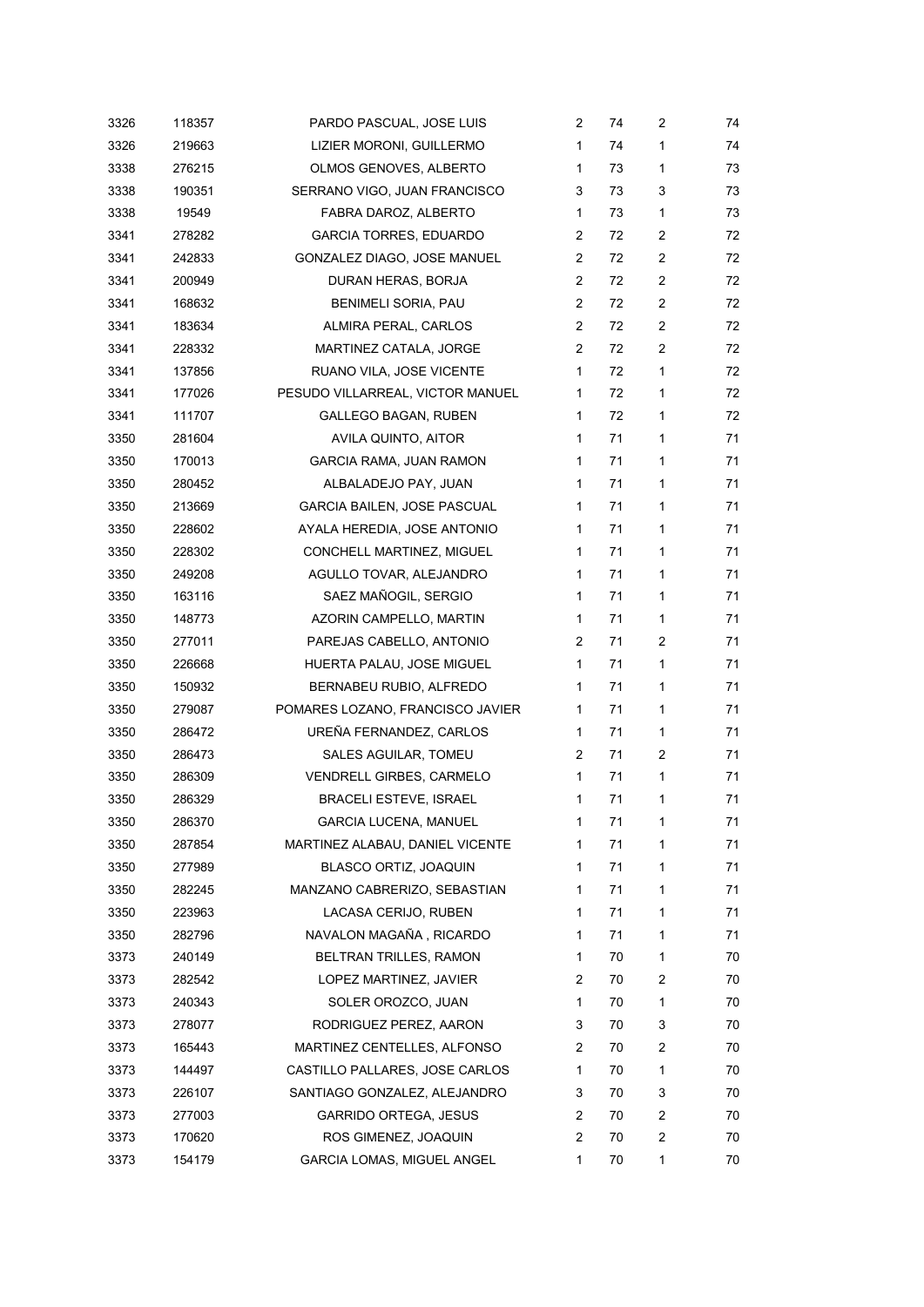| 3326 | 118357 | PARDO PASCUAL, JOSE LUIS           | 2                     | 74 | $\overline{c}$ | 74 |
|------|--------|------------------------------------|-----------------------|----|----------------|----|
| 3326 | 219663 | LIZIER MORONI, GUILLERMO           | 1                     | 74 | 1              | 74 |
| 3338 | 276215 | OLMOS GENOVES, ALBERTO             | 1                     | 73 | 1              | 73 |
| 3338 | 190351 | SERRANO VIGO, JUAN FRANCISCO       | 3                     | 73 | 3              | 73 |
| 3338 | 19549  | FABRA DAROZ, ALBERTO               | 1                     | 73 | 1              | 73 |
| 3341 | 278282 | <b>GARCIA TORRES, EDUARDO</b>      | $\mathbf{2}^{\prime}$ | 72 | $\overline{2}$ | 72 |
| 3341 | 242833 | GONZALEZ DIAGO, JOSE MANUEL        | $\mathbf{2}^{\prime}$ | 72 | $\overline{2}$ | 72 |
| 3341 | 200949 | DURAN HERAS, BORJA                 | $\mathbf{2}^{\prime}$ | 72 | $\overline{2}$ | 72 |
| 3341 | 168632 | BENIMELI SORIA, PAU                | 2                     | 72 | $\overline{c}$ | 72 |
| 3341 | 183634 | ALMIRA PERAL, CARLOS               | 2                     | 72 | $\overline{c}$ | 72 |
| 3341 | 228332 | MARTINEZ CATALA, JORGE             | $\mathbf{2}^{\prime}$ | 72 | $\overline{2}$ | 72 |
| 3341 | 137856 | RUANO VILA, JOSE VICENTE           | $\mathbf{1}$          | 72 | 1              | 72 |
| 3341 | 177026 | PESUDO VILLARREAL, VICTOR MANUEL   | 1                     | 72 | 1              | 72 |
| 3341 | 111707 | <b>GALLEGO BAGAN, RUBEN</b>        | $\mathbf{1}$          | 72 | 1              | 72 |
| 3350 | 281604 | AVILA QUINTO, AITOR                | 1                     | 71 | 1              | 71 |
| 3350 | 170013 | GARCIA RAMA, JUAN RAMON            | 1                     | 71 | 1              | 71 |
| 3350 | 280452 | ALBALADEJO PAY, JUAN               | 1                     | 71 | 1              | 71 |
| 3350 | 213669 | <b>GARCIA BAILEN, JOSE PASCUAL</b> | 1                     | 71 | 1              | 71 |
| 3350 | 228602 | AYALA HEREDIA, JOSE ANTONIO        | $\mathbf{1}$          | 71 | 1              | 71 |
| 3350 | 228302 | CONCHELL MARTINEZ, MIGUEL          | 1                     | 71 | 1              | 71 |
| 3350 | 249208 | AGULLO TOVAR, ALEJANDRO            | 1                     | 71 | 1              | 71 |
| 3350 | 163116 | SAEZ MAÑOGIL, SERGIO               | 1                     | 71 | 1              | 71 |
| 3350 | 148773 | AZORIN CAMPELLO, MARTIN            | $\mathbf{1}$          | 71 | 1              | 71 |
| 3350 | 277011 | PAREJAS CABELLO, ANTONIO           | $\mathbf{2}^{\prime}$ | 71 | $\overline{c}$ | 71 |
| 3350 | 226668 | HUERTA PALAU, JOSE MIGUEL          | $\mathbf{1}$          | 71 | 1              | 71 |
| 3350 | 150932 | BERNABEU RUBIO, ALFREDO            | $\mathbf{1}$          | 71 | 1              | 71 |
| 3350 | 279087 | POMARES LOZANO, FRANCISCO JAVIER   | 1                     | 71 | 1              | 71 |
| 3350 | 286472 | UREÑA FERNANDEZ, CARLOS            | $\mathbf 1$           | 71 | 1              | 71 |
| 3350 | 286473 | SALES AGUILAR, TOMEU               | $\mathbf{2}^{\prime}$ | 71 | 2              | 71 |
| 3350 | 286309 | VENDRELL GIRBES, CARMELO           | $\mathbf{1}$          | 71 | 1              | 71 |
| 3350 | 286329 | <b>BRACELI ESTEVE, ISRAEL</b>      | 1                     | 71 | 1              | 71 |
| 3350 | 286370 | GARCIA LUCENA, MANUEL              | 1                     | 71 | 1              | 71 |
| 3350 | 287854 | MARTINEZ ALABAU, DANIEL VICENTE    | 1                     | 71 | 1              | 71 |
| 3350 | 277989 | BLASCO ORTIZ, JOAQUIN              | 1                     | 71 | 1              | 71 |
| 3350 | 282245 | MANZANO CABRERIZO, SEBASTIAN       | 1                     | 71 | 1              | 71 |
| 3350 | 223963 | LACASA CERIJO, RUBEN               | 1                     | 71 | 1              | 71 |
| 3350 | 282796 | NAVALON MAGAÑA, RICARDO            | 1                     | 71 | 1              | 71 |
| 3373 | 240149 | BELTRAN TRILLES, RAMON             | 1                     | 70 | 1              | 70 |
| 3373 | 282542 | LOPEZ MARTINEZ, JAVIER             | 2                     | 70 | $\overline{c}$ | 70 |
| 3373 | 240343 | SOLER OROZCO, JUAN                 | 1                     | 70 | 1              | 70 |
| 3373 | 278077 | RODRIGUEZ PEREZ, AARON             | 3                     | 70 | 3              | 70 |
| 3373 | 165443 | MARTINEZ CENTELLES, ALFONSO        | 2                     | 70 | 2              | 70 |
| 3373 | 144497 | CASTILLO PALLARES, JOSE CARLOS     | 1                     | 70 | 1              | 70 |
| 3373 | 226107 | SANTIAGO GONZALEZ, ALEJANDRO       | 3                     | 70 | 3              | 70 |
| 3373 | 277003 | <b>GARRIDO ORTEGA, JESUS</b>       | 2                     | 70 | 2              | 70 |
| 3373 | 170620 | ROS GIMENEZ, JOAQUIN               | 2                     | 70 | 2              | 70 |
| 3373 | 154179 | GARCIA LOMAS, MIGUEL ANGEL         | 1                     | 70 | 1              | 70 |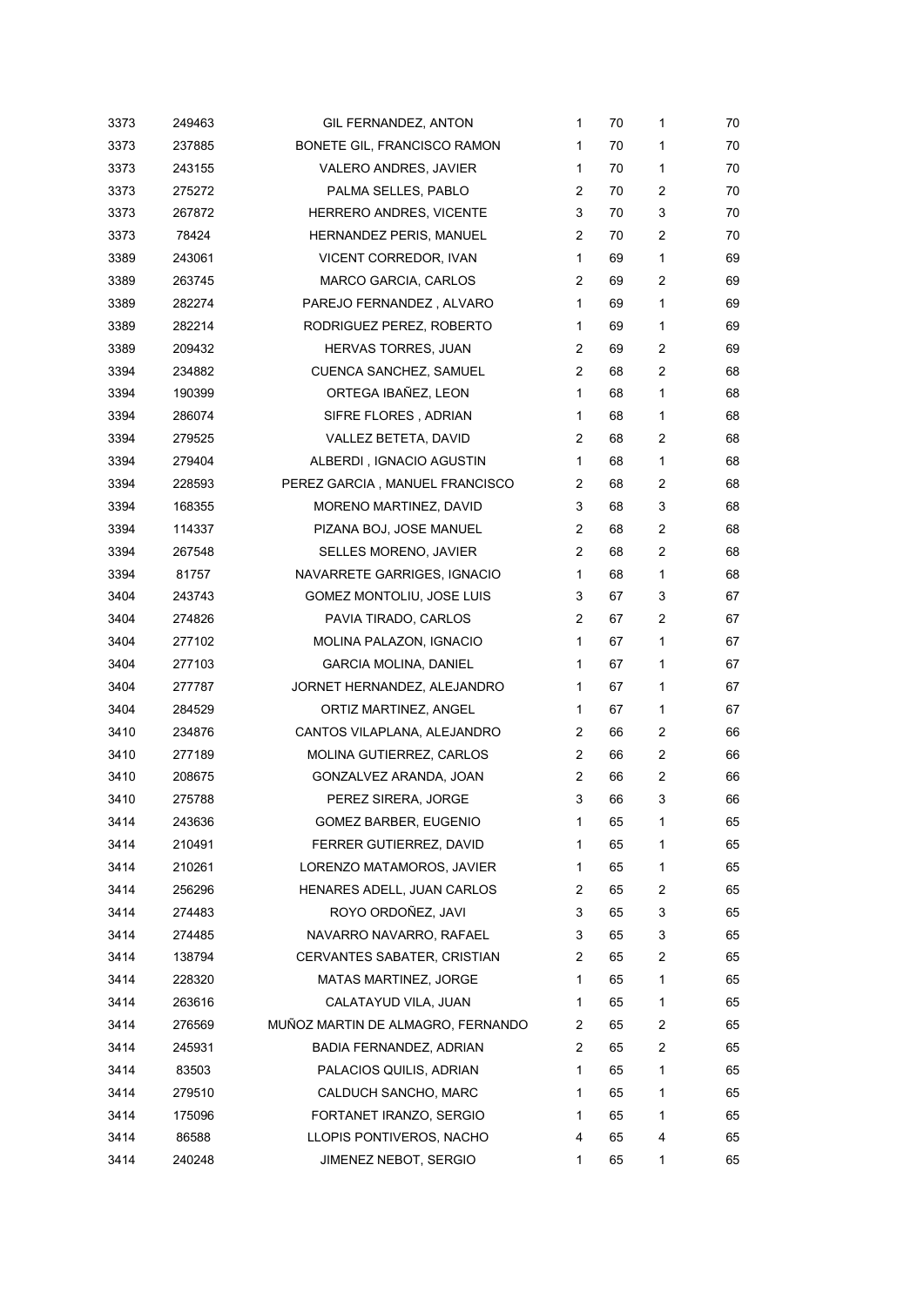| 3373 | 249463 | GIL FERNANDEZ, ANTON              | 1              | 70 | 1              | 70 |
|------|--------|-----------------------------------|----------------|----|----------------|----|
| 3373 | 237885 | BONETE GIL, FRANCISCO RAMON       | 1              | 70 | 1              | 70 |
| 3373 | 243155 | <b>VALERO ANDRES, JAVIER</b>      | 1              | 70 | 1              | 70 |
| 3373 | 275272 | PALMA SELLES, PABLO               | 2              | 70 | 2              | 70 |
| 3373 | 267872 | HERRERO ANDRES, VICENTE           | 3              | 70 | 3              | 70 |
| 3373 | 78424  | HERNANDEZ PERIS, MANUEL           | 2              | 70 | 2              | 70 |
| 3389 | 243061 | VICENT CORREDOR, IVAN             | $\mathbf{1}$   | 69 | 1              | 69 |
| 3389 | 263745 | MARCO GARCIA, CARLOS              | 2              | 69 | 2              | 69 |
| 3389 | 282274 | PAREJO FERNANDEZ, ALVARO          | 1              | 69 | 1              | 69 |
| 3389 | 282214 | RODRIGUEZ PEREZ, ROBERTO          | $\mathbf{1}$   | 69 | 1              | 69 |
| 3389 | 209432 | HERVAS TORRES, JUAN               | 2              | 69 | 2              | 69 |
| 3394 | 234882 | CUENCA SANCHEZ, SAMUEL            | 2              | 68 | 2              | 68 |
| 3394 | 190399 | ORTEGA IBAÑEZ, LEON               | $\mathbf{1}$   | 68 | 1              | 68 |
| 3394 | 286074 | SIFRE FLORES, ADRIAN              | 1              | 68 | 1              | 68 |
| 3394 | 279525 | VALLEZ BETETA, DAVID              | 2              | 68 | 2              | 68 |
| 3394 | 279404 | ALBERDI, IGNACIO AGUSTIN          | $\mathbf{1}$   | 68 | 1              | 68 |
| 3394 | 228593 | PEREZ GARCIA, MANUEL FRANCISCO    | $\overline{2}$ | 68 | 2              | 68 |
| 3394 | 168355 | MORENO MARTINEZ, DAVID            | 3              | 68 | 3              | 68 |
| 3394 | 114337 | PIZANA BOJ, JOSE MANUEL           | 2              | 68 | $\overline{c}$ | 68 |
| 3394 | 267548 | SELLES MORENO, JAVIER             | $\overline{2}$ | 68 | 2              | 68 |
| 3394 | 81757  | NAVARRETE GARRIGES, IGNACIO       | $\mathbf{1}$   | 68 | 1              | 68 |
| 3404 | 243743 | GOMEZ MONTOLIU, JOSE LUIS         | 3              | 67 | 3              | 67 |
| 3404 | 274826 | PAVIA TIRADO, CARLOS              | 2              | 67 | 2              | 67 |
| 3404 | 277102 | MOLINA PALAZON, IGNACIO           | $\mathbf{1}$   | 67 | 1              | 67 |
| 3404 | 277103 | <b>GARCIA MOLINA, DANIEL</b>      | 1              | 67 | 1              | 67 |
| 3404 | 277787 | JORNET HERNANDEZ, ALEJANDRO       | $\mathbf{1}$   | 67 | 1              | 67 |
| 3404 | 284529 | ORTIZ MARTINEZ, ANGEL             | $\mathbf{1}$   | 67 | 1              | 67 |
| 3410 | 234876 | CANTOS VILAPLANA, ALEJANDRO       | 2              | 66 | 2              | 66 |
| 3410 | 277189 | MOLINA GUTIERREZ, CARLOS          | 2              | 66 | $\overline{2}$ | 66 |
| 3410 | 208675 | GONZALVEZ ARANDA, JOAN            | 2              | 66 | 2              | 66 |
| 3410 | 275788 | PEREZ SIRERA, JORGE               | 3              | 66 | 3              | 66 |
| 3414 | 243636 | GOMEZ BARBER, EUGENIO             | 1              | 65 | 1              | 65 |
| 3414 | 210491 | FERRER GUTIERREZ, DAVID           | 1              | 65 | 1              | 65 |
| 3414 | 210261 | LORENZO MATAMOROS, JAVIER         | 1              | 65 | 1              | 65 |
| 3414 | 256296 | HENARES ADELL, JUAN CARLOS        | 2              | 65 | 2              | 65 |
| 3414 | 274483 | ROYO ORDOÑEZ, JAVI                | 3              | 65 | 3              | 65 |
| 3414 | 274485 | NAVARRO NAVARRO, RAFAEL           | 3              | 65 | 3              | 65 |
| 3414 | 138794 | CERVANTES SABATER, CRISTIAN       | 2              | 65 | 2              | 65 |
| 3414 | 228320 | MATAS MARTINEZ, JORGE             | 1              | 65 | 1              | 65 |
| 3414 | 263616 | CALATAYUD VILA, JUAN              | 1              | 65 | 1              | 65 |
| 3414 | 276569 | MUÑOZ MARTIN DE ALMAGRO, FERNANDO | 2              | 65 | 2              | 65 |
| 3414 | 245931 | BADIA FERNANDEZ, ADRIAN           | 2              | 65 | 2              | 65 |
| 3414 | 83503  | PALACIOS QUILIS, ADRIAN           | $\mathbf{1}$   | 65 | 1              | 65 |
| 3414 | 279510 | CALDUCH SANCHO, MARC              | 1              | 65 | 1              | 65 |
| 3414 | 175096 | FORTANET IRANZO, SERGIO           | 1              | 65 | 1              | 65 |
| 3414 | 86588  | LLOPIS PONTIVEROS, NACHO          | 4              | 65 | 4              | 65 |
| 3414 | 240248 | JIMENEZ NEBOT, SERGIO             | 1              | 65 | 1              | 65 |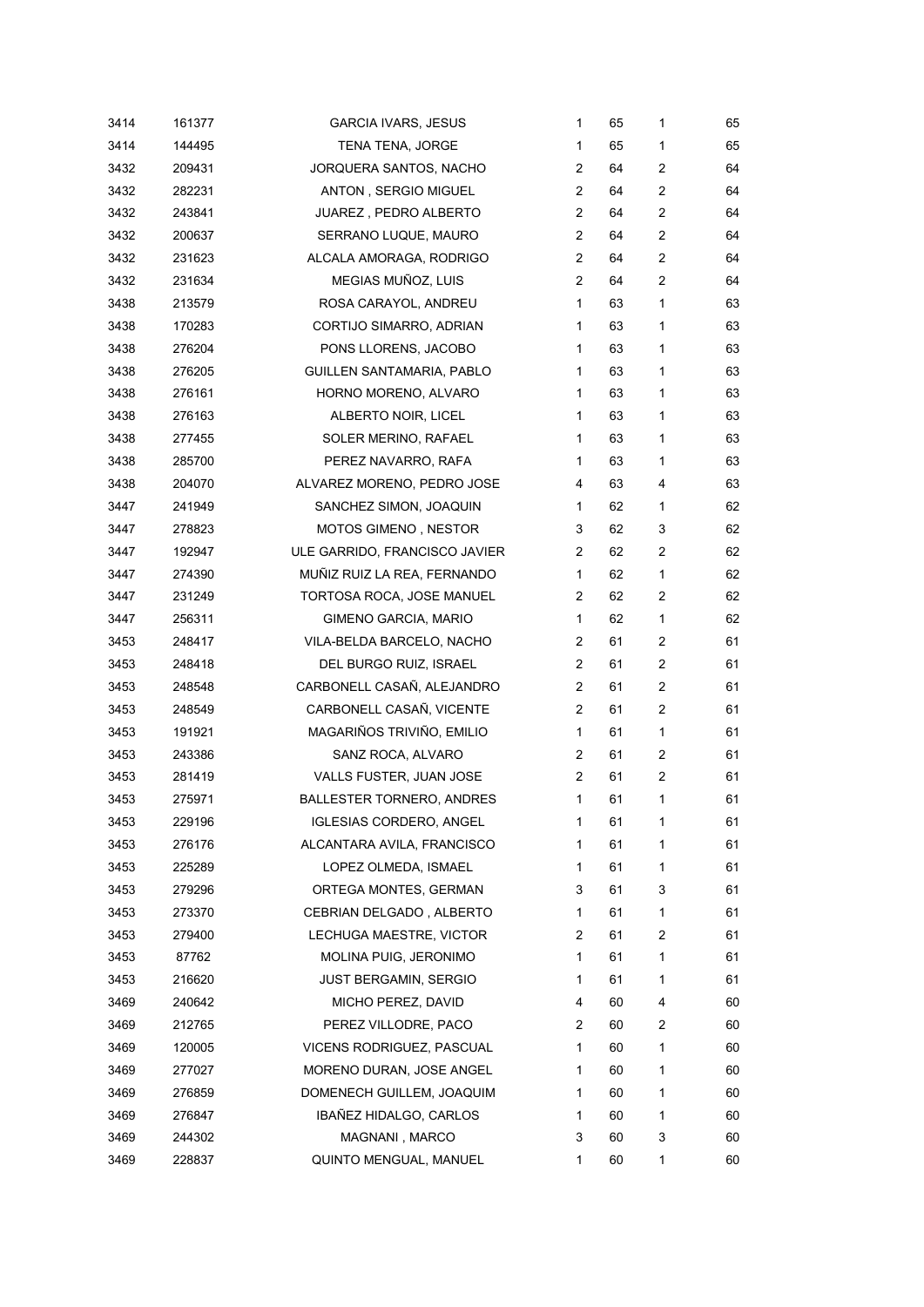| 3414 | 161377 | <b>GARCIA IVARS, JESUS</b>       | 1              | 65 | 1              | 65 |
|------|--------|----------------------------------|----------------|----|----------------|----|
| 3414 | 144495 | TENA TENA, JORGE                 | 1              | 65 | 1              | 65 |
| 3432 | 209431 | JORQUERA SANTOS, NACHO           | 2              | 64 | 2              | 64 |
| 3432 | 282231 | ANTON, SERGIO MIGUEL             | 2              | 64 | 2              | 64 |
| 3432 | 243841 | JUAREZ, PEDRO ALBERTO            | 2              | 64 | 2              | 64 |
| 3432 | 200637 | SERRANO LUQUE, MAURO             | 2              | 64 | 2              | 64 |
| 3432 | 231623 | ALCALA AMORAGA, RODRIGO          | 2              | 64 | $\overline{c}$ | 64 |
| 3432 | 231634 | MEGIAS MUÑOZ, LUIS               | $\overline{2}$ | 64 | 2              | 64 |
| 3438 | 213579 | ROSA CARAYOL, ANDREU             | 1              | 63 | 1              | 63 |
| 3438 | 170283 | CORTIJO SIMARRO, ADRIAN          | 1              | 63 | $\mathbf{1}$   | 63 |
| 3438 | 276204 | PONS LLORENS, JACOBO             | 1              | 63 | 1              | 63 |
| 3438 | 276205 | GUILLEN SANTAMARIA, PABLO        | 1              | 63 | 1              | 63 |
| 3438 | 276161 | HORNO MORENO, ALVARO             | 1              | 63 | 1              | 63 |
| 3438 | 276163 | ALBERTO NOIR, LICEL              | 1              | 63 | 1              | 63 |
| 3438 | 277455 | SOLER MERINO, RAFAEL             | 1              | 63 | $\mathbf{1}$   | 63 |
| 3438 | 285700 | PEREZ NAVARRO, RAFA              | 1              | 63 | 1              | 63 |
| 3438 | 204070 | ALVAREZ MORENO, PEDRO JOSE       | 4              | 63 | 4              | 63 |
| 3447 | 241949 | SANCHEZ SIMON, JOAQUIN           | 1              | 62 | $\mathbf{1}$   | 62 |
| 3447 | 278823 | MOTOS GIMENO, NESTOR             | 3              | 62 | 3              | 62 |
| 3447 | 192947 | ULE GARRIDO, FRANCISCO JAVIER    | 2              | 62 | 2              | 62 |
| 3447 | 274390 | MUÑIZ RUIZ LA REA, FERNANDO      | 1              | 62 | 1              | 62 |
| 3447 | 231249 | TORTOSA ROCA, JOSE MANUEL        | 2              | 62 | 2              | 62 |
| 3447 | 256311 | GIMENO GARCIA, MARIO             | 1              | 62 | $\mathbf{1}$   | 62 |
| 3453 | 248417 | VILA-BELDA BARCELO, NACHO        | 2              | 61 | 2              | 61 |
| 3453 | 248418 | DEL BURGO RUIZ, ISRAEL           | 2              | 61 | 2              | 61 |
| 3453 | 248548 | CARBONELL CASAÑ, ALEJANDRO       | 2              | 61 | $\overline{c}$ | 61 |
| 3453 | 248549 | CARBONELL CASAÑ, VICENTE         | $\overline{2}$ | 61 | 2              | 61 |
| 3453 | 191921 | MAGARIÑOS TRIVIÑO, EMILIO        | 1              | 61 | $\mathbf{1}$   | 61 |
| 3453 | 243386 | SANZ ROCA, ALVARO                | 2              | 61 | 2              | 61 |
| 3453 | 281419 | VALLS FUSTER, JUAN JOSE          | 2              | 61 | 2              | 61 |
| 3453 | 275971 | <b>BALLESTER TORNERO, ANDRES</b> | 1              | 61 | 1              | 61 |
| 3453 | 229196 | <b>IGLESIAS CORDERO, ANGEL</b>   | 1              | 61 | 1              | 61 |
| 3453 | 276176 | ALCANTARA AVILA, FRANCISCO       | 1              | 61 | 1              | 61 |
| 3453 | 225289 | LOPEZ OLMEDA, ISMAEL             | 1              | 61 | 1              | 61 |
| 3453 | 279296 | ORTEGA MONTES, GERMAN            | 3              | 61 | 3              | 61 |
| 3453 | 273370 | CEBRIAN DELGADO, ALBERTO         | 1              | 61 | 1              | 61 |
| 3453 | 279400 | LECHUGA MAESTRE, VICTOR          | 2              | 61 | 2              | 61 |
| 3453 | 87762  | MOLINA PUIG, JERONIMO            | 1              | 61 | 1              | 61 |
| 3453 | 216620 | <b>JUST BERGAMIN, SERGIO</b>     | 1              | 61 | 1              | 61 |
| 3469 | 240642 | MICHO PEREZ, DAVID               | 4              | 60 | 4              | 60 |
| 3469 | 212765 | PEREZ VILLODRE, PACO             | 2              | 60 | 2              | 60 |
| 3469 | 120005 | VICENS RODRIGUEZ, PASCUAL        | 1              | 60 | 1              | 60 |
| 3469 | 277027 | MORENO DURAN, JOSE ANGEL         | 1              | 60 | 1              | 60 |
| 3469 | 276859 | DOMENECH GUILLEM, JOAQUIM        | 1              | 60 | 1              | 60 |
| 3469 | 276847 | IBAÑEZ HIDALGO, CARLOS           | 1              | 60 | 1              | 60 |
| 3469 | 244302 | MAGNANI, MARCO                   | 3              | 60 | 3              | 60 |
| 3469 | 228837 | QUINTO MENGUAL, MANUEL           | 1              | 60 | 1              | 60 |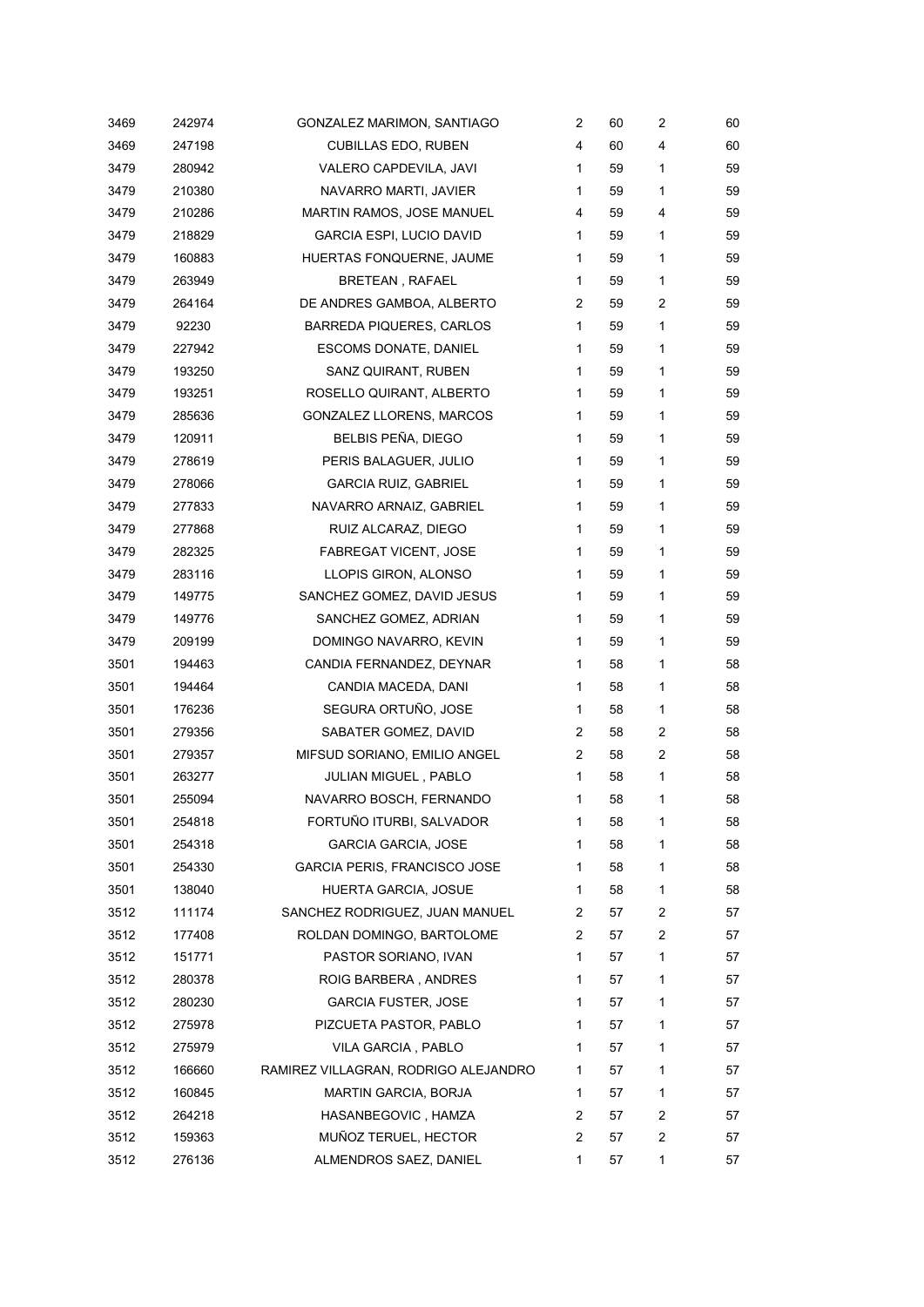| 3469 | 242974 | GONZALEZ MARIMON, SANTIAGO           | 2            | 60 | 2 | 60 |
|------|--------|--------------------------------------|--------------|----|---|----|
| 3469 | 247198 | <b>CUBILLAS EDO, RUBEN</b>           | 4            | 60 | 4 | 60 |
| 3479 | 280942 | VALERO CAPDEVILA, JAVI               | $\mathbf{1}$ | 59 | 1 | 59 |
| 3479 | 210380 | NAVARRO MARTI, JAVIER                | 1            | 59 | 1 | 59 |
| 3479 | 210286 | MARTIN RAMOS, JOSE MANUEL            | 4            | 59 | 4 | 59 |
| 3479 | 218829 | <b>GARCIA ESPI, LUCIO DAVID</b>      | $\mathbf{1}$ | 59 | 1 | 59 |
| 3479 | 160883 | HUERTAS FONQUERNE, JAUME             | 1            | 59 | 1 | 59 |
| 3479 | 263949 | BRETEAN, RAFAEL                      | $\mathbf{1}$ | 59 | 1 | 59 |
| 3479 | 264164 | DE ANDRES GAMBOA, ALBERTO            | 2            | 59 | 2 | 59 |
| 3479 | 92230  | <b>BARREDA PIQUERES, CARLOS</b>      | $\mathbf{1}$ | 59 | 1 | 59 |
| 3479 | 227942 | <b>ESCOMS DONATE, DANIEL</b>         | 1            | 59 | 1 | 59 |
| 3479 | 193250 | SANZ QUIRANT, RUBEN                  | $\mathbf{1}$ | 59 | 1 | 59 |
| 3479 | 193251 | ROSELLO QUIRANT, ALBERTO             | $\mathbf{1}$ | 59 | 1 | 59 |
| 3479 | 285636 | GONZALEZ LLORENS, MARCOS             | $\mathbf{1}$ | 59 | 1 | 59 |
| 3479 | 120911 | BELBIS PEÑA, DIEGO                   | $\mathbf{1}$ | 59 | 1 | 59 |
| 3479 | 278619 | PERIS BALAGUER, JULIO                | 1            | 59 | 1 | 59 |
| 3479 | 278066 | <b>GARCIA RUIZ, GABRIEL</b>          | 1            | 59 | 1 | 59 |
| 3479 | 277833 | NAVARRO ARNAIZ, GABRIEL              | $\mathbf{1}$ | 59 | 1 | 59 |
| 3479 | 277868 | RUIZ ALCARAZ, DIEGO                  | 1            | 59 | 1 | 59 |
| 3479 | 282325 | <b>FABREGAT VICENT, JOSE</b>         | $\mathbf{1}$ | 59 | 1 | 59 |
| 3479 | 283116 | LLOPIS GIRON, ALONSO                 | 1            | 59 | 1 | 59 |
| 3479 | 149775 | SANCHEZ GOMEZ, DAVID JESUS           | $\mathbf{1}$ | 59 | 1 | 59 |
| 3479 | 149776 | SANCHEZ GOMEZ, ADRIAN                | 1            | 59 | 1 | 59 |
| 3479 | 209199 | DOMINGO NAVARRO, KEVIN               | 1            | 59 | 1 | 59 |
| 3501 | 194463 | CANDIA FERNANDEZ, DEYNAR             | $\mathbf{1}$ | 58 | 1 | 58 |
| 3501 | 194464 | CANDIA MACEDA, DANI                  | 1            | 58 | 1 | 58 |
| 3501 | 176236 | SEGURA ORTUÑO, JOSE                  | $\mathbf{1}$ | 58 | 1 | 58 |
| 3501 | 279356 | SABATER GOMEZ, DAVID                 | 2            | 58 | 2 | 58 |
| 3501 | 279357 | MIFSUD SORIANO, EMILIO ANGEL         | 2            | 58 | 2 | 58 |
| 3501 | 263277 | JULIAN MIGUEL, PABLO                 | 1            | 58 | 1 | 58 |
| 3501 | 255094 | NAVARRO BOSCH, FERNANDO              | 1            | 58 | 1 | 58 |
| 3501 | 254818 | FORTUÑO ITURBI, SALVADOR             | 1            | 58 | 1 | 58 |
| 3501 | 254318 | <b>GARCIA GARCIA, JOSE</b>           | 1            | 58 | 1 | 58 |
| 3501 | 254330 | <b>GARCIA PERIS, FRANCISCO JOSE</b>  | 1            | 58 | 1 | 58 |
| 3501 | 138040 | HUERTA GARCIA, JOSUE                 | 1            | 58 | 1 | 58 |
| 3512 | 111174 | SANCHEZ RODRIGUEZ, JUAN MANUEL       | 2            | 57 | 2 | 57 |
| 3512 | 177408 | ROLDAN DOMINGO, BARTOLOME            | 2            | 57 | 2 | 57 |
| 3512 | 151771 | PASTOR SORIANO, IVAN                 | 1            | 57 | 1 | 57 |
| 3512 | 280378 | ROIG BARBERA, ANDRES                 | 1            | 57 | 1 | 57 |
| 3512 | 280230 | <b>GARCIA FUSTER, JOSE</b>           | 1            | 57 | 1 | 57 |
| 3512 | 275978 | PIZCUETA PASTOR, PABLO               | 1            | 57 | 1 | 57 |
| 3512 | 275979 | VILA GARCIA, PABLO                   | 1            | 57 | 1 | 57 |
| 3512 | 166660 | RAMIREZ VILLAGRAN, RODRIGO ALEJANDRO | 1.           | 57 | 1 | 57 |
| 3512 | 160845 | <b>MARTIN GARCIA, BORJA</b>          | 1            | 57 | 1 | 57 |
| 3512 | 264218 | HASANBEGOVIC, HAMZA                  | 2            | 57 | 2 | 57 |
| 3512 | 159363 | MUÑOZ TERUEL, HECTOR                 | 2            | 57 | 2 | 57 |
| 3512 | 276136 | ALMENDROS SAEZ, DANIEL               | 1            | 57 | 1 | 57 |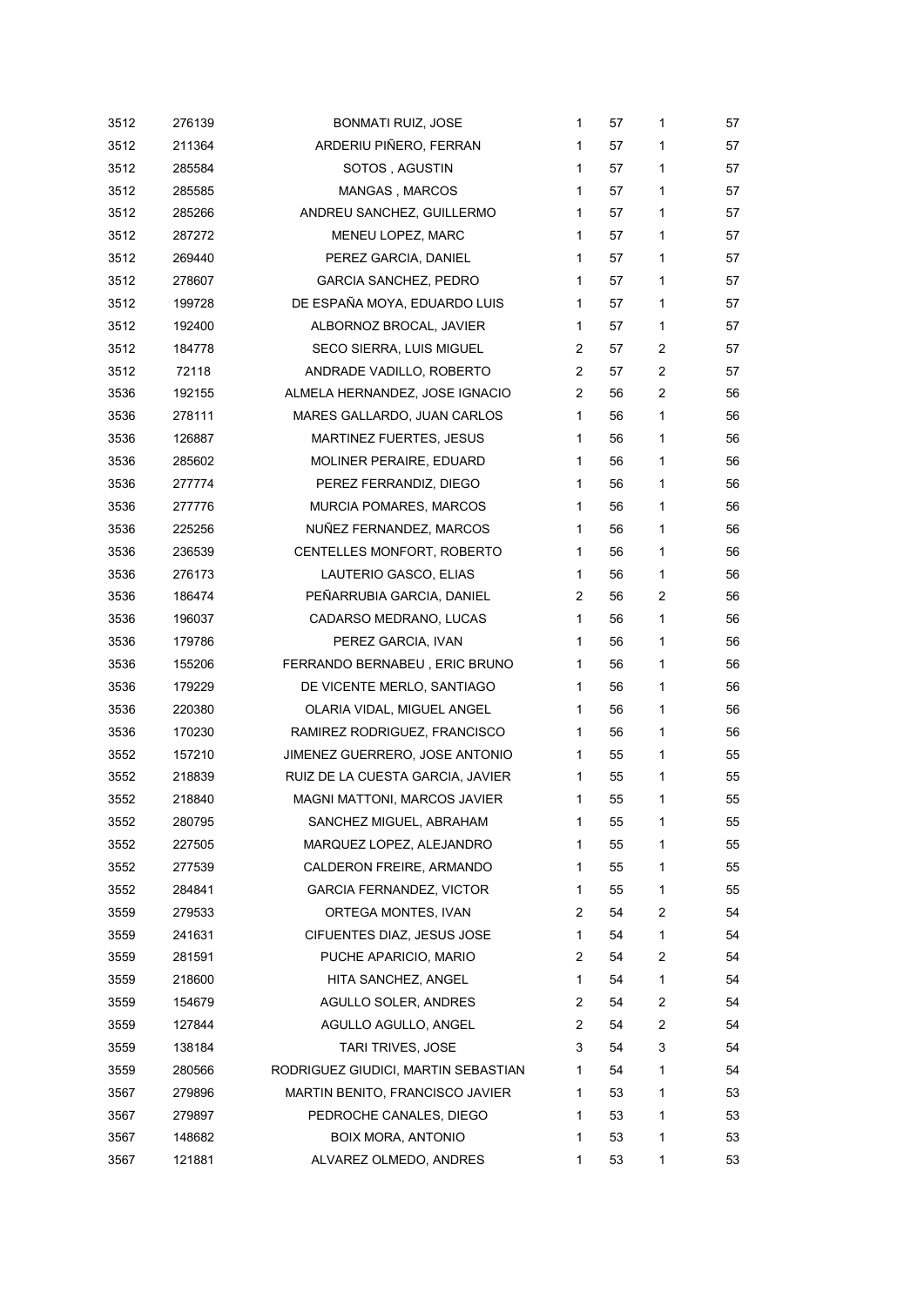| 3512 | 276139 | <b>BONMATI RUIZ, JOSE</b>           | $\mathbf{1}$   | 57 | 1 | 57 |
|------|--------|-------------------------------------|----------------|----|---|----|
| 3512 | 211364 | ARDERIU PIÑERO, FERRAN              | 1              | 57 | 1 | 57 |
| 3512 | 285584 | SOTOS, AGUSTIN                      | $\mathbf{1}$   | 57 | 1 | 57 |
| 3512 | 285585 | MANGAS, MARCOS                      | 1              | 57 | 1 | 57 |
| 3512 | 285266 | ANDREU SANCHEZ, GUILLERMO           | $\mathbf{1}$   | 57 | 1 | 57 |
| 3512 | 287272 | MENEU LOPEZ, MARC                   | $\mathbf{1}$   | 57 | 1 | 57 |
| 3512 | 269440 | PEREZ GARCIA, DANIEL                | $\mathbf{1}$   | 57 | 1 | 57 |
| 3512 | 278607 | <b>GARCIA SANCHEZ, PEDRO</b>        | $\mathbf{1}$   | 57 | 1 | 57 |
| 3512 | 199728 | DE ESPAÑA MOYA, EDUARDO LUIS        | $\mathbf{1}$   | 57 | 1 | 57 |
| 3512 | 192400 | ALBORNOZ BROCAL, JAVIER             | 1              | 57 | 1 | 57 |
| 3512 | 184778 | SECO SIERRA, LUIS MIGUEL            | 2              | 57 | 2 | 57 |
| 3512 | 72118  | ANDRADE VADILLO, ROBERTO            | 2              | 57 | 2 | 57 |
| 3536 | 192155 | ALMELA HERNANDEZ, JOSE IGNACIO      | $\overline{2}$ | 56 | 2 | 56 |
| 3536 | 278111 | MARES GALLARDO, JUAN CARLOS         | $\mathbf{1}$   | 56 | 1 | 56 |
| 3536 | 126887 | MARTINEZ FUERTES, JESUS             | $\mathbf{1}$   | 56 | 1 | 56 |
| 3536 | 285602 | MOLINER PERAIRE, EDUARD             | 1              | 56 | 1 | 56 |
| 3536 | 277774 | PEREZ FERRANDIZ, DIEGO              | $\mathbf{1}$   | 56 | 1 | 56 |
| 3536 | 277776 | MURCIA POMARES, MARCOS              | $\mathbf{1}$   | 56 | 1 | 56 |
| 3536 | 225256 | NUÑEZ FERNANDEZ, MARCOS             | 1              | 56 | 1 | 56 |
| 3536 | 236539 | CENTELLES MONFORT, ROBERTO          | $\mathbf{1}$   | 56 | 1 | 56 |
| 3536 | 276173 | LAUTERIO GASCO, ELIAS               | $\mathbf{1}$   | 56 | 1 | 56 |
| 3536 | 186474 | PEÑARRUBIA GARCIA, DANIEL           | $\overline{2}$ | 56 | 2 | 56 |
| 3536 | 196037 | CADARSO MEDRANO, LUCAS              | $\mathbf{1}$   | 56 | 1 | 56 |
| 3536 | 179786 | PEREZ GARCIA, IVAN                  | $\mathbf{1}$   | 56 | 1 | 56 |
| 3536 | 155206 | FERRANDO BERNABEU, ERIC BRUNO       | $\mathbf{1}$   | 56 | 1 | 56 |
| 3536 | 179229 | DE VICENTE MERLO, SANTIAGO          | $\mathbf{1}$   | 56 | 1 | 56 |
| 3536 | 220380 | OLARIA VIDAL, MIGUEL ANGEL          | $\mathbf{1}$   | 56 | 1 | 56 |
| 3536 | 170230 | RAMIREZ RODRIGUEZ, FRANCISCO        | 1              | 56 | 1 | 56 |
| 3552 | 157210 | JIMENEZ GUERRERO, JOSE ANTONIO      | $\mathbf 1$    | 55 | 1 | 55 |
| 3552 | 218839 | RUIZ DE LA CUESTA GARCIA, JAVIER    | 1              | 55 | 1 | 55 |
| 3552 | 218840 | <b>MAGNI MATTONI, MARCOS JAVIER</b> | 1              | 55 | 1 | 55 |
| 3552 | 280795 | SANCHEZ MIGUEL, ABRAHAM             | 1              | 55 | 1 | 55 |
| 3552 | 227505 | MARQUEZ LOPEZ, ALEJANDRO            | 1              | 55 | 1 | 55 |
| 3552 | 277539 | CALDERON FREIRE, ARMANDO            | 1              | 55 | 1 | 55 |
| 3552 | 284841 | <b>GARCIA FERNANDEZ, VICTOR</b>     | 1              | 55 | 1 | 55 |
| 3559 | 279533 | ORTEGA MONTES, IVAN                 | 2              | 54 | 2 | 54 |
| 3559 | 241631 | CIFUENTES DIAZ, JESUS JOSE          | 1              | 54 | 1 | 54 |
| 3559 | 281591 | PUCHE APARICIO, MARIO               | 2              | 54 | 2 | 54 |
| 3559 | 218600 | HITA SANCHEZ, ANGEL                 | 1              | 54 | 1 | 54 |
| 3559 | 154679 | AGULLO SOLER, ANDRES                | 2              | 54 | 2 | 54 |
| 3559 | 127844 | AGULLO AGULLO, ANGEL                | 2              | 54 | 2 | 54 |
| 3559 | 138184 | <b>TARI TRIVES, JOSE</b>            | 3              | 54 | 3 | 54 |
| 3559 | 280566 | RODRIGUEZ GIUDICI, MARTIN SEBASTIAN | 1.             | 54 | 1 | 54 |
| 3567 | 279896 | MARTIN BENITO, FRANCISCO JAVIER     | 1              | 53 | 1 | 53 |
| 3567 | 279897 | PEDROCHE CANALES, DIEGO             | 1              | 53 | 1 | 53 |
| 3567 | 148682 | BOIX MORA, ANTONIO                  | 1              | 53 | 1 | 53 |
| 3567 | 121881 | ALVAREZ OLMEDO, ANDRES              | 1              | 53 | 1 | 53 |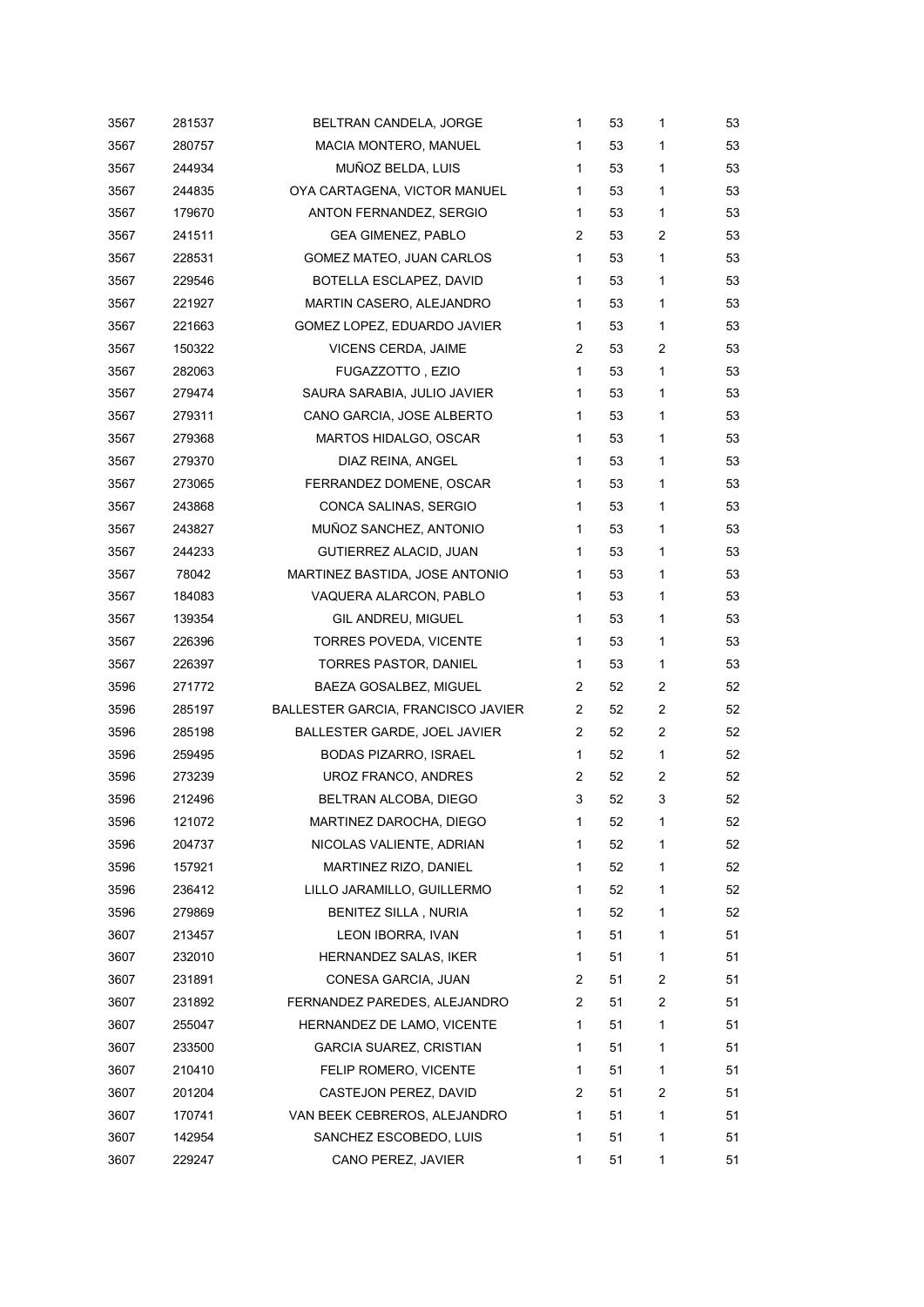| 3567 | 281537 | BELTRAN CANDELA, JORGE             | 1            | 53 | 1              | 53 |
|------|--------|------------------------------------|--------------|----|----------------|----|
| 3567 | 280757 | MACIA MONTERO, MANUEL              | 1            | 53 | 1              | 53 |
| 3567 | 244934 | MUÑOZ BELDA, LUIS                  | $\mathbf{1}$ | 53 | 1              | 53 |
| 3567 | 244835 | OYA CARTAGENA, VICTOR MANUEL       | 1            | 53 | 1              | 53 |
| 3567 | 179670 | ANTON FERNANDEZ, SERGIO            | 1            | 53 | 1              | 53 |
| 3567 | 241511 | <b>GEA GIMENEZ, PABLO</b>          | 2            | 53 | 2              | 53 |
| 3567 | 228531 | GOMEZ MATEO, JUAN CARLOS           | $\mathbf{1}$ | 53 | 1              | 53 |
| 3567 | 229546 | BOTELLA ESCLAPEZ, DAVID            | 1            | 53 | 1              | 53 |
| 3567 | 221927 | MARTIN CASERO, ALEJANDRO           | 1            | 53 | 1              | 53 |
| 3567 | 221663 | GOMEZ LOPEZ, EDUARDO JAVIER        | 1            | 53 | 1              | 53 |
| 3567 | 150322 | VICENS CERDA, JAIME                | 2            | 53 | $\overline{2}$ | 53 |
| 3567 | 282063 | FUGAZZOTTO, EZIO                   | $\mathbf{1}$ | 53 | 1              | 53 |
| 3567 | 279474 | SAURA SARABIA, JULIO JAVIER        | 1            | 53 | 1              | 53 |
| 3567 | 279311 | CANO GARCIA, JOSE ALBERTO          | $\mathbf{1}$ | 53 | 1              | 53 |
| 3567 | 279368 | MARTOS HIDALGO, OSCAR              | 1            | 53 | 1              | 53 |
| 3567 | 279370 | DIAZ REINA, ANGEL                  | 1            | 53 | 1              | 53 |
| 3567 | 273065 | FERRANDEZ DOMENE, OSCAR            | 1            | 53 | 1              | 53 |
| 3567 | 243868 | CONCA SALINAS, SERGIO              | 1            | 53 | 1              | 53 |
| 3567 | 243827 | MUÑOZ SANCHEZ, ANTONIO             | 1            | 53 | 1              | 53 |
| 3567 | 244233 | GUTIERREZ ALACID, JUAN             | $\mathbf{1}$ | 53 | 1              | 53 |
| 3567 | 78042  | MARTINEZ BASTIDA, JOSE ANTONIO     | 1            | 53 | 1              | 53 |
| 3567 | 184083 | VAQUERA ALARCON, PABLO             | $\mathbf{1}$ | 53 | 1              | 53 |
| 3567 | 139354 | GIL ANDREU, MIGUEL                 | 1            | 53 | 1              | 53 |
| 3567 | 226396 | <b>TORRES POVEDA, VICENTE</b>      | 1            | 53 | 1              | 53 |
| 3567 | 226397 | TORRES PASTOR, DANIEL              | $\mathbf 1$  | 53 | 1              | 53 |
| 3596 | 271772 | BAEZA GOSALBEZ, MIGUEL             | 2            | 52 | 2              | 52 |
| 3596 | 285197 | BALLESTER GARCIA, FRANCISCO JAVIER | 2            | 52 | 2              | 52 |
| 3596 | 285198 | BALLESTER GARDE, JOEL JAVIER       | 2            | 52 | 2              | 52 |
| 3596 | 259495 | <b>BODAS PIZARRO, ISRAEL</b>       | $\mathbf 1$  | 52 | 1              | 52 |
| 3596 | 273239 | UROZ FRANCO, ANDRES                | 2            | 52 | 2              | 52 |
| 3596 | 212496 | BELTRAN ALCOBA, DIEGO              | 3            | 52 | 3              | 52 |
| 3596 | 121072 | MARTINEZ DAROCHA, DIEGO            | 1            | 52 | 1              | 52 |
| 3596 | 204737 | NICOLAS VALIENTE, ADRIAN           | 1            | 52 | 1              | 52 |
| 3596 | 157921 | MARTINEZ RIZO, DANIEL              | 1            | 52 | 1              | 52 |
| 3596 | 236412 | LILLO JARAMILLO, GUILLERMO         | 1            | 52 | 1              | 52 |
| 3596 | 279869 | <b>BENITEZ SILLA, NURIA</b>        | 1            | 52 | 1              | 52 |
| 3607 | 213457 | LEON IBORRA, IVAN                  | 1            | 51 | 1              | 51 |
| 3607 | 232010 | HERNANDEZ SALAS, IKER              | 1            | 51 | 1              | 51 |
| 3607 | 231891 | CONESA GARCIA, JUAN                | 2            | 51 | 2              | 51 |
| 3607 | 231892 | FERNANDEZ PAREDES, ALEJANDRO       | 2            | 51 | 2              | 51 |
| 3607 | 255047 | HERNANDEZ DE LAMO, VICENTE         | 1            | 51 | 1              | 51 |
| 3607 | 233500 | <b>GARCIA SUAREZ, CRISTIAN</b>     | 1            | 51 | 1              | 51 |
| 3607 | 210410 | FELIP ROMERO, VICENTE              | 1            | 51 | 1              | 51 |
| 3607 | 201204 | CASTEJON PEREZ, DAVID              | 2            | 51 | 2              | 51 |
| 3607 | 170741 | VAN BEEK CEBREROS, ALEJANDRO       | 1            | 51 | 1              | 51 |
| 3607 | 142954 | SANCHEZ ESCOBEDO, LUIS             | 1            | 51 | 1              | 51 |
| 3607 | 229247 | CANO PEREZ, JAVIER                 | 1            | 51 | 1              | 51 |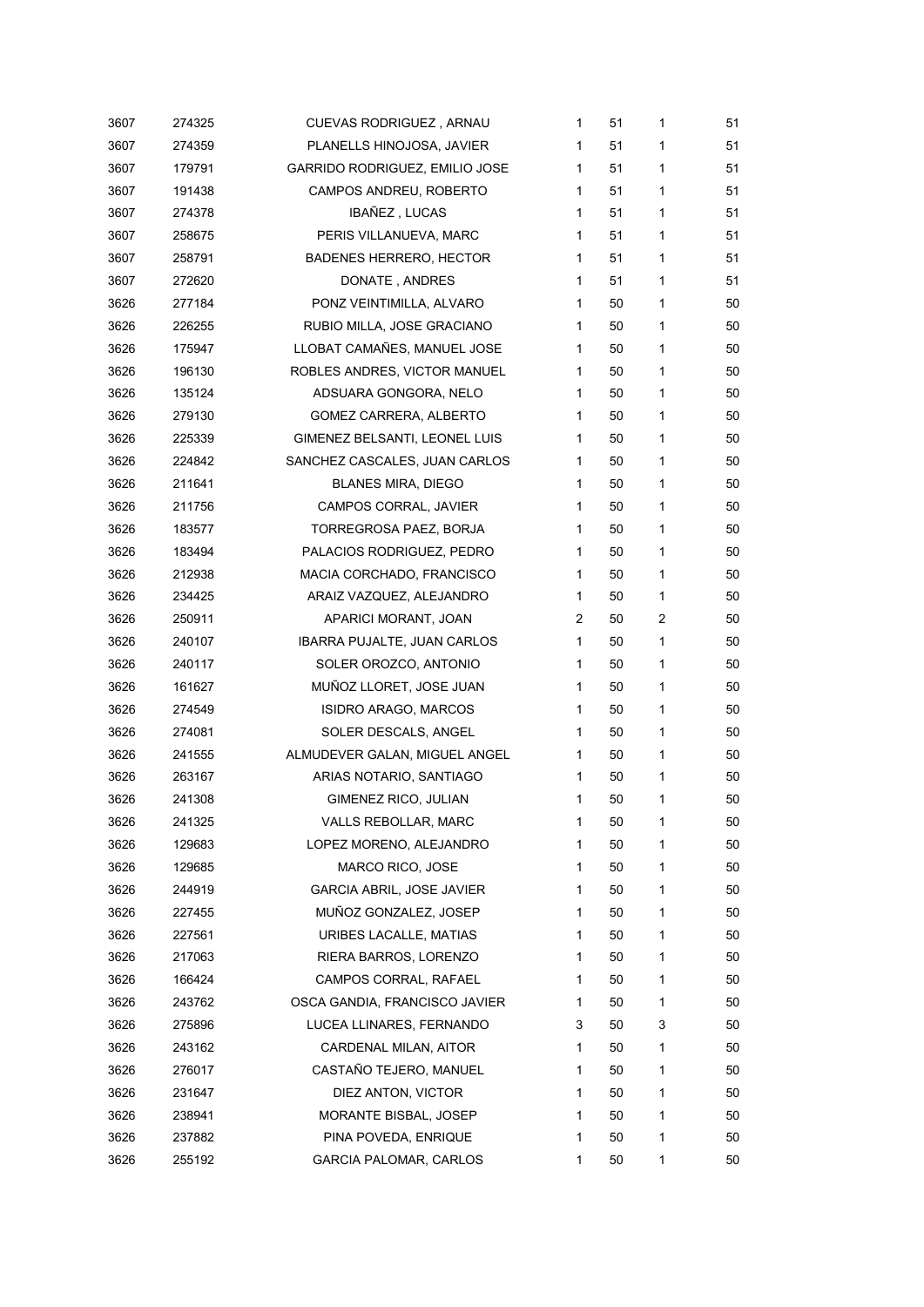| 3607 | 274325 | <b>CUEVAS RODRIGUEZ, ARNAU</b>     | 1            | 51 | 1 | 51 |
|------|--------|------------------------------------|--------------|----|---|----|
| 3607 | 274359 | PLANELLS HINOJOSA, JAVIER          | 1            | 51 | 1 | 51 |
| 3607 | 179791 | GARRIDO RODRIGUEZ, EMILIO JOSE     | $\mathbf{1}$ | 51 | 1 | 51 |
| 3607 | 191438 | CAMPOS ANDREU, ROBERTO             | $\mathbf{1}$ | 51 | 1 | 51 |
| 3607 | 274378 | IBAÑEZ, LUCAS                      | $\mathbf{1}$ | 51 | 1 | 51 |
| 3607 | 258675 | PERIS VILLANUEVA, MARC             | 1            | 51 | 1 | 51 |
| 3607 | 258791 | <b>BADENES HERRERO, HECTOR</b>     | $\mathbf{1}$ | 51 | 1 | 51 |
| 3607 | 272620 | DONATE, ANDRES                     | $\mathbf{1}$ | 51 | 1 | 51 |
| 3626 | 277184 | PONZ VEINTIMILLA, ALVARO           | 1            | 50 | 1 | 50 |
| 3626 | 226255 | RUBIO MILLA, JOSE GRACIANO         | $\mathbf{1}$ | 50 | 1 | 50 |
| 3626 | 175947 | LLOBAT CAMAÑES, MANUEL JOSE        | $\mathbf{1}$ | 50 | 1 | 50 |
| 3626 | 196130 | ROBLES ANDRES, VICTOR MANUEL       | 1            | 50 | 1 | 50 |
| 3626 | 135124 | ADSUARA GONGORA, NELO              | $\mathbf{1}$ | 50 | 1 | 50 |
| 3626 | 279130 | GOMEZ CARRERA, ALBERTO             | $\mathbf{1}$ | 50 | 1 | 50 |
| 3626 | 225339 | GIMENEZ BELSANTI, LEONEL LUIS      | 1            | 50 | 1 | 50 |
| 3626 | 224842 | SANCHEZ CASCALES, JUAN CARLOS      | 1            | 50 | 1 | 50 |
| 3626 | 211641 | <b>BLANES MIRA, DIEGO</b>          | $\mathbf{1}$ | 50 | 1 | 50 |
| 3626 | 211756 | CAMPOS CORRAL, JAVIER              | $\mathbf{1}$ | 50 | 1 | 50 |
| 3626 | 183577 | TORREGROSA PAEZ, BORJA             | $\mathbf{1}$ | 50 | 1 | 50 |
| 3626 | 183494 | PALACIOS RODRIGUEZ, PEDRO          | $\mathbf{1}$ | 50 | 1 | 50 |
| 3626 | 212938 | MACIA CORCHADO, FRANCISCO          | $\mathbf{1}$ | 50 | 1 | 50 |
| 3626 | 234425 | ARAIZ VAZQUEZ, ALEJANDRO           | 1            | 50 | 1 | 50 |
| 3626 | 250911 | APARICI MORANT, JOAN               | 2            | 50 | 2 | 50 |
| 3626 | 240107 | <b>IBARRA PUJALTE, JUAN CARLOS</b> | $\mathbf{1}$ | 50 | 1 | 50 |
| 3626 | 240117 | SOLER OROZCO, ANTONIO              | 1            | 50 | 1 | 50 |
| 3626 | 161627 | MUÑOZ LLORET, JOSE JUAN            | 1            | 50 | 1 | 50 |
| 3626 | 274549 | ISIDRO ARAGO, MARCOS               | 1            | 50 | 1 | 50 |
| 3626 | 274081 | SOLER DESCALS, ANGEL               | 1            | 50 | 1 | 50 |
| 3626 | 241555 | ALMUDEVER GALAN, MIGUEL ANGEL      | 1            | 50 | 1 | 50 |
| 3626 | 263167 | ARIAS NOTARIO, SANTIAGO            | 1            | 50 | 1 | 50 |
| 3626 | 241308 | GIMENEZ RICO, JULIAN               | 1            | 50 | 1 | 50 |
| 3626 | 241325 | VALLS REBOLLAR, MARC               | 1            | 50 | 1 | 50 |
| 3626 | 129683 | LOPEZ MORENO, ALEJANDRO            | 1            | 50 | 1 | 50 |
| 3626 | 129685 | MARCO RICO, JOSE                   | 1            | 50 | 1 | 50 |
| 3626 | 244919 | <b>GARCIA ABRIL, JOSE JAVIER</b>   | 1            | 50 | 1 | 50 |
| 3626 | 227455 | MUÑOZ GONZALEZ, JOSEP              | 1            | 50 | 1 | 50 |
| 3626 | 227561 | URIBES LACALLE, MATIAS             | 1            | 50 | 1 | 50 |
| 3626 | 217063 | RIERA BARROS, LORENZO              | 1            | 50 | 1 | 50 |
| 3626 | 166424 | CAMPOS CORRAL, RAFAEL              | 1            | 50 | 1 | 50 |
| 3626 | 243762 | OSCA GANDIA, FRANCISCO JAVIER      | 1            | 50 | 1 | 50 |
| 3626 | 275896 | LUCEA LLINARES, FERNANDO           | 3            | 50 | 3 | 50 |
| 3626 | 243162 | CARDENAL MILAN, AITOR              | 1            | 50 | 1 | 50 |
| 3626 | 276017 | CASTAÑO TEJERO, MANUEL             | 1            | 50 | 1 | 50 |
| 3626 | 231647 | DIEZ ANTON, VICTOR                 | 1            | 50 | 1 | 50 |
| 3626 | 238941 | MORANTE BISBAL, JOSEP              | 1            | 50 | 1 | 50 |
| 3626 | 237882 | PINA POVEDA, ENRIQUE               | 1            | 50 | 1 | 50 |
| 3626 | 255192 | <b>GARCIA PALOMAR, CARLOS</b>      | 1            | 50 | 1 | 50 |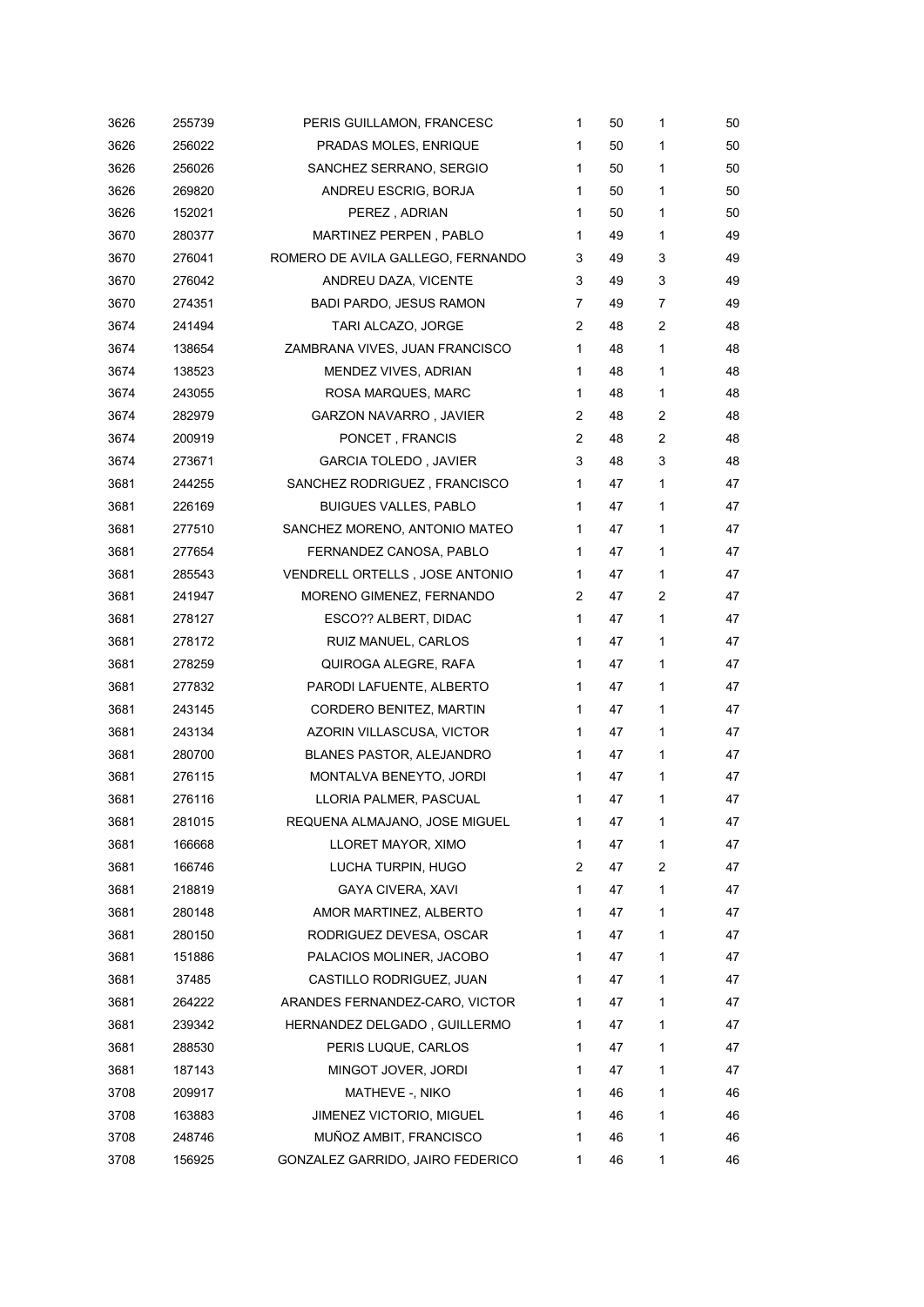| 3626 | 255739 | PERIS GUILLAMON, FRANCESC         | 1              | 50 | 1              | 50 |
|------|--------|-----------------------------------|----------------|----|----------------|----|
| 3626 | 256022 | PRADAS MOLES, ENRIQUE             | 1              | 50 | 1              | 50 |
| 3626 | 256026 | SANCHEZ SERRANO, SERGIO           | 1              | 50 | 1              | 50 |
| 3626 | 269820 | ANDREU ESCRIG, BORJA              | 1              | 50 | 1              | 50 |
| 3626 | 152021 | PEREZ, ADRIAN                     | 1              | 50 | 1              | 50 |
| 3670 | 280377 | MARTINEZ PERPEN, PABLO            | 1              | 49 | 1              | 49 |
| 3670 | 276041 | ROMERO DE AVILA GALLEGO, FERNANDO | 3              | 49 | 3              | 49 |
| 3670 | 276042 | ANDREU DAZA, VICENTE              | 3              | 49 | 3              | 49 |
| 3670 | 274351 | <b>BADI PARDO, JESUS RAMON</b>    | $\overline{7}$ | 49 | 7              | 49 |
| 3674 | 241494 | TARI ALCAZO, JORGE                | 2              | 48 | 2              | 48 |
| 3674 | 138654 | ZAMBRANA VIVES, JUAN FRANCISCO    | $\mathbf{1}$   | 48 | 1              | 48 |
| 3674 | 138523 | MENDEZ VIVES, ADRIAN              | 1              | 48 | 1              | 48 |
| 3674 | 243055 | ROSA MARQUES, MARC                | 1              | 48 | 1              | 48 |
| 3674 | 282979 | <b>GARZON NAVARRO, JAVIER</b>     | $\overline{2}$ | 48 | 2              | 48 |
| 3674 | 200919 | PONCET, FRANCIS                   | 2              | 48 | $\overline{c}$ | 48 |
| 3674 | 273671 | <b>GARCIA TOLEDO, JAVIER</b>      | 3              | 48 | 3              | 48 |
| 3681 | 244255 | SANCHEZ RODRIGUEZ, FRANCISCO      | $\mathbf{1}$   | 47 | 1              | 47 |
| 3681 | 226169 | <b>BUIGUES VALLES, PABLO</b>      | 1              | 47 | 1              | 47 |
| 3681 | 277510 | SANCHEZ MORENO, ANTONIO MATEO     | 1              | 47 | 1              | 47 |
| 3681 | 277654 | FERNANDEZ CANOSA, PABLO           | 1.             | 47 | 1              | 47 |
| 3681 | 285543 | VENDRELL ORTELLS, JOSE ANTONIO    | 1              | 47 | 1              | 47 |
| 3681 | 241947 | MORENO GIMENEZ, FERNANDO          | $\overline{2}$ | 47 | 2              | 47 |
| 3681 | 278127 | ESCO?? ALBERT, DIDAC              | $\mathbf{1}$   | 47 | 1              | 47 |
| 3681 | 278172 | RUIZ MANUEL, CARLOS               | 1              | 47 | 1              | 47 |
| 3681 | 278259 | QUIROGA ALEGRE, RAFA              | 1              | 47 | 1              | 47 |
| 3681 | 277832 | PARODI LAFUENTE, ALBERTO          | 1              | 47 | 1              | 47 |
| 3681 | 243145 | CORDERO BENITEZ, MARTIN           | 1              | 47 | 1              | 47 |
| 3681 | 243134 | AZORIN VILLASCUSA, VICTOR         | 1              | 47 | 1              | 47 |
| 3681 | 280700 | BLANES PASTOR, ALEJANDRO          | 1              | 47 | 1              | 47 |
| 3681 | 276115 | MONTALVA BENEYTO, JORDI           | 1              | 47 | 1              | 47 |
| 3681 | 276116 | LLORIA PALMER, PASCUAL            | 1              | 47 | 1              | 47 |
| 3681 | 281015 | REQUENA ALMAJANO, JOSE MIGUEL     | 1              | 47 | 1              | 47 |
| 3681 | 166668 | LLORET MAYOR, XIMO                | 1              | 47 | 1              | 47 |
| 3681 | 166746 | LUCHA TURPIN, HUGO                | 2              | 47 | 2              | 47 |
| 3681 | 218819 | GAYA CIVERA, XAVI                 | 1              | 47 | 1              | 47 |
| 3681 | 280148 | AMOR MARTINEZ, ALBERTO            | 1              | 47 | 1              | 47 |
| 3681 | 280150 | RODRIGUEZ DEVESA, OSCAR           | 1              | 47 | 1              | 47 |
| 3681 | 151886 | PALACIOS MOLINER, JACOBO          | 1.             | 47 | 1              | 47 |
| 3681 | 37485  | CASTILLO RODRIGUEZ, JUAN          | 1              | 47 | 1              | 47 |
| 3681 | 264222 | ARANDES FERNANDEZ-CARO, VICTOR    | 1              | 47 | 1              | 47 |
| 3681 | 239342 | HERNANDEZ DELGADO, GUILLERMO      | 1              | 47 | 1              | 47 |
| 3681 | 288530 | PERIS LUQUE, CARLOS               | 1              | 47 | 1              | 47 |
| 3681 | 187143 | MINGOT JOVER, JORDI               | 1              | 47 | 1              | 47 |
| 3708 | 209917 | MATHEVE -, NIKO                   | 1              | 46 | 1              | 46 |
| 3708 | 163883 | JIMENEZ VICTORIO, MIGUEL          | 1              | 46 | 1              | 46 |
| 3708 | 248746 | MUÑOZ AMBIT, FRANCISCO            | 1              | 46 | 1              | 46 |
| 3708 | 156925 | GONZALEZ GARRIDO, JAIRO FEDERICO  | 1              | 46 | 1              | 46 |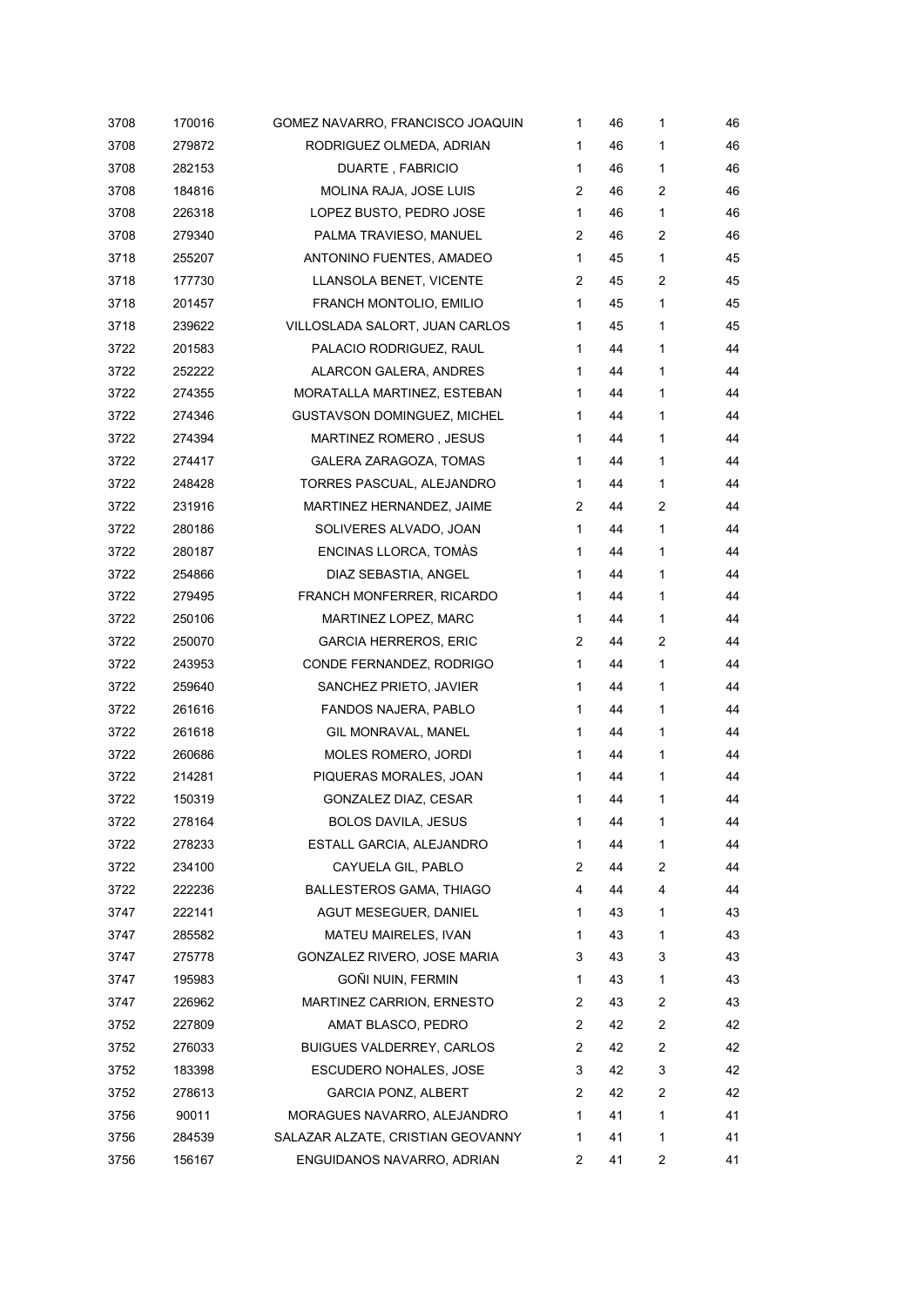| 3708 | 170016 | GOMEZ NAVARRO, FRANCISCO JOAQUIN  | 1 | 46 | 1              | 46 |
|------|--------|-----------------------------------|---|----|----------------|----|
| 3708 | 279872 | RODRIGUEZ OLMEDA, ADRIAN          | 1 | 46 | 1              | 46 |
| 3708 | 282153 | DUARTE, FABRICIO                  | 1 | 46 | 1              | 46 |
| 3708 | 184816 | MOLINA RAJA, JOSE LUIS            | 2 | 46 | $\overline{2}$ | 46 |
| 3708 | 226318 | LOPEZ BUSTO, PEDRO JOSE           | 1 | 46 | 1              | 46 |
| 3708 | 279340 | PALMA TRAVIESO, MANUEL            | 2 | 46 | $\overline{2}$ | 46 |
| 3718 | 255207 | ANTONINO FUENTES, AMADEO          | 1 | 45 | 1              | 45 |
| 3718 | 177730 | LLANSOLA BENET, VICENTE           | 2 | 45 | 2              | 45 |
| 3718 | 201457 | FRANCH MONTOLIO, EMILIO           | 1 | 45 | 1              | 45 |
| 3718 | 239622 | VILLOSLADA SALORT, JUAN CARLOS    | 1 | 45 | 1              | 45 |
| 3722 | 201583 | PALACIO RODRIGUEZ, RAUL           | 1 | 44 | 1              | 44 |
| 3722 | 252222 | ALARCON GALERA, ANDRES            | 1 | 44 | 1              | 44 |
| 3722 | 274355 | MORATALLA MARTINEZ, ESTEBAN       | 1 | 44 | 1              | 44 |
| 3722 | 274346 | GUSTAVSON DOMINGUEZ, MICHEL       | 1 | 44 | 1              | 44 |
| 3722 | 274394 | <b>MARTINEZ ROMERO, JESUS</b>     | 1 | 44 | 1              | 44 |
| 3722 | 274417 | GALERA ZARAGOZA, TOMAS            | 1 | 44 | 1              | 44 |
| 3722 | 248428 | TORRES PASCUAL, ALEJANDRO         | 1 | 44 | 1              | 44 |
| 3722 | 231916 | MARTINEZ HERNANDEZ, JAIME         | 2 | 44 | 2              | 44 |
| 3722 | 280186 | SOLIVERES ALVADO, JOAN            | 1 | 44 | 1              | 44 |
| 3722 | 280187 | ENCINAS LLORCA, TOMÀS             | 1 | 44 | 1              | 44 |
| 3722 | 254866 | DIAZ SEBASTIA, ANGEL              | 1 | 44 | 1              | 44 |
| 3722 | 279495 | FRANCH MONFERRER, RICARDO         | 1 | 44 | 1              | 44 |
| 3722 | 250106 | MARTINEZ LOPEZ, MARC              | 1 | 44 | 1              | 44 |
| 3722 | 250070 | <b>GARCIA HERREROS, ERIC</b>      | 2 | 44 | $\overline{c}$ | 44 |
| 3722 | 243953 | CONDE FERNANDEZ, RODRIGO          | 1 | 44 | 1              | 44 |
| 3722 | 259640 | SANCHEZ PRIETO, JAVIER            | 1 | 44 | 1              | 44 |
| 3722 | 261616 | FANDOS NAJERA, PABLO              | 1 | 44 | 1              | 44 |
| 3722 | 261618 | GIL MONRAVAL, MANEL               | 1 | 44 | 1              | 44 |
| 3722 | 260686 | MOLES ROMERO, JORDI               | 1 | 44 | 1              | 44 |
| 3722 | 214281 | PIQUERAS MORALES, JOAN            | 1 | 44 | 1              | 44 |
| 3722 | 150319 | GONZALEZ DIAZ, CESAR              | 1 | 44 | 1              | 44 |
| 3722 | 278164 | <b>BOLOS DAVILA, JESUS</b>        | 1 | 44 | 1              | 44 |
| 3722 | 278233 | ESTALL GARCIA, ALEJANDRO          | 1 | 44 | 1              | 44 |
| 3722 | 234100 | CAYUELA GIL, PABLO                | 2 | 44 | 2              | 44 |
| 3722 | 222236 | <b>BALLESTEROS GAMA, THIAGO</b>   | 4 | 44 | 4              | 44 |
| 3747 | 222141 | AGUT MESEGUER, DANIEL             | 1 | 43 | 1              | 43 |
| 3747 | 285582 | MATEU MAIRELES, IVAN              | 1 | 43 | 1              | 43 |
| 3747 | 275778 | GONZALEZ RIVERO, JOSE MARIA       | 3 | 43 | 3              | 43 |
| 3747 | 195983 | GOÑI NUIN, FERMIN                 | 1 | 43 | 1              | 43 |
| 3747 | 226962 | MARTINEZ CARRION, ERNESTO         | 2 | 43 | 2              | 43 |
| 3752 | 227809 | AMAT BLASCO, PEDRO                | 2 | 42 | $\overline{c}$ | 42 |
| 3752 | 276033 | <b>BUIGUES VALDERREY, CARLOS</b>  | 2 | 42 | 2              | 42 |
| 3752 | 183398 | <b>ESCUDERO NOHALES, JOSE</b>     | 3 | 42 | 3              | 42 |
| 3752 | 278613 | <b>GARCIA PONZ, ALBERT</b>        | 2 | 42 | 2              | 42 |
| 3756 | 90011  | MORAGUES NAVARRO, ALEJANDRO       | 1 | 41 | 1              | 41 |
| 3756 | 284539 | SALAZAR ALZATE, CRISTIAN GEOVANNY | 1 | 41 | 1              | 41 |
| 3756 | 156167 | ENGUIDANOS NAVARRO, ADRIAN        | 2 | 41 | 2              | 41 |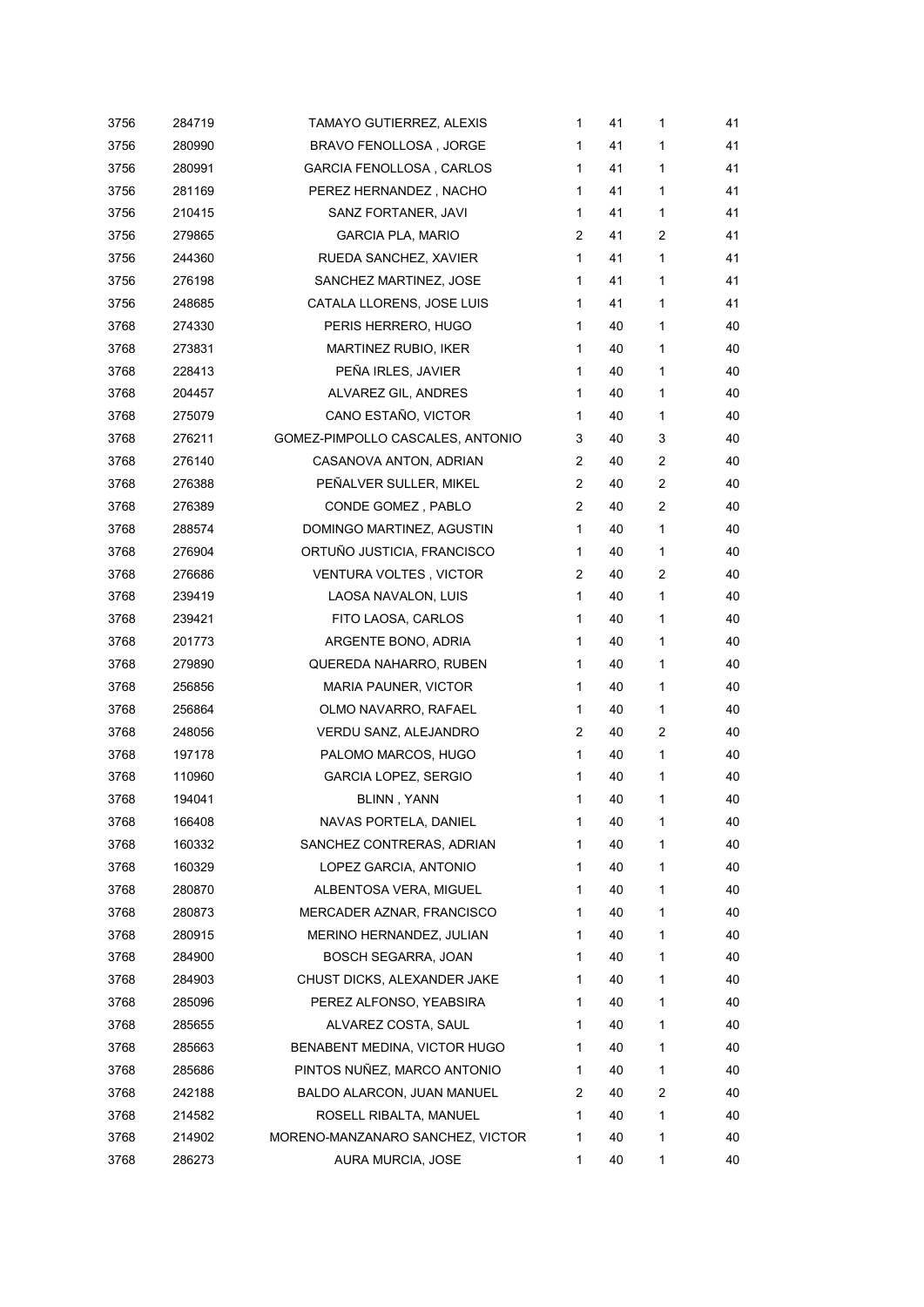| 3756 | 284719 | TAMAYO GUTIERREZ, ALEXIS         | 1              | 41 | 1            | 41 |
|------|--------|----------------------------------|----------------|----|--------------|----|
| 3756 | 280990 | BRAVO FENOLLOSA, JORGE           | 1              | 41 | 1            | 41 |
| 3756 | 280991 | <b>GARCIA FENOLLOSA, CARLOS</b>  | 1              | 41 | 1            | 41 |
| 3756 | 281169 | PEREZ HERNANDEZ, NACHO           | 1              | 41 | 1            | 41 |
| 3756 | 210415 | SANZ FORTANER, JAVI              | 1              | 41 | 1            | 41 |
| 3756 | 279865 | GARCIA PLA, MARIO                | 2              | 41 | 2            | 41 |
| 3756 | 244360 | RUEDA SANCHEZ, XAVIER            | $\mathbf{1}$   | 41 | 1            | 41 |
| 3756 | 276198 | SANCHEZ MARTINEZ, JOSE           | $\mathbf{1}$   | 41 | 1            | 41 |
| 3756 | 248685 | CATALA LLORENS, JOSE LUIS        | 1              | 41 | 1            | 41 |
| 3768 | 274330 | PERIS HERRERO, HUGO              | 1              | 40 | 1            | 40 |
| 3768 | 273831 | MARTINEZ RUBIO, IKER             | 1              | 40 | 1            | 40 |
| 3768 | 228413 | PEÑA IRLES, JAVIER               | 1              | 40 | 1            | 40 |
| 3768 | 204457 | ALVAREZ GIL, ANDRES              | 1              | 40 | 1            | 40 |
| 3768 | 275079 | CANO ESTAÑO, VICTOR              | 1              | 40 | 1            | 40 |
| 3768 | 276211 | GOMEZ-PIMPOLLO CASCALES, ANTONIO | 3              | 40 | 3            | 40 |
| 3768 | 276140 | CASANOVA ANTON, ADRIAN           | 2              | 40 | 2            | 40 |
| 3768 | 276388 | PEÑALVER SULLER, MIKEL           | $\overline{2}$ | 40 | 2            | 40 |
| 3768 | 276389 | CONDE GOMEZ, PABLO               | 2              | 40 | 2            | 40 |
| 3768 | 288574 | DOMINGO MARTINEZ, AGUSTIN        | $\mathbf{1}$   | 40 | 1            | 40 |
| 3768 | 276904 | ORTUÑO JUSTICIA, FRANCISCO       | 1              | 40 | 1            | 40 |
| 3768 | 276686 | <b>VENTURA VOLTES, VICTOR</b>    | 2              | 40 | 2            | 40 |
| 3768 | 239419 | LAOSA NAVALON, LUIS              | 1              | 40 | 1            | 40 |
| 3768 | 239421 | FITO LAOSA, CARLOS               | 1              | 40 | 1            | 40 |
| 3768 | 201773 | ARGENTE BONO, ADRIA              | $\mathbf{1}$   | 40 | 1            | 40 |
| 3768 | 279890 | QUEREDA NAHARRO, RUBEN           | 1              | 40 | 1            | 40 |
| 3768 | 256856 | <b>MARIA PAUNER, VICTOR</b>      | 1              | 40 | 1            | 40 |
| 3768 | 256864 | OLMO NAVARRO, RAFAEL             | $\mathbf{1}$   | 40 | 1            | 40 |
| 3768 | 248056 | VERDU SANZ, ALEJANDRO            | 2              | 40 | 2            | 40 |
| 3768 | 197178 | PALOMO MARCOS, HUGO              | $\mathbf{1}$   | 40 | $\mathbf{1}$ | 40 |
| 3768 | 110960 | GARCIA LOPEZ, SERGIO             | 1              | 40 | 1            | 40 |
| 3768 | 194041 | <b>BLINN, YANN</b>               | 1              | 40 | 1            | 40 |
| 3768 | 166408 | NAVAS PORTELA, DANIEL            | 1              | 40 | 1            | 40 |
| 3768 | 160332 | SANCHEZ CONTRERAS, ADRIAN        | 1              | 40 | 1            | 40 |
| 3768 | 160329 | LOPEZ GARCIA, ANTONIO            | 1              | 40 | 1            | 40 |
| 3768 | 280870 | ALBENTOSA VERA, MIGUEL           | 1              | 40 | 1            | 40 |
| 3768 | 280873 | MERCADER AZNAR, FRANCISCO        | 1              | 40 | 1            | 40 |
| 3768 | 280915 | MERINO HERNANDEZ, JULIAN         | 1              | 40 | 1            | 40 |
| 3768 | 284900 | <b>BOSCH SEGARRA, JOAN</b>       | 1              | 40 | 1            | 40 |
| 3768 | 284903 | CHUST DICKS, ALEXANDER JAKE      | 1              | 40 | 1            | 40 |
| 3768 | 285096 | PEREZ ALFONSO, YEABSIRA          | 1              | 40 | 1            | 40 |
| 3768 | 285655 | ALVAREZ COSTA, SAUL              | 1              | 40 | 1            | 40 |
| 3768 | 285663 | BENABENT MEDINA, VICTOR HUGO     | 1              | 40 | 1            | 40 |
| 3768 | 285686 | PINTOS NUÑEZ, MARCO ANTONIO      | 1              | 40 | 1            | 40 |
| 3768 | 242188 | BALDO ALARCON, JUAN MANUEL       | 2              | 40 | 2            | 40 |
| 3768 | 214582 | ROSELL RIBALTA, MANUEL           | 1              | 40 | 1            | 40 |
| 3768 | 214902 | MORENO-MANZANARO SANCHEZ, VICTOR | 1              | 40 | 1            | 40 |
| 3768 | 286273 | AURA MURCIA, JOSE                | 1              | 40 | 1            | 40 |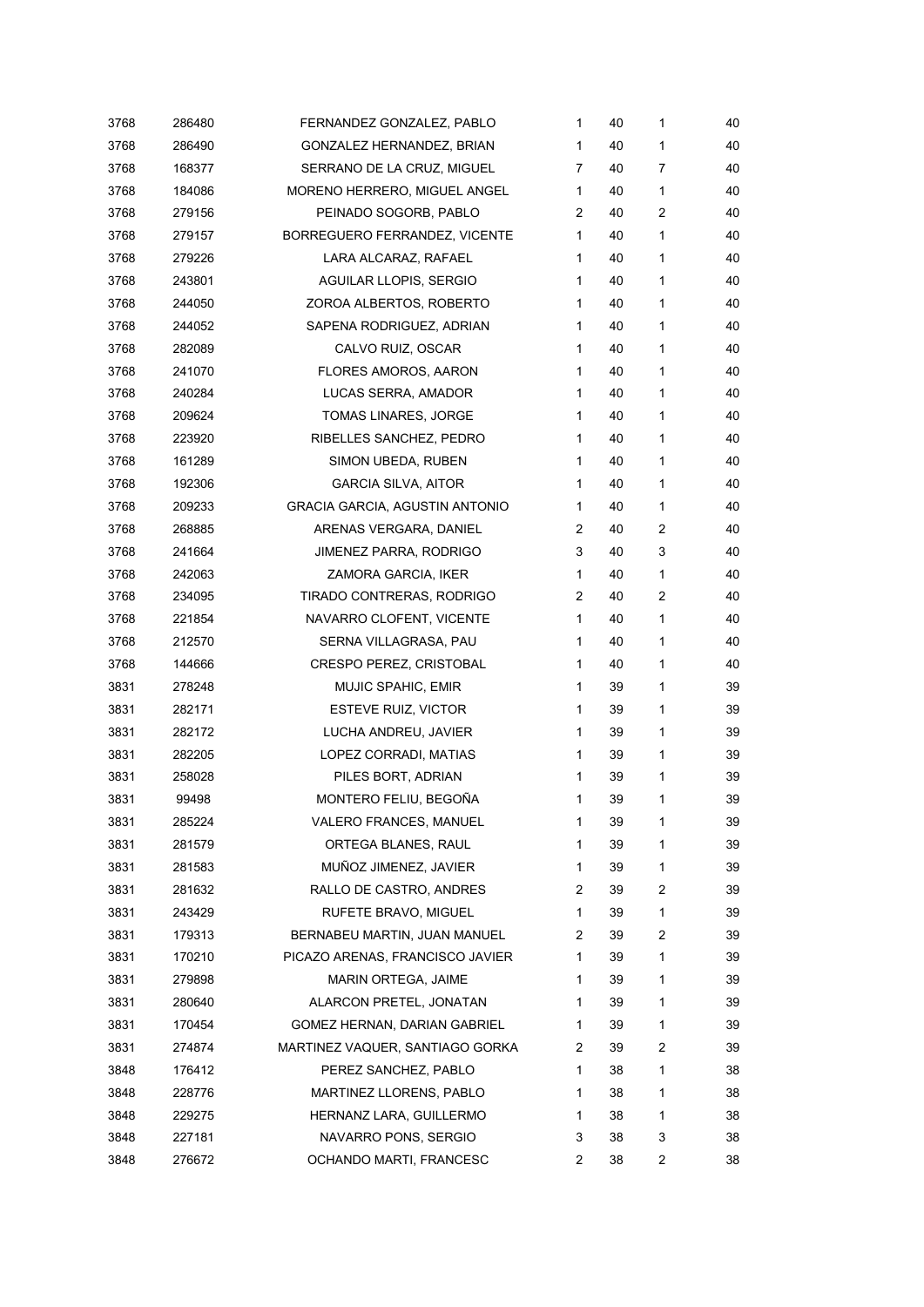| 3768 | 286480 | FERNANDEZ GONZALEZ, PABLO             | 1 | 40 | 1              | 40 |
|------|--------|---------------------------------------|---|----|----------------|----|
| 3768 | 286490 | GONZALEZ HERNANDEZ, BRIAN             | 1 | 40 | 1              | 40 |
| 3768 | 168377 | SERRANO DE LA CRUZ, MIGUEL            | 7 | 40 | 7              | 40 |
| 3768 | 184086 | MORENO HERRERO, MIGUEL ANGEL          | 1 | 40 | 1              | 40 |
| 3768 | 279156 | PEINADO SOGORB, PABLO                 | 2 | 40 | $\overline{c}$ | 40 |
| 3768 | 279157 | BORREGUERO FERRANDEZ, VICENTE         | 1 | 40 | 1              | 40 |
| 3768 | 279226 | LARA ALCARAZ, RAFAEL                  | 1 | 40 | 1              | 40 |
| 3768 | 243801 | AGUILAR LLOPIS, SERGIO                | 1 | 40 | 1              | 40 |
| 3768 | 244050 | ZOROA ALBERTOS, ROBERTO               | 1 | 40 | 1              | 40 |
| 3768 | 244052 | SAPENA RODRIGUEZ, ADRIAN              | 1 | 40 | 1              | 40 |
| 3768 | 282089 | CALVO RUIZ, OSCAR                     | 1 | 40 | 1              | 40 |
| 3768 | 241070 | FLORES AMOROS, AARON                  | 1 | 40 | 1              | 40 |
| 3768 | 240284 | LUCAS SERRA, AMADOR                   | 1 | 40 | 1              | 40 |
| 3768 | 209624 | TOMAS LINARES, JORGE                  | 1 | 40 | 1              | 40 |
| 3768 | 223920 | RIBELLES SANCHEZ, PEDRO               | 1 | 40 | 1              | 40 |
| 3768 | 161289 | SIMON UBEDA, RUBEN                    | 1 | 40 | 1              | 40 |
| 3768 | 192306 | <b>GARCIA SILVA, AITOR</b>            | 1 | 40 | 1              | 40 |
| 3768 | 209233 | <b>GRACIA GARCIA, AGUSTIN ANTONIO</b> | 1 | 40 | 1              | 40 |
| 3768 | 268885 | ARENAS VERGARA, DANIEL                | 2 | 40 | 2              | 40 |
| 3768 | 241664 | <b>JIMENEZ PARRA, RODRIGO</b>         | 3 | 40 | 3              | 40 |
| 3768 | 242063 | ZAMORA GARCIA, IKER                   | 1 | 40 | 1              | 40 |
| 3768 | 234095 | TIRADO CONTRERAS, RODRIGO             | 2 | 40 | 2              | 40 |
| 3768 | 221854 | NAVARRO CLOFENT, VICENTE              | 1 | 40 | 1              | 40 |
| 3768 | 212570 | SERNA VILLAGRASA, PAU                 | 1 | 40 | 1              | 40 |
| 3768 | 144666 | <b>CRESPO PEREZ, CRISTOBAL</b>        | 1 | 40 | 1              | 40 |
| 3831 | 278248 | MUJIC SPAHIC, EMIR                    | 1 | 39 | 1              | 39 |
| 3831 | 282171 | ESTEVE RUIZ, VICTOR                   | 1 | 39 | 1              | 39 |
| 3831 | 282172 | LUCHA ANDREU, JAVIER                  | 1 | 39 | 1              | 39 |
| 3831 | 282205 | LOPEZ CORRADI, MATIAS                 | 1 | 39 | 1              | 39 |
| 3831 | 258028 | PILES BORT, ADRIAN                    | 1 | 39 | 1              | 39 |
| 3831 | 99498  | MONTERO FELIU, BEGOÑA                 | 1 | 39 | 1              | 39 |
| 3831 | 285224 | VALERO FRANCES, MANUEL                | 1 | 39 | 1              | 39 |
| 3831 | 281579 | ORTEGA BLANES, RAUL                   | 1 | 39 | 1              | 39 |
| 3831 | 281583 | MUÑOZ JIMENEZ, JAVIER                 | 1 | 39 | 1              | 39 |
| 3831 | 281632 | RALLO DE CASTRO, ANDRES               | 2 | 39 | 2              | 39 |
| 3831 | 243429 | RUFETE BRAVO, MIGUEL                  | 1 | 39 | 1              | 39 |
| 3831 | 179313 | BERNABEU MARTIN, JUAN MANUEL          | 2 | 39 | $\overline{2}$ | 39 |
| 3831 | 170210 | PICAZO ARENAS, FRANCISCO JAVIER       | 1 | 39 | 1              | 39 |
| 3831 | 279898 | <b>MARIN ORTEGA, JAIME</b>            | 1 | 39 | 1              | 39 |
| 3831 | 280640 | ALARCON PRETEL, JONATAN               | 1 | 39 | 1              | 39 |
| 3831 | 170454 | GOMEZ HERNAN, DARIAN GABRIEL          | 1 | 39 | 1              | 39 |
| 3831 | 274874 | MARTINEZ VAQUER, SANTIAGO GORKA       | 2 | 39 | 2              | 39 |
| 3848 | 176412 | PEREZ SANCHEZ, PABLO                  | 1 | 38 | 1              | 38 |
| 3848 | 228776 | MARTINEZ LLORENS, PABLO               | 1 | 38 | 1              | 38 |
| 3848 | 229275 | HERNANZ LARA, GUILLERMO               | 1 | 38 | 1              | 38 |
| 3848 | 227181 | NAVARRO PONS, SERGIO                  | 3 | 38 | 3              | 38 |
| 3848 | 276672 | OCHANDO MARTI, FRANCESC               | 2 | 38 | 2              | 38 |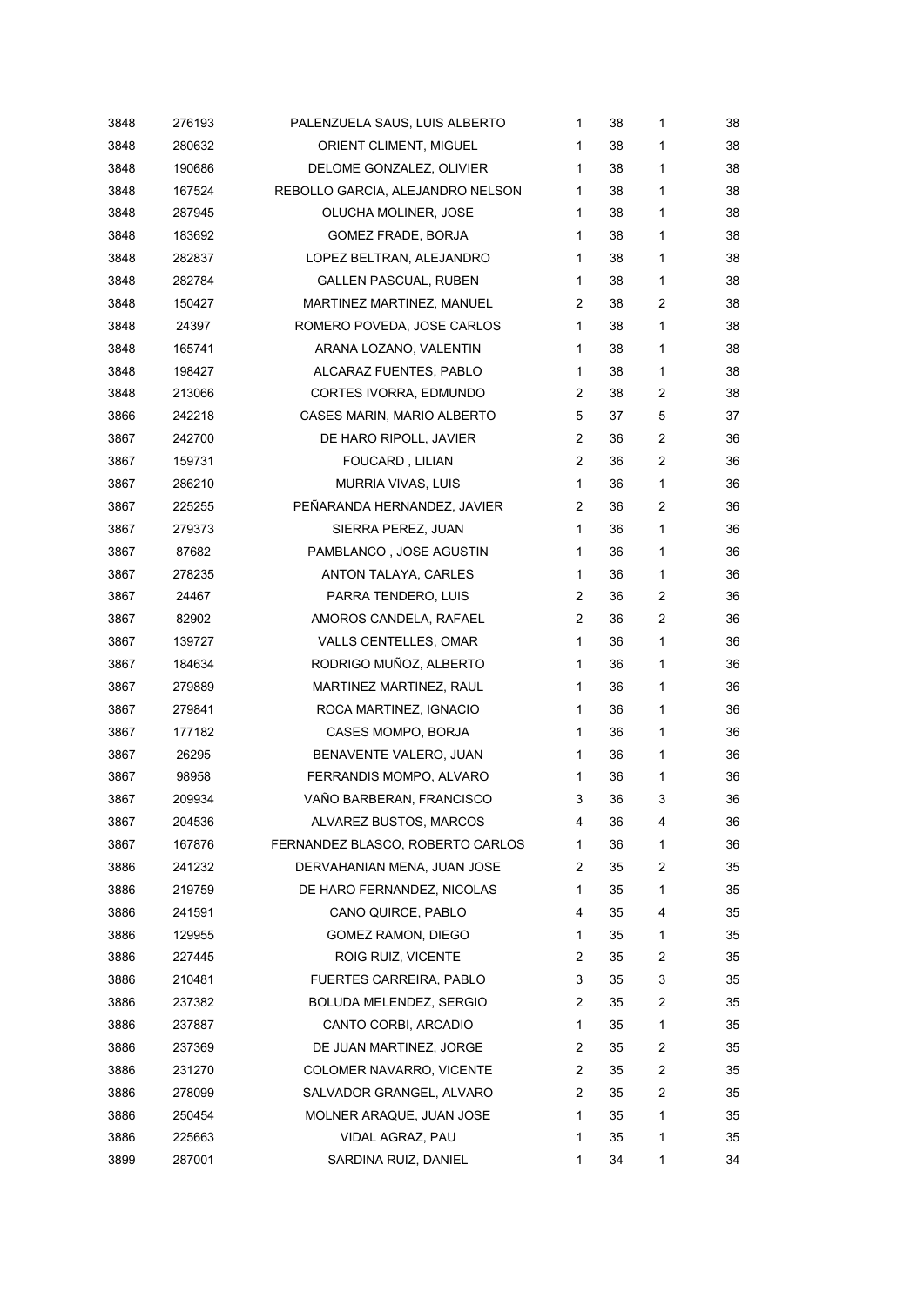| 3848 | 276193 | PALENZUELA SAUS, LUIS ALBERTO    | 1            | 38 | 1              | 38 |
|------|--------|----------------------------------|--------------|----|----------------|----|
| 3848 | 280632 | ORIENT CLIMENT, MIGUEL           | 1            | 38 | 1              | 38 |
| 3848 | 190686 | DELOME GONZALEZ, OLIVIER         | 1            | 38 | 1              | 38 |
| 3848 | 167524 | REBOLLO GARCIA, ALEJANDRO NELSON | 1            | 38 | 1              | 38 |
| 3848 | 287945 | OLUCHA MOLINER, JOSE             | 1            | 38 | $\mathbf{1}$   | 38 |
| 3848 | 183692 | GOMEZ FRADE, BORJA               | 1            | 38 | $\mathbf{1}$   | 38 |
| 3848 | 282837 | LOPEZ BELTRAN, ALEJANDRO         | 1            | 38 | 1              | 38 |
| 3848 | 282784 | <b>GALLEN PASCUAL, RUBEN</b>     | $\mathbf{1}$ | 38 | 1              | 38 |
| 3848 | 150427 | MARTINEZ MARTINEZ, MANUEL        | 2            | 38 | 2              | 38 |
| 3848 | 24397  | ROMERO POVEDA, JOSE CARLOS       | $\mathbf{1}$ | 38 | 1              | 38 |
| 3848 | 165741 | ARANA LOZANO, VALENTIN           | 1            | 38 | 1              | 38 |
| 3848 | 198427 | ALCARAZ FUENTES, PABLO           | $\mathbf{1}$ | 38 | 1              | 38 |
| 3848 | 213066 | CORTES IVORRA, EDMUNDO           | 2            | 38 | $\overline{c}$ | 38 |
| 3866 | 242218 | CASES MARIN, MARIO ALBERTO       | 5            | 37 | 5              | 37 |
| 3867 | 242700 | DE HARO RIPOLL, JAVIER           | 2            | 36 | 2              | 36 |
| 3867 | 159731 | FOUCARD, LILIAN                  | 2            | 36 | $\overline{c}$ | 36 |
| 3867 | 286210 | MURRIA VIVAS, LUIS               | $\mathbf{1}$ | 36 | 1              | 36 |
| 3867 | 225255 | PEÑARANDA HERNANDEZ, JAVIER      | 2            | 36 | $\overline{c}$ | 36 |
| 3867 | 279373 | SIERRA PEREZ, JUAN               | $\mathbf{1}$ | 36 | 1              | 36 |
| 3867 | 87682  | PAMBLANCO, JOSE AGUSTIN          | $\mathbf{1}$ | 36 | 1              | 36 |
| 3867 | 278235 | ANTON TALAYA, CARLES             | $\mathbf{1}$ | 36 | 1              | 36 |
| 3867 | 24467  | PARRA TENDERO, LUIS              | 2            | 36 | 2              | 36 |
| 3867 | 82902  | AMOROS CANDELA, RAFAEL           | 2            | 36 | $\overline{c}$ | 36 |
| 3867 | 139727 | VALLS CENTELLES, OMAR            | $\mathbf{1}$ | 36 | 1              | 36 |
| 3867 | 184634 | RODRIGO MUÑOZ, ALBERTO           | $\mathbf{1}$ | 36 | 1              | 36 |
| 3867 | 279889 | MARTINEZ MARTINEZ, RAUL          | $\mathbf{1}$ | 36 | 1              | 36 |
| 3867 | 279841 | ROCA MARTINEZ, IGNACIO           | $\mathbf{1}$ | 36 | 1              | 36 |
| 3867 | 177182 | CASES MOMPO, BORJA               | 1            | 36 | 1              | 36 |
| 3867 | 26295  | BENAVENTE VALERO, JUAN           | $\mathbf{1}$ | 36 | 1              | 36 |
| 3867 | 98958  | FERRANDIS MOMPO, ALVARO          | 1            | 36 | 1              | 36 |
| 3867 | 209934 | VAÑO BARBERAN, FRANCISCO         | 3            | 36 | 3              | 36 |
| 3867 | 204536 | ALVAREZ BUSTOS, MARCOS           | 4            | 36 | 4              | 36 |
| 3867 | 167876 | FERNANDEZ BLASCO, ROBERTO CARLOS | 1            | 36 | 1              | 36 |
| 3886 | 241232 | DERVAHANIAN MENA, JUAN JOSE      | 2            | 35 | 2              | 35 |
| 3886 | 219759 | DE HARO FERNANDEZ, NICOLAS       | 1            | 35 | 1              | 35 |
| 3886 | 241591 | CANO QUIRCE, PABLO               | 4            | 35 | 4              | 35 |
| 3886 | 129955 | GOMEZ RAMON, DIEGO               | 1            | 35 | 1              | 35 |
| 3886 | 227445 | ROIG RUIZ, VICENTE               | 2            | 35 | 2              | 35 |
| 3886 | 210481 | FUERTES CARREIRA, PABLO          | 3            | 35 | 3              | 35 |
| 3886 | 237382 | BOLUDA MELENDEZ, SERGIO          | 2            | 35 | 2              | 35 |
| 3886 | 237887 | CANTO CORBI, ARCADIO             | 1            | 35 | 1              | 35 |
| 3886 | 237369 | DE JUAN MARTINEZ, JORGE          | 2            | 35 | 2              | 35 |
| 3886 | 231270 | COLOMER NAVARRO, VICENTE         | 2            | 35 | 2              | 35 |
| 3886 | 278099 | SALVADOR GRANGEL, ALVARO         | 2            | 35 | 2              | 35 |
| 3886 | 250454 | MOLNER ARAQUE, JUAN JOSE         | 1            | 35 | 1              | 35 |
| 3886 | 225663 | VIDAL AGRAZ, PAU                 | 1            | 35 | 1              | 35 |
| 3899 | 287001 | SARDINA RUIZ, DANIEL             | 1            | 34 | 1              | 34 |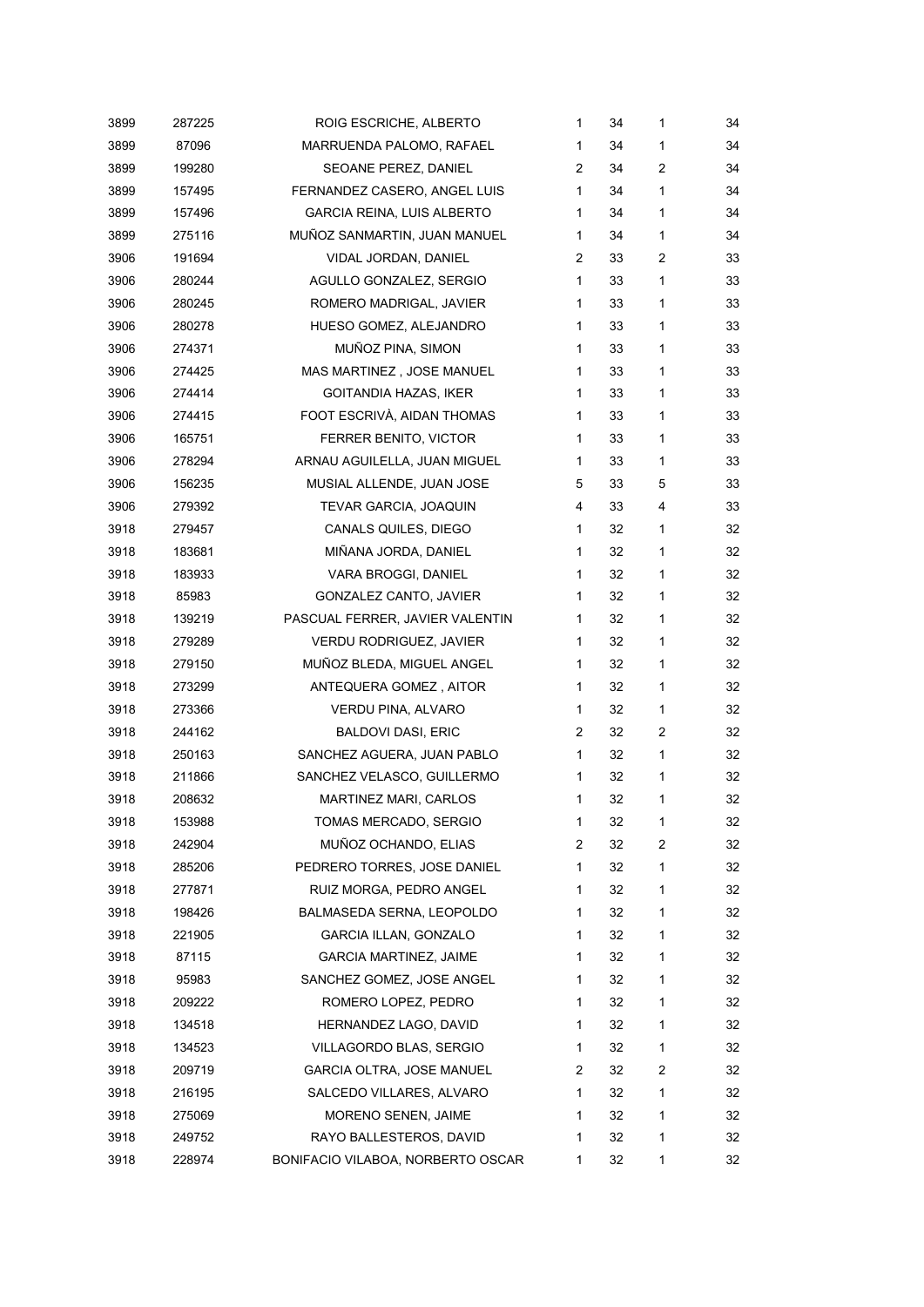| 3899 | 287225 | ROIG ESCRICHE, ALBERTO            | 1              | 34 | 1            | 34 |
|------|--------|-----------------------------------|----------------|----|--------------|----|
| 3899 | 87096  | MARRUENDA PALOMO, RAFAEL          | $\mathbf{1}$   | 34 | 1            | 34 |
| 3899 | 199280 | SEOANE PEREZ, DANIEL              | $\overline{2}$ | 34 | 2            | 34 |
| 3899 | 157495 | FERNANDEZ CASERO, ANGEL LUIS      | 1              | 34 | 1            | 34 |
| 3899 | 157496 | <b>GARCIA REINA, LUIS ALBERTO</b> | 1              | 34 | 1            | 34 |
| 3899 | 275116 | MUÑOZ SANMARTIN, JUAN MANUEL      | $\mathbf{1}$   | 34 | $\mathbf{1}$ | 34 |
| 3906 | 191694 | VIDAL JORDAN, DANIEL              | 2              | 33 | 2            | 33 |
| 3906 | 280244 | AGULLO GONZALEZ, SERGIO           | 1              | 33 | 1            | 33 |
| 3906 | 280245 | ROMERO MADRIGAL, JAVIER           | 1              | 33 | 1            | 33 |
| 3906 | 280278 | HUESO GOMEZ, ALEJANDRO            | 1              | 33 | 1            | 33 |
| 3906 | 274371 | MUÑOZ PINA, SIMON                 | 1              | 33 | 1            | 33 |
| 3906 | 274425 | MAS MARTINEZ, JOSE MANUEL         | 1              | 33 | 1            | 33 |
| 3906 | 274414 | GOITANDIA HAZAS, IKER             | 1              | 33 | 1            | 33 |
| 3906 | 274415 | FOOT ESCRIVÀ, AIDAN THOMAS        | 1              | 33 | 1            | 33 |
| 3906 | 165751 | FERRER BENITO, VICTOR             | 1              | 33 | 1            | 33 |
| 3906 | 278294 | ARNAU AGUILELLA, JUAN MIGUEL      | $\mathbf{1}$   | 33 | 1            | 33 |
| 3906 | 156235 | MUSIAL ALLENDE, JUAN JOSE         | 5              | 33 | 5            | 33 |
| 3906 | 279392 | TEVAR GARCIA, JOAQUIN             | 4              | 33 | 4            | 33 |
| 3918 | 279457 | CANALS QUILES, DIEGO              | 1              | 32 | 1            | 32 |
| 3918 | 183681 | MIÑANA JORDA, DANIEL              | 1              | 32 | 1            | 32 |
| 3918 | 183933 | VARA BROGGI, DANIEL               | 1              | 32 | 1            | 32 |
| 3918 | 85983  | GONZALEZ CANTO, JAVIER            | $\mathbf{1}$   | 32 | 1            | 32 |
| 3918 | 139219 | PASCUAL FERRER, JAVIER VALENTIN   | 1              | 32 | 1            | 32 |
| 3918 | 279289 | <b>VERDU RODRIGUEZ, JAVIER</b>    | 1              | 32 | 1            | 32 |
| 3918 | 279150 | MUÑOZ BLEDA, MIGUEL ANGEL         | 1              | 32 | $\mathbf{1}$ | 32 |
| 3918 | 273299 | ANTEQUERA GOMEZ, AITOR            | $\mathbf{1}$   | 32 | 1            | 32 |
| 3918 | 273366 | VERDU PINA, ALVARO                | $\mathbf{1}$   | 32 | 1            | 32 |
| 3918 | 244162 | <b>BALDOVI DASI, ERIC</b>         | 2              | 32 | 2            | 32 |
| 3918 | 250163 | SANCHEZ AGUERA, JUAN PABLO        | $\mathbf{1}$   | 32 | 1            | 32 |
| 3918 | 211866 | SANCHEZ VELASCO, GUILLERMO        | 1              | 32 | 1            | 32 |
| 3918 | 208632 | MARTINEZ MARI, CARLOS             | 1              | 32 | 1            | 32 |
| 3918 | 153988 | TOMAS MERCADO, SERGIO             | 1              | 32 | 1            | 32 |
| 3918 | 242904 | MUÑOZ OCHANDO, ELIAS              | 2              | 32 | 2            | 32 |
| 3918 | 285206 | PEDRERO TORRES, JOSE DANIEL       | 1              | 32 | 1            | 32 |
| 3918 | 277871 | RUIZ MORGA, PEDRO ANGEL           | 1              | 32 | 1            | 32 |
| 3918 | 198426 | BALMASEDA SERNA, LEOPOLDO         | 1              | 32 | 1            | 32 |
| 3918 | 221905 | <b>GARCIA ILLAN, GONZALO</b>      | 1              | 32 | 1            | 32 |
| 3918 | 87115  | <b>GARCIA MARTINEZ, JAIME</b>     | 1              | 32 | 1            | 32 |
| 3918 | 95983  | SANCHEZ GOMEZ, JOSE ANGEL         | 1              | 32 | 1            | 32 |
| 3918 | 209222 | ROMERO LOPEZ, PEDRO               | 1              | 32 | 1            | 32 |
| 3918 | 134518 | HERNANDEZ LAGO, DAVID             | 1              | 32 | 1            | 32 |
| 3918 | 134523 | VILLAGORDO BLAS, SERGIO           | 1              | 32 | 1            | 32 |
| 3918 | 209719 | GARCIA OLTRA, JOSE MANUEL         | 2              | 32 | 2            | 32 |
| 3918 | 216195 | SALCEDO VILLARES, ALVARO          | 1              | 32 | 1            | 32 |
| 3918 | 275069 | MORENO SENEN, JAIME               | 1              | 32 | 1            | 32 |
| 3918 | 249752 | RAYO BALLESTEROS, DAVID           | 1              | 32 | 1            | 32 |
| 3918 | 228974 | BONIFACIO VILABOA, NORBERTO OSCAR | 1              | 32 | 1            | 32 |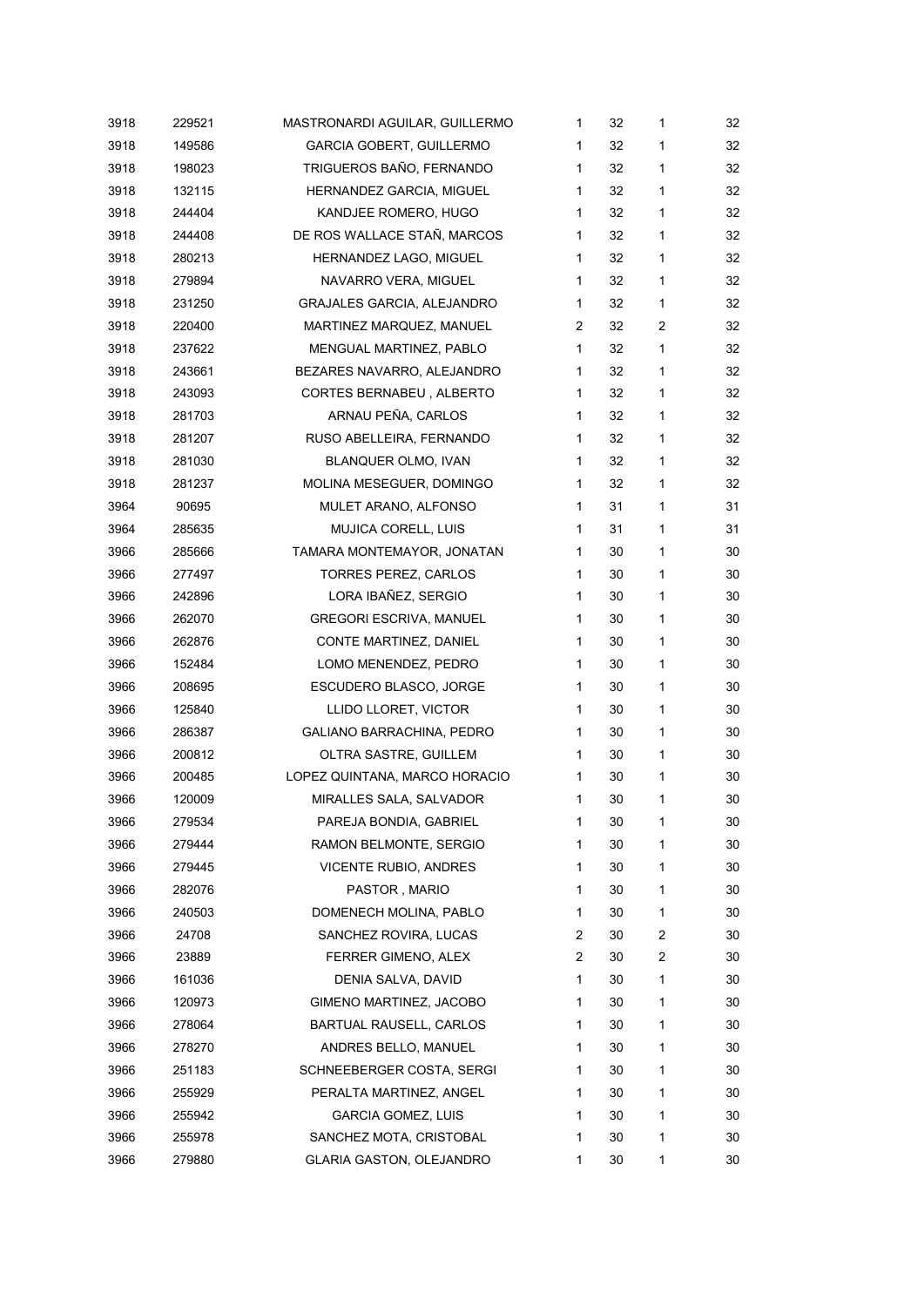| 3918 | 229521 | MASTRONARDI AGUILAR, GUILLERMO    | 1 | 32 | 1            | 32 |
|------|--------|-----------------------------------|---|----|--------------|----|
| 3918 | 149586 | <b>GARCIA GOBERT, GUILLERMO</b>   | 1 | 32 | 1            | 32 |
| 3918 | 198023 | TRIGUEROS BAÑO, FERNANDO          | 1 | 32 | 1            | 32 |
| 3918 | 132115 | HERNANDEZ GARCIA, MIGUEL          | 1 | 32 | 1            | 32 |
| 3918 | 244404 | KANDJEE ROMERO, HUGO              | 1 | 32 | 1            | 32 |
| 3918 | 244408 | DE ROS WALLACE STAÑ, MARCOS       | 1 | 32 | 1            | 32 |
| 3918 | 280213 | HERNANDEZ LAGO, MIGUEL            | 1 | 32 | 1            | 32 |
| 3918 | 279894 | NAVARRO VERA, MIGUEL              | 1 | 32 | 1            | 32 |
| 3918 | 231250 | <b>GRAJALES GARCIA, ALEJANDRO</b> | 1 | 32 | 1            | 32 |
| 3918 | 220400 | MARTINEZ MARQUEZ, MANUEL          | 2 | 32 | 2            | 32 |
| 3918 | 237622 | MENGUAL MARTINEZ, PABLO           | 1 | 32 | 1            | 32 |
| 3918 | 243661 | BEZARES NAVARRO, ALEJANDRO        | 1 | 32 | 1            | 32 |
| 3918 | 243093 | CORTES BERNABEU, ALBERTO          | 1 | 32 | $\mathbf{1}$ | 32 |
| 3918 | 281703 | ARNAU PEÑA, CARLOS                | 1 | 32 | 1            | 32 |
| 3918 | 281207 | RUSO ABELLEIRA, FERNANDO          | 1 | 32 | 1            | 32 |
| 3918 | 281030 | BLANQUER OLMO, IVAN               | 1 | 32 | 1            | 32 |
| 3918 | 281237 | MOLINA MESEGUER, DOMINGO          | 1 | 32 | 1            | 32 |
| 3964 | 90695  | MULET ARANO, ALFONSO              | 1 | 31 | 1            | 31 |
| 3964 | 285635 | MUJICA CORELL, LUIS               | 1 | 31 | 1            | 31 |
| 3966 | 285666 | TAMARA MONTEMAYOR, JONATAN        | 1 | 30 | 1            | 30 |
| 3966 | 277497 | <b>TORRES PEREZ, CARLOS</b>       | 1 | 30 | 1            | 30 |
| 3966 | 242896 | LORA IBAÑEZ, SERGIO               | 1 | 30 | 1            | 30 |
| 3966 | 262070 | <b>GREGORI ESCRIVA, MANUEL</b>    | 1 | 30 | 1            | 30 |
| 3966 | 262876 | CONTE MARTINEZ, DANIEL            | 1 | 30 | 1            | 30 |
| 3966 | 152484 | LOMO MENENDEZ, PEDRO              | 1 | 30 | 1            | 30 |
| 3966 | 208695 | <b>ESCUDERO BLASCO, JORGE</b>     | 1 | 30 | 1            | 30 |
| 3966 | 125840 | LLIDO LLORET, VICTOR              | 1 | 30 | 1            | 30 |
| 3966 | 286387 | GALIANO BARRACHINA, PEDRO         | 1 | 30 | 1            | 30 |
| 3966 | 200812 | OLTRA SASTRE, GUILLEM             | 1 | 30 | 1            | 30 |
| 3966 | 200485 | LOPEZ QUINTANA, MARCO HORACIO     | 1 | 30 | 1            | 30 |
| 3966 | 120009 | MIRALLES SALA, SALVADOR           | 1 | 30 | 1            | 30 |
| 3966 | 279534 | PAREJA BONDIA, GABRIEL            | 1 | 30 | 1            | 30 |
| 3966 | 279444 | RAMON BELMONTE, SERGIO            | 1 | 30 | 1            | 30 |
| 3966 | 279445 | <b>VICENTE RUBIO, ANDRES</b>      | 1 | 30 | 1            | 30 |
| 3966 | 282076 | PASTOR, MARIO                     | 1 | 30 | 1            | 30 |
| 3966 | 240503 | DOMENECH MOLINA, PABLO            | 1 | 30 | 1            | 30 |
| 3966 | 24708  | SANCHEZ ROVIRA, LUCAS             | 2 | 30 | 2            | 30 |
| 3966 | 23889  | FERRER GIMENO, ALEX               | 2 | 30 | 2            | 30 |
| 3966 | 161036 | DENIA SALVA, DAVID                | 1 | 30 | 1            | 30 |
| 3966 | 120973 | GIMENO MARTINEZ, JACOBO           | 1 | 30 | 1            | 30 |
| 3966 | 278064 | BARTUAL RAUSELL, CARLOS           | 1 | 30 | 1            | 30 |
| 3966 | 278270 | ANDRES BELLO, MANUEL              | 1 | 30 | 1            | 30 |
| 3966 | 251183 | SCHNEEBERGER COSTA, SERGI         | 1 | 30 | 1            | 30 |
| 3966 | 255929 | PERALTA MARTINEZ, ANGEL           | 1 | 30 | 1            | 30 |
| 3966 | 255942 | <b>GARCIA GOMEZ, LUIS</b>         | 1 | 30 | 1            | 30 |
| 3966 | 255978 | SANCHEZ MOTA, CRISTOBAL           | 1 | 30 | 1            | 30 |
| 3966 | 279880 | <b>GLARIA GASTON, OLEJANDRO</b>   | 1 | 30 | 1            | 30 |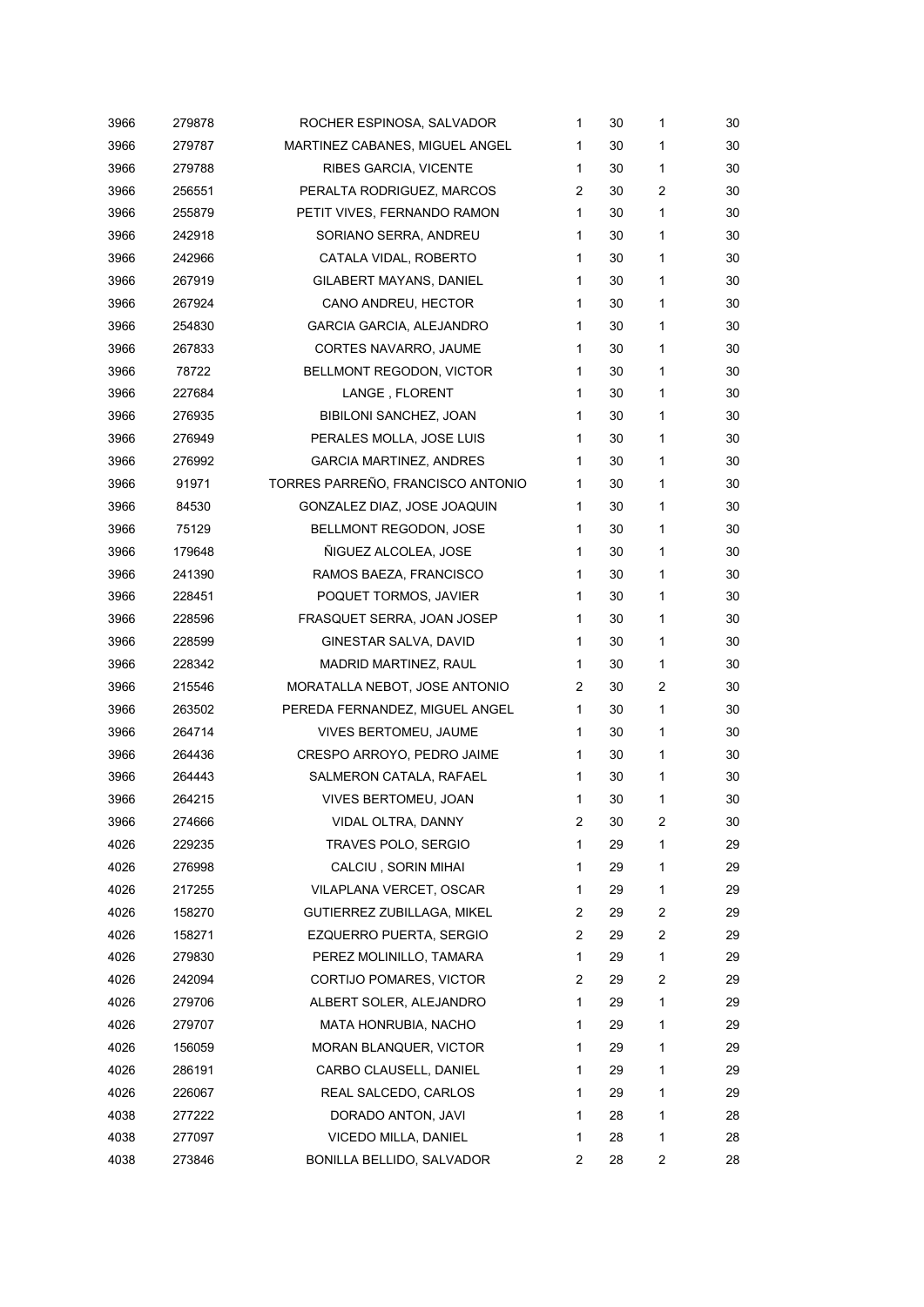| 3966 | 279878 | ROCHER ESPINOSA, SALVADOR         | 1              | 30 | 1              | 30 |
|------|--------|-----------------------------------|----------------|----|----------------|----|
| 3966 | 279787 | MARTINEZ CABANES, MIGUEL ANGEL    | 1              | 30 | 1              | 30 |
| 3966 | 279788 | RIBES GARCIA, VICENTE             | $\mathbf{1}$   | 30 | 1              | 30 |
| 3966 | 256551 | PERALTA RODRIGUEZ, MARCOS         | 2              | 30 | 2              | 30 |
| 3966 | 255879 | PETIT VIVES, FERNANDO RAMON       | $\mathbf{1}$   | 30 | 1              | 30 |
| 3966 | 242918 | SORIANO SERRA, ANDREU             | 1              | 30 | 1              | 30 |
| 3966 | 242966 | CATALA VIDAL, ROBERTO             | 1              | 30 | 1              | 30 |
| 3966 | 267919 | GILABERT MAYANS, DANIEL           | 1              | 30 | 1              | 30 |
| 3966 | 267924 | CANO ANDREU, HECTOR               | 1              | 30 | 1              | 30 |
| 3966 | 254830 | <b>GARCIA GARCIA, ALEJANDRO</b>   | 1              | 30 | 1              | 30 |
| 3966 | 267833 | CORTES NAVARRO, JAUME             | 1              | 30 | 1              | 30 |
| 3966 | 78722  | BELLMONT REGODON, VICTOR          | 1              | 30 | 1              | 30 |
| 3966 | 227684 | LANGE, FLORENT                    | 1              | 30 | 1              | 30 |
| 3966 | 276935 | BIBILONI SANCHEZ, JOAN            | 1              | 30 | 1              | 30 |
| 3966 | 276949 | PERALES MOLLA, JOSE LUIS          | 1              | 30 | 1              | 30 |
| 3966 | 276992 | GARCIA MARTINEZ, ANDRES           | 1              | 30 | 1              | 30 |
| 3966 | 91971  | TORRES PARREÑO, FRANCISCO ANTONIO | 1              | 30 | 1              | 30 |
| 3966 | 84530  | GONZALEZ DIAZ, JOSE JOAQUIN       | 1              | 30 | 1              | 30 |
| 3966 | 75129  | BELLMONT REGODON, JOSE            | 1              | 30 | 1              | 30 |
| 3966 | 179648 | ÑIGUEZ ALCOLEA, JOSE              | 1              | 30 | 1              | 30 |
| 3966 | 241390 | RAMOS BAEZA, FRANCISCO            | 1              | 30 | 1              | 30 |
| 3966 | 228451 | POQUET TORMOS, JAVIER             | $\mathbf{1}$   | 30 | 1              | 30 |
| 3966 | 228596 | FRASQUET SERRA, JOAN JOSEP        | 1              | 30 | 1              | 30 |
| 3966 | 228599 | GINESTAR SALVA, DAVID             | 1              | 30 | 1              | 30 |
| 3966 | 228342 | MADRID MARTINEZ, RAUL             | 1              | 30 | 1              | 30 |
| 3966 | 215546 | MORATALLA NEBOT, JOSE ANTONIO     | 2              | 30 | 2              | 30 |
| 3966 | 263502 | PEREDA FERNANDEZ, MIGUEL ANGEL    | 1              | 30 | 1              | 30 |
| 3966 | 264714 | <b>VIVES BERTOMEU, JAUME</b>      | 1              | 30 | 1              | 30 |
| 3966 | 264436 | CRESPO ARROYO, PEDRO JAIME        | $\mathbf{1}$   | 30 | 1              | 30 |
| 3966 | 264443 | SALMERON CATALA, RAFAEL           | 1              | 30 | 1              | 30 |
| 3966 | 264215 | VIVES BERTOMEU, JOAN              | 1              | 30 | 1              | 30 |
| 3966 | 274666 | VIDAL OLTRA, DANNY                | 2              | 30 | 2              | 30 |
| 4026 | 229235 | TRAVES POLO, SERGIO               | 1              | 29 | 1              | 29 |
| 4026 | 276998 | CALCIU, SORIN MIHAI               | 1              | 29 | 1              | 29 |
| 4026 | 217255 | VILAPLANA VERCET, OSCAR           | 1              | 29 | 1              | 29 |
| 4026 | 158270 | GUTIERREZ ZUBILLAGA, MIKEL        | 2              | 29 | 2              | 29 |
| 4026 | 158271 | EZQUERRO PUERTA, SERGIO           | $\overline{2}$ | 29 | $\overline{c}$ | 29 |
| 4026 | 279830 | PEREZ MOLINILLO, TAMARA           | 1              | 29 | 1              | 29 |
| 4026 | 242094 | CORTIJO POMARES, VICTOR           | 2              | 29 | 2              | 29 |
| 4026 | 279706 | ALBERT SOLER, ALEJANDRO           | 1              | 29 | 1              | 29 |
| 4026 | 279707 | MATA HONRUBIA, NACHO              | 1              | 29 | 1              | 29 |
| 4026 | 156059 | MORAN BLANQUER, VICTOR            | 1              | 29 | 1              | 29 |
| 4026 | 286191 | CARBO CLAUSELL, DANIEL            | 1              | 29 | 1              | 29 |
| 4026 | 226067 | REAL SALCEDO, CARLOS              | 1              | 29 | 1              | 29 |
| 4038 | 277222 | DORADO ANTON, JAVI                | 1              | 28 | 1              | 28 |
| 4038 | 277097 | VICEDO MILLA, DANIEL              | 1              | 28 | 1              | 28 |
| 4038 | 273846 | BONILLA BELLIDO, SALVADOR         | 2              | 28 | 2              | 28 |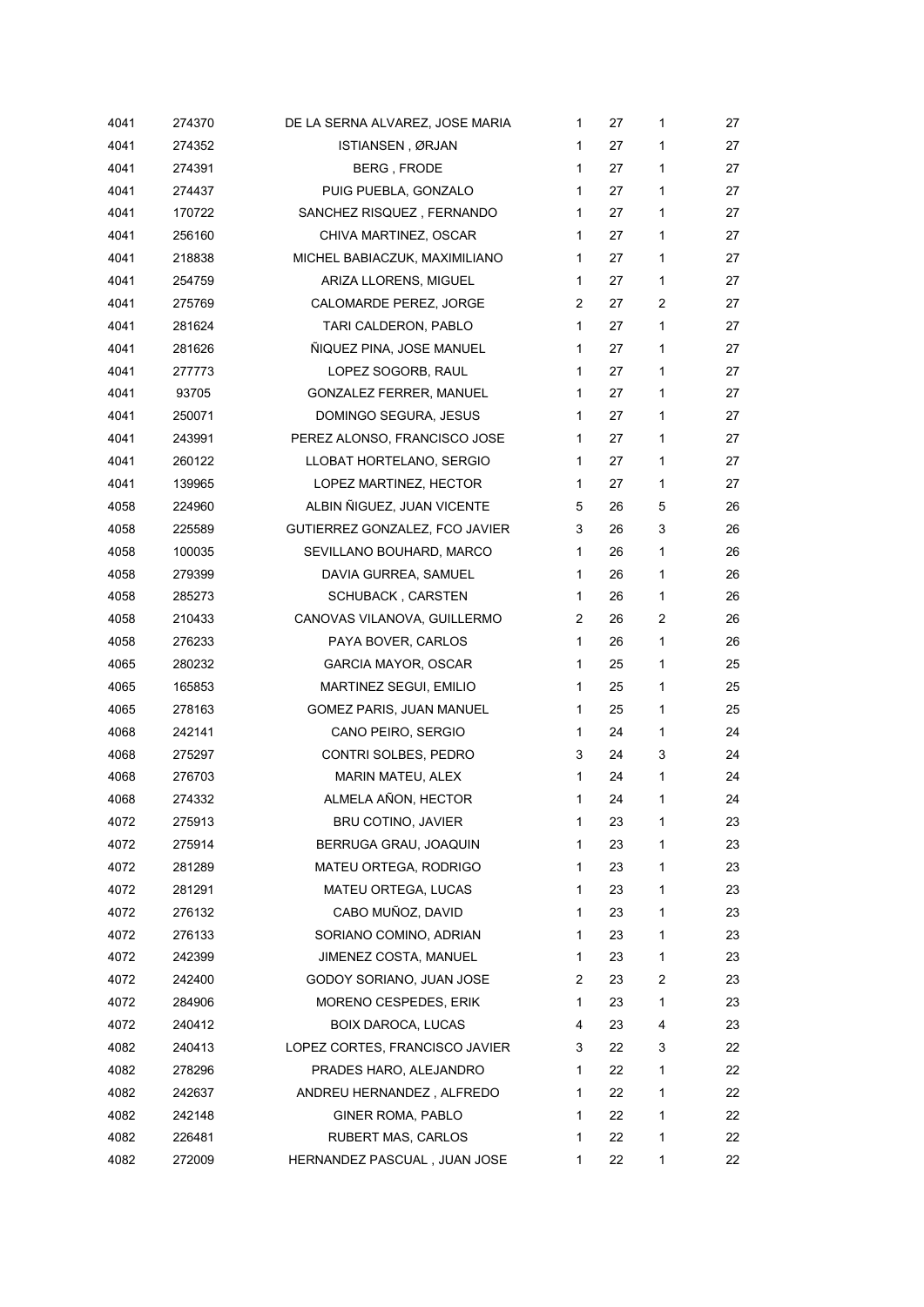| 4041 | 274370 | DE LA SERNA ALVAREZ, JOSE MARIA | 1            | 27 | 1            | 27 |
|------|--------|---------------------------------|--------------|----|--------------|----|
| 4041 | 274352 | ISTIANSEN, ØRJAN                | 1            | 27 | 1            | 27 |
| 4041 | 274391 | BERG, FRODE                     | 1            | 27 | 1            | 27 |
| 4041 | 274437 | PUIG PUEBLA, GONZALO            | 1            | 27 | 1            | 27 |
| 4041 | 170722 | SANCHEZ RISQUEZ, FERNANDO       | 1            | 27 | 1            | 27 |
| 4041 | 256160 | CHIVA MARTINEZ, OSCAR           | 1            | 27 | 1            | 27 |
| 4041 | 218838 | MICHEL BABIACZUK, MAXIMILIANO   | 1            | 27 | 1            | 27 |
| 4041 | 254759 | ARIZA LLORENS, MIGUEL           | $\mathbf 1$  | 27 | 1            | 27 |
| 4041 | 275769 | CALOMARDE PEREZ, JORGE          | 2            | 27 | 2            | 27 |
| 4041 | 281624 | TARI CALDERON, PABLO            | 1            | 27 | 1            | 27 |
| 4041 | 281626 | ÑIQUEZ PINA, JOSE MANUEL        | 1            | 27 | 1            | 27 |
| 4041 | 277773 | LOPEZ SOGORB, RAUL              | 1            | 27 | 1            | 27 |
| 4041 | 93705  | GONZALEZ FERRER, MANUEL         | $\mathbf{1}$ | 27 | 1            | 27 |
| 4041 | 250071 | DOMINGO SEGURA, JESUS           | 1            | 27 | 1            | 27 |
| 4041 | 243991 | PEREZ ALONSO, FRANCISCO JOSE    | 1            | 27 | 1            | 27 |
| 4041 | 260122 | LLOBAT HORTELANO, SERGIO        | 1            | 27 | 1            | 27 |
| 4041 | 139965 | LOPEZ MARTINEZ, HECTOR          | $\mathbf 1$  | 27 | 1            | 27 |
| 4058 | 224960 | ALBIN ÑIGUEZ, JUAN VICENTE      | 5            | 26 | 5            | 26 |
| 4058 | 225589 | GUTIERREZ GONZALEZ, FCO JAVIER  | 3            | 26 | 3            | 26 |
| 4058 | 100035 | SEVILLANO BOUHARD, MARCO        | 1            | 26 | 1            | 26 |
| 4058 | 279399 | DAVIA GURREA, SAMUEL            | $\mathbf{1}$ | 26 | 1            | 26 |
| 4058 | 285273 | SCHUBACK , CARSTEN              | $\mathbf 1$  | 26 | 1            | 26 |
| 4058 | 210433 | CANOVAS VILANOVA, GUILLERMO     | 2            | 26 | 2            | 26 |
| 4058 | 276233 | PAYA BOVER, CARLOS              | 1            | 26 | $\mathbf{1}$ | 26 |
| 4065 | 280232 | GARCIA MAYOR, OSCAR             | 1            | 25 | 1            | 25 |
| 4065 | 165853 | MARTINEZ SEGUI, EMILIO          | 1            | 25 | 1            | 25 |
| 4065 | 278163 | GOMEZ PARIS, JUAN MANUEL        | $\mathbf 1$  | 25 | 1            | 25 |
| 4068 | 242141 | CANO PEIRO, SERGIO              | 1            | 24 | 1            | 24 |
| 4068 | 275297 | CONTRI SOLBES, PEDRO            | 3            | 24 | 3            | 24 |
| 4068 | 276703 | MARIN MATEU, ALEX               | 1            | 24 | 1            | 24 |
| 4068 | 274332 | ALMELA AÑON, HECTOR             | 1            | 24 | 1            | 24 |
| 4072 | 275913 | <b>BRU COTINO, JAVIER</b>       | 1            | 23 | 1            | 23 |
| 4072 | 275914 | BERRUGA GRAU, JOAQUIN           | 1            | 23 | 1            | 23 |
| 4072 | 281289 | MATEU ORTEGA, RODRIGO           | 1            | 23 | 1            | 23 |
| 4072 | 281291 | MATEU ORTEGA, LUCAS             | 1            | 23 | 1            | 23 |
| 4072 | 276132 | CABO MUÑOZ, DAVID               | 1            | 23 | 1            | 23 |
| 4072 | 276133 | SORIANO COMINO, ADRIAN          | 1            | 23 | 1            | 23 |
| 4072 | 242399 | JIMENEZ COSTA, MANUEL           | 1            | 23 | 1            | 23 |
| 4072 | 242400 | GODOY SORIANO, JUAN JOSE        | 2            | 23 | 2            | 23 |
| 4072 | 284906 | MORENO CESPEDES, ERIK           | 1            | 23 | 1            | 23 |
| 4072 | 240412 | BOIX DAROCA, LUCAS              | 4            | 23 | 4            | 23 |
| 4082 | 240413 | LOPEZ CORTES, FRANCISCO JAVIER  | 3            | 22 | 3            | 22 |
| 4082 | 278296 | PRADES HARO, ALEJANDRO          | 1            | 22 | 1            | 22 |
| 4082 | 242637 | ANDREU HERNANDEZ, ALFREDO       | 1            | 22 | 1            | 22 |
| 4082 | 242148 | GINER ROMA, PABLO               | 1            | 22 | 1            | 22 |
| 4082 | 226481 | <b>RUBERT MAS, CARLOS</b>       | 1            | 22 | 1            | 22 |
| 4082 | 272009 | HERNANDEZ PASCUAL, JUAN JOSE    | 1            | 22 | 1            | 22 |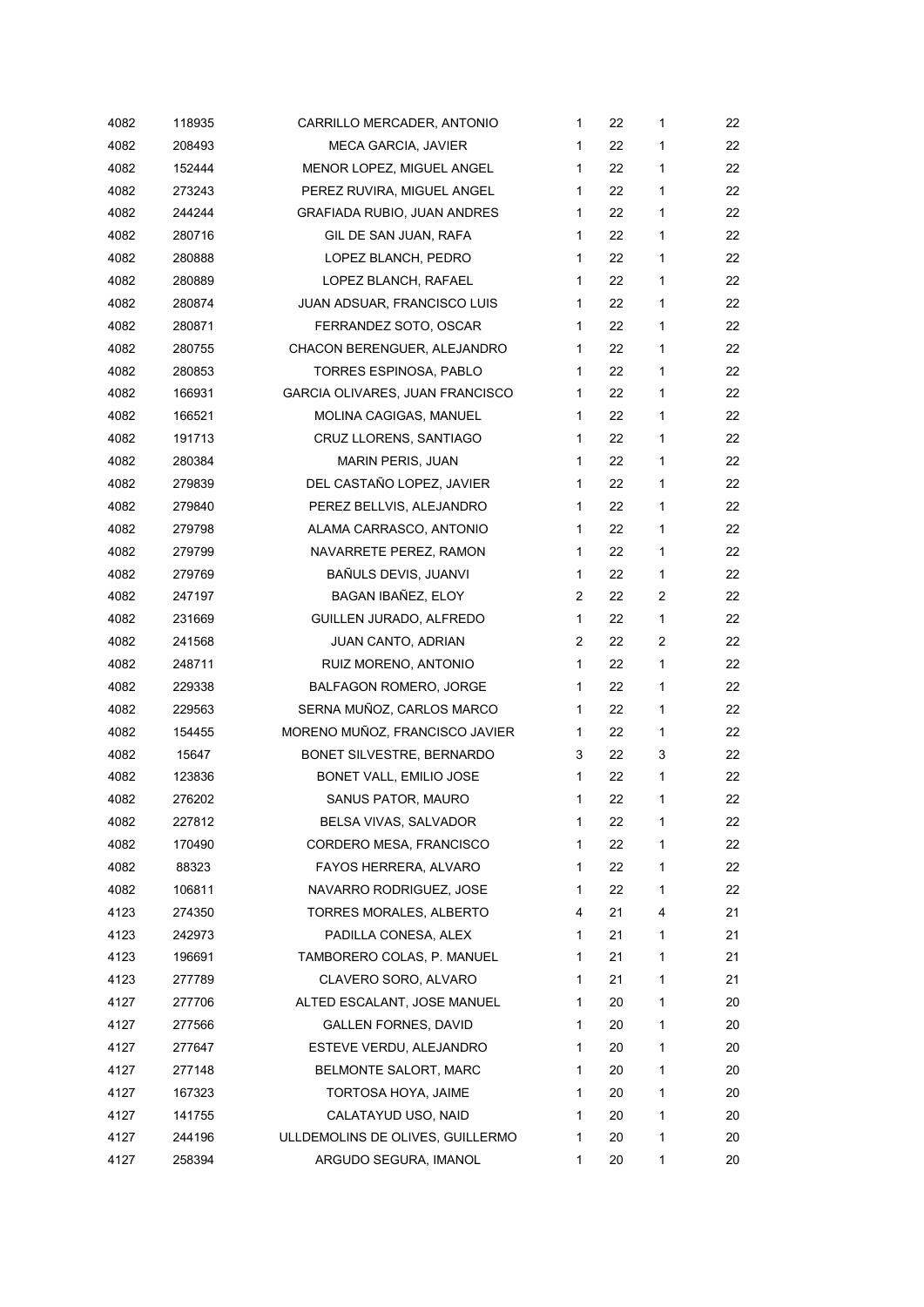| 4082 | 118935 | CARRILLO MERCADER, ANTONIO         | 1            | 22 | 1 | 22 |
|------|--------|------------------------------------|--------------|----|---|----|
| 4082 | 208493 | <b>MECA GARCIA, JAVIER</b>         | $\mathbf{1}$ | 22 | 1 | 22 |
| 4082 | 152444 | MENOR LOPEZ, MIGUEL ANGEL          | 1            | 22 | 1 | 22 |
| 4082 | 273243 | PEREZ RUVIRA, MIGUEL ANGEL         | 1            | 22 | 1 | 22 |
| 4082 | 244244 | <b>GRAFIADA RUBIO, JUAN ANDRES</b> | 1            | 22 | 1 | 22 |
| 4082 | 280716 | GIL DE SAN JUAN, RAFA              | 1            | 22 | 1 | 22 |
| 4082 | 280888 | LOPEZ BLANCH, PEDRO                | 1            | 22 | 1 | 22 |
| 4082 | 280889 | LOPEZ BLANCH, RAFAEL               | 1            | 22 | 1 | 22 |
| 4082 | 280874 | JUAN ADSUAR, FRANCISCO LUIS        | 1            | 22 | 1 | 22 |
| 4082 | 280871 | FERRANDEZ SOTO, OSCAR              | 1            | 22 | 1 | 22 |
| 4082 | 280755 | CHACON BERENGUER, ALEJANDRO        | 1            | 22 | 1 | 22 |
| 4082 | 280853 | TORRES ESPINOSA, PABLO             | $\mathbf{1}$ | 22 | 1 | 22 |
| 4082 | 166931 | GARCIA OLIVARES, JUAN FRANCISCO    | 1            | 22 | 1 | 22 |
| 4082 | 166521 | MOLINA CAGIGAS, MANUEL             | $\mathbf{1}$ | 22 | 1 | 22 |
| 4082 | 191713 | CRUZ LLORENS, SANTIAGO             | 1            | 22 | 1 | 22 |
| 4082 | 280384 | MARIN PERIS, JUAN                  | 1            | 22 | 1 | 22 |
| 4082 | 279839 | DEL CASTAÑO LOPEZ, JAVIER          | $\mathbf{1}$ | 22 | 1 | 22 |
| 4082 | 279840 | PEREZ BELLVIS, ALEJANDRO           | $\mathbf{1}$ | 22 | 1 | 22 |
| 4082 | 279798 | ALAMA CARRASCO, ANTONIO            | 1            | 22 | 1 | 22 |
| 4082 | 279799 | NAVARRETE PEREZ, RAMON             | $\mathbf{1}$ | 22 | 1 | 22 |
| 4082 | 279769 | BAÑULS DEVIS, JUANVI               | 1            | 22 | 1 | 22 |
| 4082 | 247197 | BAGAN IBAÑEZ, ELOY                 | 2            | 22 | 2 | 22 |
| 4082 | 231669 | GUILLEN JURADO, ALFREDO            | 1            | 22 | 1 | 22 |
| 4082 | 241568 | JUAN CANTO, ADRIAN                 | 2            | 22 | 2 | 22 |
| 4082 | 248711 | RUIZ MORENO, ANTONIO               | $\mathbf{1}$ | 22 | 1 | 22 |
| 4082 | 229338 | <b>BALFAGON ROMERO, JORGE</b>      | $\mathbf{1}$ | 22 | 1 | 22 |
| 4082 | 229563 | SERNA MUÑOZ, CARLOS MARCO          | $\mathbf{1}$ | 22 | 1 | 22 |
| 4082 | 154455 | MORENO MUÑOZ, FRANCISCO JAVIER     | 1            | 22 | 1 | 22 |
| 4082 | 15647  | BONET SILVESTRE, BERNARDO          | 3            | 22 | 3 | 22 |
| 4082 | 123836 | BONET VALL, EMILIO JOSE            | 1            | 22 | 1 | 22 |
| 4082 | 276202 | SANUS PATOR, MAURO                 | 1            | 22 | 1 | 22 |
| 4082 | 227812 | BELSA VIVAS, SALVADOR              | 1            | 22 | 1 | 22 |
| 4082 | 170490 | CORDERO MESA, FRANCISCO            | 1            | 22 | 1 | 22 |
| 4082 | 88323  | FAYOS HERRERA, ALVARO              | 1            | 22 | 1 | 22 |
| 4082 | 106811 | NAVARRO RODRIGUEZ, JOSE            | 1            | 22 | 1 | 22 |
| 4123 | 274350 | TORRES MORALES, ALBERTO            | 4            | 21 | 4 | 21 |
| 4123 | 242973 | PADILLA CONESA, ALEX               | 1            | 21 | 1 | 21 |
| 4123 | 196691 | TAMBORERO COLAS, P. MANUEL         | 1            | 21 | 1 | 21 |
| 4123 | 277789 | CLAVERO SORO, ALVARO               | 1            | 21 | 1 | 21 |
| 4127 | 277706 | ALTED ESCALANT, JOSE MANUEL        | 1            | 20 | 1 | 20 |
| 4127 | 277566 | GALLEN FORNES, DAVID               | 1            | 20 | 1 | 20 |
| 4127 | 277647 | ESTEVE VERDU, ALEJANDRO            | 1            | 20 | 1 | 20 |
| 4127 | 277148 | BELMONTE SALORT, MARC              | 1            | 20 | 1 | 20 |
| 4127 | 167323 | TORTOSA HOYA, JAIME                | 1            | 20 | 1 | 20 |
| 4127 | 141755 | CALATAYUD USO, NAID                | 1            | 20 | 1 | 20 |
| 4127 | 244196 | ULLDEMOLINS DE OLIVES, GUILLERMO   | 1            | 20 | 1 | 20 |
| 4127 | 258394 | ARGUDO SEGURA, IMANOL              | 1            | 20 | 1 | 20 |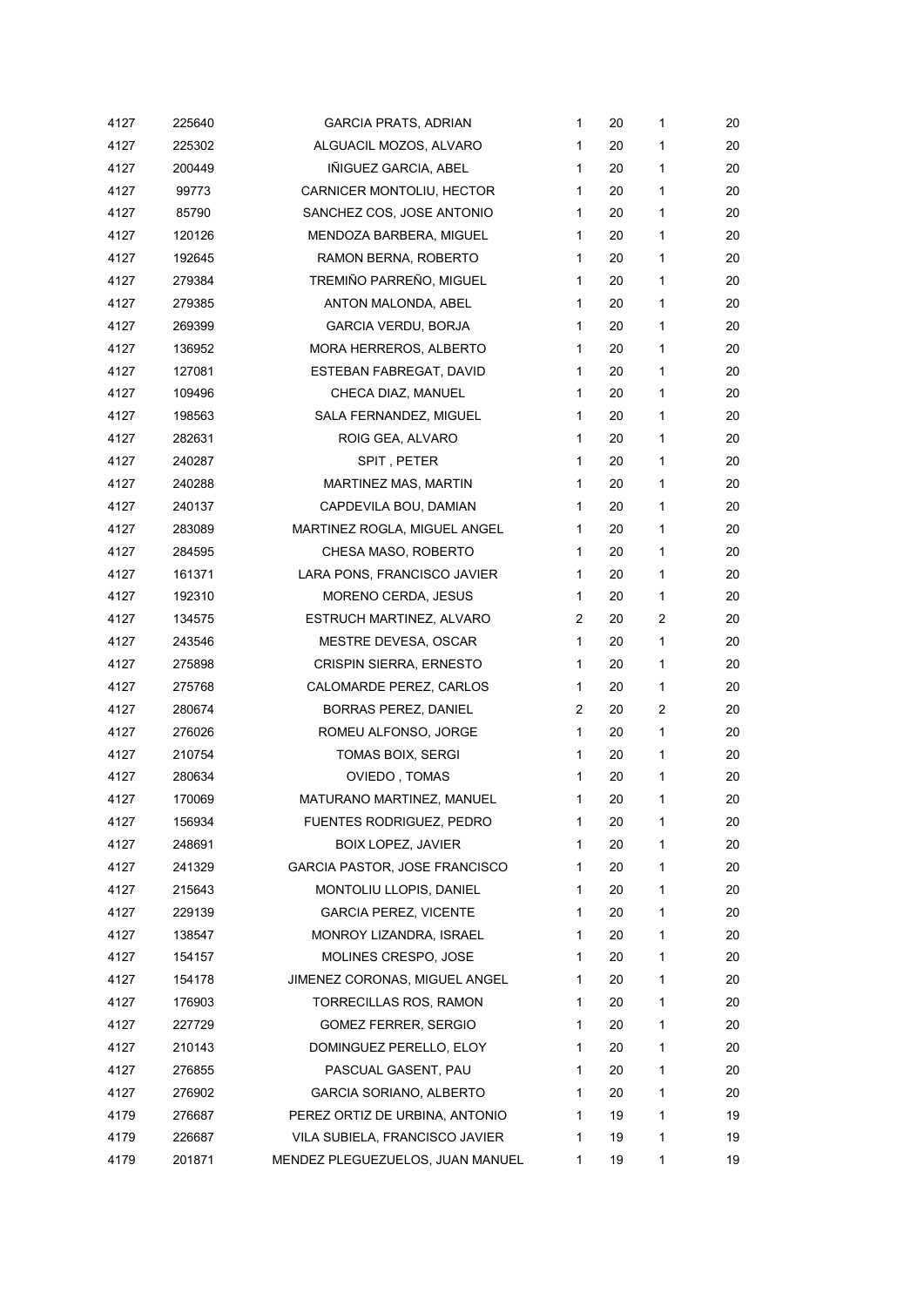| 4127 | 225640 | <b>GARCIA PRATS, ADRIAN</b>      | $\mathbf{1}$ | 20 | 1            | 20 |
|------|--------|----------------------------------|--------------|----|--------------|----|
| 4127 | 225302 | ALGUACIL MOZOS, ALVARO           | 1            | 20 | 1            | 20 |
| 4127 | 200449 | IÑIGUEZ GARCIA, ABEL             | $\mathbf{1}$ | 20 | 1            | 20 |
| 4127 | 99773  | CARNICER MONTOLIU, HECTOR        | 1            | 20 | 1            | 20 |
| 4127 | 85790  | SANCHEZ COS, JOSE ANTONIO        | $\mathbf{1}$ | 20 | 1            | 20 |
| 4127 | 120126 | MENDOZA BARBERA, MIGUEL          | $\mathbf{1}$ | 20 | 1            | 20 |
| 4127 | 192645 | RAMON BERNA, ROBERTO             | $\mathbf{1}$ | 20 | 1            | 20 |
| 4127 | 279384 | TREMIÑO PARREÑO, MIGUEL          | $\mathbf{1}$ | 20 | 1            | 20 |
| 4127 | 279385 | ANTON MALONDA, ABEL              | $\mathbf{1}$ | 20 | 1            | 20 |
| 4127 | 269399 | <b>GARCIA VERDU, BORJA</b>       | $\mathbf{1}$ | 20 | 1            | 20 |
| 4127 | 136952 | MORA HERREROS, ALBERTO           | $\mathbf{1}$ | 20 | $\mathbf{1}$ | 20 |
| 4127 | 127081 | ESTEBAN FABREGAT, DAVID          | 1            | 20 | 1            | 20 |
| 4127 | 109496 | CHECA DIAZ, MANUEL               | $\mathbf{1}$ | 20 | 1            | 20 |
| 4127 | 198563 | SALA FERNANDEZ, MIGUEL           | 1            | 20 | 1            | 20 |
| 4127 | 282631 | ROIG GEA, ALVARO                 | $\mathbf{1}$ | 20 | 1            | 20 |
| 4127 | 240287 | SPIT, PETER                      | 1            | 20 | 1            | 20 |
| 4127 | 240288 | MARTINEZ MAS, MARTIN             | $\mathbf{1}$ | 20 | 1            | 20 |
| 4127 | 240137 | CAPDEVILA BOU, DAMIAN            | 1            | 20 | 1            | 20 |
| 4127 | 283089 | MARTINEZ ROGLA, MIGUEL ANGEL     | 1            | 20 | 1            | 20 |
| 4127 | 284595 | CHESA MASO, ROBERTO              | $\mathbf{1}$ | 20 | 1            | 20 |
| 4127 | 161371 | LARA PONS, FRANCISCO JAVIER      | $\mathbf{1}$ | 20 | 1            | 20 |
| 4127 | 192310 | MORENO CERDA, JESUS              | $\mathbf{1}$ | 20 | 1            | 20 |
| 4127 | 134575 | ESTRUCH MARTINEZ, ALVARO         | 2            | 20 | 2            | 20 |
| 4127 | 243546 | MESTRE DEVESA, OSCAR             | 1            | 20 | 1            | 20 |
| 4127 | 275898 | <b>CRISPIN SIERRA, ERNESTO</b>   | 1            | 20 | 1            | 20 |
| 4127 | 275768 | CALOMARDE PEREZ, CARLOS          | 1            | 20 | 1            | 20 |
| 4127 | 280674 | <b>BORRAS PEREZ, DANIEL</b>      | 2            | 20 | 2            | 20 |
| 4127 | 276026 | ROMEU ALFONSO, JORGE             | $\mathbf{1}$ | 20 | 1            | 20 |
| 4127 | 210754 | <b>TOMAS BOIX, SERGI</b>         | $\mathbf{1}$ | 20 | 1            | 20 |
| 4127 | 280634 | OVIEDO, TOMAS                    | 1            | 20 | 1            | 20 |
| 4127 | 170069 | MATURANO MARTINEZ, MANUEL        | 1            | 20 | 1            | 20 |
| 4127 | 156934 | <b>FUENTES RODRIGUEZ, PEDRO</b>  | 1            | 20 | 1            | 20 |
| 4127 | 248691 | <b>BOIX LOPEZ, JAVIER</b>        | 1            | 20 | 1            | 20 |
| 4127 | 241329 | GARCIA PASTOR, JOSE FRANCISCO    | 1            | 20 | 1            | 20 |
| 4127 | 215643 | MONTOLIU LLOPIS, DANIEL          | 1            | 20 | 1            | 20 |
| 4127 | 229139 | <b>GARCIA PEREZ, VICENTE</b>     | 1            | 20 | 1            | 20 |
| 4127 | 138547 | MONROY LIZANDRA, ISRAEL          | 1            | 20 | 1            | 20 |
| 4127 | 154157 | MOLINES CRESPO, JOSE             | 1            | 20 | 1            | 20 |
| 4127 | 154178 | JIMENEZ CORONAS, MIGUEL ANGEL    | 1            | 20 | 1            | 20 |
| 4127 | 176903 | TORRECILLAS ROS, RAMON           | 1            | 20 | 1            | 20 |
| 4127 | 227729 | GOMEZ FERRER, SERGIO             | 1            | 20 | 1            | 20 |
| 4127 | 210143 | DOMINGUEZ PERELLO, ELOY          | 1            | 20 | 1            | 20 |
| 4127 | 276855 | PASCUAL GASENT, PAU              | 1            | 20 | 1            | 20 |
| 4127 | 276902 | <b>GARCIA SORIANO, ALBERTO</b>   | 1            | 20 | 1            | 20 |
| 4179 | 276687 | PEREZ ORTIZ DE URBINA, ANTONIO   | 1            | 19 | 1            | 19 |
| 4179 | 226687 | VILA SUBIELA, FRANCISCO JAVIER   | 1            | 19 | 1            | 19 |
| 4179 | 201871 | MENDEZ PLEGUEZUELOS, JUAN MANUEL | 1            | 19 | 1            | 19 |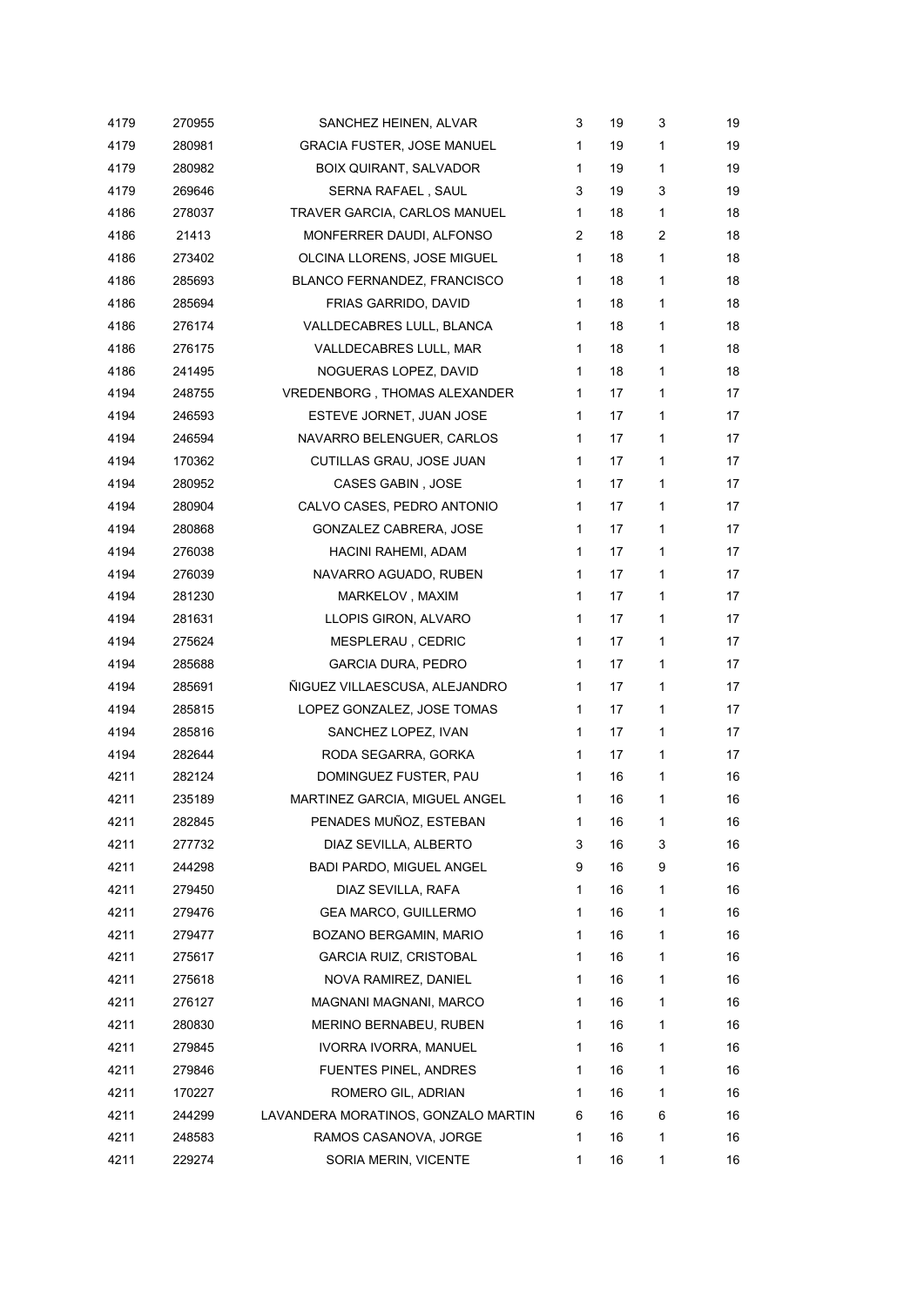| 4179 | 270955 | SANCHEZ HEINEN, ALVAR               | 3 | 19 | 3              | 19 |
|------|--------|-------------------------------------|---|----|----------------|----|
| 4179 | 280981 | <b>GRACIA FUSTER, JOSE MANUEL</b>   | 1 | 19 | 1              | 19 |
| 4179 | 280982 | <b>BOIX QUIRANT, SALVADOR</b>       | 1 | 19 | 1              | 19 |
| 4179 | 269646 | SERNA RAFAEL , SAUL                 | 3 | 19 | 3              | 19 |
| 4186 | 278037 | TRAVER GARCIA, CARLOS MANUEL        | 1 | 18 | 1              | 18 |
| 4186 | 21413  | MONFERRER DAUDI, ALFONSO            | 2 | 18 | $\overline{2}$ | 18 |
| 4186 | 273402 | OLCINA LLORENS, JOSE MIGUEL         | 1 | 18 | 1              | 18 |
| 4186 | 285693 | BLANCO FERNANDEZ, FRANCISCO         | 1 | 18 | 1              | 18 |
| 4186 | 285694 | FRIAS GARRIDO, DAVID                | 1 | 18 | $\mathbf{1}$   | 18 |
| 4186 | 276174 | VALLDECABRES LULL, BLANCA           | 1 | 18 | 1              | 18 |
| 4186 | 276175 | VALLDECABRES LULL, MAR              | 1 | 18 | 1              | 18 |
| 4186 | 241495 | NOGUERAS LOPEZ, DAVID               | 1 | 18 | 1              | 18 |
| 4194 | 248755 | VREDENBORG, THOMAS ALEXANDER        | 1 | 17 | 1              | 17 |
| 4194 | 246593 | ESTEVE JORNET, JUAN JOSE            | 1 | 17 | 1              | 17 |
| 4194 | 246594 | NAVARRO BELENGUER, CARLOS           | 1 | 17 | 1              | 17 |
| 4194 | 170362 | CUTILLAS GRAU, JOSE JUAN            | 1 | 17 | 1              | 17 |
| 4194 | 280952 | CASES GABIN, JOSE                   | 1 | 17 | 1              | 17 |
| 4194 | 280904 | CALVO CASES, PEDRO ANTONIO          | 1 | 17 | 1              | 17 |
| 4194 | 280868 | GONZALEZ CABRERA, JOSE              | 1 | 17 | 1              | 17 |
| 4194 | 276038 | HACINI RAHEMI, ADAM                 | 1 | 17 | 1              | 17 |
| 4194 | 276039 | NAVARRO AGUADO, RUBEN               | 1 | 17 | 1              | 17 |
| 4194 | 281230 | MARKELOV, MAXIM                     | 1 | 17 | 1              | 17 |
| 4194 | 281631 | LLOPIS GIRON, ALVARO                | 1 | 17 | 1              | 17 |
| 4194 | 275624 | MESPLERAU, CEDRIC                   | 1 | 17 | 1              | 17 |
| 4194 | 285688 | <b>GARCIA DURA, PEDRO</b>           | 1 | 17 | 1              | 17 |
| 4194 | 285691 | ÑIGUEZ VILLAESCUSA, ALEJANDRO       | 1 | 17 | 1              | 17 |
| 4194 | 285815 | LOPEZ GONZALEZ, JOSE TOMAS          | 1 | 17 | 1              | 17 |
| 4194 | 285816 | SANCHEZ LOPEZ, IVAN                 | 1 | 17 | 1              | 17 |
| 4194 | 282644 | RODA SEGARRA, GORKA                 | 1 | 17 | 1              | 17 |
| 4211 | 282124 | DOMINGUEZ FUSTER, PAU               | 1 | 16 | 1              | 16 |
| 4211 | 235189 | MARTINEZ GARCIA, MIGUEL ANGEL       | 1 | 16 | 1              | 16 |
| 4211 | 282845 | PENADES MUÑOZ, ESTEBAN              | 1 | 16 | 1              | 16 |
| 4211 | 277732 | DIAZ SEVILLA, ALBERTO               | 3 | 16 | 3              | 16 |
| 4211 | 244298 | BADI PARDO, MIGUEL ANGEL            | 9 | 16 | 9              | 16 |
| 4211 | 279450 | DIAZ SEVILLA, RAFA                  | 1 | 16 | 1              | 16 |
| 4211 | 279476 | <b>GEA MARCO, GUILLERMO</b>         | 1 | 16 | 1              | 16 |
| 4211 | 279477 | BOZANO BERGAMIN, MARIO              | 1 | 16 | 1              | 16 |
| 4211 | 275617 | GARCIA RUIZ, CRISTOBAL              | 1 | 16 | 1              | 16 |
| 4211 | 275618 | NOVA RAMIREZ, DANIEL                | 1 | 16 | 1              | 16 |
| 4211 | 276127 | MAGNANI MAGNANI, MARCO              | 1 | 16 | 1              | 16 |
| 4211 | 280830 | MERINO BERNABEU, RUBEN              | 1 | 16 | 1              | 16 |
| 4211 | 279845 | IVORRA IVORRA, MANUEL               | 1 | 16 | 1              | 16 |
| 4211 | 279846 | <b>FUENTES PINEL, ANDRES</b>        | 1 | 16 | 1              | 16 |
| 4211 | 170227 | ROMERO GIL, ADRIAN                  | 1 | 16 | 1              | 16 |
| 4211 | 244299 | LAVANDERA MORATINOS, GONZALO MARTIN | 6 | 16 | 6              | 16 |
| 4211 | 248583 | RAMOS CASANOVA, JORGE               | 1 | 16 | 1              | 16 |
| 4211 | 229274 | SORIA MERIN, VICENTE                | 1 | 16 | 1              | 16 |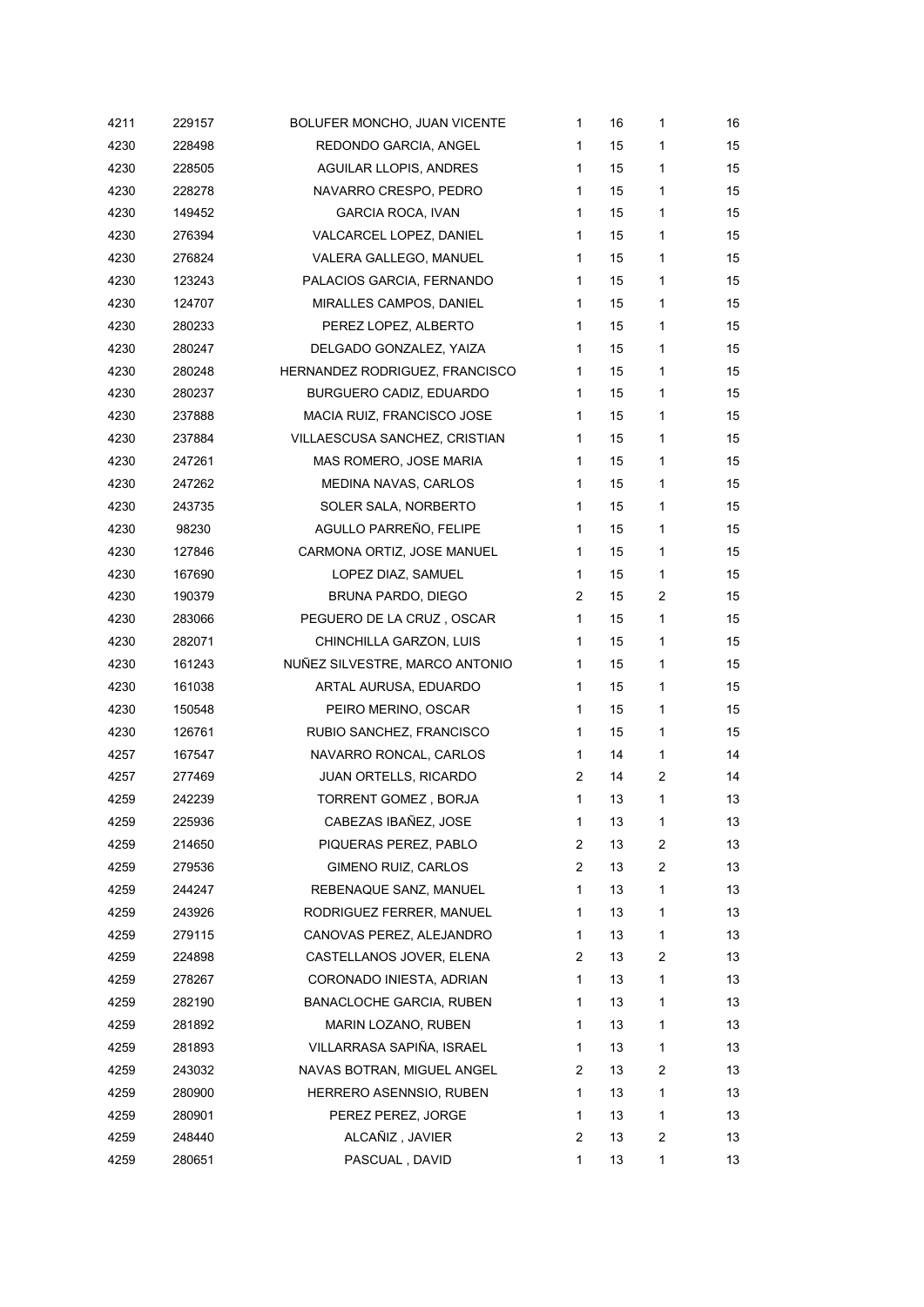| 4211 | 229157 | BOLUFER MONCHO, JUAN VICENTE   | 1            | 16 | 1              | 16 |
|------|--------|--------------------------------|--------------|----|----------------|----|
| 4230 | 228498 | REDONDO GARCIA, ANGEL          | 1            | 15 | 1              | 15 |
| 4230 | 228505 | <b>AGUILAR LLOPIS, ANDRES</b>  | $\mathbf{1}$ | 15 | 1              | 15 |
| 4230 | 228278 | NAVARRO CRESPO, PEDRO          | 1            | 15 | $\mathbf{1}$   | 15 |
| 4230 | 149452 | <b>GARCIA ROCA, IVAN</b>       | 1            | 15 | $\mathbf{1}$   | 15 |
| 4230 | 276394 | VALCARCEL LOPEZ, DANIEL        | $\mathbf{1}$ | 15 | 1              | 15 |
| 4230 | 276824 | VALERA GALLEGO, MANUEL         | $\mathbf{1}$ | 15 | 1              | 15 |
| 4230 | 123243 | PALACIOS GARCIA, FERNANDO      | $\mathbf{1}$ | 15 | 1              | 15 |
| 4230 | 124707 | MIRALLES CAMPOS, DANIEL        | 1            | 15 | 1              | 15 |
| 4230 | 280233 | PEREZ LOPEZ, ALBERTO           | 1            | 15 | $\mathbf{1}$   | 15 |
| 4230 | 280247 | DELGADO GONZALEZ, YAIZA        | 1            | 15 | $\mathbf{1}$   | 15 |
| 4230 | 280248 | HERNANDEZ RODRIGUEZ, FRANCISCO | 1            | 15 | 1              | 15 |
| 4230 | 280237 | BURGUERO CADIZ, EDUARDO        | $\mathbf{1}$ | 15 | $\mathbf{1}$   | 15 |
| 4230 | 237888 | MACIA RUIZ, FRANCISCO JOSE     | 1            | 15 | $\mathbf{1}$   | 15 |
| 4230 | 237884 | VILLAESCUSA SANCHEZ, CRISTIAN  | $\mathbf{1}$ | 15 | 1              | 15 |
| 4230 | 247261 | MAS ROMERO, JOSE MARIA         | $\mathbf{1}$ | 15 | $\mathbf{1}$   | 15 |
| 4230 | 247262 | MEDINA NAVAS, CARLOS           | 1            | 15 | 1              | 15 |
| 4230 | 243735 | SOLER SALA, NORBERTO           | 1            | 15 | $\mathbf{1}$   | 15 |
| 4230 | 98230  | AGULLO PARREÑO, FELIPE         | 1            | 15 | $\mathbf{1}$   | 15 |
| 4230 | 127846 | CARMONA ORTIZ, JOSE MANUEL     | $\mathbf{1}$ | 15 | $\mathbf{1}$   | 15 |
| 4230 | 167690 | LOPEZ DIAZ, SAMUEL             | $\mathbf{1}$ | 15 | $\mathbf{1}$   | 15 |
| 4230 | 190379 | BRUNA PARDO, DIEGO             | 2            | 15 | 2              | 15 |
| 4230 | 283066 | PEGUERO DE LA CRUZ, OSCAR      | 1            | 15 | $\mathbf{1}$   | 15 |
| 4230 | 282071 | CHINCHILLA GARZON, LUIS        | 1            | 15 | 1              | 15 |
| 4230 | 161243 | NUÑEZ SILVESTRE, MARCO ANTONIO | $\mathbf{1}$ | 15 | 1              | 15 |
| 4230 | 161038 | ARTAL AURUSA, EDUARDO          | 1            | 15 | 1              | 15 |
| 4230 | 150548 | PEIRO MERINO, OSCAR            | $\mathbf{1}$ | 15 | 1              | 15 |
| 4230 | 126761 | RUBIO SANCHEZ, FRANCISCO       | 1            | 15 | 1              | 15 |
| 4257 | 167547 | NAVARRO RONCAL, CARLOS         | $\mathbf{1}$ | 14 | 1              | 14 |
| 4257 | 277469 | JUAN ORTELLS, RICARDO          | 2            | 14 | $\overline{2}$ | 14 |
| 4259 | 242239 | TORRENT GOMEZ, BORJA           | 1            | 13 | 1              | 13 |
| 4259 | 225936 | CABEZAS IBAÑEZ, JOSE           | 1            | 13 | 1              | 13 |
| 4259 | 214650 | PIQUERAS PEREZ, PABLO          | 2            | 13 | 2              | 13 |
| 4259 | 279536 | GIMENO RUIZ, CARLOS            | 2            | 13 | 2              | 13 |
| 4259 | 244247 | REBENAQUE SANZ, MANUEL         | 1            | 13 | 1              | 13 |
| 4259 | 243926 | RODRIGUEZ FERRER, MANUEL       | 1            | 13 | 1              | 13 |
| 4259 | 279115 | CANOVAS PEREZ, ALEJANDRO       | 1            | 13 | 1              | 13 |
| 4259 | 224898 | CASTELLANOS JOVER, ELENA       | 2            | 13 | 2              | 13 |
| 4259 | 278267 | CORONADO INIESTA, ADRIAN       | 1            | 13 | $\mathbf{1}$   | 13 |
| 4259 | 282190 | BANACLOCHE GARCIA, RUBEN       | 1            | 13 | 1              | 13 |
| 4259 | 281892 | MARIN LOZANO, RUBEN            | 1            | 13 | 1              | 13 |
| 4259 | 281893 | VILLARRASA SAPIÑA, ISRAEL      | 1            | 13 | $\mathbf{1}$   | 13 |
| 4259 | 243032 | NAVAS BOTRAN, MIGUEL ANGEL     | 2            | 13 | 2              | 13 |
| 4259 | 280900 | HERRERO ASENNSIO, RUBEN        | 1            | 13 | 1              | 13 |
| 4259 | 280901 | PEREZ PEREZ, JORGE             | 1            | 13 | 1              | 13 |
| 4259 | 248440 | ALCAÑIZ, JAVIER                | 2            | 13 | $\overline{c}$ | 13 |
| 4259 | 280651 | PASCUAL, DAVID                 | $\mathbf{1}$ | 13 | 1              | 13 |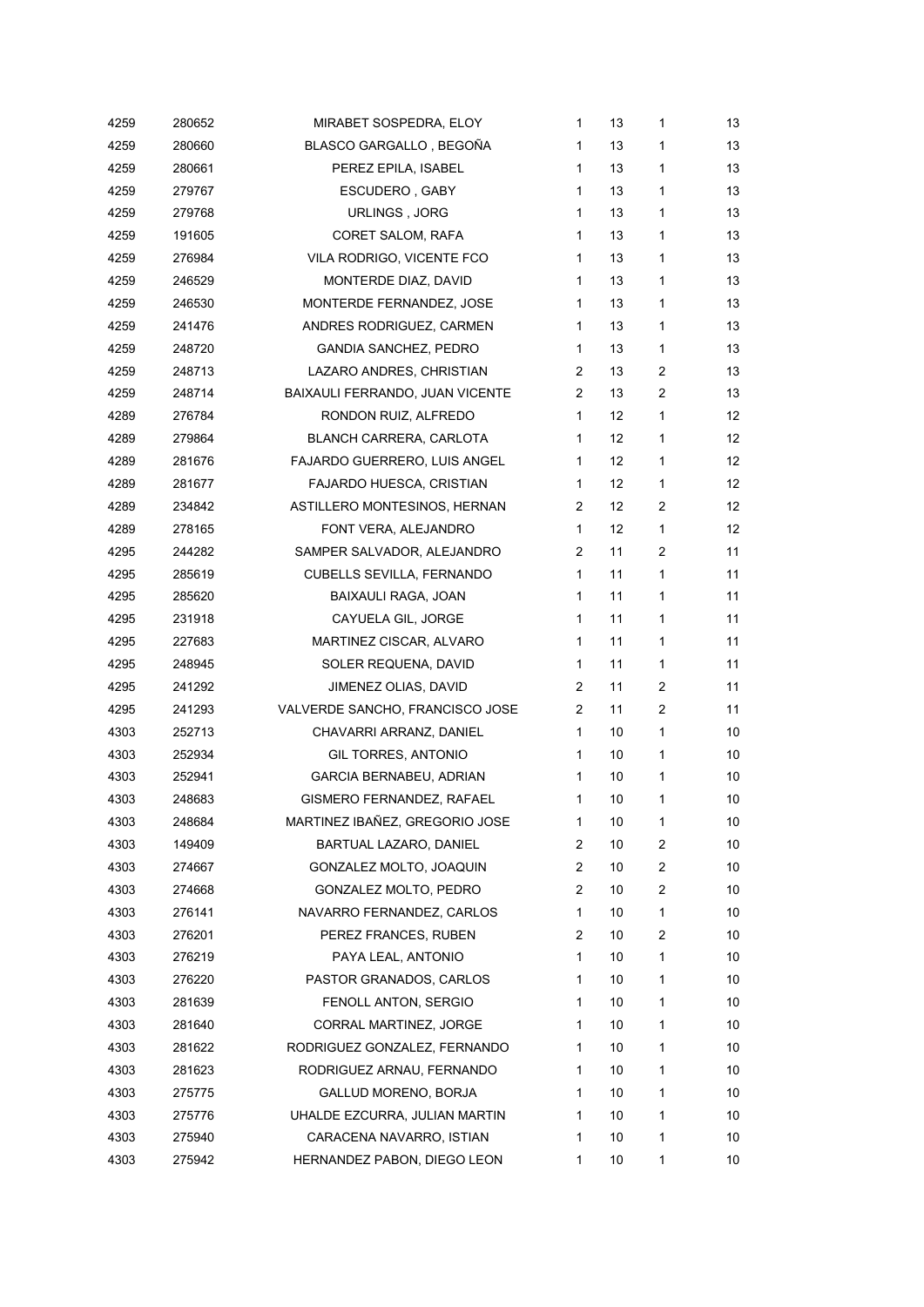| 4259 | 280652 | MIRABET SOSPEDRA, ELOY           | 1              | 13 | 1              | 13 |
|------|--------|----------------------------------|----------------|----|----------------|----|
| 4259 | 280660 | BLASCO GARGALLO, BEGOÑA          | 1              | 13 | 1              | 13 |
| 4259 | 280661 | PEREZ EPILA, ISABEL              | 1              | 13 | 1              | 13 |
| 4259 | 279767 | ESCUDERO, GABY                   | 1              | 13 | 1              | 13 |
| 4259 | 279768 | URLINGS, JORG                    | 1              | 13 | 1              | 13 |
| 4259 | 191605 | CORET SALOM, RAFA                | 1              | 13 | 1              | 13 |
| 4259 | 276984 | VILA RODRIGO, VICENTE FCO        | 1              | 13 | 1              | 13 |
| 4259 | 246529 | MONTERDE DIAZ, DAVID             | 1              | 13 | 1              | 13 |
| 4259 | 246530 | MONTERDE FERNANDEZ, JOSE         | 1              | 13 | $\mathbf{1}$   | 13 |
| 4259 | 241476 | ANDRES RODRIGUEZ, CARMEN         | 1              | 13 | $\mathbf{1}$   | 13 |
| 4259 | 248720 | <b>GANDIA SANCHEZ, PEDRO</b>     | 1              | 13 | 1              | 13 |
| 4259 | 248713 | LAZARO ANDRES, CHRISTIAN         | 2              | 13 | $\overline{c}$ | 13 |
| 4259 | 248714 | BAIXAULI FERRANDO, JUAN VICENTE  | 2              | 13 | $\overline{2}$ | 13 |
| 4289 | 276784 | RONDON RUIZ, ALFREDO             | $\mathbf{1}$   | 12 | 1              | 12 |
| 4289 | 279864 | BLANCH CARRERA, CARLOTA          | 1              | 12 | 1              | 12 |
| 4289 | 281676 | FAJARDO GUERRERO, LUIS ANGEL     | 1              | 12 | 1              | 12 |
| 4289 | 281677 | FAJARDO HUESCA, CRISTIAN         | 1              | 12 | 1              | 12 |
| 4289 | 234842 | ASTILLERO MONTESINOS, HERNAN     | 2              | 12 | 2              | 12 |
| 4289 | 278165 | FONT VERA, ALEJANDRO             | 1              | 12 | 1              | 12 |
| 4295 | 244282 | SAMPER SALVADOR, ALEJANDRO       | 2              | 11 | $\overline{c}$ | 11 |
| 4295 | 285619 | <b>CUBELLS SEVILLA, FERNANDO</b> | 1              | 11 | 1              | 11 |
| 4295 | 285620 | BAIXAULI RAGA, JOAN              | 1              | 11 | 1              | 11 |
| 4295 | 231918 | CAYUELA GIL, JORGE               | 1              | 11 | 1              | 11 |
| 4295 | 227683 | MARTINEZ CISCAR, ALVARO          | 1              | 11 | 1              | 11 |
| 4295 | 248945 | SOLER REQUENA, DAVID             | 1              | 11 | 1              | 11 |
| 4295 | 241292 | JIMENEZ OLIAS, DAVID             | 2              | 11 | $\overline{2}$ | 11 |
| 4295 | 241293 | VALVERDE SANCHO, FRANCISCO JOSE  | $\overline{2}$ | 11 | 2              | 11 |
| 4303 | 252713 | CHAVARRI ARRANZ, DANIEL          | 1              | 10 | 1              | 10 |
| 4303 | 252934 | GIL TORRES, ANTONIO              | 1              | 10 | 1              | 10 |
| 4303 | 252941 | GARCIA BERNABEU, ADRIAN          | 1              | 10 | 1              | 10 |
| 4303 | 248683 | GISMERO FERNANDEZ, RAFAEL        | 1              | 10 | 1              | 10 |
| 4303 | 248684 | MARTINEZ IBAÑEZ, GREGORIO JOSE   | 1              | 10 | 1              | 10 |
| 4303 | 149409 | BARTUAL LAZARO, DANIEL           | 2              | 10 | 2              | 10 |
| 4303 | 274667 | GONZALEZ MOLTO, JOAQUIN          | 2              | 10 | 2              | 10 |
| 4303 | 274668 | GONZALEZ MOLTO, PEDRO            | 2              | 10 | $\overline{c}$ | 10 |
| 4303 | 276141 | NAVARRO FERNANDEZ, CARLOS        | 1              | 10 | 1              | 10 |
| 4303 | 276201 | PEREZ FRANCES, RUBEN             | 2              | 10 | $\overline{c}$ | 10 |
| 4303 | 276219 | PAYA LEAL, ANTONIO               | 1              | 10 | 1              | 10 |
| 4303 | 276220 | PASTOR GRANADOS, CARLOS          | 1              | 10 | 1              | 10 |
| 4303 | 281639 | FENOLL ANTON, SERGIO             | 1              | 10 | 1              | 10 |
| 4303 | 281640 | CORRAL MARTINEZ, JORGE           | 1              | 10 | 1              | 10 |
| 4303 | 281622 | RODRIGUEZ GONZALEZ, FERNANDO     | 1              | 10 | 1              | 10 |
| 4303 | 281623 | RODRIGUEZ ARNAU, FERNANDO        | 1              | 10 | 1              | 10 |
| 4303 | 275775 | GALLUD MORENO, BORJA             | 1              | 10 | 1              | 10 |
| 4303 | 275776 | UHALDE EZCURRA, JULIAN MARTIN    | 1              | 10 | 1              | 10 |
| 4303 | 275940 | CARACENA NAVARRO, ISTIAN         | 1              | 10 | 1              | 10 |
| 4303 | 275942 | HERNANDEZ PABON, DIEGO LEON      | 1              | 10 | 1              | 10 |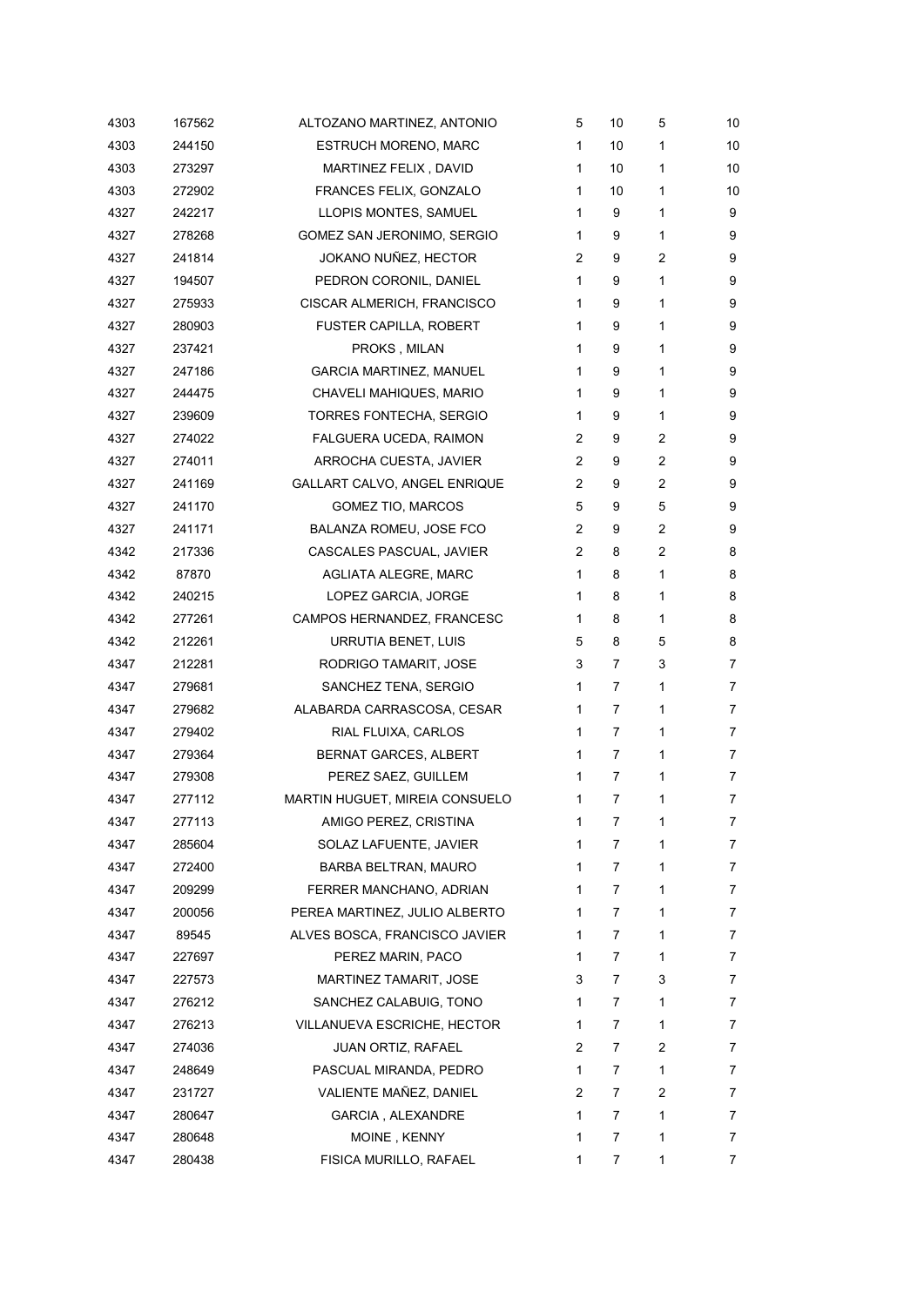| 4303 | 167562 | ALTOZANO MARTINEZ, ANTONIO     | 5 | 10 | 5            | 10 |
|------|--------|--------------------------------|---|----|--------------|----|
| 4303 | 244150 | <b>ESTRUCH MORENO, MARC</b>    | 1 | 10 | 1            | 10 |
| 4303 | 273297 | MARTINEZ FELIX, DAVID          | 1 | 10 | 1            | 10 |
| 4303 | 272902 | FRANCES FELIX, GONZALO         | 1 | 10 | 1            | 10 |
| 4327 | 242217 | LLOPIS MONTES, SAMUEL          | 1 | 9  | 1            | 9  |
| 4327 | 278268 | GOMEZ SAN JERONIMO, SERGIO     | 1 | 9  | 1            | 9  |
| 4327 | 241814 | JOKANO NUÑEZ, HECTOR           | 2 | 9  | 2            | 9  |
| 4327 | 194507 | PEDRON CORONIL, DANIEL         | 1 | 9  | 1            | 9  |
| 4327 | 275933 | CISCAR ALMERICH, FRANCISCO     | 1 | 9  | 1            | 9  |
| 4327 | 280903 | <b>FUSTER CAPILLA, ROBERT</b>  | 1 | 9  | 1            | 9  |
| 4327 | 237421 | PROKS, MILAN                   | 1 | 9  | 1            | 9  |
| 4327 | 247186 | <b>GARCIA MARTINEZ, MANUEL</b> | 1 | 9  | 1            | 9  |
| 4327 | 244475 | CHAVELI MAHIQUES, MARIO        | 1 | 9  | 1            | 9  |
| 4327 | 239609 | TORRES FONTECHA, SERGIO        | 1 | 9  | 1            | 9  |
| 4327 | 274022 | FALGUERA UCEDA, RAIMON         | 2 | 9  | 2            | 9  |
| 4327 | 274011 | ARROCHA CUESTA, JAVIER         | 2 | 9  | 2            | 9  |
| 4327 | 241169 | GALLART CALVO, ANGEL ENRIQUE   | 2 | 9  | 2            | 9  |
| 4327 | 241170 | <b>GOMEZ TIO, MARCOS</b>       | 5 | 9  | 5            | 9  |
| 4327 | 241171 | BALANZA ROMEU, JOSE FCO        | 2 | 9  | 2            | 9  |
| 4342 | 217336 | CASCALES PASCUAL, JAVIER       | 2 | 8  | 2            | 8  |
| 4342 | 87870  | <b>AGLIATA ALEGRE, MARC</b>    | 1 | 8  | $\mathbf{1}$ | 8  |
| 4342 | 240215 | LOPEZ GARCIA, JORGE            | 1 | 8  | 1            | 8  |
| 4342 | 277261 | CAMPOS HERNANDEZ, FRANCESC     | 1 | 8  | 1            | 8  |
| 4342 | 212261 | URRUTIA BENET, LUIS            | 5 | 8  | 5            | 8  |
| 4347 | 212281 | RODRIGO TAMARIT, JOSE          | 3 | 7  | 3            | 7  |
| 4347 | 279681 | SANCHEZ TENA, SERGIO           | 1 | 7  | 1            | 7  |
| 4347 | 279682 | ALABARDA CARRASCOSA, CESAR     | 1 | 7  | 1            | 7  |
| 4347 | 279402 | RIAL FLUIXA, CARLOS            | 1 | 7  | 1            | 7  |
| 4347 | 279364 | BERNAT GARCES, ALBERT          | 1 | 7  | 1            | 7  |
| 4347 | 279308 | PEREZ SAEZ, GUILLEM            | 1 | 7  | $\mathbf{1}$ | 7  |
| 4347 | 277112 | MARTIN HUGUET, MIREIA CONSUELO | 1 | 7  | 1            | 7  |
| 4347 | 277113 | AMIGO PEREZ, CRISTINA          | 1 | 7  | 1            | 7  |
| 4347 | 285604 | SOLAZ LAFUENTE, JAVIER         | 1 | 7  | 1            | 7  |
| 4347 | 272400 | BARBA BELTRAN, MAURO           | 1 | 7  | 1            | 7  |
| 4347 | 209299 | FERRER MANCHANO, ADRIAN        | 1 | 7  | 1            | 7  |
| 4347 | 200056 | PEREA MARTINEZ, JULIO ALBERTO  | 1 | 7  | 1            | 7  |
| 4347 | 89545  | ALVES BOSCA, FRANCISCO JAVIER  | 1 | 7  | 1            | 7  |
| 4347 | 227697 | PEREZ MARIN, PACO              | 1 | 7  | 1            | 7  |
| 4347 | 227573 | MARTINEZ TAMARIT, JOSE         | 3 | 7  | 3            | 7  |
| 4347 | 276212 | SANCHEZ CALABUIG, TONO         | 1 | 7  | 1            | 7  |
| 4347 | 276213 | VILLANUEVA ESCRICHE, HECTOR    | 1 | 7  | 1            | 7  |
| 4347 | 274036 | <b>JUAN ORTIZ, RAFAEL</b>      | 2 | 7  | 2            | 7  |
| 4347 | 248649 | PASCUAL MIRANDA, PEDRO         | 1 | 7  | 1            | 7  |
| 4347 | 231727 | VALIENTE MAÑEZ, DANIEL         | 2 | 7  | 2            | 7  |
| 4347 | 280647 | GARCIA, ALEXANDRE              | 1 | 7  | 1            | 7  |
| 4347 | 280648 | MOINE, KENNY                   | 1 | 7  | 1            | 7  |
| 4347 | 280438 | FISICA MURILLO, RAFAEL         | 1 | 7  | 1            | 7  |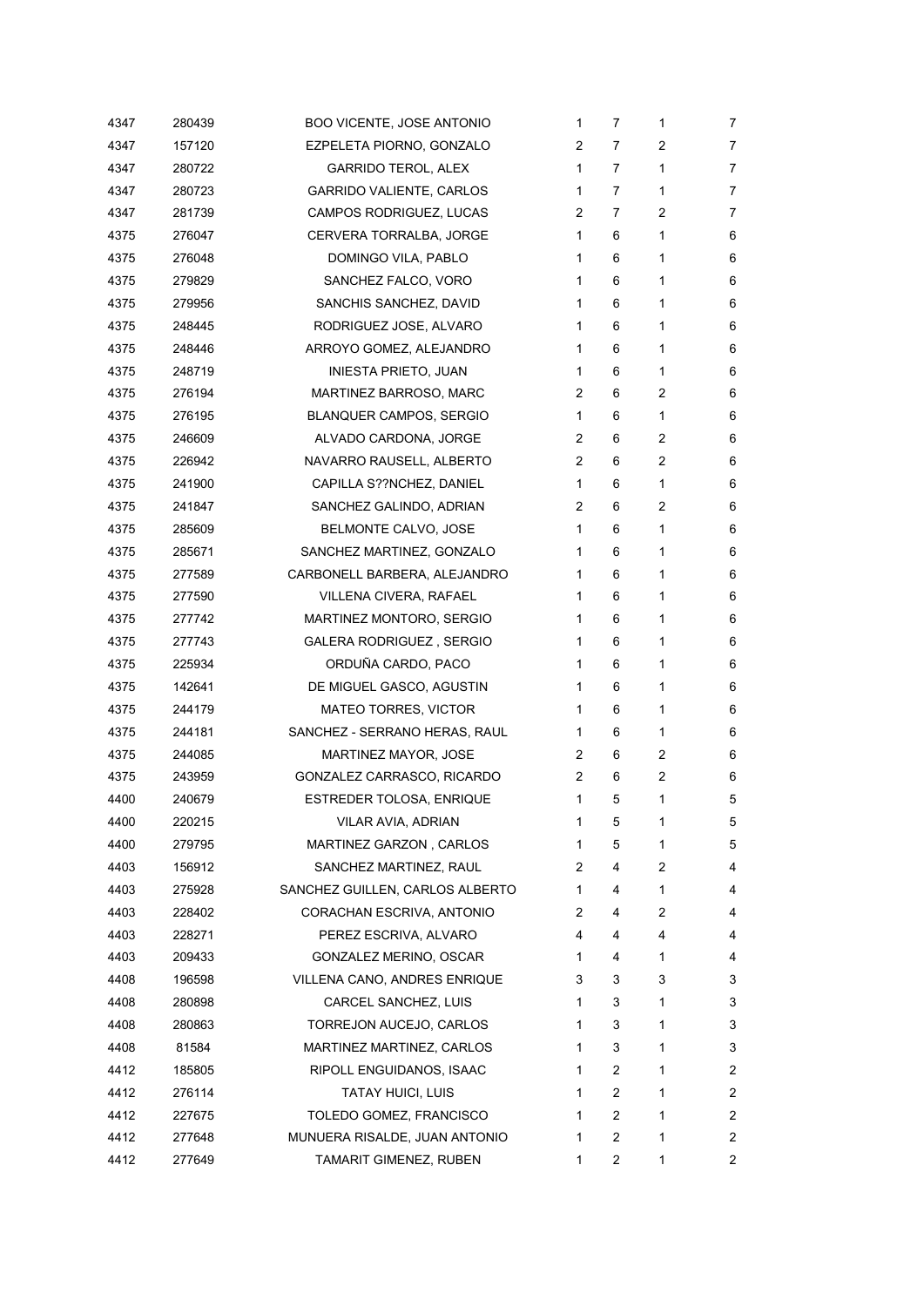| 4347 | 280439 | <b>BOO VICENTE, JOSE ANTONIO</b> | 1 | 7 | 1              | 7              |
|------|--------|----------------------------------|---|---|----------------|----------------|
| 4347 | 157120 | EZPELETA PIORNO, GONZALO         | 2 | 7 | 2              | 7              |
| 4347 | 280722 | <b>GARRIDO TEROL, ALEX</b>       | 1 | 7 | 1              | 7              |
| 4347 | 280723 | GARRIDO VALIENTE, CARLOS         | 1 | 7 | 1              | 7              |
| 4347 | 281739 | CAMPOS RODRIGUEZ, LUCAS          | 2 | 7 | 2              | 7              |
| 4375 | 276047 | CERVERA TORRALBA, JORGE          | 1 | 6 | 1              | 6              |
| 4375 | 276048 | DOMINGO VILA, PABLO              | 1 | 6 | 1              | 6              |
| 4375 | 279829 | SANCHEZ FALCO, VORO              | 1 | 6 | 1              | 6              |
| 4375 | 279956 | SANCHIS SANCHEZ, DAVID           | 1 | 6 | 1              | 6              |
| 4375 | 248445 | RODRIGUEZ JOSE, ALVARO           | 1 | 6 | 1              | 6              |
| 4375 | 248446 | ARROYO GOMEZ, ALEJANDRO          | 1 | 6 | 1              | 6              |
| 4375 | 248719 | INIESTA PRIETO, JUAN             | 1 | 6 | 1              | 6              |
| 4375 | 276194 | MARTINEZ BARROSO, MARC           | 2 | 6 | 2              | 6              |
| 4375 | 276195 | <b>BLANQUER CAMPOS, SERGIO</b>   | 1 | 6 | 1              | 6              |
| 4375 | 246609 | ALVADO CARDONA, JORGE            | 2 | 6 | 2              | 6              |
| 4375 | 226942 | NAVARRO RAUSELL, ALBERTO         | 2 | 6 | 2              | 6              |
| 4375 | 241900 | CAPILLA S??NCHEZ, DANIEL         | 1 | 6 | $\mathbf{1}$   | 6              |
| 4375 | 241847 | SANCHEZ GALINDO, ADRIAN          | 2 | 6 | $\overline{2}$ | 6              |
| 4375 | 285609 | BELMONTE CALVO, JOSE             | 1 | 6 | 1              | 6              |
| 4375 | 285671 | SANCHEZ MARTINEZ, GONZALO        | 1 | 6 | 1              | 6              |
| 4375 | 277589 | CARBONELL BARBERA, ALEJANDRO     | 1 | 6 | 1              | 6              |
| 4375 | 277590 | VILLENA CIVERA, RAFAEL           | 1 | 6 | 1              | 6              |
| 4375 | 277742 | MARTINEZ MONTORO, SERGIO         | 1 | 6 | 1              | 6              |
| 4375 | 277743 | GALERA RODRIGUEZ, SERGIO         | 1 | 6 | 1              | 6              |
| 4375 | 225934 | ORDUÑA CARDO, PACO               | 1 | 6 | 1              | 6              |
| 4375 | 142641 | DE MIGUEL GASCO, AGUSTIN         | 1 | 6 | 1              | 6              |
| 4375 | 244179 | MATEO TORRES, VICTOR             | 1 | 6 | 1              | 6              |
| 4375 | 244181 | SANCHEZ - SERRANO HERAS, RAUL    | 1 | 6 | 1              | 6              |
| 4375 | 244085 | <b>MARTINEZ MAYOR, JOSE</b>      | 2 | 6 | 2              | 6              |
| 4375 | 243959 | GONZALEZ CARRASCO, RICARDO       | 2 | 6 | 2              | 6              |
| 4400 | 240679 | ESTREDER TOLOSA, ENRIQUE         | 1 | 5 | 1              | 5              |
| 4400 | 220215 | VILAR AVIA, ADRIAN               | 1 | 5 | 1              | 5              |
| 4400 | 279795 | MARTINEZ GARZON, CARLOS          | 1 | 5 | 1              | 5              |
| 4403 | 156912 | SANCHEZ MARTINEZ, RAUL           | 2 | 4 | 2              | 4              |
| 4403 | 275928 | SANCHEZ GUILLEN, CARLOS ALBERTO  | 1 | 4 | 1              | 4              |
| 4403 | 228402 | CORACHAN ESCRIVA, ANTONIO        | 2 | 4 | 2              | 4              |
| 4403 | 228271 | PEREZ ESCRIVA, ALVARO            | 4 | 4 | 4              | 4              |
| 4403 | 209433 | GONZALEZ MERINO, OSCAR           | 1 | 4 | 1              | 4              |
| 4408 | 196598 | VILLENA CANO, ANDRES ENRIQUE     | 3 | 3 | 3              | 3              |
| 4408 | 280898 | CARCEL SANCHEZ, LUIS             | 1 | 3 | 1              | 3              |
| 4408 | 280863 | TORREJON AUCEJO, CARLOS          | 1 | 3 | 1              | 3              |
| 4408 | 81584  | MARTINEZ MARTINEZ, CARLOS        | 1 | 3 | 1              | 3              |
| 4412 | 185805 | RIPOLL ENGUIDANOS, ISAAC         | 1 | 2 | 1              | 2              |
| 4412 | 276114 | TATAY HUICI, LUIS                | 1 | 2 | 1              | 2              |
| 4412 | 227675 | TOLEDO GOMEZ, FRANCISCO          | 1 | 2 | 1              | $\overline{c}$ |
| 4412 | 277648 | MUNUERA RISALDE, JUAN ANTONIO    | 1 | 2 | 1              | 2              |
| 4412 | 277649 | TAMARIT GIMENEZ, RUBEN           | 1 | 2 | 1              | 2              |